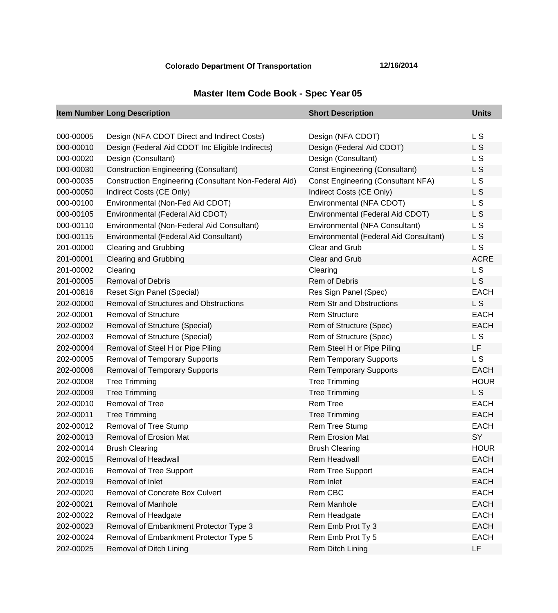## **Colorado Department Of Transportation 12/16/2014**

## **Master Item Code Book - Spec Year 05**

|           | <b>Item Number Long Description</b>                          | <b>Short Description</b>                  | <b>Units</b>   |
|-----------|--------------------------------------------------------------|-------------------------------------------|----------------|
|           |                                                              |                                           |                |
| 000-00005 | Design (NFA CDOT Direct and Indirect Costs)                  | Design (NFA CDOT)                         | L S            |
| 000-00010 | Design (Federal Aid CDOT Inc Eligible Indirects)             | Design (Federal Aid CDOT)                 | L S            |
| 000-00020 | Design (Consultant)                                          | Design (Consultant)                       | L <sub>S</sub> |
| 000-00030 | <b>Construction Engineering (Consultant)</b>                 | <b>Const Engineering (Consultant)</b>     | L S            |
| 000-00035 | <b>Construction Engineering (Consultant Non-Federal Aid)</b> | <b>Const Engineering (Consultant NFA)</b> | L <sub>S</sub> |
| 000-00050 | Indirect Costs (CE Only)                                     | Indirect Costs (CE Only)                  | L S            |
| 000-00100 | Environmental (Non-Fed Aid CDOT)                             | Environmental (NFA CDOT)                  | L <sub>S</sub> |
| 000-00105 | Environmental (Federal Aid CDOT)                             | Environmental (Federal Aid CDOT)          | L <sub>S</sub> |
| 000-00110 | Environmental (Non-Federal Aid Consultant)                   | Environmental (NFA Consultant)            | L S            |
| 000-00115 | Environmental (Federal Aid Consultant)                       | Environmental (Federal Aid Consultant)    | L S            |
| 201-00000 | <b>Clearing and Grubbing</b>                                 | Clear and Grub                            | L <sub>S</sub> |
| 201-00001 | <b>Clearing and Grubbing</b>                                 | <b>Clear and Grub</b>                     | <b>ACRE</b>    |
| 201-00002 | Clearing                                                     | Clearing                                  | L <sub>S</sub> |
| 201-00005 | <b>Removal of Debris</b>                                     | Rem of Debris                             | L <sub>S</sub> |
| 201-00816 | Reset Sign Panel (Special)                                   | Res Sign Panel (Spec)                     | <b>EACH</b>    |
| 202-00000 | <b>Removal of Structures and Obstructions</b>                | <b>Rem Str and Obstructions</b>           | L <sub>S</sub> |
| 202-00001 | <b>Removal of Structure</b>                                  | <b>Rem Structure</b>                      | <b>EACH</b>    |
| 202-00002 | <b>Removal of Structure (Special)</b>                        | Rem of Structure (Spec)                   | <b>EACH</b>    |
| 202-00003 | Removal of Structure (Special)                               | Rem of Structure (Spec)                   | L <sub>S</sub> |
| 202-00004 | Removal of Steel H or Pipe Piling                            | Rem Steel H or Pipe Piling                | LF             |
| 202-00005 | <b>Removal of Temporary Supports</b>                         | <b>Rem Temporary Supports</b>             | <b>LS</b>      |
| 202-00006 | <b>Removal of Temporary Supports</b>                         | <b>Rem Temporary Supports</b>             | <b>EACH</b>    |
| 202-00008 | <b>Tree Trimming</b>                                         | <b>Tree Trimming</b>                      | <b>HOUR</b>    |
| 202-00009 | <b>Tree Trimming</b>                                         | <b>Tree Trimming</b>                      | L <sub>S</sub> |
| 202-00010 | Removal of Tree                                              | <b>Rem Tree</b>                           | <b>EACH</b>    |
| 202-00011 | <b>Tree Trimming</b>                                         | <b>Tree Trimming</b>                      | <b>EACH</b>    |
| 202-00012 | Removal of Tree Stump                                        | <b>Rem Tree Stump</b>                     | <b>EACH</b>    |
| 202-00013 | Removal of Erosion Mat                                       | <b>Rem Erosion Mat</b>                    | SY             |
| 202-00014 | <b>Brush Clearing</b>                                        | <b>Brush Clearing</b>                     | <b>HOUR</b>    |
| 202-00015 | Removal of Headwall                                          | Rem Headwall                              | <b>EACH</b>    |
| 202-00016 | Removal of Tree Support                                      | Rem Tree Support                          | <b>EACH</b>    |
| 202-00019 | Removal of Inlet                                             | Rem Inlet                                 | <b>EACH</b>    |
| 202-00020 | Removal of Concrete Box Culvert                              | Rem CBC                                   | <b>EACH</b>    |
| 202-00021 | <b>Removal of Manhole</b>                                    | Rem Manhole                               | <b>EACH</b>    |
| 202-00022 | Removal of Headgate                                          | Rem Headgate                              | <b>EACH</b>    |
| 202-00023 | Removal of Embankment Protector Type 3                       | Rem Emb Prot Ty 3                         | <b>EACH</b>    |
| 202-00024 | Removal of Embankment Protector Type 5                       | Rem Emb Prot Ty 5                         | <b>EACH</b>    |
| 202-00025 | Removal of Ditch Lining                                      | Rem Ditch Lining                          | LF             |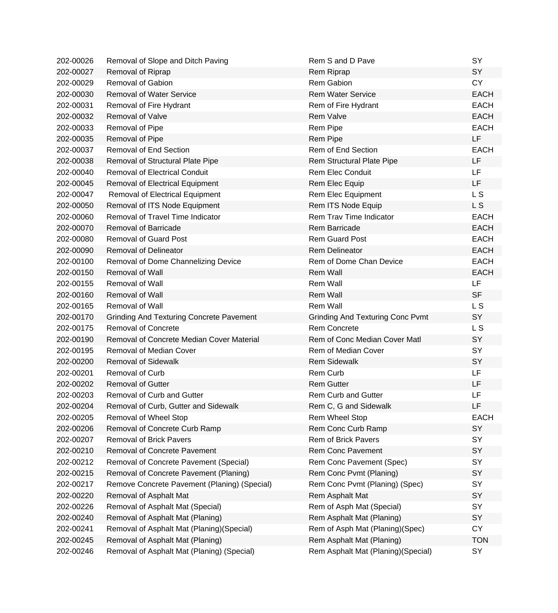| 202-00026 | Removal of Slope and Ditch Paving               | Rem S and D Pave                        | <b>SY</b>      |
|-----------|-------------------------------------------------|-----------------------------------------|----------------|
| 202-00027 | Removal of Riprap                               | Rem Riprap                              | <b>SY</b>      |
| 202-00029 | Removal of Gabion                               | <b>Rem Gabion</b>                       | <b>CY</b>      |
| 202-00030 | <b>Removal of Water Service</b>                 | <b>Rem Water Service</b>                | <b>EACH</b>    |
| 202-00031 | Removal of Fire Hydrant                         | Rem of Fire Hydrant                     | <b>EACH</b>    |
| 202-00032 | <b>Removal of Valve</b>                         | <b>Rem Valve</b>                        | <b>EACH</b>    |
| 202-00033 | Removal of Pipe                                 | Rem Pipe                                | <b>EACH</b>    |
| 202-00035 | Removal of Pipe                                 | Rem Pipe                                | LF             |
| 202-00037 | <b>Removal of End Section</b>                   | <b>Rem of End Section</b>               | <b>EACH</b>    |
| 202-00038 | Removal of Structural Plate Pipe                | Rem Structural Plate Pipe               | <b>LF</b>      |
| 202-00040 | <b>Removal of Electrical Conduit</b>            | <b>Rem Elec Conduit</b>                 | <b>LF</b>      |
| 202-00045 | Removal of Electrical Equipment                 | Rem Elec Equip                          | LF             |
| 202-00047 | <b>Removal of Electrical Equipment</b>          | Rem Elec Equipment                      | L <sub>S</sub> |
| 202-00050 | Removal of ITS Node Equipment                   | Rem ITS Node Equip                      | L <sub>S</sub> |
| 202-00060 | Removal of Travel Time Indicator                | Rem Trav Time Indicator                 | <b>EACH</b>    |
| 202-00070 | <b>Removal of Barricade</b>                     | <b>Rem Barricade</b>                    | <b>EACH</b>    |
| 202-00080 | <b>Removal of Guard Post</b>                    | <b>Rem Guard Post</b>                   | <b>EACH</b>    |
| 202-00090 | <b>Removal of Delineator</b>                    | <b>Rem Delineator</b>                   | <b>EACH</b>    |
| 202-00100 | Removal of Dome Channelizing Device             | Rem of Dome Chan Device                 | <b>EACH</b>    |
| 202-00150 | <b>Removal of Wall</b>                          | <b>Rem Wall</b>                         | <b>EACH</b>    |
| 202-00155 | Removal of Wall                                 | Rem Wall                                | LF             |
| 202-00160 | <b>Removal of Wall</b>                          | <b>Rem Wall</b>                         | <b>SF</b>      |
| 202-00165 | <b>Removal of Wall</b>                          | <b>Rem Wall</b>                         | L <sub>S</sub> |
| 202-00170 | <b>Grinding And Texturing Concrete Pavement</b> | <b>Grinding And Texturing Conc Pvmt</b> | <b>SY</b>      |
| 202-00175 | <b>Removal of Concrete</b>                      | <b>Rem Concrete</b>                     | L S            |
| 202-00190 | Removal of Concrete Median Cover Material       | Rem of Conc Median Cover Matl           | SY             |
| 202-00195 | <b>Removal of Median Cover</b>                  | Rem of Median Cover                     | SY             |
| 202-00200 | <b>Removal of Sidewalk</b>                      | <b>Rem Sidewalk</b>                     | SY             |
| 202-00201 | <b>Removal of Curb</b>                          | Rem Curb                                | LF             |
| 202-00202 | <b>Removal of Gutter</b>                        | <b>Rem Gutter</b>                       | LF             |
| 202-00203 | <b>Removal of Curb and Gutter</b>               | <b>Rem Curb and Gutter</b>              | LF             |
| 202-00204 | Removal of Curb, Gutter and Sidewalk            | Rem C, G and Sidewalk                   | LF             |
| 202-00205 | Removal of Wheel Stop                           | Rem Wheel Stop                          | <b>EACH</b>    |
| 202-00206 | Removal of Concrete Curb Ramp                   | Rem Conc Curb Ramp                      | <b>SY</b>      |
| 202-00207 | <b>Removal of Brick Pavers</b>                  | Rem of Brick Pavers                     | SY             |
| 202-00210 | <b>Removal of Concrete Pavement</b>             | <b>Rem Conc Pavement</b>                | SY             |
| 202-00212 | Removal of Concrete Pavement (Special)          | Rem Conc Pavement (Spec)                | SY             |
| 202-00215 | Removal of Concrete Pavement (Planing)          | Rem Conc Pvmt (Planing)                 | SY             |
| 202-00217 | Remove Concrete Pavement (Planing) (Special)    | Rem Conc Pvmt (Planing) (Spec)          | SY             |
| 202-00220 | Removal of Asphalt Mat                          | Rem Asphalt Mat                         | SY             |
| 202-00226 | Removal of Asphalt Mat (Special)                | Rem of Asph Mat (Special)               | SY             |
| 202-00240 | Removal of Asphalt Mat (Planing)                | Rem Asphalt Mat (Planing)               | SY             |
| 202-00241 | Removal of Asphalt Mat (Planing) (Special)      | Rem of Asph Mat (Planing)(Spec)         | <b>CY</b>      |
| 202-00245 | Removal of Asphalt Mat (Planing)                | Rem Asphalt Mat (Planing)               | <b>TON</b>     |
| 202-00246 | Removal of Asphalt Mat (Planing) (Special)      | Rem Asphalt Mat (Planing) (Special)     | SY             |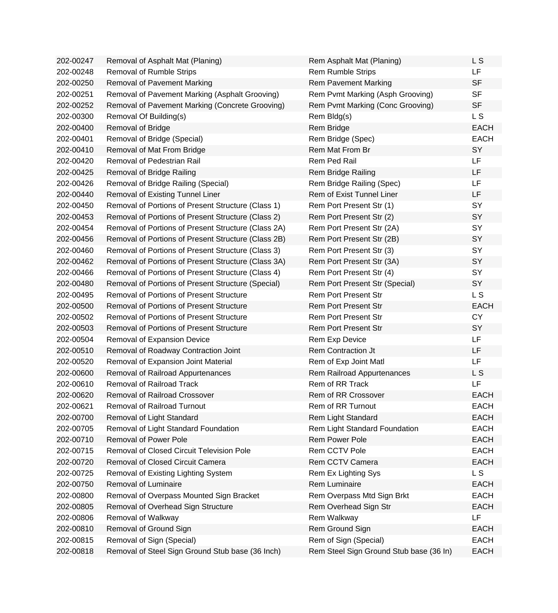| 202-00247 | Removal of Asphalt Mat (Planing)                    | Rem Asphalt Mat (Planing)               | L S         |
|-----------|-----------------------------------------------------|-----------------------------------------|-------------|
| 202-00248 | <b>Removal of Rumble Strips</b>                     | <b>Rem Rumble Strips</b>                | LF          |
| 202-00250 | <b>Removal of Pavement Marking</b>                  | <b>Rem Pavement Marking</b>             | <b>SF</b>   |
| 202-00251 | Removal of Pavement Marking (Asphalt Grooving)      | Rem Pvmt Marking (Asph Grooving)        | <b>SF</b>   |
| 202-00252 | Removal of Pavement Marking (Concrete Grooving)     | Rem Pvmt Marking (Conc Grooving)        | <b>SF</b>   |
| 202-00300 | Removal Of Building(s)                              | Rem Bldg(s)                             | L S         |
| 202-00400 | Removal of Bridge                                   | Rem Bridge                              | <b>EACH</b> |
| 202-00401 | Removal of Bridge (Special)                         | Rem Bridge (Spec)                       | <b>EACH</b> |
| 202-00410 | Removal of Mat From Bridge                          | Rem Mat From Br                         | SY          |
| 202-00420 | Removal of Pedestrian Rail                          | Rem Ped Rail                            | LF          |
| 202-00425 | Removal of Bridge Railing                           | <b>Rem Bridge Railing</b>               | LF          |
| 202-00426 | Removal of Bridge Railing (Special)                 | Rem Bridge Railing (Spec)               | LF          |
| 202-00440 | Removal of Existing Tunnel Liner                    | Rem of Exist Tunnel Liner               | LF          |
| 202-00450 | Removal of Portions of Present Structure (Class 1)  | Rem Port Present Str (1)                | <b>SY</b>   |
| 202-00453 | Removal of Portions of Present Structure (Class 2)  | Rem Port Present Str (2)                | SY          |
| 202-00454 | Removal of Portions of Present Structure (Class 2A) | Rem Port Present Str (2A)               | SY          |
| 202-00456 | Removal of Portions of Present Structure (Class 2B) | Rem Port Present Str (2B)               | SY          |
| 202-00460 | Removal of Portions of Present Structure (Class 3)  | Rem Port Present Str (3)                | SY          |
| 202-00462 | Removal of Portions of Present Structure (Class 3A) | Rem Port Present Str (3A)               | SY          |
| 202-00466 | Removal of Portions of Present Structure (Class 4)  | Rem Port Present Str (4)                | SY          |
| 202-00480 | Removal of Portions of Present Structure (Special)  | Rem Port Present Str (Special)          | SY          |
| 202-00495 | <b>Removal of Portions of Present Structure</b>     | <b>Rem Port Present Str</b>             | L S         |
| 202-00500 | <b>Removal of Portions of Present Structure</b>     | <b>Rem Port Present Str</b>             | <b>EACH</b> |
| 202-00502 | <b>Removal of Portions of Present Structure</b>     | <b>Rem Port Present Str</b>             | <b>CY</b>   |
| 202-00503 | <b>Removal of Portions of Present Structure</b>     | <b>Rem Port Present Str</b>             | SY          |
| 202-00504 | Removal of Expansion Device                         | Rem Exp Device                          | LF          |
| 202-00510 | Removal of Roadway Contraction Joint                | Rem Contraction Jt                      | LF          |
| 202-00520 | Removal of Expansion Joint Material                 | Rem of Exp Joint Matl                   | LF          |
| 202-00600 | Removal of Railroad Appurtenances                   | Rem Railroad Appurtenances              | L S         |
| 202-00610 | <b>Removal of Railroad Track</b>                    | Rem of RR Track                         | LF          |
| 202-00620 | <b>Removal of Railroad Crossover</b>                | Rem of RR Crossover                     | <b>EACH</b> |
| 202-00621 | <b>Removal of Railroad Turnout</b>                  | Rem of RR Turnout                       | <b>EACH</b> |
| 202-00700 | Removal of Light Standard                           | Rem Light Standard                      | <b>EACH</b> |
| 202-00705 | Removal of Light Standard Foundation                | Rem Light Standard Foundation           | <b>EACH</b> |
| 202-00710 | <b>Removal of Power Pole</b>                        | Rem Power Pole                          | <b>EACH</b> |
| 202-00715 | Removal of Closed Circuit Television Pole           | Rem CCTV Pole                           | <b>EACH</b> |
| 202-00720 | Removal of Closed Circuit Camera                    | Rem CCTV Camera                         | <b>EACH</b> |
| 202-00725 | Removal of Existing Lighting System                 | Rem Ex Lighting Sys                     | <b>LS</b>   |
| 202-00750 | Removal of Luminaire                                | Rem Luminaire                           | <b>EACH</b> |
| 202-00800 | Removal of Overpass Mounted Sign Bracket            | Rem Overpass Mtd Sign Brkt              | <b>EACH</b> |
| 202-00805 | Removal of Overhead Sign Structure                  | Rem Overhead Sign Str                   | <b>EACH</b> |
| 202-00806 | Removal of Walkway                                  | Rem Walkway                             | LF          |
| 202-00810 | Removal of Ground Sign                              | Rem Ground Sign                         | <b>EACH</b> |
| 202-00815 | Removal of Sign (Special)                           | Rem of Sign (Special)                   | <b>EACH</b> |
| 202-00818 | Removal of Steel Sign Ground Stub base (36 Inch)    | Rem Steel Sign Ground Stub base (36 In) | <b>EACH</b> |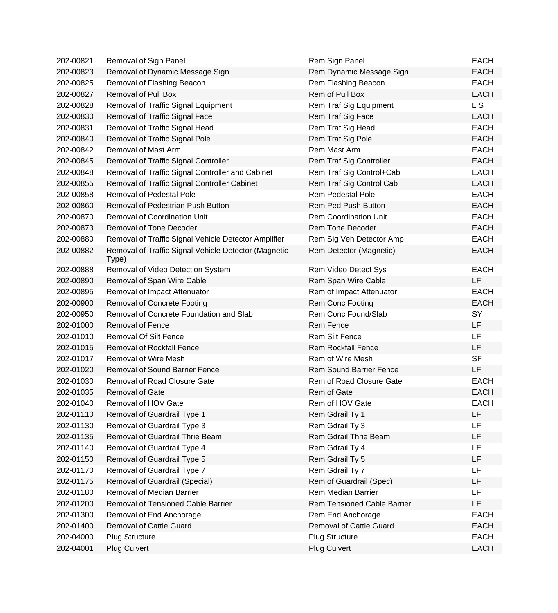| 202-00821 | Removal of Sign Panel                                         | Rem Sign Panel                 | <b>EACH</b>    |
|-----------|---------------------------------------------------------------|--------------------------------|----------------|
| 202-00823 | Removal of Dynamic Message Sign                               | Rem Dynamic Message Sign       | <b>EACH</b>    |
| 202-00825 | Removal of Flashing Beacon                                    | Rem Flashing Beacon            | <b>EACH</b>    |
| 202-00827 | <b>Removal of Pull Box</b>                                    | Rem of Pull Box                | <b>EACH</b>    |
| 202-00828 | Removal of Traffic Signal Equipment                           | Rem Traf Sig Equipment         | L <sub>S</sub> |
| 202-00830 | Removal of Traffic Signal Face                                | Rem Traf Sig Face              | <b>EACH</b>    |
| 202-00831 | Removal of Traffic Signal Head                                | Rem Traf Sig Head              | <b>EACH</b>    |
| 202-00840 | Removal of Traffic Signal Pole                                | Rem Traf Sig Pole              | <b>EACH</b>    |
| 202-00842 | Removal of Mast Arm                                           | Rem Mast Arm                   | <b>EACH</b>    |
| 202-00845 | Removal of Traffic Signal Controller                          | Rem Traf Sig Controller        | <b>EACH</b>    |
| 202-00848 | Removal of Traffic Signal Controller and Cabinet              | Rem Traf Sig Control+Cab       | <b>EACH</b>    |
| 202-00855 | Removal of Traffic Signal Controller Cabinet                  | Rem Traf Sig Control Cab       | <b>EACH</b>    |
| 202-00858 | <b>Removal of Pedestal Pole</b>                               | <b>Rem Pedestal Pole</b>       | <b>EACH</b>    |
| 202-00860 | Removal of Pedestrian Push Button                             | Rem Ped Push Button            | <b>EACH</b>    |
| 202-00870 | <b>Removal of Coordination Unit</b>                           | <b>Rem Coordination Unit</b>   | <b>EACH</b>    |
| 202-00873 | <b>Removal of Tone Decoder</b>                                | <b>Rem Tone Decoder</b>        | <b>EACH</b>    |
| 202-00880 | Removal of Traffic Signal Vehicle Detector Amplifier          | Rem Sig Veh Detector Amp       | <b>EACH</b>    |
| 202-00882 | Removal of Traffic Signal Vehicle Detector (Magnetic<br>Type) | Rem Detector (Magnetic)        | <b>EACH</b>    |
| 202-00888 | Removal of Video Detection System                             | Rem Video Detect Sys           | <b>EACH</b>    |
| 202-00890 | Removal of Span Wire Cable                                    | Rem Span Wire Cable            | LF             |
| 202-00895 | Removal of Impact Attenuator                                  | Rem of Impact Attenuator       | <b>EACH</b>    |
| 202-00900 | <b>Removal of Concrete Footing</b>                            | Rem Conc Footing               | <b>EACH</b>    |
| 202-00950 | Removal of Concrete Foundation and Slab                       | Rem Conc Found/Slab            | SY             |
| 202-01000 | <b>Removal of Fence</b>                                       | Rem Fence                      | <b>LF</b>      |
| 202-01010 | <b>Removal Of Silt Fence</b>                                  | <b>Rem Silt Fence</b>          | LF             |
| 202-01015 | <b>Removal of Rockfall Fence</b>                              | <b>Rem Rockfall Fence</b>      | LF             |
| 202-01017 | <b>Removal of Wire Mesh</b>                                   | Rem of Wire Mesh               | <b>SF</b>      |
| 202-01020 | <b>Removal of Sound Barrier Fence</b>                         | <b>Rem Sound Barrier Fence</b> | LF             |
| 202-01030 | Removal of Road Closure Gate                                  | Rem of Road Closure Gate       | <b>EACH</b>    |
| 202-01035 | <b>Removal of Gate</b>                                        | Rem of Gate                    | <b>EACH</b>    |
| 202-01040 | Removal of HOV Gate                                           | Rem of HOV Gate                | <b>EACH</b>    |
| 202-01110 | Removal of Guardrail Type 1                                   | Rem Gdrail Ty 1                | LF             |
| 202-01130 | Removal of Guardrail Type 3                                   | Rem Gdrail Ty 3                | <b>LF</b>      |
| 202-01135 | Removal of Guardrail Thrie Beam                               | Rem Gdrail Thrie Beam          | LF             |
| 202-01140 | Removal of Guardrail Type 4                                   | Rem Gdrail Ty 4                | LF             |
| 202-01150 | Removal of Guardrail Type 5                                   | Rem Gdrail Ty 5                | <b>LF</b>      |
| 202-01170 | Removal of Guardrail Type 7                                   | Rem Gdrail Ty 7                | LF             |
| 202-01175 | Removal of Guardrail (Special)                                | Rem of Guardrail (Spec)        | LF             |
| 202-01180 | Removal of Median Barrier                                     | Rem Median Barrier             | <b>LF</b>      |
| 202-01200 | Removal of Tensioned Cable Barrier                            | Rem Tensioned Cable Barrier    | LF             |
| 202-01300 | Removal of End Anchorage                                      | Rem End Anchorage              | <b>EACH</b>    |
| 202-01400 | <b>Removal of Cattle Guard</b>                                | <b>Removal of Cattle Guard</b> | <b>EACH</b>    |
| 202-04000 | <b>Plug Structure</b>                                         | <b>Plug Structure</b>          | <b>EACH</b>    |
| 202-04001 | <b>Plug Culvert</b>                                           | Plug Culvert                   | <b>EACH</b>    |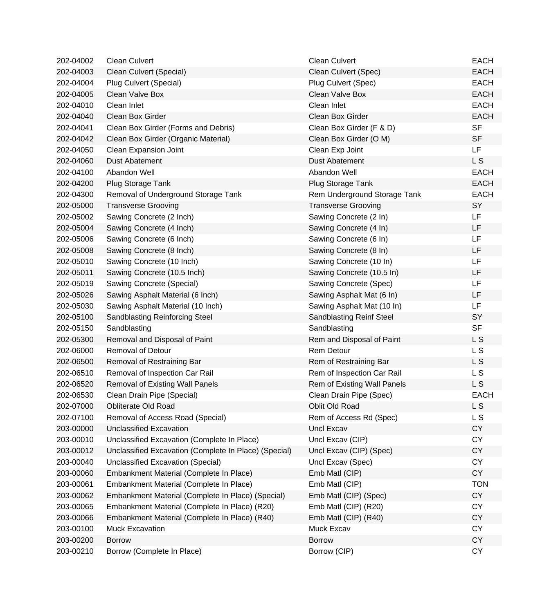| 202-04002 | <b>Clean Culvert</b>                                  | <b>Clean Culvert</b>         | <b>EACH</b>    |
|-----------|-------------------------------------------------------|------------------------------|----------------|
| 202-04003 | Clean Culvert (Special)                               | Clean Culvert (Spec)         | <b>EACH</b>    |
| 202-04004 | Plug Culvert (Special)                                | Plug Culvert (Spec)          | <b>EACH</b>    |
| 202-04005 | Clean Valve Box                                       | Clean Valve Box              | <b>EACH</b>    |
| 202-04010 | Clean Inlet                                           | Clean Inlet                  | <b>EACH</b>    |
| 202-04040 | Clean Box Girder                                      | Clean Box Girder             | <b>EACH</b>    |
| 202-04041 | Clean Box Girder (Forms and Debris)                   | Clean Box Girder (F & D)     | <b>SF</b>      |
| 202-04042 | Clean Box Girder (Organic Material)                   | Clean Box Girder (O M)       | <b>SF</b>      |
| 202-04050 | Clean Expansion Joint                                 | Clean Exp Joint              | LF.            |
| 202-04060 | <b>Dust Abatement</b>                                 | <b>Dust Abatement</b>        | L S            |
| 202-04100 | Abandon Well                                          | Abandon Well                 | <b>EACH</b>    |
| 202-04200 | Plug Storage Tank                                     | Plug Storage Tank            | <b>EACH</b>    |
| 202-04300 | Removal of Underground Storage Tank                   | Rem Underground Storage Tank | <b>EACH</b>    |
| 202-05000 | <b>Transverse Grooving</b>                            | <b>Transverse Grooving</b>   | SY             |
| 202-05002 | Sawing Concrete (2 Inch)                              | Sawing Concrete (2 In)       | LF             |
| 202-05004 | Sawing Concrete (4 Inch)                              | Sawing Concrete (4 In)       | LF             |
| 202-05006 | Sawing Concrete (6 Inch)                              | Sawing Concrete (6 In)       | LF             |
| 202-05008 | Sawing Concrete (8 Inch)                              | Sawing Concrete (8 In)       | LF             |
| 202-05010 | Sawing Concrete (10 Inch)                             | Sawing Concrete (10 In)      | LF             |
| 202-05011 | Sawing Concrete (10.5 Inch)                           | Sawing Concrete (10.5 In)    | LF             |
| 202-05019 | Sawing Concrete (Special)                             | Sawing Concrete (Spec)       | LF             |
| 202-05026 | Sawing Asphalt Material (6 Inch)                      | Sawing Asphalt Mat (6 In)    | LF             |
| 202-05030 | Sawing Asphalt Material (10 Inch)                     | Sawing Asphalt Mat (10 In)   | LF             |
| 202-05100 | Sandblasting Reinforcing Steel                        | Sandblasting Reinf Steel     | SY             |
| 202-05150 | Sandblasting                                          | Sandblasting                 | <b>SF</b>      |
| 202-05300 | Removal and Disposal of Paint                         | Rem and Disposal of Paint    | L S            |
| 202-06000 | <b>Removal of Detour</b>                              | Rem Detour                   | L S            |
| 202-06500 | Removal of Restraining Bar                            | Rem of Restraining Bar       | L <sub>S</sub> |
| 202-06510 | Removal of Inspection Car Rail                        | Rem of Inspection Car Rail   | L S            |
| 202-06520 | <b>Removal of Existing Wall Panels</b>                | Rem of Existing Wall Panels  | L S            |
| 202-06530 | Clean Drain Pipe (Special)                            | Clean Drain Pipe (Spec)      | <b>EACH</b>    |
| 202-07000 | Obliterate Old Road                                   | Oblit Old Road               | L S            |
| 202-07100 | Removal of Access Road (Special)                      | Rem of Access Rd (Spec)      | L S            |
| 203-00000 | <b>Unclassified Excavation</b>                        | <b>Uncl Excav</b>            | <b>CY</b>      |
| 203-00010 | Unclassified Excavation (Complete In Place)           | Uncl Excav (CIP)             | <b>CY</b>      |
| 203-00012 | Unclassified Excavation (Complete In Place) (Special) | Uncl Excav (CIP) (Spec)      | <b>CY</b>      |
| 203-00040 | <b>Unclassified Excavation (Special)</b>              | Uncl Excav (Spec)            | <b>CY</b>      |
| 203-00060 | Embankment Material (Complete In Place)               | Emb Matl (CIP)               | CY             |
| 203-00061 | Embankment Material (Complete In Place)               | Emb Matl (CIP)               | <b>TON</b>     |
| 203-00062 | Embankment Material (Complete In Place) (Special)     | Emb Matl (CIP) (Spec)        | <b>CY</b>      |
| 203-00065 | Embankment Material (Complete In Place) (R20)         | Emb Matl (CIP) (R20)         | <b>CY</b>      |
| 203-00066 | Embankment Material (Complete In Place) (R40)         | Emb Matl (CIP) (R40)         | <b>CY</b>      |
| 203-00100 | <b>Muck Excavation</b>                                | Muck Excav                   | <b>CY</b>      |
| 203-00200 | <b>Borrow</b>                                         | <b>Borrow</b>                | <b>CY</b>      |
| 203-00210 | Borrow (Complete In Place)                            | Borrow (CIP)                 | CY             |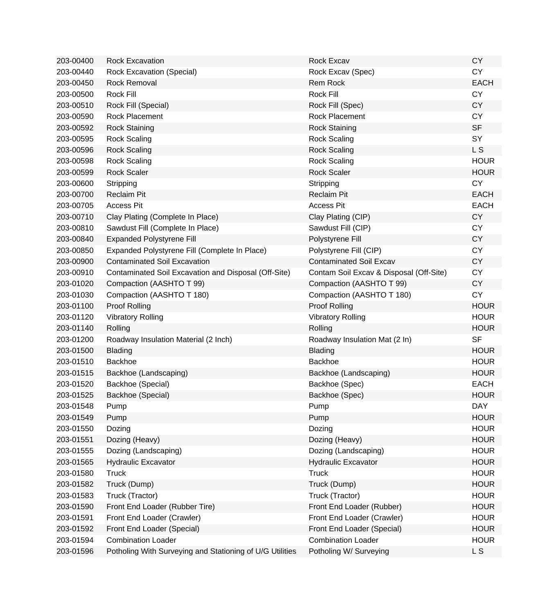| 203-00400 | <b>Rock Excavation</b>                                   | Rock Excav                              | <b>CY</b>   |
|-----------|----------------------------------------------------------|-----------------------------------------|-------------|
| 203-00440 | <b>Rock Excavation (Special)</b>                         | Rock Excav (Spec)                       | <b>CY</b>   |
| 203-00450 | <b>Rock Removal</b>                                      | Rem Rock                                | <b>EACH</b> |
| 203-00500 | Rock Fill                                                | Rock Fill                               | <b>CY</b>   |
| 203-00510 | Rock Fill (Special)                                      | Rock Fill (Spec)                        | <b>CY</b>   |
| 203-00590 | Rock Placement                                           | Rock Placement                          | <b>CY</b>   |
| 203-00592 | <b>Rock Staining</b>                                     | <b>Rock Staining</b>                    | <b>SF</b>   |
| 203-00595 | <b>Rock Scaling</b>                                      | <b>Rock Scaling</b>                     | SY          |
| 203-00596 | <b>Rock Scaling</b>                                      | <b>Rock Scaling</b>                     | L S         |
| 203-00598 | <b>Rock Scaling</b>                                      | <b>Rock Scaling</b>                     | <b>HOUR</b> |
| 203-00599 | <b>Rock Scaler</b>                                       | <b>Rock Scaler</b>                      | <b>HOUR</b> |
| 203-00600 | Stripping                                                | Stripping                               | <b>CY</b>   |
| 203-00700 | <b>Reclaim Pit</b>                                       | <b>Reclaim Pit</b>                      | <b>EACH</b> |
| 203-00705 | <b>Access Pit</b>                                        | <b>Access Pit</b>                       | <b>EACH</b> |
| 203-00710 | Clay Plating (Complete In Place)                         | Clay Plating (CIP)                      | <b>CY</b>   |
| 203-00810 | Sawdust Fill (Complete In Place)                         | Sawdust Fill (CIP)                      | <b>CY</b>   |
| 203-00840 | <b>Expanded Polystyrene Fill</b>                         | Polystyrene Fill                        | <b>CY</b>   |
| 203-00850 | Expanded Polystyrene Fill (Complete In Place)            | Polystyrene Fill (CIP)                  | <b>CY</b>   |
| 203-00900 | <b>Contaminated Soil Excavation</b>                      | <b>Contaminated Soil Excav</b>          | <b>CY</b>   |
| 203-00910 | Contaminated Soil Excavation and Disposal (Off-Site)     | Contam Soil Excav & Disposal (Off-Site) | <b>CY</b>   |
| 203-01020 | Compaction (AASHTO T 99)                                 | Compaction (AASHTO T 99)                | <b>CY</b>   |
| 203-01030 | Compaction (AASHTO T 180)                                | Compaction (AASHTO T 180)               | <b>CY</b>   |
| 203-01100 | Proof Rolling                                            | Proof Rolling                           | <b>HOUR</b> |
| 203-01120 | <b>Vibratory Rolling</b>                                 | <b>Vibratory Rolling</b>                | <b>HOUR</b> |
| 203-01140 | Rolling                                                  | Rolling                                 | <b>HOUR</b> |
| 203-01200 | Roadway Insulation Material (2 Inch)                     | Roadway Insulation Mat (2 In)           | <b>SF</b>   |
| 203-01500 | <b>Blading</b>                                           | <b>Blading</b>                          | <b>HOUR</b> |
| 203-01510 | <b>Backhoe</b>                                           | <b>Backhoe</b>                          | <b>HOUR</b> |
| 203-01515 | Backhoe (Landscaping)                                    | Backhoe (Landscaping)                   | <b>HOUR</b> |
| 203-01520 | Backhoe (Special)                                        | Backhoe (Spec)                          | <b>EACH</b> |
| 203-01525 | Backhoe (Special)                                        | Backhoe (Spec)                          | <b>HOUR</b> |
| 203-01548 | Pump                                                     | Pump                                    | <b>DAY</b>  |
| 203-01549 | Pump                                                     | Pump                                    | <b>HOUR</b> |
| 203-01550 | Dozing                                                   | Dozing                                  | <b>HOUR</b> |
| 203-01551 | Dozing (Heavy)                                           | Dozing (Heavy)                          | <b>HOUR</b> |
| 203-01555 | Dozing (Landscaping)                                     | Dozing (Landscaping)                    | <b>HOUR</b> |
| 203-01565 | <b>Hydraulic Excavator</b>                               | Hydraulic Excavator                     | <b>HOUR</b> |
| 203-01580 | <b>Truck</b>                                             | <b>Truck</b>                            | <b>HOUR</b> |
| 203-01582 | Truck (Dump)                                             | Truck (Dump)                            | <b>HOUR</b> |
| 203-01583 | Truck (Tractor)                                          | Truck (Tractor)                         | <b>HOUR</b> |
| 203-01590 | Front End Loader (Rubber Tire)                           | Front End Loader (Rubber)               | <b>HOUR</b> |
| 203-01591 | Front End Loader (Crawler)                               | Front End Loader (Crawler)              | <b>HOUR</b> |
| 203-01592 | Front End Loader (Special)                               | Front End Loader (Special)              | <b>HOUR</b> |
| 203-01594 | <b>Combination Loader</b>                                | <b>Combination Loader</b>               | <b>HOUR</b> |
| 203-01596 | Potholing With Surveying and Stationing of U/G Utilities | Potholing W/ Surveying                  | L S         |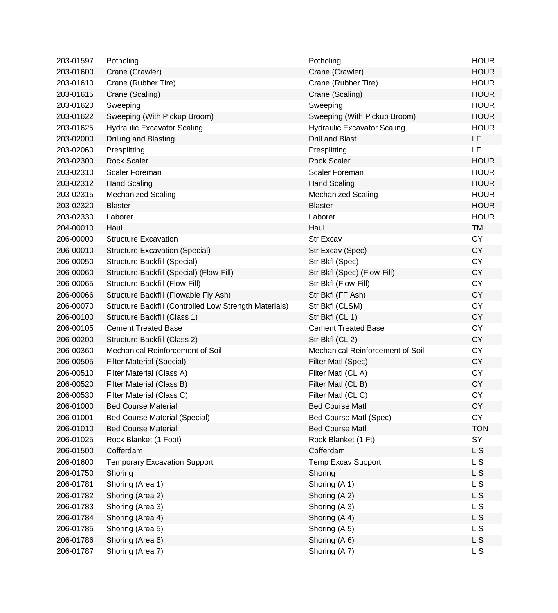| 203-01597 | Potholing                                              | Potholing                          | <b>HOUR</b>    |
|-----------|--------------------------------------------------------|------------------------------------|----------------|
| 203-01600 | Crane (Crawler)                                        | Crane (Crawler)                    | <b>HOUR</b>    |
| 203-01610 | Crane (Rubber Tire)                                    | Crane (Rubber Tire)                | <b>HOUR</b>    |
| 203-01615 | Crane (Scaling)                                        | Crane (Scaling)                    | <b>HOUR</b>    |
| 203-01620 | Sweeping                                               | Sweeping                           | <b>HOUR</b>    |
| 203-01622 | Sweeping (With Pickup Broom)                           | Sweeping (With Pickup Broom)       | <b>HOUR</b>    |
| 203-01625 | <b>Hydraulic Excavator Scaling</b>                     | <b>Hydraulic Excavator Scaling</b> | <b>HOUR</b>    |
| 203-02000 | Drilling and Blasting                                  | <b>Drill and Blast</b>             | <b>LF</b>      |
| 203-02060 | Presplitting                                           | Presplitting                       | <b>LF</b>      |
| 203-02300 | <b>Rock Scaler</b>                                     | <b>Rock Scaler</b>                 | <b>HOUR</b>    |
| 203-02310 | <b>Scaler Foreman</b>                                  | <b>Scaler Foreman</b>              | <b>HOUR</b>    |
| 203-02312 | <b>Hand Scaling</b>                                    | <b>Hand Scaling</b>                | <b>HOUR</b>    |
| 203-02315 | <b>Mechanized Scaling</b>                              | <b>Mechanized Scaling</b>          | <b>HOUR</b>    |
| 203-02320 | <b>Blaster</b>                                         | <b>Blaster</b>                     | <b>HOUR</b>    |
| 203-02330 | Laborer                                                | Laborer                            | <b>HOUR</b>    |
| 204-00010 | Haul                                                   | Haul                               | <b>TM</b>      |
| 206-00000 | <b>Structure Excavation</b>                            | <b>Str Excav</b>                   | <b>CY</b>      |
| 206-00010 | <b>Structure Excavation (Special)</b>                  | Str Excav (Spec)                   | <b>CY</b>      |
| 206-00050 | Structure Backfill (Special)                           | Str Bkfl (Spec)                    | <b>CY</b>      |
| 206-00060 | Structure Backfill (Special) (Flow-Fill)               | Str Bkfl (Spec) (Flow-Fill)        | <b>CY</b>      |
| 206-00065 | Structure Backfill (Flow-Fill)                         | Str Bkfl (Flow-Fill)               | <b>CY</b>      |
| 206-00066 | Structure Backfill (Flowable Fly Ash)                  | Str Bkfl (FF Ash)                  | <b>CY</b>      |
| 206-00070 | Structure Backfill (Controlled Low Strength Materials) | Str Bkfl (CLSM)                    | <b>CY</b>      |
| 206-00100 | Structure Backfill (Class 1)                           | Str Bkfl (CL 1)                    | <b>CY</b>      |
| 206-00105 | <b>Cement Treated Base</b>                             | <b>Cement Treated Base</b>         | <b>CY</b>      |
| 206-00200 | Structure Backfill (Class 2)                           | Str Bkfl (CL 2)                    | <b>CY</b>      |
| 206-00360 | Mechanical Reinforcement of Soil                       | Mechanical Reinforcement of Soil   | <b>CY</b>      |
| 206-00505 | <b>Filter Material (Special)</b>                       | Filter Matl (Spec)                 | <b>CY</b>      |
| 206-00510 | Filter Material (Class A)                              | Filter Matl (CL A)                 | <b>CY</b>      |
| 206-00520 | Filter Material (Class B)                              | Filter Matl (CL B)                 | <b>CY</b>      |
| 206-00530 | Filter Material (Class C)                              | Filter Matl (CL C)                 | <b>CY</b>      |
| 206-01000 | <b>Bed Course Material</b>                             | <b>Bed Course Matl</b>             | <b>CY</b>      |
| 206-01001 | <b>Bed Course Material (Special)</b>                   | <b>Bed Course Matl (Spec)</b>      | <b>CY</b>      |
| 206-01010 | <b>Bed Course Material</b>                             | <b>Bed Course Matl</b>             | <b>TON</b>     |
| 206-01025 | Rock Blanket (1 Foot)                                  | Rock Blanket (1 Ft)                | SY             |
| 206-01500 | Cofferdam                                              | Cofferdam                          | L S            |
| 206-01600 | <b>Temporary Excavation Support</b>                    | <b>Temp Excav Support</b>          | L S            |
| 206-01750 | Shoring                                                | Shoring                            | L S            |
| 206-01781 | Shoring (Area 1)                                       | Shoring (A 1)                      | L <sub>S</sub> |
| 206-01782 | Shoring (Area 2)                                       | Shoring (A 2)                      | L S            |
| 206-01783 | Shoring (Area 3)                                       | Shoring (A 3)                      | L S            |
| 206-01784 | Shoring (Area 4)                                       | Shoring (A 4)                      | L S            |
| 206-01785 | Shoring (Area 5)                                       | Shoring (A 5)                      | L <sub>S</sub> |
| 206-01786 | Shoring (Area 6)                                       | Shoring (A 6)                      | L S            |
| 206-01787 | Shoring (Area 7)                                       | Shoring (A 7)                      | L S            |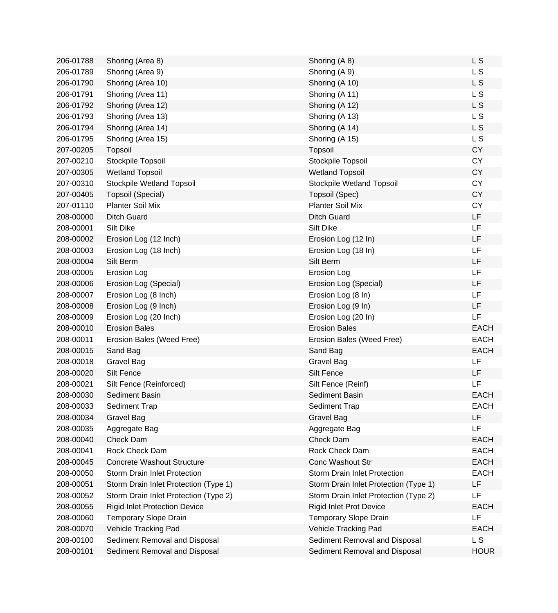| 206-01788 | Shoring (Area 8)                      | Shoring (A 8)                         | L <sub>S</sub> |
|-----------|---------------------------------------|---------------------------------------|----------------|
| 206-01789 | Shoring (Area 9)                      | Shoring (A 9)                         | L S            |
| 206-01790 | Shoring (Area 10)                     | Shoring (A 10)                        | L <sub>S</sub> |
| 206-01791 | Shoring (Area 11)                     | Shoring (A 11)                        | L <sub>S</sub> |
| 206-01792 | Shoring (Area 12)                     | Shoring (A 12)                        | L <sub>S</sub> |
| 206-01793 | Shoring (Area 13)                     | Shoring (A 13)                        | L <sub>S</sub> |
| 206-01794 | Shoring (Area 14)                     | Shoring (A 14)                        | L S            |
| 206-01795 | Shoring (Area 15)                     | Shoring (A 15)                        | L <sub>S</sub> |
| 207-00205 | Topsoil                               | Topsoil                               | <b>CY</b>      |
| 207-00210 | Stockpile Topsoil                     | Stockpile Topsoil                     | <b>CY</b>      |
| 207-00305 | <b>Wetland Topsoil</b>                | <b>Wetland Topsoil</b>                | <b>CY</b>      |
| 207-00310 | Stockpile Wetland Topsoil             | Stockpile Wetland Topsoil             | <b>CY</b>      |
| 207-00405 | Topsoil (Special)                     | Topsoil (Spec)                        | <b>CY</b>      |
| 207-01110 | <b>Planter Soil Mix</b>               | <b>Planter Soil Mix</b>               | <b>CY</b>      |
| 208-00000 | <b>Ditch Guard</b>                    | <b>Ditch Guard</b>                    | <b>LF</b>      |
| 208-00001 | Silt Dike                             | Silt Dike                             | LF             |
| 208-00002 | Erosion Log (12 Inch)                 | Erosion Log (12 In)                   | LF             |
| 208-00003 | Erosion Log (18 Inch)                 | Erosion Log (18 In)                   | LF             |
| 208-00004 | Silt Berm                             | Silt Berm                             | LF             |
| 208-00005 | Erosion Log                           | Erosion Log                           | LF             |
| 208-00006 | Erosion Log (Special)                 | Erosion Log (Special)                 | LF             |
| 208-00007 | Erosion Log (8 Inch)                  | Erosion Log (8 In)                    | LF             |
| 208-00008 | Erosion Log (9 Inch)                  | Erosion Log (9 In)                    | LF             |
| 208-00009 | Erosion Log (20 Inch)                 | Erosion Log (20 In)                   | LF             |
| 208-00010 | <b>Erosion Bales</b>                  | <b>Erosion Bales</b>                  | <b>EACH</b>    |
| 208-00011 | Erosion Bales (Weed Free)             | Erosion Bales (Weed Free)             | <b>EACH</b>    |
| 208-00015 | Sand Bag                              | Sand Bag                              | <b>EACH</b>    |
| 208-00018 | <b>Gravel Bag</b>                     | Gravel Bag                            | LF             |
| 208-00020 | <b>Silt Fence</b>                     | Silt Fence                            | LF.            |
| 208-00021 | Silt Fence (Reinforced)               | Silt Fence (Reinf)                    | LF             |
| 208-00030 | Sediment Basin                        | Sediment Basin                        | <b>EACH</b>    |
| 208-00033 | Sediment Trap                         | Sediment Trap                         | EACH           |
| 208-00034 | <b>Gravel Bag</b>                     | <b>Gravel Bag</b>                     | <b>LF</b>      |
| 208-00035 | Aggregate Bag                         | Aggregate Bag                         | LF             |
| 208-00040 | Check Dam                             | Check Dam                             | <b>EACH</b>    |
| 208-00041 | Rock Check Dam                        | Rock Check Dam                        | <b>EACH</b>    |
| 208-00045 | <b>Concrete Washout Structure</b>     | Conc Washout Str                      | <b>EACH</b>    |
| 208-00050 | <b>Storm Drain Inlet Protection</b>   | Storm Drain Inlet Protection          | <b>EACH</b>    |
| 208-00051 | Storm Drain Inlet Protection (Type 1) | Storm Drain Inlet Protection (Type 1) | LF             |
| 208-00052 | Storm Drain Inlet Protection (Type 2) | Storm Drain Inlet Protection (Type 2) | LF             |
| 208-00055 | <b>Rigid Inlet Protection Device</b>  | <b>Rigid Inlet Prot Device</b>        | <b>EACH</b>    |
| 208-00060 | Temporary Slope Drain                 | Temporary Slope Drain                 | LF             |
| 208-00070 | Vehicle Tracking Pad                  | Vehicle Tracking Pad                  | <b>EACH</b>    |
| 208-00100 | Sediment Removal and Disposal         | Sediment Removal and Disposal         | L S            |
| 208-00101 | Sediment Removal and Disposal         | Sediment Removal and Disposal         | <b>HOUR</b>    |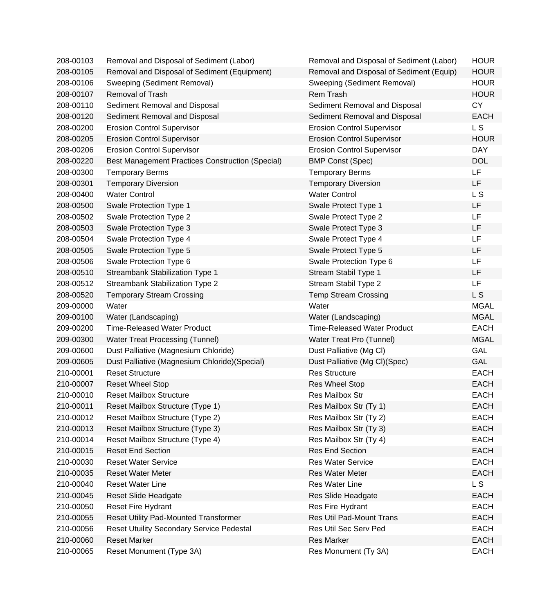| 208-00103 | Removal and Disposal of Sediment (Labor)                | Removal and Disposal of Sediment (Labor) | <b>HOUR</b>    |
|-----------|---------------------------------------------------------|------------------------------------------|----------------|
| 208-00105 | Removal and Disposal of Sediment (Equipment)            | Removal and Disposal of Sediment (Equip) | <b>HOUR</b>    |
| 208-00106 | Sweeping (Sediment Removal)                             | Sweeping (Sediment Removal)              | <b>HOUR</b>    |
| 208-00107 | Removal of Trash                                        | Rem Trash                                | <b>HOUR</b>    |
| 208-00110 | Sediment Removal and Disposal                           | Sediment Removal and Disposal            | <b>CY</b>      |
| 208-00120 | Sediment Removal and Disposal                           | Sediment Removal and Disposal            | <b>EACH</b>    |
| 208-00200 | <b>Erosion Control Supervisor</b>                       | <b>Erosion Control Supervisor</b>        | L S            |
| 208-00205 | <b>Erosion Control Supervisor</b>                       | <b>Erosion Control Supervisor</b>        | <b>HOUR</b>    |
| 208-00206 | <b>Erosion Control Supervisor</b>                       | <b>Erosion Control Supervisor</b>        | <b>DAY</b>     |
| 208-00220 | <b>Best Management Practices Construction (Special)</b> | <b>BMP Const (Spec)</b>                  | <b>DOL</b>     |
| 208-00300 | <b>Temporary Berms</b>                                  | <b>Temporary Berms</b>                   | LF             |
| 208-00301 | <b>Temporary Diversion</b>                              | <b>Temporary Diversion</b>               | LF             |
| 208-00400 | <b>Water Control</b>                                    | <b>Water Control</b>                     | L <sub>S</sub> |
| 208-00500 | Swale Protection Type 1                                 | Swale Protect Type 1                     | <b>LF</b>      |
| 208-00502 | Swale Protection Type 2                                 | Swale Protect Type 2                     | <b>LF</b>      |
| 208-00503 | Swale Protection Type 3                                 | Swale Protect Type 3                     | LF             |
| 208-00504 | Swale Protection Type 4                                 | Swale Protect Type 4                     | LF             |
| 208-00505 | Swale Protection Type 5                                 | Swale Protect Type 5                     | LF             |
| 208-00506 | Swale Protection Type 6                                 | Swale Protection Type 6                  | LF             |
| 208-00510 | Streambank Stabilization Type 1                         | Stream Stabil Type 1                     | LF             |
| 208-00512 | Streambank Stabilization Type 2                         | Stream Stabil Type 2                     | <b>LF</b>      |
| 208-00520 | <b>Temporary Stream Crossing</b>                        | <b>Temp Stream Crossing</b>              | L S            |
| 209-00000 | Water                                                   | Water                                    | <b>MGAL</b>    |
| 209-00100 | Water (Landscaping)                                     | Water (Landscaping)                      | <b>MGAL</b>    |
| 209-00200 | <b>Time-Released Water Product</b>                      | <b>Time-Released Water Product</b>       | <b>EACH</b>    |
| 209-00300 | <b>Water Treat Processing (Tunnel)</b>                  | Water Treat Pro (Tunnel)                 | <b>MGAL</b>    |
| 209-00600 | Dust Palliative (Magnesium Chloride)                    | Dust Palliative (Mg Cl)                  | <b>GAL</b>     |
| 209-00605 | Dust Palliative (Magnesium Chloride) (Special)          | Dust Palliative (Mg Cl)(Spec)            | GAL            |
| 210-00001 | <b>Reset Structure</b>                                  | <b>Res Structure</b>                     | <b>EACH</b>    |
| 210-00007 | <b>Reset Wheel Stop</b>                                 | <b>Res Wheel Stop</b>                    | <b>EACH</b>    |
| 210-00010 | <b>Reset Mailbox Structure</b>                          | Res Mailbox Str                          | <b>EACH</b>    |
| 210-00011 | Reset Mailbox Structure (Type 1)                        | Res Mailbox Str (Ty 1)                   | <b>EACH</b>    |
| 210-00012 | Reset Mailbox Structure (Type 2)                        | Res Mailbox Str (Ty 2)                   | <b>EACH</b>    |
| 210-00013 | Reset Mailbox Structure (Type 3)                        | Res Mailbox Str (Ty 3)                   | <b>EACH</b>    |
| 210-00014 | Reset Mailbox Structure (Type 4)                        | Res Mailbox Str (Ty 4)                   | <b>EACH</b>    |
| 210-00015 | <b>Reset End Section</b>                                | <b>Res End Section</b>                   | <b>EACH</b>    |
| 210-00030 | <b>Reset Water Service</b>                              | <b>Res Water Service</b>                 | <b>EACH</b>    |
| 210-00035 | <b>Reset Water Meter</b>                                | <b>Res Water Meter</b>                   | <b>EACH</b>    |
| 210-00040 | <b>Reset Water Line</b>                                 | Res Water Line                           | L S            |
| 210-00045 | Reset Slide Headgate                                    | Res Slide Headgate                       | <b>EACH</b>    |
| 210-00050 | <b>Reset Fire Hydrant</b>                               | Res Fire Hydrant                         | <b>EACH</b>    |
| 210-00055 | <b>Reset Utility Pad-Mounted Transformer</b>            | Res Util Pad-Mount Trans                 | <b>EACH</b>    |
| 210-00056 | <b>Reset Utuility Secondary Service Pedestal</b>        | Res Util Sec Serv Ped                    | <b>EACH</b>    |
| 210-00060 | <b>Reset Marker</b>                                     | <b>Res Marker</b>                        | <b>EACH</b>    |
| 210-00065 | Reset Monument (Type 3A)                                | Res Monument (Ty 3A)                     | <b>EACH</b>    |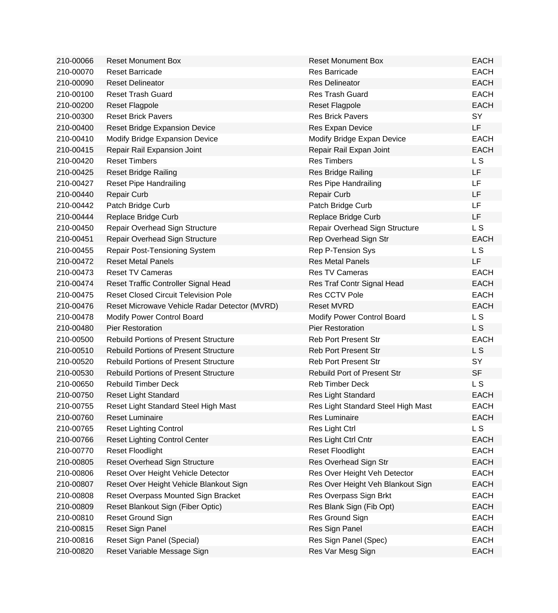| 210-00066 | <b>Reset Monument Box</b>                     | <b>Reset Monument Box</b>          | <b>EACH</b>    |
|-----------|-----------------------------------------------|------------------------------------|----------------|
| 210-00070 | <b>Reset Barricade</b>                        | <b>Res Barricade</b>               | <b>EACH</b>    |
| 210-00090 | <b>Reset Delineator</b>                       | <b>Res Delineator</b>              | <b>EACH</b>    |
| 210-00100 | <b>Reset Trash Guard</b>                      | <b>Res Trash Guard</b>             | <b>EACH</b>    |
| 210-00200 | Reset Flagpole                                | <b>Reset Flagpole</b>              | <b>EACH</b>    |
| 210-00300 | <b>Reset Brick Pavers</b>                     | <b>Res Brick Pavers</b>            | <b>SY</b>      |
| 210-00400 | <b>Reset Bridge Expansion Device</b>          | Res Expan Device                   | LF             |
| 210-00410 | Modify Bridge Expansion Device                | Modify Bridge Expan Device         | <b>EACH</b>    |
| 210-00415 | Repair Rail Expansion Joint                   | Repair Rail Expan Joint            | <b>EACH</b>    |
| 210-00420 | <b>Reset Timbers</b>                          | <b>Res Timbers</b>                 | L <sub>S</sub> |
| 210-00425 | <b>Reset Bridge Railing</b>                   | Res Bridge Railing                 | LF             |
| 210-00427 | <b>Reset Pipe Handrailing</b>                 | Res Pipe Handrailing               | LF             |
| 210-00440 | <b>Repair Curb</b>                            | <b>Repair Curb</b>                 | LF             |
| 210-00442 | Patch Bridge Curb                             | Patch Bridge Curb                  | LF             |
| 210-00444 | Replace Bridge Curb                           | Replace Bridge Curb                | LF             |
| 210-00450 | Repair Overhead Sign Structure                | Repair Overhead Sign Structure     | L <sub>S</sub> |
| 210-00451 | Repair Overhead Sign Structure                | Rep Overhead Sign Str              | <b>EACH</b>    |
| 210-00455 | <b>Repair Post-Tensioning System</b>          | Rep P-Tension Sys                  | L S            |
| 210-00472 | <b>Reset Metal Panels</b>                     | <b>Res Metal Panels</b>            | LF             |
| 210-00473 | <b>Reset TV Cameras</b>                       | Res TV Cameras                     | <b>EACH</b>    |
| 210-00474 | Reset Traffic Controller Signal Head          | Res Traf Contr Signal Head         | <b>EACH</b>    |
| 210-00475 | <b>Reset Closed Circuit Television Pole</b>   | Res CCTV Pole                      | <b>EACH</b>    |
| 210-00476 | Reset Microwave Vehicle Radar Detector (MVRD) | <b>Reset MVRD</b>                  | <b>EACH</b>    |
| 210-00478 | Modify Power Control Board                    | Modify Power Control Board         | L S            |
| 210-00480 | <b>Pier Restoration</b>                       | <b>Pier Restoration</b>            | L <sub>S</sub> |
| 210-00500 | <b>Rebuild Portions of Present Structure</b>  | <b>Reb Port Present Str</b>        | <b>EACH</b>    |
| 210-00510 | <b>Rebuild Portions of Present Structure</b>  | <b>Reb Port Present Str</b>        | L S            |
| 210-00520 | <b>Rebuild Portions of Present Structure</b>  | <b>Reb Port Present Str</b>        | SY             |
| 210-00530 | <b>Rebuild Portions of Present Structure</b>  | Rebuild Port of Present Str        | <b>SF</b>      |
| 210-00650 | <b>Rebuild Timber Deck</b>                    | Reb Timber Deck                    | L S            |
| 210-00750 | <b>Reset Light Standard</b>                   | Res Light Standard                 | <b>EACH</b>    |
| 210-00755 | Reset Light Standard Steel High Mast          | Res Light Standard Steel High Mast | EACH           |
| 210-00760 | Reset Luminaire                               | Res Luminaire                      | <b>EACH</b>    |
| 210-00765 | <b>Reset Lighting Control</b>                 | Res Light Ctrl                     | L S            |
| 210-00766 | <b>Reset Lighting Control Center</b>          | Res Light Ctrl Cntr                | <b>EACH</b>    |
| 210-00770 | <b>Reset Floodlight</b>                       | <b>Reset Floodlight</b>            | <b>EACH</b>    |
| 210-00805 | <b>Reset Overhead Sign Structure</b>          | Res Overhead Sign Str              | <b>EACH</b>    |
| 210-00806 | Reset Over Height Vehicle Detector            | Res Over Height Veh Detector       | <b>EACH</b>    |
| 210-00807 | Reset Over Height Vehicle Blankout Sign       | Res Over Height Veh Blankout Sign  | <b>EACH</b>    |
| 210-00808 | Reset Overpass Mounted Sign Bracket           | Res Overpass Sign Brkt             | <b>EACH</b>    |
| 210-00809 | Reset Blankout Sign (Fiber Optic)             | Res Blank Sign (Fib Opt)           | <b>EACH</b>    |
| 210-00810 | Reset Ground Sign                             | Res Ground Sign                    | <b>EACH</b>    |
| 210-00815 | Reset Sign Panel                              | Res Sign Panel                     | <b>EACH</b>    |
| 210-00816 | Reset Sign Panel (Special)                    | Res Sign Panel (Spec)              | <b>EACH</b>    |
| 210-00820 | Reset Variable Message Sign                   | Res Var Mesg Sign                  | <b>EACH</b>    |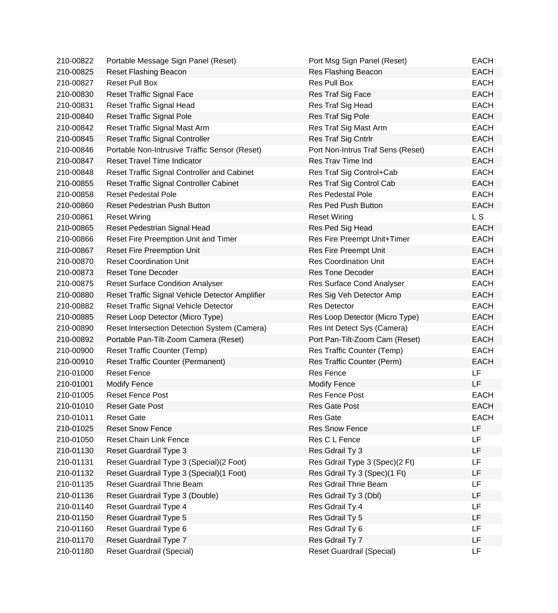| 210-00822 | Portable Message Sign Panel (Reset)             | Port Msg Sign Panel (Reset)       | <b>EACH</b>    |
|-----------|-------------------------------------------------|-----------------------------------|----------------|
| 210-00825 | <b>Reset Flashing Beacon</b>                    | Res Flashing Beacon               | <b>EACH</b>    |
| 210-00827 | <b>Reset Pull Box</b>                           | Res Pull Box                      | <b>EACH</b>    |
| 210-00830 | <b>Reset Traffic Signal Face</b>                | Res Traf Sig Face                 | <b>EACH</b>    |
| 210-00831 | Reset Traffic Signal Head                       | Res Traf Sig Head                 | <b>EACH</b>    |
| 210-00840 | <b>Reset Traffic Signal Pole</b>                | Res Traf Sig Pole                 | <b>EACH</b>    |
| 210-00842 | Reset Traffic Signal Mast Arm                   | Res Traf Sig Mast Arm             | <b>EACH</b>    |
| 210-00845 | <b>Reset Traffic Signal Controller</b>          | Res Traf Sig Cntrlr               | <b>EACH</b>    |
| 210-00846 | Portable Non-Intrusive Traffic Sensor (Reset)   | Port Non-Intrus Traf Sens (Reset) | <b>EACH</b>    |
| 210-00847 | <b>Reset Travel Time Indicator</b>              | Res Trav Time Ind                 | <b>EACH</b>    |
| 210-00848 | Reset Traffic Signal Controller and Cabinet     | Res Traf Sig Control+Cab          | <b>EACH</b>    |
| 210-00855 | <b>Reset Traffic Signal Controller Cabinet</b>  | Res Traf Sig Control Cab          | <b>EACH</b>    |
| 210-00858 | <b>Reset Pedestal Pole</b>                      | <b>Res Pedestal Pole</b>          | <b>EACH</b>    |
| 210-00860 | Reset Pedestrian Push Button                    | <b>Res Ped Push Button</b>        | <b>EACH</b>    |
| 210-00861 | <b>Reset Wiring</b>                             | <b>Reset Wiring</b>               | L <sub>S</sub> |
| 210-00865 | Reset Pedestrian Signal Head                    | Res Ped Sig Head                  | <b>EACH</b>    |
| 210-00866 | Reset Fire Preemption Unit and Timer            | Res Fire Preempt Unit+Timer       | <b>EACH</b>    |
| 210-00867 | <b>Reset Fire Preemption Unit</b>               | <b>Res Fire Preempt Unit</b>      | <b>EACH</b>    |
| 210-00870 | <b>Reset Coordination Unit</b>                  | <b>Res Coordination Unit</b>      | <b>EACH</b>    |
| 210-00873 | <b>Reset Tone Decoder</b>                       | <b>Res Tone Decoder</b>           | <b>EACH</b>    |
| 210-00875 | <b>Reset Surface Condition Analyser</b>         | Res Surface Cond Analyser         | <b>EACH</b>    |
| 210-00880 | Reset Traffic Signal Vehicle Detector Amplifier | Res Sig Veh Detector Amp          | <b>EACH</b>    |
| 210-00882 | Reset Traffic Signal Vehicle Detector           | <b>Res Detector</b>               | <b>EACH</b>    |
| 210-00885 | Reset Loop Detector (Micro Type)                | Res Loop Detector (Micro Type)    | <b>EACH</b>    |
| 210-00890 | Reset Intersection Detection System (Camera)    | Res Int Detect Sys (Camera)       | <b>EACH</b>    |
| 210-00892 | Portable Pan-Tilt-Zoom Camera (Reset)           | Port Pan-Tilt-Zoom Cam (Reset)    | <b>EACH</b>    |
| 210-00900 | <b>Reset Traffic Counter (Temp)</b>             | Res Traffic Counter (Temp)        | <b>EACH</b>    |
| 210-00910 | <b>Reset Traffic Counter (Permanent)</b>        | Res Traffic Counter (Perm)        | <b>EACH</b>    |
| 210-01000 | <b>Reset Fence</b>                              | <b>Res Fence</b>                  | <b>LF</b>      |
| 210-01001 | <b>Modify Fence</b>                             | <b>Modify Fence</b>               | LF             |
| 210-01005 | <b>Reset Fence Post</b>                         | Res Fence Post                    | <b>EACH</b>    |
| 210-01010 | <b>Reset Gate Post</b>                          | Res Gate Post                     | <b>EACH</b>    |
| 210-01011 | <b>Reset Gate</b>                               | <b>Res Gate</b>                   | <b>EACH</b>    |
| 210-01025 | <b>Reset Snow Fence</b>                         | <b>Res Snow Fence</b>             | LF             |
| 210-01050 | <b>Reset Chain Link Fence</b>                   | Res C L Fence                     | LF             |
| 210-01130 | Reset Guardrail Type 3                          | Res Gdrail Ty 3                   | <b>LF</b>      |
| 210-01131 | Reset Guardrail Type 3 (Special) (2 Foot)       | Res Gdrail Type 3 (Spec)(2 Ft)    | LF             |
| 210-01132 | Reset Guardrail Type 3 (Special) (1 Foot)       | Res Gdrail Ty 3 (Spec)(1 Ft)      | LF             |
| 210-01135 | Reset Guardrail Thrie Beam                      | Res Gdrail Thrie Beam             | LF             |
| 210-01136 | Reset Guardrail Type 3 (Double)                 | Res Gdrail Ty 3 (Dbl)             | LF             |
| 210-01140 | Reset Guardrail Type 4                          | Res Gdrail Ty 4                   | LF             |
| 210-01150 | Reset Guardrail Type 5                          | Res Gdrail Ty 5                   | LF             |
| 210-01160 | Reset Guardrail Type 6                          | Res Gdrail Ty 6                   | LF             |
| 210-01170 | Reset Guardrail Type 7                          | Res Gdrail Ty 7                   | LF             |
| 210-01180 | <b>Reset Guardrail (Special)</b>                | <b>Reset Guardrail (Special)</b>  | <b>LF</b>      |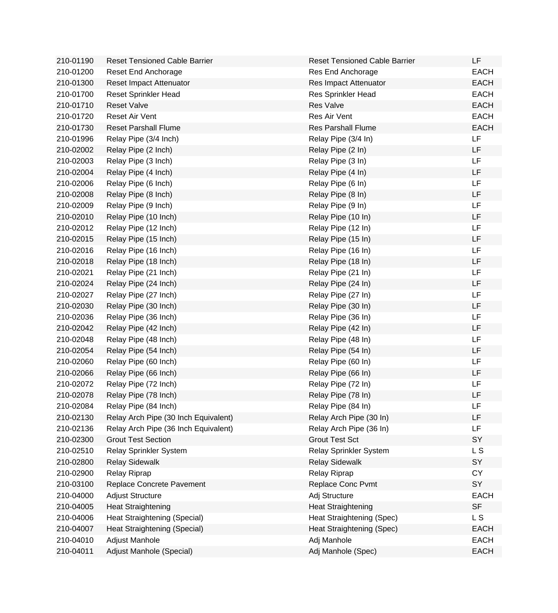| 210-01190 | <b>Reset Tensioned Cable Barrier</b> | <b>Reset Tensioned Cable Barrier</b> | <b>LF</b>   |
|-----------|--------------------------------------|--------------------------------------|-------------|
| 210-01200 | Reset End Anchorage                  | Res End Anchorage                    | <b>EACH</b> |
| 210-01300 | Reset Impact Attenuator              | Res Impact Attenuator                | <b>EACH</b> |
| 210-01700 | <b>Reset Sprinkler Head</b>          | Res Sprinkler Head                   | <b>EACH</b> |
| 210-01710 | <b>Reset Valve</b>                   | <b>Res Valve</b>                     | <b>EACH</b> |
| 210-01720 | Reset Air Vent                       | Res Air Vent                         | <b>EACH</b> |
| 210-01730 | <b>Reset Parshall Flume</b>          | <b>Res Parshall Flume</b>            | <b>EACH</b> |
| 210-01996 | Relay Pipe (3/4 Inch)                | Relay Pipe (3/4 In)                  | LF          |
| 210-02002 | Relay Pipe (2 Inch)                  | Relay Pipe (2 In)                    | LF          |
| 210-02003 | Relay Pipe (3 Inch)                  | Relay Pipe (3 In)                    | LF          |
| 210-02004 | Relay Pipe (4 Inch)                  | Relay Pipe (4 In)                    | LF          |
| 210-02006 | Relay Pipe (6 Inch)                  | Relay Pipe (6 In)                    | <b>LF</b>   |
| 210-02008 | Relay Pipe (8 Inch)                  | Relay Pipe (8 In)                    | LF          |
| 210-02009 | Relay Pipe (9 Inch)                  | Relay Pipe (9 In)                    | LF          |
| 210-02010 | Relay Pipe (10 Inch)                 | Relay Pipe (10 In)                   | LF          |
| 210-02012 | Relay Pipe (12 Inch)                 | Relay Pipe (12 In)                   | LF          |
| 210-02015 | Relay Pipe (15 Inch)                 | Relay Pipe (15 In)                   | LF          |
| 210-02016 | Relay Pipe (16 Inch)                 | Relay Pipe (16 In)                   | LF          |
| 210-02018 | Relay Pipe (18 Inch)                 | Relay Pipe (18 In)                   | LF          |
| 210-02021 | Relay Pipe (21 Inch)                 | Relay Pipe (21 In)                   | LF          |
| 210-02024 | Relay Pipe (24 Inch)                 | Relay Pipe (24 In)                   | LF          |
| 210-02027 | Relay Pipe (27 Inch)                 | Relay Pipe (27 In)                   | <b>LF</b>   |
| 210-02030 | Relay Pipe (30 Inch)                 | Relay Pipe (30 In)                   | LF          |
| 210-02036 | Relay Pipe (36 Inch)                 | Relay Pipe (36 In)                   | LF          |
| 210-02042 | Relay Pipe (42 Inch)                 | Relay Pipe (42 In)                   | LF          |
| 210-02048 | Relay Pipe (48 Inch)                 | Relay Pipe (48 In)                   | LF          |
| 210-02054 | Relay Pipe (54 Inch)                 | Relay Pipe (54 In)                   | LF          |
| 210-02060 | Relay Pipe (60 Inch)                 | Relay Pipe (60 In)                   | LF          |
| 210-02066 | Relay Pipe (66 Inch)                 | Relay Pipe (66 In)                   | LF          |
| 210-02072 | Relay Pipe (72 Inch)                 | Relay Pipe (72 In)                   | LF          |
| 210-02078 | Relay Pipe (78 Inch)                 | Relay Pipe (78 In)                   | LF          |
| 210-02084 | Relay Pipe (84 Inch)                 | Relay Pipe (84 In)                   | LF          |
| 210-02130 | Relay Arch Pipe (30 Inch Equivalent) | Relay Arch Pipe (30 In)              | LF          |
| 210-02136 | Relay Arch Pipe (36 Inch Equivalent) | Relay Arch Pipe (36 In)              | LF          |
| 210-02300 | <b>Grout Test Section</b>            | <b>Grout Test Sct</b>                | SY          |
| 210-02510 | <b>Relay Sprinkler System</b>        | Relay Sprinkler System               | L S         |
| 210-02800 | <b>Relay Sidewalk</b>                | <b>Relay Sidewalk</b>                | SY          |
| 210-02900 | <b>Relay Riprap</b>                  | <b>Relay Riprap</b>                  | <b>CY</b>   |
| 210-03100 | Replace Concrete Pavement            | Replace Conc Pvmt                    | SY          |
| 210-04000 | <b>Adjust Structure</b>              | Adj Structure                        | <b>EACH</b> |
| 210-04005 | <b>Heat Straightening</b>            | <b>Heat Straightening</b>            | <b>SF</b>   |
| 210-04006 | Heat Straightening (Special)         | Heat Straightening (Spec)            | L S         |
| 210-04007 | Heat Straightening (Special)         | Heat Straightening (Spec)            | <b>EACH</b> |
| 210-04010 | Adjust Manhole                       | Adj Manhole                          | <b>EACH</b> |
| 210-04011 | Adjust Manhole (Special)             | Adj Manhole (Spec)                   | <b>EACH</b> |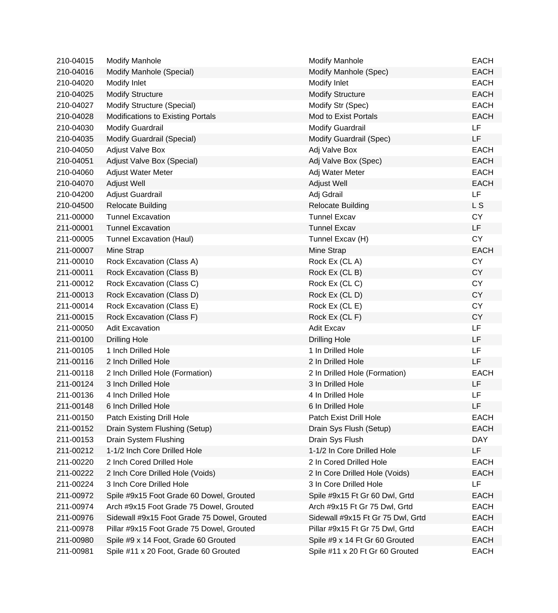| 210-04015 | <b>Modify Manhole</b>                       | <b>Modify Manhole</b>             | <b>EACH</b> |
|-----------|---------------------------------------------|-----------------------------------|-------------|
| 210-04016 | Modify Manhole (Special)                    | Modify Manhole (Spec)             | <b>EACH</b> |
| 210-04020 | Modify Inlet                                | Modify Inlet                      | <b>EACH</b> |
| 210-04025 | <b>Modify Structure</b>                     | <b>Modify Structure</b>           | <b>EACH</b> |
| 210-04027 | Modify Structure (Special)                  | Modify Str (Spec)                 | <b>EACH</b> |
| 210-04028 | Modifications to Existing Portals           | Mod to Exist Portals              | <b>EACH</b> |
| 210-04030 | <b>Modify Guardrail</b>                     | <b>Modify Guardrail</b>           | <b>LF</b>   |
| 210-04035 | Modify Guardrail (Special)                  | Modify Guardrail (Spec)           | LF          |
| 210-04050 | <b>Adjust Valve Box</b>                     | Adj Valve Box                     | <b>EACH</b> |
| 210-04051 | Adjust Valve Box (Special)                  | Adj Valve Box (Spec)              | <b>EACH</b> |
| 210-04060 | <b>Adjust Water Meter</b>                   | Adj Water Meter                   | <b>EACH</b> |
| 210-04070 | Adjust Well                                 | Adjust Well                       | <b>EACH</b> |
| 210-04200 | Adjust Guardrail                            | Adj Gdrail                        | LF          |
| 210-04500 | <b>Relocate Building</b>                    | <b>Relocate Building</b>          | L S         |
| 211-00000 | <b>Tunnel Excavation</b>                    | <b>Tunnel Excav</b>               | <b>CY</b>   |
| 211-00001 | <b>Tunnel Excavation</b>                    | <b>Tunnel Excav</b>               | LF          |
| 211-00005 | Tunnel Excavation (Haul)                    | Tunnel Excav (H)                  | <b>CY</b>   |
| 211-00007 | Mine Strap                                  | Mine Strap                        | <b>EACH</b> |
| 211-00010 | Rock Excavation (Class A)                   | Rock Ex (CLA)                     | <b>CY</b>   |
| 211-00011 | Rock Excavation (Class B)                   | Rock Ex (CL B)                    | <b>CY</b>   |
| 211-00012 | Rock Excavation (Class C)                   | Rock Ex (CLC)                     | <b>CY</b>   |
| 211-00013 | Rock Excavation (Class D)                   | Rock Ex (CLD)                     | <b>CY</b>   |
| 211-00014 | Rock Excavation (Class E)                   | Rock Ex (CL E)                    | <b>CY</b>   |
| 211-00015 | Rock Excavation (Class F)                   | Rock Ex (CL F)                    | <b>CY</b>   |
| 211-00050 | <b>Adit Excavation</b>                      | <b>Adit Excav</b>                 | LF          |
| 211-00100 | <b>Drilling Hole</b>                        | <b>Drilling Hole</b>              | LF          |
| 211-00105 | 1 Inch Drilled Hole                         | 1 In Drilled Hole                 | <b>LF</b>   |
| 211-00116 | 2 Inch Drilled Hole                         | 2 In Drilled Hole                 | LF          |
| 211-00118 | 2 Inch Drilled Hole (Formation)             | 2 In Drilled Hole (Formation)     | <b>EACH</b> |
| 211-00124 | 3 Inch Drilled Hole                         | 3 In Drilled Hole                 | LF          |
| 211-00136 | 4 Inch Drilled Hole                         | 4 In Drilled Hole                 | LF          |
| 211-00148 | 6 Inch Drilled Hole                         | 6 In Drilled Hole                 | LF          |
| 211-00150 | Patch Existing Drill Hole                   | Patch Exist Drill Hole            | <b>EACH</b> |
| 211-00152 | Drain System Flushing (Setup)               | Drain Sys Flush (Setup)           | <b>EACH</b> |
| 211-00153 | Drain System Flushing                       | Drain Sys Flush                   | <b>DAY</b>  |
| 211-00212 | 1-1/2 Inch Core Drilled Hole                | 1-1/2 In Core Drilled Hole        | LF          |
| 211-00220 | 2 Inch Cored Drilled Hole                   | 2 In Cored Drilled Hole           | <b>EACH</b> |
| 211-00222 | 2 Inch Core Drilled Hole (Voids)            | 2 In Core Drilled Hole (Voids)    | <b>EACH</b> |
| 211-00224 | 3 Inch Core Drilled Hole                    | 3 In Core Drilled Hole            | LF.         |
| 211-00972 | Spile #9x15 Foot Grade 60 Dowel, Grouted    | Spile #9x15 Ft Gr 60 Dwl, Grtd    | <b>EACH</b> |
| 211-00974 | Arch #9x15 Foot Grade 75 Dowel, Grouted     | Arch #9x15 Ft Gr 75 Dwl, Grtd     | <b>EACH</b> |
| 211-00976 | Sidewall #9x15 Foot Grade 75 Dowel, Grouted | Sidewall #9x15 Ft Gr 75 Dwl, Grtd | <b>EACH</b> |
| 211-00978 | Pillar #9x15 Foot Grade 75 Dowel, Grouted   | Pillar #9x15 Ft Gr 75 Dwl, Grtd   | <b>EACH</b> |
| 211-00980 | Spile #9 x 14 Foot, Grade 60 Grouted        | Spile #9 x 14 Ft Gr 60 Grouted    | <b>EACH</b> |
| 211-00981 | Spile #11 x 20 Foot, Grade 60 Grouted       | Spile #11 x 20 Ft Gr 60 Grouted   | <b>EACH</b> |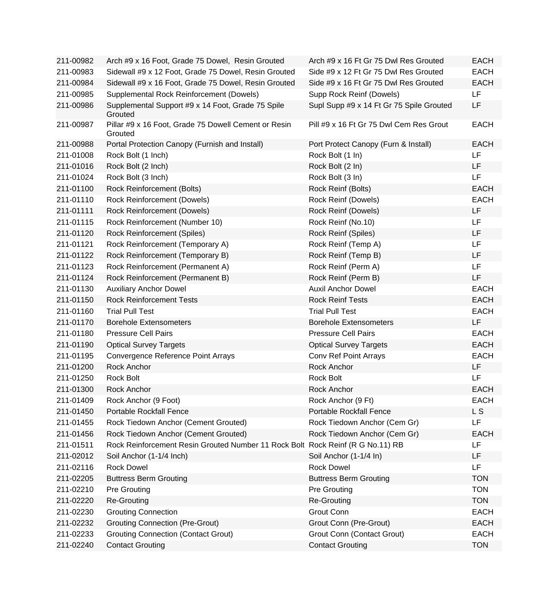| 211-00982 | Arch #9 x 16 Foot, Grade 75 Dowel, Resin Grouted                               | Arch #9 x 16 Ft Gr 75 Dwl Res Grouted    | <b>EACH</b> |
|-----------|--------------------------------------------------------------------------------|------------------------------------------|-------------|
| 211-00983 | Sidewall #9 x 12 Foot, Grade 75 Dowel, Resin Grouted                           | Side #9 x 12 Ft Gr 75 Dwl Res Grouted    | <b>EACH</b> |
| 211-00984 | Sidewall #9 x 16 Foot, Grade 75 Dowel, Resin Grouted                           | Side #9 x 16 Ft Gr 75 Dwl Res Grouted    | <b>EACH</b> |
| 211-00985 | Supplemental Rock Reinforcement (Dowels)                                       | Supp Rock Reinf (Dowels)                 | LF          |
| 211-00986 | Supplemental Support #9 x 14 Foot, Grade 75 Spile<br>Grouted                   | Supl Supp #9 x 14 Ft Gr 75 Spile Grouted | LF          |
| 211-00987 | Pillar #9 x 16 Foot, Grade 75 Dowell Cement or Resin<br>Grouted                | Pill #9 x 16 Ft Gr 75 Dwl Cem Res Grout  | <b>EACH</b> |
| 211-00988 | Portal Protection Canopy (Furnish and Install)                                 | Port Protect Canopy (Furn & Install)     | <b>EACH</b> |
| 211-01008 | Rock Bolt (1 Inch)                                                             | Rock Bolt (1 In)                         | LF          |
| 211-01016 | Rock Bolt (2 Inch)                                                             | Rock Bolt (2 In)                         | LF          |
| 211-01024 | Rock Bolt (3 Inch)                                                             | Rock Bolt (3 In)                         | LF          |
| 211-01100 | Rock Reinforcement (Bolts)                                                     | Rock Reinf (Bolts)                       | <b>EACH</b> |
| 211-01110 | Rock Reinforcement (Dowels)                                                    | Rock Reinf (Dowels)                      | <b>EACH</b> |
| 211-01111 | <b>Rock Reinforcement (Dowels)</b>                                             | Rock Reinf (Dowels)                      | <b>LF</b>   |
| 211-01115 | Rock Reinforcement (Number 10)                                                 | Rock Reinf (No.10)                       | LF          |
| 211-01120 | <b>Rock Reinforcement (Spiles)</b>                                             | Rock Reinf (Spiles)                      | LF          |
| 211-01121 | Rock Reinforcement (Temporary A)                                               | Rock Reinf (Temp A)                      | LF          |
| 211-01122 | Rock Reinforcement (Temporary B)                                               | Rock Reinf (Temp B)                      | <b>LF</b>   |
| 211-01123 | Rock Reinforcement (Permanent A)                                               | Rock Reinf (Perm A)                      | <b>LF</b>   |
| 211-01124 | Rock Reinforcement (Permanent B)                                               | Rock Reinf (Perm B)                      | LF          |
| 211-01130 | <b>Auxiliary Anchor Dowel</b>                                                  | <b>Auxil Anchor Dowel</b>                | <b>EACH</b> |
| 211-01150 | <b>Rock Reinforcement Tests</b>                                                | <b>Rock Reinf Tests</b>                  | <b>EACH</b> |
| 211-01160 | <b>Trial Pull Test</b>                                                         | <b>Trial Pull Test</b>                   | <b>EACH</b> |
| 211-01170 | <b>Borehole Extensometers</b>                                                  | <b>Borehole Extensometers</b>            | LF          |
| 211-01180 | <b>Pressure Cell Pairs</b>                                                     | <b>Pressure Cell Pairs</b>               | <b>EACH</b> |
| 211-01190 | <b>Optical Survey Targets</b>                                                  | <b>Optical Survey Targets</b>            | <b>EACH</b> |
| 211-01195 | Convergence Reference Point Arrays                                             | Conv Ref Point Arrays                    | <b>EACH</b> |
| 211-01200 | Rock Anchor                                                                    | Rock Anchor                              | LF          |
| 211-01250 | Rock Bolt                                                                      | Rock Bolt                                | LF          |
| 211-01300 | <b>Rock Anchor</b>                                                             | Rock Anchor                              | <b>EACH</b> |
| 211-01409 | Rock Anchor (9 Foot)                                                           | Rock Anchor (9 Ft)                       | <b>EACH</b> |
| 211-01450 | Portable Rockfall Fence                                                        | Portable Rockfall Fence                  | L S         |
| 211-01455 | Rock Tiedown Anchor (Cement Grouted)                                           | Rock Tiedown Anchor (Cem Gr)             | LF          |
| 211-01456 | Rock Tiedown Anchor (Cement Grouted)                                           | Rock Tiedown Anchor (Cem Gr)             | <b>EACH</b> |
| 211-01511 | Rock Reinforcement Resin Grouted Number 11 Rock Bolt Rock Reinf (R G No.11) RB |                                          | LF          |
| 211-02012 | Soil Anchor (1-1/4 Inch)                                                       | Soil Anchor (1-1/4 In)                   | LF          |
| 211-02116 | <b>Rock Dowel</b>                                                              | <b>Rock Dowel</b>                        | LF          |
| 211-02205 | <b>Buttress Berm Grouting</b>                                                  | <b>Buttress Berm Grouting</b>            | <b>TON</b>  |
| 211-02210 | <b>Pre Grouting</b>                                                            | <b>Pre Grouting</b>                      | <b>TON</b>  |
| 211-02220 | Re-Grouting                                                                    | <b>Re-Grouting</b>                       | <b>TON</b>  |
| 211-02230 | <b>Grouting Connection</b>                                                     | Grout Conn                               | <b>EACH</b> |
| 211-02232 | <b>Grouting Connection (Pre-Grout)</b>                                         | Grout Conn (Pre-Grout)                   | <b>EACH</b> |
| 211-02233 | <b>Grouting Connection (Contact Grout)</b>                                     | Grout Conn (Contact Grout)               | <b>EACH</b> |
| 211-02240 | <b>Contact Grouting</b>                                                        | <b>Contact Grouting</b>                  | <b>TON</b>  |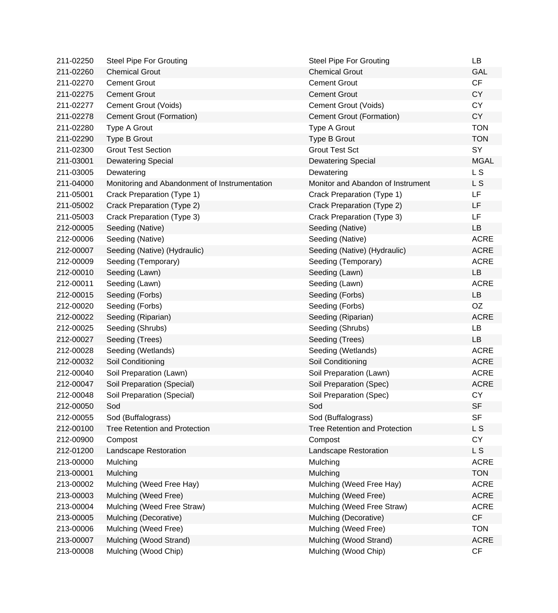| 211-02250 | <b>Steel Pipe For Grouting</b>                | <b>Steel Pipe For Grouting</b>       | <b>LB</b>      |
|-----------|-----------------------------------------------|--------------------------------------|----------------|
| 211-02260 | <b>Chemical Grout</b>                         | <b>Chemical Grout</b>                | <b>GAL</b>     |
| 211-02270 | <b>Cement Grout</b>                           | <b>Cement Grout</b>                  | CF             |
| 211-02275 | <b>Cement Grout</b>                           | <b>Cement Grout</b>                  | <b>CY</b>      |
| 211-02277 | Cement Grout (Voids)                          | Cement Grout (Voids)                 | <b>CY</b>      |
| 211-02278 | Cement Grout (Formation)                      | Cement Grout (Formation)             | <b>CY</b>      |
| 211-02280 | Type A Grout                                  | Type A Grout                         | <b>TON</b>     |
| 211-02290 | Type B Grout                                  | Type B Grout                         | <b>TON</b>     |
| 211-02300 | <b>Grout Test Section</b>                     | <b>Grout Test Sct</b>                | SY             |
| 211-03001 | <b>Dewatering Special</b>                     | <b>Dewatering Special</b>            | <b>MGAL</b>    |
| 211-03005 | Dewatering                                    | Dewatering                           | L <sub>S</sub> |
| 211-04000 | Monitoring and Abandonment of Instrumentation | Monitor and Abandon of Instrument    | L S            |
| 211-05001 | Crack Preparation (Type 1)                    | Crack Preparation (Type 1)           | <b>LF</b>      |
| 211-05002 | Crack Preparation (Type 2)                    | Crack Preparation (Type 2)           | LF             |
| 211-05003 | Crack Preparation (Type 3)                    | Crack Preparation (Type 3)           | LF             |
| 212-00005 | Seeding (Native)                              | Seeding (Native)                     | LB             |
| 212-00006 | Seeding (Native)                              | Seeding (Native)                     | <b>ACRE</b>    |
| 212-00007 | Seeding (Native) (Hydraulic)                  | Seeding (Native) (Hydraulic)         | <b>ACRE</b>    |
| 212-00009 | Seeding (Temporary)                           | Seeding (Temporary)                  | <b>ACRE</b>    |
| 212-00010 | Seeding (Lawn)                                | Seeding (Lawn)                       | LB             |
| 212-00011 | Seeding (Lawn)                                | Seeding (Lawn)                       | <b>ACRE</b>    |
| 212-00015 | Seeding (Forbs)                               | Seeding (Forbs)                      | <b>LB</b>      |
| 212-00020 | Seeding (Forbs)                               | Seeding (Forbs)                      | OZ             |
| 212-00022 | Seeding (Riparian)                            | Seeding (Riparian)                   | <b>ACRE</b>    |
| 212-00025 | Seeding (Shrubs)                              | Seeding (Shrubs)                     | LB             |
| 212-00027 | Seeding (Trees)                               | Seeding (Trees)                      | <b>LB</b>      |
| 212-00028 | Seeding (Wetlands)                            | Seeding (Wetlands)                   | <b>ACRE</b>    |
| 212-00032 | Soil Conditioning                             | Soil Conditioning                    | <b>ACRE</b>    |
| 212-00040 | Soil Preparation (Lawn)                       | Soil Preparation (Lawn)              | <b>ACRE</b>    |
| 212-00047 | Soil Preparation (Special)                    | Soil Preparation (Spec)              | <b>ACRE</b>    |
| 212-00048 | Soil Preparation (Special)                    | Soil Preparation (Spec)              | <b>CY</b>      |
| 212-00050 | Sod                                           | Sod                                  | <b>SF</b>      |
| 212-00055 | Sod (Buffalograss)                            | Sod (Buffalograss)                   | <b>SF</b>      |
| 212-00100 | Tree Retention and Protection                 | <b>Tree Retention and Protection</b> | L S            |
| 212-00900 | Compost                                       | Compost                              | <b>CY</b>      |
| 212-01200 | Landscape Restoration                         | Landscape Restoration                | L S            |
| 213-00000 | Mulching                                      | Mulching                             | <b>ACRE</b>    |
| 213-00001 | Mulching                                      | Mulching                             | <b>TON</b>     |
| 213-00002 | Mulching (Weed Free Hay)                      | Mulching (Weed Free Hay)             | <b>ACRE</b>    |
| 213-00003 | Mulching (Weed Free)                          | Mulching (Weed Free)                 | <b>ACRE</b>    |
| 213-00004 | Mulching (Weed Free Straw)                    | Mulching (Weed Free Straw)           | <b>ACRE</b>    |
| 213-00005 | Mulching (Decorative)                         | Mulching (Decorative)                | CF             |
| 213-00006 | Mulching (Weed Free)                          | Mulching (Weed Free)                 | <b>TON</b>     |
| 213-00007 | Mulching (Wood Strand)                        | Mulching (Wood Strand)               | <b>ACRE</b>    |
| 213-00008 | Mulching (Wood Chip)                          | Mulching (Wood Chip)                 | CF             |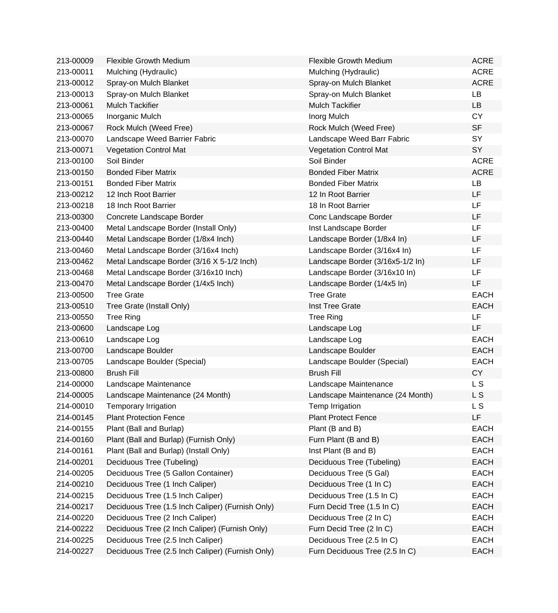| 213-00009 | <b>Flexible Growth Medium</b>                    | <b>Flexible Growth Medium</b>    | <b>ACRE</b> |
|-----------|--------------------------------------------------|----------------------------------|-------------|
| 213-00011 | Mulching (Hydraulic)                             | Mulching (Hydraulic)             | <b>ACRE</b> |
| 213-00012 | Spray-on Mulch Blanket                           | Spray-on Mulch Blanket           | <b>ACRE</b> |
| 213-00013 | Spray-on Mulch Blanket                           | Spray-on Mulch Blanket           | <b>LB</b>   |
| 213-00061 | <b>Mulch Tackifier</b>                           | <b>Mulch Tackifier</b>           | <b>LB</b>   |
| 213-00065 | Inorganic Mulch                                  | Inorg Mulch                      | <b>CY</b>   |
| 213-00067 | Rock Mulch (Weed Free)                           | Rock Mulch (Weed Free)           | <b>SF</b>   |
| 213-00070 | Landscape Weed Barrier Fabric                    | Landscape Weed Barr Fabric       | SY          |
| 213-00071 | <b>Vegetation Control Mat</b>                    | <b>Vegetation Control Mat</b>    | <b>SY</b>   |
| 213-00100 | Soil Binder                                      | Soil Binder                      | <b>ACRE</b> |
| 213-00150 | <b>Bonded Fiber Matrix</b>                       | <b>Bonded Fiber Matrix</b>       | <b>ACRE</b> |
| 213-00151 | <b>Bonded Fiber Matrix</b>                       | <b>Bonded Fiber Matrix</b>       | LB          |
| 213-00212 | 12 Inch Root Barrier                             | 12 In Root Barrier               | <b>LF</b>   |
| 213-00218 | 18 Inch Root Barrier                             | 18 In Root Barrier               | LF          |
| 213-00300 | Concrete Landscape Border                        | Conc Landscape Border            | LF          |
| 213-00400 | Metal Landscape Border (Install Only)            | Inst Landscape Border            | <b>LF</b>   |
| 213-00440 | Metal Landscape Border (1/8x4 Inch)              | Landscape Border (1/8x4 In)      | LF          |
| 213-00460 | Metal Landscape Border (3/16x4 Inch)             | Landscape Border (3/16x4 In)     | LF          |
| 213-00462 | Metal Landscape Border (3/16 X 5-1/2 Inch)       | Landscape Border (3/16x5-1/2 In) | LF          |
| 213-00468 | Metal Landscape Border (3/16x10 Inch)            | Landscape Border (3/16x10 In)    | LF          |
| 213-00470 | Metal Landscape Border (1/4x5 Inch)              | Landscape Border (1/4x5 In)      | LF          |
| 213-00500 | <b>Tree Grate</b>                                | <b>Tree Grate</b>                | <b>EACH</b> |
| 213-00510 | Tree Grate (Install Only)                        | Inst Tree Grate                  | <b>EACH</b> |
| 213-00550 | <b>Tree Ring</b>                                 | <b>Tree Ring</b>                 | <b>LF</b>   |
| 213-00600 | Landscape Log                                    | Landscape Log                    | LF          |
| 213-00610 | Landscape Log                                    | Landscape Log                    | <b>EACH</b> |
| 213-00700 | Landscape Boulder                                | Landscape Boulder                | <b>EACH</b> |
| 213-00705 | Landscape Boulder (Special)                      | Landscape Boulder (Special)      | <b>EACH</b> |
| 213-00800 | <b>Brush Fill</b>                                | <b>Brush Fill</b>                | <b>CY</b>   |
| 214-00000 | Landscape Maintenance                            | Landscape Maintenance            | L S         |
| 214-00005 | Landscape Maintenance (24 Month)                 | Landscape Maintenance (24 Month) | L S         |
| 214-00010 | Temporary Irrigation                             | Temp Irrigation                  | L S         |
| 214-00145 | <b>Plant Protection Fence</b>                    | <b>Plant Protect Fence</b>       | LF.         |
| 214-00155 | Plant (Ball and Burlap)                          | Plant (B and B)                  | <b>EACH</b> |
| 214-00160 | Plant (Ball and Burlap) (Furnish Only)           | Furn Plant (B and B)             | <b>EACH</b> |
| 214-00161 | Plant (Ball and Burlap) (Install Only)           | Inst Plant (B and B)             | <b>EACH</b> |
| 214-00201 | Deciduous Tree (Tubeling)                        | Deciduous Tree (Tubeling)        | <b>EACH</b> |
| 214-00205 | Deciduous Tree (5 Gallon Container)              | Deciduous Tree (5 Gal)           | <b>EACH</b> |
| 214-00210 | Deciduous Tree (1 Inch Caliper)                  | Deciduous Tree (1 In C)          | <b>EACH</b> |
| 214-00215 | Deciduous Tree (1.5 Inch Caliper)                | Deciduous Tree (1.5 In C)        | <b>EACH</b> |
| 214-00217 | Deciduous Tree (1.5 Inch Caliper) (Furnish Only) | Furn Decid Tree (1.5 In C)       | <b>EACH</b> |
| 214-00220 | Deciduous Tree (2 Inch Caliper)                  | Deciduous Tree (2 In C)          | <b>EACH</b> |
| 214-00222 | Deciduous Tree (2 Inch Caliper) (Furnish Only)   | Furn Decid Tree (2 In C)         | <b>EACH</b> |
| 214-00225 | Deciduous Tree (2.5 Inch Caliper)                | Deciduous Tree (2.5 In C)        | <b>EACH</b> |
| 214-00227 | Deciduous Tree (2.5 Inch Caliper) (Furnish Only) | Furn Deciduous Tree (2.5 In C)   | <b>EACH</b> |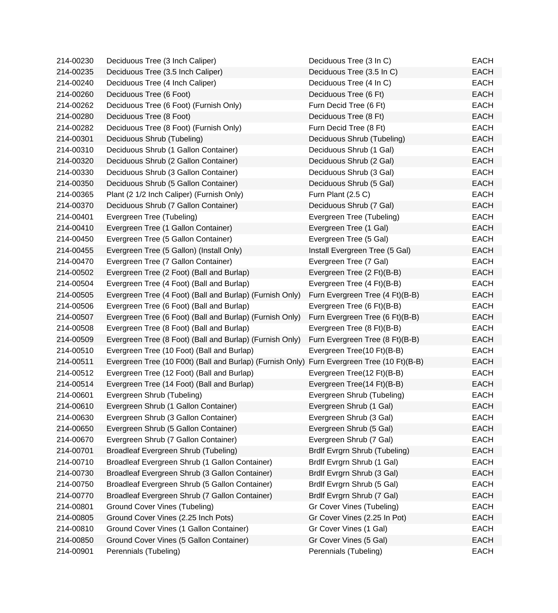| 214-00230 | Deciduous Tree (3 Inch Caliper)                                                            | Deciduous Tree (3 In C)         | EACH        |
|-----------|--------------------------------------------------------------------------------------------|---------------------------------|-------------|
| 214-00235 | Deciduous Tree (3.5 Inch Caliper)                                                          | Deciduous Tree (3.5 In C)       | <b>EACH</b> |
| 214-00240 | Deciduous Tree (4 Inch Caliper)                                                            | Deciduous Tree (4 In C)         | <b>EACH</b> |
| 214-00260 | Deciduous Tree (6 Foot)                                                                    | Deciduous Tree (6 Ft)           | <b>EACH</b> |
| 214-00262 | Deciduous Tree (6 Foot) (Furnish Only)                                                     | Furn Decid Tree (6 Ft)          | <b>EACH</b> |
| 214-00280 | Deciduous Tree (8 Foot)                                                                    | Deciduous Tree (8 Ft)           | <b>EACH</b> |
| 214-00282 | Deciduous Tree (8 Foot) (Furnish Only)                                                     | Furn Decid Tree (8 Ft)          | <b>EACH</b> |
| 214-00301 | Deciduous Shrub (Tubeling)                                                                 | Deciduous Shrub (Tubeling)      | <b>EACH</b> |
| 214-00310 | Deciduous Shrub (1 Gallon Container)                                                       | Deciduous Shrub (1 Gal)         | <b>EACH</b> |
| 214-00320 | Deciduous Shrub (2 Gallon Container)                                                       | Deciduous Shrub (2 Gal)         | <b>EACH</b> |
| 214-00330 | Deciduous Shrub (3 Gallon Container)                                                       | Deciduous Shrub (3 Gal)         | <b>EACH</b> |
| 214-00350 | Deciduous Shrub (5 Gallon Container)                                                       | Deciduous Shrub (5 Gal)         | <b>EACH</b> |
| 214-00365 | Plant (2 1/2 Inch Caliper) (Furnish Only)                                                  | Furn Plant (2.5 C)              | <b>EACH</b> |
| 214-00370 | Deciduous Shrub (7 Gallon Container)                                                       | Deciduous Shrub (7 Gal)         | <b>EACH</b> |
| 214-00401 | Evergreen Tree (Tubeling)                                                                  | Evergreen Tree (Tubeling)       | <b>EACH</b> |
| 214-00410 | Evergreen Tree (1 Gallon Container)                                                        | Evergreen Tree (1 Gal)          | <b>EACH</b> |
| 214-00450 | Evergreen Tree (5 Gallon Container)                                                        | Evergreen Tree (5 Gal)          | <b>EACH</b> |
| 214-00455 | Evergreen Tree (5 Gallon) (Install Only)                                                   | Install Evergreen Tree (5 Gal)  | <b>EACH</b> |
| 214-00470 | Evergreen Tree (7 Gallon Container)                                                        | Evergreen Tree (7 Gal)          | <b>EACH</b> |
| 214-00502 | Evergreen Tree (2 Foot) (Ball and Burlap)                                                  | Evergreen Tree (2 Ft)(B-B)      | <b>EACH</b> |
| 214-00504 | Evergreen Tree (4 Foot) (Ball and Burlap)                                                  | Evergreen Tree (4 Ft)(B-B)      | <b>EACH</b> |
| 214-00505 | Evergreen Tree (4 Foot) (Ball and Burlap) (Furnish Only)                                   | Furn Evergreen Tree (4 Ft)(B-B) | <b>EACH</b> |
| 214-00506 | Evergreen Tree (6 Foot) (Ball and Burlap)                                                  | Evergreen Tree (6 Ft)(B-B)      | <b>EACH</b> |
| 214-00507 | Evergreen Tree (6 Foot) (Ball and Burlap) (Furnish Only)                                   | Furn Evergreen Tree (6 Ft)(B-B) | <b>EACH</b> |
| 214-00508 | Evergreen Tree (8 Foot) (Ball and Burlap)                                                  | Evergreen Tree (8 Ft)(B-B)      | <b>EACH</b> |
| 214-00509 | Evergreen Tree (8 Foot) (Ball and Burlap) (Furnish Only)                                   | Furn Evergreen Tree (8 Ft)(B-B) | <b>EACH</b> |
| 214-00510 | Evergreen Tree (10 Foot) (Ball and Burlap)                                                 | Evergreen Tree(10 Ft)(B-B)      | <b>EACH</b> |
| 214-00511 | Evergreen Tree (10 F00t) (Ball and Burlap) (Furnish Only) Furn Evergreen Tree (10 Ft)(B-B) |                                 | <b>EACH</b> |
| 214-00512 | Evergreen Tree (12 Foot) (Ball and Burlap)                                                 | Evergreen Tree(12 Ft)(B-B)      | <b>EACH</b> |
| 214-00514 | Evergreen Tree (14 Foot) (Ball and Burlap)                                                 | Evergreen Tree(14 Ft)(B-B)      | <b>EACH</b> |
| 214-00601 | Evergreen Shrub (Tubeling)                                                                 | Evergreen Shrub (Tubeling)      | <b>EACH</b> |
| 214-00610 | Evergreen Shrub (1 Gallon Container)                                                       | Evergreen Shrub (1 Gal)         | <b>EACH</b> |
| 214-00630 | Evergreen Shrub (3 Gallon Container)                                                       | Evergreen Shrub (3 Gal)         | <b>EACH</b> |
| 214-00650 | Evergreen Shrub (5 Gallon Container)                                                       | Evergreen Shrub (5 Gal)         | <b>EACH</b> |
| 214-00670 | Evergreen Shrub (7 Gallon Container)                                                       | Evergreen Shrub (7 Gal)         | <b>EACH</b> |
| 214-00701 | Broadleaf Evergreen Shrub (Tubeling)                                                       | Brdlf Evrgrn Shrub (Tubeling)   | <b>EACH</b> |
| 214-00710 | Broadleaf Evergreen Shrub (1 Gallon Container)                                             | Brdlf Evrgrn Shrub (1 Gal)      | <b>EACH</b> |
| 214-00730 | Broadleaf Evergreen Shrub (3 Gallon Container)                                             | Brdlf Evrgrn Shrub (3 Gal)      | <b>EACH</b> |
| 214-00750 | Broadleaf Evergreen Shrub (5 Gallon Container)                                             | Brdlf Evrgrn Shrub (5 Gal)      | <b>EACH</b> |
| 214-00770 | Broadleaf Evergreen Shrub (7 Gallon Container)                                             | Brdlf Evrgrn Shrub (7 Gal)      | <b>EACH</b> |
| 214-00801 | <b>Ground Cover Vines (Tubeling)</b>                                                       | Gr Cover Vines (Tubeling)       | <b>EACH</b> |
| 214-00805 | Ground Cover Vines (2.25 Inch Pots)                                                        | Gr Cover Vines (2.25 In Pot)    | <b>EACH</b> |
| 214-00810 | Ground Cover Vines (1 Gallon Container)                                                    | Gr Cover Vines (1 Gal)          | <b>EACH</b> |
| 214-00850 | Ground Cover Vines (5 Gallon Container)                                                    | Gr Cover Vines (5 Gal)          | <b>EACH</b> |
| 214-00901 | Perennials (Tubeling)                                                                      | Perennials (Tubeling)           | <b>EACH</b> |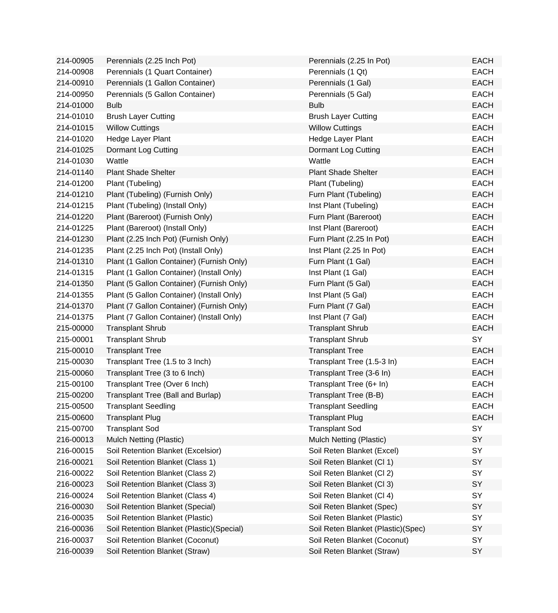| 214-00905 | Perennials (2.25 Inch Pot)                 | Perennials (2.25 In Pot)           | <b>EACH</b> |
|-----------|--------------------------------------------|------------------------------------|-------------|
| 214-00908 | Perennials (1 Quart Container)             | Perennials (1 Qt)                  | <b>EACH</b> |
| 214-00910 | Perennials (1 Gallon Container)            | Perennials (1 Gal)                 | <b>EACH</b> |
| 214-00950 | Perennials (5 Gallon Container)            | Perennials (5 Gal)                 | <b>EACH</b> |
| 214-01000 | <b>Bulb</b>                                | <b>Bulb</b>                        | <b>EACH</b> |
| 214-01010 | <b>Brush Layer Cutting</b>                 | <b>Brush Layer Cutting</b>         | <b>EACH</b> |
| 214-01015 | <b>Willow Cuttings</b>                     | <b>Willow Cuttings</b>             | <b>EACH</b> |
| 214-01020 | Hedge Layer Plant                          | Hedge Layer Plant                  | <b>EACH</b> |
| 214-01025 | Dormant Log Cutting                        | Dormant Log Cutting                | <b>EACH</b> |
| 214-01030 | Wattle                                     | Wattle                             | <b>EACH</b> |
| 214-01140 | <b>Plant Shade Shelter</b>                 | <b>Plant Shade Shelter</b>         | <b>EACH</b> |
| 214-01200 | Plant (Tubeling)                           | Plant (Tubeling)                   | <b>EACH</b> |
| 214-01210 | Plant (Tubeling) (Furnish Only)            | Furn Plant (Tubeling)              | <b>EACH</b> |
| 214-01215 | Plant (Tubeling) (Install Only)            | Inst Plant (Tubeling)              | <b>EACH</b> |
| 214-01220 | Plant (Bareroot) (Furnish Only)            | Furn Plant (Bareroot)              | <b>EACH</b> |
| 214-01225 | Plant (Bareroot) (Install Only)            | Inst Plant (Bareroot)              | <b>EACH</b> |
| 214-01230 | Plant (2.25 Inch Pot) (Furnish Only)       | Furn Plant (2.25 In Pot)           | <b>EACH</b> |
| 214-01235 | Plant (2.25 Inch Pot) (Install Only)       | Inst Plant (2.25 In Pot)           | <b>EACH</b> |
| 214-01310 | Plant (1 Gallon Container) (Furnish Only)  | Furn Plant (1 Gal)                 | <b>EACH</b> |
| 214-01315 | Plant (1 Gallon Container) (Install Only)  | Inst Plant (1 Gal)                 | <b>EACH</b> |
| 214-01350 | Plant (5 Gallon Container) (Furnish Only)  | Furn Plant (5 Gal)                 | <b>EACH</b> |
| 214-01355 | Plant (5 Gallon Container) (Install Only)  | Inst Plant (5 Gal)                 | <b>EACH</b> |
| 214-01370 | Plant (7 Gallon Container) (Furnish Only)  | Furn Plant (7 Gal)                 | <b>EACH</b> |
| 214-01375 | Plant (7 Gallon Container) (Install Only)  | Inst Plant (7 Gal)                 | <b>EACH</b> |
| 215-00000 | <b>Transplant Shrub</b>                    | <b>Transplant Shrub</b>            | <b>EACH</b> |
| 215-00001 | <b>Transplant Shrub</b>                    | <b>Transplant Shrub</b>            | SY          |
| 215-00010 | <b>Transplant Tree</b>                     | <b>Transplant Tree</b>             | <b>EACH</b> |
| 215-00030 | Transplant Tree (1.5 to 3 Inch)            | Transplant Tree (1.5-3 In)         | <b>EACH</b> |
| 215-00060 | Transplant Tree (3 to 6 Inch)              | Transplant Tree (3-6 In)           | <b>EACH</b> |
| 215-00100 | Transplant Tree (Over 6 Inch)              | Transplant Tree (6+ In)            | <b>EACH</b> |
| 215-00200 | Transplant Tree (Ball and Burlap)          | Transplant Tree (B-B)              | <b>EACH</b> |
| 215-00500 | <b>Transplant Seedling</b>                 | <b>Transplant Seedling</b>         | <b>EACH</b> |
| 215-00600 | <b>Transplant Plug</b>                     | <b>Transplant Plug</b>             | <b>EACH</b> |
| 215-00700 | <b>Transplant Sod</b>                      | <b>Transplant Sod</b>              | <b>SY</b>   |
| 216-00013 | Mulch Netting (Plastic)                    | Mulch Netting (Plastic)            | SY          |
| 216-00015 | Soil Retention Blanket (Excelsior)         | Soil Reten Blanket (Excel)         | <b>SY</b>   |
| 216-00021 | Soil Retention Blanket (Class 1)           | Soil Reten Blanket (Cl 1)          | SY          |
| 216-00022 | Soil Retention Blanket (Class 2)           | Soil Reten Blanket (Cl 2)          | SY          |
| 216-00023 | Soil Retention Blanket (Class 3)           | Soil Reten Blanket (Cl 3)          | SY          |
| 216-00024 | Soil Retention Blanket (Class 4)           | Soil Reten Blanket (Cl 4)          | SY          |
| 216-00030 | Soil Retention Blanket (Special)           | Soil Reten Blanket (Spec)          | SY          |
| 216-00035 | Soil Retention Blanket (Plastic)           | Soil Reten Blanket (Plastic)       | SY          |
| 216-00036 | Soil Retention Blanket (Plastic) (Special) | Soil Reten Blanket (Plastic)(Spec) | SY          |
| 216-00037 | Soil Retention Blanket (Coconut)           | Soil Reten Blanket (Coconut)       | SY          |
| 216-00039 | Soil Retention Blanket (Straw)             | Soil Reten Blanket (Straw)         | SY          |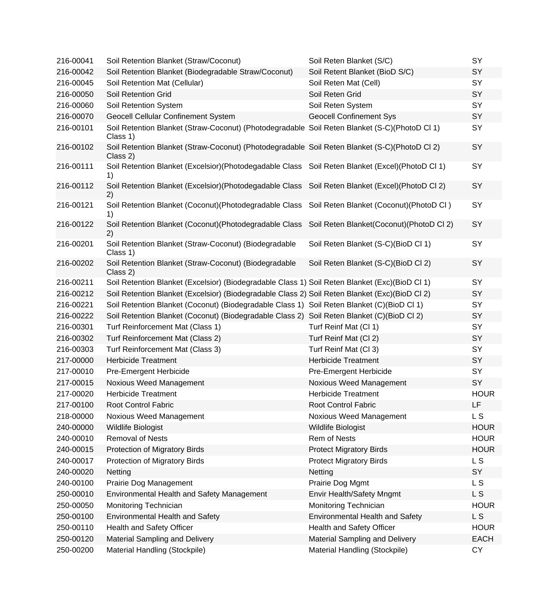| 216-00041 | Soil Retention Blanket (Straw/Coconut)                                                                    | Soil Reten Blanket (S/C)                 | SY          |
|-----------|-----------------------------------------------------------------------------------------------------------|------------------------------------------|-------------|
| 216-00042 | Soil Retention Blanket (Biodegradable Straw/Coconut)                                                      | Soil Retent Blanket (BioD S/C)           | SY          |
| 216-00045 | Soil Retention Mat (Cellular)                                                                             | Soil Reten Mat (Cell)                    | SY          |
| 216-00050 | Soil Retention Grid                                                                                       | Soil Reten Grid                          | SY          |
| 216-00060 | Soil Retention System                                                                                     | Soil Reten System                        | SY          |
| 216-00070 | <b>Geocell Cellular Confinement System</b>                                                                | <b>Geocell Confinement Sys</b>           | SY          |
| 216-00101 | Soil Retention Blanket (Straw-Coconut) (Photodegradable Soil Reten Blanket (S-C)(PhotoD Cl 1)<br>Class 1) |                                          | SY          |
| 216-00102 | Soil Retention Blanket (Straw-Coconut) (Photodegradable Soil Reten Blanket (S-C)(PhotoD Cl 2)<br>Class 2) |                                          | SY          |
| 216-00111 | Soil Retention Blanket (Excelsior)(Photodegadable Class Soil Reten Blanket (Excel)(PhotoD Cl 1)<br>1)     |                                          | SY          |
| 216-00112 | Soil Retention Blanket (Excelsior)(Photodegadable Class Soil Reten Blanket (Excel)(PhotoD Cl 2)<br>2)     |                                          | SY          |
| 216-00121 | Soil Retention Blanket (Coconut) (Photodegradable Class<br>1)                                             | Soil Reten Blanket (Coconut) (PhotoD CI) | SY          |
| 216-00122 | Soil Retention Blanket (Coconut) (Photodegradable Class<br>2)                                             | Soil Reten Blanket(Coconut)(PhotoD Cl 2) | SY          |
| 216-00201 | Soil Retention Blanket (Straw-Coconut) (Biodegradable<br>Class 1)                                         | Soil Reten Blanket (S-C)(BioD Cl 1)      | SY          |
| 216-00202 | Soil Retention Blanket (Straw-Coconut) (Biodegradable<br>Class 2)                                         | Soil Reten Blanket (S-C)(BioD Cl 2)      | SY          |
| 216-00211 | Soil Retention Blanket (Excelsior) (Biodegradable Class 1) Soil Reten Blanket (Exc)(BioD Cl 1)            |                                          | SY          |
| 216-00212 | Soil Retention Blanket (Excelsior) (Biodegradable Class 2) Soil Reten Blanket (Exc)(BioD Cl 2)            |                                          | <b>SY</b>   |
| 216-00221 | Soil Retention Blanket (Coconut) (Biodegradable Class 1) Soil Reten Blanket (C)(BioD Cl 1)                |                                          | SY          |
| 216-00222 | Soil Retention Blanket (Coconut) (Biodegradable Class 2) Soil Reten Blanket (C)(BioD Cl 2)                |                                          | SY          |
| 216-00301 | Turf Reinforcement Mat (Class 1)                                                                          | Turf Reinf Mat (Cl 1)                    | SY          |
| 216-00302 | Turf Reinforcement Mat (Class 2)                                                                          | Turf Reinf Mat (Cl 2)                    | SY          |
| 216-00303 | Turf Reinforcement Mat (Class 3)                                                                          | Turf Reinf Mat (Cl 3)                    | SY          |
| 217-00000 | <b>Herbicide Treatment</b>                                                                                | <b>Herbicide Treatment</b>               | SY          |
| 217-00010 | Pre-Emergent Herbicide                                                                                    | Pre-Emergent Herbicide                   | SY          |
| 217-00015 | Noxious Weed Management                                                                                   | Noxious Weed Management                  | SY          |
| 217-00020 | <b>Herbicide Treatment</b>                                                                                | <b>Herbicide Treatment</b>               | <b>HOUR</b> |
| 217-00100 | <b>Root Control Fabric</b>                                                                                | Root Control Fabric                      | LF          |
| 218-00000 | Noxious Weed Management                                                                                   | Noxious Weed Management                  | L S         |
| 240-00000 | Wildlife Biologist                                                                                        | Wildlife Biologist                       | <b>HOUR</b> |
| 240-00010 | <b>Removal of Nests</b>                                                                                   | Rem of Nests                             | <b>HOUR</b> |
| 240-00015 | Protection of Migratory Birds                                                                             | <b>Protect Migratory Birds</b>           | <b>HOUR</b> |
| 240-00017 | Protection of Migratory Birds                                                                             | <b>Protect Migratory Birds</b>           | L S         |
| 240-00020 | Netting                                                                                                   | Netting                                  | SY          |
| 240-00100 | Prairie Dog Management                                                                                    | Prairie Dog Mgmt                         | L S         |
| 250-00010 | Environmental Health and Safety Management                                                                | Envir Health/Safety Mngmt                | L S         |
| 250-00050 | Monitoring Technician                                                                                     | Monitoring Technician                    | <b>HOUR</b> |
| 250-00100 | <b>Environmental Health and Safety</b>                                                                    | <b>Environmental Health and Safety</b>   | L S         |
| 250-00110 | Health and Safety Officer                                                                                 | Health and Safety Officer                | <b>HOUR</b> |
| 250-00120 | Material Sampling and Delivery                                                                            | Material Sampling and Delivery           | <b>EACH</b> |
| 250-00200 | Material Handling (Stockpile)                                                                             | Material Handling (Stockpile)            | CY          |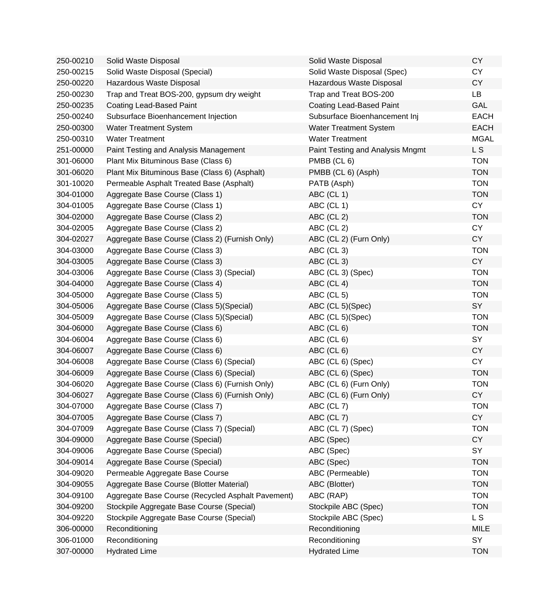| 250-00210 | Solid Waste Disposal                              | Solid Waste Disposal             | <b>CY</b>   |
|-----------|---------------------------------------------------|----------------------------------|-------------|
| 250-00215 | Solid Waste Disposal (Special)                    | Solid Waste Disposal (Spec)      | <b>CY</b>   |
| 250-00220 | Hazardous Waste Disposal                          | Hazardous Waste Disposal         | <b>CY</b>   |
| 250-00230 | Trap and Treat BOS-200, gypsum dry weight         | Trap and Treat BOS-200           | LB          |
| 250-00235 | <b>Coating Lead-Based Paint</b>                   | Coating Lead-Based Paint         | GAL         |
| 250-00240 | Subsurface Bioenhancement Injection               | Subsurface Bioenhancement Inj    | <b>EACH</b> |
| 250-00300 | <b>Water Treatment System</b>                     | <b>Water Treatment System</b>    | <b>EACH</b> |
| 250-00310 | <b>Water Treatment</b>                            | <b>Water Treatment</b>           | <b>MGAL</b> |
| 251-00000 | Paint Testing and Analysis Management             | Paint Testing and Analysis Mngmt | L S         |
| 301-06000 | Plant Mix Bituminous Base (Class 6)               | PMBB (CL 6)                      | <b>TON</b>  |
| 301-06020 | Plant Mix Bituminous Base (Class 6) (Asphalt)     | PMBB (CL 6) (Asph)               | <b>TON</b>  |
| 301-10020 | Permeable Asphalt Treated Base (Asphalt)          | PATB (Asph)                      | <b>TON</b>  |
| 304-01000 | Aggregate Base Course (Class 1)                   | ABC (CL 1)                       | <b>TON</b>  |
| 304-01005 | Aggregate Base Course (Class 1)                   | ABC (CL 1)                       | <b>CY</b>   |
| 304-02000 | Aggregate Base Course (Class 2)                   | ABC (CL 2)                       | <b>TON</b>  |
| 304-02005 | Aggregate Base Course (Class 2)                   | ABC (CL 2)                       | <b>CY</b>   |
| 304-02027 | Aggregate Base Course (Class 2) (Furnish Only)    | ABC (CL 2) (Furn Only)           | <b>CY</b>   |
| 304-03000 | Aggregate Base Course (Class 3)                   | ABC (CL 3)                       | <b>TON</b>  |
| 304-03005 | Aggregate Base Course (Class 3)                   | ABC (CL 3)                       | <b>CY</b>   |
| 304-03006 | Aggregate Base Course (Class 3) (Special)         | ABC (CL 3) (Spec)                | <b>TON</b>  |
| 304-04000 | Aggregate Base Course (Class 4)                   | ABC (CL 4)                       | <b>TON</b>  |
| 304-05000 | Aggregate Base Course (Class 5)                   | ABC (CL 5)                       | <b>TON</b>  |
| 304-05006 | Aggregate Base Course (Class 5) (Special)         | ABC (CL 5)(Spec)                 | SY          |
| 304-05009 | Aggregate Base Course (Class 5) (Special)         | ABC (CL 5)(Spec)                 | <b>TON</b>  |
| 304-06000 | Aggregate Base Course (Class 6)                   | ABC (CL 6)                       | <b>TON</b>  |
| 304-06004 | Aggregate Base Course (Class 6)                   | ABC (CL 6)                       | SY          |
| 304-06007 | Aggregate Base Course (Class 6)                   | ABC (CL 6)                       | <b>CY</b>   |
| 304-06008 | Aggregate Base Course (Class 6) (Special)         | ABC (CL 6) (Spec)                | <b>CY</b>   |
| 304-06009 | Aggregate Base Course (Class 6) (Special)         | ABC (CL 6) (Spec)                | <b>TON</b>  |
| 304-06020 | Aggregate Base Course (Class 6) (Furnish Only)    | ABC (CL 6) (Furn Only)           | <b>TON</b>  |
| 304-06027 | Aggregate Base Course (Class 6) (Furnish Only)    | ABC (CL 6) (Furn Only)           | <b>CY</b>   |
| 304-07000 | Aggregate Base Course (Class 7)                   | ABC (CL 7)                       | TON         |
| 304-07005 | Aggregate Base Course (Class 7)                   | ABC (CL 7)                       | <b>CY</b>   |
| 304-07009 | Aggregate Base Course (Class 7) (Special)         | ABC (CL 7) (Spec)                | <b>TON</b>  |
| 304-09000 | Aggregate Base Course (Special)                   | ABC (Spec)                       | <b>CY</b>   |
| 304-09006 | Aggregate Base Course (Special)                   | ABC (Spec)                       | SY          |
| 304-09014 | Aggregate Base Course (Special)                   | ABC (Spec)                       | <b>TON</b>  |
| 304-09020 | Permeable Aggregate Base Course                   | ABC (Permeable)                  | <b>TON</b>  |
| 304-09055 | Aggregate Base Course (Blotter Material)          | ABC (Blotter)                    | <b>TON</b>  |
| 304-09100 | Aggregate Base Course (Recycled Asphalt Pavement) | ABC (RAP)                        | <b>TON</b>  |
| 304-09200 | Stockpile Aggregate Base Course (Special)         | Stockpile ABC (Spec)             | <b>TON</b>  |
| 304-09220 | Stockpile Aggregate Base Course (Special)         | Stockpile ABC (Spec)             | L S         |
| 306-00000 | Reconditioning                                    | Reconditioning                   | <b>MILE</b> |
| 306-01000 | Reconditioning                                    | Reconditioning                   | SY          |
| 307-00000 | <b>Hydrated Lime</b>                              | <b>Hydrated Lime</b>             | <b>TON</b>  |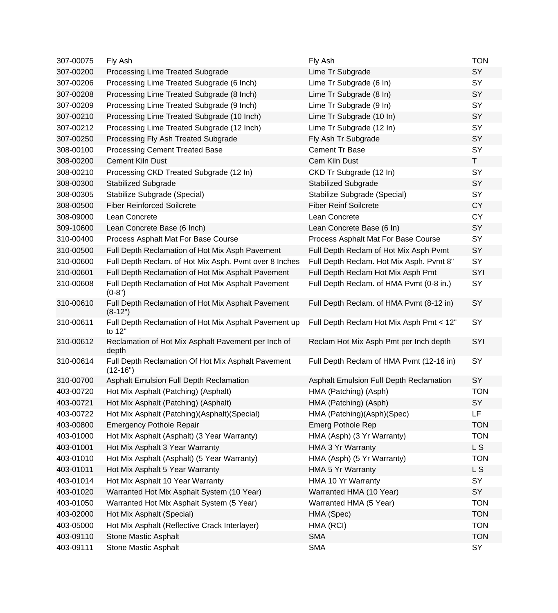| 307-00075 | Fly Ash                                                          | Fly Ash                                  | <b>TON</b> |
|-----------|------------------------------------------------------------------|------------------------------------------|------------|
| 307-00200 | Processing Lime Treated Subgrade                                 | Lime Tr Subgrade                         | SY         |
| 307-00206 | Processing Lime Treated Subgrade (6 Inch)                        | Lime Tr Subgrade (6 In)                  | SY         |
| 307-00208 | Processing Lime Treated Subgrade (8 Inch)                        | Lime Tr Subgrade (8 In)                  | SY         |
| 307-00209 | Processing Lime Treated Subgrade (9 Inch)                        | Lime Tr Subgrade (9 In)                  | SY         |
| 307-00210 | Processing Lime Treated Subgrade (10 Inch)                       | Lime Tr Subgrade (10 In)                 | SY         |
| 307-00212 | Processing Lime Treated Subgrade (12 Inch)                       | Lime Tr Subgrade (12 In)                 | SY         |
| 307-00250 | Processing Fly Ash Treated Subgrade                              | Fly Ash Tr Subgrade                      | SY         |
| 308-00100 | <b>Processing Cement Treated Base</b>                            | Cement Tr Base                           | SY         |
| 308-00200 | <b>Cement Kiln Dust</b>                                          | Cem Kiln Dust                            | T.         |
| 308-00210 | Processing CKD Treated Subgrade (12 In)                          | CKD Tr Subgrade (12 In)                  | SY         |
| 308-00300 | <b>Stabilized Subgrade</b>                                       | <b>Stabilized Subgrade</b>               | SY         |
| 308-00305 | Stabilize Subgrade (Special)                                     | Stabilize Subgrade (Special)             | SY         |
| 308-00500 | <b>Fiber Reinforced Soilcrete</b>                                | <b>Fiber Reinf Soilcrete</b>             | <b>CY</b>  |
| 308-09000 | Lean Concrete                                                    | Lean Concrete                            | <b>CY</b>  |
| 309-10600 | Lean Concrete Base (6 Inch)                                      | Lean Concrete Base (6 In)                | SY         |
| 310-00400 | Process Asphalt Mat For Base Course                              | Process Asphalt Mat For Base Course      | SY         |
| 310-00500 | Full Depth Reclamation of Hot Mix Asph Pavement                  | Full Depth Reclam of Hot Mix Asph Pvmt   | SY         |
| 310-00600 | Full Depth Reclam. of Hot Mix Asph. Pvmt over 8 Inches           | Full Depth Reclam. Hot Mix Asph. Pvmt 8" | SY         |
| 310-00601 | Full Depth Reclamation of Hot Mix Asphalt Pavement               | Full Depth Reclam Hot Mix Asph Pmt       | SYI        |
| 310-00608 | Full Depth Reclamation of Hot Mix Asphalt Pavement<br>$(0-8")$   | Full Depth Reclam. of HMA Pvmt (0-8 in.) | SY         |
| 310-00610 | Full Depth Reclamation of Hot Mix Asphalt Pavement<br>$(8-12")$  | Full Depth Reclam. of HMA Pvmt (8-12 in) | SY         |
| 310-00611 | Full Depth Reclamation of Hot Mix Asphalt Pavement up<br>to 12"  | Full Depth Reclam Hot Mix Asph Pmt < 12" | SY         |
| 310-00612 | Reclamation of Hot Mix Asphalt Pavement per Inch of<br>depth     | Reclam Hot Mix Asph Pmt per Inch depth   | SYI        |
| 310-00614 | Full Depth Reclamation Of Hot Mix Asphalt Pavement<br>$(12-16")$ | Full Depth Reclam of HMA Pvmt (12-16 in) | SY         |
| 310-00700 | Asphalt Emulsion Full Depth Reclamation                          | Asphalt Emulsion Full Depth Reclamation  | SY         |
| 403-00720 | Hot Mix Asphalt (Patching) (Asphalt)                             | HMA (Patching) (Asph)                    | <b>TON</b> |
| 403-00721 | Hot Mix Asphalt (Patching) (Asphalt)                             | HMA (Patching) (Asph)                    | SY         |
| 403-00722 | Hot Mix Asphalt (Patching)(Asphalt)(Special)                     | HMA (Patching)(Asph)(Spec)               | LF         |
| 403-00800 | <b>Emergency Pothole Repair</b>                                  | <b>Emerg Pothole Rep</b>                 | <b>TON</b> |
| 403-01000 | Hot Mix Asphalt (Asphalt) (3 Year Warranty)                      | HMA (Asph) (3 Yr Warranty)               | <b>TON</b> |
| 403-01001 | Hot Mix Asphalt 3 Year Warranty                                  | HMA 3 Yr Warranty                        | L S        |
| 403-01010 | Hot Mix Asphalt (Asphalt) (5 Year Warranty)                      | HMA (Asph) (5 Yr Warranty)               | <b>TON</b> |
| 403-01011 | Hot Mix Asphalt 5 Year Warranty                                  | HMA 5 Yr Warranty                        | L S        |
| 403-01014 | Hot Mix Asphalt 10 Year Warranty                                 | HMA 10 Yr Warranty                       | SY         |
| 403-01020 | Warranted Hot Mix Asphalt System (10 Year)                       | Warranted HMA (10 Year)                  | SY         |
| 403-01050 | Warranted Hot Mix Asphalt System (5 Year)                        | Warranted HMA (5 Year)                   | <b>TON</b> |
| 403-02000 | Hot Mix Asphalt (Special)                                        | HMA (Spec)                               | <b>TON</b> |
| 403-05000 | Hot Mix Asphalt (Reflective Crack Interlayer)                    | HMA (RCI)                                | <b>TON</b> |
| 403-09110 | Stone Mastic Asphalt                                             | <b>SMA</b>                               | <b>TON</b> |
| 403-09111 | Stone Mastic Asphalt                                             | <b>SMA</b>                               | SY         |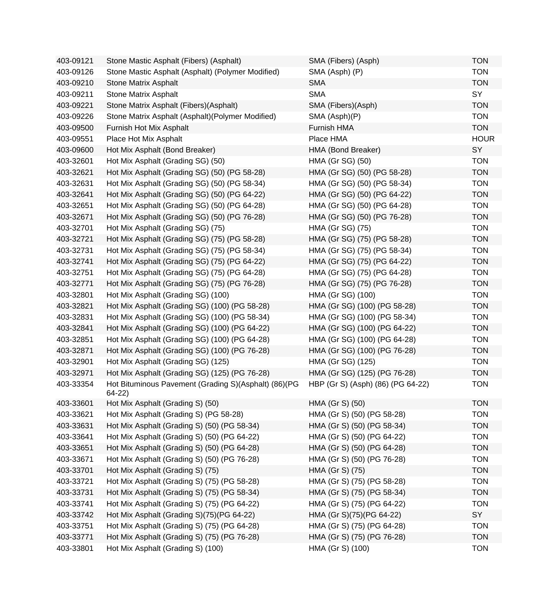| 403-09121 | Stone Mastic Asphalt (Fibers) (Asphalt)                          | SMA (Fibers) (Asph)               | <b>TON</b>  |
|-----------|------------------------------------------------------------------|-----------------------------------|-------------|
| 403-09126 | Stone Mastic Asphalt (Asphalt) (Polymer Modified)                | SMA (Asph) (P)                    | <b>TON</b>  |
| 403-09210 | <b>Stone Matrix Asphalt</b>                                      | <b>SMA</b>                        | <b>TON</b>  |
| 403-09211 | <b>Stone Matrix Asphalt</b>                                      | <b>SMA</b>                        | SY          |
| 403-09221 | Stone Matrix Asphalt (Fibers)(Asphalt)                           | SMA (Fibers)(Asph)                | <b>TON</b>  |
| 403-09226 | Stone Matrix Asphalt (Asphalt) (Polymer Modified)                | SMA (Asph)(P)                     | <b>TON</b>  |
| 403-09500 | Furnish Hot Mix Asphalt                                          | Furnish HMA                       | <b>TON</b>  |
| 403-09551 | Place Hot Mix Asphalt                                            | Place HMA                         | <b>HOUR</b> |
| 403-09600 | Hot Mix Asphalt (Bond Breaker)                                   | HMA (Bond Breaker)                | <b>SY</b>   |
| 403-32601 | Hot Mix Asphalt (Grading SG) (50)                                | HMA (Gr SG) (50)                  | <b>TON</b>  |
| 403-32621 | Hot Mix Asphalt (Grading SG) (50) (PG 58-28)                     | HMA (Gr SG) (50) (PG 58-28)       | <b>TON</b>  |
| 403-32631 | Hot Mix Asphalt (Grading SG) (50) (PG 58-34)                     | HMA (Gr SG) (50) (PG 58-34)       | <b>TON</b>  |
| 403-32641 | Hot Mix Asphalt (Grading SG) (50) (PG 64-22)                     | HMA (Gr SG) (50) (PG 64-22)       | <b>TON</b>  |
| 403-32651 | Hot Mix Asphalt (Grading SG) (50) (PG 64-28)                     | HMA (Gr SG) (50) (PG 64-28)       | <b>TON</b>  |
| 403-32671 | Hot Mix Asphalt (Grading SG) (50) (PG 76-28)                     | HMA (Gr SG) (50) (PG 76-28)       | <b>TON</b>  |
| 403-32701 | Hot Mix Asphalt (Grading SG) (75)                                | HMA (Gr SG) (75)                  | <b>TON</b>  |
| 403-32721 | Hot Mix Asphalt (Grading SG) (75) (PG 58-28)                     | HMA (Gr SG) (75) (PG 58-28)       | <b>TON</b>  |
| 403-32731 | Hot Mix Asphalt (Grading SG) (75) (PG 58-34)                     | HMA (Gr SG) (75) (PG 58-34)       | <b>TON</b>  |
| 403-32741 | Hot Mix Asphalt (Grading SG) (75) (PG 64-22)                     | HMA (Gr SG) (75) (PG 64-22)       | <b>TON</b>  |
| 403-32751 | Hot Mix Asphalt (Grading SG) (75) (PG 64-28)                     | HMA (Gr SG) (75) (PG 64-28)       | <b>TON</b>  |
| 403-32771 | Hot Mix Asphalt (Grading SG) (75) (PG 76-28)                     | HMA (Gr SG) (75) (PG 76-28)       | <b>TON</b>  |
| 403-32801 | Hot Mix Asphalt (Grading SG) (100)                               | HMA (Gr SG) (100)                 | <b>TON</b>  |
| 403-32821 | Hot Mix Asphalt (Grading SG) (100) (PG 58-28)                    | HMA (Gr SG) (100) (PG 58-28)      | <b>TON</b>  |
| 403-32831 | Hot Mix Asphalt (Grading SG) (100) (PG 58-34)                    | HMA (Gr SG) (100) (PG 58-34)      | <b>TON</b>  |
| 403-32841 | Hot Mix Asphalt (Grading SG) (100) (PG 64-22)                    | HMA (Gr SG) (100) (PG 64-22)      | <b>TON</b>  |
| 403-32851 | Hot Mix Asphalt (Grading SG) (100) (PG 64-28)                    | HMA (Gr SG) (100) (PG 64-28)      | <b>TON</b>  |
| 403-32871 | Hot Mix Asphalt (Grading SG) (100) (PG 76-28)                    | HMA (Gr SG) (100) (PG 76-28)      | <b>TON</b>  |
| 403-32901 | Hot Mix Asphalt (Grading SG) (125)                               | HMA (Gr SG) (125)                 | <b>TON</b>  |
| 403-32971 | Hot Mix Asphalt (Grading SG) (125) (PG 76-28)                    | HMA (Gr SG) (125) (PG 76-28)      | <b>TON</b>  |
| 403-33354 | Hot Bituminous Pavement (Grading S)(Asphalt) (86)(PG<br>$64-22)$ | HBP (Gr S) (Asph) (86) (PG 64-22) | <b>TON</b>  |
| 403-33601 | Hot Mix Asphalt (Grading S) (50)                                 | HMA (Gr S) (50)                   | <b>TON</b>  |
| 403-33621 | Hot Mix Asphalt (Grading S) (PG 58-28)                           | HMA (Gr S) (50) (PG 58-28)        | <b>TON</b>  |
| 403-33631 | Hot Mix Asphalt (Grading S) (50) (PG 58-34)                      | HMA (Gr S) (50) (PG 58-34)        | <b>TON</b>  |
| 403-33641 | Hot Mix Asphalt (Grading S) (50) (PG 64-22)                      | HMA (Gr S) (50) (PG 64-22)        | <b>TON</b>  |
| 403-33651 | Hot Mix Asphalt (Grading S) (50) (PG 64-28)                      | HMA (Gr S) (50) (PG 64-28)        | <b>TON</b>  |
| 403-33671 | Hot Mix Asphalt (Grading S) (50) (PG 76-28)                      | HMA (Gr S) (50) (PG 76-28)        | <b>TON</b>  |
| 403-33701 | Hot Mix Asphalt (Grading S) (75)                                 | HMA (Gr S) (75)                   | <b>TON</b>  |
| 403-33721 | Hot Mix Asphalt (Grading S) (75) (PG 58-28)                      | HMA (Gr S) (75) (PG 58-28)        | <b>TON</b>  |
| 403-33731 | Hot Mix Asphalt (Grading S) (75) (PG 58-34)                      | HMA (Gr S) (75) (PG 58-34)        | <b>TON</b>  |
| 403-33741 | Hot Mix Asphalt (Grading S) (75) (PG 64-22)                      | HMA (Gr S) (75) (PG 64-22)        | <b>TON</b>  |
| 403-33742 | Hot Mix Asphalt (Grading S)(75)(PG 64-22)                        | HMA (Gr S)(75)(PG 64-22)          | SY          |
| 403-33751 | Hot Mix Asphalt (Grading S) (75) (PG 64-28)                      | HMA (Gr S) (75) (PG 64-28)        | <b>TON</b>  |
| 403-33771 | Hot Mix Asphalt (Grading S) (75) (PG 76-28)                      | HMA (Gr S) (75) (PG 76-28)        | <b>TON</b>  |
| 403-33801 | Hot Mix Asphalt (Grading S) (100)                                | HMA (Gr S) (100)                  | <b>TON</b>  |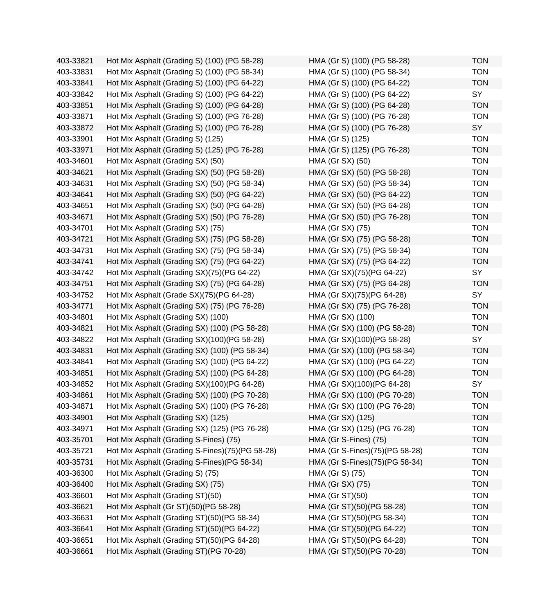| 403-33821 | Hot Mix Asphalt (Grading S) (100) (PG 58-28)    | HMA (Gr S) (100) (PG 58-28)    | <b>TON</b> |
|-----------|-------------------------------------------------|--------------------------------|------------|
| 403-33831 | Hot Mix Asphalt (Grading S) (100) (PG 58-34)    | HMA (Gr S) (100) (PG 58-34)    | <b>TON</b> |
| 403-33841 | Hot Mix Asphalt (Grading S) (100) (PG 64-22)    | HMA (Gr S) (100) (PG 64-22)    | <b>TON</b> |
| 403-33842 | Hot Mix Asphalt (Grading S) (100) (PG 64-22)    | HMA (Gr S) (100) (PG 64-22)    | SY         |
| 403-33851 | Hot Mix Asphalt (Grading S) (100) (PG 64-28)    | HMA (Gr S) (100) (PG 64-28)    | <b>TON</b> |
| 403-33871 | Hot Mix Asphalt (Grading S) (100) (PG 76-28)    | HMA (Gr S) (100) (PG 76-28)    | <b>TON</b> |
| 403-33872 | Hot Mix Asphalt (Grading S) (100) (PG 76-28)    | HMA (Gr S) (100) (PG 76-28)    | SY         |
| 403-33901 | Hot Mix Asphalt (Grading S) (125)               | HMA (Gr S) (125)               | <b>TON</b> |
| 403-33971 | Hot Mix Asphalt (Grading S) (125) (PG 76-28)    | HMA (Gr S) (125) (PG 76-28)    | <b>TON</b> |
| 403-34601 | Hot Mix Asphalt (Grading SX) (50)               | HMA (Gr SX) (50)               | <b>TON</b> |
| 403-34621 | Hot Mix Asphalt (Grading SX) (50) (PG 58-28)    | HMA (Gr SX) (50) (PG 58-28)    | <b>TON</b> |
| 403-34631 | Hot Mix Asphalt (Grading SX) (50) (PG 58-34)    | HMA (Gr SX) (50) (PG 58-34)    | <b>TON</b> |
| 403-34641 | Hot Mix Asphalt (Grading SX) (50) (PG 64-22)    | HMA (Gr SX) (50) (PG 64-22)    | <b>TON</b> |
| 403-34651 | Hot Mix Asphalt (Grading SX) (50) (PG 64-28)    | HMA (Gr SX) (50) (PG 64-28)    | <b>TON</b> |
| 403-34671 | Hot Mix Asphalt (Grading SX) (50) (PG 76-28)    | HMA (Gr SX) (50) (PG 76-28)    | <b>TON</b> |
| 403-34701 | Hot Mix Asphalt (Grading SX) (75)               | HMA (Gr SX) (75)               | <b>TON</b> |
| 403-34721 | Hot Mix Asphalt (Grading SX) (75) (PG 58-28)    | HMA (Gr SX) (75) (PG 58-28)    | <b>TON</b> |
| 403-34731 | Hot Mix Asphalt (Grading SX) (75) (PG 58-34)    | HMA (Gr SX) (75) (PG 58-34)    | <b>TON</b> |
| 403-34741 | Hot Mix Asphalt (Grading SX) (75) (PG 64-22)    | HMA (Gr SX) (75) (PG 64-22)    | <b>TON</b> |
| 403-34742 | Hot Mix Asphalt (Grading SX)(75)(PG 64-22)      | HMA (Gr SX)(75)(PG 64-22)      | SY         |
| 403-34751 | Hot Mix Asphalt (Grading SX) (75) (PG 64-28)    | HMA (Gr SX) (75) (PG 64-28)    | <b>TON</b> |
| 403-34752 | Hot Mix Asphalt (Grade SX)(75)(PG 64-28)        | HMA (Gr SX)(75)(PG 64-28)      | SY         |
| 403-34771 | Hot Mix Asphalt (Grading SX) (75) (PG 76-28)    | HMA (Gr SX) (75) (PG 76-28)    | <b>TON</b> |
| 403-34801 | Hot Mix Asphalt (Grading SX) (100)              | HMA (Gr SX) (100)              | <b>TON</b> |
| 403-34821 | Hot Mix Asphalt (Grading SX) (100) (PG 58-28)   | HMA (Gr SX) (100) (PG 58-28)   | <b>TON</b> |
| 403-34822 | Hot Mix Asphalt (Grading SX)(100)(PG 58-28)     | HMA (Gr SX)(100)(PG 58-28)     | SY         |
| 403-34831 | Hot Mix Asphalt (Grading SX) (100) (PG 58-34)   | HMA (Gr SX) (100) (PG 58-34)   | <b>TON</b> |
| 403-34841 | Hot Mix Asphalt (Grading SX) (100) (PG 64-22)   | HMA (Gr SX) (100) (PG 64-22)   | <b>TON</b> |
| 403-34851 | Hot Mix Asphalt (Grading SX) (100) (PG 64-28)   | HMA (Gr SX) (100) (PG 64-28)   | <b>TON</b> |
| 403-34852 | Hot Mix Asphalt (Grading SX)(100)(PG 64-28)     | HMA (Gr SX)(100)(PG 64-28)     | SY         |
| 403-34861 | Hot Mix Asphalt (Grading SX) (100) (PG 70-28)   | HMA (Gr SX) (100) (PG 70-28)   | <b>TON</b> |
| 403-34871 | Hot Mix Asphalt (Grading SX) (100) (PG 76-28)   | HMA (Gr SX) (100) (PG 76-28)   | <b>TON</b> |
| 403-34901 | Hot Mix Asphalt (Grading SX) (125)              | HMA (Gr SX) (125)              | <b>TON</b> |
| 403-34971 | Hot Mix Asphalt (Grading SX) (125) (PG 76-28)   | HMA (Gr SX) (125) (PG 76-28)   | <b>TON</b> |
| 403-35701 | Hot Mix Asphalt (Grading S-Fines) (75)          | HMA (Gr S-Fines) (75)          | <b>TON</b> |
| 403-35721 | Hot Mix Asphalt (Grading S-Fines)(75)(PG 58-28) | HMA (Gr S-Fines)(75)(PG 58-28) | <b>TON</b> |
| 403-35731 | Hot Mix Asphalt (Grading S-Fines) (PG 58-34)    | HMA (Gr S-Fines)(75)(PG 58-34) | <b>TON</b> |
| 403-36300 | Hot Mix Asphalt (Grading S) (75)                | HMA (Gr S) (75)                | <b>TON</b> |
| 403-36400 | Hot Mix Asphalt (Grading SX) (75)               | HMA (Gr SX) (75)               | <b>TON</b> |
| 403-36601 | Hot Mix Asphalt (Grading ST)(50)                | <b>HMA (Gr ST)(50)</b>         | <b>TON</b> |
| 403-36621 | Hot Mix Asphalt (Gr ST)(50)(PG 58-28)           | HMA (Gr ST)(50)(PG 58-28)      | <b>TON</b> |
| 403-36631 | Hot Mix Asphalt (Grading ST)(50)(PG 58-34)      | HMA (Gr ST)(50)(PG 58-34)      | <b>TON</b> |
| 403-36641 | Hot Mix Asphalt (Grading ST)(50)(PG 64-22)      | HMA (Gr ST)(50)(PG 64-22)      | <b>TON</b> |
| 403-36651 | Hot Mix Asphalt (Grading ST)(50)(PG 64-28)      | HMA (Gr ST)(50)(PG 64-28)      | <b>TON</b> |
| 403-36661 | Hot Mix Asphalt (Grading ST)(PG 70-28)          | HMA (Gr ST)(50)(PG 70-28)      | <b>TON</b> |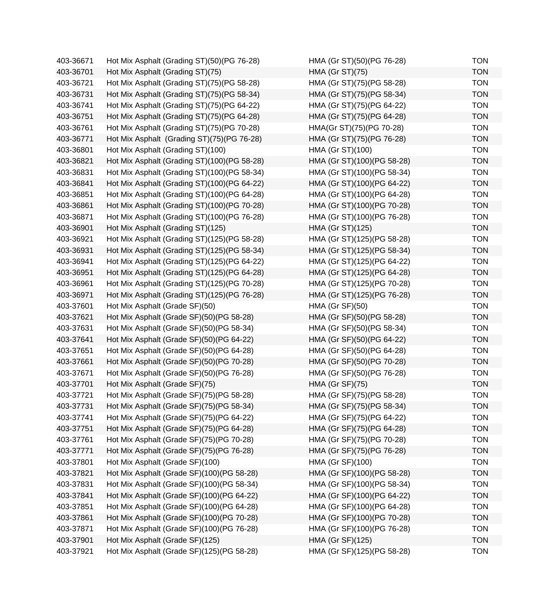| 403-36671 | Hot Mix Asphalt (Grading ST)(50)(PG 76-28)  | HMA (Gr ST)(50)(PG 76-28)  | <b>TON</b> |
|-----------|---------------------------------------------|----------------------------|------------|
| 403-36701 | Hot Mix Asphalt (Grading ST)(75)            | <b>HMA (Gr ST)(75)</b>     | <b>TON</b> |
| 403-36721 | Hot Mix Asphalt (Grading ST)(75)(PG 58-28)  | HMA (Gr ST)(75)(PG 58-28)  | <b>TON</b> |
| 403-36731 | Hot Mix Asphalt (Grading ST)(75)(PG 58-34)  | HMA (Gr ST)(75)(PG 58-34)  | <b>TON</b> |
| 403-36741 | Hot Mix Asphalt (Grading ST)(75)(PG 64-22)  | HMA (Gr ST)(75)(PG 64-22)  | <b>TON</b> |
| 403-36751 | Hot Mix Asphalt (Grading ST)(75)(PG 64-28)  | HMA (Gr ST)(75)(PG 64-28)  | <b>TON</b> |
| 403-36761 | Hot Mix Asphalt (Grading ST)(75)(PG 70-28)  | HMA(Gr ST)(75)(PG 70-28)   | <b>TON</b> |
| 403-36771 | Hot Mix Asphalt (Grading ST)(75)(PG 76-28)  | HMA (Gr ST)(75)(PG 76-28)  | <b>TON</b> |
| 403-36801 | Hot Mix Asphalt (Grading ST)(100)           | HMA (Gr ST)(100)           | <b>TON</b> |
| 403-36821 | Hot Mix Asphalt (Grading ST)(100)(PG 58-28) | HMA (Gr ST)(100)(PG 58-28) | <b>TON</b> |
| 403-36831 | Hot Mix Asphalt (Grading ST)(100)(PG 58-34) | HMA (Gr ST)(100)(PG 58-34) | <b>TON</b> |
| 403-36841 | Hot Mix Asphalt (Grading ST)(100)(PG 64-22) | HMA (Gr ST)(100)(PG 64-22) | <b>TON</b> |
| 403-36851 | Hot Mix Asphalt (Grading ST)(100)(PG 64-28) | HMA (Gr ST)(100)(PG 64-28) | <b>TON</b> |
| 403-36861 | Hot Mix Asphalt (Grading ST)(100)(PG 70-28) | HMA (Gr ST)(100)(PG 70-28) | <b>TON</b> |
| 403-36871 | Hot Mix Asphalt (Grading ST)(100)(PG 76-28) | HMA (Gr ST)(100)(PG 76-28) | <b>TON</b> |
| 403-36901 | Hot Mix Asphalt (Grading ST)(125)           | HMA (Gr ST)(125)           | <b>TON</b> |
| 403-36921 | Hot Mix Asphalt (Grading ST)(125)(PG 58-28) | HMA (Gr ST)(125)(PG 58-28) | <b>TON</b> |
| 403-36931 | Hot Mix Asphalt (Grading ST)(125)(PG 58-34) | HMA (Gr ST)(125)(PG 58-34) | <b>TON</b> |
| 403-36941 | Hot Mix Asphalt (Grading ST)(125)(PG 64-22) | HMA (Gr ST)(125)(PG 64-22) | <b>TON</b> |
| 403-36951 | Hot Mix Asphalt (Grading ST)(125)(PG 64-28) | HMA (Gr ST)(125)(PG 64-28) | <b>TON</b> |
| 403-36961 | Hot Mix Asphalt (Grading ST)(125)(PG 70-28) | HMA (Gr ST)(125)(PG 70-28) | <b>TON</b> |
| 403-36971 | Hot Mix Asphalt (Grading ST)(125)(PG 76-28) | HMA (Gr ST)(125)(PG 76-28) | <b>TON</b> |
| 403-37601 | Hot Mix Asphalt (Grade SF)(50)              | <b>HMA (Gr SF)(50)</b>     | <b>TON</b> |
| 403-37621 | Hot Mix Asphalt (Grade SF)(50)(PG 58-28)    | HMA (Gr SF)(50)(PG 58-28)  | <b>TON</b> |
| 403-37631 | Hot Mix Asphalt (Grade SF)(50)(PG 58-34)    | HMA (Gr SF)(50)(PG 58-34)  | <b>TON</b> |
| 403-37641 | Hot Mix Asphalt (Grade SF)(50)(PG 64-22)    | HMA (Gr SF)(50)(PG 64-22)  | <b>TON</b> |
| 403-37651 | Hot Mix Asphalt (Grade SF)(50)(PG 64-28)    | HMA (Gr SF)(50)(PG 64-28)  | <b>TON</b> |
| 403-37661 | Hot Mix Asphalt (Grade SF)(50)(PG 70-28)    | HMA (Gr SF)(50)(PG 70-28)  | <b>TON</b> |
| 403-37671 | Hot Mix Asphalt (Grade SF)(50)(PG 76-28)    | HMA (Gr SF)(50)(PG 76-28)  | <b>TON</b> |
| 403-37701 | Hot Mix Asphalt (Grade SF)(75)              | <b>HMA (Gr SF)(75)</b>     | <b>TON</b> |
| 403-37721 | Hot Mix Asphalt (Grade SF)(75)(PG 58-28)    | HMA (Gr SF)(75)(PG 58-28)  | <b>TON</b> |
| 403-37731 | Hot Mix Asphalt (Grade SF)(75)(PG 58-34)    | HMA (Gr SF)(75)(PG 58-34)  | <b>TON</b> |
| 403-37741 | Hot Mix Asphalt (Grade SF)(75)(PG 64-22)    | HMA (Gr SF)(75)(PG 64-22)  | <b>TON</b> |
| 403-37751 | Hot Mix Asphalt (Grade SF)(75)(PG 64-28)    | HMA (Gr SF)(75)(PG 64-28)  | <b>TON</b> |
| 403-37761 | Hot Mix Asphalt (Grade SF)(75)(PG 70-28)    | HMA (Gr SF)(75)(PG 70-28)  | <b>TON</b> |
| 403-37771 | Hot Mix Asphalt (Grade SF)(75)(PG 76-28)    | HMA (Gr SF)(75)(PG 76-28)  | <b>TON</b> |
| 403-37801 | Hot Mix Asphalt (Grade SF)(100)             | HMA (Gr SF)(100)           | <b>TON</b> |
| 403-37821 | Hot Mix Asphalt (Grade SF)(100)(PG 58-28)   | HMA (Gr SF)(100)(PG 58-28) | <b>TON</b> |
| 403-37831 | Hot Mix Asphalt (Grade SF)(100)(PG 58-34)   | HMA (Gr SF)(100)(PG 58-34) | <b>TON</b> |
| 403-37841 | Hot Mix Asphalt (Grade SF)(100)(PG 64-22)   | HMA (Gr SF)(100)(PG 64-22) | <b>TON</b> |
| 403-37851 | Hot Mix Asphalt (Grade SF)(100)(PG 64-28)   | HMA (Gr SF)(100)(PG 64-28) | <b>TON</b> |
| 403-37861 | Hot Mix Asphalt (Grade SF)(100)(PG 70-28)   | HMA (Gr SF)(100)(PG 70-28) | <b>TON</b> |
| 403-37871 | Hot Mix Asphalt (Grade SF)(100)(PG 76-28)   | HMA (Gr SF)(100)(PG 76-28) | <b>TON</b> |
| 403-37901 | Hot Mix Asphalt (Grade SF)(125)             | HMA (Gr SF)(125)           | <b>TON</b> |
| 403-37921 | Hot Mix Asphalt (Grade SF)(125)(PG 58-28)   | HMA (Gr SF)(125)(PG 58-28) | <b>TON</b> |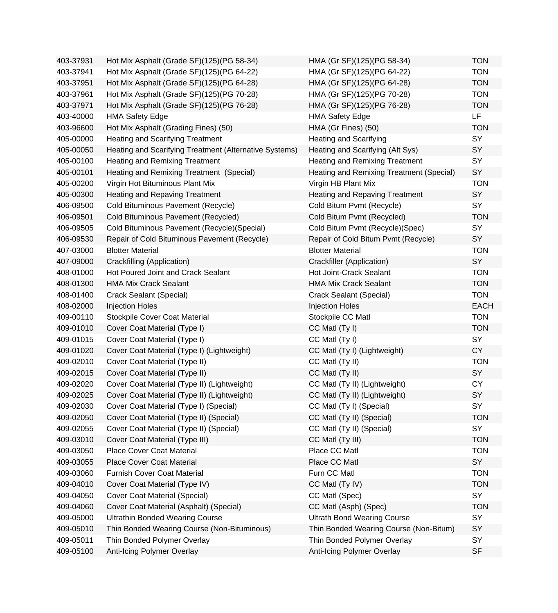| 403-37931 | Hot Mix Asphalt (Grade SF)(125)(PG 58-34)              | HMA (Gr SF)(125)(PG 58-34)               | <b>TON</b>  |
|-----------|--------------------------------------------------------|------------------------------------------|-------------|
| 403-37941 | Hot Mix Asphalt (Grade SF)(125)(PG 64-22)              | HMA (Gr SF)(125)(PG 64-22)               | <b>TON</b>  |
| 403-37951 | Hot Mix Asphalt (Grade SF)(125)(PG 64-28)              | HMA (Gr SF)(125)(PG 64-28)               | <b>TON</b>  |
| 403-37961 | Hot Mix Asphalt (Grade SF)(125)(PG 70-28)              | HMA (Gr SF)(125)(PG 70-28)               | <b>TON</b>  |
| 403-37971 | Hot Mix Asphalt (Grade SF)(125)(PG 76-28)              | HMA (Gr SF)(125)(PG 76-28)               | <b>TON</b>  |
| 403-40000 | <b>HMA Safety Edge</b>                                 | <b>HMA Safety Edge</b>                   | LF          |
| 403-96600 | Hot Mix Asphalt (Grading Fines) (50)                   | HMA (Gr Fines) (50)                      | <b>TON</b>  |
| 405-00000 | Heating and Scarifying Treatment                       | <b>Heating and Scarifying</b>            | SY          |
| 405-00050 | Heating and Scarifying Treatment (Alternative Systems) | Heating and Scarifying (Alt Sys)         | SY          |
| 405-00100 | Heating and Remixing Treatment                         | <b>Heating and Remixing Treatment</b>    | SY          |
| 405-00101 | Heating and Remixing Treatment (Special)               | Heating and Remixing Treatment (Special) | SY          |
| 405-00200 | Virgin Hot Bituminous Plant Mix                        | Virgin HB Plant Mix                      | <b>TON</b>  |
| 405-00300 | <b>Heating and Repaving Treatment</b>                  | <b>Heating and Repaving Treatment</b>    | SY          |
| 406-09500 | Cold Bituminous Pavement (Recycle)                     | Cold Bitum Pvmt (Recycle)                | SY          |
| 406-09501 | Cold Bituminous Pavement (Recycled)                    | Cold Bitum Pvmt (Recycled)               | <b>TON</b>  |
| 406-09505 | Cold Bituminous Pavement (Recycle) (Special)           | Cold Bitum Pvmt (Recycle)(Spec)          | SY          |
| 406-09530 | Repair of Cold Bituminous Pavement (Recycle)           | Repair of Cold Bitum Pvmt (Recycle)      | SY          |
| 407-03000 | <b>Blotter Material</b>                                | <b>Blotter Material</b>                  | <b>TON</b>  |
| 407-09000 | Crackfilling (Application)                             | Crackfiller (Application)                | SY          |
| 408-01000 | Hot Poured Joint and Crack Sealant                     | Hot Joint-Crack Sealant                  | <b>TON</b>  |
| 408-01300 | <b>HMA Mix Crack Sealant</b>                           | <b>HMA Mix Crack Sealant</b>             | <b>TON</b>  |
| 408-01400 | Crack Sealant (Special)                                | Crack Sealant (Special)                  | <b>TON</b>  |
| 408-02000 | <b>Injection Holes</b>                                 | <b>Injection Holes</b>                   | <b>EACH</b> |
| 409-00110 | <b>Stockpile Cover Coat Material</b>                   | Stockpile CC Matl                        | <b>TON</b>  |
| 409-01010 | Cover Coat Material (Type I)                           | CC Matl (Ty I)                           | <b>TON</b>  |
| 409-01015 | Cover Coat Material (Type I)                           | CC Matl (Ty I)                           | SY          |
| 409-01020 | Cover Coat Material (Type I) (Lightweight)             | CC Matl (Ty I) (Lightweight)             | CY          |
| 409-02010 | Cover Coat Material (Type II)                          | CC Matl (Ty II)                          | <b>TON</b>  |
| 409-02015 | Cover Coat Material (Type II)                          | CC Matl (Ty II)                          | SY          |
| 409-02020 | Cover Coat Material (Type II) (Lightweight)            | CC Matl (Ty II) (Lightweight)            | CY          |
| 409-02025 | Cover Coat Material (Type II) (Lightweight)            | CC Matl (Ty II) (Lightweight)            | SY          |
| 409-02030 | Cover Coat Material (Type I) (Special)                 | CC Matl (Ty I) (Special)                 | SY          |
| 409-02050 | Cover Coat Material (Type II) (Special)                | CC Matl (Ty II) (Special)                | <b>TON</b>  |
| 409-02055 | Cover Coat Material (Type II) (Special)                | CC Matl (Ty II) (Special)                | SY          |
| 409-03010 | Cover Coat Material (Type III)                         | CC Matl (Ty III)                         | <b>TON</b>  |
| 409-03050 | <b>Place Cover Coat Material</b>                       | Place CC Matl                            | <b>TON</b>  |
| 409-03055 | Place Cover Coat Material                              | Place CC Matl                            | SY          |
| 409-03060 | <b>Furnish Cover Coat Material</b>                     | Furn CC Matl                             | <b>TON</b>  |
| 409-04010 | Cover Coat Material (Type IV)                          | CC Matl (Ty IV)                          | <b>TON</b>  |
| 409-04050 | <b>Cover Coat Material (Special)</b>                   | CC Matl (Spec)                           | SY          |
| 409-04060 | Cover Coat Material (Asphalt) (Special)                | CC Matl (Asph) (Spec)                    | <b>TON</b>  |
| 409-05000 | <b>Ultrathin Bonded Wearing Course</b>                 | <b>Ultrath Bond Wearing Course</b>       | SY          |
| 409-05010 | Thin Bonded Wearing Course (Non-Bituminous)            | Thin Bonded Wearing Course (Non-Bitum)   | SY          |
| 409-05011 | Thin Bonded Polymer Overlay                            | Thin Bonded Polymer Overlay              | SY          |
| 409-05100 | Anti-Icing Polymer Overlay                             | Anti-Icing Polymer Overlay               | <b>SF</b>   |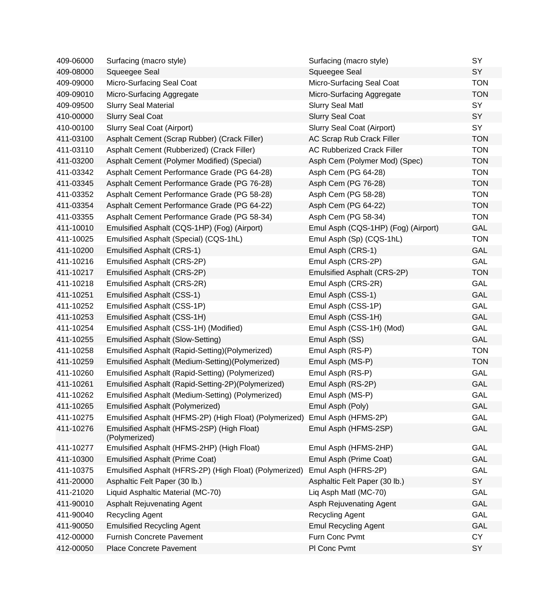| 409-06000 | Surfacing (macro style)                                     | Surfacing (macro style)             | SY         |
|-----------|-------------------------------------------------------------|-------------------------------------|------------|
| 409-08000 | Squeegee Seal                                               | Squeegee Seal                       | SY         |
| 409-09000 | Micro-Surfacing Seal Coat                                   | Micro-Surfacing Seal Coat           | <b>TON</b> |
| 409-09010 | Micro-Surfacing Aggregate                                   | Micro-Surfacing Aggregate           | <b>TON</b> |
| 409-09500 | <b>Slurry Seal Material</b>                                 | <b>Slurry Seal Matl</b>             | SY         |
| 410-00000 | <b>Slurry Seal Coat</b>                                     | <b>Slurry Seal Coat</b>             | SY         |
| 410-00100 | Slurry Seal Coat (Airport)                                  | Slurry Seal Coat (Airport)          | SY         |
| 411-03100 | Asphalt Cement (Scrap Rubber) (Crack Filler)                | AC Scrap Rub Crack Filler           | <b>TON</b> |
| 411-03110 | Asphalt Cement (Rubberized) (Crack Filler)                  | <b>AC Rubberized Crack Filler</b>   | <b>TON</b> |
| 411-03200 | Asphalt Cement (Polymer Modified) (Special)                 | Asph Cem (Polymer Mod) (Spec)       | <b>TON</b> |
| 411-03342 | Asphalt Cement Performance Grade (PG 64-28)                 | Asph Cem (PG 64-28)                 | <b>TON</b> |
| 411-03345 | Asphalt Cement Performance Grade (PG 76-28)                 | Asph Cem (PG 76-28)                 | <b>TON</b> |
| 411-03352 | Asphalt Cement Performance Grade (PG 58-28)                 | Asph Cem (PG 58-28)                 | <b>TON</b> |
| 411-03354 | Asphalt Cement Performance Grade (PG 64-22)                 | Asph Cem (PG 64-22)                 | <b>TON</b> |
| 411-03355 | Asphalt Cement Performance Grade (PG 58-34)                 | Asph Cem (PG 58-34)                 | <b>TON</b> |
| 411-10010 | Emulsified Asphalt (CQS-1HP) (Fog) (Airport)                | Emul Asph (CQS-1HP) (Fog) (Airport) | <b>GAL</b> |
| 411-10025 | Emulsified Asphalt (Special) (CQS-1hL)                      | Emul Asph (Sp) (CQS-1hL)            | <b>TON</b> |
| 411-10200 | <b>Emulsified Asphalt (CRS-1)</b>                           | Emul Asph (CRS-1)                   | <b>GAL</b> |
| 411-10216 | Emulsified Asphalt (CRS-2P)                                 | Emul Asph (CRS-2P)                  | GAL        |
| 411-10217 | Emulsified Asphalt (CRS-2P)                                 | Emulsified Asphalt (CRS-2P)         | <b>TON</b> |
| 411-10218 | Emulsified Asphalt (CRS-2R)                                 | Emul Asph (CRS-2R)                  | GAL        |
| 411-10251 | <b>Emulsified Asphalt (CSS-1)</b>                           | Emul Asph (CSS-1)                   | <b>GAL</b> |
| 411-10252 | Emulsified Asphalt (CSS-1P)                                 | Emul Asph (CSS-1P)                  | GAL        |
| 411-10253 | Emulsified Asphalt (CSS-1H)                                 | Emul Asph (CSS-1H)                  | <b>GAL</b> |
| 411-10254 | Emulsified Asphalt (CSS-1H) (Modified)                      | Emul Asph (CSS-1H) (Mod)            | GAL        |
| 411-10255 | <b>Emulsified Asphalt (Slow-Setting)</b>                    | Emul Asph (SS)                      | GAL        |
| 411-10258 | Emulsified Asphalt (Rapid-Setting)(Polymerized)             | Emul Asph (RS-P)                    | <b>TON</b> |
| 411-10259 | Emulsified Asphalt (Medium-Setting)(Polymerized)            | Emul Asph (MS-P)                    | <b>TON</b> |
| 411-10260 | Emulsified Asphalt (Rapid-Setting) (Polymerized)            | Emul Asph (RS-P)                    | GAL        |
| 411-10261 | Emulsified Asphalt (Rapid-Setting-2P)(Polymerized)          | Emul Asph (RS-2P)                   | <b>GAL</b> |
| 411-10262 | Emulsified Asphalt (Medium-Setting) (Polymerized)           | Emul Asph (MS-P)                    | <b>GAL</b> |
| 411-10265 | <b>Emulsified Asphalt (Polymerized)</b>                     | Emul Asph (Poly)                    | GAL        |
| 411-10275 | Emulsified Asphalt (HFMS-2P) (High Float) (Polymerized)     | Emul Asph (HFMS-2P)                 | GAL        |
| 411-10276 | Emulsified Asphalt (HFMS-2SP) (High Float)<br>(Polymerized) | Emul Asph (HFMS-2SP)                | <b>GAL</b> |
| 411-10277 | Emulsified Asphalt (HFMS-2HP) (High Float)                  | Emul Asph (HFMS-2HP)                | GAL        |
| 411-10300 | <b>Emulsified Asphalt (Prime Coat)</b>                      | Emul Asph (Prime Coat)              | <b>GAL</b> |
| 411-10375 | Emulsified Asphalt (HFRS-2P) (High Float) (Polymerized)     | Emul Asph (HFRS-2P)                 | GAL        |
| 411-20000 | Asphaltic Felt Paper (30 lb.)                               | Asphaltic Felt Paper (30 lb.)       | SY         |
| 411-21020 | Liquid Asphaltic Material (MC-70)                           | Liq Asph Matl (MC-70)               | GAL        |
| 411-90010 | <b>Asphalt Rejuvenating Agent</b>                           | Asph Rejuvenating Agent             | <b>GAL</b> |
| 411-90040 | <b>Recycling Agent</b>                                      | <b>Recycling Agent</b>              | GAL        |
| 411-90050 | <b>Emulsified Recycling Agent</b>                           | <b>Emul Recycling Agent</b>         | GAL        |
| 412-00000 | Furnish Concrete Pavement                                   | Furn Conc Pvmt                      | CY         |
| 412-00050 | Place Concrete Pavement                                     | PI Conc Pvmt                        | SY         |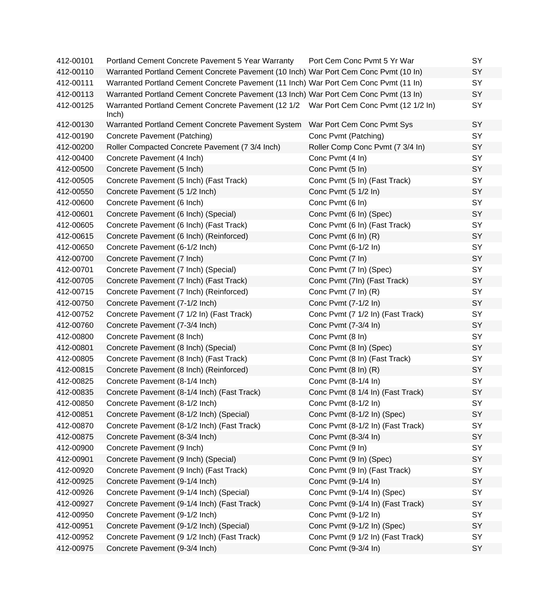| 412-00101 | Portland Cement Concrete Pavement 5 Year Warranty                                               | Port Cem Conc Pvmt 5 Yr War       | <b>SY</b> |
|-----------|-------------------------------------------------------------------------------------------------|-----------------------------------|-----------|
| 412-00110 | Warranted Portland Cement Concrete Pavement (10 Inch) War Port Cem Conc Pvmt (10 In)            |                                   | SY        |
| 412-00111 | Warranted Portland Cement Concrete Pavement (11 Inch) War Port Cem Conc Pvmt (11 In)            |                                   | SY        |
| 412-00113 | Warranted Portland Cement Concrete Pavement (13 Inch) War Port Cem Conc Pvmt (13 In)            |                                   | SY        |
| 412-00125 | Warranted Portland Cement Concrete Pavement (12 1/2 War Port Cem Conc Pvmt (12 1/2 In)<br>lnch) |                                   | SY        |
| 412-00130 | Warranted Portland Cement Concrete Pavement System                                              | War Port Cem Conc Pvmt Sys        | SY        |
| 412-00190 | Concrete Pavement (Patching)                                                                    | Conc Pvmt (Patching)              | SY        |
| 412-00200 | Roller Compacted Concrete Pavement (7 3/4 Inch)                                                 | Roller Comp Conc Pvmt (7 3/4 In)  | SY        |
| 412-00400 | Concrete Pavement (4 Inch)                                                                      | Conc Pvmt (4 In)                  | SY        |
| 412-00500 | Concrete Pavement (5 Inch)                                                                      | Conc Pvmt (5 In)                  | SY        |
| 412-00505 | Concrete Pavement (5 Inch) (Fast Track)                                                         | Conc Pvmt (5 In) (Fast Track)     | SY        |
| 412-00550 | Concrete Pavement (5 1/2 Inch)                                                                  | Conc Pvmt (5 1/2 ln)              | SY        |
| 412-00600 | Concrete Pavement (6 Inch)                                                                      | Conc Pvmt (6 In)                  | SY        |
| 412-00601 | Concrete Pavement (6 Inch) (Special)                                                            | Conc Pvmt (6 In) (Spec)           | SY        |
| 412-00605 | Concrete Pavement (6 Inch) (Fast Track)                                                         | Conc Pvmt (6 In) (Fast Track)     | SY        |
| 412-00615 | Concrete Pavement (6 Inch) (Reinforced)                                                         | Conc Pvmt (6 In) (R)              | SY        |
| 412-00650 | Concrete Pavement (6-1/2 Inch)                                                                  | Conc Pvmt (6-1/2 In)              | SY        |
| 412-00700 | Concrete Pavement (7 Inch)                                                                      | Conc Pvmt (7 In)                  | SY        |
| 412-00701 | Concrete Pavement (7 Inch) (Special)                                                            | Conc Pvmt (7 In) (Spec)           | SY        |
| 412-00705 | Concrete Pavement (7 Inch) (Fast Track)                                                         | Conc Pvmt (7In) (Fast Track)      | SY        |
| 412-00715 | Concrete Pavement (7 Inch) (Reinforced)                                                         | Conc Pvmt (7 In) (R)              | SY        |
| 412-00750 | Concrete Pavement (7-1/2 Inch)                                                                  | Conc Pvmt (7-1/2 In)              | SY        |
| 412-00752 | Concrete Pavement (7 1/2 In) (Fast Track)                                                       | Conc Pvmt (7 1/2 In) (Fast Track) | SY        |
| 412-00760 | Concrete Pavement (7-3/4 Inch)                                                                  | Conc Pvmt (7-3/4 In)              | SY        |
| 412-00800 | Concrete Pavement (8 Inch)                                                                      | Conc Pvmt (8 In)                  | SY        |
| 412-00801 | Concrete Pavement (8 Inch) (Special)                                                            | Conc Pvmt (8 In) (Spec)           | SY        |
| 412-00805 | Concrete Pavement (8 Inch) (Fast Track)                                                         | Conc Pvmt (8 In) (Fast Track)     | SY        |
| 412-00815 | Concrete Pavement (8 Inch) (Reinforced)                                                         | Conc Pvmt (8 In) (R)              | SY        |
| 412-00825 | Concrete Pavement (8-1/4 Inch)                                                                  | Conc Pvmt (8-1/4 In)              | SY        |
| 412-00835 | Concrete Pavement (8-1/4 Inch) (Fast Track)                                                     | Conc Pvmt (8 1/4 In) (Fast Track) | SY        |
| 412-00850 | Concrete Pavement (8-1/2 Inch)                                                                  | Conc Pvmt (8-1/2 In)              | SY        |
| 412-00851 | Concrete Pavement (8-1/2 Inch) (Special)                                                        | Conc Pvmt (8-1/2 In) (Spec)       | SY        |
| 412-00870 | Concrete Pavement (8-1/2 Inch) (Fast Track)                                                     | Conc Pvmt (8-1/2 In) (Fast Track) | SY        |
| 412-00875 | Concrete Pavement (8-3/4 Inch)                                                                  | Conc Pvmt (8-3/4 In)              | SY        |
| 412-00900 | Concrete Pavement (9 Inch)                                                                      | Conc Pvmt (9 In)                  | SY        |
| 412-00901 | Concrete Pavement (9 Inch) (Special)                                                            | Conc Pvmt (9 In) (Spec)           | SY        |
| 412-00920 | Concrete Pavement (9 Inch) (Fast Track)                                                         | Conc Pvmt (9 In) (Fast Track)     | SY        |
| 412-00925 | Concrete Pavement (9-1/4 Inch)                                                                  | Conc Pvmt (9-1/4 In)              | SY        |
| 412-00926 | Concrete Pavement (9-1/4 Inch) (Special)                                                        | Conc Pvmt (9-1/4 In) (Spec)       | SY        |
| 412-00927 | Concrete Pavement (9-1/4 Inch) (Fast Track)                                                     | Conc Pvmt (9-1/4 In) (Fast Track) | SY        |
| 412-00950 | Concrete Pavement (9-1/2 Inch)                                                                  | Conc Pvmt (9-1/2 In)              | SY        |
| 412-00951 | Concrete Pavement (9-1/2 Inch) (Special)                                                        | Conc Pvmt (9-1/2 In) (Spec)       | SY        |
| 412-00952 | Concrete Pavement (9 1/2 Inch) (Fast Track)                                                     | Conc Pvmt (9 1/2 In) (Fast Track) | SY        |
| 412-00975 | Concrete Pavement (9-3/4 Inch)                                                                  | Conc Pvmt (9-3/4 In)              | SY        |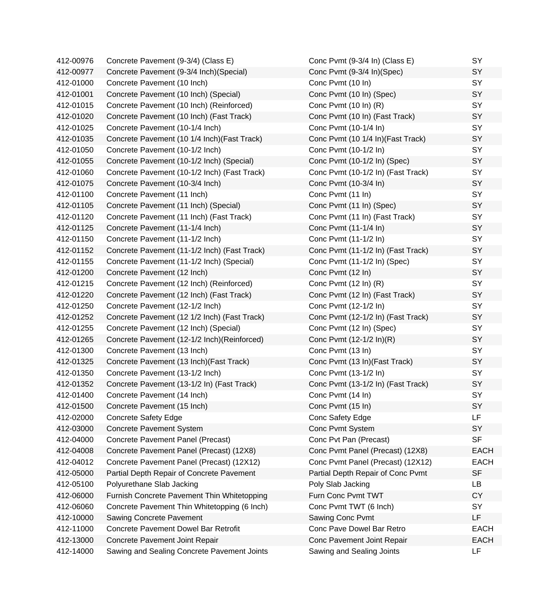| 412-00976 | Concrete Pavement (9-3/4) (Class E)          | Conc Pvmt (9-3/4 In) (Class E)     | SY          |
|-----------|----------------------------------------------|------------------------------------|-------------|
| 412-00977 | Concrete Pavement (9-3/4 Inch)(Special)      | Conc Pvmt (9-3/4 In)(Spec)         | SY          |
| 412-01000 | Concrete Pavement (10 Inch)                  | Conc Pvmt (10 In)                  | SY          |
| 412-01001 | Concrete Pavement (10 Inch) (Special)        | Conc Pvmt (10 In) (Spec)           | SY          |
| 412-01015 | Concrete Pavement (10 Inch) (Reinforced)     | Conc Pvmt (10 In) (R)              | SY          |
| 412-01020 | Concrete Pavement (10 Inch) (Fast Track)     | Conc Pvmt (10 In) (Fast Track)     | SY          |
| 412-01025 | Concrete Pavement (10-1/4 Inch)              | Conc Pvmt (10-1/4 In)              | SY          |
| 412-01035 | Concrete Pavement (10 1/4 Inch) (Fast Track) | Conc Pvmt (10 1/4 In) (Fast Track) | SY          |
| 412-01050 | Concrete Pavement (10-1/2 Inch)              | Conc Pvmt (10-1/2 In)              | SY          |
| 412-01055 | Concrete Pavement (10-1/2 Inch) (Special)    | Conc Pvmt (10-1/2 In) (Spec)       | SY          |
| 412-01060 | Concrete Pavement (10-1/2 Inch) (Fast Track) | Conc Pvmt (10-1/2 In) (Fast Track) | SY          |
| 412-01075 | Concrete Pavement (10-3/4 Inch)              | Conc Pvmt (10-3/4 In)              | SY          |
| 412-01100 | Concrete Pavement (11 Inch)                  | Conc Pvmt (11 In)                  | SY          |
| 412-01105 | Concrete Pavement (11 Inch) (Special)        | Conc Pvmt (11 In) (Spec)           | SY          |
| 412-01120 | Concrete Pavement (11 Inch) (Fast Track)     | Conc Pvmt (11 In) (Fast Track)     | SY          |
| 412-01125 | Concrete Pavement (11-1/4 Inch)              | Conc Pvmt (11-1/4 In)              | SY          |
| 412-01150 | Concrete Pavement (11-1/2 Inch)              | Conc Pvmt (11-1/2 In)              | SY          |
| 412-01152 | Concrete Pavement (11-1/2 Inch) (Fast Track) | Conc Pvmt (11-1/2 In) (Fast Track) | SY          |
| 412-01155 | Concrete Pavement (11-1/2 Inch) (Special)    | Conc Pvmt (11-1/2 In) (Spec)       | SY          |
| 412-01200 | Concrete Pavement (12 Inch)                  | Conc Pvmt (12 In)                  | SY          |
| 412-01215 | Concrete Pavement (12 Inch) (Reinforced)     | Conc Pvmt (12 In) (R)              | SY          |
| 412-01220 | Concrete Pavement (12 Inch) (Fast Track)     | Conc Pvmt (12 In) (Fast Track)     | SY          |
| 412-01250 | Concrete Pavement (12-1/2 Inch)              | Conc Pvmt (12-1/2 In)              | SY          |
| 412-01252 | Concrete Pavement (12 1/2 Inch) (Fast Track) | Conc Pvmt (12-1/2 In) (Fast Track) | SY          |
| 412-01255 | Concrete Pavement (12 Inch) (Special)        | Conc Pvmt (12 In) (Spec)           | SY          |
| 412-01265 | Concrete Pavement (12-1/2 Inch) (Reinforced) | Conc Pvmt (12-1/2 In)(R)           | SY          |
| 412-01300 | Concrete Pavement (13 Inch)                  | Conc Pvmt (13 In)                  | SY          |
| 412-01325 | Concrete Pavement (13 Inch) (Fast Track)     | Conc Pvmt (13 In) (Fast Track)     | SY          |
| 412-01350 | Concrete Pavement (13-1/2 Inch)              | Conc Pvmt (13-1/2 In)              | SY          |
| 412-01352 | Concrete Pavement (13-1/2 In) (Fast Track)   | Conc Pvmt (13-1/2 In) (Fast Track) | SY          |
| 412-01400 | Concrete Pavement (14 Inch)                  | Conc Pvmt (14 In)                  | SY          |
| 412-01500 | Concrete Pavement (15 Inch)                  | Conc Pvmt (15 In)                  | SY          |
| 412-02000 | <b>Concrete Safety Edge</b>                  | Conc Safety Edge                   | LF          |
| 412-03000 | <b>Concrete Pavement System</b>              | Conc Pvmt System                   | SY          |
| 412-04000 | Concrete Pavement Panel (Precast)            | Conc Pvt Pan (Precast)             | <b>SF</b>   |
| 412-04008 | Concrete Pavement Panel (Precast) (12X8)     | Conc Pvmt Panel (Precast) (12X8)   | <b>EACH</b> |
| 412-04012 | Concrete Pavement Panel (Precast) (12X12)    | Conc Pvmt Panel (Precast) (12X12)  | <b>EACH</b> |
| 412-05000 | Partial Depth Repair of Concrete Pavement    | Partial Depth Repair of Conc Pvmt  | <b>SF</b>   |
| 412-05100 | Polyurethane Slab Jacking                    | Poly Slab Jacking                  | LB          |
| 412-06000 | Furnish Concrete Pavement Thin Whitetopping  | Furn Conc Pvmt TWT                 | <b>CY</b>   |
| 412-06060 | Concrete Pavement Thin Whitetopping (6 Inch) | Conc Pvmt TWT (6 Inch)             | <b>SY</b>   |
| 412-10000 | <b>Sawing Concrete Pavement</b>              | Sawing Conc Pvmt                   | LF          |
| 412-11000 | <b>Concrete Pavement Dowel Bar Retrofit</b>  | Conc Pave Dowel Bar Retro          | <b>EACH</b> |
| 412-13000 | Concrete Pavement Joint Repair               | Conc Pavement Joint Repair         | <b>EACH</b> |
| 412-14000 | Sawing and Sealing Concrete Pavement Joints  | Sawing and Sealing Joints          | LF          |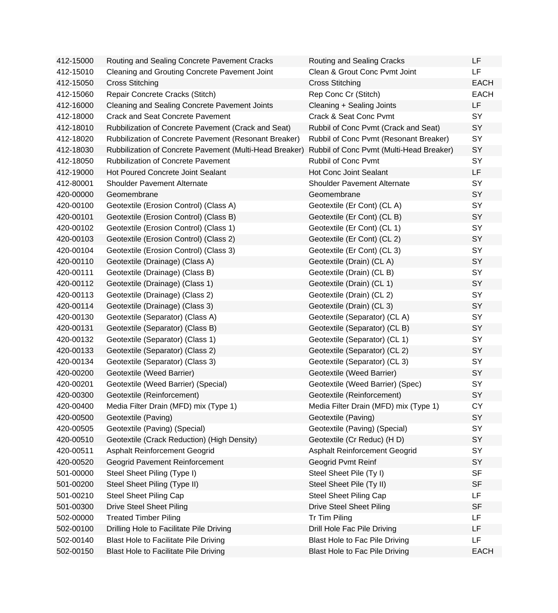| 412-15000 | Routing and Sealing Concrete Pavement Cracks            | Routing and Sealing Cracks               | LF          |
|-----------|---------------------------------------------------------|------------------------------------------|-------------|
| 412-15010 | <b>Cleaning and Grouting Concrete Pavement Joint</b>    | Clean & Grout Conc Pvmt Joint            | LF.         |
| 412-15050 | <b>Cross Stitching</b>                                  | <b>Cross Stitching</b>                   | <b>EACH</b> |
| 412-15060 | Repair Concrete Cracks (Stitch)                         | Rep Conc Cr (Stitch)                     | <b>EACH</b> |
| 412-16000 | <b>Cleaning and Sealing Concrete Pavement Joints</b>    | Cleaning + Sealing Joints                | LF          |
| 412-18000 | <b>Crack and Seat Concrete Pavement</b>                 | Crack & Seat Conc Pvmt                   | SY          |
| 412-18010 | Rubbilization of Concrete Pavement (Crack and Seat)     | Rubbil of Conc Pvmt (Crack and Seat)     | SY          |
| 412-18020 | Rubbilization of Concrete Pavement (Resonant Breaker)   | Rubbil of Conc Pvmt (Resonant Breaker)   | SY          |
| 412-18030 | Rubbilization of Concrete Pavement (Multi-Head Breaker) | Rubbil of Conc Pvmt (Multi-Head Breaker) | SY          |
| 412-18050 | <b>Rubbilization of Concrete Pavement</b>               | Rubbil of Conc Pvmt                      | SY          |
| 412-19000 | Hot Poured Concrete Joint Sealant                       | <b>Hot Conc Joint Sealant</b>            | LF          |
| 412-80001 | <b>Shoulder Pavement Alternate</b>                      | Shoulder Pavement Alternate              | SY          |
| 420-00000 | Geomembrane                                             | Geomembrane                              | SY          |
| 420-00100 | Geotextile (Erosion Control) (Class A)                  | Geotextile (Er Cont) (CL A)              | SY          |
| 420-00101 | Geotextile (Erosion Control) (Class B)                  | Geotextile (Er Cont) (CL B)              | SY          |
| 420-00102 | Geotextile (Erosion Control) (Class 1)                  | Geotextile (Er Cont) (CL 1)              | SY          |
| 420-00103 | Geotextile (Erosion Control) (Class 2)                  | Geotextile (Er Cont) (CL 2)              | SY          |
| 420-00104 | Geotextile (Erosion Control) (Class 3)                  | Geotextile (Er Cont) (CL 3)              | SY          |
| 420-00110 | Geotextile (Drainage) (Class A)                         | Geotextile (Drain) (CL A)                | SY          |
| 420-00111 | Geotextile (Drainage) (Class B)                         | Geotextile (Drain) (CL B)                | SY          |
| 420-00112 | Geotextile (Drainage) (Class 1)                         | Geotextile (Drain) (CL 1)                | SY          |
| 420-00113 | Geotextile (Drainage) (Class 2)                         | Geotextile (Drain) (CL 2)                | SY          |
| 420-00114 | Geotextile (Drainage) (Class 3)                         | Geotextile (Drain) (CL 3)                | SY          |
| 420-00130 | Geotextile (Separator) (Class A)                        | Geotextile (Separator) (CL A)            | <b>SY</b>   |
| 420-00131 | Geotextile (Separator) (Class B)                        | Geotextile (Separator) (CL B)            | SY          |
| 420-00132 | Geotextile (Separator) (Class 1)                        | Geotextile (Separator) (CL 1)            | SY          |
| 420-00133 | Geotextile (Separator) (Class 2)                        | Geotextile (Separator) (CL 2)            | SY          |
| 420-00134 | Geotextile (Separator) (Class 3)                        | Geotextile (Separator) (CL 3)            | SY          |
| 420-00200 | Geotextile (Weed Barrier)                               | Geotextile (Weed Barrier)                | SY          |
| 420-00201 | Geotextile (Weed Barrier) (Special)                     | Geotextile (Weed Barrier) (Spec)         | SY          |
| 420-00300 | Geotextile (Reinforcement)                              | Geotextile (Reinforcement)               | SY          |
| 420-00400 | Media Filter Drain (MFD) mix (Type 1)                   | Media Filter Drain (MFD) mix (Type 1)    | СY          |
| 420-00500 | Geotextile (Paving)                                     | Geotextile (Paving)                      | SY          |
| 420-00505 | Geotextile (Paving) (Special)                           | Geotextile (Paving) (Special)            | SY          |
| 420-00510 | Geotextile (Crack Reduction) (High Density)             | Geotextile (Cr Reduc) (HD)               | SY          |
| 420-00511 | Asphalt Reinforcement Geogrid                           | Asphalt Reinforcement Geogrid            | <b>SY</b>   |
| 420-00520 | Geogrid Pavement Reinforcement                          | Geogrid Pvmt Reinf                       | SY          |
| 501-00000 | Steel Sheet Piling (Type I)                             | Steel Sheet Pile (Ty I)                  | <b>SF</b>   |
| 501-00200 | Steel Sheet Piling (Type II)                            | Steel Sheet Pile (Ty II)                 | <b>SF</b>   |
| 501-00210 | <b>Steel Sheet Piling Cap</b>                           | <b>Steel Sheet Piling Cap</b>            | <b>LF</b>   |
| 501-00300 | <b>Drive Steel Sheet Piling</b>                         | <b>Drive Steel Sheet Piling</b>          | <b>SF</b>   |
| 502-00000 | <b>Treated Timber Piling</b>                            | Tr Tim Piling                            | LF          |
| 502-00100 | Drilling Hole to Facilitate Pile Driving                | Drill Hole Fac Pile Driving              | LF          |
| 502-00140 | Blast Hole to Facilitate Pile Driving                   | Blast Hole to Fac Pile Driving           | LF          |
| 502-00150 | <b>Blast Hole to Facilitate Pile Driving</b>            | Blast Hole to Fac Pile Driving           | <b>EACH</b> |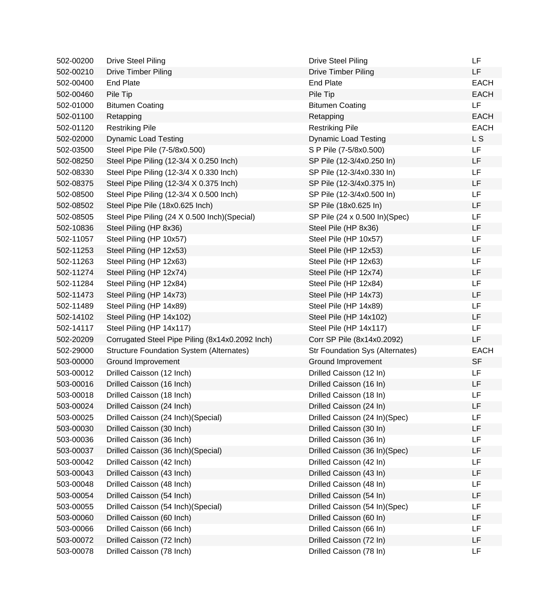| 502-00200 | <b>Drive Steel Piling</b>                       | <b>Drive Steel Piling</b>              | LF             |
|-----------|-------------------------------------------------|----------------------------------------|----------------|
| 502-00210 | <b>Drive Timber Piling</b>                      | <b>Drive Timber Piling</b>             | LF             |
| 502-00400 | <b>End Plate</b>                                | <b>End Plate</b>                       | <b>EACH</b>    |
| 502-00460 | Pile Tip                                        | Pile Tip                               | <b>EACH</b>    |
| 502-01000 | <b>Bitumen Coating</b>                          | <b>Bitumen Coating</b>                 | LF             |
| 502-01100 | Retapping                                       | Retapping                              | <b>EACH</b>    |
| 502-01120 | <b>Restriking Pile</b>                          | <b>Restriking Pile</b>                 | <b>EACH</b>    |
| 502-02000 | <b>Dynamic Load Testing</b>                     | <b>Dynamic Load Testing</b>            | L <sub>S</sub> |
| 502-03500 | Steel Pipe Pile (7-5/8x0.500)                   | S P Pile (7-5/8x0.500)                 | LF             |
| 502-08250 | Steel Pipe Piling (12-3/4 X 0.250 Inch)         | SP Pile (12-3/4x0.250 In)              | LF             |
| 502-08330 | Steel Pipe Piling (12-3/4 X 0.330 Inch)         | SP Pile (12-3/4x0.330 In)              | LF             |
| 502-08375 | Steel Pipe Piling (12-3/4 X 0.375 Inch)         | SP Pile (12-3/4x0.375 In)              | LF             |
| 502-08500 | Steel Pipe Piling (12-3/4 X 0.500 Inch)         | SP Pile (12-3/4x0.500 ln)              | LF             |
| 502-08502 | Steel Pipe Pile (18x0.625 Inch)                 | SP Pile (18x0.625 In)                  | LF             |
| 502-08505 | Steel Pipe Piling (24 X 0.500 Inch) (Special)   | SP Pile (24 x 0.500 ln)(Spec)          | LF             |
| 502-10836 | Steel Piling (HP 8x36)                          | Steel Pile (HP 8x36)                   | LF             |
| 502-11057 | Steel Piling (HP 10x57)                         | Steel Pile (HP 10x57)                  | LF             |
| 502-11253 | Steel Piling (HP 12x53)                         | Steel Pile (HP 12x53)                  | LF             |
| 502-11263 | Steel Piling (HP 12x63)                         | Steel Pile (HP 12x63)                  | LF             |
| 502-11274 | Steel Piling (HP 12x74)                         | Steel Pile (HP 12x74)                  | LF             |
| 502-11284 | Steel Piling (HP 12x84)                         | Steel Pile (HP 12x84)                  | LF             |
| 502-11473 | Steel Piling (HP 14x73)                         | Steel Pile (HP 14x73)                  | LF             |
| 502-11489 | Steel Piling (HP 14x89)                         | Steel Pile (HP 14x89)                  | LF             |
| 502-14102 | Steel Piling (HP 14x102)                        | Steel Pile (HP 14x102)                 | LF             |
| 502-14117 | Steel Piling (HP 14x117)                        | Steel Pile (HP 14x117)                 | LF             |
| 502-20209 | Corrugated Steel Pipe Piling (8x14x0.2092 Inch) | Corr SP Pile (8x14x0.2092)             | LF             |
| 502-29000 | <b>Structure Foundation System (Alternates)</b> | <b>Str Foundation Sys (Alternates)</b> | <b>EACH</b>    |
| 503-00000 | Ground Improvement                              | Ground Improvement                     | <b>SF</b>      |
| 503-00012 | Drilled Caisson (12 Inch)                       | Drilled Caisson (12 In)                | LF             |
| 503-00016 | Drilled Caisson (16 Inch)                       | Drilled Caisson (16 In)                | LF             |
| 503-00018 | Drilled Caisson (18 Inch)                       | Drilled Caisson (18 In)                | LF             |
| 503-00024 | Drilled Caisson (24 Inch)                       | Drilled Caisson (24 In)                | LF             |
| 503-00025 | Drilled Caisson (24 Inch) (Special)             | Drilled Caisson (24 In)(Spec)          | LF             |
| 503-00030 | Drilled Caisson (30 Inch)                       | Drilled Caisson (30 In)                | LF             |
| 503-00036 | Drilled Caisson (36 Inch)                       | Drilled Caisson (36 In)                | LF             |
| 503-00037 | Drilled Caisson (36 Inch) (Special)             | Drilled Caisson (36 In)(Spec)          | LF             |
| 503-00042 | Drilled Caisson (42 Inch)                       | Drilled Caisson (42 In)                | LF             |
| 503-00043 | Drilled Caisson (43 Inch)                       | Drilled Caisson (43 In)                | LF             |
| 503-00048 | Drilled Caisson (48 Inch)                       | Drilled Caisson (48 In)                | LF             |
| 503-00054 | Drilled Caisson (54 Inch)                       | Drilled Caisson (54 In)                | LF             |
| 503-00055 | Drilled Caisson (54 Inch) (Special)             | Drilled Caisson (54 In)(Spec)          | LF             |
| 503-00060 | Drilled Caisson (60 Inch)                       | Drilled Caisson (60 In)                | LF             |
| 503-00066 | Drilled Caisson (66 Inch)                       | Drilled Caisson (66 In)                | LF             |
| 503-00072 | Drilled Caisson (72 Inch)                       | Drilled Caisson (72 In)                | LF             |
| 503-00078 | Drilled Caisson (78 Inch)                       | Drilled Caisson (78 In)                | LF             |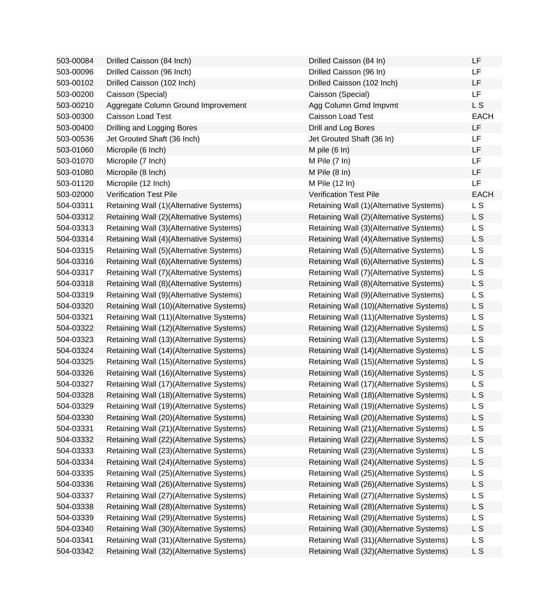| 503-00084 | Drilled Caisson (84 Inch)                | Drilled Caisson (84 In)                  | LF             |
|-----------|------------------------------------------|------------------------------------------|----------------|
| 503-00096 | Drilled Caisson (96 Inch)                | Drilled Caisson (96 In)                  | LF             |
| 503-00102 | Drilled Caisson (102 Inch)               | Drilled Caisson (102 Inch)               | LF             |
| 503-00200 | Caisson (Special)                        | Caisson (Special)                        | LF             |
| 503-00210 | Aggregate Column Ground Improvement      | Agg Column Grnd Impvmt                   | L S            |
| 503-00300 | Caisson Load Test                        | Caisson Load Test                        | <b>EACH</b>    |
| 503-00400 | Drilling and Logging Bores               | Drill and Log Bores                      | LF             |
| 503-00536 | Jet Grouted Shaft (36 Inch)              | Jet Grouted Shaft (36 In)                | LF             |
| 503-01060 | Micropile (6 Inch)                       | M pile $(6 \ln)$                         | LF             |
| 503-01070 | Micropile (7 Inch)                       | M Pile (7 In)                            | LF             |
| 503-01080 | Micropile (8 Inch)                       | M Pile $(8 \ln)$                         | LF             |
| 503-01120 | Micropile (12 Inch)                      | M Pile (12 In)                           | LF             |
| 503-02000 | <b>Verification Test Pile</b>            | <b>Verification Test Pile</b>            | <b>EACH</b>    |
| 504-03311 | Retaining Wall (1)(Alternative Systems)  | Retaining Wall (1)(Alternative Systems)  | L S            |
| 504-03312 | Retaining Wall (2)(Alternative Systems)  | Retaining Wall (2)(Alternative Systems)  | L S            |
| 504-03313 | Retaining Wall (3)(Alternative Systems)  | Retaining Wall (3)(Alternative Systems)  | L S            |
| 504-03314 | Retaining Wall (4)(Alternative Systems)  | Retaining Wall (4)(Alternative Systems)  | L S            |
| 504-03315 | Retaining Wall (5)(Alternative Systems)  | Retaining Wall (5)(Alternative Systems)  | L S            |
| 504-03316 | Retaining Wall (6)(Alternative Systems)  | Retaining Wall (6)(Alternative Systems)  | L S            |
| 504-03317 | Retaining Wall (7) (Alternative Systems) | Retaining Wall (7) (Alternative Systems) | L S            |
| 504-03318 | Retaining Wall (8)(Alternative Systems)  | Retaining Wall (8)(Alternative Systems)  | L S            |
| 504-03319 | Retaining Wall (9)(Alternative Systems)  | Retaining Wall (9)(Alternative Systems)  | L S            |
| 504-03320 | Retaining Wall (10)(Alternative Systems) | Retaining Wall (10)(Alternative Systems) | L S            |
| 504-03321 | Retaining Wall (11)(Alternative Systems) | Retaining Wall (11)(Alternative Systems) | L S            |
| 504-03322 | Retaining Wall (12)(Alternative Systems) | Retaining Wall (12)(Alternative Systems) | L S            |
| 504-03323 | Retaining Wall (13)(Alternative Systems) | Retaining Wall (13)(Alternative Systems) | L S            |
| 504-03324 | Retaining Wall (14)(Alternative Systems) | Retaining Wall (14)(Alternative Systems) | L S            |
| 504-03325 | Retaining Wall (15)(Alternative Systems) | Retaining Wall (15)(Alternative Systems) | L S            |
| 504-03326 | Retaining Wall (16)(Alternative Systems) | Retaining Wall (16)(Alternative Systems) | L S            |
| 504-03327 | Retaining Wall (17)(Alternative Systems) | Retaining Wall (17)(Alternative Systems) | L S            |
| 504-03328 | Retaining Wall (18)(Alternative Systems) | Retaining Wall (18)(Alternative Systems) | L S            |
| 504-03329 | Retaining Wall (19)(Alternative Systems) | Retaining Wall (19)(Alternative Systems) | L S            |
| 504-03330 | Retaining Wall (20)(Alternative Systems) | Retaining Wall (20)(Alternative Systems) | L <sub>S</sub> |
| 504-03331 | Retaining Wall (21)(Alternative Systems) | Retaining Wall (21)(Alternative Systems) | L S            |
| 504-03332 | Retaining Wall (22)(Alternative Systems) | Retaining Wall (22)(Alternative Systems) | L S            |
| 504-03333 | Retaining Wall (23)(Alternative Systems) | Retaining Wall (23)(Alternative Systems) | L S            |
| 504-03334 | Retaining Wall (24)(Alternative Systems) | Retaining Wall (24)(Alternative Systems) | L S            |
| 504-03335 | Retaining Wall (25)(Alternative Systems) | Retaining Wall (25)(Alternative Systems) | L <sub>S</sub> |
| 504-03336 | Retaining Wall (26)(Alternative Systems) | Retaining Wall (26)(Alternative Systems) | L S            |
| 504-03337 | Retaining Wall (27)(Alternative Systems) | Retaining Wall (27)(Alternative Systems) | L S            |
| 504-03338 | Retaining Wall (28)(Alternative Systems) | Retaining Wall (28)(Alternative Systems) | L S            |
| 504-03339 | Retaining Wall (29)(Alternative Systems) | Retaining Wall (29)(Alternative Systems) | L S            |
| 504-03340 | Retaining Wall (30)(Alternative Systems) | Retaining Wall (30)(Alternative Systems) | L S            |
| 504-03341 | Retaining Wall (31)(Alternative Systems) | Retaining Wall (31)(Alternative Systems) | L S            |
| 504-03342 | Retaining Wall (32)(Alternative Systems) | Retaining Wall (32)(Alternative Systems) | L S            |

| Drilled Caisson (84 In)                  | LF             |
|------------------------------------------|----------------|
| Drilled Caisson (96 In)                  | LF             |
| Orilled Caisson (102 Inch)               | LF             |
| Caisson (Special)                        | LF             |
| Agg Column Grnd Impvmt                   | L S            |
| Caisson Load Test                        | <b>EACH</b>    |
| <b>Drill and Log Bores</b>               | LF             |
| Jet Grouted Shaft (36 In)                | LF             |
| M pile (6 In)                            | LF             |
| M Pile (7 In)                            | LF             |
| M Pile (8 In)                            | LF             |
| M Pile (12 In)                           | LF             |
| Verification Test Pile                   | <b>EACH</b>    |
| Retaining Wall (1)(Alternative Systems)  | L <sub>S</sub> |
| Retaining Wall (2)(Alternative Systems)  | L S            |
| Retaining Wall (3)(Alternative Systems)  | L <sub>S</sub> |
| Retaining Wall (4)(Alternative Systems)  | L S            |
| Retaining Wall (5)(Alternative Systems)  | L S            |
| Retaining Wall (6)(Alternative Systems)  | L S            |
| Retaining Wall (7)(Alternative Systems)  | L S            |
| Retaining Wall (8)(Alternative Systems)  | L S            |
| Retaining Wall (9)(Alternative Systems)  | L S            |
| Retaining Wall (10)(Alternative Systems) | L S            |
| Retaining Wall (11)(Alternative Systems) | L S            |
| Retaining Wall (12)(Alternative Systems) | L S            |
| Retaining Wall (13)(Alternative Systems) | L S            |
| Retaining Wall (14)(Alternative Systems) | L S            |
| Retaining Wall (15)(Alternative Systems) | L S            |
| Retaining Wall (16)(Alternative Systems) | L S            |
| Retaining Wall (17)(Alternative Systems) | L S            |
| Retaining Wall (18)(Alternative Systems) | L S            |
| Retaining Wall (19)(Alternative Systems) | L S            |
| Retaining Wall (20)(Alternative Systems) | L S            |
| Retaining Wall (21)(Alternative Systems) | L S            |
| Retaining Wall (22)(Alternative Systems) | L S            |
| Retaining Wall (23)(Alternative Systems) | L <sub>S</sub> |
| Retaining Wall (24)(Alternative Systems) | L S            |
| Retaining Wall (25)(Alternative Systems) | L S            |
| Retaining Wall (26)(Alternative Systems) | L S            |
| Retaining Wall (27)(Alternative Systems) | L S            |
| Retaining Wall (28)(Alternative Systems) | L <sub>S</sub> |
| Retaining Wall (29)(Alternative Systems) | L S            |
| Retaining Wall (30)(Alternative Systems) | L S            |
| Retaining Wall (31)(Alternative Systems) | L S            |
| Retaining Wall (32)(Alternative Systems) | L S            |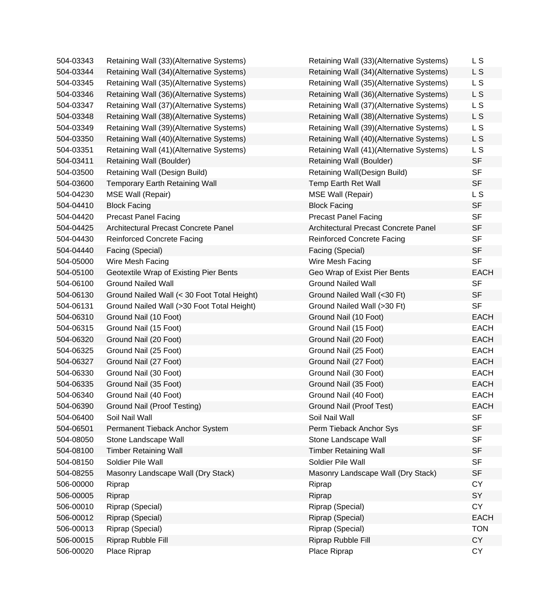| 504-03343 | Retaining Wall (33)(Alternative Systems)    | Retaining Wall (33)(Alternative Systems) | L S            |
|-----------|---------------------------------------------|------------------------------------------|----------------|
| 504-03344 | Retaining Wall (34)(Alternative Systems)    | Retaining Wall (34)(Alternative Systems) | L S            |
| 504-03345 | Retaining Wall (35)(Alternative Systems)    | Retaining Wall (35)(Alternative Systems) | L S            |
| 504-03346 | Retaining Wall (36)(Alternative Systems)    | Retaining Wall (36)(Alternative Systems) | L S            |
| 504-03347 | Retaining Wall (37)(Alternative Systems)    | Retaining Wall (37)(Alternative Systems) | L S            |
| 504-03348 | Retaining Wall (38)(Alternative Systems)    | Retaining Wall (38)(Alternative Systems) | L S            |
| 504-03349 | Retaining Wall (39)(Alternative Systems)    | Retaining Wall (39)(Alternative Systems) | L S            |
| 504-03350 | Retaining Wall (40)(Alternative Systems)    | Retaining Wall (40)(Alternative Systems) | L S            |
| 504-03351 | Retaining Wall (41)(Alternative Systems)    | Retaining Wall (41)(Alternative Systems) | L S            |
| 504-03411 | Retaining Wall (Boulder)                    | Retaining Wall (Boulder)                 | <b>SF</b>      |
| 504-03500 | Retaining Wall (Design Build)               | Retaining Wall(Design Build)             | <b>SF</b>      |
| 504-03600 | <b>Temporary Earth Retaining Wall</b>       | Temp Earth Ret Wall                      | <b>SF</b>      |
| 504-04230 | <b>MSE Wall (Repair)</b>                    | <b>MSE Wall (Repair)</b>                 | L <sub>S</sub> |
| 504-04410 | <b>Block Facing</b>                         | <b>Block Facing</b>                      | <b>SF</b>      |
| 504-04420 | <b>Precast Panel Facing</b>                 | <b>Precast Panel Facing</b>              | <b>SF</b>      |
| 504-04425 | Architectural Precast Concrete Panel        | Architectural Precast Concrete Panel     | <b>SF</b>      |
| 504-04430 | <b>Reinforced Concrete Facing</b>           | <b>Reinforced Concrete Facing</b>        | <b>SF</b>      |
| 504-04440 | Facing (Special)                            | Facing (Special)                         | <b>SF</b>      |
| 504-05000 | Wire Mesh Facing                            | Wire Mesh Facing                         | <b>SF</b>      |
| 504-05100 | Geotextile Wrap of Existing Pier Bents      | Geo Wrap of Exist Pier Bents             | <b>EACH</b>    |
| 504-06100 | <b>Ground Nailed Wall</b>                   | <b>Ground Nailed Wall</b>                | <b>SF</b>      |
| 504-06130 | Ground Nailed Wall (< 30 Foot Total Height) | Ground Nailed Wall (<30 Ft)              | <b>SF</b>      |
| 504-06131 | Ground Nailed Wall (>30 Foot Total Height)  | Ground Nailed Wall (>30 Ft)              | <b>SF</b>      |
| 504-06310 | Ground Nail (10 Foot)                       | Ground Nail (10 Foot)                    | <b>EACH</b>    |
| 504-06315 | Ground Nail (15 Foot)                       | Ground Nail (15 Foot)                    | <b>EACH</b>    |
| 504-06320 | Ground Nail (20 Foot)                       | Ground Nail (20 Foot)                    | <b>EACH</b>    |
| 504-06325 | Ground Nail (25 Foot)                       | Ground Nail (25 Foot)                    | <b>EACH</b>    |
| 504-06327 | Ground Nail (27 Foot)                       | Ground Nail (27 Foot)                    | <b>EACH</b>    |
| 504-06330 | Ground Nail (30 Foot)                       | Ground Nail (30 Foot)                    | <b>EACH</b>    |
| 504-06335 | Ground Nail (35 Foot)                       | Ground Nail (35 Foot)                    | <b>EACH</b>    |
| 504-06340 | Ground Nail (40 Foot)                       | Ground Nail (40 Foot)                    | <b>EACH</b>    |
| 504-06390 | <b>Ground Nail (Proof Testing)</b>          | Ground Nail (Proof Test)                 | <b>EACH</b>    |
| 504-06400 | Soil Nail Wall                              | Soil Nail Wall                           | <b>SF</b>      |
| 504-06501 | Permanent Tieback Anchor System             | Perm Tieback Anchor Sys                  | <b>SF</b>      |
| 504-08050 | Stone Landscape Wall                        | Stone Landscape Wall                     | <b>SF</b>      |
| 504-08100 | <b>Timber Retaining Wall</b>                | <b>Timber Retaining Wall</b>             | <b>SF</b>      |
| 504-08150 | Soldier Pile Wall                           | Soldier Pile Wall                        | <b>SF</b>      |
| 504-08255 | Masonry Landscape Wall (Dry Stack)          | Masonry Landscape Wall (Dry Stack)       | <b>SF</b>      |
| 506-00000 | Riprap                                      | Riprap                                   | <b>CY</b>      |
| 506-00005 | Riprap                                      | Riprap                                   | SY             |
| 506-00010 | Riprap (Special)                            | Riprap (Special)                         | <b>CY</b>      |
| 506-00012 | Riprap (Special)                            | Riprap (Special)                         | <b>EACH</b>    |
| 506-00013 | Riprap (Special)                            | Riprap (Special)                         | <b>TON</b>     |
| 506-00015 | Riprap Rubble Fill                          | Riprap Rubble Fill                       | <b>CY</b>      |
| 506-00020 | Place Riprap                                | Place Riprap                             | <b>CY</b>      |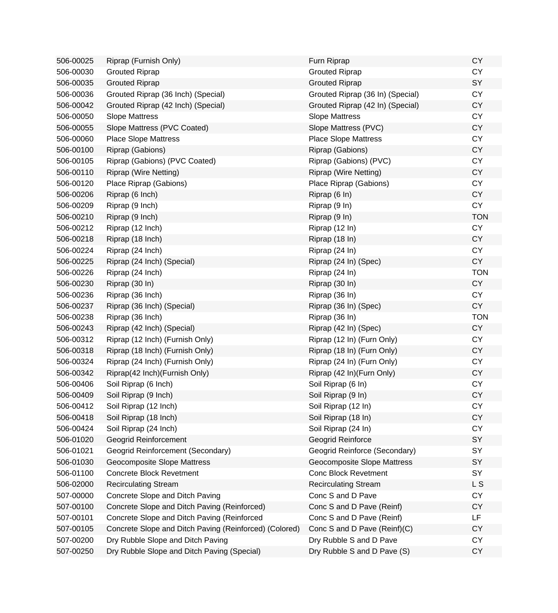| 506-00025 | Riprap (Furnish Only)                                  | Furn Riprap                      | <b>CY</b>  |
|-----------|--------------------------------------------------------|----------------------------------|------------|
| 506-00030 | <b>Grouted Riprap</b>                                  | <b>Grouted Riprap</b>            | <b>CY</b>  |
| 506-00035 | <b>Grouted Riprap</b>                                  | <b>Grouted Riprap</b>            | SY         |
| 506-00036 | Grouted Riprap (36 Inch) (Special)                     | Grouted Riprap (36 In) (Special) | <b>CY</b>  |
| 506-00042 | Grouted Riprap (42 Inch) (Special)                     | Grouted Riprap (42 In) (Special) | <b>CY</b>  |
| 506-00050 | <b>Slope Mattress</b>                                  | <b>Slope Mattress</b>            | <b>CY</b>  |
| 506-00055 | Slope Mattress (PVC Coated)                            | Slope Mattress (PVC)             | <b>CY</b>  |
| 506-00060 | <b>Place Slope Mattress</b>                            | <b>Place Slope Mattress</b>      | <b>CY</b>  |
| 506-00100 | Riprap (Gabions)                                       | Riprap (Gabions)                 | <b>CY</b>  |
| 506-00105 | Riprap (Gabions) (PVC Coated)                          | Riprap (Gabions) (PVC)           | <b>CY</b>  |
| 506-00110 | Riprap (Wire Netting)                                  | <b>Riprap (Wire Netting)</b>     | <b>CY</b>  |
| 506-00120 | Place Riprap (Gabions)                                 | Place Riprap (Gabions)           | <b>CY</b>  |
| 506-00206 | Riprap (6 Inch)                                        | Riprap (6 In)                    | <b>CY</b>  |
| 506-00209 | Riprap (9 Inch)                                        | Riprap (9 In)                    | <b>CY</b>  |
| 506-00210 | Riprap (9 Inch)                                        | Riprap (9 In)                    | <b>TON</b> |
| 506-00212 | Riprap (12 Inch)                                       | Riprap (12 In)                   | <b>CY</b>  |
| 506-00218 | Riprap (18 Inch)                                       | Riprap (18 In)                   | <b>CY</b>  |
| 506-00224 | Riprap (24 Inch)                                       | Riprap (24 In)                   | CY         |
| 506-00225 | Riprap (24 Inch) (Special)                             | Riprap (24 In) (Spec)            | <b>CY</b>  |
| 506-00226 | Riprap (24 Inch)                                       | Riprap (24 In)                   | <b>TON</b> |
| 506-00230 | Riprap (30 In)                                         | Riprap (30 In)                   | <b>CY</b>  |
| 506-00236 | Riprap (36 Inch)                                       | Riprap (36 In)                   | <b>CY</b>  |
| 506-00237 | Riprap (36 Inch) (Special)                             | Riprap (36 In) (Spec)            | CY         |
| 506-00238 | Riprap (36 Inch)                                       | Riprap (36 In)                   | <b>TON</b> |
| 506-00243 | Riprap (42 Inch) (Special)                             | Riprap (42 In) (Spec)            | <b>CY</b>  |
| 506-00312 | Riprap (12 Inch) (Furnish Only)                        | Riprap (12 In) (Furn Only)       | <b>CY</b>  |
| 506-00318 | Riprap (18 Inch) (Furnish Only)                        | Riprap (18 In) (Furn Only)       | <b>CY</b>  |
| 506-00324 | Riprap (24 Inch) (Furnish Only)                        | Riprap (24 In) (Furn Only)       | <b>CY</b>  |
| 506-00342 | Riprap(42 Inch)(Furnish Only)                          | Riprap (42 In)(Furn Only)        | <b>CY</b>  |
| 506-00406 | Soil Riprap (6 Inch)                                   | Soil Riprap (6 In)               | <b>CY</b>  |
| 506-00409 | Soil Riprap (9 Inch)                                   | Soil Riprap (9 In)               | <b>CY</b>  |
| 506-00412 | Soil Riprap (12 Inch)                                  | Soil Riprap (12 In)              | CY         |
| 506-00418 | Soil Riprap (18 Inch)                                  | Soil Riprap (18 In)              | <b>CY</b>  |
| 506-00424 | Soil Riprap (24 Inch)                                  | Soil Riprap (24 In)              | <b>CY</b>  |
| 506-01020 | <b>Geogrid Reinforcement</b>                           | Geogrid Reinforce                | SY         |
| 506-01021 | Geogrid Reinforcement (Secondary)                      | Geogrid Reinforce (Secondary)    | SY         |
| 506-01030 | <b>Geocomposite Slope Mattress</b>                     | Geocomposite Slope Mattress      | SY         |
| 506-01100 | <b>Concrete Block Revetment</b>                        | <b>Conc Block Revetment</b>      | SY         |
| 506-02000 | <b>Recirculating Stream</b>                            | <b>Recirculating Stream</b>      | L S        |
| 507-00000 | Concrete Slope and Ditch Paving                        | Conc S and D Pave                | <b>CY</b>  |
| 507-00100 | Concrete Slope and Ditch Paving (Reinforced)           | Conc S and D Pave (Reinf)        | <b>CY</b>  |
| 507-00101 | Concrete Slope and Ditch Paving (Reinforced            | Conc S and D Pave (Reinf)        | LF         |
| 507-00105 | Concrete Slope and Ditch Paving (Reinforced) (Colored) | Conc S and D Pave (Reinf)(C)     | <b>CY</b>  |
| 507-00200 | Dry Rubble Slope and Ditch Paving                      | Dry Rubble S and D Pave          | <b>CY</b>  |
| 507-00250 | Dry Rubble Slope and Ditch Paving (Special)            | Dry Rubble S and D Pave (S)      | <b>CY</b>  |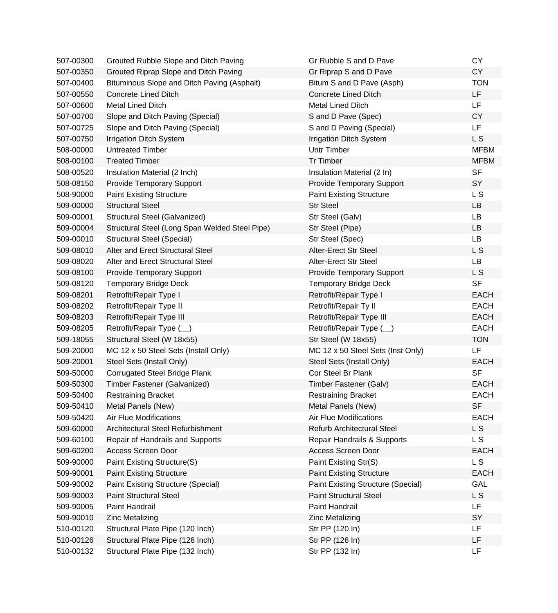| 507-00300 | Grouted Rubble Slope and Ditch Paving          | Gr Rubble S and D Pave                    | <b>CY</b>      |
|-----------|------------------------------------------------|-------------------------------------------|----------------|
| 507-00350 | Grouted Riprap Slope and Ditch Paving          | Gr Riprap S and D Pave                    | CY             |
| 507-00400 | Bituminous Slope and Ditch Paving (Asphalt)    | Bitum S and D Pave (Asph)                 | <b>TON</b>     |
| 507-00550 | <b>Concrete Lined Ditch</b>                    | <b>Concrete Lined Ditch</b>               | LF.            |
| 507-00600 | Metal Lined Ditch                              | <b>Metal Lined Ditch</b>                  | LF             |
| 507-00700 | Slope and Ditch Paving (Special)               | S and D Pave (Spec)                       | <b>CY</b>      |
| 507-00725 | Slope and Ditch Paving (Special)               | S and D Paving (Special)                  | <b>LF</b>      |
| 507-00750 | <b>Irrigation Ditch System</b>                 | <b>Irrigation Ditch System</b>            | L S            |
| 508-00000 | <b>Untreated Timber</b>                        | <b>Untr Timber</b>                        | <b>MFBM</b>    |
| 508-00100 | <b>Treated Timber</b>                          | <b>Tr Timber</b>                          | <b>MFBM</b>    |
| 508-00520 | Insulation Material (2 Inch)                   | Insulation Material (2 In)                | <b>SF</b>      |
| 508-08150 | <b>Provide Temporary Support</b>               | <b>Provide Temporary Support</b>          | SY             |
| 508-90000 | <b>Paint Existing Structure</b>                | <b>Paint Existing Structure</b>           | L S            |
| 509-00000 | <b>Structural Steel</b>                        | <b>Str Steel</b>                          | LB             |
| 509-00001 | Structural Steel (Galvanized)                  | Str Steel (Galv)                          | LB             |
| 509-00004 | Structural Steel (Long Span Welded Steel Pipe) | Str Steel (Pipe)                          | <b>LB</b>      |
| 509-00010 | <b>Structural Steel (Special)</b>              | Str Steel (Spec)                          | <b>LB</b>      |
| 509-08010 | Alter and Erect Structural Steel               | Alter-Erect Str Steel                     | L <sub>S</sub> |
| 509-08020 | Alter and Erect Structural Steel               | Alter-Erect Str Steel                     | <b>LB</b>      |
| 509-08100 | <b>Provide Temporary Support</b>               | <b>Provide Temporary Support</b>          | L S            |
| 509-08120 | <b>Temporary Bridge Deck</b>                   | <b>Temporary Bridge Deck</b>              | <b>SF</b>      |
| 509-08201 | Retrofit/Repair Type I                         | Retrofit/Repair Type I                    | <b>EACH</b>    |
| 509-08202 | Retrofit/Repair Type II                        | Retrofit/Repair Ty II                     | <b>EACH</b>    |
| 509-08203 | Retrofit/Repair Type III                       | Retrofit/Repair Type III                  | <b>EACH</b>    |
| 509-08205 | Retrofit/Repair Type (_)                       | Retrofit/Repair Type (_)                  | <b>EACH</b>    |
| 509-18055 | Structural Steel (W 18x55)                     | Str Steel (W 18x55)                       | <b>TON</b>     |
| 509-20000 | MC 12 x 50 Steel Sets (Install Only)           | MC 12 x 50 Steel Sets (Inst Only)         | LF             |
| 509-20001 | Steel Sets (Install Only)                      | Steel Sets (Install Only)                 | <b>EACH</b>    |
| 509-50000 | <b>Corrugated Steel Bridge Plank</b>           | Cor Steel Br Plank                        | <b>SF</b>      |
| 509-50300 | Timber Fastener (Galvanized)                   | Timber Fastener (Galv)                    | <b>EACH</b>    |
| 509-50400 | <b>Restraining Bracket</b>                     | <b>Restraining Bracket</b>                | <b>EACH</b>    |
| 509-50410 | Metal Panels (New)                             | Metal Panels (New)                        | <b>SF</b>      |
| 509-50420 | <b>Air Flue Modifications</b>                  | <b>Air Flue Modifications</b>             | <b>EACH</b>    |
| 509-60000 | Architectural Steel Refurbishment              | <b>Refurb Architectural Steel</b>         | L S            |
| 509-60100 | Repair of Handrails and Supports               | Repair Handrails & Supports               | L S            |
| 509-60200 | <b>Access Screen Door</b>                      | Access Screen Door                        | <b>EACH</b>    |
| 509-90000 | Paint Existing Structure(S)                    | Paint Existing Str(S)                     | L S            |
| 509-90001 | <b>Paint Existing Structure</b>                | <b>Paint Existing Structure</b>           | <b>EACH</b>    |
| 509-90002 | <b>Paint Existing Structure (Special)</b>      | <b>Paint Existing Structure (Special)</b> | <b>GAL</b>     |
| 509-90003 | <b>Paint Structural Steel</b>                  | <b>Paint Structural Steel</b>             | L S            |
| 509-90005 | Paint Handrail                                 | Paint Handrail                            | LF             |
| 509-90010 | <b>Zinc Metalizing</b>                         | <b>Zinc Metalizing</b>                    | SY             |
| 510-00120 | Structural Plate Pipe (120 Inch)               | Str PP (120 In)                           | <b>LF</b>      |
| 510-00126 | Structural Plate Pipe (126 Inch)               | Str PP (126 In)                           | LF             |
| 510-00132 | Structural Plate Pipe (132 Inch)               | Str PP (132 In)                           | LF             |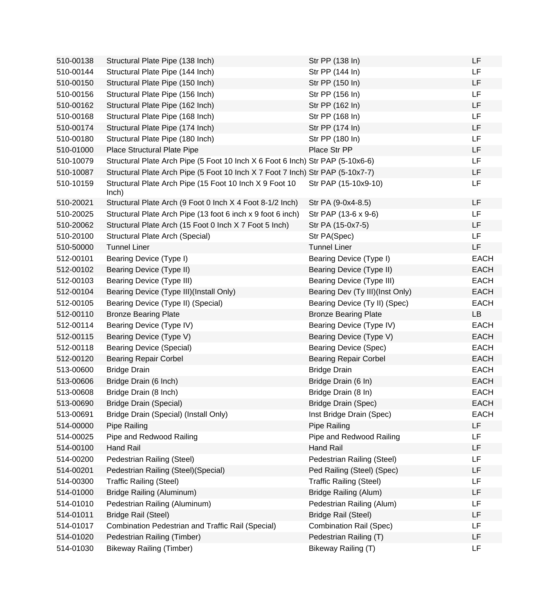| 510-00138 | Structural Plate Pipe (138 Inch)                                               | Str PP (138 In)                 | <b>LF</b>   |
|-----------|--------------------------------------------------------------------------------|---------------------------------|-------------|
| 510-00144 | Structural Plate Pipe (144 Inch)                                               | Str PP (144 In)                 | <b>LF</b>   |
| 510-00150 | Structural Plate Pipe (150 Inch)                                               | Str PP (150 In)                 | LF          |
| 510-00156 | Structural Plate Pipe (156 Inch)                                               | Str PP (156 In)                 | <b>LF</b>   |
| 510-00162 | Structural Plate Pipe (162 Inch)                                               | Str PP (162 In)                 | LF          |
| 510-00168 | Structural Plate Pipe (168 Inch)                                               | Str PP (168 In)                 | <b>LF</b>   |
| 510-00174 | Structural Plate Pipe (174 Inch)                                               | Str PP (174 In)                 | LF          |
| 510-00180 | Structural Plate Pipe (180 Inch)                                               | Str PP (180 In)                 | LF          |
| 510-01000 | Place Structural Plate Pipe                                                    | Place Str PP                    | LF          |
| 510-10079 | Structural Plate Arch Pipe (5 Foot 10 Inch X 6 Foot 6 Inch) Str PAP (5-10x6-6) |                                 | LF          |
| 510-10087 | Structural Plate Arch Pipe (5 Foot 10 Inch X 7 Foot 7 Inch) Str PAP (5-10x7-7) |                                 | LF          |
| 510-10159 | Structural Plate Arch Pipe (15 Foot 10 Inch X 9 Foot 10<br>lnch)               | Str PAP (15-10x9-10)            | <b>LF</b>   |
| 510-20021 | Structural Plate Arch (9 Foot 0 Inch X 4 Foot 8-1/2 Inch)                      | Str PA (9-0x4-8.5)              | <b>LF</b>   |
| 510-20025 | Structural Plate Arch Pipe (13 foot 6 inch x 9 foot 6 inch)                    | Str PAP (13-6 x 9-6)            | <b>LF</b>   |
| 510-20062 | Structural Plate Arch (15 Foot 0 lnch X 7 Foot 5 lnch)                         | Str PA (15-0x7-5)               | LF          |
| 510-20100 | Structural Plate Arch (Special)                                                | Str PA(Spec)                    | LF          |
| 510-50000 | <b>Tunnel Liner</b>                                                            | <b>Tunnel Liner</b>             | LF          |
| 512-00101 | Bearing Device (Type I)                                                        | Bearing Device (Type I)         | <b>EACH</b> |
| 512-00102 | Bearing Device (Type II)                                                       | Bearing Device (Type II)        | <b>EACH</b> |
| 512-00103 | Bearing Device (Type III)                                                      | Bearing Device (Type III)       | <b>EACH</b> |
| 512-00104 | Bearing Device (Type III)(Install Only)                                        | Bearing Dev (Ty III)(Inst Only) | <b>EACH</b> |
| 512-00105 | Bearing Device (Type II) (Special)                                             | Bearing Device (Ty II) (Spec)   | <b>EACH</b> |
| 512-00110 | <b>Bronze Bearing Plate</b>                                                    | <b>Bronze Bearing Plate</b>     | LB          |
| 512-00114 | Bearing Device (Type IV)                                                       | Bearing Device (Type IV)        | <b>EACH</b> |
| 512-00115 | Bearing Device (Type V)                                                        | Bearing Device (Type V)         | <b>EACH</b> |
| 512-00118 | <b>Bearing Device (Special)</b>                                                | Bearing Device (Spec)           | EACH        |
| 512-00120 | <b>Bearing Repair Corbel</b>                                                   | <b>Bearing Repair Corbel</b>    | <b>EACH</b> |
| 513-00600 | <b>Bridge Drain</b>                                                            | <b>Bridge Drain</b>             | <b>EACH</b> |
| 513-00606 | Bridge Drain (6 Inch)                                                          | Bridge Drain (6 In)             | <b>EACH</b> |
| 513-00608 | Bridge Drain (8 Inch)                                                          | Bridge Drain (8 In)             | <b>EACH</b> |
| 513-00690 | <b>Bridge Drain (Special)</b>                                                  | Bridge Drain (Spec)             | <b>EACH</b> |
| 513-00691 | Bridge Drain (Special) (Install Only)                                          | Inst Bridge Drain (Spec)        | <b>EACH</b> |
| 514-00000 | Pipe Railing                                                                   | Pipe Railing                    | LF          |
| 514-00025 | Pipe and Redwood Railing                                                       | Pipe and Redwood Railing        | LF          |
| 514-00100 | Hand Rail                                                                      | <b>Hand Rail</b>                | LF          |
| 514-00200 | Pedestrian Railing (Steel)                                                     | Pedestrian Railing (Steel)      | LF          |
| 514-00201 | Pedestrian Railing (Steel)(Special)                                            | Ped Railing (Steel) (Spec)      | LF          |
| 514-00300 | <b>Traffic Railing (Steel)</b>                                                 | <b>Traffic Railing (Steel)</b>  | LF          |
| 514-01000 | Bridge Railing (Aluminum)                                                      | <b>Bridge Railing (Alum)</b>    | LF          |
| 514-01010 | Pedestrian Railing (Aluminum)                                                  | Pedestrian Railing (Alum)       | LF          |
| 514-01011 | <b>Bridge Rail (Steel)</b>                                                     | <b>Bridge Rail (Steel)</b>      | LF          |
| 514-01017 | Combination Pedestrian and Traffic Rail (Special)                              | <b>Combination Rail (Spec)</b>  | LF          |
| 514-01020 | Pedestrian Railing (Timber)                                                    | Pedestrian Railing (T)          | LF          |
| 514-01030 | <b>Bikeway Railing (Timber)</b>                                                | Bikeway Railing (T)             | LF          |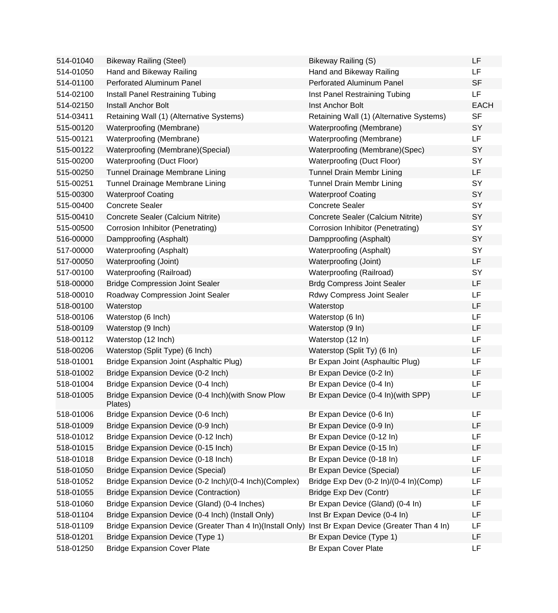| 514-01040 | <b>Bikeway Railing (Steel)</b>                               | Bikeway Railing (S)                      | LF          |
|-----------|--------------------------------------------------------------|------------------------------------------|-------------|
| 514-01050 | Hand and Bikeway Railing                                     | Hand and Bikeway Railing                 | LF          |
| 514-01100 | Perforated Aluminum Panel                                    | <b>Perforated Aluminum Panel</b>         | <b>SF</b>   |
| 514-02100 | Install Panel Restraining Tubing                             | Inst Panel Restraining Tubing            | LF          |
| 514-02150 | <b>Install Anchor Bolt</b>                                   | Inst Anchor Bolt                         | <b>EACH</b> |
| 514-03411 | Retaining Wall (1) (Alternative Systems)                     | Retaining Wall (1) (Alternative Systems) | <b>SF</b>   |
| 515-00120 | Waterproofing (Membrane)                                     | Waterproofing (Membrane)                 | SY          |
| 515-00121 | Waterproofing (Membrane)                                     | Waterproofing (Membrane)                 | LF          |
| 515-00122 | Waterproofing (Membrane) (Special)                           | Waterproofing (Membrane)(Spec)           | SY          |
| 515-00200 | Waterproofing (Duct Floor)                                   | Waterproofing (Duct Floor)               | SY          |
| 515-00250 | Tunnel Drainage Membrane Lining                              | <b>Tunnel Drain Membr Lining</b>         | LF          |
| 515-00251 | Tunnel Drainage Membrane Lining                              | <b>Tunnel Drain Membr Lining</b>         | SY          |
| 515-00300 | <b>Waterproof Coating</b>                                    | <b>Waterproof Coating</b>                | SY          |
| 515-00400 | <b>Concrete Sealer</b>                                       | <b>Concrete Sealer</b>                   | SY          |
| 515-00410 | Concrete Sealer (Calcium Nitrite)                            | Concrete Sealer (Calcium Nitrite)        | SY          |
| 515-00500 | Corrosion Inhibitor (Penetrating)                            | Corrosion Inhibitor (Penetrating)        | SY          |
| 516-00000 | Dampproofing (Asphalt)                                       | Dampproofing (Asphalt)                   | SY          |
| 517-00000 | Waterproofing (Asphalt)                                      | Waterproofing (Asphalt)                  | SY          |
| 517-00050 | Waterproofing (Joint)                                        | Waterproofing (Joint)                    | LF          |
| 517-00100 | Waterproofing (Railroad)                                     | Waterproofing (Railroad)                 | SY          |
| 518-00000 | <b>Bridge Compression Joint Sealer</b>                       | <b>Brdg Compress Joint Sealer</b>        | LF          |
| 518-00010 | Roadway Compression Joint Sealer                             | <b>Rdwy Compress Joint Sealer</b>        | LF          |
| 518-00100 | Waterstop                                                    | Waterstop                                | LF          |
| 518-00106 | Waterstop (6 Inch)                                           | Waterstop (6 In)                         | LF          |
| 518-00109 | Waterstop (9 Inch)                                           | Waterstop (9 In)                         | LF          |
| 518-00112 | Waterstop (12 Inch)                                          | Waterstop (12 In)                        | LF          |
| 518-00206 | Waterstop (Split Type) (6 Inch)                              | Waterstop (Split Ty) (6 In)              | LF          |
| 518-01001 | Bridge Expansion Joint (Asphaltic Plug)                      | Br Expan Joint (Asphaultic Plug)         | LF          |
| 518-01002 | Bridge Expansion Device (0-2 Inch)                           | Br Expan Device (0-2 In)                 | LF          |
| 518-01004 | Bridge Expansion Device (0-4 Inch)                           | Br Expan Device (0-4 In)                 | LF          |
| 518-01005 | Bridge Expansion Device (0-4 Inch)(with Snow Plow<br>Plates) | Br Expan Device (0-4 In)(with SPP)       | LF          |
| 518-01006 | Bridge Expansion Device (0-6 Inch)                           | Br Expan Device (0-6 In)                 | LF          |
| 518-01009 | Bridge Expansion Device (0-9 Inch)                           | Br Expan Device (0-9 In)                 | LF          |
| 518-01012 | Bridge Expansion Device (0-12 Inch)                          | Br Expan Device (0-12 In)                | LF          |
| 518-01015 | Bridge Expansion Device (0-15 Inch)                          | Br Expan Device (0-15 In)                | LF          |
| 518-01018 | Bridge Expansion Device (0-18 Inch)                          | Br Expan Device (0-18 In)                | LF          |
| 518-01050 | <b>Bridge Expansion Device (Special)</b>                     | Br Expan Device (Special)                | LF          |
| 518-01052 | Bridge Expansion Device (0-2 Inch)/(0-4 Inch)(Complex)       | Bridge Exp Dev (0-2 ln)/(0-4 ln)(Comp)   | LF          |
| 518-01055 | <b>Bridge Expansion Device (Contraction)</b>                 | Bridge Exp Dev (Contr)                   | LF          |
| 518-01060 | Bridge Expansion Device (Gland) (0-4 Inches)                 | Br Expan Device (Gland) (0-4 In)         | LF          |
| 518-01104 | Bridge Expansion Device (0-4 Inch) (Install Only)            | Inst Br Expan Device (0-4 In)            | LF          |
| 518-01109 | Bridge Expansion Device (Greater Than 4 In)(Install Only)    | Inst Br Expan Device (Greater Than 4 In) | LF          |
| 518-01201 | <b>Bridge Expansion Device (Type 1)</b>                      | Br Expan Device (Type 1)                 | LF          |
| 518-01250 | <b>Bridge Expansion Cover Plate</b>                          | Br Expan Cover Plate                     | LF          |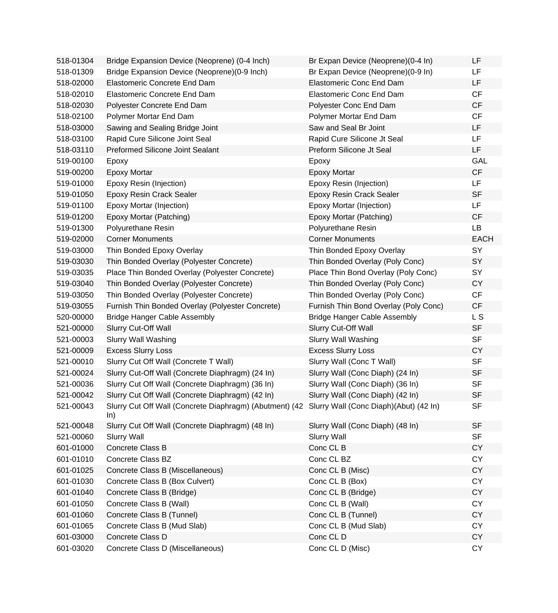| 518-01304 | Bridge Expansion Device (Neoprene) (0-4 Inch)                                                         | Br Expan Device (Neoprene)(0-4 In)    | LF          |
|-----------|-------------------------------------------------------------------------------------------------------|---------------------------------------|-------------|
| 518-01309 | Bridge Expansion Device (Neoprene) (0-9 Inch)                                                         | Br Expan Device (Neoprene) (0-9 In)   | LF          |
| 518-02000 | Elastomeric Concrete End Dam                                                                          | <b>Elastomeric Conc End Dam</b>       | LF          |
| 518-02010 | Elastomeric Concrete End Dam                                                                          | Elastomeric Conc End Dam              | <b>CF</b>   |
| 518-02030 | Polyester Concrete End Dam                                                                            | Polyester Conc End Dam                | CF          |
| 518-02100 | Polymer Mortar End Dam                                                                                | Polymer Mortar End Dam                | CF          |
| 518-03000 | Sawing and Sealing Bridge Joint                                                                       | Saw and Seal Br Joint                 | LF          |
| 518-03100 | Rapid Cure Silicone Joint Seal                                                                        | Rapid Cure Silicone Jt Seal           | LF          |
| 518-03110 | <b>Preformed Silicone Joint Sealant</b>                                                               | Preform Silicone Jt Seal              | LF          |
| 519-00100 | Epoxy                                                                                                 | Epoxy                                 | GAL         |
| 519-00200 | <b>Epoxy Mortar</b>                                                                                   | <b>Epoxy Mortar</b>                   | CF          |
| 519-01000 | Epoxy Resin (Injection)                                                                               | Epoxy Resin (Injection)               | LF          |
| 519-01050 | Epoxy Resin Crack Sealer                                                                              | <b>Epoxy Resin Crack Sealer</b>       | <b>SF</b>   |
| 519-01100 | Epoxy Mortar (Injection)                                                                              | Epoxy Mortar (Injection)              | LF          |
| 519-01200 | Epoxy Mortar (Patching)                                                                               | Epoxy Mortar (Patching)               | CF          |
| 519-01300 | Polyurethane Resin                                                                                    | Polyurethane Resin                    | <b>LB</b>   |
| 519-02000 | <b>Corner Monuments</b>                                                                               | <b>Corner Monuments</b>               | <b>EACH</b> |
| 519-03000 | Thin Bonded Epoxy Overlay                                                                             | Thin Bonded Epoxy Overlay             | SY          |
| 519-03030 | Thin Bonded Overlay (Polyester Concrete)                                                              | Thin Bonded Overlay (Poly Conc)       | SY          |
| 519-03035 | Place Thin Bonded Overlay (Polyester Concrete)                                                        | Place Thin Bond Overlay (Poly Conc)   | SY          |
| 519-03040 | Thin Bonded Overlay (Polyester Concrete)                                                              | Thin Bonded Overlay (Poly Conc)       | <b>CY</b>   |
| 519-03050 | Thin Bonded Overlay (Polyester Concrete)                                                              | Thin Bonded Overlay (Poly Conc)       | CF          |
| 519-03055 | Furnish Thin Bonded Overlay (Polyester Concrete)                                                      | Furnish Thin Bond Overlay (Poly Conc) | CF          |
| 520-00000 | <b>Bridge Hanger Cable Assembly</b>                                                                   | <b>Bridge Hanger Cable Assembly</b>   | L S         |
| 521-00000 | Slurry Cut-Off Wall                                                                                   | Slurry Cut-Off Wall                   | <b>SF</b>   |
| 521-00003 | <b>Slurry Wall Washing</b>                                                                            | <b>Slurry Wall Washing</b>            | <b>SF</b>   |
| 521-00009 | <b>Excess Slurry Loss</b>                                                                             | <b>Excess Slurry Loss</b>             | <b>CY</b>   |
| 521-00010 | Slurry Cut Off Wall (Concrete T Wall)                                                                 | Slurry Wall (Conc T Wall)             | <b>SF</b>   |
| 521-00024 | Slurry Cut-Off Wall (Concrete Diaphragm) (24 In)                                                      | Slurry Wall (Conc Diaph) (24 In)      | <b>SF</b>   |
| 521-00036 | Slurry Cut Off Wall (Concrete Diaphragm) (36 In)                                                      | Slurry Wall (Conc Diaph) (36 In)      | <b>SF</b>   |
| 521-00042 | Slurry Cut Off Wall (Concrete Diaphragm) (42 In)                                                      | Slurry Wall (Conc Diaph) (42 In)      | <b>SF</b>   |
| 521-00043 | Slurry Cut Off Wall (Concrete Diaphragm) (Abutment) (42 Slurry Wall (Conc Diaph)(Abut) (42 In)<br>ln) |                                       | SF          |
| 521-00048 | Slurry Cut Off Wall (Concrete Diaphragm) (48 In)                                                      | Slurry Wall (Conc Diaph) (48 In)      | <b>SF</b>   |
| 521-00060 | Slurry Wall                                                                                           | <b>Slurry Wall</b>                    | <b>SF</b>   |
| 601-01000 | Concrete Class B                                                                                      | Conc CL B                             | <b>CY</b>   |
| 601-01010 | Concrete Class BZ                                                                                     | Conc CL BZ                            | <b>CY</b>   |
| 601-01025 | Concrete Class B (Miscellaneous)                                                                      | Conc CL B (Misc)                      | <b>CY</b>   |
| 601-01030 | Concrete Class B (Box Culvert)                                                                        | Conc CL B (Box)                       | <b>CY</b>   |
| 601-01040 | Concrete Class B (Bridge)                                                                             | Conc CL B (Bridge)                    | <b>CY</b>   |
| 601-01050 | Concrete Class B (Wall)                                                                               | Conc CL B (Wall)                      | <b>CY</b>   |
| 601-01060 | Concrete Class B (Tunnel)                                                                             | Conc CL B (Tunnel)                    | <b>CY</b>   |
| 601-01065 | Concrete Class B (Mud Slab)                                                                           | Conc CL B (Mud Slab)                  | <b>CY</b>   |
| 601-03000 | Concrete Class D                                                                                      | Conc CL D                             | <b>CY</b>   |
| 601-03020 | Concrete Class D (Miscellaneous)                                                                      | Conc CL D (Misc)                      | CY          |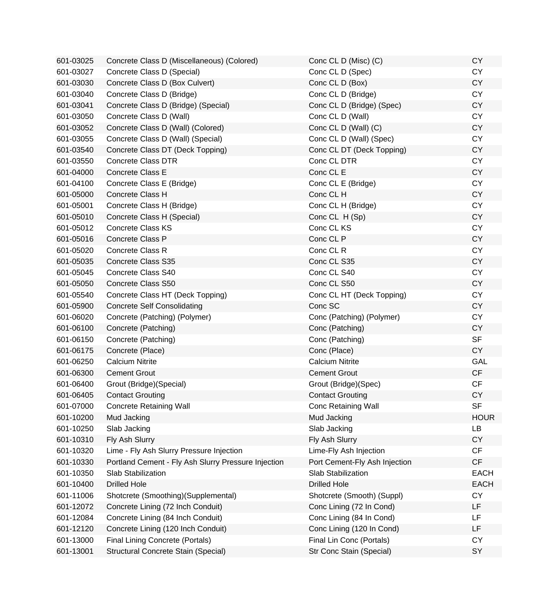| 601-03025 | Concrete Class D (Miscellaneous) (Colored)          | Conc CL D (Misc) (C)          | <b>CY</b>   |
|-----------|-----------------------------------------------------|-------------------------------|-------------|
| 601-03027 | Concrete Class D (Special)                          | Conc CL D (Spec)              | <b>CY</b>   |
| 601-03030 | Concrete Class D (Box Culvert)                      | Conc CL D (Box)               | <b>CY</b>   |
| 601-03040 | Concrete Class D (Bridge)                           | Conc CL D (Bridge)            | <b>CY</b>   |
| 601-03041 | Concrete Class D (Bridge) (Special)                 | Conc CL D (Bridge) (Spec)     | CY          |
| 601-03050 | Concrete Class D (Wall)                             | Conc CL D (Wall)              | <b>CY</b>   |
| 601-03052 | Concrete Class D (Wall) (Colored)                   | Conc CL D (Wall) (C)          | <b>CY</b>   |
| 601-03055 | Concrete Class D (Wall) (Special)                   | Conc CL D (Wall) (Spec)       | <b>CY</b>   |
| 601-03540 | Concrete Class DT (Deck Topping)                    | Conc CL DT (Deck Topping)     | <b>CY</b>   |
| 601-03550 | <b>Concrete Class DTR</b>                           | Conc CL DTR                   | <b>CY</b>   |
| 601-04000 | Concrete Class E                                    | Conc CL E                     | <b>CY</b>   |
| 601-04100 | Concrete Class E (Bridge)                           | Conc CL E (Bridge)            | <b>CY</b>   |
| 601-05000 | Concrete Class H                                    | Conc CL H                     | <b>CY</b>   |
| 601-05001 | Concrete Class H (Bridge)                           | Conc CL H (Bridge)            | <b>CY</b>   |
| 601-05010 | Concrete Class H (Special)                          | Conc CL H (Sp)                | CY          |
| 601-05012 | <b>Concrete Class KS</b>                            | Conc CL KS                    | <b>CY</b>   |
| 601-05016 | Concrete Class P                                    | Conc CL P                     | <b>CY</b>   |
| 601-05020 | <b>Concrete Class R</b>                             | Conc CL R                     | <b>CY</b>   |
| 601-05035 | Concrete Class S35                                  | Conc CL S35                   | <b>CY</b>   |
| 601-05045 | Concrete Class S40                                  | Conc CL S40                   | <b>CY</b>   |
| 601-05050 | Concrete Class S50                                  | Conc CL S50                   | <b>CY</b>   |
| 601-05540 | Concrete Class HT (Deck Topping)                    | Conc CL HT (Deck Topping)     | <b>CY</b>   |
| 601-05900 | <b>Concrete Self Consolidating</b>                  | Conc SC                       | <b>CY</b>   |
| 601-06020 | Concrete (Patching) (Polymer)                       | Conc (Patching) (Polymer)     | <b>CY</b>   |
| 601-06100 | Concrete (Patching)                                 | Conc (Patching)               | CY          |
| 601-06150 | Concrete (Patching)                                 | Conc (Patching)               | <b>SF</b>   |
| 601-06175 | Concrete (Place)                                    | Conc (Place)                  | <b>CY</b>   |
| 601-06250 | <b>Calcium Nitrite</b>                              | <b>Calcium Nitrite</b>        | <b>GAL</b>  |
| 601-06300 | <b>Cement Grout</b>                                 | <b>Cement Grout</b>           | <b>CF</b>   |
| 601-06400 | Grout (Bridge) (Special)                            | Grout (Bridge) (Spec)         | CF          |
| 601-06405 | <b>Contact Grouting</b>                             | <b>Contact Grouting</b>       | <b>CY</b>   |
| 601-07000 | <b>Concrete Retaining Wall</b>                      | Conc Retaining Wall           | SF          |
| 601-10200 | Mud Jacking                                         | Mud Jacking                   | <b>HOUR</b> |
| 601-10250 | Slab Jacking                                        | Slab Jacking                  | LB          |
| 601-10310 | Fly Ash Slurry                                      | Fly Ash Slurry                | <b>CY</b>   |
| 601-10320 | Lime - Fly Ash Slurry Pressure Injection            | Lime-Fly Ash Injection        | <b>CF</b>   |
| 601-10330 | Portland Cement - Fly Ash Slurry Pressure Injection | Port Cement-Fly Ash Injection | <b>CF</b>   |
| 601-10350 | Slab Stabilization                                  | Slab Stabilization            | <b>EACH</b> |
| 601-10400 | <b>Drilled Hole</b>                                 | <b>Drilled Hole</b>           | <b>EACH</b> |
| 601-11006 | Shotcrete (Smoothing)(Supplemental)                 | Shotcrete (Smooth) (Suppl)    | CY          |
| 601-12072 | Concrete Lining (72 Inch Conduit)                   | Conc Lining (72 In Cond)      | LF          |
| 601-12084 | Concrete Lining (84 Inch Conduit)                   | Conc Lining (84 In Cond)      | LF          |
| 601-12120 | Concrete Lining (120 Inch Conduit)                  | Conc Lining (120 In Cond)     | LF          |
| 601-13000 | Final Lining Concrete (Portals)                     | Final Lin Conc (Portals)      | <b>CY</b>   |
| 601-13001 | Structural Concrete Stain (Special)                 | Str Conc Stain (Special)      | SY          |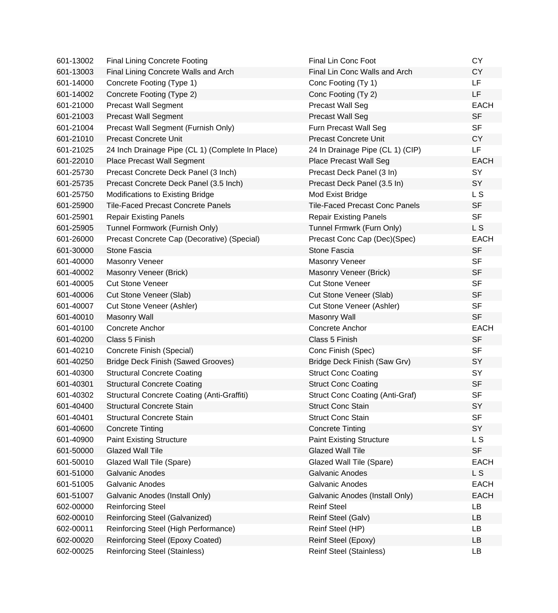| 601-13002 | <b>Final Lining Concrete Footing</b>               | Final Lin Conc Foot                    | <b>CY</b>   |
|-----------|----------------------------------------------------|----------------------------------------|-------------|
| 601-13003 | Final Lining Concrete Walls and Arch               | Final Lin Conc Walls and Arch          | <b>CY</b>   |
| 601-14000 | Concrete Footing (Type 1)                          | Conc Footing (Ty 1)                    | <b>LF</b>   |
| 601-14002 | Concrete Footing (Type 2)                          | Conc Footing (Ty 2)                    | LF          |
| 601-21000 | <b>Precast Wall Segment</b>                        | <b>Precast Wall Seg</b>                | <b>EACH</b> |
| 601-21003 | <b>Precast Wall Segment</b>                        | <b>Precast Wall Seg</b>                | <b>SF</b>   |
| 601-21004 | Precast Wall Segment (Furnish Only)                | Furn Precast Wall Seg                  | <b>SF</b>   |
| 601-21010 | <b>Precast Concrete Unit</b>                       | <b>Precast Concrete Unit</b>           | <b>CY</b>   |
| 601-21025 | 24 Inch Drainage Pipe (CL 1) (Complete In Place)   | 24 In Drainage Pipe (CL 1) (CIP)       | LF          |
| 601-22010 | Place Precast Wall Segment                         | Place Precast Wall Seg                 | <b>EACH</b> |
| 601-25730 | Precast Concrete Deck Panel (3 Inch)               | Precast Deck Panel (3 In)              | SY          |
| 601-25735 | Precast Concrete Deck Panel (3.5 Inch)             | Precast Deck Panel (3.5 In)            | SY          |
| 601-25750 | Modifications to Existing Bridge                   | Mod Exist Bridge                       | L S         |
| 601-25900 | <b>Tile-Faced Precast Concrete Panels</b>          | <b>Tile-Faced Precast Conc Panels</b>  | <b>SF</b>   |
| 601-25901 | <b>Repair Existing Panels</b>                      | <b>Repair Existing Panels</b>          | <b>SF</b>   |
| 601-25905 | Tunnel Formwork (Furnish Only)                     | Tunnel Frmwrk (Furn Only)              | L S         |
| 601-26000 | Precast Concrete Cap (Decorative) (Special)        | Precast Conc Cap (Dec)(Spec)           | <b>EACH</b> |
| 601-30000 | Stone Fascia                                       | Stone Fascia                           | <b>SF</b>   |
| 601-40000 | Masonry Veneer                                     | <b>Masonry Veneer</b>                  | <b>SF</b>   |
| 601-40002 | Masonry Veneer (Brick)                             | Masonry Veneer (Brick)                 | <b>SF</b>   |
| 601-40005 | <b>Cut Stone Veneer</b>                            | <b>Cut Stone Veneer</b>                | <b>SF</b>   |
| 601-40006 | Cut Stone Veneer (Slab)                            | Cut Stone Veneer (Slab)                | <b>SF</b>   |
| 601-40007 | Cut Stone Veneer (Ashler)                          | Cut Stone Veneer (Ashler)              | <b>SF</b>   |
| 601-40010 | Masonry Wall                                       | <b>Masonry Wall</b>                    | <b>SF</b>   |
| 601-40100 | Concrete Anchor                                    | <b>Concrete Anchor</b>                 | <b>EACH</b> |
| 601-40200 | Class 5 Finish                                     | Class 5 Finish                         | <b>SF</b>   |
| 601-40210 | Concrete Finish (Special)                          | Conc Finish (Spec)                     | <b>SF</b>   |
| 601-40250 | <b>Bridge Deck Finish (Sawed Grooves)</b>          | Bridge Deck Finish (Saw Grv)           | SY          |
| 601-40300 | <b>Structural Concrete Coating</b>                 | <b>Struct Conc Coating</b>             | SY          |
| 601-40301 | <b>Structural Concrete Coating</b>                 | <b>Struct Conc Coating</b>             | <b>SF</b>   |
| 601-40302 | <b>Structural Concrete Coating (Anti-Graffiti)</b> | <b>Struct Conc Coating (Anti-Graf)</b> | <b>SF</b>   |
| 601-40400 | <b>Structural Concrete Stain</b>                   | <b>Struct Conc Stain</b>               | SY          |
| 601-40401 | <b>Structural Concrete Stain</b>                   | <b>Struct Conc Stain</b>               | <b>SF</b>   |
| 601-40600 | <b>Concrete Tinting</b>                            | <b>Concrete Tinting</b>                | SY          |
| 601-40900 | <b>Paint Existing Structure</b>                    | <b>Paint Existing Structure</b>        | L S         |
| 601-50000 | <b>Glazed Wall Tile</b>                            | <b>Glazed Wall Tile</b>                | <b>SF</b>   |
| 601-50010 | Glazed Wall Tile (Spare)                           | Glazed Wall Tile (Spare)               | <b>EACH</b> |
| 601-51000 | Galvanic Anodes                                    | <b>Galvanic Anodes</b>                 | L S         |
| 601-51005 | Galvanic Anodes                                    | Galvanic Anodes                        | <b>EACH</b> |
| 601-51007 | Galvanic Anodes (Install Only)                     | Galvanic Anodes (Install Only)         | <b>EACH</b> |
| 602-00000 | <b>Reinforcing Steel</b>                           | <b>Reinf Steel</b>                     | LB          |
| 602-00010 | Reinforcing Steel (Galvanized)                     | Reinf Steel (Galv)                     | LB          |
| 602-00011 | Reinforcing Steel (High Performance)               | Reinf Steel (HP)                       | LB          |
| 602-00020 | Reinforcing Steel (Epoxy Coated)                   | Reinf Steel (Epoxy)                    | LB          |
| 602-00025 | <b>Reinforcing Steel (Stainless)</b>               | <b>Reinf Steel (Stainless)</b>         | LB          |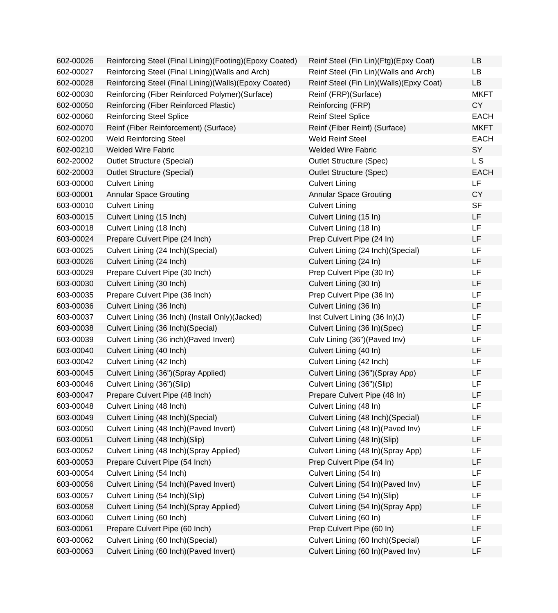| 602-00026 | Reinforcing Steel (Final Lining)(Footing)(Epoxy Coated) | Reinf Steel (Fin Lin)(Ftg)(Epxy Coat)     | <b>LB</b>   |
|-----------|---------------------------------------------------------|-------------------------------------------|-------------|
| 602-00027 | Reinforcing Steel (Final Lining) (Walls and Arch)       | Reinf Steel (Fin Lin) (Walls and Arch)    | <b>LB</b>   |
| 602-00028 | Reinforcing Steel (Final Lining)(Walls)(Epoxy Coated)   | Reinf Steel (Fin Lin) (Walls) (Epxy Coat) | <b>LB</b>   |
| 602-00030 | Reinforcing (Fiber Reinforced Polymer) (Surface)        | Reinf (FRP)(Surface)                      | <b>MKFT</b> |
| 602-00050 | Reinforcing (Fiber Reinforced Plastic)                  | Reinforcing (FRP)                         | <b>CY</b>   |
| 602-00060 | <b>Reinforcing Steel Splice</b>                         | <b>Reinf Steel Splice</b>                 | <b>EACH</b> |
| 602-00070 | Reinf (Fiber Reinforcement) (Surface)                   | Reinf (Fiber Reinf) (Surface)             | <b>MKFT</b> |
| 602-00200 | <b>Weld Reinforcing Steel</b>                           | Weld Reinf Steel                          | <b>EACH</b> |
| 602-00210 | <b>Welded Wire Fabric</b>                               | <b>Welded Wire Fabric</b>                 | SY          |
| 602-20002 | <b>Outlet Structure (Special)</b>                       | <b>Outlet Structure (Spec)</b>            | L S         |
| 602-20003 | <b>Outlet Structure (Special)</b>                       | <b>Outlet Structure (Spec)</b>            | <b>EACH</b> |
| 603-00000 | <b>Culvert Lining</b>                                   | <b>Culvert Lining</b>                     | LF          |
| 603-00001 | <b>Annular Space Grouting</b>                           | <b>Annular Space Grouting</b>             | <b>CY</b>   |
| 603-00010 | <b>Culvert Lining</b>                                   | <b>Culvert Lining</b>                     | <b>SF</b>   |
| 603-00015 | Culvert Lining (15 Inch)                                | Culvert Lining (15 In)                    | LF          |
| 603-00018 | Culvert Lining (18 Inch)                                | Culvert Lining (18 In)                    | LF          |
| 603-00024 | Prepare Culvert Pipe (24 Inch)                          | Prep Culvert Pipe (24 In)                 | LF          |
| 603-00025 | Culvert Lining (24 Inch) (Special)                      | Culvert Lining (24 Inch) (Special)        | LF          |
| 603-00026 | Culvert Lining (24 Inch)                                | Culvert Lining (24 In)                    | LF          |
| 603-00029 | Prepare Culvert Pipe (30 Inch)                          | Prep Culvert Pipe (30 In)                 | LF          |
| 603-00030 | Culvert Lining (30 Inch)                                | Culvert Lining (30 In)                    | LF          |
| 603-00035 | Prepare Culvert Pipe (36 Inch)                          | Prep Culvert Pipe (36 In)                 | LF          |
| 603-00036 | Culvert Lining (36 Inch)                                | Culvert Lining (36 In)                    | LF          |
| 603-00037 | Culvert Lining (36 Inch) (Install Only) (Jacked)        | Inst Culvert Lining (36 In)(J)            | LF          |
| 603-00038 | Culvert Lining (36 Inch) (Special)                      | Culvert Lining (36 In)(Spec)              | LF          |
| 603-00039 | Culvert Lining (36 inch) (Paved Invert)                 | Culv Lining (36") (Paved Inv)             | LF          |
| 603-00040 | Culvert Lining (40 Inch)                                | Culvert Lining (40 In)                    | LF          |
| 603-00042 | Culvert Lining (42 Inch)                                | Culvert Lining (42 Inch)                  | LF          |
| 603-00045 | Culvert Lining (36")(Spray Applied)                     | Culvert Lining (36")(Spray App)           | LF          |
| 603-00046 | Culvert Lining (36")(Slip)                              | Culvert Lining (36")(Slip)                | LF          |
| 603-00047 | Prepare Culvert Pipe (48 Inch)                          | Prepare Culvert Pipe (48 In)              | LF          |
| 603-00048 | Culvert Lining (48 Inch)                                | Culvert Lining (48 In)                    | LF          |
| 603-00049 | Culvert Lining (48 Inch) (Special)                      | Culvert Lining (48 Inch) (Special)        | LF          |
| 603-00050 | Culvert Lining (48 Inch) (Paved Invert)                 | Culvert Lining (48 In) (Paved Inv)        | LF          |
| 603-00051 | Culvert Lining (48 Inch)(Slip)                          | Culvert Lining (48 In)(Slip)              | LF          |
| 603-00052 | Culvert Lining (48 Inch)(Spray Applied)                 | Culvert Lining (48 In) (Spray App)        | LF          |
| 603-00053 | Prepare Culvert Pipe (54 Inch)                          | Prep Culvert Pipe (54 In)                 | LF          |
| 603-00054 | Culvert Lining (54 Inch)                                | Culvert Lining (54 In)                    | LF          |
| 603-00056 | Culvert Lining (54 Inch) (Paved Invert)                 | Culvert Lining (54 In) (Paved Inv)        | LF          |
| 603-00057 | Culvert Lining (54 Inch)(Slip)                          | Culvert Lining (54 In)(Slip)              | LF          |
| 603-00058 | Culvert Lining (54 Inch)(Spray Applied)                 | Culvert Lining (54 In) (Spray App)        | LF          |
| 603-00060 | Culvert Lining (60 Inch)                                | Culvert Lining (60 In)                    | LF          |
| 603-00061 | Prepare Culvert Pipe (60 Inch)                          | Prep Culvert Pipe (60 In)                 | LF          |
| 603-00062 | Culvert Lining (60 Inch) (Special)                      | Culvert Lining (60 Inch) (Special)        | LF          |
| 603-00063 | Culvert Lining (60 Inch) (Paved Invert)                 | Culvert Lining (60 In) (Paved Inv)        | LF          |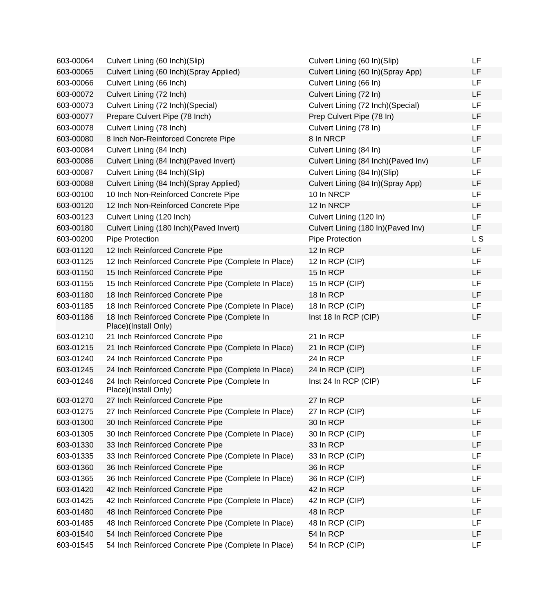| 603-00064 | Culvert Lining (60 Inch) (Slip)                                       | Culvert Lining (60 In)(Slip)         | LF  |
|-----------|-----------------------------------------------------------------------|--------------------------------------|-----|
| 603-00065 | Culvert Lining (60 Inch)(Spray Applied)                               | Culvert Lining (60 In)(Spray App)    | LF  |
| 603-00066 | Culvert Lining (66 Inch)                                              | Culvert Lining (66 In)               | LF  |
| 603-00072 | Culvert Lining (72 Inch)                                              | Culvert Lining (72 In)               | LF  |
| 603-00073 | Culvert Lining (72 Inch) (Special)                                    | Culvert Lining (72 Inch)(Special)    | LF  |
| 603-00077 | Prepare Culvert Pipe (78 Inch)                                        | Prep Culvert Pipe (78 In)            | LF  |
| 603-00078 | Culvert Lining (78 Inch)                                              | Culvert Lining (78 In)               | LF  |
| 603-00080 | 8 Inch Non-Reinforced Concrete Pipe                                   | 8 In NRCP                            | LF  |
| 603-00084 | Culvert Lining (84 Inch)                                              | Culvert Lining (84 In)               | LF  |
| 603-00086 | Culvert Lining (84 Inch) (Paved Invert)                               | Culvert Lining (84 Inch) (Paved Inv) | LF  |
| 603-00087 | Culvert Lining (84 Inch)(Slip)                                        | Culvert Lining (84 In)(Slip)         | LF  |
| 603-00088 | Culvert Lining (84 Inch)(Spray Applied)                               | Culvert Lining (84 In)(Spray App)    | LF  |
| 603-00100 | 10 Inch Non-Reinforced Concrete Pipe                                  | 10 In NRCP                           | LF  |
| 603-00120 | 12 Inch Non-Reinforced Concrete Pipe                                  | 12 In NRCP                           | LF  |
| 603-00123 | Culvert Lining (120 Inch)                                             | Culvert Lining (120 In)              | LF  |
| 603-00180 | Culvert Lining (180 Inch) (Paved Invert)                              | Culvert Lining (180 In)(Paved Inv)   | LF  |
| 603-00200 | Pipe Protection                                                       | Pipe Protection                      | L S |
| 603-01120 | 12 Inch Reinforced Concrete Pipe                                      | 12 In RCP                            | LF  |
| 603-01125 | 12 Inch Reinforced Concrete Pipe (Complete In Place)                  | 12 In RCP (CIP)                      | LF  |
| 603-01150 | 15 Inch Reinforced Concrete Pipe                                      | 15 In RCP                            | LF  |
| 603-01155 | 15 Inch Reinforced Concrete Pipe (Complete In Place)                  | 15 In RCP (CIP)                      | LF  |
| 603-01180 | 18 Inch Reinforced Concrete Pipe                                      | 18 In RCP                            | LF  |
| 603-01185 | 18 Inch Reinforced Concrete Pipe (Complete In Place)                  | 18 In RCP (CIP)                      | LF  |
| 603-01186 | 18 Inch Reinforced Concrete Pipe (Complete In<br>Place)(Install Only) | Inst 18 In RCP (CIP)                 | LF  |
| 603-01210 | 21 Inch Reinforced Concrete Pipe                                      | 21 In RCP                            | LF  |
| 603-01215 | 21 Inch Reinforced Concrete Pipe (Complete In Place)                  | 21 In RCP (CIP)                      | LF  |
| 603-01240 | 24 Inch Reinforced Concrete Pipe                                      | 24 In RCP                            | LF  |
| 603-01245 | 24 Inch Reinforced Concrete Pipe (Complete In Place)                  | 24 In RCP (CIP)                      | LF  |
| 603-01246 | 24 Inch Reinforced Concrete Pipe (Complete In<br>Place)(Install Only) | Inst 24 In RCP (CIP)                 | LF  |
| 603-01270 | 27 Inch Reinforced Concrete Pipe                                      | 27 In RCP                            | LF  |
| 603-01275 | 27 Inch Reinforced Concrete Pipe (Complete In Place)                  | 27 In RCP (CIP)                      | LF  |
| 603-01300 | 30 Inch Reinforced Concrete Pipe                                      | 30 In RCP                            | LF  |
| 603-01305 | 30 Inch Reinforced Concrete Pipe (Complete In Place)                  | 30 In RCP (CIP)                      | LF  |
| 603-01330 | 33 Inch Reinforced Concrete Pipe                                      | 33 In RCP                            | LF  |
| 603-01335 | 33 Inch Reinforced Concrete Pipe (Complete In Place)                  | 33 In RCP (CIP)                      | LF  |
| 603-01360 | 36 Inch Reinforced Concrete Pipe                                      | 36 In RCP                            | LF  |
| 603-01365 | 36 Inch Reinforced Concrete Pipe (Complete In Place)                  | 36 In RCP (CIP)                      | LF  |
| 603-01420 | 42 Inch Reinforced Concrete Pipe                                      | 42 In RCP                            | LF  |
| 603-01425 | 42 Inch Reinforced Concrete Pipe (Complete In Place)                  | 42 In RCP (CIP)                      | LF  |
| 603-01480 | 48 Inch Reinforced Concrete Pipe                                      | 48 In RCP                            | LF  |
| 603-01485 | 48 Inch Reinforced Concrete Pipe (Complete In Place)                  | 48 In RCP (CIP)                      | LF  |
| 603-01540 | 54 Inch Reinforced Concrete Pipe                                      | 54 In RCP                            | LF  |
| 603-01545 | 54 Inch Reinforced Concrete Pipe (Complete In Place)                  | 54 In RCP (CIP)                      | LF  |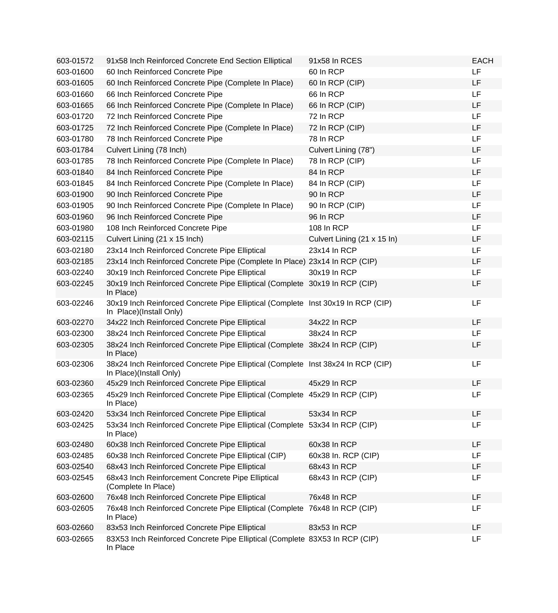| 603-01572 | 91x58 Inch Reinforced Concrete End Section Elliptical                                                       | 91x58 In RCES               | <b>EACH</b> |
|-----------|-------------------------------------------------------------------------------------------------------------|-----------------------------|-------------|
| 603-01600 | 60 Inch Reinforced Concrete Pipe                                                                            | 60 In RCP                   | <b>LF</b>   |
| 603-01605 | 60 Inch Reinforced Concrete Pipe (Complete In Place)                                                        | 60 In RCP (CIP)             | <b>LF</b>   |
| 603-01660 | 66 Inch Reinforced Concrete Pipe                                                                            | 66 In RCP                   | LF          |
| 603-01665 | 66 Inch Reinforced Concrete Pipe (Complete In Place)                                                        | 66 In RCP (CIP)             | <b>LF</b>   |
| 603-01720 | 72 Inch Reinforced Concrete Pipe                                                                            | 72 In RCP                   | LF          |
| 603-01725 | 72 Inch Reinforced Concrete Pipe (Complete In Place)                                                        | 72 In RCP (CIP)             | <b>LF</b>   |
| 603-01780 | 78 Inch Reinforced Concrete Pipe                                                                            | 78 In RCP                   | <b>LF</b>   |
| 603-01784 | Culvert Lining (78 Inch)                                                                                    | Culvert Lining (78")        | LF          |
| 603-01785 | 78 Inch Reinforced Concrete Pipe (Complete In Place)                                                        | 78 In RCP (CIP)             | LF          |
| 603-01840 | 84 Inch Reinforced Concrete Pipe                                                                            | 84 In RCP                   | LF          |
| 603-01845 | 84 Inch Reinforced Concrete Pipe (Complete In Place)                                                        | 84 In RCP (CIP)             | <b>LF</b>   |
| 603-01900 | 90 Inch Reinforced Concrete Pipe                                                                            | 90 In RCP                   | <b>LF</b>   |
| 603-01905 | 90 Inch Reinforced Concrete Pipe (Complete In Place)                                                        | 90 In RCP (CIP)             | <b>LF</b>   |
| 603-01960 | 96 Inch Reinforced Concrete Pipe                                                                            | 96 In RCP                   | LF          |
| 603-01980 | 108 Inch Reinforced Concrete Pipe                                                                           | 108 In RCP                  | LF          |
| 603-02115 | Culvert Lining (21 x 15 Inch)                                                                               | Culvert Lining (21 x 15 ln) | LF          |
| 603-02180 | 23x14 Inch Reinforced Concrete Pipe Elliptical                                                              | 23x14 In RCP                | <b>LF</b>   |
| 603-02185 | 23x14 Inch Reinforced Concrete Pipe (Complete In Place) 23x14 In RCP (CIP)                                  |                             | LF          |
| 603-02240 | 30x19 Inch Reinforced Concrete Pipe Elliptical                                                              | 30x19 In RCP                | LF          |
| 603-02245 | 30x19 Inch Reinforced Concrete Pipe Elliptical (Complete 30x19 In RCP (CIP)<br>In Place)                    |                             | LF          |
| 603-02246 | 30x19 Inch Reinforced Concrete Pipe Elliptical (Complete Inst 30x19 In RCP (CIP)<br>In Place)(Install Only) |                             | LF          |
| 603-02270 | 34x22 Inch Reinforced Concrete Pipe Elliptical                                                              | 34x22 In RCP                | <b>LF</b>   |
| 603-02300 | 38x24 Inch Reinforced Concrete Pipe Elliptical                                                              | 38x24 In RCP                | <b>LF</b>   |
| 603-02305 | 38x24 Inch Reinforced Concrete Pipe Elliptical (Complete 38x24 In RCP (CIP)<br>In Place)                    |                             | LF          |
| 603-02306 | 38x24 Inch Reinforced Concrete Pipe Elliptical (Complete Inst 38x24 In RCP (CIP)<br>In Place)(Install Only) |                             | LF          |
| 603-02360 | 45x29 Inch Reinforced Concrete Pipe Elliptical                                                              | 45x29 In RCP                | LF          |
| 603-02365 | 45x29 Inch Reinforced Concrete Pipe Elliptical (Complete 45x29 In RCP (CIP)<br>In Place)                    |                             | LF          |
| 603-02420 | 53x34 Inch Reinforced Concrete Pipe Elliptical                                                              | 53x34 In RCP                | LF          |
| 603-02425 | 53x34 Inch Reinforced Concrete Pipe Elliptical (Complete<br>In Place)                                       | 53x34 In RCP (CIP)          | LF          |
| 603-02480 | 60x38 Inch Reinforced Concrete Pipe Elliptical                                                              | 60x38 In RCP                | LF          |
| 603-02485 | 60x38 Inch Reinforced Concrete Pipe Elliptical (CIP)                                                        | 60x38 In. RCP (CIP)         | LF          |
| 603-02540 | 68x43 Inch Reinforced Concrete Pipe Elliptical                                                              | 68x43 In RCP                | LF          |
| 603-02545 | 68x43 Inch Reinforcement Concrete Pipe Elliptical<br>(Complete In Place)                                    | 68x43 In RCP (CIP)          | LF          |
| 603-02600 | 76x48 Inch Reinforced Concrete Pipe Elliptical                                                              | 76x48 In RCP                | LF          |
| 603-02605 | 76x48 Inch Reinforced Concrete Pipe Elliptical (Complete<br>In Place)                                       | 76x48 In RCP (CIP)          | LF          |
| 603-02660 | 83x53 Inch Reinforced Concrete Pipe Elliptical                                                              | 83x53 In RCP                | LF          |
| 603-02665 | 83X53 Inch Reinforced Concrete Pipe Elliptical (Complete 83X53 In RCP (CIP)<br>In Place                     |                             | LF          |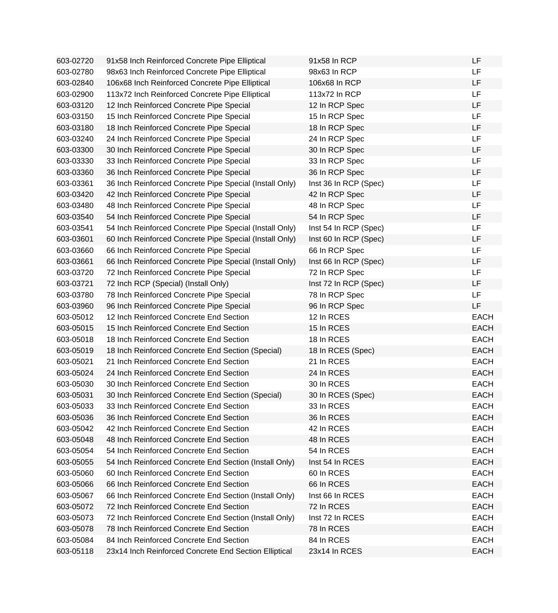| 603-02720 | 91x58 Inch Reinforced Concrete Pipe Elliptical          | 91x58 In RCP          | LF          |
|-----------|---------------------------------------------------------|-----------------------|-------------|
| 603-02780 | 98x63 Inch Reinforced Concrete Pipe Elliptical          | 98x63 In RCP          | <b>LF</b>   |
| 603-02840 | 106x68 Inch Reinforced Concrete Pipe Elliptical         | 106x68 In RCP         | LF          |
| 603-02900 | 113x72 Inch Reinforced Concrete Pipe Elliptical         | 113x72 In RCP         | LF          |
| 603-03120 | 12 Inch Reinforced Concrete Pipe Special                | 12 In RCP Spec        | LF          |
| 603-03150 | 15 Inch Reinforced Concrete Pipe Special                | 15 In RCP Spec        | <b>LF</b>   |
| 603-03180 | 18 Inch Reinforced Concrete Pipe Special                | 18 In RCP Spec        | LF          |
| 603-03240 | 24 Inch Reinforced Concrete Pipe Special                | 24 In RCP Spec        | LF          |
| 603-03300 | 30 Inch Reinforced Concrete Pipe Special                | 30 In RCP Spec        | <b>LF</b>   |
| 603-03330 | 33 Inch Reinforced Concrete Pipe Special                | 33 In RCP Spec        | LF          |
| 603-03360 | 36 Inch Reinforced Concrete Pipe Special                | 36 In RCP Spec        | LF          |
| 603-03361 | 36 Inch Reinforced Concrete Pipe Special (Install Only) | Inst 36 In RCP (Spec) | LF          |
| 603-03420 | 42 Inch Reinforced Concrete Pipe Special                | 42 In RCP Spec        | LF          |
| 603-03480 | 48 Inch Reinforced Concrete Pipe Special                | 48 In RCP Spec        | <b>LF</b>   |
| 603-03540 | 54 Inch Reinforced Concrete Pipe Special                | 54 In RCP Spec        | LF          |
| 603-03541 | 54 Inch Reinforced Concrete Pipe Special (Install Only) | Inst 54 In RCP (Spec) | <b>LF</b>   |
| 603-03601 | 60 Inch Reinforced Concrete Pipe Special (Install Only) | Inst 60 In RCP (Spec) | LF          |
| 603-03660 | 66 Inch Reinforced Concrete Pipe Special                | 66 In RCP Spec        | LF          |
| 603-03661 | 66 Inch Reinforced Concrete Pipe Special (Install Only) | Inst 66 In RCP (Spec) | LF          |
| 603-03720 | 72 Inch Reinforced Concrete Pipe Special                | 72 In RCP Spec        | LF          |
| 603-03721 | 72 Inch RCP (Special) (Install Only)                    | Inst 72 In RCP (Spec) | LF          |
| 603-03780 | 78 Inch Reinforced Concrete Pipe Special                | 78 In RCP Spec        | LF          |
| 603-03960 | 96 Inch Reinforced Concrete Pipe Special                | 96 In RCP Spec        | LF          |
| 603-05012 | 12 Inch Reinforced Concrete End Section                 | 12 In RCES            | <b>EACH</b> |
| 603-05015 | 15 Inch Reinforced Concrete End Section                 | 15 In RCES            | <b>EACH</b> |
| 603-05018 | 18 Inch Reinforced Concrete End Section                 | 18 In RCES            | <b>EACH</b> |
| 603-05019 | 18 Inch Reinforced Concrete End Section (Special)       | 18 In RCES (Spec)     | <b>EACH</b> |
| 603-05021 | 21 Inch Reinforced Concrete End Section                 | 21 In RCES            | <b>EACH</b> |
| 603-05024 | 24 Inch Reinforced Concrete End Section                 | 24 In RCES            | <b>EACH</b> |
| 603-05030 | 30 Inch Reinforced Concrete End Section                 | 30 In RCES            | <b>EACH</b> |
| 603-05031 | 30 Inch Reinforced Concrete End Section (Special)       | 30 In RCES (Spec)     | <b>EACH</b> |
| 603-05033 | 33 Inch Reinforced Concrete End Section                 | 33 In RCES            | <b>EACH</b> |
| 603-05036 | 36 Inch Reinforced Concrete End Section                 | 36 In RCES            | <b>EACH</b> |
| 603-05042 | 42 Inch Reinforced Concrete End Section                 | 42 In RCES            | <b>EACH</b> |
| 603-05048 | 48 Inch Reinforced Concrete End Section                 | 48 In RCES            | <b>EACH</b> |
| 603-05054 | 54 Inch Reinforced Concrete End Section                 | 54 In RCES            | <b>EACH</b> |
| 603-05055 | 54 Inch Reinforced Concrete End Section (Install Only)  | Inst 54 In RCES       | <b>EACH</b> |
| 603-05060 | 60 Inch Reinforced Concrete End Section                 | 60 In RCES            | <b>EACH</b> |
| 603-05066 | 66 Inch Reinforced Concrete End Section                 | 66 In RCES            | <b>EACH</b> |
| 603-05067 | 66 Inch Reinforced Concrete End Section (Install Only)  | Inst 66 In RCES       | <b>EACH</b> |
| 603-05072 | 72 Inch Reinforced Concrete End Section                 | 72 In RCES            | <b>EACH</b> |
| 603-05073 | 72 Inch Reinforced Concrete End Section (Install Only)  | Inst 72 In RCES       | <b>EACH</b> |
| 603-05078 | 78 Inch Reinforced Concrete End Section                 | 78 In RCES            | <b>EACH</b> |
| 603-05084 | 84 Inch Reinforced Concrete End Section                 | 84 In RCES            | <b>EACH</b> |
| 603-05118 | 23x14 Inch Reinforced Concrete End Section Elliptical   | 23x14 In RCES         | EACH        |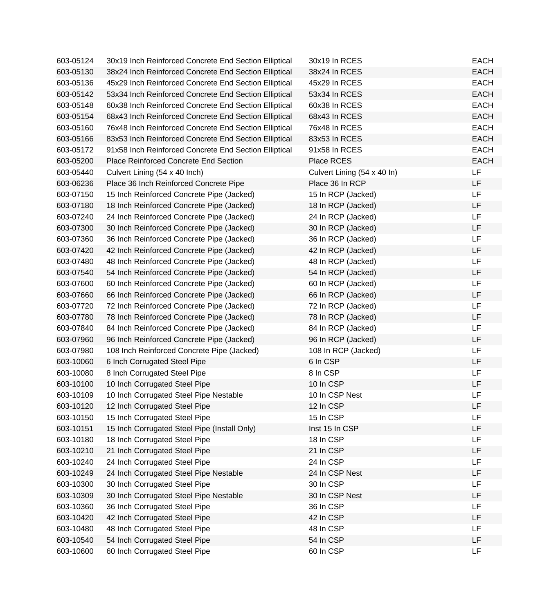| 603-05124 | 30x19 Inch Reinforced Concrete End Section Elliptical | 30x19 In RCES               | <b>EACH</b> |
|-----------|-------------------------------------------------------|-----------------------------|-------------|
| 603-05130 | 38x24 Inch Reinforced Concrete End Section Elliptical | 38x24 In RCES               | <b>EACH</b> |
| 603-05136 | 45x29 Inch Reinforced Concrete End Section Elliptical | 45x29 In RCES               | <b>EACH</b> |
| 603-05142 | 53x34 Inch Reinforced Concrete End Section Elliptical | 53x34 In RCES               | <b>EACH</b> |
| 603-05148 | 60x38 Inch Reinforced Concrete End Section Elliptical | 60x38 In RCES               | <b>EACH</b> |
| 603-05154 | 68x43 Inch Reinforced Concrete End Section Elliptical | 68x43 In RCES               | <b>EACH</b> |
| 603-05160 | 76x48 Inch Reinforced Concrete End Section Elliptical | 76x48 In RCES               | <b>EACH</b> |
| 603-05166 | 83x53 Inch Reinforced Concrete End Section Elliptical | 83x53 In RCES               | <b>EACH</b> |
| 603-05172 | 91x58 Inch Reinforced Concrete End Section Elliptical | 91x58 In RCES               | <b>EACH</b> |
| 603-05200 | Place Reinforced Concrete End Section                 | Place RCES                  | <b>EACH</b> |
| 603-05440 | Culvert Lining (54 x 40 Inch)                         | Culvert Lining (54 x 40 ln) | LF          |
| 603-06236 | Place 36 Inch Reinforced Concrete Pipe                | Place 36 In RCP             | LF          |
| 603-07150 | 15 Inch Reinforced Concrete Pipe (Jacked)             | 15 In RCP (Jacked)          | LF          |
| 603-07180 | 18 Inch Reinforced Concrete Pipe (Jacked)             | 18 In RCP (Jacked)          | LF          |
| 603-07240 | 24 Inch Reinforced Concrete Pipe (Jacked)             | 24 In RCP (Jacked)          | LF          |
| 603-07300 | 30 Inch Reinforced Concrete Pipe (Jacked)             | 30 In RCP (Jacked)          | LF          |
| 603-07360 | 36 Inch Reinforced Concrete Pipe (Jacked)             | 36 In RCP (Jacked)          | LF          |
| 603-07420 | 42 Inch Reinforced Concrete Pipe (Jacked)             | 42 In RCP (Jacked)          | LF          |
| 603-07480 | 48 Inch Reinforced Concrete Pipe (Jacked)             | 48 In RCP (Jacked)          | LF          |
| 603-07540 | 54 Inch Reinforced Concrete Pipe (Jacked)             | 54 In RCP (Jacked)          | LF          |
| 603-07600 | 60 Inch Reinforced Concrete Pipe (Jacked)             | 60 In RCP (Jacked)          | LF          |
| 603-07660 | 66 Inch Reinforced Concrete Pipe (Jacked)             | 66 In RCP (Jacked)          | LF          |
| 603-07720 | 72 Inch Reinforced Concrete Pipe (Jacked)             | 72 In RCP (Jacked)          | LF          |
| 603-07780 | 78 Inch Reinforced Concrete Pipe (Jacked)             | 78 In RCP (Jacked)          | LF          |
| 603-07840 | 84 Inch Reinforced Concrete Pipe (Jacked)             | 84 In RCP (Jacked)          | LF          |
| 603-07960 | 96 Inch Reinforced Concrete Pipe (Jacked)             | 96 In RCP (Jacked)          | LF          |
| 603-07980 | 108 Inch Reinforced Concrete Pipe (Jacked)            | 108 In RCP (Jacked)         | LF          |
| 603-10060 | 6 Inch Corrugated Steel Pipe                          | 6 In CSP                    | LF          |
| 603-10080 | 8 Inch Corrugated Steel Pipe                          | 8 In CSP                    | LF          |
| 603-10100 | 10 Inch Corrugated Steel Pipe                         | 10 In CSP                   | LF          |
| 603-10109 | 10 Inch Corrugated Steel Pipe Nestable                | 10 In CSP Nest              | LF          |
| 603-10120 | 12 Inch Corrugated Steel Pipe                         | 12 In CSP                   | LF          |
| 603-10150 | 15 Inch Corrugated Steel Pipe                         | 15 In CSP                   | LF          |
| 603-10151 | 15 Inch Corrugated Steel Pipe (Install Only)          | Inst 15 In CSP              | LF          |
| 603-10180 | 18 Inch Corrugated Steel Pipe                         | 18 In CSP                   | LF          |
| 603-10210 | 21 Inch Corrugated Steel Pipe                         | 21 In CSP                   | LF          |
| 603-10240 | 24 Inch Corrugated Steel Pipe                         | 24 In CSP                   | LF          |
| 603-10249 | 24 Inch Corrugated Steel Pipe Nestable                | 24 In CSP Nest              | LF          |
| 603-10300 | 30 Inch Corrugated Steel Pipe                         | 30 In CSP                   | LF          |
| 603-10309 | 30 Inch Corrugated Steel Pipe Nestable                | 30 In CSP Nest              | LF          |
| 603-10360 | 36 Inch Corrugated Steel Pipe                         | 36 In CSP                   | LF          |
| 603-10420 | 42 Inch Corrugated Steel Pipe                         | 42 In CSP                   | LF          |
| 603-10480 | 48 Inch Corrugated Steel Pipe                         | 48 In CSP                   | LF          |
| 603-10540 | 54 Inch Corrugated Steel Pipe                         | 54 In CSP                   | LF          |
| 603-10600 | 60 Inch Corrugated Steel Pipe                         | 60 In CSP                   | LF          |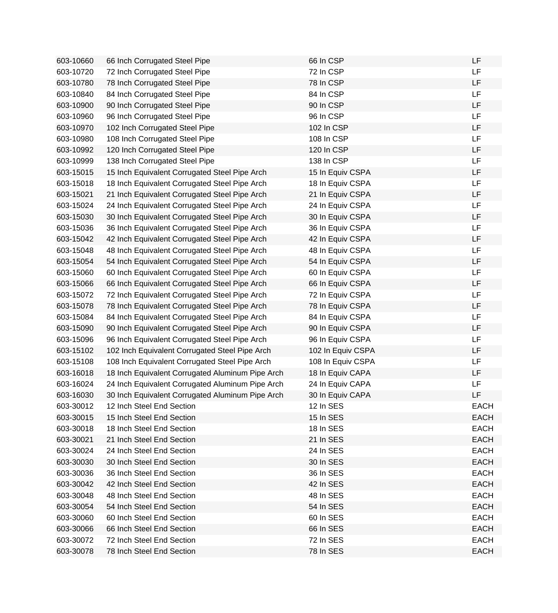| 603-10660 | 66 Inch Corrugated Steel Pipe                    | 66 In CSP         | <b>LF</b>   |
|-----------|--------------------------------------------------|-------------------|-------------|
| 603-10720 | 72 Inch Corrugated Steel Pipe                    | 72 In CSP         | <b>LF</b>   |
| 603-10780 | 78 Inch Corrugated Steel Pipe                    | 78 In CSP         | LF          |
| 603-10840 | 84 Inch Corrugated Steel Pipe                    | 84 In CSP         | <b>LF</b>   |
| 603-10900 | 90 Inch Corrugated Steel Pipe                    | 90 In CSP         | LF          |
| 603-10960 | 96 Inch Corrugated Steel Pipe                    | 96 In CSP         | <b>LF</b>   |
| 603-10970 | 102 Inch Corrugated Steel Pipe                   | 102 In CSP        | LF          |
| 603-10980 | 108 Inch Corrugated Steel Pipe                   | 108 In CSP        | LF          |
| 603-10992 | 120 Inch Corrugated Steel Pipe                   | 120 In CSP        | LF          |
| 603-10999 | 138 Inch Corrugated Steel Pipe                   | 138 In CSP        | LF          |
| 603-15015 | 15 Inch Equivalent Corrugated Steel Pipe Arch    | 15 In Equiv CSPA  | LF          |
| 603-15018 | 18 Inch Equivalent Corrugated Steel Pipe Arch    | 18 In Equiv CSPA  | LF          |
| 603-15021 | 21 Inch Equivalent Corrugated Steel Pipe Arch    | 21 In Equiv CSPA  | LF          |
| 603-15024 | 24 Inch Equivalent Corrugated Steel Pipe Arch    | 24 In Equiv CSPA  | <b>LF</b>   |
| 603-15030 | 30 Inch Equivalent Corrugated Steel Pipe Arch    | 30 In Equiv CSPA  | LF          |
| 603-15036 | 36 Inch Equivalent Corrugated Steel Pipe Arch    | 36 In Equiv CSPA  | <b>LF</b>   |
| 603-15042 | 42 Inch Equivalent Corrugated Steel Pipe Arch    | 42 In Equiv CSPA  | LF          |
| 603-15048 | 48 Inch Equivalent Corrugated Steel Pipe Arch    | 48 In Equiv CSPA  | LF          |
| 603-15054 | 54 Inch Equivalent Corrugated Steel Pipe Arch    | 54 In Equiv CSPA  | LF          |
| 603-15060 | 60 Inch Equivalent Corrugated Steel Pipe Arch    | 60 In Equiv CSPA  | LF          |
| 603-15066 | 66 Inch Equivalent Corrugated Steel Pipe Arch    | 66 In Equiv CSPA  | LF          |
| 603-15072 | 72 Inch Equivalent Corrugated Steel Pipe Arch    | 72 In Equiv CSPA  | <b>LF</b>   |
| 603-15078 | 78 Inch Equivalent Corrugated Steel Pipe Arch    | 78 In Equiv CSPA  | LF          |
| 603-15084 | 84 Inch Equivalent Corrugated Steel Pipe Arch    | 84 In Equiv CSPA  | <b>LF</b>   |
| 603-15090 | 90 Inch Equivalent Corrugated Steel Pipe Arch    | 90 In Equiv CSPA  | <b>LF</b>   |
| 603-15096 | 96 Inch Equivalent Corrugated Steel Pipe Arch    | 96 In Equiv CSPA  | <b>LF</b>   |
| 603-15102 | 102 Inch Equivalent Corrugated Steel Pipe Arch   | 102 In Equiv CSPA | LF          |
| 603-15108 | 108 Inch Equivalent Corrugated Steel Pipe Arch   | 108 In Equiv CSPA | LF          |
| 603-16018 | 18 Inch Equivalent Corrugated Aluminum Pipe Arch | 18 In Equiv CAPA  | LF          |
| 603-16024 | 24 Inch Equivalent Corrugated Aluminum Pipe Arch | 24 In Equiv CAPA  | LF          |
| 603-16030 | 30 Inch Equivalent Corrugated Aluminum Pipe Arch | 30 In Equiv CAPA  | LF          |
| 603-30012 | 12 Inch Steel End Section                        | 12 In SES         | <b>EACH</b> |
| 603-30015 | 15 Inch Steel End Section                        | 15 In SES         | <b>EACH</b> |
| 603-30018 | 18 Inch Steel End Section                        | 18 In SES         | <b>EACH</b> |
| 603-30021 | 21 Inch Steel End Section                        | 21 In SES         | <b>EACH</b> |
| 603-30024 | 24 Inch Steel End Section                        | 24 In SES         | <b>EACH</b> |
| 603-30030 | 30 Inch Steel End Section                        | 30 In SES         | <b>EACH</b> |
| 603-30036 | 36 Inch Steel End Section                        | 36 In SES         | <b>EACH</b> |
| 603-30042 | 42 Inch Steel End Section                        | 42 In SES         | <b>EACH</b> |
| 603-30048 | 48 Inch Steel End Section                        | 48 In SES         | <b>EACH</b> |
| 603-30054 | 54 Inch Steel End Section                        | 54 In SES         | <b>EACH</b> |
| 603-30060 | 60 Inch Steel End Section                        | 60 In SES         | <b>EACH</b> |
| 603-30066 | 66 Inch Steel End Section                        | 66 In SES         | <b>EACH</b> |
| 603-30072 | 72 Inch Steel End Section                        | 72 In SES         | <b>EACH</b> |
| 603-30078 | 78 Inch Steel End Section                        | 78 In SES         | <b>EACH</b> |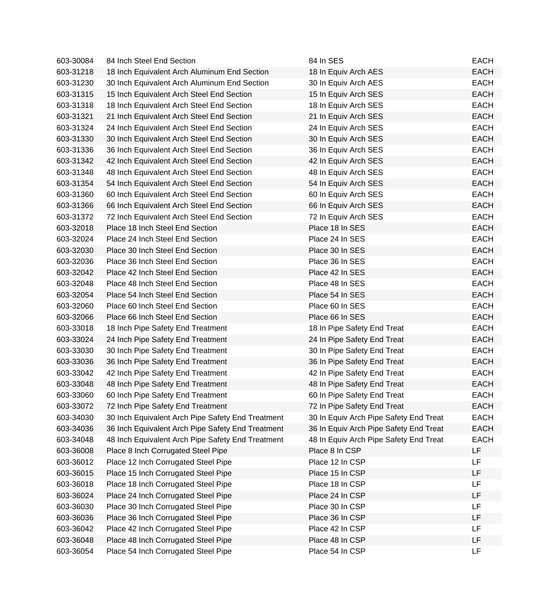| 603-30084 | 84 Inch Steel End Section                         | 84 In SES                              | <b>EACH</b> |
|-----------|---------------------------------------------------|----------------------------------------|-------------|
| 603-31218 | 18 Inch Equivalent Arch Aluminum End Section      | 18 In Equiv Arch AES                   | <b>EACH</b> |
| 603-31230 | 30 Inch Equivalent Arch Aluminum End Section      | 30 In Equiv Arch AES                   | <b>EACH</b> |
| 603-31315 | 15 Inch Equivalent Arch Steel End Section         | 15 In Equiv Arch SES                   | <b>EACH</b> |
| 603-31318 | 18 Inch Equivalent Arch Steel End Section         | 18 In Equiv Arch SES                   | <b>EACH</b> |
| 603-31321 | 21 Inch Equivalent Arch Steel End Section         | 21 In Equiv Arch SES                   | <b>EACH</b> |
| 603-31324 | 24 Inch Equivalent Arch Steel End Section         | 24 In Equiv Arch SES                   | <b>EACH</b> |
| 603-31330 | 30 Inch Equivalent Arch Steel End Section         | 30 In Equiv Arch SES                   | <b>EACH</b> |
| 603-31336 | 36 Inch Equivalent Arch Steel End Section         | 36 In Equiv Arch SES                   | <b>EACH</b> |
| 603-31342 | 42 Inch Equivalent Arch Steel End Section         | 42 In Equiv Arch SES                   | <b>EACH</b> |
| 603-31348 | 48 Inch Equivalent Arch Steel End Section         | 48 In Equiv Arch SES                   | <b>EACH</b> |
| 603-31354 | 54 Inch Equivalent Arch Steel End Section         | 54 In Equiv Arch SES                   | <b>EACH</b> |
| 603-31360 | 60 Inch Equivalent Arch Steel End Section         | 60 In Equiv Arch SES                   | <b>EACH</b> |
| 603-31366 | 66 Inch Equivalent Arch Steel End Section         | 66 In Equiv Arch SES                   | <b>EACH</b> |
| 603-31372 | 72 Inch Equivalent Arch Steel End Section         | 72 In Equiv Arch SES                   | <b>EACH</b> |
| 603-32018 | Place 18 Inch Steel End Section                   | Place 18 In SES                        | <b>EACH</b> |
| 603-32024 | Place 24 Inch Steel End Section                   | Place 24 In SES                        | <b>EACH</b> |
| 603-32030 | Place 30 Inch Steel End Section                   | Place 30 In SES                        | <b>EACH</b> |
| 603-32036 | Place 36 Inch Steel End Section                   | Place 36 In SES                        | <b>EACH</b> |
| 603-32042 | Place 42 Inch Steel End Section                   | Place 42 In SES                        | <b>EACH</b> |
| 603-32048 | Place 48 Inch Steel End Section                   | Place 48 In SES                        | <b>EACH</b> |
| 603-32054 | Place 54 Inch Steel End Section                   | Place 54 In SES                        | <b>EACH</b> |
| 603-32060 | Place 60 Inch Steel End Section                   | Place 60 In SES                        | <b>EACH</b> |
| 603-32066 | Place 66 Inch Steel End Section                   | Place 66 In SES                        | <b>EACH</b> |
| 603-33018 | 18 Inch Pipe Safety End Treatment                 | 18 In Pipe Safety End Treat            | <b>EACH</b> |
| 603-33024 | 24 Inch Pipe Safety End Treatment                 | 24 In Pipe Safety End Treat            | <b>EACH</b> |
| 603-33030 | 30 Inch Pipe Safety End Treatment                 | 30 In Pipe Safety End Treat            | <b>EACH</b> |
| 603-33036 | 36 Inch Pipe Safety End Treatment                 | 36 In Pipe Safety End Treat            | <b>EACH</b> |
| 603-33042 | 42 Inch Pipe Safety End Treatment                 | 42 In Pipe Safety End Treat            | <b>EACH</b> |
| 603-33048 | 48 Inch Pipe Safety End Treatment                 | 48 In Pipe Safety End Treat            | <b>EACH</b> |
| 603-33060 | 60 Inch Pipe Safety End Treatment                 | 60 In Pipe Safety End Treat            | <b>EACH</b> |
| 603-33072 | 72 Inch Pipe Safety End Treatment                 | 72 In Pipe Safety End Treat            | EACH        |
| 603-34030 | 30 Inch Equivalent Arch Pipe Safety End Treatment | 30 In Equiv Arch Pipe Safety End Treat | <b>EACH</b> |
| 603-34036 | 36 Inch Equivalent Arch Pipe Safety End Treatment | 36 In Equiv Arch Pipe Safety End Treat | <b>EACH</b> |
| 603-34048 | 48 Inch Equivalent Arch Pipe Safety End Treatment | 48 In Equiv Arch Pipe Safety End Treat | <b>EACH</b> |
| 603-36008 | Place 8 Inch Corrugated Steel Pipe                | Place 8 In CSP                         | LF          |
| 603-36012 | Place 12 Inch Corrugated Steel Pipe               | Place 12 In CSP                        | LF          |
| 603-36015 | Place 15 Inch Corrugated Steel Pipe               | Place 15 In CSP                        | <b>LF</b>   |
| 603-36018 | Place 18 Inch Corrugated Steel Pipe               | Place 18 In CSP                        | LF          |
| 603-36024 | Place 24 Inch Corrugated Steel Pipe               | Place 24 In CSP                        | LF          |
| 603-36030 | Place 30 Inch Corrugated Steel Pipe               | Place 30 In CSP                        | LF          |
| 603-36036 | Place 36 Inch Corrugated Steel Pipe               | Place 36 In CSP                        | LF          |
| 603-36042 | Place 42 Inch Corrugated Steel Pipe               | Place 42 In CSP                        | LF          |
| 603-36048 | Place 48 Inch Corrugated Steel Pipe               | Place 48 In CSP                        | LF          |
| 603-36054 | Place 54 Inch Corrugated Steel Pipe               | Place 54 In CSP                        | <b>LF</b>   |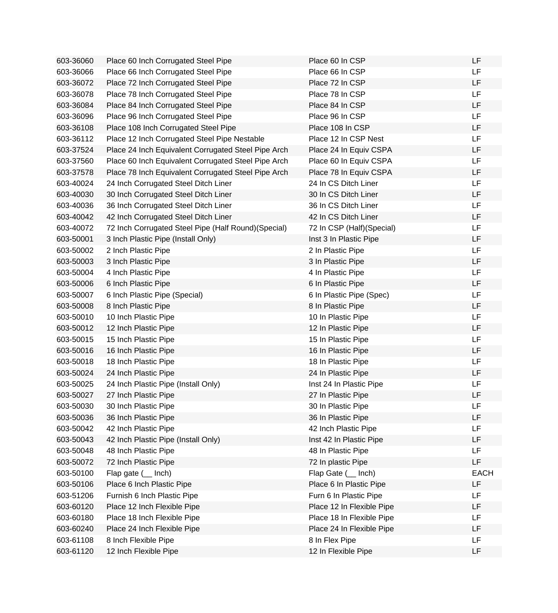| 603-36060 | Place 60 Inch Corrugated Steel Pipe                  | Place 60 In CSP           | LF          |
|-----------|------------------------------------------------------|---------------------------|-------------|
| 603-36066 | Place 66 Inch Corrugated Steel Pipe                  | Place 66 In CSP           | LF.         |
| 603-36072 | Place 72 Inch Corrugated Steel Pipe                  | Place 72 In CSP           | LF          |
| 603-36078 | Place 78 Inch Corrugated Steel Pipe                  | Place 78 In CSP           | LF.         |
| 603-36084 | Place 84 Inch Corrugated Steel Pipe                  | Place 84 In CSP           | LF          |
| 603-36096 | Place 96 Inch Corrugated Steel Pipe                  | Place 96 In CSP           | <b>LF</b>   |
| 603-36108 | Place 108 Inch Corrugated Steel Pipe                 | Place 108 In CSP          | LF          |
| 603-36112 | Place 12 Inch Corrugated Steel Pipe Nestable         | Place 12 In CSP Nest      | LF          |
| 603-37524 | Place 24 Inch Equivalent Corrugated Steel Pipe Arch  | Place 24 In Equiv CSPA    | LF          |
| 603-37560 | Place 60 Inch Equivalent Corrugated Steel Pipe Arch  | Place 60 In Equiv CSPA    | LF          |
| 603-37578 | Place 78 Inch Equivalent Corrugated Steel Pipe Arch  | Place 78 In Equiv CSPA    | LF          |
| 603-40024 | 24 Inch Corrugated Steel Ditch Liner                 | 24 In CS Ditch Liner      | <b>LF</b>   |
| 603-40030 | 30 Inch Corrugated Steel Ditch Liner                 | 30 In CS Ditch Liner      | LF          |
| 603-40036 | 36 Inch Corrugated Steel Ditch Liner                 | 36 In CS Ditch Liner      | LF          |
| 603-40042 | 42 Inch Corrugated Steel Ditch Liner                 | 42 In CS Ditch Liner      | LF          |
| 603-40072 | 72 Inch Corrugated Steel Pipe (Half Round) (Special) | 72 In CSP (Half)(Special) | LF          |
| 603-50001 | 3 Inch Plastic Pipe (Install Only)                   | Inst 3 In Plastic Pipe    | LF          |
| 603-50002 | 2 Inch Plastic Pipe                                  | 2 In Plastic Pipe         | LF          |
| 603-50003 | 3 Inch Plastic Pipe                                  | 3 In Plastic Pipe         | LF          |
| 603-50004 | 4 Inch Plastic Pipe                                  | 4 In Plastic Pipe         | LF          |
| 603-50006 | 6 Inch Plastic Pipe                                  | 6 In Plastic Pipe         | LF          |
| 603-50007 | 6 Inch Plastic Pipe (Special)                        | 6 In Plastic Pipe (Spec)  | <b>LF</b>   |
| 603-50008 | 8 Inch Plastic Pipe                                  | 8 In Plastic Pipe         | LF          |
| 603-50010 | 10 Inch Plastic Pipe                                 | 10 In Plastic Pipe        | LF          |
| 603-50012 | 12 Inch Plastic Pipe                                 | 12 In Plastic Pipe        | LF          |
| 603-50015 | 15 Inch Plastic Pipe                                 | 15 In Plastic Pipe        | LF          |
| 603-50016 | 16 Inch Plastic Pipe                                 | 16 In Plastic Pipe        | LF          |
| 603-50018 | 18 Inch Plastic Pipe                                 | 18 In Plastic Pipe        | LF          |
| 603-50024 | 24 Inch Plastic Pipe                                 | 24 In Plastic Pipe        | LF          |
| 603-50025 | 24 Inch Plastic Pipe (Install Only)                  | Inst 24 In Plastic Pipe   | LF          |
| 603-50027 | 27 Inch Plastic Pipe                                 | 27 In Plastic Pipe        | LF          |
| 603-50030 | 30 Inch Plastic Pipe                                 | 30 In Plastic Pipe        | LF          |
| 603-50036 | 36 Inch Plastic Pipe                                 | 36 In Plastic Pipe        | LF          |
| 603-50042 | 42 Inch Plastic Pipe                                 | 42 Inch Plastic Pipe      | LF          |
| 603-50043 | 42 Inch Plastic Pipe (Install Only)                  | Inst 42 In Plastic Pipe   | LF          |
| 603-50048 | 48 Inch Plastic Pipe                                 | 48 In Plastic Pipe        | LF          |
| 603-50072 | 72 Inch Plastic Pipe                                 | 72 In plastic Pipe        | LF          |
| 603-50100 | Flap gate ( __ lnch)                                 | Flap Gate ( __ Inch)      | <b>EACH</b> |
| 603-50106 | Place 6 Inch Plastic Pipe                            | Place 6 In Plastic Pipe   | LF          |
| 603-51206 | Furnish 6 Inch Plastic Pipe                          | Furn 6 In Plastic Pipe    | LF          |
| 603-60120 | Place 12 Inch Flexible Pipe                          | Place 12 In Flexible Pipe | LF          |
| 603-60180 | Place 18 Inch Flexible Pipe                          | Place 18 In Flexible Pipe | LF          |
| 603-60240 | Place 24 Inch Flexible Pipe                          | Place 24 In Flexible Pipe | LF          |
| 603-61108 | 8 Inch Flexible Pipe                                 | 8 In Flex Pipe            | LF          |
| 603-61120 | 12 Inch Flexible Pipe                                | 12 In Flexible Pipe       | LF          |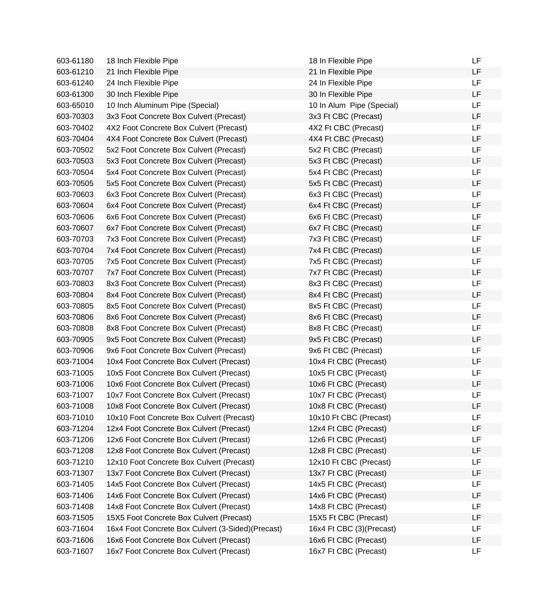| 603-61180 | 18 Inch Flexible Pipe                             | 18 In Flexible Pipe       | LF |
|-----------|---------------------------------------------------|---------------------------|----|
| 603-61210 | 21 Inch Flexible Pipe                             | 21 In Flexible Pipe       | LF |
| 603-61240 | 24 Inch Flexible Pipe                             | 24 In Flexible Pipe       | LF |
| 603-61300 | 30 Inch Flexible Pipe                             | 30 In Flexible Pipe       | LF |
| 603-65010 | 10 Inch Aluminum Pipe (Special)                   | 10 In Alum Pipe (Special) | LF |
| 603-70303 | 3x3 Foot Concrete Box Culvert (Precast)           | 3x3 Ft CBC (Precast)      | LF |
| 603-70402 | 4X2 Foot Concrete Box Culvert (Precast)           | 4X2 Ft CBC (Precast)      | LF |
| 603-70404 | 4X4 Foot Concrete Box Culvert (Precast)           | 4X4 Ft CBC (Precast)      | LF |
| 603-70502 | 5x2 Foot Concrete Box Culvert (Precast)           | 5x2 Ft CBC (Precast)      | LF |
| 603-70503 | 5x3 Foot Concrete Box Culvert (Precast)           | 5x3 Ft CBC (Precast)      | LF |
| 603-70504 | 5x4 Foot Concrete Box Culvert (Precast)           | 5x4 Ft CBC (Precast)      | LF |
| 603-70505 | 5x5 Foot Concrete Box Culvert (Precast)           | 5x5 Ft CBC (Precast)      | LF |
| 603-70603 | 6x3 Foot Concrete Box Culvert (Precast)           | 6x3 Ft CBC (Precast)      | LF |
| 603-70604 | 6x4 Foot Concrete Box Culvert (Precast)           | 6x4 Ft CBC (Precast)      | LF |
| 603-70606 | 6x6 Foot Concrete Box Culvert (Precast)           | 6x6 Ft CBC (Precast)      | LF |
| 603-70607 | 6x7 Foot Concrete Box Culvert (Precast)           | 6x7 Ft CBC (Precast)      | LF |
| 603-70703 | 7x3 Foot Concrete Box Culvert (Precast)           | 7x3 Ft CBC (Precast)      | LF |
| 603-70704 | 7x4 Foot Concrete Box Culvert (Precast)           | 7x4 Ft CBC (Precast)      | LF |
| 603-70705 | 7x5 Foot Concrete Box Culvert (Precast)           | 7x5 Ft CBC (Precast)      | LF |
| 603-70707 | 7x7 Foot Concrete Box Culvert (Precast)           | 7x7 Ft CBC (Precast)      | LF |
| 603-70803 | 8x3 Foot Concrete Box Culvert (Precast)           | 8x3 Ft CBC (Precast)      | LF |
| 603-70804 | 8x4 Foot Concrete Box Culvert (Precast)           | 8x4 Ft CBC (Precast)      | LF |
| 603-70805 | 8x5 Foot Concrete Box Culvert (Precast)           | 8x5 Ft CBC (Precast)      | LF |
| 603-70806 | 8x6 Foot Concrete Box Culvert (Precast)           | 8x6 Ft CBC (Precast)      | LF |
| 603-70808 | 8x8 Foot Concrete Box Culvert (Precast)           | 8x8 Ft CBC (Precast)      | LF |
| 603-70905 | 9x5 Foot Concrete Box Culvert (Precast)           | 9x5 Ft CBC (Precast)      | LF |
| 603-70906 | 9x6 Foot Concrete Box Culvert (Precast)           | 9x6 Ft CBC (Precast)      | LF |
| 603-71004 | 10x4 Foot Concrete Box Culvert (Precast)          | 10x4 Ft CBC (Precast)     | LF |
| 603-71005 | 10x5 Foot Concrete Box Culvert (Precast)          | 10x5 Ft CBC (Precast)     | LF |
| 603-71006 | 10x6 Foot Concrete Box Culvert (Precast)          | 10x6 Ft CBC (Precast)     | LF |
| 603-71007 | 10x7 Foot Concrete Box Culvert (Precast)          | 10x7 Ft CBC (Precast)     | LF |
| 603-71008 | 10x8 Foot Concrete Box Culvert (Precast)          | 10x8 Ft CBC (Precast)     | LF |
| 603-71010 | 10x10 Foot Concrete Box Culvert (Precast)         | 10x10 Ft CBC (Precast)    | LF |
| 603-71204 | 12x4 Foot Concrete Box Culvert (Precast)          | 12x4 Ft CBC (Precast)     | LF |
| 603-71206 | 12x6 Foot Concrete Box Culvert (Precast)          | 12x6 Ft CBC (Precast)     | LF |
| 603-71208 | 12x8 Foot Concrete Box Culvert (Precast)          | 12x8 Ft CBC (Precast)     | LF |
| 603-71210 | 12x10 Foot Concrete Box Culvert (Precast)         | 12x10 Ft CBC (Precast)    | LF |
| 603-71307 | 13x7 Foot Concrete Box Culvert (Precast)          | 13x7 Ft CBC (Precast)     | LF |
| 603-71405 | 14x5 Foot Concrete Box Culvert (Precast)          | 14x5 Ft CBC (Precast)     | LF |
| 603-71406 | 14x6 Foot Concrete Box Culvert (Precast)          | 14x6 Ft CBC (Precast)     | LF |
| 603-71408 | 14x8 Foot Concrete Box Culvert (Precast)          | 14x8 Ft CBC (Precast)     | LF |
| 603-71505 | 15X5 Foot Concrete Box Culvert (Precast)          | 15X5 Ft CBC (Precast)     | LF |
| 603-71604 | 16x4 Foot Concrete Box Culvert (3-Sided)(Precast) | 16x4 Ft CBC (3)(Precast)  | LF |
| 603-71606 | 16x6 Foot Concrete Box Culvert (Precast)          | 16x6 Ft CBC (Precast)     | LF |
| 603-71607 | 16x7 Foot Concrete Box Culvert (Precast)          | 16x7 Ft CBC (Precast)     | LF |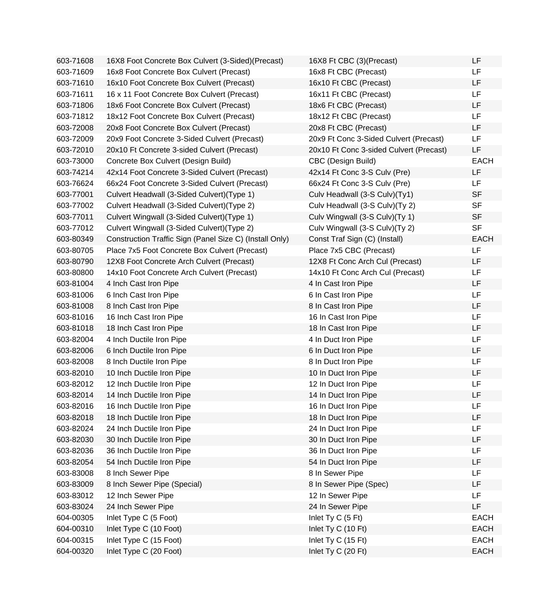| 603-71608 | 16X8 Foot Concrete Box Culvert (3-Sided)(Precast)       | 16X8 Ft CBC (3)(Precast)                | LF          |
|-----------|---------------------------------------------------------|-----------------------------------------|-------------|
| 603-71609 | 16x8 Foot Concrete Box Culvert (Precast)                | 16x8 Ft CBC (Precast)                   | LF          |
| 603-71610 | 16x10 Foot Concrete Box Culvert (Precast)               | 16x10 Ft CBC (Precast)                  | LF          |
| 603-71611 | 16 x 11 Foot Concrete Box Culvert (Precast)             | 16x11 Ft CBC (Precast)                  | LF          |
| 603-71806 | 18x6 Foot Concrete Box Culvert (Precast)                | 18x6 Ft CBC (Precast)                   | LF          |
| 603-71812 | 18x12 Foot Concrete Box Culvert (Precast)               | 18x12 Ft CBC (Precast)                  | LF          |
| 603-72008 | 20x8 Foot Concrete Box Culvert (Precast)                | 20x8 Ft CBC (Precast)                   | LF          |
| 603-72009 | 20x9 Foot Concrete 3-Sided Culvert (Precast)            | 20x9 Ft Conc 3-Sided Culvert (Precast)  | LF          |
| 603-72010 | 20x10 Ft Concrete 3-sided Culvert (Precast)             | 20x10 Ft Conc 3-sided Culvert (Precast) | LF          |
| 603-73000 | Concrete Box Culvert (Design Build)                     | CBC (Design Build)                      | <b>EACH</b> |
| 603-74214 | 42x14 Foot Concrete 3-Sided Culvert (Precast)           | 42x14 Ft Conc 3-S Culv (Pre)            | LF          |
| 603-76624 | 66x24 Foot Concrete 3-Sided Culvert (Precast)           | 66x24 Ft Conc 3-S Culv (Pre)            | LF          |
| 603-77001 | Culvert Headwall (3-Sided Culvert) (Type 1)             | Culv Headwall (3-S Culv)(Ty1)           | <b>SF</b>   |
| 603-77002 | Culvert Headwall (3-Sided Culvert) (Type 2)             | Culv Headwall (3-S Culv)(Ty 2)          | <b>SF</b>   |
| 603-77011 | Culvert Wingwall (3-Sided Culvert) (Type 1)             | Culv Wingwall (3-S Culv)(Ty 1)          | <b>SF</b>   |
| 603-77012 | Culvert Wingwall (3-Sided Culvert) (Type 2)             | Culv Wingwall (3-S Culv)(Ty 2)          | <b>SF</b>   |
| 603-80349 | Construction Traffic Sign (Panel Size C) (Install Only) | Const Traf Sign (C) (Install)           | <b>EACH</b> |
| 603-80705 | Place 7x5 Foot Concrete Box Culvert (Precast)           | Place 7x5 CBC (Precast)                 | LF          |
| 603-80790 | 12X8 Foot Concrete Arch Culvert (Precast)               | 12X8 Ft Conc Arch Cul (Precast)         | LF          |
| 603-80800 | 14x10 Foot Concrete Arch Culvert (Precast)              | 14x10 Ft Conc Arch Cul (Precast)        | LF          |
| 603-81004 | 4 Inch Cast Iron Pipe                                   | 4 In Cast Iron Pipe                     | LF          |
| 603-81006 | 6 Inch Cast Iron Pipe                                   | 6 In Cast Iron Pipe                     | LF          |
| 603-81008 | 8 Inch Cast Iron Pipe                                   | 8 In Cast Iron Pipe                     | LF          |
| 603-81016 | 16 Inch Cast Iron Pipe                                  | 16 In Cast Iron Pipe                    | LF          |
| 603-81018 | 18 Inch Cast Iron Pipe                                  | 18 In Cast Iron Pipe                    | LF          |
| 603-82004 | 4 Inch Ductile Iron Pipe                                | 4 In Duct Iron Pipe                     | LF          |
| 603-82006 | 6 Inch Ductile Iron Pipe                                | 6 In Duct Iron Pipe                     | LF          |
| 603-82008 | 8 Inch Ductile Iron Pipe                                | 8 In Duct Iron Pipe                     | LF          |
| 603-82010 | 10 Inch Ductile Iron Pipe                               | 10 In Duct Iron Pipe                    | LF          |
| 603-82012 | 12 Inch Ductile Iron Pipe                               | 12 In Duct Iron Pipe                    | LF          |
| 603-82014 | 14 Inch Ductile Iron Pipe                               | 14 In Duct Iron Pipe                    | LF          |
| 603-82016 | 16 Inch Ductile Iron Pipe                               | 16 In Duct Iron Pipe                    | LF          |
| 603-82018 | 18 Inch Ductile Iron Pipe                               | 18 In Duct Iron Pipe                    | LF          |
| 603-82024 | 24 Inch Ductile Iron Pipe                               | 24 In Duct Iron Pipe                    | LF          |
| 603-82030 | 30 Inch Ductile Iron Pipe                               | 30 In Duct Iron Pipe                    | LF          |
| 603-82036 | 36 Inch Ductile Iron Pipe                               | 36 In Duct Iron Pipe                    | LF          |
| 603-82054 | 54 Inch Ductile Iron Pipe                               | 54 In Duct Iron Pipe                    | LF          |
| 603-83008 | 8 Inch Sewer Pipe                                       | 8 In Sewer Pipe                         | LF          |
| 603-83009 | 8 Inch Sewer Pipe (Special)                             | 8 In Sewer Pipe (Spec)                  | LF          |
| 603-83012 | 12 Inch Sewer Pipe                                      | 12 In Sewer Pipe                        | LF          |
| 603-83024 | 24 Inch Sewer Pipe                                      | 24 In Sewer Pipe                        | LF          |
| 604-00305 | Inlet Type C (5 Foot)                                   | Inlet Ty C (5 Ft)                       | <b>EACH</b> |
| 604-00310 | Inlet Type C (10 Foot)                                  | Inlet Ty C (10 Ft)                      | <b>EACH</b> |
| 604-00315 | Inlet Type C (15 Foot)                                  | Inlet Ty C (15 Ft)                      | <b>EACH</b> |
| 604-00320 | Inlet Type C (20 Foot)                                  | Inlet Ty C (20 Ft)                      | <b>EACH</b> |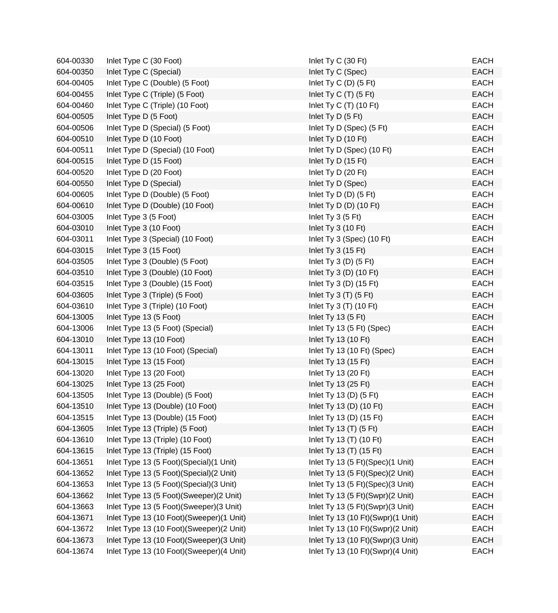| 604-00330 | Inlet Type C (30 Foot)                    | Inlet Ty C (30 Ft)                | <b>EACH</b> |
|-----------|-------------------------------------------|-----------------------------------|-------------|
| 604-00350 | Inlet Type C (Special)                    | Inlet Ty C (Spec)                 | <b>EACH</b> |
| 604-00405 | Inlet Type C (Double) (5 Foot)            | Inlet Ty C $(D)$ $(5 \text{ Ft})$ | <b>EACH</b> |
| 604-00455 | Inlet Type C (Triple) (5 Foot)            | Inlet Ty C $(T)$ (5 Ft)           | <b>EACH</b> |
| 604-00460 | Inlet Type C (Triple) (10 Foot)           | Inlet Ty C $(T)$ (10 Ft)          | <b>EACH</b> |
| 604-00505 | Inlet Type D (5 Foot)                     | Inlet $Ty D (5 Ft)$               | <b>EACH</b> |
| 604-00506 | Inlet Type D (Special) (5 Foot)           | Inlet Ty D (Spec) (5 Ft)          | <b>EACH</b> |
| 604-00510 | Inlet Type D (10 Foot)                    | Inlet Ty D (10 Ft)                | <b>EACH</b> |
| 604-00511 | Inlet Type D (Special) (10 Foot)          | Inlet Ty D (Spec) (10 Ft)         | <b>EACH</b> |
| 604-00515 | Inlet Type D (15 Foot)                    | Inlet Ty D (15 Ft)                | <b>EACH</b> |
| 604-00520 | Inlet Type D (20 Foot)                    | Inlet Ty D (20 Ft)                | <b>EACH</b> |
| 604-00550 | Inlet Type D (Special)                    | Inlet Ty D (Spec)                 | <b>EACH</b> |
| 604-00605 | Inlet Type D (Double) (5 Foot)            | Inlet Ty D $(D)$ $(5 \text{ Ft})$ | <b>EACH</b> |
| 604-00610 | Inlet Type D (Double) (10 Foot)           | Inlet Ty D $(D)$ (10 Ft)          | <b>EACH</b> |
| 604-03005 | Inlet Type 3 (5 Foot)                     | Inlet Ty 3 (5 Ft)                 | <b>EACH</b> |
| 604-03010 | Inlet Type 3 (10 Foot)                    | Inlet Ty 3 (10 Ft)                | <b>EACH</b> |
| 604-03011 | Inlet Type 3 (Special) (10 Foot)          | Inlet Ty 3 (Spec) (10 Ft)         | <b>EACH</b> |
| 604-03015 | Inlet Type 3 (15 Foot)                    | Inlet Ty $3(15 \text{ Ft})$       | <b>EACH</b> |
| 604-03505 | Inlet Type 3 (Double) (5 Foot)            | Inlet Ty $3(D)$ (5 Ft)            | <b>EACH</b> |
| 604-03510 | Inlet Type 3 (Double) (10 Foot)           | Inlet Ty $3(D)$ (10 Ft)           | <b>EACH</b> |
| 604-03515 | Inlet Type 3 (Double) (15 Foot)           | Inlet Ty 3 (D) $(15 \text{ Ft})$  | <b>EACH</b> |
| 604-03605 | Inlet Type 3 (Triple) (5 Foot)            | Inlet Ty $3(T)$ (5 Ft)            | <b>EACH</b> |
| 604-03610 | Inlet Type 3 (Triple) (10 Foot)           | Inlet Ty $3(T)$ (10 Ft)           | <b>EACH</b> |
| 604-13005 | Inlet Type 13 (5 Foot)                    | Inlet Ty 13 (5 Ft)                | <b>EACH</b> |
| 604-13006 | Inlet Type 13 (5 Foot) (Special)          | Inlet Ty 13 (5 Ft) (Spec)         | <b>EACH</b> |
| 604-13010 | Inlet Type 13 (10 Foot)                   | Inlet Ty 13 (10 Ft)               | <b>EACH</b> |
| 604-13011 | Inlet Type 13 (10 Foot) (Special)         | Inlet Ty 13 (10 Ft) (Spec)        | <b>EACH</b> |
| 604-13015 | Inlet Type 13 (15 Foot)                   | Inlet Ty 13 (15 Ft)               | <b>EACH</b> |
| 604-13020 | Inlet Type 13 (20 Foot)                   | Inlet Ty 13 (20 Ft)               | <b>EACH</b> |
| 604-13025 | Inlet Type 13 (25 Foot)                   | Inlet Ty 13 (25 Ft)               | <b>EACH</b> |
| 604-13505 | Inlet Type 13 (Double) (5 Foot)           | Inlet Ty 13 (D) $(5 \text{ Ft})$  | <b>EACH</b> |
| 604-13510 | Inlet Type 13 (Double) (10 Foot)          | Inlet Ty 13 (D) (10 Ft)           | <b>EACH</b> |
| 604-13515 | Inlet Type 13 (Double) (15 Foot)          | Inlet Ty 13 (D) (15 Ft)           | <b>EACH</b> |
| 604-13605 | Inlet Type 13 (Triple) (5 Foot)           | Inlet Ty 13 (T) (5 Ft)            | <b>EACH</b> |
| 604-13610 | Inlet Type 13 (Triple) (10 Foot)          | Inlet Ty 13 (T) (10 Ft)           | <b>EACH</b> |
| 604-13615 | Inlet Type 13 (Triple) (15 Foot)          | Inlet Ty 13 (T) (15 Ft)           | <b>EACH</b> |
| 604-13651 | Inlet Type 13 (5 Foot)(Special)(1 Unit)   | Inlet Ty 13 (5 Ft)(Spec)(1 Unit)  | <b>EACH</b> |
| 604-13652 | Inlet Type 13 (5 Foot) (Special) (2 Unit) | Inlet Ty 13 (5 Ft)(Spec)(2 Unit)  | <b>EACH</b> |
| 604-13653 | Inlet Type 13 (5 Foot) (Special) (3 Unit) | Inlet Ty 13 (5 Ft)(Spec)(3 Unit)  | <b>EACH</b> |
| 604-13662 | Inlet Type 13 (5 Foot)(Sweeper)(2 Unit)   | Inlet Ty 13 (5 Ft)(Swpr)(2 Unit)  | <b>EACH</b> |
| 604-13663 | Inlet Type 13 (5 Foot)(Sweeper)(3 Unit)   | Inlet Ty 13 (5 Ft)(Swpr)(3 Unit)  | <b>EACH</b> |
| 604-13671 | Inlet Type 13 (10 Foot)(Sweeper)(1 Unit)  | Inlet Ty 13 (10 Ft)(Swpr)(1 Unit) | <b>EACH</b> |
| 604-13672 | Inlet Type 13 (10 Foot)(Sweeper)(2 Unit)  | Inlet Ty 13 (10 Ft)(Swpr)(2 Unit) | <b>EACH</b> |
| 604-13673 | Inlet Type 13 (10 Foot)(Sweeper)(3 Unit)  | Inlet Ty 13 (10 Ft)(Swpr)(3 Unit) | <b>EACH</b> |
| 604-13674 | Inlet Type 13 (10 Foot)(Sweeper)(4 Unit)  | Inlet Ty 13 (10 Ft)(Swpr)(4 Unit) | <b>EACH</b> |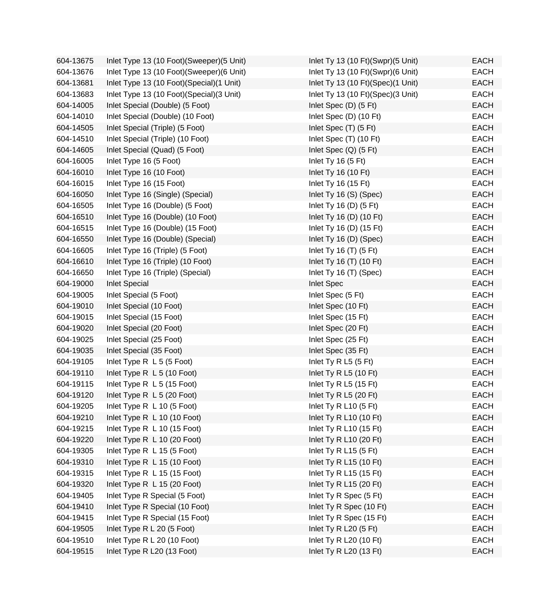| 604-13675 | Inlet Type 13 (10 Foot)(Sweeper)(5 Unit)   | Inlet Ty 13 (10 Ft)(Swpr)(5 Unit) | <b>EACH</b> |
|-----------|--------------------------------------------|-----------------------------------|-------------|
| 604-13676 | Inlet Type 13 (10 Foot) (Sweeper) (6 Unit) | Inlet Ty 13 (10 Ft)(Swpr)(6 Unit) | <b>EACH</b> |
| 604-13681 | Inlet Type 13 (10 Foot)(Special)(1 Unit)   | Inlet Ty 13 (10 Ft)(Spec)(1 Unit) | <b>EACH</b> |
| 604-13683 | Inlet Type 13 (10 Foot)(Special)(3 Unit)   | Inlet Ty 13 (10 Ft)(Spec)(3 Unit) | <b>EACH</b> |
| 604-14005 | Inlet Special (Double) (5 Foot)            | Inlet Spec (D) (5 Ft)             | <b>EACH</b> |
| 604-14010 | Inlet Special (Double) (10 Foot)           | Inlet Spec (D) (10 Ft)            | <b>EACH</b> |
| 604-14505 | Inlet Special (Triple) (5 Foot)            | Inlet Spec (T) (5 Ft)             | <b>EACH</b> |
| 604-14510 | Inlet Special (Triple) (10 Foot)           | Inlet Spec (T) (10 Ft)            | <b>EACH</b> |
| 604-14605 | Inlet Special (Quad) (5 Foot)              | Inlet Spec $(Q)$ (5 Ft)           | <b>EACH</b> |
| 604-16005 | Inlet Type 16 (5 Foot)                     | Inlet Ty 16 $(5 Ft)$              | <b>EACH</b> |
| 604-16010 | Inlet Type 16 (10 Foot)                    | Inlet Ty 16 (10 Ft)               | <b>EACH</b> |
| 604-16015 | Inlet Type 16 (15 Foot)                    | Inlet Ty 16 (15 Ft)               | <b>EACH</b> |
| 604-16050 | Inlet Type 16 (Single) (Special)           | Inlet Ty 16 (S) (Spec)            | <b>EACH</b> |
| 604-16505 | Inlet Type 16 (Double) (5 Foot)            | Inlet Ty 16 (D) $(5 \text{ Ft})$  | <b>EACH</b> |
| 604-16510 | Inlet Type 16 (Double) (10 Foot)           | Inlet Ty 16 (D) (10 Ft)           | <b>EACH</b> |
| 604-16515 | Inlet Type 16 (Double) (15 Foot)           | Inlet Ty 16 (D) (15 Ft)           | <b>EACH</b> |
| 604-16550 | Inlet Type 16 (Double) (Special)           | Inlet Ty 16 (D) (Spec)            | <b>EACH</b> |
| 604-16605 | Inlet Type 16 (Triple) (5 Foot)            | Inlet Ty 16 $(T)$ (5 Ft)          | <b>EACH</b> |
| 604-16610 | Inlet Type 16 (Triple) (10 Foot)           | Inlet Ty 16 (T) (10 Ft)           | <b>EACH</b> |
| 604-16650 | Inlet Type 16 (Triple) (Special)           | Inlet Ty 16 (T) (Spec)            | <b>EACH</b> |
| 604-19000 | <b>Inlet Special</b>                       | <b>Inlet Spec</b>                 | <b>EACH</b> |
| 604-19005 | Inlet Special (5 Foot)                     | Inlet Spec (5 Ft)                 | <b>EACH</b> |
| 604-19010 | Inlet Special (10 Foot)                    | Inlet Spec (10 Ft)                | <b>EACH</b> |
| 604-19015 | Inlet Special (15 Foot)                    | Inlet Spec (15 Ft)                | <b>EACH</b> |
| 604-19020 | Inlet Special (20 Foot)                    | Inlet Spec (20 Ft)                | <b>EACH</b> |
| 604-19025 | Inlet Special (25 Foot)                    | Inlet Spec (25 Ft)                | <b>EACH</b> |
| 604-19035 | Inlet Special (35 Foot)                    | Inlet Spec (35 Ft)                | <b>EACH</b> |
| 604-19105 | Inlet Type R L 5 (5 Foot)                  | Inlet Ty R L5 $(5 \text{ Ft})$    | <b>EACH</b> |
| 604-19110 | Inlet Type R L 5 (10 Foot)                 | Inlet Ty R L5 (10 Ft)             | <b>EACH</b> |
| 604-19115 | Inlet Type R L 5 (15 Foot)                 | Inlet Ty R L5 $(15 \text{ Ft})$   | <b>EACH</b> |
| 604-19120 | Inlet Type R L 5 (20 Foot)                 | Inlet Ty R L5 (20 Ft)             | <b>EACH</b> |
| 604-19205 | Inlet Type R L 10 (5 Foot)                 | Inlet Ty R L10 $(5 \text{ Ft})$   | EACH        |
| 604-19210 | Inlet Type R L 10 (10 Foot)                | Inlet Ty R L10 (10 Ft)            | <b>EACH</b> |
| 604-19215 | Inlet Type R L 10 (15 Foot)                | Inlet Ty R L10 (15 Ft)            | <b>EACH</b> |
| 604-19220 | Inlet Type R L 10 (20 Foot)                | Inlet Ty R L10 (20 Ft)            | <b>EACH</b> |
| 604-19305 | Inlet Type R L 15 (5 Foot)                 | Inlet Ty R L15 $(5$ Ft)           | <b>EACH</b> |
| 604-19310 | Inlet Type R L 15 (10 Foot)                | Inlet Ty R L15 (10 Ft)            | <b>EACH</b> |
| 604-19315 | Inlet Type R L 15 (15 Foot)                | Inlet Ty R L15 (15 Ft)            | <b>EACH</b> |
| 604-19320 | Inlet Type R L 15 (20 Foot)                | Inlet Ty R L15 (20 Ft)            | <b>EACH</b> |
| 604-19405 | Inlet Type R Special (5 Foot)              | Inlet Ty R Spec (5 Ft)            | <b>EACH</b> |
| 604-19410 | Inlet Type R Special (10 Foot)             | Inlet Ty R Spec (10 Ft)           | <b>EACH</b> |
| 604-19415 | Inlet Type R Special (15 Foot)             | Inlet Ty R Spec (15 Ft)           | <b>EACH</b> |
| 604-19505 | Inlet Type R L 20 (5 Foot)                 | Inlet Ty R L20 (5 Ft)             | <b>EACH</b> |
| 604-19510 | Inlet Type R L 20 (10 Foot)                | Inlet Ty R L20 (10 Ft)            | <b>EACH</b> |
| 604-19515 | Inlet Type R L20 (13 Foot)                 | Inlet Ty R L20 (13 Ft)            | <b>EACH</b> |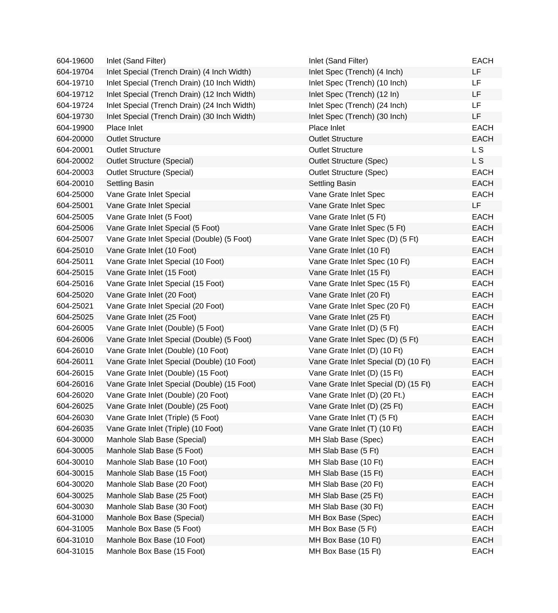| 604-19600 | Inlet (Sand Filter)                          | Inlet (Sand Filter)                  | <b>EACH</b> |
|-----------|----------------------------------------------|--------------------------------------|-------------|
| 604-19704 | Inlet Special (Trench Drain) (4 Inch Width)  | Inlet Spec (Trench) (4 Inch)         | LF          |
| 604-19710 | Inlet Special (Trench Drain) (10 Inch Width) | Inlet Spec (Trench) (10 Inch)        | LF          |
| 604-19712 | Inlet Special (Trench Drain) (12 Inch Width) | Inlet Spec (Trench) (12 In)          | LF          |
| 604-19724 | Inlet Special (Trench Drain) (24 Inch Width) | Inlet Spec (Trench) (24 Inch)        | LF          |
| 604-19730 | Inlet Special (Trench Drain) (30 Inch Width) | Inlet Spec (Trench) (30 Inch)        | LF          |
| 604-19900 | Place Inlet                                  | Place Inlet                          | <b>EACH</b> |
| 604-20000 | <b>Outlet Structure</b>                      | <b>Outlet Structure</b>              | <b>EACH</b> |
| 604-20001 | <b>Outlet Structure</b>                      | <b>Outlet Structure</b>              | L S         |
| 604-20002 | <b>Outlet Structure (Special)</b>            | <b>Outlet Structure (Spec)</b>       | L S         |
| 604-20003 | <b>Outlet Structure (Special)</b>            | <b>Outlet Structure (Spec)</b>       | <b>EACH</b> |
| 604-20010 | <b>Settling Basin</b>                        | Settling Basin                       | <b>EACH</b> |
| 604-25000 | Vane Grate Inlet Special                     | Vane Grate Inlet Spec                | <b>EACH</b> |
| 604-25001 | Vane Grate Inlet Special                     | Vane Grate Inlet Spec                | LF          |
| 604-25005 | Vane Grate Inlet (5 Foot)                    | Vane Grate Inlet (5 Ft)              | <b>EACH</b> |
| 604-25006 | Vane Grate Inlet Special (5 Foot)            | Vane Grate Inlet Spec (5 Ft)         | <b>EACH</b> |
| 604-25007 | Vane Grate Inlet Special (Double) (5 Foot)   | Vane Grate Inlet Spec (D) (5 Ft)     | <b>EACH</b> |
| 604-25010 | Vane Grate Inlet (10 Foot)                   | Vane Grate Inlet (10 Ft)             | <b>EACH</b> |
| 604-25011 | Vane Grate Inlet Special (10 Foot)           | Vane Grate Inlet Spec (10 Ft)        | <b>EACH</b> |
| 604-25015 | Vane Grate Inlet (15 Foot)                   | Vane Grate Inlet (15 Ft)             | <b>EACH</b> |
| 604-25016 | Vane Grate Inlet Special (15 Foot)           | Vane Grate Inlet Spec (15 Ft)        | <b>EACH</b> |
| 604-25020 | Vane Grate Inlet (20 Foot)                   | Vane Grate Inlet (20 Ft)             | <b>EACH</b> |
| 604-25021 | Vane Grate Inlet Special (20 Foot)           | Vane Grate Inlet Spec (20 Ft)        | <b>EACH</b> |
| 604-25025 | Vane Grate Inlet (25 Foot)                   | Vane Grate Inlet (25 Ft)             | <b>EACH</b> |
| 604-26005 | Vane Grate Inlet (Double) (5 Foot)           | Vane Grate Inlet (D) (5 Ft)          | <b>EACH</b> |
| 604-26006 | Vane Grate Inlet Special (Double) (5 Foot)   | Vane Grate Inlet Spec (D) (5 Ft)     | <b>EACH</b> |
| 604-26010 | Vane Grate Inlet (Double) (10 Foot)          | Vane Grate Inlet (D) (10 Ft)         | <b>EACH</b> |
| 604-26011 | Vane Grate Inlet Special (Double) (10 Foot)  | Vane Grate Inlet Special (D) (10 Ft) | <b>EACH</b> |
| 604-26015 | Vane Grate Inlet (Double) (15 Foot)          | Vane Grate Inlet (D) (15 Ft)         | <b>EACH</b> |
| 604-26016 | Vane Grate Inlet Special (Double) (15 Foot)  | Vane Grate Inlet Special (D) (15 Ft) | <b>EACH</b> |
| 604-26020 | Vane Grate Inlet (Double) (20 Foot)          | Vane Grate Inlet (D) (20 Ft.)        | <b>EACH</b> |
| 604-26025 | Vane Grate Inlet (Double) (25 Foot)          | Vane Grate Inlet (D) (25 Ft)         | <b>EACH</b> |
| 604-26030 | Vane Grate Inlet (Triple) (5 Foot)           | Vane Grate Inlet (T) (5 Ft)          | <b>EACH</b> |
| 604-26035 | Vane Grate Inlet (Triple) (10 Foot)          | Vane Grate Inlet (T) (10 Ft)         | <b>EACH</b> |
| 604-30000 | Manhole Slab Base (Special)                  | MH Slab Base (Spec)                  | <b>EACH</b> |
| 604-30005 | Manhole Slab Base (5 Foot)                   | MH Slab Base (5 Ft)                  | <b>EACH</b> |
| 604-30010 | Manhole Slab Base (10 Foot)                  | MH Slab Base (10 Ft)                 | <b>EACH</b> |
| 604-30015 | Manhole Slab Base (15 Foot)                  | MH Slab Base (15 Ft)                 | <b>EACH</b> |
| 604-30020 | Manhole Slab Base (20 Foot)                  | MH Slab Base (20 Ft)                 | <b>EACH</b> |
| 604-30025 | Manhole Slab Base (25 Foot)                  | MH Slab Base (25 Ft)                 | <b>EACH</b> |
| 604-30030 | Manhole Slab Base (30 Foot)                  | MH Slab Base (30 Ft)                 | <b>EACH</b> |
| 604-31000 | Manhole Box Base (Special)                   | MH Box Base (Spec)                   | <b>EACH</b> |
| 604-31005 | Manhole Box Base (5 Foot)                    | MH Box Base (5 Ft)                   | <b>EACH</b> |
| 604-31010 | Manhole Box Base (10 Foot)                   | MH Box Base (10 Ft)                  | <b>EACH</b> |
| 604-31015 | Manhole Box Base (15 Foot)                   | MH Box Base (15 Ft)                  | <b>EACH</b> |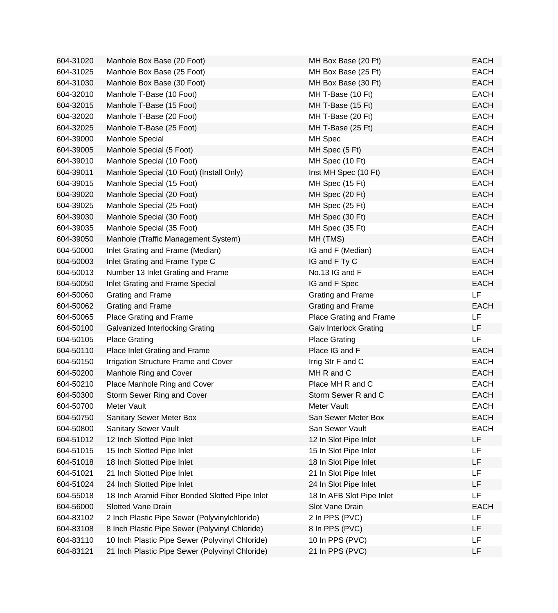| 604-31020 | Manhole Box Base (20 Foot)                      | MH Box Base (20 Ft)           | <b>EACH</b> |
|-----------|-------------------------------------------------|-------------------------------|-------------|
| 604-31025 | Manhole Box Base (25 Foot)                      | MH Box Base (25 Ft)           | <b>EACH</b> |
| 604-31030 | Manhole Box Base (30 Foot)                      | MH Box Base (30 Ft)           | <b>EACH</b> |
| 604-32010 | Manhole T-Base (10 Foot)                        | MH T-Base (10 Ft)             | <b>EACH</b> |
| 604-32015 | Manhole T-Base (15 Foot)                        | MH T-Base (15 Ft)             | <b>EACH</b> |
| 604-32020 | Manhole T-Base (20 Foot)                        | MH T-Base (20 Ft)             | <b>EACH</b> |
| 604-32025 | Manhole T-Base (25 Foot)                        | MH T-Base (25 Ft)             | <b>EACH</b> |
| 604-39000 | Manhole Special                                 | MH Spec                       | <b>EACH</b> |
| 604-39005 | Manhole Special (5 Foot)                        | MH Spec (5 Ft)                | <b>EACH</b> |
| 604-39010 | Manhole Special (10 Foot)                       | MH Spec (10 Ft)               | <b>EACH</b> |
| 604-39011 | Manhole Special (10 Foot) (Install Only)        | Inst MH Spec (10 Ft)          | <b>EACH</b> |
| 604-39015 | Manhole Special (15 Foot)                       | MH Spec (15 Ft)               | <b>EACH</b> |
| 604-39020 | Manhole Special (20 Foot)                       | MH Spec (20 Ft)               | <b>EACH</b> |
| 604-39025 | Manhole Special (25 Foot)                       | MH Spec (25 Ft)               | <b>EACH</b> |
| 604-39030 | Manhole Special (30 Foot)                       | MH Spec (30 Ft)               | <b>EACH</b> |
| 604-39035 | Manhole Special (35 Foot)                       | MH Spec (35 Ft)               | <b>EACH</b> |
| 604-39050 | Manhole (Traffic Management System)             | MH (TMS)                      | <b>EACH</b> |
| 604-50000 | Inlet Grating and Frame (Median)                | IG and F (Median)             | <b>EACH</b> |
| 604-50003 | Inlet Grating and Frame Type C                  | IG and F Ty C                 | <b>EACH</b> |
| 604-50013 | Number 13 Inlet Grating and Frame               | No.13 IG and F                | <b>EACH</b> |
| 604-50050 | Inlet Grating and Frame Special                 | IG and F Spec                 | <b>EACH</b> |
| 604-50060 | Grating and Frame                               | Grating and Frame             | LF          |
| 604-50062 | Grating and Frame                               | Grating and Frame             | <b>EACH</b> |
| 604-50065 | Place Grating and Frame                         | Place Grating and Frame       | LF          |
| 604-50100 | Galvanized Interlocking Grating                 | <b>Galv Interlock Grating</b> | LF          |
| 604-50105 | <b>Place Grating</b>                            | <b>Place Grating</b>          | LF          |
| 604-50110 | Place Inlet Grating and Frame                   | Place IG and F                | <b>EACH</b> |
| 604-50150 | Irrigation Structure Frame and Cover            | Irrig Str F and C             | <b>EACH</b> |
| 604-50200 | Manhole Ring and Cover                          | MH R and C                    | <b>EACH</b> |
| 604-50210 | Place Manhole Ring and Cover                    | Place MH R and C              | <b>EACH</b> |
| 604-50300 | Storm Sewer Ring and Cover                      | Storm Sewer R and C           | <b>EACH</b> |
| 604-50700 | Meter Vault                                     | Meter Vault                   | <b>EACH</b> |
| 604-50750 | <b>Sanitary Sewer Meter Box</b>                 | San Sewer Meter Box           | <b>EACH</b> |
| 604-50800 | <b>Sanitary Sewer Vault</b>                     | San Sewer Vault               | <b>EACH</b> |
| 604-51012 | 12 Inch Slotted Pipe Inlet                      | 12 In Slot Pipe Inlet         | LF          |
| 604-51015 | 15 Inch Slotted Pipe Inlet                      | 15 In Slot Pipe Inlet         | LF          |
| 604-51018 | 18 Inch Slotted Pipe Inlet                      | 18 In Slot Pipe Inlet         | LF          |
| 604-51021 | 21 Inch Slotted Pipe Inlet                      | 21 In Slot Pipe Inlet         | <b>LF</b>   |
| 604-51024 | 24 Inch Slotted Pipe Inlet                      | 24 In Slot Pipe Inlet         | LF          |
| 604-55018 | 18 Inch Aramid Fiber Bonded Slotted Pipe Inlet  | 18 In AFB Slot Pipe Inlet     | LF          |
| 604-56000 | <b>Slotted Vane Drain</b>                       | Slot Vane Drain               | <b>EACH</b> |
| 604-83102 | 2 Inch Plastic Pipe Sewer (Polyvinylchloride)   | 2 In PPS (PVC)                | LF          |
| 604-83108 | 8 Inch Plastic Pipe Sewer (Polyvinyl Chloride)  | 8 In PPS (PVC)                | LF          |
| 604-83110 | 10 Inch Plastic Pipe Sewer (Polyvinyl Chloride) | 10 In PPS (PVC)               | LF          |
| 604-83121 | 21 Inch Plastic Pipe Sewer (Polyvinyl Chloride) | 21 In PPS (PVC)               | LF          |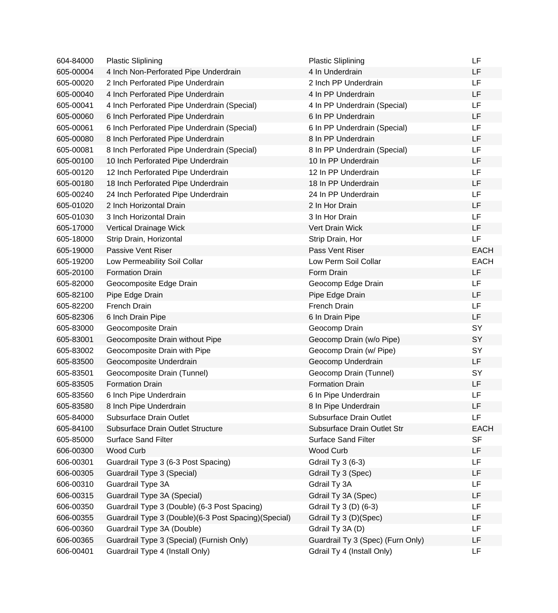| 604-84000 | <b>Plastic Sliplining</b>                            | <b>Plastic Sliplining</b>         | LF          |
|-----------|------------------------------------------------------|-----------------------------------|-------------|
| 605-00004 | 4 Inch Non-Perforated Pipe Underdrain                | 4 In Underdrain                   | LF          |
| 605-00020 | 2 Inch Perforated Pipe Underdrain                    | 2 Inch PP Underdrain              | LF          |
| 605-00040 | 4 Inch Perforated Pipe Underdrain                    | 4 In PP Underdrain                | LF          |
| 605-00041 | 4 Inch Perforated Pipe Underdrain (Special)          | 4 In PP Underdrain (Special)      | LF          |
| 605-00060 | 6 Inch Perforated Pipe Underdrain                    | 6 In PP Underdrain                | LF          |
| 605-00061 | 6 Inch Perforated Pipe Underdrain (Special)          | 6 In PP Underdrain (Special)      | LF          |
| 605-00080 | 8 Inch Perforated Pipe Underdrain                    | 8 In PP Underdrain                | LF          |
| 605-00081 | 8 Inch Perforated Pipe Underdrain (Special)          | 8 In PP Underdrain (Special)      | LF          |
| 605-00100 | 10 Inch Perforated Pipe Underdrain                   | 10 In PP Underdrain               | LF          |
| 605-00120 | 12 Inch Perforated Pipe Underdrain                   | 12 In PP Underdrain               | LF          |
| 605-00180 | 18 Inch Perforated Pipe Underdrain                   | 18 In PP Underdrain               | LF          |
| 605-00240 | 24 Inch Perforated Pipe Underdrain                   | 24 In PP Underdrain               | LF          |
| 605-01020 | 2 Inch Horizontal Drain                              | 2 In Hor Drain                    | LF          |
| 605-01030 | 3 Inch Horizontal Drain                              | 3 In Hor Drain                    | LF          |
| 605-17000 | Vertical Drainage Wick                               | Vert Drain Wick                   | LF          |
| 605-18000 | Strip Drain, Horizontal                              | Strip Drain, Hor                  | LF          |
| 605-19000 | Passive Vent Riser                                   | Pass Vent Riser                   | <b>EACH</b> |
| 605-19200 | Low Permeability Soil Collar                         | Low Perm Soil Collar              | <b>EACH</b> |
| 605-20100 | <b>Formation Drain</b>                               | Form Drain                        | LF          |
| 605-82000 | Geocomposite Edge Drain                              | Geocomp Edge Drain                | LF          |
| 605-82100 | Pipe Edge Drain                                      | Pipe Edge Drain                   | LF          |
| 605-82200 | French Drain                                         | French Drain                      | LF          |
| 605-82306 | 6 Inch Drain Pipe                                    | 6 In Drain Pipe                   | LF          |
| 605-83000 | Geocomposite Drain                                   | Geocomp Drain                     | SY          |
| 605-83001 | Geocomposite Drain without Pipe                      | Geocomp Drain (w/o Pipe)          | SY          |
| 605-83002 | Geocomposite Drain with Pipe                         | Geocomp Drain (w/ Pipe)           | SY          |
| 605-83500 | Geocomposite Underdrain                              | Geocomp Underdrain                | LF          |
| 605-83501 | Geocomposite Drain (Tunnel)                          | Geocomp Drain (Tunnel)            | SY          |
| 605-83505 | <b>Formation Drain</b>                               | <b>Formation Drain</b>            | LF          |
| 605-83560 | 6 Inch Pipe Underdrain                               | 6 In Pipe Underdrain              | LF          |
| 605-83580 | 8 Inch Pipe Underdrain                               | 8 In Pipe Underdrain              | LF          |
| 605-84000 | Subsurface Drain Outlet                              | Subsurface Drain Outlet           | LF          |
| 605-84100 | Subsurface Drain Outlet Structure                    | Subsurface Drain Outlet Str       | <b>EACH</b> |
| 605-85000 | <b>Surface Sand Filter</b>                           | Surface Sand Filter               | <b>SF</b>   |
| 606-00300 | <b>Wood Curb</b>                                     | Wood Curb                         | LF          |
| 606-00301 | Guardrail Type 3 (6-3 Post Spacing)                  | <b>Gdrail Ty 3 (6-3)</b>          | LF          |
| 606-00305 | Guardrail Type 3 (Special)                           | Gdrail Ty 3 (Spec)                | LF          |
| 606-00310 | Guardrail Type 3A                                    | Gdrail Ty 3A                      | LF          |
| 606-00315 | Guardrail Type 3A (Special)                          | Gdrail Ty 3A (Spec)               | LF          |
| 606-00350 | Guardrail Type 3 (Double) (6-3 Post Spacing)         | Gdrail Ty 3 (D) (6-3)             | LF          |
| 606-00355 | Guardrail Type 3 (Double)(6-3 Post Spacing)(Special) | Gdrail Ty 3 (D)(Spec)             | LF          |
| 606-00360 | Guardrail Type 3A (Double)                           | Gdrail Ty 3A (D)                  | <b>LF</b>   |
| 606-00365 | Guardrail Type 3 (Special) (Furnish Only)            | Guardrail Ty 3 (Spec) (Furn Only) | LF          |
| 606-00401 | Guardrail Type 4 (Install Only)                      | Gdrail Ty 4 (Install Only)        | LF          |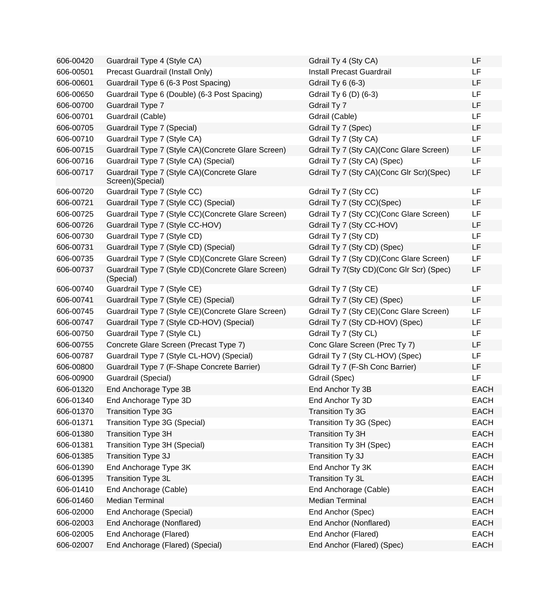| 606-00420 | Guardrail Type 4 (Style CA)                                      | Gdrail Ty 4 (Sty CA)                     | <b>LF</b>   |
|-----------|------------------------------------------------------------------|------------------------------------------|-------------|
| 606-00501 | Precast Guardrail (Install Only)                                 | <b>Install Precast Guardrail</b>         | <b>LF</b>   |
| 606-00601 | Guardrail Type 6 (6-3 Post Spacing)                              | <b>Gdrail Ty 6 (6-3)</b>                 | <b>LF</b>   |
| 606-00650 | Guardrail Type 6 (Double) (6-3 Post Spacing)                     | Gdrail Ty 6 (D) (6-3)                    | LF          |
| 606-00700 | Guardrail Type 7                                                 | Gdrail Ty 7                              | LF          |
| 606-00701 | Guardrail (Cable)                                                | Gdrail (Cable)                           | LF          |
| 606-00705 | Guardrail Type 7 (Special)                                       | Gdrail Ty 7 (Spec)                       | LF          |
| 606-00710 | Guardrail Type 7 (Style CA)                                      | Gdrail Ty 7 (Sty CA)                     | LF          |
| 606-00715 | Guardrail Type 7 (Style CA) (Concrete Glare Screen)              | Gdrail Ty 7 (Sty CA)(Conc Glare Screen)  | LF          |
| 606-00716 | Guardrail Type 7 (Style CA) (Special)                            | Gdrail Ty 7 (Sty CA) (Spec)              | LF          |
| 606-00717 | Guardrail Type 7 (Style CA) (Concrete Glare<br>Screen)(Special)  | Gdrail Ty 7 (Sty CA)(Conc Glr Scr)(Spec) | LF          |
| 606-00720 | Guardrail Type 7 (Style CC)                                      | Gdrail Ty 7 (Sty CC)                     | LF          |
| 606-00721 | Guardrail Type 7 (Style CC) (Special)                            | Gdrail Ty 7 (Sty CC)(Spec)               | LF          |
| 606-00725 | Guardrail Type 7 (Style CC) (Concrete Glare Screen)              | Gdrail Ty 7 (Sty CC)(Conc Glare Screen)  | <b>LF</b>   |
| 606-00726 | Guardrail Type 7 (Style CC-HOV)                                  | Gdrail Ty 7 (Sty CC-HOV)                 | LF          |
| 606-00730 | Guardrail Type 7 (Style CD)                                      | Gdrail Ty 7 (Sty CD)                     | LF          |
| 606-00731 | Guardrail Type 7 (Style CD) (Special)                            | Gdrail Ty 7 (Sty CD) (Spec)              | LF          |
| 606-00735 | Guardrail Type 7 (Style CD) (Concrete Glare Screen)              | Gdrail Ty 7 (Sty CD) (Conc Glare Screen) | <b>LF</b>   |
| 606-00737 | Guardrail Type 7 (Style CD) (Concrete Glare Screen)<br>(Special) | Gdrail Ty 7(Sty CD)(Conc Glr Scr) (Spec) | LF          |
| 606-00740 | Guardrail Type 7 (Style CE)                                      | Gdrail Ty 7 (Sty CE)                     | LF          |
| 606-00741 | Guardrail Type 7 (Style CE) (Special)                            | Gdrail Ty 7 (Sty CE) (Spec)              | LF          |
| 606-00745 | Guardrail Type 7 (Style CE) (Concrete Glare Screen)              | Gdrail Ty 7 (Sty CE) (Conc Glare Screen) | <b>LF</b>   |
| 606-00747 | Guardrail Type 7 (Style CD-HOV) (Special)                        | Gdrail Ty 7 (Sty CD-HOV) (Spec)          | LF          |
| 606-00750 | Guardrail Type 7 (Style CL)                                      | Gdrail Ty 7 (Sty CL)                     | <b>LF</b>   |
| 606-00755 | Concrete Glare Screen (Precast Type 7)                           | Conc Glare Screen (Prec Ty 7)            | <b>LF</b>   |
| 606-00787 | Guardrail Type 7 (Style CL-HOV) (Special)                        | Gdrail Ty 7 (Sty CL-HOV) (Spec)          | LF          |
| 606-00800 | Guardrail Type 7 (F-Shape Concrete Barrier)                      | Gdrail Ty 7 (F-Sh Conc Barrier)          | LF          |
| 606-00900 | Guardrail (Special)                                              | Gdrail (Spec)                            | LF          |
| 606-01320 | End Anchorage Type 3B                                            | End Anchor Ty 3B                         | <b>EACH</b> |
| 606-01340 | End Anchorage Type 3D                                            | End Anchor Ty 3D                         | <b>EACH</b> |
| 606-01370 | <b>Transition Type 3G</b>                                        | <b>Transition Ty 3G</b>                  | <b>EACH</b> |
| 606-01371 | Transition Type 3G (Special)                                     | Transition Ty 3G (Spec)                  | <b>EACH</b> |
| 606-01380 | <b>Transition Type 3H</b>                                        | Transition Ty 3H                         | <b>EACH</b> |
| 606-01381 | Transition Type 3H (Special)                                     | Transition Ty 3H (Spec)                  | <b>EACH</b> |
| 606-01385 | Transition Type 3J                                               | Transition Ty 3J                         | <b>EACH</b> |
| 606-01390 | End Anchorage Type 3K                                            | End Anchor Ty 3K                         | <b>EACH</b> |
| 606-01395 | Transition Type 3L                                               | Transition Ty 3L                         | <b>EACH</b> |
| 606-01410 | End Anchorage (Cable)                                            | End Anchorage (Cable)                    | <b>EACH</b> |
| 606-01460 | <b>Median Terminal</b>                                           | <b>Median Terminal</b>                   | <b>EACH</b> |
| 606-02000 | End Anchorage (Special)                                          | End Anchor (Spec)                        | <b>EACH</b> |
| 606-02003 | End Anchorage (Nonflared)                                        | End Anchor (Nonflared)                   | <b>EACH</b> |
| 606-02005 | End Anchorage (Flared)                                           | End Anchor (Flared)                      | <b>EACH</b> |
| 606-02007 | End Anchorage (Flared) (Special)                                 | End Anchor (Flared) (Spec)               | <b>EACH</b> |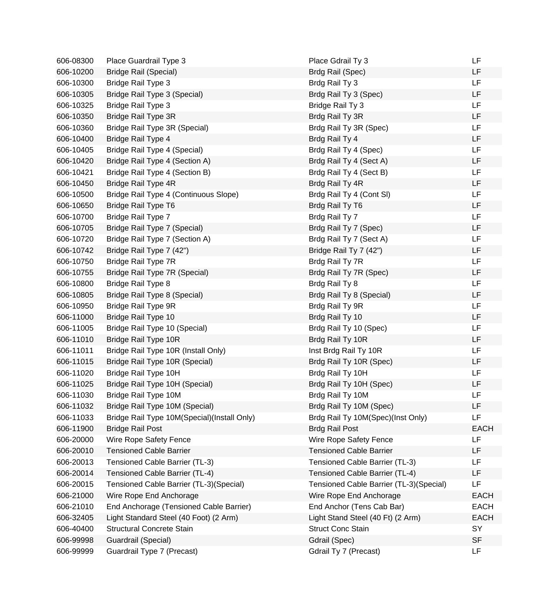| 606-08300 | Place Guardrail Type 3                      | Place Gdrail Ty 3                       | LF          |
|-----------|---------------------------------------------|-----------------------------------------|-------------|
| 606-10200 | <b>Bridge Rail (Special)</b>                | Brdg Rail (Spec)                        | LF          |
| 606-10300 | Bridge Rail Type 3                          | Brdg Rail Ty 3                          | LF          |
| 606-10305 | Bridge Rail Type 3 (Special)                | Brdg Rail Ty 3 (Spec)                   | LF          |
| 606-10325 | Bridge Rail Type 3                          | Bridge Rail Ty 3                        | <b>LF</b>   |
| 606-10350 | Bridge Rail Type 3R                         | Brdg Rail Ty 3R                         | LF          |
| 606-10360 | Bridge Rail Type 3R (Special)               | Brdg Rail Ty 3R (Spec)                  | <b>LF</b>   |
| 606-10400 | Bridge Rail Type 4                          | Brdg Rail Ty 4                          | <b>LF</b>   |
| 606-10405 | Bridge Rail Type 4 (Special)                | Brdg Rail Ty 4 (Spec)                   | LF          |
| 606-10420 | Bridge Rail Type 4 (Section A)              | Brdg Rail Ty 4 (Sect A)                 | LF          |
| 606-10421 | Bridge Rail Type 4 (Section B)              | Brdg Rail Ty 4 (Sect B)                 | LF          |
| 606-10450 | Bridge Rail Type 4R                         | Brdg Rail Ty 4R                         | LF          |
| 606-10500 | Bridge Rail Type 4 (Continuous Slope)       | Brdg Rail Ty 4 (Cont SI)                | LF          |
| 606-10650 | Bridge Rail Type T6                         | Brdg Rail Ty T6                         | LF          |
| 606-10700 | Bridge Rail Type 7                          | Brdg Rail Ty 7                          | <b>LF</b>   |
| 606-10705 | Bridge Rail Type 7 (Special)                | Brdg Rail Ty 7 (Spec)                   | LF          |
| 606-10720 | Bridge Rail Type 7 (Section A)              | Brdg Rail Ty 7 (Sect A)                 | <b>LF</b>   |
| 606-10742 | Bridge Rail Type 7 (42")                    | Bridge Rail Ty 7 (42")                  | <b>LF</b>   |
| 606-10750 | Bridge Rail Type 7R                         | Brdg Rail Ty 7R                         | LF          |
| 606-10755 | Bridge Rail Type 7R (Special)               | Brdg Rail Ty 7R (Spec)                  | LF          |
| 606-10800 | <b>Bridge Rail Type 8</b>                   | Brdg Rail Ty 8                          | <b>LF</b>   |
| 606-10805 | Bridge Rail Type 8 (Special)                | Brdg Rail Ty 8 (Special)                | LF          |
| 606-10950 | Bridge Rail Type 9R                         | Brdg Rail Ty 9R                         | LF          |
| 606-11000 | Bridge Rail Type 10                         | Brdg Rail Ty 10                         | LF          |
| 606-11005 | Bridge Rail Type 10 (Special)               | Brdg Rail Ty 10 (Spec)                  | LF          |
| 606-11010 | Bridge Rail Type 10R                        | Brdg Rail Ty 10R                        | <b>LF</b>   |
| 606-11011 | Bridge Rail Type 10R (Install Only)         | Inst Brdg Rail Ty 10R                   | LF          |
| 606-11015 | Bridge Rail Type 10R (Special)              | Brdg Rail Ty 10R (Spec)                 | <b>LF</b>   |
| 606-11020 | Bridge Rail Type 10H                        | Brdg Rail Ty 10H                        | LF          |
| 606-11025 | Bridge Rail Type 10H (Special)              | Brdg Rail Ty 10H (Spec)                 | LF          |
| 606-11030 | Bridge Rail Type 10M                        | Brdg Rail Ty 10M                        | LF          |
| 606-11032 | Bridge Rail Type 10M (Special)              | Brdg Rail Ty 10M (Spec)                 | LF          |
| 606-11033 | Bridge Rail Type 10M(Special)(Install Only) | Brdg Rail Ty 10M(Spec)(Inst Only)       | <b>LF</b>   |
| 606-11900 | <b>Bridge Rail Post</b>                     | <b>Brdg Rail Post</b>                   | <b>EACH</b> |
| 606-20000 | Wire Rope Safety Fence                      | Wire Rope Safety Fence                  | LF          |
| 606-20010 | <b>Tensioned Cable Barrier</b>              | <b>Tensioned Cable Barrier</b>          | LF          |
| 606-20013 | Tensioned Cable Barrier (TL-3)              | Tensioned Cable Barrier (TL-3)          | LF          |
| 606-20014 | Tensioned Cable Barrier (TL-4)              | Tensioned Cable Barrier (TL-4)          | LF          |
| 606-20015 | Tensioned Cable Barrier (TL-3)(Special)     | Tensioned Cable Barrier (TL-3)(Special) | LF          |
| 606-21000 | Wire Rope End Anchorage                     | Wire Rope End Anchorage                 | <b>EACH</b> |
| 606-21010 | End Anchorage (Tensioned Cable Barrier)     | End Anchor (Tens Cab Bar)               | <b>EACH</b> |
| 606-32405 | Light Standard Steel (40 Foot) (2 Arm)      | Light Stand Steel (40 Ft) (2 Arm)       | <b>EACH</b> |
| 606-40400 | <b>Structural Concrete Stain</b>            | <b>Struct Conc Stain</b>                | SY          |
| 606-99998 | Guardrail (Special)                         | Gdrail (Spec)                           | <b>SF</b>   |
| 606-99999 | Guardrail Type 7 (Precast)                  | Gdrail Ty 7 (Precast)                   | LF.         |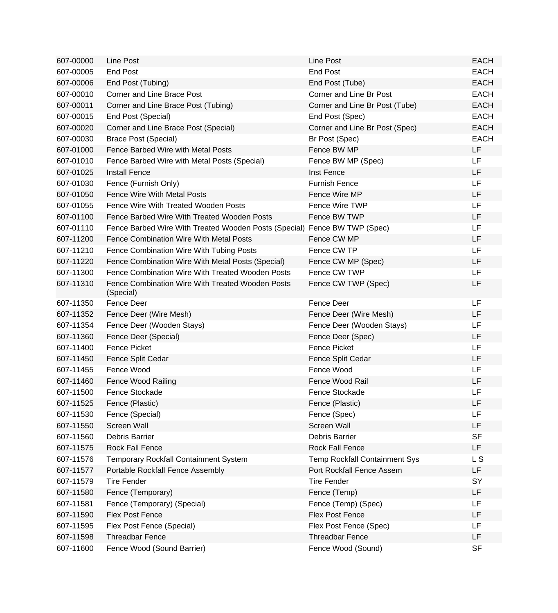| 607-00000 | Line Post                                                                 | Line Post                            | <b>EACH</b> |
|-----------|---------------------------------------------------------------------------|--------------------------------------|-------------|
| 607-00005 | <b>End Post</b>                                                           | <b>End Post</b>                      | <b>EACH</b> |
| 607-00006 | End Post (Tubing)                                                         | End Post (Tube)                      | <b>EACH</b> |
| 607-00010 | Corner and Line Brace Post                                                | Corner and Line Br Post              | <b>EACH</b> |
| 607-00011 | Corner and Line Brace Post (Tubing)                                       | Corner and Line Br Post (Tube)       | <b>EACH</b> |
| 607-00015 | End Post (Special)                                                        | End Post (Spec)                      | <b>EACH</b> |
| 607-00020 | Corner and Line Brace Post (Special)                                      | Corner and Line Br Post (Spec)       | <b>EACH</b> |
| 607-00030 | <b>Brace Post (Special)</b>                                               | Br Post (Spec)                       | <b>EACH</b> |
| 607-01000 | Fence Barbed Wire with Metal Posts                                        | Fence BW MP                          | LF.         |
| 607-01010 | Fence Barbed Wire with Metal Posts (Special)                              | Fence BW MP (Spec)                   | <b>LF</b>   |
| 607-01025 | <b>Install Fence</b>                                                      | Inst Fence                           | LF          |
| 607-01030 | Fence (Furnish Only)                                                      | <b>Furnish Fence</b>                 | LF          |
| 607-01050 | <b>Fence Wire With Metal Posts</b>                                        | Fence Wire MP                        | LF          |
| 607-01055 | Fence Wire With Treated Wooden Posts                                      | Fence Wire TWP                       | LF.         |
| 607-01100 | Fence Barbed Wire With Treated Wooden Posts                               | Fence BW TWP                         | LF          |
| 607-01110 | Fence Barbed Wire With Treated Wooden Posts (Special) Fence BW TWP (Spec) |                                      | LF          |
| 607-11200 | Fence Combination Wire With Metal Posts                                   | Fence CW MP                          | LF          |
| 607-11210 | Fence Combination Wire With Tubing Posts                                  | Fence CW TP                          | LF          |
| 607-11220 | Fence Combination Wire With Metal Posts (Special)                         | Fence CW MP (Spec)                   | LF          |
| 607-11300 | Fence Combination Wire With Treated Wooden Posts                          | Fence CW TWP                         | <b>LF</b>   |
| 607-11310 | Fence Combination Wire With Treated Wooden Posts<br>(Special)             | Fence CW TWP (Spec)                  | LF          |
| 607-11350 | Fence Deer                                                                | Fence Deer                           | LF          |
| 607-11352 | Fence Deer (Wire Mesh)                                                    | Fence Deer (Wire Mesh)               | LF          |
| 607-11354 | Fence Deer (Wooden Stays)                                                 | Fence Deer (Wooden Stays)            | LF          |
| 607-11360 | Fence Deer (Special)                                                      | Fence Deer (Spec)                    | LF          |
| 607-11400 | <b>Fence Picket</b>                                                       | <b>Fence Picket</b>                  | LF          |
| 607-11450 | Fence Split Cedar                                                         | Fence Split Cedar                    | LF          |
| 607-11455 | Fence Wood                                                                | Fence Wood                           | LF          |
| 607-11460 | Fence Wood Railing                                                        | Fence Wood Rail                      | LF          |
| 607-11500 | Fence Stockade                                                            | Fence Stockade                       | LF          |
| 607-11525 | Fence (Plastic)                                                           | Fence (Plastic)                      | LF          |
| 607-11530 | Fence (Special)                                                           | Fence (Spec)                         | LF          |
| 607-11550 | <b>Screen Wall</b>                                                        | <b>Screen Wall</b>                   | LF          |
| 607-11560 | Debris Barrier                                                            | Debris Barrier                       | <b>SF</b>   |
| 607-11575 | <b>Rock Fall Fence</b>                                                    | Rock Fall Fence                      | LF          |
| 607-11576 | <b>Temporary Rockfall Containment System</b>                              | <b>Temp Rockfall Containment Sys</b> | L S         |
| 607-11577 | Portable Rockfall Fence Assembly                                          | Port Rockfall Fence Assem            | LF          |
| 607-11579 | <b>Tire Fender</b>                                                        | <b>Tire Fender</b>                   | SY          |
| 607-11580 | Fence (Temporary)                                                         | Fence (Temp)                         | LF          |
| 607-11581 | Fence (Temporary) (Special)                                               | Fence (Temp) (Spec)                  | LF          |
| 607-11590 | <b>Flex Post Fence</b>                                                    | <b>Flex Post Fence</b>               | LF          |
| 607-11595 | Flex Post Fence (Special)                                                 | Flex Post Fence (Spec)               | LF          |
| 607-11598 | <b>Threadbar Fence</b>                                                    | <b>Threadbar Fence</b>               | LF          |
| 607-11600 | Fence Wood (Sound Barrier)                                                | Fence Wood (Sound)                   | <b>SF</b>   |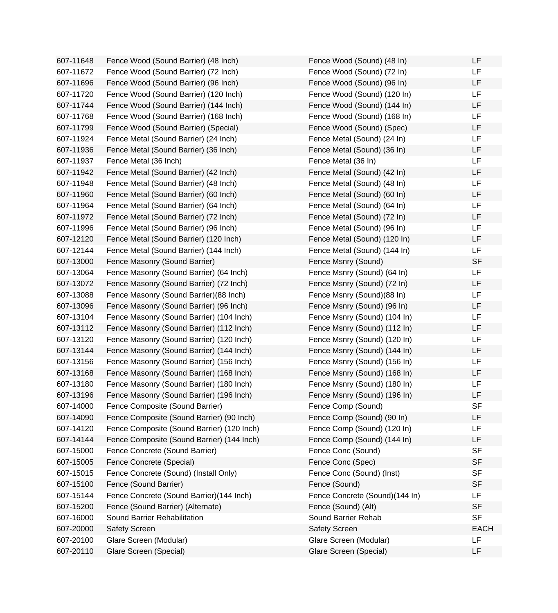| 607-11648 | Fence Wood (Sound Barrier) (48 Inch)       | Fence Wood (Sound) (48 In)     | LF          |
|-----------|--------------------------------------------|--------------------------------|-------------|
| 607-11672 | Fence Wood (Sound Barrier) (72 Inch)       | Fence Wood (Sound) (72 In)     | LF          |
| 607-11696 | Fence Wood (Sound Barrier) (96 Inch)       | Fence Wood (Sound) (96 In)     | LF          |
| 607-11720 | Fence Wood (Sound Barrier) (120 Inch)      | Fence Wood (Sound) (120 In)    | LF          |
| 607-11744 | Fence Wood (Sound Barrier) (144 Inch)      | Fence Wood (Sound) (144 In)    | LF          |
| 607-11768 | Fence Wood (Sound Barrier) (168 Inch)      | Fence Wood (Sound) (168 In)    | LF          |
| 607-11799 | Fence Wood (Sound Barrier) (Special)       | Fence Wood (Sound) (Spec)      | LF          |
| 607-11924 | Fence Metal (Sound Barrier) (24 Inch)      | Fence Metal (Sound) (24 In)    | LF          |
| 607-11936 | Fence Metal (Sound Barrier) (36 Inch)      | Fence Metal (Sound) (36 In)    | LF          |
| 607-11937 | Fence Metal (36 Inch)                      | Fence Metal (36 In)            | LF          |
| 607-11942 | Fence Metal (Sound Barrier) (42 Inch)      | Fence Metal (Sound) (42 In)    | LF          |
| 607-11948 | Fence Metal (Sound Barrier) (48 Inch)      | Fence Metal (Sound) (48 In)    | LF          |
| 607-11960 | Fence Metal (Sound Barrier) (60 Inch)      | Fence Metal (Sound) (60 In)    | LF          |
| 607-11964 | Fence Metal (Sound Barrier) (64 Inch)      | Fence Metal (Sound) (64 In)    | LF          |
| 607-11972 | Fence Metal (Sound Barrier) (72 Inch)      | Fence Metal (Sound) (72 In)    | LF          |
| 607-11996 | Fence Metal (Sound Barrier) (96 Inch)      | Fence Metal (Sound) (96 In)    | LF          |
| 607-12120 | Fence Metal (Sound Barrier) (120 Inch)     | Fence Metal (Sound) (120 In)   | LF          |
| 607-12144 | Fence Metal (Sound Barrier) (144 Inch)     | Fence Metal (Sound) (144 In)   | LF          |
| 607-13000 | Fence Masonry (Sound Barrier)              | Fence Msnry (Sound)            | <b>SF</b>   |
| 607-13064 | Fence Masonry (Sound Barrier) (64 Inch)    | Fence Msnry (Sound) (64 In)    | LF          |
| 607-13072 | Fence Masonry (Sound Barrier) (72 Inch)    | Fence Msnry (Sound) (72 In)    | LF          |
| 607-13088 | Fence Masonry (Sound Barrier) (88 Inch)    | Fence Msnry (Sound)(88 In)     | LF          |
| 607-13096 | Fence Masonry (Sound Barrier) (96 Inch)    | Fence Msnry (Sound) (96 In)    | LF          |
| 607-13104 | Fence Masonry (Sound Barrier) (104 Inch)   | Fence Msnry (Sound) (104 In)   | LF          |
| 607-13112 | Fence Masonry (Sound Barrier) (112 Inch)   | Fence Msnry (Sound) (112 In)   | LF          |
| 607-13120 | Fence Masonry (Sound Barrier) (120 Inch)   | Fence Msnry (Sound) (120 In)   | LF          |
| 607-13144 | Fence Masonry (Sound Barrier) (144 Inch)   | Fence Msnry (Sound) (144 In)   | LF          |
| 607-13156 | Fence Masonry (Sound Barrier) (156 Inch)   | Fence Msnry (Sound) (156 In)   | LF          |
| 607-13168 | Fence Masonry (Sound Barrier) (168 Inch)   | Fence Msnry (Sound) (168 In)   | LF          |
| 607-13180 | Fence Masonry (Sound Barrier) (180 Inch)   | Fence Msnry (Sound) (180 In)   | LF          |
| 607-13196 | Fence Masonry (Sound Barrier) (196 Inch)   | Fence Msnry (Sound) (196 In)   | LF          |
| 607-14000 | Fence Composite (Sound Barrier)            | Fence Comp (Sound)             | <b>SF</b>   |
| 607-14090 | Fence Composite (Sound Barrier) (90 Inch)  | Fence Comp (Sound) (90 In)     | LF          |
| 607-14120 | Fence Composite (Sound Barrier) (120 Inch) | Fence Comp (Sound) (120 In)    | LF          |
| 607-14144 | Fence Composite (Sound Barrier) (144 Inch) | Fence Comp (Sound) (144 In)    | LF          |
| 607-15000 | Fence Concrete (Sound Barrier)             | Fence Conc (Sound)             | <b>SF</b>   |
| 607-15005 | Fence Concrete (Special)                   | Fence Conc (Spec)              | <b>SF</b>   |
| 607-15015 | Fence Concrete (Sound) (Install Only)      | Fence Conc (Sound) (Inst)      | <b>SF</b>   |
| 607-15100 | Fence (Sound Barrier)                      | Fence (Sound)                  | <b>SF</b>   |
| 607-15144 | Fence Concrete (Sound Barrier)(144 Inch)   | Fence Concrete (Sound)(144 In) | LF          |
| 607-15200 | Fence (Sound Barrier) (Alternate)          | Fence (Sound) (Alt)            | <b>SF</b>   |
| 607-16000 | Sound Barrier Rehabilitation               | Sound Barrier Rehab            | <b>SF</b>   |
| 607-20000 | <b>Safety Screen</b>                       | <b>Safety Screen</b>           | <b>EACH</b> |
| 607-20100 | Glare Screen (Modular)                     | Glare Screen (Modular)         | LF          |
| 607-20110 | Glare Screen (Special)                     | Glare Screen (Special)         | LF          |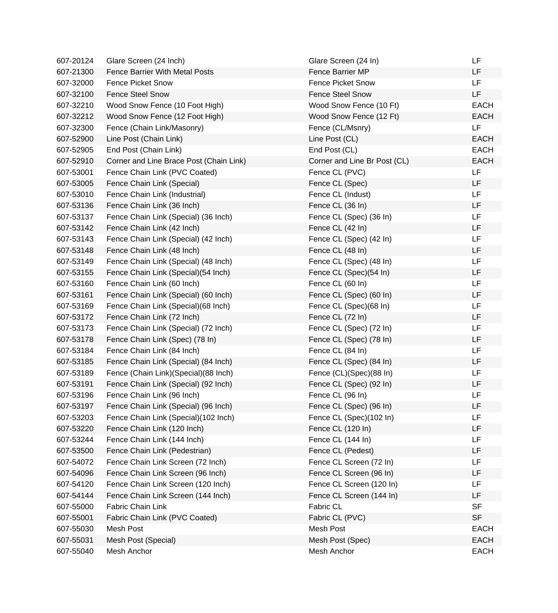| 607-20124 | Glare Screen (24 Inch)                  | Glare Screen (24 In)         | LF          |
|-----------|-----------------------------------------|------------------------------|-------------|
| 607-21300 | <b>Fence Barrier With Metal Posts</b>   | <b>Fence Barrier MP</b>      | LF          |
| 607-32000 | Fence Picket Snow                       | <b>Fence Picket Snow</b>     | <b>LF</b>   |
| 607-32100 | <b>Fence Steel Snow</b>                 | <b>Fence Steel Snow</b>      | LF.         |
| 607-32210 | Wood Snow Fence (10 Foot High)          | Wood Snow Fence (10 Ft)      | <b>EACH</b> |
| 607-32212 | Wood Snow Fence (12 Foot High)          | Wood Snow Fence (12 Ft)      | <b>EACH</b> |
| 607-32300 | Fence (Chain Link/Masonry)              | Fence (CL/Msnry)             | LF.         |
| 607-52900 | Line Post (Chain Link)                  | Line Post (CL)               | <b>EACH</b> |
| 607-52905 | End Post (Chain Link)                   | End Post (CL)                | <b>EACH</b> |
| 607-52910 | Corner and Line Brace Post (Chain Link) | Corner and Line Br Post (CL) | <b>EACH</b> |
| 607-53001 | Fence Chain Link (PVC Coated)           | Fence CL (PVC)               | <b>LF</b>   |
| 607-53005 | Fence Chain Link (Special)              | Fence CL (Spec)              | LF.         |
| 607-53010 | Fence Chain Link (Industrial)           | Fence CL (Indust)            | LF          |
| 607-53136 | Fence Chain Link (36 Inch)              | Fence CL (36 In)             | LF          |
| 607-53137 | Fence Chain Link (Special) (36 Inch)    | Fence CL (Spec) (36 In)      | LF          |
| 607-53142 | Fence Chain Link (42 Inch)              | Fence CL (42 In)             | LF          |
| 607-53143 | Fence Chain Link (Special) (42 Inch)    | Fence CL (Spec) (42 In)      | LF          |
| 607-53148 | Fence Chain Link (48 Inch)              | Fence CL (48 In)             | LF          |
| 607-53149 | Fence Chain Link (Special) (48 Inch)    | Fence CL (Spec) (48 In)      | LF          |
| 607-53155 | Fence Chain Link (Special) (54 Inch)    | Fence CL (Spec)(54 In)       | LF          |
| 607-53160 | Fence Chain Link (60 Inch)              | Fence CL (60 In)             | LF          |
| 607-53161 | Fence Chain Link (Special) (60 Inch)    | Fence CL (Spec) (60 In)      | LF          |
| 607-53169 | Fence Chain Link (Special) (68 Inch)    | Fence CL (Spec)(68 In)       | LF          |
| 607-53172 | Fence Chain Link (72 Inch)              | Fence CL (72 In)             | LF          |
| 607-53173 | Fence Chain Link (Special) (72 Inch)    | Fence CL (Spec) (72 In)      | LF          |
| 607-53178 | Fence Chain Link (Spec) (78 In)         | Fence CL (Spec) (78 In)      | LF          |
| 607-53184 | Fence Chain Link (84 Inch)              | Fence CL (84 In)             | LF          |
| 607-53185 | Fence Chain Link (Special) (84 Inch)    | Fence CL (Spec) (84 In)      | LF          |
| 607-53189 | Fence (Chain Link) (Special) (88 Inch)  | Fence (CL)(Spec)(88 In)      | LF          |
| 607-53191 | Fence Chain Link (Special) (92 Inch)    | Fence CL (Spec) (92 In)      | LF          |
| 607-53196 | Fence Chain Link (96 Inch)              | Fence CL (96 In)             | LF          |
| 607-53197 | Fence Chain Link (Special) (96 Inch)    | Fence CL (Spec) (96 In)      | LF          |
| 607-53203 | Fence Chain Link (Special)(102 Inch)    | Fence CL (Spec)(102 In)      | LF          |
| 607-53220 | Fence Chain Link (120 Inch)             | Fence CL (120 In)            | LF          |
| 607-53244 | Fence Chain Link (144 Inch)             | Fence CL (144 In)            | LF          |
| 607-53500 | Fence Chain Link (Pedestrian)           | Fence CL (Pedest)            | LF          |
| 607-54072 | Fence Chain Link Screen (72 Inch)       | Fence CL Screen (72 In)      | LF          |
| 607-54096 | Fence Chain Link Screen (96 Inch)       | Fence CL Screen (96 In)      | LF          |
| 607-54120 | Fence Chain Link Screen (120 Inch)      | Fence CL Screen (120 In)     | LF          |
| 607-54144 | Fence Chain Link Screen (144 Inch)      | Fence CL Screen (144 In)     | LF          |
| 607-55000 | Fabric Chain Link                       | Fabric CL                    | <b>SF</b>   |
| 607-55001 | Fabric Chain Link (PVC Coated)          | Fabric CL (PVC)              | <b>SF</b>   |
| 607-55030 | Mesh Post                               | Mesh Post                    | <b>EACH</b> |
| 607-55031 | Mesh Post (Special)                     | Mesh Post (Spec)             | <b>EACH</b> |
| 607-55040 | Mesh Anchor                             | Mesh Anchor                  | <b>EACH</b> |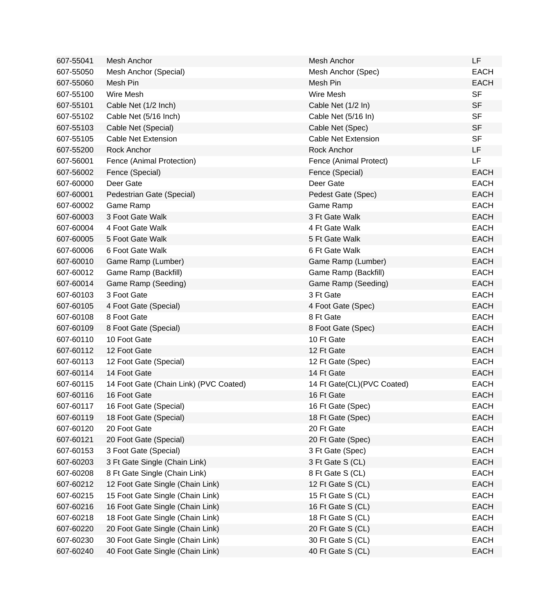| 607-55041 | Mesh Anchor                            | Mesh Anchor                | <b>LF</b>   |
|-----------|----------------------------------------|----------------------------|-------------|
| 607-55050 | Mesh Anchor (Special)                  | Mesh Anchor (Spec)         | <b>EACH</b> |
| 607-55060 | Mesh Pin                               | Mesh Pin                   | <b>EACH</b> |
| 607-55100 | Wire Mesh                              | Wire Mesh                  | <b>SF</b>   |
| 607-55101 | Cable Net (1/2 Inch)                   | Cable Net (1/2 In)         | <b>SF</b>   |
| 607-55102 | Cable Net (5/16 Inch)                  | Cable Net (5/16 In)        | <b>SF</b>   |
| 607-55103 | Cable Net (Special)                    | Cable Net (Spec)           | <b>SF</b>   |
| 607-55105 | <b>Cable Net Extension</b>             | <b>Cable Net Extension</b> | <b>SF</b>   |
| 607-55200 | <b>Rock Anchor</b>                     | Rock Anchor                | LF          |
| 607-56001 | Fence (Animal Protection)              | Fence (Animal Protect)     | LF          |
| 607-56002 | Fence (Special)                        | Fence (Special)            | <b>EACH</b> |
| 607-60000 | Deer Gate                              | Deer Gate                  | <b>EACH</b> |
| 607-60001 | Pedestrian Gate (Special)              | Pedest Gate (Spec)         | <b>EACH</b> |
| 607-60002 | Game Ramp                              | Game Ramp                  | <b>EACH</b> |
| 607-60003 | 3 Foot Gate Walk                       | 3 Ft Gate Walk             | <b>EACH</b> |
| 607-60004 | 4 Foot Gate Walk                       | 4 Ft Gate Walk             | <b>EACH</b> |
| 607-60005 | 5 Foot Gate Walk                       | 5 Ft Gate Walk             | <b>EACH</b> |
| 607-60006 | 6 Foot Gate Walk                       | 6 Ft Gate Walk             | <b>EACH</b> |
| 607-60010 | Game Ramp (Lumber)                     | Game Ramp (Lumber)         | <b>EACH</b> |
| 607-60012 | Game Ramp (Backfill)                   | Game Ramp (Backfill)       | <b>EACH</b> |
| 607-60014 | Game Ramp (Seeding)                    | Game Ramp (Seeding)        | <b>EACH</b> |
| 607-60103 | 3 Foot Gate                            | 3 Ft Gate                  | <b>EACH</b> |
| 607-60105 | 4 Foot Gate (Special)                  | 4 Foot Gate (Spec)         | <b>EACH</b> |
| 607-60108 | 8 Foot Gate                            | 8 Ft Gate                  | <b>EACH</b> |
| 607-60109 | 8 Foot Gate (Special)                  | 8 Foot Gate (Spec)         | <b>EACH</b> |
| 607-60110 | 10 Foot Gate                           | 10 Ft Gate                 | <b>EACH</b> |
| 607-60112 | 12 Foot Gate                           | 12 Ft Gate                 | <b>EACH</b> |
| 607-60113 | 12 Foot Gate (Special)                 | 12 Ft Gate (Spec)          | <b>EACH</b> |
| 607-60114 | 14 Foot Gate                           | 14 Ft Gate                 | <b>EACH</b> |
| 607-60115 | 14 Foot Gate (Chain Link) (PVC Coated) | 14 Ft Gate(CL)(PVC Coated) | <b>EACH</b> |
| 607-60116 | 16 Foot Gate                           | 16 Ft Gate                 | <b>EACH</b> |
| 607-60117 | 16 Foot Gate (Special)                 | 16 Ft Gate (Spec)          | <b>EACH</b> |
| 607-60119 | 18 Foot Gate (Special)                 | 18 Ft Gate (Spec)          | <b>EACH</b> |
| 607-60120 | 20 Foot Gate                           | 20 Ft Gate                 | <b>EACH</b> |
| 607-60121 | 20 Foot Gate (Special)                 | 20 Ft Gate (Spec)          | <b>EACH</b> |
| 607-60153 | 3 Foot Gate (Special)                  | 3 Ft Gate (Spec)           | <b>EACH</b> |
| 607-60203 | 3 Ft Gate Single (Chain Link)          | 3 Ft Gate S (CL)           | <b>EACH</b> |
| 607-60208 | 8 Ft Gate Single (Chain Link)          | 8 Ft Gate S (CL)           | <b>EACH</b> |
| 607-60212 | 12 Foot Gate Single (Chain Link)       | 12 Ft Gate S (CL)          | <b>EACH</b> |
| 607-60215 | 15 Foot Gate Single (Chain Link)       | 15 Ft Gate S (CL)          | <b>EACH</b> |
| 607-60216 | 16 Foot Gate Single (Chain Link)       | 16 Ft Gate S (CL)          | <b>EACH</b> |
| 607-60218 | 18 Foot Gate Single (Chain Link)       | 18 Ft Gate S (CL)          | <b>EACH</b> |
| 607-60220 | 20 Foot Gate Single (Chain Link)       | 20 Ft Gate S (CL)          | <b>EACH</b> |
| 607-60230 | 30 Foot Gate Single (Chain Link)       | 30 Ft Gate S (CL)          | <b>EACH</b> |
| 607-60240 | 40 Foot Gate Single (Chain Link)       | 40 Ft Gate S (CL)          | <b>EACH</b> |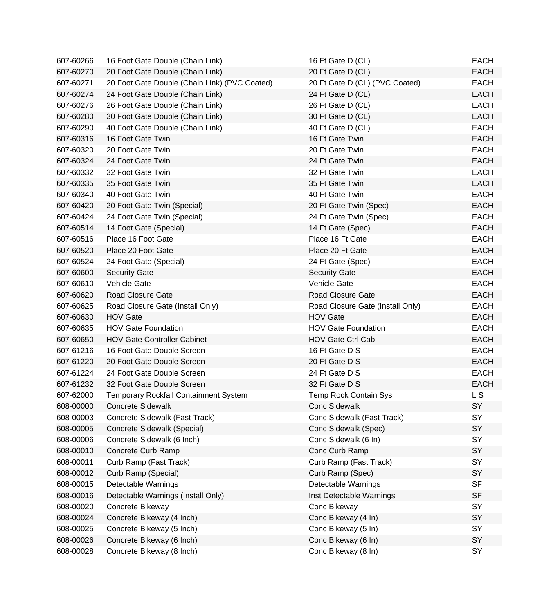| 607-60266 | 16 Foot Gate Double (Chain Link)              | 16 Ft Gate D (CL)                | <b>EACH</b> |
|-----------|-----------------------------------------------|----------------------------------|-------------|
| 607-60270 | 20 Foot Gate Double (Chain Link)              | 20 Ft Gate D (CL)                | <b>EACH</b> |
| 607-60271 | 20 Foot Gate Double (Chain Link) (PVC Coated) | 20 Ft Gate D (CL) (PVC Coated)   | <b>EACH</b> |
| 607-60274 | 24 Foot Gate Double (Chain Link)              | 24 Ft Gate D (CL)                | <b>EACH</b> |
| 607-60276 | 26 Foot Gate Double (Chain Link)              | 26 Ft Gate D (CL)                | <b>EACH</b> |
| 607-60280 | 30 Foot Gate Double (Chain Link)              | 30 Ft Gate D (CL)                | <b>EACH</b> |
| 607-60290 | 40 Foot Gate Double (Chain Link)              | 40 Ft Gate D (CL)                | <b>EACH</b> |
| 607-60316 | 16 Foot Gate Twin                             | 16 Ft Gate Twin                  | <b>EACH</b> |
| 607-60320 | 20 Foot Gate Twin                             | 20 Ft Gate Twin                  | <b>EACH</b> |
| 607-60324 | 24 Foot Gate Twin                             | 24 Ft Gate Twin                  | <b>EACH</b> |
| 607-60332 | 32 Foot Gate Twin                             | 32 Ft Gate Twin                  | <b>EACH</b> |
| 607-60335 | 35 Foot Gate Twin                             | 35 Ft Gate Twin                  | <b>EACH</b> |
| 607-60340 | 40 Foot Gate Twin                             | 40 Ft Gate Twin                  | <b>EACH</b> |
| 607-60420 | 20 Foot Gate Twin (Special)                   | 20 Ft Gate Twin (Spec)           | <b>EACH</b> |
| 607-60424 | 24 Foot Gate Twin (Special)                   | 24 Ft Gate Twin (Spec)           | <b>EACH</b> |
| 607-60514 | 14 Foot Gate (Special)                        | 14 Ft Gate (Spec)                | <b>EACH</b> |
| 607-60516 | Place 16 Foot Gate                            | Place 16 Ft Gate                 | <b>EACH</b> |
| 607-60520 | Place 20 Foot Gate                            | Place 20 Ft Gate                 | <b>EACH</b> |
| 607-60524 | 24 Foot Gate (Special)                        | 24 Ft Gate (Spec)                | <b>EACH</b> |
| 607-60600 | <b>Security Gate</b>                          | <b>Security Gate</b>             | <b>EACH</b> |
| 607-60610 | <b>Vehicle Gate</b>                           | <b>Vehicle Gate</b>              | <b>EACH</b> |
| 607-60620 | Road Closure Gate                             | <b>Road Closure Gate</b>         | <b>EACH</b> |
| 607-60625 | Road Closure Gate (Install Only)              | Road Closure Gate (Install Only) | <b>EACH</b> |
| 607-60630 | <b>HOV Gate</b>                               | <b>HOV Gate</b>                  | <b>EACH</b> |
| 607-60635 | <b>HOV Gate Foundation</b>                    | <b>HOV Gate Foundation</b>       | <b>EACH</b> |
| 607-60650 | <b>HOV Gate Controller Cabinet</b>            | <b>HOV Gate Ctrl Cab</b>         | <b>EACH</b> |
| 607-61216 | 16 Foot Gate Double Screen                    | 16 Ft Gate D S                   | <b>EACH</b> |
| 607-61220 | 20 Foot Gate Double Screen                    | 20 Ft Gate D S                   | <b>EACH</b> |
| 607-61224 | 24 Foot Gate Double Screen                    | 24 Ft Gate D S                   | <b>EACH</b> |
| 607-61232 | 32 Foot Gate Double Screen                    | 32 Ft Gate D S                   | <b>EACH</b> |
| 607-62000 | <b>Temporary Rockfall Containment System</b>  | <b>Temp Rock Contain Sys</b>     | L S         |
| 608-00000 | Concrete Sidewalk                             | Conc Sidewalk                    | SY          |
| 608-00003 | Concrete Sidewalk (Fast Track)                | Conc Sidewalk (Fast Track)       | SY          |
| 608-00005 | Concrete Sidewalk (Special)                   | Conc Sidewalk (Spec)             | SY          |
| 608-00006 | Concrete Sidewalk (6 Inch)                    | Conc Sidewalk (6 In)             | SY          |
| 608-00010 | Concrete Curb Ramp                            | Conc Curb Ramp                   | <b>SY</b>   |
| 608-00011 | Curb Ramp (Fast Track)                        | Curb Ramp (Fast Track)           | SY          |
| 608-00012 | Curb Ramp (Special)                           | Curb Ramp (Spec)                 | SY          |
| 608-00015 | Detectable Warnings                           | Detectable Warnings              | <b>SF</b>   |
| 608-00016 | Detectable Warnings (Install Only)            | Inst Detectable Warnings         | <b>SF</b>   |
| 608-00020 | Concrete Bikeway                              | Conc Bikeway                     | <b>SY</b>   |
| 608-00024 | Concrete Bikeway (4 Inch)                     | Conc Bikeway (4 In)              | SY          |
| 608-00025 | Concrete Bikeway (5 Inch)                     | Conc Bikeway (5 In)              | SY          |
| 608-00026 | Concrete Bikeway (6 Inch)                     | Conc Bikeway (6 In)              | <b>SY</b>   |
| 608-00028 | Concrete Bikeway (8 Inch)                     | Conc Bikeway (8 In)              | SY          |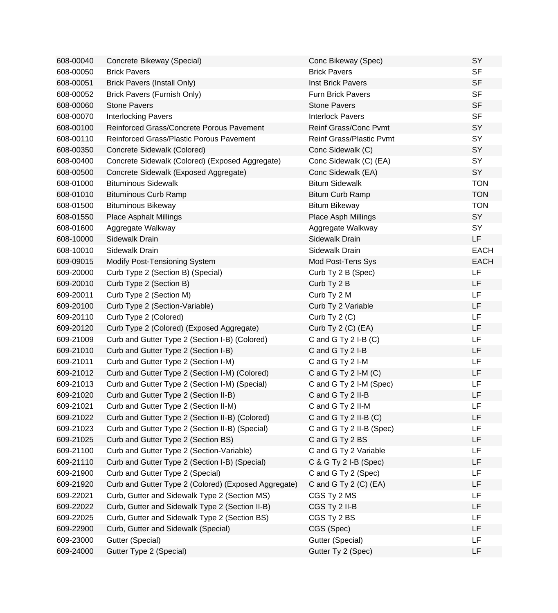| 608-00040 | Concrete Bikeway (Special)                           | Conc Bikeway (Spec)             | SY          |
|-----------|------------------------------------------------------|---------------------------------|-------------|
| 608-00050 | <b>Brick Pavers</b>                                  | <b>Brick Pavers</b>             | <b>SF</b>   |
| 608-00051 | <b>Brick Pavers (Install Only)</b>                   | Inst Brick Pavers               | <b>SF</b>   |
| 608-00052 | Brick Pavers (Furnish Only)                          | <b>Furn Brick Pavers</b>        | <b>SF</b>   |
| 608-00060 | <b>Stone Pavers</b>                                  | <b>Stone Pavers</b>             | <b>SF</b>   |
| 608-00070 | <b>Interlocking Pavers</b>                           | <b>Interlock Pavers</b>         | <b>SF</b>   |
| 608-00100 | Reinforced Grass/Concrete Porous Pavement            | Reinf Grass/Conc Pvmt           | SY          |
| 608-00110 | Reinforced Grass/Plastic Porous Pavement             | <b>Reinf Grass/Plastic Pvmt</b> | SY          |
| 608-00350 | Concrete Sidewalk (Colored)                          | Conc Sidewalk (C)               | SY          |
| 608-00400 | Concrete Sidewalk (Colored) (Exposed Aggregate)      | Conc Sidewalk (C) (EA)          | SY          |
| 608-00500 | Concrete Sidewalk (Exposed Aggregate)                | Conc Sidewalk (EA)              | SY          |
| 608-01000 | <b>Bituminous Sidewalk</b>                           | <b>Bitum Sidewalk</b>           | <b>TON</b>  |
| 608-01010 | <b>Bituminous Curb Ramp</b>                          | <b>Bitum Curb Ramp</b>          | <b>TON</b>  |
| 608-01500 | <b>Bituminous Bikeway</b>                            | <b>Bitum Bikeway</b>            | <b>TON</b>  |
| 608-01550 | <b>Place Asphalt Millings</b>                        | Place Asph Millings             | SY          |
| 608-01600 | Aggregate Walkway                                    | Aggregate Walkway               | SY          |
| 608-10000 | Sidewalk Drain                                       | Sidewalk Drain                  | <b>LF</b>   |
| 608-10010 | Sidewalk Drain                                       | Sidewalk Drain                  | <b>EACH</b> |
| 609-09015 | Modify Post-Tensioning System                        | Mod Post-Tens Sys               | <b>EACH</b> |
| 609-20000 | Curb Type 2 (Section B) (Special)                    | Curb Ty 2 B (Spec)              | LF          |
| 609-20010 | Curb Type 2 (Section B)                              | Curb Ty 2 B                     | LF          |
| 609-20011 | Curb Type 2 (Section M)                              | Curb Ty 2 M                     | LF          |
| 609-20100 | Curb Type 2 (Section-Variable)                       | Curb Ty 2 Variable              | LF          |
| 609-20110 | Curb Type 2 (Colored)                                | Curb Ty 2 (C)                   | LF          |
| 609-20120 | Curb Type 2 (Colored) (Exposed Aggregate)            | Curb Ty 2 (C) (EA)              | LF          |
| 609-21009 | Curb and Gutter Type 2 (Section I-B) (Colored)       | C and G Ty $2$ I-B $(C)$        | LF          |
| 609-21010 | Curb and Gutter Type 2 (Section I-B)                 | C and G Ty 2 I-B                | LF          |
| 609-21011 | Curb and Gutter Type 2 (Section I-M)                 | C and G Ty 2 I-M                | LF          |
| 609-21012 | Curb and Gutter Type 2 (Section I-M) (Colored)       | C and G Ty 2 I-M (C)            | LF          |
| 609-21013 | Curb and Gutter Type 2 (Section I-M) (Special)       | C and G Ty 2 I-M (Spec)         | LF          |
| 609-21020 | Curb and Gutter Type 2 (Section II-B)                | C and G Ty 2 II-B               | LF          |
| 609-21021 | Curb and Gutter Type 2 (Section II-M)                | C and G Ty 2 II-M               | LF          |
| 609-21022 | Curb and Gutter Type 2 (Section II-B) (Colored)      | C and G Ty $2$ II-B (C)         | LF          |
| 609-21023 | Curb and Gutter Type 2 (Section II-B) (Special)      | C and G Ty 2 II-B (Spec)        | LF          |
| 609-21025 | Curb and Gutter Type 2 (Section BS)                  | C and G Ty 2 BS                 | LF          |
| 609-21100 | Curb and Gutter Type 2 (Section-Variable)            | C and G Ty 2 Variable           | LF          |
| 609-21110 | Curb and Gutter Type 2 (Section I-B) (Special)       | C & G Ty 2 I-B (Spec)           | LF          |
| 609-21900 | Curb and Gutter Type 2 (Special)                     | C and G Ty 2 (Spec)             | LF          |
| 609-21920 | Curb and Gutter Type 2 (Colored) (Exposed Aggregate) | C and G Ty 2 (C) (EA)           | LF          |
| 609-22021 | Curb, Gutter and Sidewalk Type 2 (Section MS)        | CGS Ty 2 MS                     | LF          |
| 609-22022 | Curb, Gutter and Sidewalk Type 2 (Section II-B)      | CGS Ty 2 II-B                   | LF          |
| 609-22025 | Curb, Gutter and Sidewalk Type 2 (Section BS)        | CGS Ty 2 BS                     | LF          |
| 609-22900 | Curb, Gutter and Sidewalk (Special)                  | CGS (Spec)                      | LF          |
| 609-23000 | Gutter (Special)                                     | Gutter (Special)                | LF          |
| 609-24000 | Gutter Type 2 (Special)                              | Gutter Ty 2 (Spec)              | LF          |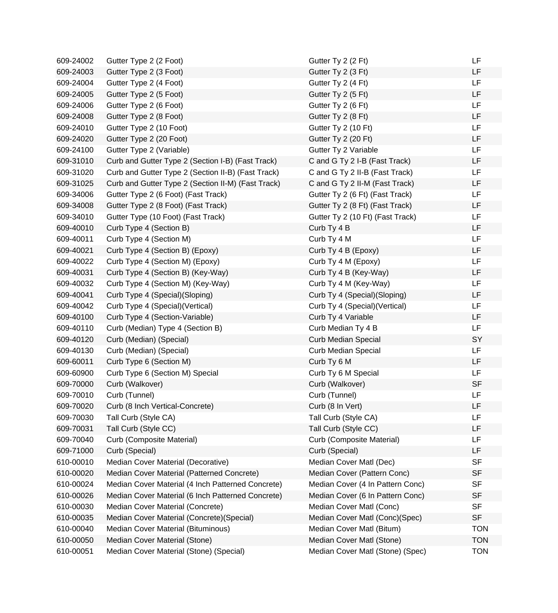| 609-24002 | Gutter Type 2 (2 Foot)                             | Gutter Ty 2 (2 Ft)               | LF         |
|-----------|----------------------------------------------------|----------------------------------|------------|
| 609-24003 | Gutter Type 2 (3 Foot)                             | Gutter Ty 2 (3 Ft)               | LF         |
| 609-24004 | Gutter Type 2 (4 Foot)                             | Gutter Ty 2 (4 Ft)               | LF         |
| 609-24005 | Gutter Type 2 (5 Foot)                             | Gutter Ty 2 (5 Ft)               | LF         |
| 609-24006 | Gutter Type 2 (6 Foot)                             | Gutter Ty 2 (6 Ft)               | <b>LF</b>  |
| 609-24008 | Gutter Type 2 (8 Foot)                             | Gutter Ty 2 (8 Ft)               | LF         |
| 609-24010 | Gutter Type 2 (10 Foot)                            | Gutter Ty 2 (10 Ft)              | LF         |
| 609-24020 | Gutter Type 2 (20 Foot)                            | Gutter Ty 2 (20 Ft)              | <b>LF</b>  |
| 609-24100 | Gutter Type 2 (Variable)                           | Gutter Ty 2 Variable             | LF         |
| 609-31010 | Curb and Gutter Type 2 (Section I-B) (Fast Track)  | C and G Ty 2 I-B (Fast Track)    | LF         |
| 609-31020 | Curb and Gutter Type 2 (Section II-B) (Fast Track) | C and G Ty 2 II-B (Fast Track)   | LF         |
| 609-31025 | Curb and Gutter Type 2 (Section II-M) (Fast Track) | C and G Ty 2 II-M (Fast Track)   | LF         |
| 609-34006 | Gutter Type 2 (6 Foot) (Fast Track)                | Gutter Ty 2 (6 Ft) (Fast Track)  | <b>LF</b>  |
| 609-34008 | Gutter Type 2 (8 Foot) (Fast Track)                | Gutter Ty 2 (8 Ft) (Fast Track)  | LF         |
| 609-34010 | Gutter Type (10 Foot) (Fast Track)                 | Gutter Ty 2 (10 Ft) (Fast Track) | LF         |
| 609-40010 | Curb Type 4 (Section B)                            | Curb Ty 4 B                      | LF         |
| 609-40011 | Curb Type 4 (Section M)                            | Curb Ty 4 M                      | <b>LF</b>  |
| 609-40021 | Curb Type 4 (Section B) (Epoxy)                    | Curb Ty 4 B (Epoxy)              | <b>LF</b>  |
| 609-40022 | Curb Type 4 (Section M) (Epoxy)                    | Curb Ty 4 M (Epoxy)              | LF         |
| 609-40031 | Curb Type 4 (Section B) (Key-Way)                  | Curb Ty 4 B (Key-Way)            | LF         |
| 609-40032 | Curb Type 4 (Section M) (Key-Way)                  | Curb Ty 4 M (Key-Way)            | <b>LF</b>  |
| 609-40041 | Curb Type 4 (Special)(Sloping)                     | Curb Ty 4 (Special) (Sloping)    | LF         |
| 609-40042 | Curb Type 4 (Special) (Vertical)                   | Curb Ty 4 (Special) (Vertical)   | <b>LF</b>  |
| 609-40100 | Curb Type 4 (Section-Variable)                     | Curb Ty 4 Variable               | LF         |
| 609-40110 | Curb (Median) Type 4 (Section B)                   | Curb Median Ty 4 B               | <b>LF</b>  |
| 609-40120 | Curb (Median) (Special)                            | <b>Curb Median Special</b>       | SY         |
| 609-40130 | Curb (Median) (Special)                            | <b>Curb Median Special</b>       | LF         |
| 609-60011 | Curb Type 6 (Section M)                            | Curb Ty 6 M                      | <b>LF</b>  |
| 609-60900 | Curb Type 6 (Section M) Special                    | Curb Ty 6 M Special              | LF         |
| 609-70000 | Curb (Walkover)                                    | Curb (Walkover)                  | <b>SF</b>  |
| 609-70010 | Curb (Tunnel)                                      | Curb (Tunnel)                    | LF         |
| 609-70020 | Curb (8 Inch Vertical-Concrete)                    | Curb (8 In Vert)                 | LF         |
| 609-70030 | Tall Curb (Style CA)                               | Tall Curb (Style CA)             | LF         |
| 609-70031 | Tall Curb (Style CC)                               | Tall Curb (Style CC)             | LF         |
| 609-70040 | Curb (Composite Material)                          | Curb (Composite Material)        | LF         |
| 609-71000 | Curb (Special)                                     | Curb (Special)                   | LF         |
| 610-00010 | Median Cover Material (Decorative)                 | Median Cover Matl (Dec)          | <b>SF</b>  |
| 610-00020 | Median Cover Material (Patterned Concrete)         | Median Cover (Pattern Conc)      | <b>SF</b>  |
| 610-00024 | Median Cover Material (4 Inch Patterned Concrete)  | Median Cover (4 In Pattern Conc) | <b>SF</b>  |
| 610-00026 | Median Cover Material (6 Inch Patterned Concrete)  | Median Cover (6 In Pattern Conc) | <b>SF</b>  |
| 610-00030 | Median Cover Material (Concrete)                   | Median Cover Matl (Conc)         | <b>SF</b>  |
| 610-00035 | Median Cover Material (Concrete) (Special)         | Median Cover Matl (Conc)(Spec)   | <b>SF</b>  |
| 610-00040 | Median Cover Material (Bituminous)                 | Median Cover Matl (Bitum)        | <b>TON</b> |
| 610-00050 | Median Cover Material (Stone)                      | Median Cover Matl (Stone)        | <b>TON</b> |
| 610-00051 | Median Cover Material (Stone) (Special)            | Median Cover Matl (Stone) (Spec) | <b>TON</b> |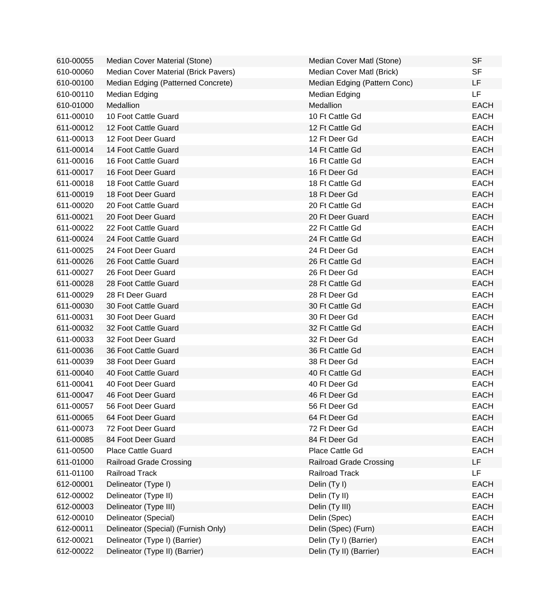| 610-00055 | Median Cover Material (Stone)        | Median Cover Matl (Stone)      | <b>SF</b>   |
|-----------|--------------------------------------|--------------------------------|-------------|
| 610-00060 | Median Cover Material (Brick Pavers) | Median Cover Matl (Brick)      | <b>SF</b>   |
| 610-00100 | Median Edging (Patterned Concrete)   | Median Edging (Pattern Conc)   | LF.         |
| 610-00110 | Median Edging                        | Median Edging                  | LF.         |
| 610-01000 | Medallion                            | Medallion                      | <b>EACH</b> |
| 611-00010 | 10 Foot Cattle Guard                 | 10 Ft Cattle Gd                | <b>EACH</b> |
| 611-00012 | 12 Foot Cattle Guard                 | 12 Ft Cattle Gd                | <b>EACH</b> |
| 611-00013 | 12 Foot Deer Guard                   | 12 Ft Deer Gd                  | <b>EACH</b> |
| 611-00014 | 14 Foot Cattle Guard                 | 14 Ft Cattle Gd                | <b>EACH</b> |
| 611-00016 | 16 Foot Cattle Guard                 | 16 Ft Cattle Gd                | <b>EACH</b> |
| 611-00017 | 16 Foot Deer Guard                   | 16 Ft Deer Gd                  | <b>EACH</b> |
| 611-00018 | 18 Foot Cattle Guard                 | 18 Ft Cattle Gd                | <b>EACH</b> |
| 611-00019 | 18 Foot Deer Guard                   | 18 Ft Deer Gd                  | <b>EACH</b> |
| 611-00020 | 20 Foot Cattle Guard                 | 20 Ft Cattle Gd                | <b>EACH</b> |
| 611-00021 | 20 Foot Deer Guard                   | 20 Ft Deer Guard               | <b>EACH</b> |
| 611-00022 | 22 Foot Cattle Guard                 | 22 Ft Cattle Gd                | <b>EACH</b> |
| 611-00024 | 24 Foot Cattle Guard                 | 24 Ft Cattle Gd                | <b>EACH</b> |
| 611-00025 | 24 Foot Deer Guard                   | 24 Ft Deer Gd                  | <b>EACH</b> |
| 611-00026 | 26 Foot Cattle Guard                 | 26 Ft Cattle Gd                | <b>EACH</b> |
| 611-00027 | 26 Foot Deer Guard                   | 26 Ft Deer Gd                  | <b>EACH</b> |
| 611-00028 | 28 Foot Cattle Guard                 | 28 Ft Cattle Gd                | <b>EACH</b> |
| 611-00029 | 28 Ft Deer Guard                     | 28 Ft Deer Gd                  | <b>EACH</b> |
| 611-00030 | 30 Foot Cattle Guard                 | 30 Ft Cattle Gd                | <b>EACH</b> |
| 611-00031 | 30 Foot Deer Guard                   | 30 Ft Deer Gd                  | <b>EACH</b> |
| 611-00032 | 32 Foot Cattle Guard                 | 32 Ft Cattle Gd                | <b>EACH</b> |
| 611-00033 | 32 Foot Deer Guard                   | 32 Ft Deer Gd                  | <b>EACH</b> |
| 611-00036 | 36 Foot Cattle Guard                 | 36 Ft Cattle Gd                | <b>EACH</b> |
| 611-00039 | 38 Foot Deer Guard                   | 38 Ft Deer Gd                  | <b>EACH</b> |
| 611-00040 | 40 Foot Cattle Guard                 | 40 Ft Cattle Gd                | <b>EACH</b> |
| 611-00041 | 40 Foot Deer Guard                   | 40 Ft Deer Gd                  | <b>EACH</b> |
| 611-00047 | 46 Foot Deer Guard                   | 46 Ft Deer Gd                  | <b>EACH</b> |
| 611-00057 | 56 Foot Deer Guard                   | 56 Ft Deer Gd                  | EACH        |
| 611-00065 | 64 Foot Deer Guard                   | 64 Ft Deer Gd                  | <b>EACH</b> |
| 611-00073 | 72 Foot Deer Guard                   | 72 Ft Deer Gd                  | <b>EACH</b> |
| 611-00085 | 84 Foot Deer Guard                   | 84 Ft Deer Gd                  | <b>EACH</b> |
| 611-00500 | <b>Place Cattle Guard</b>            | Place Cattle Gd                | <b>EACH</b> |
| 611-01000 | <b>Railroad Grade Crossing</b>       | <b>Railroad Grade Crossing</b> | LF          |
| 611-01100 | <b>Railroad Track</b>                | <b>Railroad Track</b>          | LF          |
| 612-00001 | Delineator (Type I)                  | Delin (Ty I)                   | <b>EACH</b> |
| 612-00002 | Delineator (Type II)                 | Delin (Ty II)                  | <b>EACH</b> |
| 612-00003 | Delineator (Type III)                | Delin (Ty III)                 | <b>EACH</b> |
| 612-00010 | Delineator (Special)                 | Delin (Spec)                   | <b>EACH</b> |
| 612-00011 | Delineator (Special) (Furnish Only)  | Delin (Spec) (Furn)            | <b>EACH</b> |
| 612-00021 | Delineator (Type I) (Barrier)        | Delin (Ty I) (Barrier)         | <b>EACH</b> |
| 612-00022 | Delineator (Type II) (Barrier)       | Delin (Ty II) (Barrier)        | <b>EACH</b> |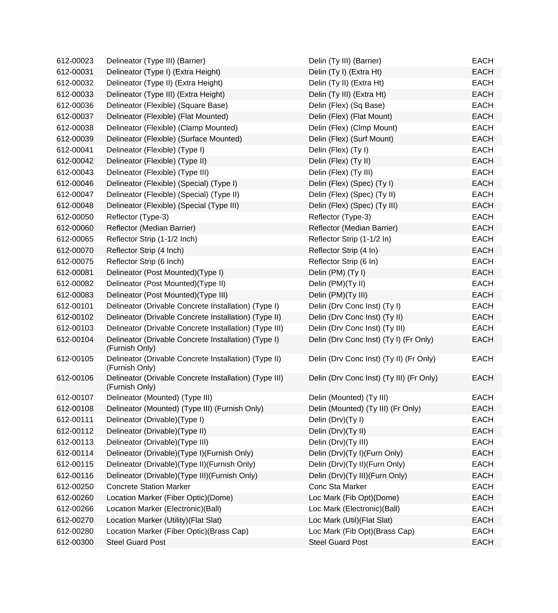| 612-00023 | Delineator (Type III) (Barrier)                                          | Delin (Ty III) (Barrier)                 | <b>EACH</b> |
|-----------|--------------------------------------------------------------------------|------------------------------------------|-------------|
| 612-00031 | Delineator (Type I) (Extra Height)                                       | Delin (Ty I) (Extra Ht)                  | <b>EACH</b> |
| 612-00032 | Delineator (Type II) (Extra Height)                                      | Delin (Ty II) (Extra Ht)                 | <b>EACH</b> |
| 612-00033 | Delineator (Type III) (Extra Height)                                     | Delin (Ty III) (Extra Ht)                | <b>EACH</b> |
| 612-00036 | Delineator (Flexible) (Square Base)                                      | Delin (Flex) (Sq Base)                   | <b>EACH</b> |
| 612-00037 | Delineator (Flexible) (Flat Mounted)                                     | Delin (Flex) (Flat Mount)                | <b>EACH</b> |
| 612-00038 | Delineator (Flexible) (Clamp Mounted)                                    | Delin (Flex) (Clmp Mount)                | <b>EACH</b> |
| 612-00039 | Delineator (Flexible) (Surface Mounted)                                  | Delin (Flex) (Surf Mount)                | <b>EACH</b> |
| 612-00041 | Delineator (Flexible) (Type I)                                           | Delin (Flex) (Ty I)                      | <b>EACH</b> |
| 612-00042 | Delineator (Flexible) (Type II)                                          | Delin (Flex) (Ty II)                     | <b>EACH</b> |
| 612-00043 | Delineator (Flexible) (Type III)                                         | Delin (Flex) (Ty III)                    | <b>EACH</b> |
| 612-00046 | Delineator (Flexible) (Special) (Type I)                                 | Delin (Flex) (Spec) (Ty I)               | <b>EACH</b> |
| 612-00047 | Delineator (Flexible) (Special) (Type II)                                | Delin (Flex) (Spec) (Ty II)              | <b>EACH</b> |
| 612-00048 | Delineator (Flexible) (Special (Type III)                                | Delin (Flex) (Spec) (Ty III)             | <b>EACH</b> |
| 612-00050 | Reflector (Type-3)                                                       | Reflector (Type-3)                       | <b>EACH</b> |
| 612-00060 | Reflector (Median Barrier)                                               | Reflector (Median Barrier)               | <b>EACH</b> |
| 612-00065 | Reflector Strip (1-1/2 Inch)                                             | Reflector Strip (1-1/2 In)               | <b>EACH</b> |
| 612-00070 | Reflector Strip (4 Inch)                                                 | Reflector Strip (4 In)                   | <b>EACH</b> |
| 612-00075 | Reflector Strip (6 Inch)                                                 | Reflector Strip (6 In)                   | <b>EACH</b> |
| 612-00081 | Delineator (Post Mounted)(Type I)                                        | Delin (PM) (Ty I)                        | <b>EACH</b> |
| 612-00082 | Delineator (Post Mounted)(Type II)                                       | Delin (PM)(Ty II)                        | <b>EACH</b> |
| 612-00083 | Delineator (Post Mounted)(Type III)                                      | Delin (PM)(Ty III)                       | <b>EACH</b> |
| 612-00101 | Delineator (Drivable Concrete Installation) (Type I)                     | Delin (Drv Conc Inst) (Ty I)             | <b>EACH</b> |
| 612-00102 | Delineator (Drivable Concrete Installation) (Type II)                    | Delin (Drv Conc Inst) (Ty II)            | <b>EACH</b> |
| 612-00103 | Delineator (Drivable Concrete Installation) (Type III)                   | Delin (Drv Conc Inst) (Ty III)           | <b>EACH</b> |
| 612-00104 | Delineator (Drivable Concrete Installation) (Type I)<br>(Furnish Only)   | Delin (Drv Conc Inst) (Ty I) (Fr Only)   | <b>EACH</b> |
| 612-00105 | Delineator (Drivable Concrete Installation) (Type II)<br>(Furnish Only)  | Delin (Drv Conc Inst) (Ty II) (Fr Only)  | <b>EACH</b> |
| 612-00106 | Delineator (Drivable Concrete Installation) (Type III)<br>(Furnish Only) | Delin (Drv Conc Inst) (Ty III) (Fr Only) | <b>EACH</b> |
| 612-00107 | Delineator (Mounted) (Type III)                                          | Delin (Mounted) (Ty III)                 | <b>EACH</b> |
| 612-00108 | Delineator (Mounted) (Type III) (Furnish Only)                           | Delin (Mounted) (Ty III) (Fr Only)       | <b>EACH</b> |
| 612-00111 | Delineator (Drivable)(Type I)                                            | Delin (Drv)(Ty I)                        | <b>EACH</b> |
| 612-00112 | Delineator (Drivable) (Type II)                                          | Delin (Drv)(Ty II)                       | <b>EACH</b> |
| 612-00113 | Delineator (Drivable) (Type III)                                         | Delin (Drv)(Ty III)                      | <b>EACH</b> |
| 612-00114 | Delineator (Drivable)(Type I)(Furnish Only)                              | Delin (Drv)(Ty I)(Furn Only)             | <b>EACH</b> |
| 612-00115 | Delineator (Drivable) (Type II) (Furnish Only)                           | Delin (Drv)(Ty II)(Furn Only)            | <b>EACH</b> |
| 612-00116 | Delineator (Drivable) (Type III) (Furnish Only)                          | Delin (Drv)(Ty III)(Furn Only)           | <b>EACH</b> |
| 612-00250 | <b>Concrete Station Marker</b>                                           | Conc Sta Marker                          | <b>EACH</b> |
| 612-00260 | Location Marker (Fiber Optic)(Dome)                                      | Loc Mark (Fib Opt)(Dome)                 | <b>EACH</b> |
| 612-00266 | Location Marker (Electronic)(Ball)                                       | Loc Mark (Electronic)(Ball)              | <b>EACH</b> |
| 612-00270 | Location Marker (Utility) (Flat Slat)                                    | Loc Mark (Util) (Flat Slat)              | <b>EACH</b> |
| 612-00280 | Location Marker (Fiber Optic)(Brass Cap)                                 | Loc Mark (Fib Opt)(Brass Cap)            | <b>EACH</b> |
| 612-00300 | <b>Steel Guard Post</b>                                                  | <b>Steel Guard Post</b>                  | <b>EACH</b> |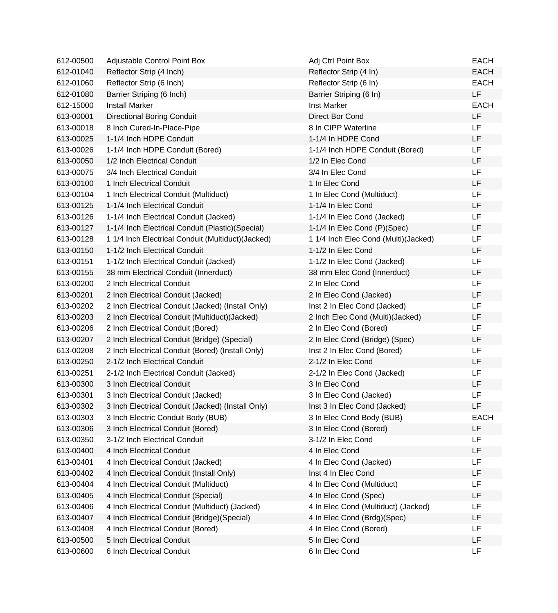| 612-00500 | Adjustable Control Point Box                       | Adj Ctrl Point Box                   | <b>EACH</b> |
|-----------|----------------------------------------------------|--------------------------------------|-------------|
| 612-01040 | Reflector Strip (4 Inch)                           | Reflector Strip (4 In)               | <b>EACH</b> |
| 612-01060 | Reflector Strip (6 Inch)                           | Reflector Strip (6 In)               | <b>EACH</b> |
| 612-01080 | Barrier Striping (6 Inch)                          | Barrier Striping (6 In)              | <b>LF</b>   |
| 612-15000 | <b>Install Marker</b>                              | <b>Inst Marker</b>                   | <b>EACH</b> |
| 613-00001 | <b>Directional Boring Conduit</b>                  | Direct Bor Cond                      | <b>LF</b>   |
| 613-00018 | 8 Inch Cured-In-Place-Pipe                         | 8 In CIPP Waterline                  | LF          |
| 613-00025 | 1-1/4 Inch HDPE Conduit                            | 1-1/4 In HDPE Cond                   | LF          |
| 613-00026 | 1-1/4 Inch HDPE Conduit (Bored)                    | 1-1/4 Inch HDPE Conduit (Bored)      | LF.         |
| 613-00050 | 1/2 Inch Electrical Conduit                        | 1/2 In Elec Cond                     | LF          |
| 613-00075 | 3/4 Inch Electrical Conduit                        | 3/4 In Elec Cond                     | LF          |
| 613-00100 | 1 Inch Electrical Conduit                          | 1 In Elec Cond                       | LF          |
| 613-00104 | 1 Inch Electrical Conduit (Multiduct)              | 1 In Elec Cond (Multiduct)           | LF          |
| 613-00125 | 1-1/4 Inch Electrical Conduit                      | 1-1/4 In Elec Cond                   | LF          |
| 613-00126 | 1-1/4 Inch Electrical Conduit (Jacked)             | 1-1/4 In Elec Cond (Jacked)          | LF          |
| 613-00127 | 1-1/4 Inch Electrical Conduit (Plastic)(Special)   | 1-1/4 In Elec Cond (P)(Spec)         | LF          |
| 613-00128 | 1 1/4 Inch Electrical Conduit (Multiduct) (Jacked) | 1 1/4 Inch Elec Cond (Multi)(Jacked) | LF.         |
| 613-00150 | 1-1/2 Inch Electrical Conduit                      | 1-1/2 In Elec Cond                   | LF          |
| 613-00151 | 1-1/2 Inch Electrical Conduit (Jacked)             | 1-1/2 In Elec Cond (Jacked)          | LF          |
| 613-00155 | 38 mm Electrical Conduit (Innerduct)               | 38 mm Elec Cond (Innerduct)          | LF          |
| 613-00200 | 2 Inch Electrical Conduit                          | 2 In Elec Cond                       | LF          |
| 613-00201 | 2 Inch Electrical Conduit (Jacked)                 | 2 In Elec Cond (Jacked)              | LF          |
| 613-00202 | 2 Inch Electrical Conduit (Jacked) (Install Only)  | Inst 2 In Elec Cond (Jacked)         | LF          |
| 613-00203 | 2 Inch Electrical Conduit (Multiduct) (Jacked)     | 2 Inch Elec Cond (Multi)(Jacked)     | LF          |
| 613-00206 | 2 Inch Electrical Conduit (Bored)                  | 2 In Elec Cond (Bored)               | LF          |
| 613-00207 | 2 Inch Electrical Conduit (Bridge) (Special)       | 2 In Elec Cond (Bridge) (Spec)       | LF          |
| 613-00208 | 2 Inch Electrical Conduit (Bored) (Install Only)   | Inst 2 In Elec Cond (Bored)          | LF.         |
| 613-00250 | 2-1/2 Inch Electrical Conduit                      | 2-1/2 In Elec Cond                   | LF          |
| 613-00251 | 2-1/2 Inch Electrical Conduit (Jacked)             | 2-1/2 In Elec Cond (Jacked)          | LF          |
| 613-00300 | 3 Inch Electrical Conduit                          | 3 In Elec Cond                       | LF          |
| 613-00301 | 3 Inch Electrical Conduit (Jacked)                 | 3 In Elec Cond (Jacked)              | LF          |
| 613-00302 | 3 Inch Electrical Conduit (Jacked) (Install Only)  | Inst 3 In Elec Cond (Jacked)         | LF          |
| 613-00303 | 3 Inch Electric Conduit Body (BUB)                 | 3 In Elec Cond Body (BUB)            | <b>EACH</b> |
| 613-00306 | 3 Inch Electrical Conduit (Bored)                  | 3 In Elec Cond (Bored)               | LF          |
| 613-00350 | 3-1/2 Inch Electrical Conduit                      | 3-1/2 In Elec Cond                   | LF          |
| 613-00400 | 4 Inch Electrical Conduit                          | 4 In Elec Cond                       | LF          |
| 613-00401 | 4 Inch Electrical Conduit (Jacked)                 | 4 In Elec Cond (Jacked)              | LF          |
| 613-00402 | 4 Inch Electrical Conduit (Install Only)           | Inst 4 In Elec Cond                  | LF          |
| 613-00404 | 4 Inch Electrical Conduit (Multiduct)              | 4 In Elec Cond (Multiduct)           | LF          |
| 613-00405 | 4 Inch Electrical Conduit (Special)                | 4 In Elec Cond (Spec)                | LF          |
| 613-00406 | 4 Inch Electrical Conduit (Multiduct) (Jacked)     | 4 In Elec Cond (Multiduct) (Jacked)  | LF          |
| 613-00407 | 4 Inch Electrical Conduit (Bridge) (Special)       | 4 In Elec Cond (Brdg)(Spec)          | LF          |
| 613-00408 | 4 Inch Electrical Conduit (Bored)                  | 4 In Elec Cond (Bored)               | LF          |
| 613-00500 | 5 Inch Electrical Conduit                          | 5 In Elec Cond                       | LF          |
| 613-00600 | 6 Inch Electrical Conduit                          | 6 In Elec Cond                       | LF          |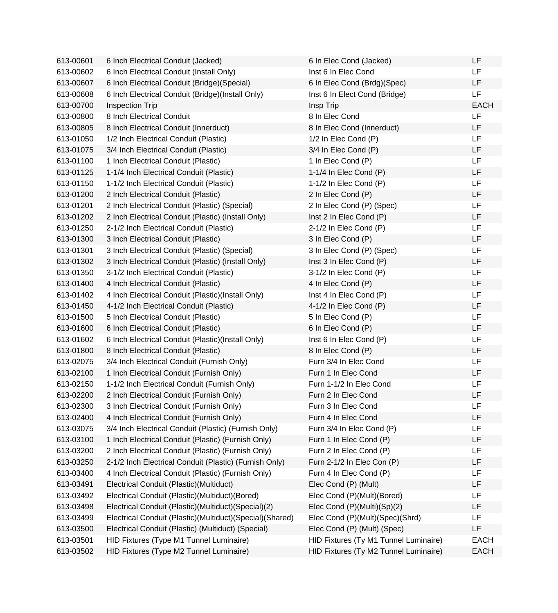| 613-00601 | 6 Inch Electrical Conduit (Jacked)                       | 6 In Elec Cond (Jacked)               | LF          |
|-----------|----------------------------------------------------------|---------------------------------------|-------------|
| 613-00602 | 6 Inch Electrical Conduit (Install Only)                 | Inst 6 In Elec Cond                   | LF          |
| 613-00607 | 6 Inch Electrical Conduit (Bridge) (Special)             | 6 In Elec Cond (Brdg)(Spec)           | LF          |
| 613-00608 | 6 Inch Electrical Conduit (Bridge)(Install Only)         | Inst 6 In Elect Cond (Bridge)         | LF          |
| 613-00700 | Inspection Trip                                          | Insp Trip                             | <b>EACH</b> |
| 613-00800 | 8 Inch Electrical Conduit                                | 8 In Elec Cond                        | <b>LF</b>   |
| 613-00805 | 8 Inch Electrical Conduit (Innerduct)                    | 8 In Elec Cond (Innerduct)            | LF          |
| 613-01050 | 1/2 Inch Electrical Conduit (Plastic)                    | 1/2 In Elec Cond (P)                  | <b>LF</b>   |
| 613-01075 | 3/4 Inch Electrical Conduit (Plastic)                    | 3/4 In Elec Cond (P)                  | LF          |
| 613-01100 | 1 Inch Electrical Conduit (Plastic)                      | 1 In Elec Cond (P)                    | <b>LF</b>   |
| 613-01125 | 1-1/4 Inch Electrical Conduit (Plastic)                  | 1-1/4 In Elec Cond (P)                | <b>LF</b>   |
| 613-01150 | 1-1/2 Inch Electrical Conduit (Plastic)                  | 1-1/2 In Elec Cond (P)                | <b>LF</b>   |
| 613-01200 | 2 Inch Electrical Conduit (Plastic)                      | 2 In Elec Cond (P)                    | LF          |
| 613-01201 | 2 Inch Electrical Conduit (Plastic) (Special)            | 2 In Elec Cond (P) (Spec)             | LF          |
| 613-01202 | 2 Inch Electrical Conduit (Plastic) (Install Only)       | Inst 2 In Elec Cond (P)               | LF          |
| 613-01250 | 2-1/2 Inch Electrical Conduit (Plastic)                  | 2-1/2 In Elec Cond (P)                | <b>LF</b>   |
| 613-01300 | 3 Inch Electrical Conduit (Plastic)                      | 3 In Elec Cond (P)                    | LF          |
| 613-01301 | 3 Inch Electrical Conduit (Plastic) (Special)            | 3 In Elec Cond (P) (Spec)             | <b>LF</b>   |
| 613-01302 | 3 Inch Electrical Conduit (Plastic) (Install Only)       | Inst 3 In Elec Cond (P)               | LF          |
| 613-01350 | 3-1/2 Inch Electrical Conduit (Plastic)                  | $3-1/2$ In Elec Cond (P)              | LF          |
| 613-01400 | 4 Inch Electrical Conduit (Plastic)                      | 4 In Elec Cond (P)                    | <b>LF</b>   |
| 613-01402 | 4 Inch Electrical Conduit (Plastic)(Install Only)        | Inst 4 In Elec Cond (P)               | <b>LF</b>   |
| 613-01450 | 4-1/2 Inch Electrical Conduit (Plastic)                  | 4-1/2 In Elec Cond (P)                | LF          |
| 613-01500 | 5 Inch Electrical Conduit (Plastic)                      | 5 In Elec Cond (P)                    | LF          |
| 613-01600 | 6 Inch Electrical Conduit (Plastic)                      | 6 In Elec Cond (P)                    | LF          |
| 613-01602 | 6 Inch Electrical Conduit (Plastic)(Install Only)        | Inst 6 In Elec Cond (P)               | <b>LF</b>   |
| 613-01800 | 8 Inch Electrical Conduit (Plastic)                      | 8 In Elec Cond (P)                    | LF          |
| 613-02075 | 3/4 Inch Electrical Conduit (Furnish Only)               | Furn 3/4 In Elec Cond                 | LF          |
| 613-02100 | 1 Inch Electrical Conduit (Furnish Only)                 | Furn 1 In Elec Cond                   | LF          |
| 613-02150 | 1-1/2 Inch Electrical Conduit (Furnish Only)             | Furn 1-1/2 In Elec Cond               | LF          |
| 613-02200 | 2 Inch Electrical Conduit (Furnish Only)                 | Furn 2 In Elec Cond                   | LF          |
| 613-02300 | 3 Inch Electrical Conduit (Furnish Only)                 | Furn 3 In Elec Cond                   | LF          |
| 613-02400 | 4 Inch Electrical Conduit (Furnish Only)                 | Furn 4 In Elec Cond                   | LF          |
| 613-03075 | 3/4 Inch Electrical Conduit (Plastic) (Furnish Only)     | Furn 3/4 In Elec Cond (P)             | LF          |
| 613-03100 | 1 Inch Electrical Conduit (Plastic) (Furnish Only)       | Furn 1 In Elec Cond (P)               | LF          |
| 613-03200 | 2 Inch Electrical Conduit (Plastic) (Furnish Only)       | Furn 2 In Elec Cond (P)               | LF          |
| 613-03250 | 2-1/2 Inch Electrical Conduit (Plastic) (Furnish Only)   | Furn 2-1/2 In Elec Con (P)            | LF          |
| 613-03400 | 4 Inch Electrical Conduit (Plastic) (Furnish Only)       | Furn 4 In Elec Cond (P)               | LF          |
| 613-03491 | Electrical Conduit (Plastic) (Multiduct)                 | Elec Cond (P) (Mult)                  | LF          |
| 613-03492 | Electrical Conduit (Plastic)(Multiduct)(Bored)           | Elec Cond (P)(Mult)(Bored)            | LF          |
| 613-03498 | Electrical Conduit (Plastic)(Multiduct)(Special)(2)      | Elec Cond (P)(Multi)(Sp)(2)           | LF          |
| 613-03499 | Electrical Conduit (Plastic)(Multiduct)(Special)(Shared) | Elec Cond (P)(Mult)(Spec)(Shrd)       | LF          |
| 613-03500 | Electrical Conduit (Plastic) (Multiduct) (Special)       | Elec Cond (P) (Mult) (Spec)           | LF          |
| 613-03501 | HID Fixtures (Type M1 Tunnel Luminaire)                  | HID Fixtures (Ty M1 Tunnel Luminaire) | <b>EACH</b> |
| 613-03502 | HID Fixtures (Type M2 Tunnel Luminaire)                  | HID Fixtures (Ty M2 Tunnel Luminaire) | <b>EACH</b> |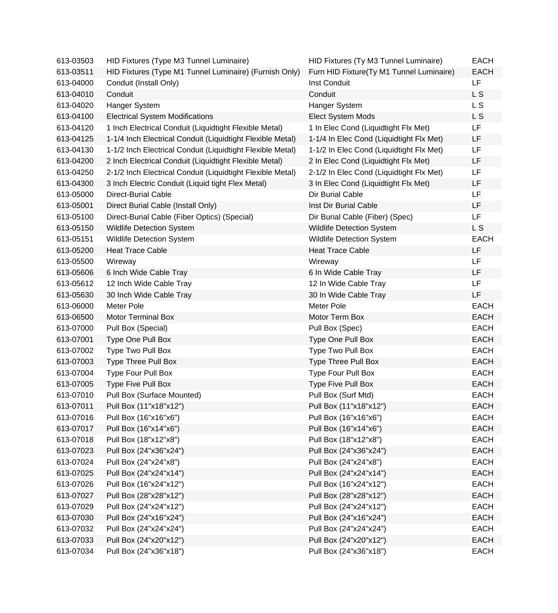| 613-03503 | HID Fixtures (Type M3 Tunnel Luminaire)                    | HID Fixtures (Ty M3 Tunnel Luminaire)    | <b>EACH</b> |
|-----------|------------------------------------------------------------|------------------------------------------|-------------|
| 613-03511 | HID Fixtures (Type M1 Tunnel Luminaire) (Furnish Only)     | Furn HID Fixture(Ty M1 Tunnel Luminaire) | <b>EACH</b> |
| 613-04000 | Conduit (Install Only)                                     | Inst Conduit                             | LF          |
| 613-04010 | Conduit                                                    | Conduit                                  | L S         |
| 613-04020 | Hanger System                                              | Hanger System                            | L S         |
| 613-04100 | <b>Electrical System Modifications</b>                     | Elect System Mods                        | L S         |
| 613-04120 | 1 Inch Electrical Conduit (Liquidtight Flexible Metal)     | 1 In Elec Cond (Liquidtight Flx Met)     | LF          |
| 613-04125 | 1-1/4 Inch Electrical Conduit (Liquidtight Flexible Metal) | 1-1/4 In Elec Cond (Liquidtight Flx Met) | LF          |
| 613-04130 | 1-1/2 Inch Electrical Conduit (Liquidtight Flexible Metal) | 1-1/2 In Elec Cond (Liquidtight Flx Met) | LF          |
| 613-04200 | 2 Inch Electrical Conduit (Liquidtight Flexible Metal)     | 2 In Elec Cond (Liquidtight Flx Met)     | LF          |
| 613-04250 | 2-1/2 Inch Electrical Conduit (Liquidtight Flexible Metal) | 2-1/2 In Elec Cond (Liquidtight Flx Met) | LF          |
| 613-04300 | 3 Inch Electric Conduit (Liquid tight Flex Metal)          | 3 In Elec Cond (Liquidtight Flx Met)     | LF          |
| 613-05000 | Direct-Burial Cable                                        | Dir Burial Cable                         | <b>LF</b>   |
| 613-05001 | Direct Burial Cable (Install Only)                         | Inst Dir Burial Cable                    | LF          |
| 613-05100 | Direct-Burial Cable (Fiber Optics) (Special)               | Dir Burial Cable (Fiber) (Spec)          | <b>LF</b>   |
| 613-05150 | <b>Wildlife Detection System</b>                           | Wildlife Detection System                | L S         |
| 613-05151 | <b>Wildlife Detection System</b>                           | Wildlife Detection System                | <b>EACH</b> |
| 613-05200 | <b>Heat Trace Cable</b>                                    | <b>Heat Trace Cable</b>                  | LF          |
| 613-05500 | Wireway                                                    | Wireway                                  | <b>LF</b>   |
| 613-05606 | 6 Inch Wide Cable Tray                                     | 6 In Wide Cable Tray                     | LF          |
| 613-05612 | 12 Inch Wide Cable Tray                                    | 12 In Wide Cable Tray                    | <b>LF</b>   |
| 613-05630 | 30 Inch Wide Cable Tray                                    | 30 In Wide Cable Tray                    | LF          |
| 613-06000 | Meter Pole                                                 | Meter Pole                               | <b>EACH</b> |
| 613-06500 | <b>Motor Terminal Box</b>                                  | Motor Term Box                           | <b>EACH</b> |
| 613-07000 | Pull Box (Special)                                         | Pull Box (Spec)                          | <b>EACH</b> |
| 613-07001 | Type One Pull Box                                          | Type One Pull Box                        | <b>EACH</b> |
| 613-07002 | Type Two Pull Box                                          | Type Two Pull Box                        | <b>EACH</b> |
| 613-07003 | Type Three Pull Box                                        | Type Three Pull Box                      | <b>EACH</b> |
| 613-07004 | Type Four Pull Box                                         | Type Four Pull Box                       | <b>EACH</b> |
| 613-07005 | Type Five Pull Box                                         | Type Five Pull Box                       | <b>EACH</b> |
| 613-07010 | Pull Box (Surface Mounted)                                 | Pull Box (Surf Mtd)                      | <b>EACH</b> |
| 613-07011 | Pull Box (11"x18"x12")                                     | Pull Box (11"x18"x12")                   | EACH        |
| 613-07016 | Pull Box (16"x16"x6")                                      | Pull Box (16"x16"x6")                    | <b>EACH</b> |
| 613-07017 | Pull Box (16"x14"x6")                                      | Pull Box (16"x14"x6")                    | <b>EACH</b> |
| 613-07018 | Pull Box (18"x12"x8")                                      | Pull Box (18"x12"x8")                    | <b>EACH</b> |
| 613-07023 | Pull Box (24"x36"x24")                                     | Pull Box (24"x36"x24")                   | <b>EACH</b> |
| 613-07024 | Pull Box (24"x24"x8")                                      | Pull Box (24"x24"x8")                    | <b>EACH</b> |
| 613-07025 | Pull Box (24"x24"x14")                                     | Pull Box (24"x24"x14")                   | <b>EACH</b> |
| 613-07026 | Pull Box (16"x24"x12")                                     | Pull Box (16"x24"x12")                   | <b>EACH</b> |
| 613-07027 | Pull Box (28"x28"x12")                                     | Pull Box (28"x28"x12")                   | <b>EACH</b> |
| 613-07029 | Pull Box (24"x24"x12")                                     | Pull Box (24"x24"x12")                   | <b>EACH</b> |
| 613-07030 | Pull Box (24"x16"x24")                                     | Pull Box (24"x16"x24")                   | <b>EACH</b> |
| 613-07032 | Pull Box (24"x24"x24")                                     | Pull Box (24"x24"x24")                   | <b>EACH</b> |
| 613-07033 | Pull Box (24"x20"x12")                                     | Pull Box (24"x20"x12")                   | <b>EACH</b> |
| 613-07034 | Pull Box (24"x36"x18")                                     | Pull Box (24"x36"x18")                   | <b>EACH</b> |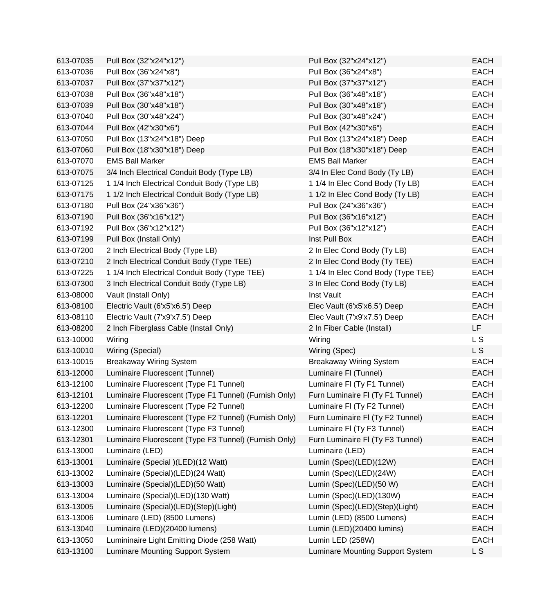| 613-07035 | Pull Box (32"x24"x12")                                | Pull Box (32"x24"x12")             | <b>EACH</b> |
|-----------|-------------------------------------------------------|------------------------------------|-------------|
| 613-07036 | Pull Box (36"x24"x8")                                 | Pull Box (36"x24"x8")              | <b>EACH</b> |
| 613-07037 | Pull Box (37"x37"x12")                                | Pull Box (37"x37"x12")             | <b>EACH</b> |
| 613-07038 | Pull Box (36"x48"x18")                                | Pull Box (36"x48"x18")             | <b>EACH</b> |
| 613-07039 | Pull Box (30"x48"x18")                                | Pull Box (30"x48"x18")             | <b>EACH</b> |
| 613-07040 | Pull Box (30"x48"x24")                                | Pull Box (30"x48"x24")             | <b>EACH</b> |
| 613-07044 | Pull Box (42"x30"x6")                                 | Pull Box (42"x30"x6")              | <b>EACH</b> |
| 613-07050 | Pull Box (13"x24"x18") Deep                           | Pull Box (13"x24"x18") Deep        | <b>EACH</b> |
| 613-07060 | Pull Box (18"x30"x18") Deep                           | Pull Box (18"x30"x18") Deep        | <b>EACH</b> |
| 613-07070 | <b>EMS Ball Marker</b>                                | <b>EMS Ball Marker</b>             | <b>EACH</b> |
| 613-07075 | 3/4 Inch Electrical Conduit Body (Type LB)            | 3/4 In Elec Cond Body (Ty LB)      | <b>EACH</b> |
| 613-07125 | 1 1/4 Inch Electrical Conduit Body (Type LB)          | 1 1/4 In Elec Cond Body (Ty LB)    | <b>EACH</b> |
| 613-07175 | 1 1/2 Inch Electrical Conduit Body (Type LB)          | 1 1/2 In Elec Cond Body (Ty LB)    | <b>EACH</b> |
| 613-07180 | Pull Box (24"x36"x36")                                | Pull Box (24"x36"x36")             | <b>EACH</b> |
| 613-07190 | Pull Box (36"x16"x12")                                | Pull Box (36"x16"x12")             | <b>EACH</b> |
| 613-07192 | Pull Box (36"x12"x12")                                | Pull Box (36"x12"x12")             | <b>EACH</b> |
| 613-07199 | Pull Box (Install Only)                               | Inst Pull Box                      | <b>EACH</b> |
| 613-07200 | 2 Inch Electrical Body (Type LB)                      | 2 In Elec Cond Body (Ty LB)        | <b>EACH</b> |
| 613-07210 | 2 Inch Electrical Conduit Body (Type TEE)             | 2 In Elec Cond Body (Ty TEE)       | <b>EACH</b> |
| 613-07225 | 1 1/4 Inch Electrical Conduit Body (Type TEE)         | 1 1/4 In Elec Cond Body (Type TEE) | <b>EACH</b> |
| 613-07300 | 3 Inch Electrical Conduit Body (Type LB)              | 3 In Elec Cond Body (Ty LB)        | <b>EACH</b> |
| 613-08000 | Vault (Install Only)                                  | Inst Vault                         | <b>EACH</b> |
| 613-08100 | Electric Vault (6'x5'x6.5') Deep                      | Elec Vault (6'x5'x6.5') Deep       | <b>EACH</b> |
| 613-08110 | Electric Vault (7'x9'x7.5') Deep                      | Elec Vault (7'x9'x7.5') Deep       | <b>EACH</b> |
| 613-08200 | 2 Inch Fiberglass Cable (Install Only)                | 2 In Fiber Cable (Install)         | LF          |
| 613-10000 | Wiring                                                | Wiring                             | L S         |
| 613-10010 | Wiring (Special)                                      | Wiring (Spec)                      | L S         |
| 613-10015 | <b>Breakaway Wiring System</b>                        | <b>Breakaway Wiring System</b>     | <b>EACH</b> |
| 613-12000 | Luminaire Fluorescent (Tunnel)                        | Luminaire FI (Tunnel)              | <b>EACH</b> |
| 613-12100 | Luminaire Fluorescent (Type F1 Tunnel)                | Luminaire FI (Ty F1 Tunnel)        | <b>EACH</b> |
| 613-12101 | Luminaire Fluorescent (Type F1 Tunnel) (Furnish Only) | Furn Luminaire FI (Ty F1 Tunnel)   | <b>EACH</b> |
| 613-12200 | Luminaire Fluorescent (Type F2 Tunnel)                | Luminaire FI (Ty F2 Tunnel)        | EACH        |
| 613-12201 | Luminaire Fluorescent (Type F2 Tunnel) (Furnish Only) | Furn Luminaire FI (Ty F2 Tunnel)   | <b>EACH</b> |
| 613-12300 | Luminaire Fluorescent (Type F3 Tunnel)                | Luminaire FI (Ty F3 Tunnel)        | <b>EACH</b> |
| 613-12301 | Luminaire Fluorescent (Type F3 Tunnel) (Furnish Only) | Furn Luminaire FI (Ty F3 Tunnel)   | <b>EACH</b> |
| 613-13000 | Luminaire (LED)                                       | Luminaire (LED)                    | <b>EACH</b> |
| 613-13001 | Luminaire (Special) (LED) (12 Watt)                   | Lumin (Spec)(LED)(12W)             | <b>EACH</b> |
| 613-13002 | Luminaire (Special)(LED)(24 Watt)                     | Lumin (Spec)(LED)(24W)             | <b>EACH</b> |
| 613-13003 | Luminaire (Special)(LED)(50 Watt)                     | Lumin (Spec)(LED)(50 W)            | <b>EACH</b> |
| 613-13004 | Luminaire (Special)(LED)(130 Watt)                    | Lumin (Spec)(LED)(130W)            | <b>EACH</b> |
| 613-13005 | Luminaire (Special)(LED)(Step)(Light)                 | Lumin (Spec)(LED)(Step)(Light)     | <b>EACH</b> |
| 613-13006 | Luminare (LED) (8500 Lumens)                          | Lumin (LED) (8500 Lumens)          | <b>EACH</b> |
| 613-13040 | Luminaire (LED)(20400 lumens)                         | Lumin (LED)(20400 lumins)          | <b>EACH</b> |
| 613-13050 | Lumininaire Light Emitting Diode (258 Watt)           | Lumin LED (258W)                   | <b>EACH</b> |
| 613-13100 | Luminare Mounting Support System                      | Luminare Mounting Support System   | <b>LS</b>   |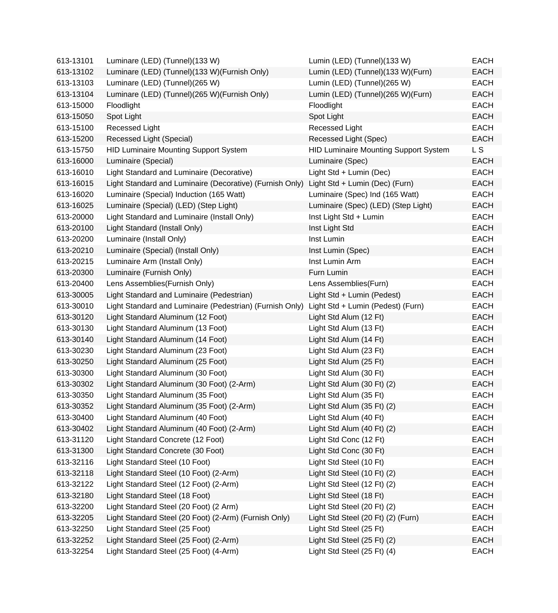| 613-13101 | Luminare (LED) (Tunnel) (133 W)                          | Lumin (LED) (Tunnel)(133 W)                  | <b>EACH</b> |
|-----------|----------------------------------------------------------|----------------------------------------------|-------------|
| 613-13102 | Luminare (LED) (Tunnel)(133 W)(Furnish Only)             | Lumin (LED) (Tunnel)(133 W)(Furn)            | <b>EACH</b> |
| 613-13103 | Luminare (LED) (Tunnel)(265 W)                           | Lumin (LED) (Tunnel)(265 W)                  | <b>EACH</b> |
| 613-13104 | Luminare (LED) (Tunnel)(265 W)(Furnish Only)             | Lumin (LED) (Tunnel)(265 W)(Furn)            | <b>EACH</b> |
| 613-15000 | Floodlight                                               | Floodlight                                   | <b>EACH</b> |
| 613-15050 | Spot Light                                               | Spot Light                                   | <b>EACH</b> |
| 613-15100 | Recessed Light                                           | Recessed Light                               | <b>EACH</b> |
| 613-15200 | Recessed Light (Special)                                 | Recessed Light (Spec)                        | <b>EACH</b> |
| 613-15750 | <b>HID Luminaire Mounting Support System</b>             | <b>HID Luminaire Mounting Support System</b> | L S         |
| 613-16000 | Luminaire (Special)                                      | Luminaire (Spec)                             | <b>EACH</b> |
| 613-16010 | Light Standard and Luminaire (Decorative)                | Light Std + Lumin (Dec)                      | <b>EACH</b> |
| 613-16015 | Light Standard and Luminaire (Decorative) (Furnish Only) | Light Std + Lumin (Dec) (Furn)               | <b>EACH</b> |
| 613-16020 | Luminaire (Special) Induction (165 Watt)                 | Luminaire (Spec) Ind (165 Watt)              | EACH        |
| 613-16025 | Luminaire (Special) (LED) (Step Light)                   | Luminaire (Spec) (LED) (Step Light)          | <b>EACH</b> |
| 613-20000 | Light Standard and Luminaire (Install Only)              | Inst Light Std + Lumin                       | <b>EACH</b> |
| 613-20100 | Light Standard (Install Only)                            | Inst Light Std                               | <b>EACH</b> |
| 613-20200 | Luminaire (Install Only)                                 | Inst Lumin                                   | <b>EACH</b> |
| 613-20210 | Luminaire (Special) (Install Only)                       | Inst Lumin (Spec)                            | <b>EACH</b> |
| 613-20215 | Luminaire Arm (Install Only)                             | Inst Lumin Arm                               | <b>EACH</b> |
| 613-20300 | Luminaire (Furnish Only)                                 | Furn Lumin                                   | <b>EACH</b> |
| 613-20400 | Lens Assemblies (Furnish Only)                           | Lens Assemblies(Furn)                        | <b>EACH</b> |
| 613-30005 | Light Standard and Luminaire (Pedestrian)                | Light Std + Lumin (Pedest)                   | <b>EACH</b> |
| 613-30010 | Light Standard and Luminaire (Pedestrian) (Furnish Only) | Light Std + Lumin (Pedest) (Furn)            | EACH        |
| 613-30120 | Light Standard Aluminum (12 Foot)                        | Light Std Alum (12 Ft)                       | <b>EACH</b> |
| 613-30130 | Light Standard Aluminum (13 Foot)                        | Light Std Alum (13 Ft)                       | <b>EACH</b> |
| 613-30140 | Light Standard Aluminum (14 Foot)                        | Light Std Alum (14 Ft)                       | <b>EACH</b> |
| 613-30230 | Light Standard Aluminum (23 Foot)                        | Light Std Alum (23 Ft)                       | <b>EACH</b> |
| 613-30250 | Light Standard Aluminum (25 Foot)                        | Light Std Alum (25 Ft)                       | <b>EACH</b> |
| 613-30300 | Light Standard Aluminum (30 Foot)                        | Light Std Alum (30 Ft)                       | <b>EACH</b> |
| 613-30302 | Light Standard Aluminum (30 Foot) (2-Arm)                | Light Std Alum (30 Ft) (2)                   | <b>EACH</b> |
| 613-30350 | Light Standard Aluminum (35 Foot)                        | Light Std Alum (35 Ft)                       | <b>EACH</b> |
| 613-30352 | Light Standard Aluminum (35 Foot) (2-Arm)                | Light Std Alum (35 Ft) (2)                   | EACH        |
| 613-30400 | Light Standard Aluminum (40 Foot)                        | Light Std Alum (40 Ft)                       | <b>EACH</b> |
| 613-30402 | Light Standard Aluminum (40 Foot) (2-Arm)                | Light Std Alum (40 Ft) (2)                   | <b>EACH</b> |
| 613-31120 | Light Standard Concrete (12 Foot)                        | Light Std Conc (12 Ft)                       | <b>EACH</b> |
| 613-31300 | Light Standard Concrete (30 Foot)                        | Light Std Conc (30 Ft)                       | <b>EACH</b> |
| 613-32116 | Light Standard Steel (10 Foot)                           | Light Std Steel (10 Ft)                      | <b>EACH</b> |
| 613-32118 | Light Standard Steel (10 Foot) (2-Arm)                   | Light Std Steel (10 Ft) (2)                  | <b>EACH</b> |
| 613-32122 | Light Standard Steel (12 Foot) (2-Arm)                   | Light Std Steel (12 Ft) (2)                  | <b>EACH</b> |
| 613-32180 | Light Standard Steel (18 Foot)                           | Light Std Steel (18 Ft)                      | <b>EACH</b> |
| 613-32200 | Light Standard Steel (20 Foot) (2 Arm)                   | Light Std Steel (20 Ft) (2)                  | <b>EACH</b> |
| 613-32205 | Light Standard Steel (20 Foot) (2-Arm) (Furnish Only)    | Light Std Steel (20 Ft) (2) (Furn)           | <b>EACH</b> |
| 613-32250 | Light Standard Steel (25 Foot)                           | Light Std Steel (25 Ft)                      | <b>EACH</b> |
| 613-32252 | Light Standard Steel (25 Foot) (2-Arm)                   | Light Std Steel (25 Ft) (2)                  | <b>EACH</b> |
| 613-32254 | Light Standard Steel (25 Foot) (4-Arm)                   | Light Std Steel (25 Ft) (4)                  | <b>EACH</b> |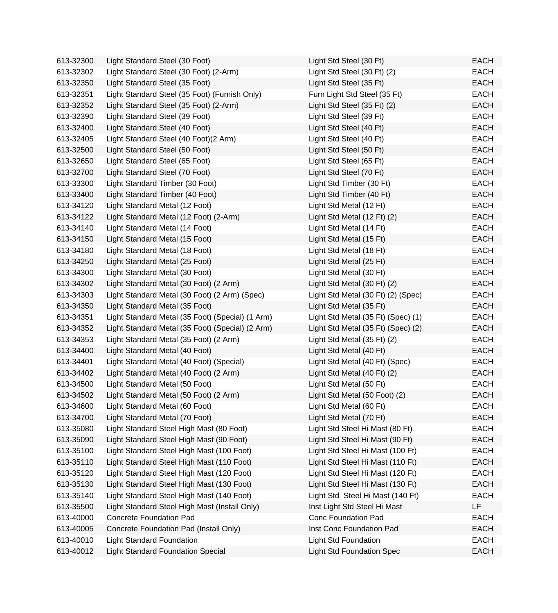| 613-32300 | Light Standard Steel (30 Foot)                   | Light Std Steel (30 Ft)            | <b>EACH</b> |
|-----------|--------------------------------------------------|------------------------------------|-------------|
| 613-32302 | Light Standard Steel (30 Foot) (2-Arm)           | Light Std Steel (30 Ft) (2)        | <b>EACH</b> |
| 613-32350 | Light Standard Steel (35 Foot)                   | Light Std Steel (35 Ft)            | <b>EACH</b> |
| 613-32351 | Light Standard Steel (35 Foot) (Furnish Only)    | Furn Light Std Steel (35 Ft)       | <b>EACH</b> |
| 613-32352 | Light Standard Steel (35 Foot) (2-Arm)           | Light Std Steel (35 Ft) (2)        | <b>EACH</b> |
| 613-32390 | Light Standard Steel (39 Foot)                   | Light Std Steel (39 Ft)            | <b>EACH</b> |
| 613-32400 | Light Standard Steel (40 Foot)                   | Light Std Steel (40 Ft)            | <b>EACH</b> |
| 613-32405 | Light Standard Steel (40 Foot)(2 Arm)            | Light Std Steel (40 Ft)            | <b>EACH</b> |
| 613-32500 | Light Standard Steel (50 Foot)                   | Light Std Steel (50 Ft)            | <b>EACH</b> |
| 613-32650 | Light Standard Steel (65 Foot)                   | Light Std Steel (65 Ft)            | <b>EACH</b> |
| 613-32700 | Light Standard Steel (70 Foot)                   | Light Std Steel (70 Ft)            | <b>EACH</b> |
| 613-33300 | Light Standard Timber (30 Foot)                  | Light Std Timber (30 Ft)           | <b>EACH</b> |
| 613-33400 | Light Standard Timber (40 Foot)                  | Light Std Timber (40 Ft)           | <b>EACH</b> |
| 613-34120 | Light Standard Metal (12 Foot)                   | Light Std Metal (12 Ft)            | <b>EACH</b> |
| 613-34122 | Light Standard Metal (12 Foot) (2-Arm)           | Light Std Metal (12 Ft) (2)        | <b>EACH</b> |
| 613-34140 | Light Standard Metal (14 Foot)                   | Light Std Metal (14 Ft)            | <b>EACH</b> |
| 613-34150 | Light Standard Metal (15 Foot)                   | Light Std Metal (15 Ft)            | <b>EACH</b> |
| 613-34180 | Light Standard Metal (18 Foot)                   | Light Std Metal (18 Ft)            | <b>EACH</b> |
| 613-34250 | Light Standard Metal (25 Foot)                   | Light Std Metal (25 Ft)            | <b>EACH</b> |
| 613-34300 | Light Standard Metal (30 Foot)                   | Light Std Metal (30 Ft)            | <b>EACH</b> |
| 613-34302 | Light Standard Metal (30 Foot) (2 Arm)           | Light Std Metal (30 Ft) (2)        | <b>EACH</b> |
| 613-34303 | Light Standard Metal (30 Foot) (2 Arm) (Spec)    | Light Std Metal (30 Ft) (2) (Spec) | <b>EACH</b> |
| 613-34350 | Light Standard Metal (35 Foot)                   | Light Std Metal (35 Ft)            | <b>EACH</b> |
| 613-34351 | Light Standard Metal (35 Foot) (Special) (1 Arm) | Light Std Metal (35 Ft) (Spec) (1) | <b>EACH</b> |
| 613-34352 | Light Standard Metal (35 Foot) (Special) (2 Arm) | Light Std Metal (35 Ft) (Spec) (2) | <b>EACH</b> |
| 613-34353 | Light Standard Metal (35 Foot) (2 Arm)           | Light Std Metal (35 Ft) (2)        | <b>EACH</b> |
| 613-34400 | Light Standard Metal (40 Foot)                   | Light Std Metal (40 Ft)            | <b>EACH</b> |
| 613-34401 | Light Standard Metal (40 Foot) (Special)         | Light Std Metal (40 Ft) (Spec)     | <b>EACH</b> |
| 613-34402 | Light Standard Metal (40 Foot) (2 Arm)           | Light Std Metal (40 Ft) (2)        | <b>EACH</b> |
| 613-34500 | Light Standard Metal (50 Foot)                   | Light Std Metal (50 Ft)            | <b>EACH</b> |
| 613-34502 | Light Standard Metal (50 Foot) (2 Arm)           | Light Std Metal (50 Foot) (2)      | <b>EACH</b> |
| 613-34600 | Light Standard Metal (60 Foot)                   | Light Std Metal (60 Ft)            | EACH        |
| 613-34700 | Light Standard Metal (70 Foot)                   | Light Std Metal (70 Ft)            | <b>EACH</b> |
| 613-35080 | Light Standard Steel High Mast (80 Foot)         | Light Std Steel Hi Mast (80 Ft)    | <b>EACH</b> |
| 613-35090 | Light Standard Steel High Mast (90 Foot)         | Light Std Steel Hi Mast (90 Ft)    | <b>EACH</b> |
| 613-35100 | Light Standard Steel High Mast (100 Foot)        | Light Std Steel Hi Mast (100 Ft)   | <b>EACH</b> |
| 613-35110 | Light Standard Steel High Mast (110 Foot)        | Light Std Steel Hi Mast (110 Ft)   | <b>EACH</b> |
| 613-35120 | Light Standard Steel High Mast (120 Foot)        | Light Std Steel Hi Mast (120 Ft)   | <b>EACH</b> |
| 613-35130 | Light Standard Steel High Mast (130 Foot)        | Light Std Steel Hi Mast (130 Ft)   | <b>EACH</b> |
| 613-35140 | Light Standard Steel High Mast (140 Foot)        | Light Std Steel Hi Mast (140 Ft)   | <b>EACH</b> |
| 613-35500 | Light Standard Steel High Mast (Install Only)    | Inst Light Std Steel Hi Mast       | LF          |
| 613-40000 | <b>Concrete Foundation Pad</b>                   | <b>Conc Foundation Pad</b>         | <b>EACH</b> |
| 613-40005 | Concrete Foundation Pad (Install Only)           | Inst Conc Foundation Pad           | <b>EACH</b> |
| 613-40010 | <b>Light Standard Foundation</b>                 | <b>Light Std Foundation</b>        | <b>EACH</b> |
| 613-40012 | <b>Light Standard Foundation Special</b>         | <b>Light Std Foundation Spec</b>   | <b>EACH</b> |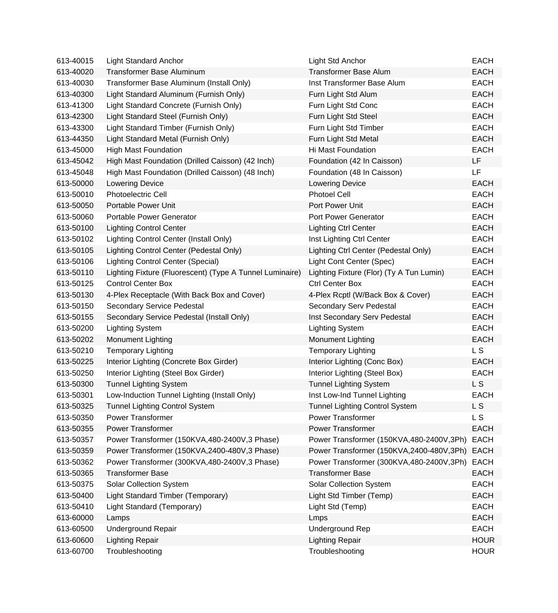| 613-40015 | <b>Light Standard Anchor</b>                             | Light Std Anchor                         | <b>EACH</b>    |
|-----------|----------------------------------------------------------|------------------------------------------|----------------|
| 613-40020 | <b>Transformer Base Aluminum</b>                         | <b>Transformer Base Alum</b>             | <b>EACH</b>    |
| 613-40030 | Transformer Base Aluminum (Install Only)                 | Inst Transformer Base Alum               | <b>EACH</b>    |
| 613-40300 | Light Standard Aluminum (Furnish Only)                   | Furn Light Std Alum                      | <b>EACH</b>    |
| 613-41300 | Light Standard Concrete (Furnish Only)                   | Furn Light Std Conc                      | <b>EACH</b>    |
| 613-42300 | Light Standard Steel (Furnish Only)                      | Furn Light Std Steel                     | <b>EACH</b>    |
| 613-43300 | Light Standard Timber (Furnish Only)                     | Furn Light Std Timber                    | <b>EACH</b>    |
| 613-44350 | Light Standard Metal (Furnish Only)                      | Furn Light Std Metal                     | <b>EACH</b>    |
| 613-45000 | <b>High Mast Foundation</b>                              | Hi Mast Foundation                       | <b>EACH</b>    |
| 613-45042 | High Mast Foundation (Drilled Caisson) (42 Inch)         | Foundation (42 In Caisson)               | LF             |
| 613-45048 | High Mast Foundation (Drilled Caisson) (48 Inch)         | Foundation (48 In Caisson)               | LF             |
| 613-50000 | <b>Lowering Device</b>                                   | <b>Lowering Device</b>                   | <b>EACH</b>    |
| 613-50010 | <b>Photoelectric Cell</b>                                | <b>Photoel Cell</b>                      | <b>EACH</b>    |
| 613-50050 | Portable Power Unit                                      | Port Power Unit                          | <b>EACH</b>    |
| 613-50060 | Portable Power Generator                                 | Port Power Generator                     | <b>EACH</b>    |
| 613-50100 | <b>Lighting Control Center</b>                           | <b>Lighting Ctrl Center</b>              | <b>EACH</b>    |
| 613-50102 | Lighting Control Center (Install Only)                   | Inst Lighting Ctrl Center                | <b>EACH</b>    |
| 613-50105 | Lighting Control Center (Pedestal Only)                  | Lighting Ctrl Center (Pedestal Only)     | <b>EACH</b>    |
| 613-50106 | <b>Lighting Control Center (Special)</b>                 | Light Cont Center (Spec)                 | <b>EACH</b>    |
| 613-50110 | Lighting Fixture (Fluorescent) (Type A Tunnel Luminaire) | Lighting Fixture (Flor) (Ty A Tun Lumin) | <b>EACH</b>    |
| 613-50125 | <b>Control Center Box</b>                                | <b>Ctrl Center Box</b>                   | <b>EACH</b>    |
| 613-50130 | 4-Plex Receptacle (With Back Box and Cover)              | 4-Plex Rcptl (W/Back Box & Cover)        | <b>EACH</b>    |
| 613-50150 | <b>Secondary Service Pedestal</b>                        | Secondary Serv Pedestal                  | <b>EACH</b>    |
| 613-50155 | Secondary Service Pedestal (Install Only)                | Inst Secondary Serv Pedestal             | <b>EACH</b>    |
| 613-50200 | <b>Lighting System</b>                                   | <b>Lighting System</b>                   | <b>EACH</b>    |
| 613-50202 | Monument Lighting                                        | Monument Lighting                        | <b>EACH</b>    |
| 613-50210 | <b>Temporary Lighting</b>                                | <b>Temporary Lighting</b>                | L S            |
| 613-50225 | Interior Lighting (Concrete Box Girder)                  | Interior Lighting (Conc Box)             | <b>EACH</b>    |
| 613-50250 | Interior Lighting (Steel Box Girder)                     | Interior Lighting (Steel Box)            | <b>EACH</b>    |
| 613-50300 | <b>Tunnel Lighting System</b>                            | <b>Tunnel Lighting System</b>            | L <sub>S</sub> |
| 613-50301 | Low-Induction Tunnel Lighting (Install Only)             | Inst Low-Ind Tunnel Lighting             | <b>EACH</b>    |
| 613-50325 | <b>Tunnel Lighting Control System</b>                    | <b>Tunnel Lighting Control System</b>    | L S            |
| 613-50350 | <b>Power Transformer</b>                                 | <b>Power Transformer</b>                 | L <sub>S</sub> |
| 613-50355 | <b>Power Transformer</b>                                 | <b>Power Transformer</b>                 | <b>EACH</b>    |
| 613-50357 | Power Transformer (150KVA,480-2400V,3 Phase)             | Power Transformer (150KVA,480-2400V,3Ph) | <b>EACH</b>    |
| 613-50359 | Power Transformer (150KVA,2400-480V,3 Phase)             | Power Transformer (150KVA,2400-480V,3Ph) | <b>EACH</b>    |
| 613-50362 | Power Transformer (300KVA,480-2400V,3 Phase)             | Power Transformer (300KVA,480-2400V,3Ph) | <b>EACH</b>    |
| 613-50365 | <b>Transformer Base</b>                                  | <b>Transformer Base</b>                  | <b>EACH</b>    |
| 613-50375 | Solar Collection System                                  | <b>Solar Collection System</b>           | <b>EACH</b>    |
| 613-50400 | Light Standard Timber (Temporary)                        | Light Std Timber (Temp)                  | <b>EACH</b>    |
| 613-50410 | Light Standard (Temporary)                               | Light Std (Temp)                         | <b>EACH</b>    |
| 613-60000 | Lamps                                                    | Lmps                                     | <b>EACH</b>    |
| 613-60500 | <b>Underground Repair</b>                                | Underground Rep                          | <b>EACH</b>    |
| 613-60600 | <b>Lighting Repair</b>                                   | <b>Lighting Repair</b>                   | <b>HOUR</b>    |
| 613-60700 | Troubleshooting                                          | Troubleshooting                          | <b>HOUR</b>    |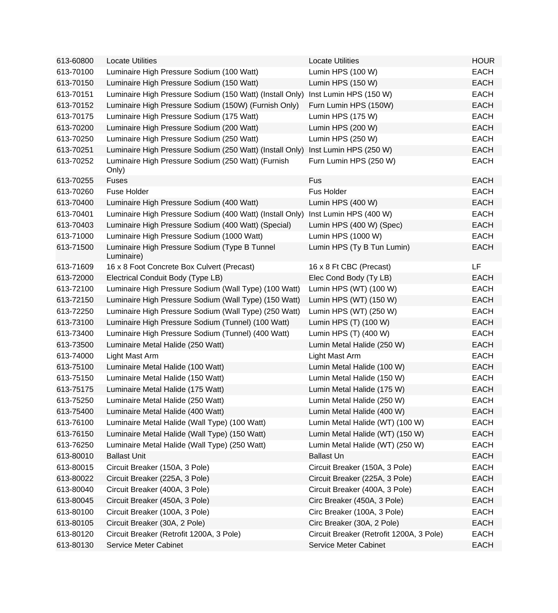| 613-60800 | <b>Locate Utilities</b>                                     | <b>Locate Utilities</b>                  | <b>HOUR</b> |
|-----------|-------------------------------------------------------------|------------------------------------------|-------------|
| 613-70100 | Luminaire High Pressure Sodium (100 Watt)                   | Lumin HPS (100 W)                        | <b>EACH</b> |
| 613-70150 | Luminaire High Pressure Sodium (150 Watt)                   | Lumin HPS (150 W)                        | <b>EACH</b> |
| 613-70151 | Luminaire High Pressure Sodium (150 Watt) (Install Only)    | Inst Lumin HPS (150 W)                   | <b>EACH</b> |
| 613-70152 | Luminaire High Pressure Sodium (150W) (Furnish Only)        | Furn Lumin HPS (150W)                    | <b>EACH</b> |
| 613-70175 | Luminaire High Pressure Sodium (175 Watt)                   | Lumin HPS (175 W)                        | <b>EACH</b> |
| 613-70200 | Luminaire High Pressure Sodium (200 Watt)                   | Lumin HPS (200 W)                        | <b>EACH</b> |
| 613-70250 | Luminaire High Pressure Sodium (250 Watt)                   | Lumin HPS (250 W)                        | <b>EACH</b> |
| 613-70251 | Luminaire High Pressure Sodium (250 Watt) (Install Only)    | Inst Lumin HPS (250 W)                   | <b>EACH</b> |
| 613-70252 | Luminaire High Pressure Sodium (250 Watt) (Furnish<br>Only) | Furn Lumin HPS (250 W)                   | <b>EACH</b> |
| 613-70255 | <b>Fuses</b>                                                | Fus                                      | <b>EACH</b> |
| 613-70260 | Fuse Holder                                                 | <b>Fus Holder</b>                        | <b>EACH</b> |
| 613-70400 | Luminaire High Pressure Sodium (400 Watt)                   | Lumin HPS (400 W)                        | <b>EACH</b> |
| 613-70401 | Luminaire High Pressure Sodium (400 Watt) (Install Only)    | Inst Lumin HPS (400 W)                   | <b>EACH</b> |
| 613-70403 | Luminaire High Pressure Sodium (400 Watt) (Special)         | Lumin HPS (400 W) (Spec)                 | <b>EACH</b> |
| 613-71000 | Luminaire High Pressure Sodium (1000 Watt)                  | Lumin HPS (1000 W)                       | <b>EACH</b> |
| 613-71500 | Luminaire High Pressure Sodium (Type B Tunnel<br>Luminaire) | Lumin HPS (Ty B Tun Lumin)               | <b>EACH</b> |
| 613-71609 | 16 x 8 Foot Concrete Box Culvert (Precast)                  | 16 x 8 Ft CBC (Precast)                  | LF          |
| 613-72000 | Electrical Conduit Body (Type LB)                           | Elec Cond Body (Ty LB)                   | <b>EACH</b> |
| 613-72100 | Luminaire High Pressure Sodium (Wall Type) (100 Watt)       | Lumin HPS (WT) (100 W)                   | <b>EACH</b> |
| 613-72150 | Luminaire High Pressure Sodium (Wall Type) (150 Watt)       | Lumin HPS (WT) (150 W)                   | <b>EACH</b> |
| 613-72250 | Luminaire High Pressure Sodium (Wall Type) (250 Watt)       | Lumin HPS (WT) (250 W)                   | <b>EACH</b> |
| 613-73100 | Luminaire High Pressure Sodium (Tunnel) (100 Watt)          | Lumin HPS (T) (100 W)                    | <b>EACH</b> |
| 613-73400 | Luminaire High Pressure Sodium (Tunnel) (400 Watt)          | Lumin HPS (T) (400 W)                    | <b>EACH</b> |
| 613-73500 | Luminaire Metal Halide (250 Watt)                           | Lumin Metal Halide (250 W)               | <b>EACH</b> |
| 613-74000 | Light Mast Arm                                              | Light Mast Arm                           | <b>EACH</b> |
| 613-75100 | Luminaire Metal Halide (100 Watt)                           | Lumin Metal Halide (100 W)               | <b>EACH</b> |
| 613-75150 | Luminaire Metal Halide (150 Watt)                           | Lumin Metal Halide (150 W)               | <b>EACH</b> |
| 613-75175 | Luminaire Metal Halide (175 Watt)                           | Lumin Metal Halide (175 W)               | <b>EACH</b> |
| 613-75250 | Luminaire Metal Halide (250 Watt)                           | Lumin Metal Halide (250 W)               | <b>EACH</b> |
| 613-75400 | Luminaire Metal Halide (400 Watt)                           | Lumin Metal Halide (400 W)               | <b>EACH</b> |
| 613-76100 | Luminaire Metal Halide (Wall Type) (100 Watt)               | Lumin Metal Halide (WT) (100 W)          | <b>EACH</b> |
| 613-76150 | Luminaire Metal Halide (Wall Type) (150 Watt)               | Lumin Metal Halide (WT) (150 W)          | <b>EACH</b> |
| 613-76250 | Luminaire Metal Halide (Wall Type) (250 Watt)               | Lumin Metal Halide (WT) (250 W)          | <b>EACH</b> |
| 613-80010 | <b>Ballast Unit</b>                                         | <b>Ballast Un</b>                        | <b>EACH</b> |
| 613-80015 | Circuit Breaker (150A, 3 Pole)                              | Circuit Breaker (150A, 3 Pole)           | <b>EACH</b> |
| 613-80022 | Circuit Breaker (225A, 3 Pole)                              | Circuit Breaker (225A, 3 Pole)           | <b>EACH</b> |
| 613-80040 | Circuit Breaker (400A, 3 Pole)                              | Circuit Breaker (400A, 3 Pole)           | <b>EACH</b> |
| 613-80045 | Circuit Breaker (450A, 3 Pole)                              | Circ Breaker (450A, 3 Pole)              | <b>EACH</b> |
| 613-80100 | Circuit Breaker (100A, 3 Pole)                              | Circ Breaker (100A, 3 Pole)              | <b>EACH</b> |
| 613-80105 | Circuit Breaker (30A, 2 Pole)                               | Circ Breaker (30A, 2 Pole)               | <b>EACH</b> |
| 613-80120 | Circuit Breaker (Retrofit 1200A, 3 Pole)                    | Circuit Breaker (Retrofit 1200A, 3 Pole) | <b>EACH</b> |
| 613-80130 | Service Meter Cabinet                                       | Service Meter Cabinet                    | <b>EACH</b> |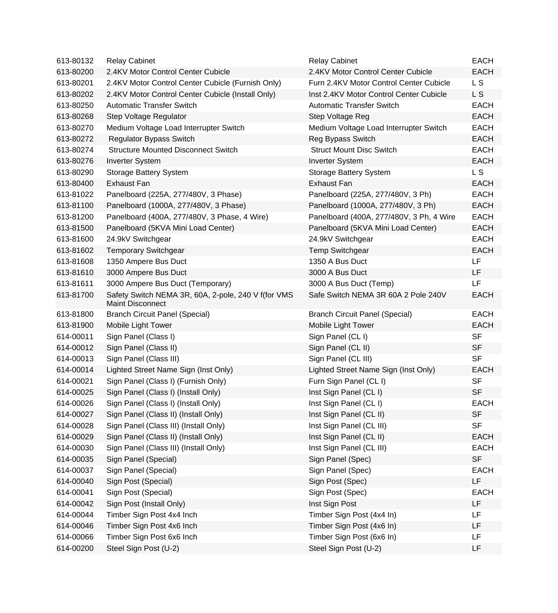| 613-80132 | <b>Relay Cabinet</b>                                                           | <b>Relay Cabinet</b>                     | <b>EACH</b>    |
|-----------|--------------------------------------------------------------------------------|------------------------------------------|----------------|
| 613-80200 | 2.4KV Motor Control Center Cubicle                                             | 2.4KV Motor Control Center Cubicle       | <b>EACH</b>    |
| 613-80201 | 2.4KV Motor Control Center Cubicle (Furnish Only)                              | Furn 2.4KV Motor Control Center Cubicle  | L <sub>S</sub> |
| 613-80202 | 2.4KV Motor Control Center Cubicle (Install Only)                              | Inst 2.4KV Motor Control Center Cubicle  | L <sub>S</sub> |
| 613-80250 | <b>Automatic Transfer Switch</b>                                               | <b>Automatic Transfer Switch</b>         | <b>EACH</b>    |
| 613-80268 | Step Voltage Regulator                                                         | Step Voltage Reg                         | <b>EACH</b>    |
| 613-80270 | Medium Voltage Load Interrupter Switch                                         | Medium Voltage Load Interrupter Switch   | <b>EACH</b>    |
| 613-80272 | <b>Regulator Bypass Switch</b>                                                 | Reg Bypass Switch                        | <b>EACH</b>    |
| 613-80274 | <b>Structure Mounted Disconnect Switch</b>                                     | <b>Struct Mount Disc Switch</b>          | <b>EACH</b>    |
| 613-80276 | <b>Inverter System</b>                                                         | <b>Inverter System</b>                   | <b>EACH</b>    |
| 613-80290 | Storage Battery System                                                         | Storage Battery System                   | L <sub>S</sub> |
| 613-80400 | <b>Exhaust Fan</b>                                                             | <b>Exhaust Fan</b>                       | <b>EACH</b>    |
| 613-81022 | Panelboard (225A, 277/480V, 3 Phase)                                           | Panelboard (225A, 277/480V, 3 Ph)        | <b>EACH</b>    |
| 613-81100 | Panelboard (1000A, 277/480V, 3 Phase)                                          | Panelboard (1000A, 277/480V, 3 Ph)       | <b>EACH</b>    |
| 613-81200 | Panelboard (400A, 277/480V, 3 Phase, 4 Wire)                                   | Panelboard (400A, 277/480V, 3 Ph, 4 Wire | <b>EACH</b>    |
| 613-81500 | Panelboard (5KVA Mini Load Center)                                             | Panelboard (5KVA Mini Load Center)       | <b>EACH</b>    |
| 613-81600 | 24.9kV Switchgear                                                              | 24.9kV Switchgear                        | <b>EACH</b>    |
| 613-81602 | <b>Temporary Switchgear</b>                                                    | <b>Temp Switchgear</b>                   | <b>EACH</b>    |
| 613-81608 | 1350 Ampere Bus Duct                                                           | 1350 A Bus Duct                          | <b>LF</b>      |
| 613-81610 | 3000 Ampere Bus Duct                                                           | 3000 A Bus Duct                          | LF.            |
| 613-81611 | 3000 Ampere Bus Duct (Temporary)                                               | 3000 A Bus Duct (Temp)                   | LF             |
| 613-81700 | Safety Switch NEMA 3R, 60A, 2-pole, 240 V f(for VMS<br><b>Maint Disconnect</b> | Safe Switch NEMA 3R 60A 2 Pole 240V      | <b>EACH</b>    |
| 613-81800 | <b>Branch Circuit Panel (Special)</b>                                          | <b>Branch Circuit Panel (Special)</b>    | <b>EACH</b>    |
| 613-81900 | Mobile Light Tower                                                             | Mobile Light Tower                       | <b>EACH</b>    |
| 614-00011 | Sign Panel (Class I)                                                           | Sign Panel (CL I)                        | <b>SF</b>      |
| 614-00012 | Sign Panel (Class II)                                                          | Sign Panel (CL II)                       | <b>SF</b>      |
| 614-00013 | Sign Panel (Class III)                                                         | Sign Panel (CL III)                      | <b>SF</b>      |
| 614-00014 | Lighted Street Name Sign (Inst Only)                                           | Lighted Street Name Sign (Inst Only)     | <b>EACH</b>    |
| 614-00021 | Sign Panel (Class I) (Furnish Only)                                            | Furn Sign Panel (CL I)                   | <b>SF</b>      |
| 614-00025 | Sign Panel (Class I) (Install Only)                                            | Inst Sign Panel (CL I)                   | <b>SF</b>      |
| 614-00026 | Sign Panel (Class I) (Install Only)                                            | Inst Sign Panel (CL I)                   | <b>EACH</b>    |
| 614-00027 | Sign Panel (Class II) (Install Only)                                           | Inst Sign Panel (CL II)                  | <b>SF</b>      |
| 614-00028 | Sign Panel (Class III) (Install Only)                                          | Inst Sign Panel (CL III)                 | <b>SF</b>      |
| 614-00029 | Sign Panel (Class II) (Install Only)                                           | Inst Sign Panel (CL II)                  | <b>EACH</b>    |
| 614-00030 | Sign Panel (Class III) (Install Only)                                          | Inst Sign Panel (CL III)                 | <b>EACH</b>    |
| 614-00035 | Sign Panel (Special)                                                           | Sign Panel (Spec)                        | <b>SF</b>      |
| 614-00037 | Sign Panel (Special)                                                           | Sign Panel (Spec)                        | <b>EACH</b>    |
| 614-00040 | Sign Post (Special)                                                            | Sign Post (Spec)                         | LF             |
| 614-00041 | Sign Post (Special)                                                            | Sign Post (Spec)                         | <b>EACH</b>    |
| 614-00042 | Sign Post (Install Only)                                                       | Inst Sign Post                           | LF             |
| 614-00044 | Timber Sign Post 4x4 Inch                                                      | Timber Sign Post (4x4 In)                | LF             |
| 614-00046 | Timber Sign Post 4x6 Inch                                                      | Timber Sign Post (4x6 In)                | LF             |
| 614-00066 | Timber Sign Post 6x6 Inch                                                      | Timber Sign Post (6x6 In)                | LF             |
| 614-00200 | Steel Sign Post (U-2)                                                          | Steel Sign Post (U-2)                    | LF             |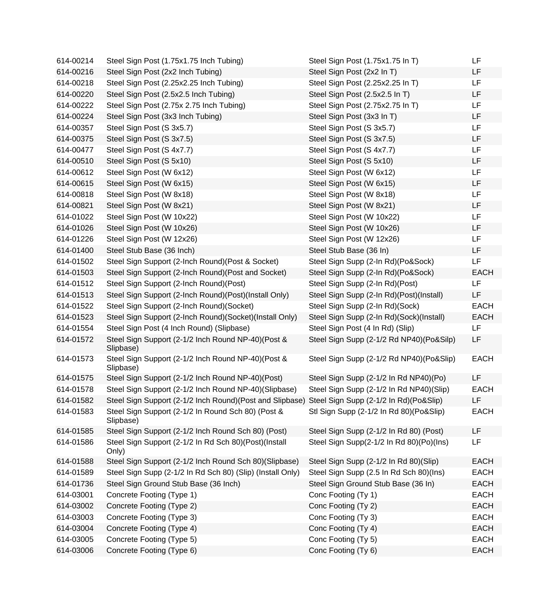| 614-00214 | Steel Sign Post (1.75x1.75 Inch Tubing)                         | Steel Sign Post (1.75x1.75 In T)         | LF          |
|-----------|-----------------------------------------------------------------|------------------------------------------|-------------|
| 614-00216 | Steel Sign Post (2x2 Inch Tubing)                               | Steel Sign Post (2x2 In T)               | LF          |
| 614-00218 | Steel Sign Post (2.25x2.25 Inch Tubing)                         | Steel Sign Post (2.25x2.25 In T)         | LF          |
| 614-00220 | Steel Sign Post (2.5x2.5 Inch Tubing)                           | Steel Sign Post (2.5x2.5 In T)           | LF          |
| 614-00222 | Steel Sign Post (2.75x 2.75 Inch Tubing)                        | Steel Sign Post (2.75x2.75 In T)         | LF          |
| 614-00224 | Steel Sign Post (3x3 Inch Tubing)                               | Steel Sign Post (3x3 In T)               | LF          |
| 614-00357 | Steel Sign Post (S 3x5.7)                                       | Steel Sign Post (S 3x5.7)                | <b>LF</b>   |
| 614-00375 | Steel Sign Post (S 3x7.5)                                       | Steel Sign Post (S 3x7.5)                | <b>LF</b>   |
| 614-00477 | Steel Sign Post (S 4x7.7)                                       | Steel Sign Post (S 4x7.7)                | LF          |
| 614-00510 | Steel Sign Post (S 5x10)                                        | Steel Sign Post (S 5x10)                 | LF          |
| 614-00612 | Steel Sign Post (W 6x12)                                        | Steel Sign Post (W 6x12)                 | <b>LF</b>   |
| 614-00615 | Steel Sign Post (W 6x15)                                        | Steel Sign Post (W 6x15)                 | LF          |
| 614-00818 | Steel Sign Post (W 8x18)                                        | Steel Sign Post (W 8x18)                 | LF          |
| 614-00821 | Steel Sign Post (W 8x21)                                        | Steel Sign Post (W 8x21)                 | LF          |
| 614-01022 | Steel Sign Post (W 10x22)                                       | Steel Sign Post (W 10x22)                | LF          |
| 614-01026 | Steel Sign Post (W 10x26)                                       | Steel Sign Post (W 10x26)                | LF          |
| 614-01226 | Steel Sign Post (W 12x26)                                       | Steel Sign Post (W 12x26)                | <b>LF</b>   |
| 614-01400 | Steel Stub Base (36 Inch)                                       | Steel Stub Base (36 In)                  | <b>LF</b>   |
| 614-01502 | Steel Sign Support (2-Inch Round) (Post & Socket)               | Steel Sign Supp (2-In Rd)(Po&Sock)       | LF          |
| 614-01503 | Steel Sign Support (2-Inch Round)(Post and Socket)              | Steel Sign Supp (2-In Rd)(Po&Sock)       | <b>EACH</b> |
| 614-01512 | Steel Sign Support (2-Inch Round)(Post)                         | Steel Sign Supp (2-In Rd)(Post)          | LF.         |
| 614-01513 | Steel Sign Support (2-Inch Round)(Post)(Install Only)           | Steel Sign Supp (2-In Rd)(Post)(Install) | LF          |
| 614-01522 | Steel Sign Support (2-Inch Round)(Socket)                       | Steel Sign Supp (2-In Rd)(Sock)          | <b>EACH</b> |
| 614-01523 | Steel Sign Support (2-Inch Round)(Socket)(Install Only)         | Steel Sign Supp (2-In Rd)(Sock)(Install) | <b>EACH</b> |
| 614-01554 | Steel Sign Post (4 Inch Round) (Slipbase)                       | Steel Sign Post (4 In Rd) (Slip)         | LF          |
| 614-01572 | Steel Sign Support (2-1/2 Inch Round NP-40)(Post &<br>Slipbase) | Steel Sign Supp (2-1/2 Rd NP40)(Po&Silp) | LF          |
| 614-01573 | Steel Sign Support (2-1/2 Inch Round NP-40)(Post &<br>Slipbase) | Steel Sign Supp (2-1/2 Rd NP40)(Po&Slip) | <b>EACH</b> |
| 614-01575 | Steel Sign Support (2-1/2 Inch Round NP-40)(Post)               | Steel Sign Supp (2-1/2 In Rd NP40)(Po)   | LF          |
| 614-01578 | Steel Sign Support (2-1/2 Inch Round NP-40)(Slipbase)           | Steel Sign Supp (2-1/2 In Rd NP40)(Slip) | <b>EACH</b> |
| 614-01582 | Steel Sign Support (2-1/2 Inch Round) (Post and Slipbase)       | Steel Sign Supp (2-1/2 In Rd)(Po&Slip)   | LF          |
| 614-01583 | Steel Sign Support (2-1/2 In Round Sch 80) (Post &<br>Slipbase) | Stl Sign Supp (2-1/2 In Rd 80)(Po&Slip)  | <b>EACH</b> |
| 614-01585 | Steel Sign Support (2-1/2 Inch Round Sch 80) (Post)             | Steel Sign Supp (2-1/2 In Rd 80) (Post)  | LF          |
| 614-01586 | Steel Sign Support (2-1/2 In Rd Sch 80)(Post)(Install<br>Only)  | Steel Sign Supp(2-1/2 In Rd 80)(Po)(Ins) | LF          |
| 614-01588 | Steel Sign Support (2-1/2 Inch Round Sch 80) (Slipbase)         | Steel Sign Supp (2-1/2 In Rd 80)(Slip)   | <b>EACH</b> |
| 614-01589 | Steel Sign Supp (2-1/2 In Rd Sch 80) (Slip) (Install Only)      | Steel Sign Supp (2.5 In Rd Sch 80)(Ins)  | <b>EACH</b> |
| 614-01736 | Steel Sign Ground Stub Base (36 Inch)                           | Steel Sign Ground Stub Base (36 In)      | <b>EACH</b> |
| 614-03001 | Concrete Footing (Type 1)                                       | Conc Footing (Ty 1)                      | <b>EACH</b> |
| 614-03002 | Concrete Footing (Type 2)                                       | Conc Footing (Ty 2)                      | <b>EACH</b> |
| 614-03003 | Concrete Footing (Type 3)                                       | Conc Footing (Ty 3)                      | <b>EACH</b> |
| 614-03004 | Concrete Footing (Type 4)                                       | Conc Footing (Ty 4)                      | <b>EACH</b> |
| 614-03005 | Concrete Footing (Type 5)                                       | Conc Footing (Ty 5)                      | <b>EACH</b> |
| 614-03006 | Concrete Footing (Type 6)                                       | Conc Footing (Ty 6)                      | <b>EACH</b> |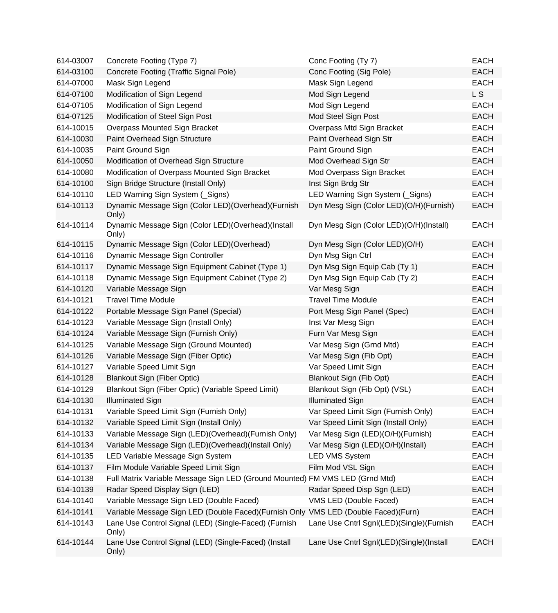| 614-03007 | Concrete Footing (Type 7)                                                          | Conc Footing (Ty 7)                      | <b>EACH</b>    |
|-----------|------------------------------------------------------------------------------------|------------------------------------------|----------------|
| 614-03100 | Concrete Footing (Traffic Signal Pole)                                             | Conc Footing (Sig Pole)                  | <b>EACH</b>    |
| 614-07000 | Mask Sign Legend                                                                   | Mask Sign Legend                         | <b>EACH</b>    |
| 614-07100 | Modification of Sign Legend                                                        | Mod Sign Legend                          | L <sub>S</sub> |
| 614-07105 | Modification of Sign Legend                                                        | Mod Sign Legend                          | <b>EACH</b>    |
| 614-07125 | Modification of Steel Sign Post                                                    | Mod Steel Sign Post                      | <b>EACH</b>    |
| 614-10015 | Overpass Mounted Sign Bracket                                                      | Overpass Mtd Sign Bracket                | <b>EACH</b>    |
| 614-10030 | Paint Overhead Sign Structure                                                      | Paint Overhead Sign Str                  | <b>EACH</b>    |
| 614-10035 | Paint Ground Sign                                                                  | Paint Ground Sign                        | <b>EACH</b>    |
| 614-10050 | Modification of Overhead Sign Structure                                            | Mod Overhead Sign Str                    | <b>EACH</b>    |
| 614-10080 | Modification of Overpass Mounted Sign Bracket                                      | Mod Overpass Sign Bracket                | <b>EACH</b>    |
| 614-10100 | Sign Bridge Structure (Install Only)                                               | Inst Sign Brdg Str                       | <b>EACH</b>    |
| 614-10110 | LED Warning Sign System (Signs)                                                    | LED Warning Sign System (Signs)          | <b>EACH</b>    |
| 614-10113 | Dynamic Message Sign (Color LED)(Overhead)(Furnish<br>Only)                        | Dyn Mesg Sign (Color LED)(O/H)(Furnish)  | <b>EACH</b>    |
| 614-10114 | Dynamic Message Sign (Color LED)(Overhead)(Install<br>Only)                        | Dyn Mesg Sign (Color LED)(O/H)(Install)  | <b>EACH</b>    |
| 614-10115 | Dynamic Message Sign (Color LED) (Overhead)                                        | Dyn Mesg Sign (Color LED)(O/H)           | <b>EACH</b>    |
| 614-10116 | Dynamic Message Sign Controller                                                    | Dyn Msg Sign Ctrl                        | <b>EACH</b>    |
| 614-10117 | Dynamic Message Sign Equipment Cabinet (Type 1)                                    | Dyn Msg Sign Equip Cab (Ty 1)            | <b>EACH</b>    |
| 614-10118 | Dynamic Message Sign Equipment Cabinet (Type 2)                                    | Dyn Msg Sign Equip Cab (Ty 2)            | <b>EACH</b>    |
| 614-10120 | Variable Message Sign                                                              | Var Mesg Sign                            | <b>EACH</b>    |
| 614-10121 | <b>Travel Time Module</b>                                                          | <b>Travel Time Module</b>                | <b>EACH</b>    |
| 614-10122 | Portable Message Sign Panel (Special)                                              | Port Mesg Sign Panel (Spec)              | <b>EACH</b>    |
| 614-10123 | Variable Message Sign (Install Only)                                               | Inst Var Mesg Sign                       | <b>EACH</b>    |
| 614-10124 | Variable Message Sign (Furnish Only)                                               | Furn Var Mesg Sign                       | <b>EACH</b>    |
| 614-10125 | Variable Message Sign (Ground Mounted)                                             | Var Mesg Sign (Grnd Mtd)                 | <b>EACH</b>    |
| 614-10126 | Variable Message Sign (Fiber Optic)                                                | Var Mesg Sign (Fib Opt)                  | <b>EACH</b>    |
| 614-10127 | Variable Speed Limit Sign                                                          | Var Speed Limit Sign                     | <b>EACH</b>    |
| 614-10128 | <b>Blankout Sign (Fiber Optic)</b>                                                 | Blankout Sign (Fib Opt)                  | <b>EACH</b>    |
| 614-10129 | Blankout Sign (Fiber Optic) (Variable Speed Limit)                                 | Blankout Sign (Fib Opt) (VSL)            | <b>EACH</b>    |
| 614-10130 | <b>Illuminated Sign</b>                                                            | <b>Illuminated Sign</b>                  | <b>EACH</b>    |
| 614-10131 | Variable Speed Limit Sign (Furnish Only)                                           | Var Speed Limit Sign (Furnish Only)      | <b>EACH</b>    |
| 614-10132 | Variable Speed Limit Sign (Install Only)                                           | Var Speed Limit Sign (Install Only)      | <b>EACH</b>    |
| 614-10133 | Variable Message Sign (LED)(Overhead)(Furnish Only)                                | Var Mesg Sign (LED)(O/H)(Furnish)        | <b>EACH</b>    |
| 614-10134 | Variable Message Sign (LED)(Overhead)(Install Only)                                | Var Mesg Sign (LED)(O/H)(Install)        | <b>EACH</b>    |
| 614-10135 | LED Variable Message Sign System                                                   | <b>LED VMS System</b>                    | <b>EACH</b>    |
| 614-10137 | Film Module Variable Speed Limit Sign                                              | Film Mod VSL Sign                        | <b>EACH</b>    |
| 614-10138 | Full Matrix Variable Message Sign LED (Ground Mounted) FM VMS LED (Grnd Mtd)       |                                          | <b>EACH</b>    |
| 614-10139 | Radar Speed Display Sign (LED)                                                     | Radar Speed Disp Sgn (LED)               | <b>EACH</b>    |
| 614-10140 | Variable Message Sign LED (Double Faced)                                           | VMS LED (Double Faced)                   | <b>EACH</b>    |
| 614-10141 | Variable Message Sign LED (Double Faced)(Furnish Only VMS LED (Double Faced)(Furn) |                                          | <b>EACH</b>    |
| 614-10143 | Lane Use Control Signal (LED) (Single-Faced) (Furnish<br>Only)                     | Lane Use Cntrl Sgnl(LED)(Single)(Furnish | <b>EACH</b>    |
| 614-10144 | Lane Use Control Signal (LED) (Single-Faced) (Install<br>Only)                     | Lane Use Cntrl Sgnl(LED)(Single)(Install | <b>EACH</b>    |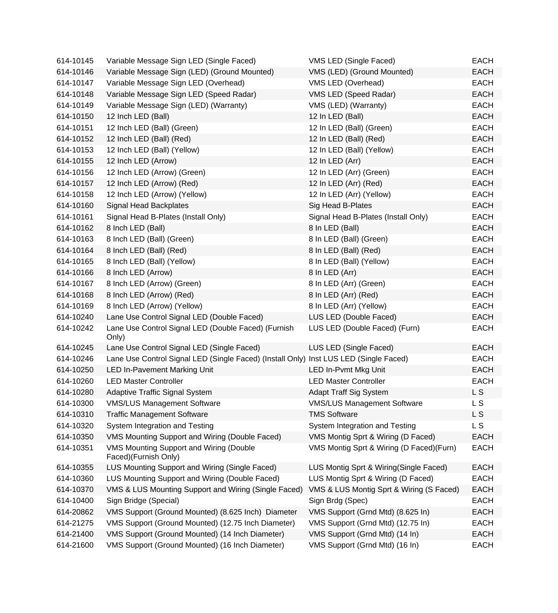| 614-10145 | Variable Message Sign LED (Single Faced)                                              | VMS LED (Single Faced)                   | <b>EACH</b> |
|-----------|---------------------------------------------------------------------------------------|------------------------------------------|-------------|
| 614-10146 | Variable Message Sign (LED) (Ground Mounted)                                          | VMS (LED) (Ground Mounted)               | <b>EACH</b> |
| 614-10147 | Variable Message Sign LED (Overhead)                                                  | VMS LED (Overhead)                       | <b>EACH</b> |
| 614-10148 | Variable Message Sign LED (Speed Radar)                                               | VMS LED (Speed Radar)                    | <b>EACH</b> |
| 614-10149 | Variable Message Sign (LED) (Warranty)                                                | VMS (LED) (Warranty)                     | <b>EACH</b> |
| 614-10150 | 12 Inch LED (Ball)                                                                    | 12 In LED (Ball)                         | <b>EACH</b> |
| 614-10151 | 12 Inch LED (Ball) (Green)                                                            | 12 In LED (Ball) (Green)                 | <b>EACH</b> |
| 614-10152 | 12 Inch LED (Ball) (Red)                                                              | 12 In LED (Ball) (Red)                   | <b>EACH</b> |
| 614-10153 | 12 Inch LED (Ball) (Yellow)                                                           | 12 In LED (Ball) (Yellow)                | <b>EACH</b> |
| 614-10155 | 12 Inch LED (Arrow)                                                                   | 12 In LED (Arr)                          | <b>EACH</b> |
| 614-10156 | 12 Inch LED (Arrow) (Green)                                                           | 12 In LED (Arr) (Green)                  | <b>EACH</b> |
| 614-10157 | 12 Inch LED (Arrow) (Red)                                                             | 12 In LED (Arr) (Red)                    | <b>EACH</b> |
| 614-10158 | 12 Inch LED (Arrow) (Yellow)                                                          | 12 In LED (Arr) (Yellow)                 | <b>EACH</b> |
| 614-10160 | Signal Head Backplates                                                                | Sig Head B-Plates                        | <b>EACH</b> |
| 614-10161 | Signal Head B-Plates (Install Only)                                                   | Signal Head B-Plates (Install Only)      | <b>EACH</b> |
| 614-10162 | 8 Inch LED (Ball)                                                                     | 8 In LED (Ball)                          | <b>EACH</b> |
| 614-10163 | 8 Inch LED (Ball) (Green)                                                             | 8 In LED (Ball) (Green)                  | <b>EACH</b> |
| 614-10164 | 8 Inch LED (Ball) (Red)                                                               | 8 In LED (Ball) (Red)                    | <b>EACH</b> |
| 614-10165 | 8 Inch LED (Ball) (Yellow)                                                            | 8 In LED (Ball) (Yellow)                 | <b>EACH</b> |
| 614-10166 | 8 Inch LED (Arrow)                                                                    | 8 In LED (Arr)                           | <b>EACH</b> |
| 614-10167 | 8 Inch LED (Arrow) (Green)                                                            | 8 In LED (Arr) (Green)                   | <b>EACH</b> |
| 614-10168 | 8 Inch LED (Arrow) (Red)                                                              | 8 In LED (Arr) (Red)                     | <b>EACH</b> |
| 614-10169 | 8 Inch LED (Arrow) (Yellow)                                                           | 8 In LED (Arr) (Yellow)                  | <b>EACH</b> |
| 614-10240 | Lane Use Control Signal LED (Double Faced)                                            | LUS LED (Double Faced)                   | <b>EACH</b> |
| 614-10242 | Lane Use Control Signal LED (Double Faced) (Furnish<br>Only)                          | LUS LED (Double Faced) (Furn)            | <b>EACH</b> |
| 614-10245 | Lane Use Control Signal LED (Single Faced)                                            | LUS LED (Single Faced)                   | <b>EACH</b> |
| 614-10246 | Lane Use Control Signal LED (Single Faced) (Install Only) Inst LUS LED (Single Faced) |                                          | EACH        |
| 614-10250 | <b>LED In-Pavement Marking Unit</b>                                                   | LED In-Pvmt Mkg Unit                     | <b>EACH</b> |
| 614-10260 | <b>LED Master Controller</b>                                                          | <b>LED Master Controller</b>             | <b>EACH</b> |
| 614-10280 | <b>Adaptive Traffic Signal System</b>                                                 | <b>Adapt Traff Sig System</b>            | L S         |
| 614-10300 | <b>VMS/LUS Management Software</b>                                                    | <b>VMS/LUS Management Software</b>       | L S         |
| 614-10310 | <b>Traffic Management Software</b>                                                    | <b>TMS Software</b>                      | L S         |
| 614-10320 | System Integration and Testing                                                        | System Integration and Testing           | L S         |
| 614-10350 | VMS Mounting Support and Wiring (Double Faced)                                        | VMS Montig Sprt & Wiring (D Faced)       | <b>EACH</b> |
| 614-10351 | VMS Mounting Support and Wiring (Double<br>Faced)(Furnish Only)                       | VMS Montig Sprt & Wiring (D Faced)(Furn) | <b>EACH</b> |
| 614-10355 | LUS Mounting Support and Wiring (Single Faced)                                        | LUS Montig Sprt & Wiring(Single Faced)   | <b>EACH</b> |
| 614-10360 | LUS Mounting Support and Wiring (Double Faced)                                        | LUS Montig Sprt & Wiring (D Faced)       | <b>EACH</b> |
| 614-10370 | VMS & LUS Mounting Support and Wiring (Single Faced)                                  | VMS & LUS Montig Sprt & Wiring (S Faced) | <b>EACH</b> |
| 614-10400 | Sign Bridge (Special)                                                                 | Sign Brdg (Spec)                         | <b>EACH</b> |
| 614-20862 | VMS Support (Ground Mounted) (8.625 Inch) Diameter                                    | VMS Support (Grnd Mtd) (8.625 In)        | <b>EACH</b> |
| 614-21275 | VMS Support (Ground Mounted) (12.75 Inch Diameter)                                    | VMS Support (Grnd Mtd) (12.75 In)        | <b>EACH</b> |
| 614-21400 | VMS Support (Ground Mounted) (14 Inch Diameter)                                       | VMS Support (Grnd Mtd) (14 In)           | <b>EACH</b> |
| 614-21600 | VMS Support (Ground Mounted) (16 Inch Diameter)                                       | VMS Support (Grnd Mtd) (16 In)           | <b>EACH</b> |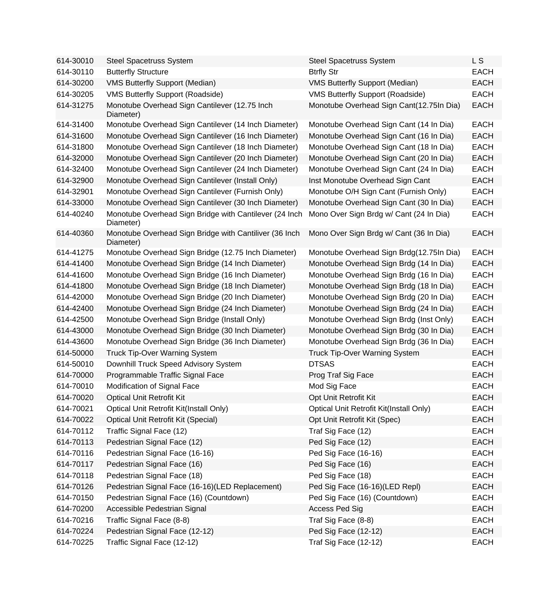| 614-30010 | <b>Steel Spacetruss System</b>                                      | <b>Steel Spacetruss System</b>           | L S         |
|-----------|---------------------------------------------------------------------|------------------------------------------|-------------|
| 614-30110 | <b>Butterfly Structure</b>                                          | <b>Btrfly Str</b>                        | <b>EACH</b> |
| 614-30200 | <b>VMS Butterfly Support (Median)</b>                               | <b>VMS Butterfly Support (Median)</b>    | <b>EACH</b> |
| 614-30205 | VMS Butterfly Support (Roadside)                                    | VMS Butterfly Support (Roadside)         | <b>EACH</b> |
| 614-31275 | Monotube Overhead Sign Cantilever (12.75 Inch<br>Diameter)          | Monotube Overhead Sign Cant(12.75In Dia) | <b>EACH</b> |
| 614-31400 | Monotube Overhead Sign Cantilever (14 Inch Diameter)                | Monotube Overhead Sign Cant (14 In Dia)  | <b>EACH</b> |
| 614-31600 | Monotube Overhead Sign Cantilever (16 Inch Diameter)                | Monotube Overhead Sign Cant (16 In Dia)  | <b>EACH</b> |
| 614-31800 | Monotube Overhead Sign Cantilever (18 Inch Diameter)                | Monotube Overhead Sign Cant (18 In Dia)  | <b>EACH</b> |
| 614-32000 | Monotube Overhead Sign Cantilever (20 Inch Diameter)                | Monotube Overhead Sign Cant (20 In Dia)  | <b>EACH</b> |
| 614-32400 | Monotube Overhead Sign Cantilever (24 Inch Diameter)                | Monotube Overhead Sign Cant (24 In Dia)  | <b>EACH</b> |
| 614-32900 | Monotube Overhead Sign Cantilever (Install Only)                    | Inst Monotube Overhead Sign Cant         | <b>EACH</b> |
| 614-32901 | Monotube Overhead Sign Cantilever (Furnish Only)                    | Monotube O/H Sign Cant (Furnish Only)    | <b>EACH</b> |
| 614-33000 | Monotube Overhead Sign Cantilever (30 Inch Diameter)                | Monotube Overhead Sign Cant (30 In Dia)  | <b>EACH</b> |
| 614-40240 | Monotube Overhead Sign Bridge with Cantilever (24 Inch<br>Diameter) | Mono Over Sign Brdg w/ Cant (24 In Dia)  | <b>EACH</b> |
| 614-40360 | Monotube Overhead Sign Bridge with Cantiliver (36 Inch<br>Diameter) | Mono Over Sign Brdg w/ Cant (36 In Dia)  | <b>EACH</b> |
| 614-41275 | Monotube Overhead Sign Bridge (12.75 Inch Diameter)                 | Monotube Overhead Sign Brdg(12.75In Dia) | <b>EACH</b> |
| 614-41400 | Monotube Overhead Sign Bridge (14 Inch Diameter)                    | Monotube Overhead Sign Brdg (14 In Dia)  | <b>EACH</b> |
| 614-41600 | Monotube Overhead Sign Bridge (16 Inch Diameter)                    | Monotube Overhead Sign Brdg (16 In Dia)  | <b>EACH</b> |
| 614-41800 | Monotube Overhead Sign Bridge (18 Inch Diameter)                    | Monotube Overhead Sign Brdg (18 In Dia)  | <b>EACH</b> |
| 614-42000 | Monotube Overhead Sign Bridge (20 Inch Diameter)                    | Monotube Overhead Sign Brdg (20 In Dia)  | <b>EACH</b> |
| 614-42400 | Monotube Overhead Sign Bridge (24 Inch Diameter)                    | Monotube Overhead Sign Brdg (24 In Dia)  | <b>EACH</b> |
| 614-42500 | Monotube Overhead Sign Bridge (Install Only)                        | Monotube Overhead Sign Brdg (Inst Only)  | <b>EACH</b> |
| 614-43000 | Monotube Overhead Sign Bridge (30 Inch Diameter)                    | Monotube Overhead Sign Brdg (30 In Dia)  | <b>EACH</b> |
| 614-43600 | Monotube Overhead Sign Bridge (36 Inch Diameter)                    | Monotube Overhead Sign Brdg (36 In Dia)  | <b>EACH</b> |
| 614-50000 | <b>Truck Tip-Over Warning System</b>                                | <b>Truck Tip-Over Warning System</b>     | <b>EACH</b> |
| 614-50010 | Downhill Truck Speed Advisory System                                | <b>DTSAS</b>                             | <b>EACH</b> |
| 614-70000 | Programmable Traffic Signal Face                                    | Prog Traf Sig Face                       | <b>EACH</b> |
| 614-70010 | Modification of Signal Face                                         | Mod Sig Face                             | <b>EACH</b> |
| 614-70020 | <b>Optical Unit Retrofit Kit</b>                                    | Opt Unit Retrofit Kit                    | <b>EACH</b> |
| 614-70021 | Optical Unit Retrofit Kit(Install Only)                             | Optical Unit Retrofit Kit(Install Only)  | <b>EACH</b> |
| 614-70022 | <b>Optical Unit Retrofit Kit (Special)</b>                          | Opt Unit Retrofit Kit (Spec)             | <b>EACH</b> |
| 614-70112 | Traffic Signal Face (12)                                            | Traf Sig Face (12)                       | <b>EACH</b> |
| 614-70113 | Pedestrian Signal Face (12)                                         | Ped Sig Face (12)                        | <b>EACH</b> |
| 614-70116 | Pedestrian Signal Face (16-16)                                      | Ped Sig Face (16-16)                     | <b>EACH</b> |
| 614-70117 | Pedestrian Signal Face (16)                                         | Ped Sig Face (16)                        | <b>EACH</b> |
| 614-70118 | Pedestrian Signal Face (18)                                         | Ped Sig Face (18)                        | <b>EACH</b> |
| 614-70126 | Pedestrian Signal Face (16-16)(LED Replacement)                     | Ped Sig Face (16-16)(LED Repl)           | <b>EACH</b> |
| 614-70150 | Pedestrian Signal Face (16) (Countdown)                             | Ped Sig Face (16) (Countdown)            | <b>EACH</b> |
| 614-70200 | Accessible Pedestrian Signal                                        | Access Ped Sig                           | <b>EACH</b> |
| 614-70216 | Traffic Signal Face (8-8)                                           | Traf Sig Face (8-8)                      | <b>EACH</b> |
| 614-70224 | Pedestrian Signal Face (12-12)                                      | Ped Sig Face (12-12)                     | <b>EACH</b> |
| 614-70225 | Traffic Signal Face (12-12)                                         | Traf Sig Face (12-12)                    | <b>EACH</b> |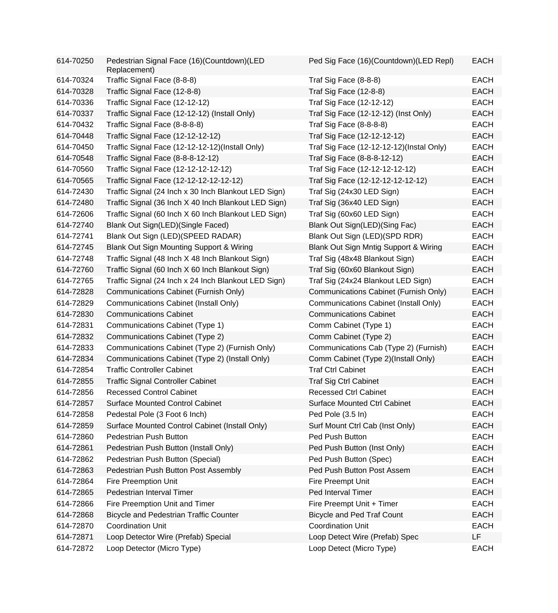| 614-70250 | Pedestrian Signal Face (16)(Countdown)(LED<br>Replacement) | Ped Sig Face (16)(Countdown)(LED Repl)       | <b>EACH</b> |
|-----------|------------------------------------------------------------|----------------------------------------------|-------------|
| 614-70324 | Traffic Signal Face (8-8-8)                                | Traf Sig Face (8-8-8)                        | <b>EACH</b> |
| 614-70328 | Traffic Signal Face (12-8-8)                               | Traf Sig Face (12-8-8)                       | <b>EACH</b> |
| 614-70336 | Traffic Signal Face (12-12-12)                             | Traf Sig Face (12-12-12)                     | <b>EACH</b> |
| 614-70337 | Traffic Signal Face (12-12-12) (Install Only)              | Traf Sig Face (12-12-12) (Inst Only)         | <b>EACH</b> |
| 614-70432 | Traffic Signal Face (8-8-8-8)                              | Traf Sig Face (8-8-8-8)                      | <b>EACH</b> |
| 614-70448 | Traffic Signal Face (12-12-12-12)                          | Traf Sig Face (12-12-12-12)                  | <b>EACH</b> |
| 614-70450 | Traffic Signal Face (12-12-12-12)(Install Only)            | Traf Sig Face (12-12-12-12)(Instal Only)     | <b>EACH</b> |
| 614-70548 | Traffic Signal Face (8-8-8-12-12)                          | Traf Sig Face (8-8-8-12-12)                  | <b>EACH</b> |
| 614-70560 | Traffic Signal Face (12-12-12-12-12)                       | Traf Sig Face (12-12-12-12-12)               | <b>EACH</b> |
| 614-70565 | Traffic Signal Face (12-12-12-12-12-12)                    | Traf Sig Face (12-12-12-12-12-12)            | <b>EACH</b> |
| 614-72430 | Traffic Signal (24 Inch x 30 Inch Blankout LED Sign)       | Traf Sig (24x30 LED Sign)                    | <b>EACH</b> |
| 614-72480 | Traffic Signal (36 Inch X 40 Inch Blankout LED Sign)       | Traf Sig (36x40 LED Sign)                    | <b>EACH</b> |
| 614-72606 | Traffic Signal (60 Inch X 60 Inch Blankout LED Sign)       | Traf Sig (60x60 LED Sign)                    | <b>EACH</b> |
| 614-72740 | Blank Out Sign(LED)(Single Faced)                          | Blank Out Sign(LED)(Sing Fac)                | <b>EACH</b> |
| 614-72741 | Blank Out Sign (LED)(SPEED RADAR)                          | Blank Out Sign (LED)(SPD RDR)                | <b>EACH</b> |
| 614-72745 | Blank Out Sign Mounting Support & Wiring                   | Blank Out Sign Mntig Support & Wiring        | <b>EACH</b> |
| 614-72748 | Traffic Signal (48 Inch X 48 Inch Blankout Sign)           | Traf Sig (48x48 Blankout Sign)               | <b>EACH</b> |
| 614-72760 | Traffic Signal (60 Inch X 60 Inch Blankout Sign)           | Traf Sig (60x60 Blankout Sign)               | <b>EACH</b> |
| 614-72765 | Traffic Signal (24 Inch x 24 Inch Blankout LED Sign)       | Traf Sig (24x24 Blankout LED Sign)           | <b>EACH</b> |
| 614-72828 | Communications Cabinet (Furnish Only)                      | Communications Cabinet (Furnish Only)        | <b>EACH</b> |
| 614-72829 | <b>Communications Cabinet (Install Only)</b>               | <b>Communications Cabinet (Install Only)</b> | <b>EACH</b> |
| 614-72830 | <b>Communications Cabinet</b>                              | <b>Communications Cabinet</b>                | <b>EACH</b> |
| 614-72831 | Communications Cabinet (Type 1)                            | Comm Cabinet (Type 1)                        | <b>EACH</b> |
| 614-72832 | Communications Cabinet (Type 2)                            | Comm Cabinet (Type 2)                        | <b>EACH</b> |
| 614-72833 | Communications Cabinet (Type 2) (Furnish Only)             | Communications Cab (Type 2) (Furnish)        | <b>EACH</b> |
| 614-72834 | Communications Cabinet (Type 2) (Install Only)             | Comm Cabinet (Type 2)(Install Only)          | <b>EACH</b> |
| 614-72854 | <b>Traffic Controller Cabinet</b>                          | <b>Traf Ctrl Cabinet</b>                     | <b>EACH</b> |
| 614-72855 | <b>Traffic Signal Controller Cabinet</b>                   | <b>Traf Sig Ctrl Cabinet</b>                 | <b>EACH</b> |
| 614-72856 | <b>Recessed Control Cabinet</b>                            | <b>Recessed Ctrl Cabinet</b>                 | <b>EACH</b> |
| 614-72857 | <b>Surface Mounted Control Cabinet</b>                     | <b>Surface Mounted Ctrl Cabinet</b>          | <b>EACH</b> |
| 614-72858 | Pedestal Pole (3 Foot 6 Inch)                              | Ped Pole (3.5 In)                            | <b>EACH</b> |
| 614-72859 | Surface Mounted Control Cabinet (Install Only)             | Surf Mount Ctrl Cab (Inst Only)              | <b>EACH</b> |
| 614-72860 | Pedestrian Push Button                                     | Ped Push Button                              | <b>EACH</b> |
| 614-72861 | Pedestrian Push Button (Install Only)                      | Ped Push Button (Inst Only)                  | <b>EACH</b> |
| 614-72862 | Pedestrian Push Button (Special)                           | Ped Push Button (Spec)                       | <b>EACH</b> |
| 614-72863 | Pedestrian Push Button Post Assembly                       | Ped Push Button Post Assem                   | <b>EACH</b> |
| 614-72864 | <b>Fire Preemption Unit</b>                                | Fire Preempt Unit                            | <b>EACH</b> |
| 614-72865 | Pedestrian Interval Timer                                  | Ped Interval Timer                           | <b>EACH</b> |
| 614-72866 | Fire Preemption Unit and Timer                             | Fire Preempt Unit + Timer                    | <b>EACH</b> |
| 614-72868 | <b>Bicycle and Pedestrian Traffic Counter</b>              | <b>Bicycle and Ped Traf Count</b>            | <b>EACH</b> |
| 614-72870 | <b>Coordination Unit</b>                                   | <b>Coordination Unit</b>                     | <b>EACH</b> |
| 614-72871 | Loop Detector Wire (Prefab) Special                        | Loop Detect Wire (Prefab) Spec               | LF          |
| 614-72872 | Loop Detector (Micro Type)                                 | Loop Detect (Micro Type)                     | <b>EACH</b> |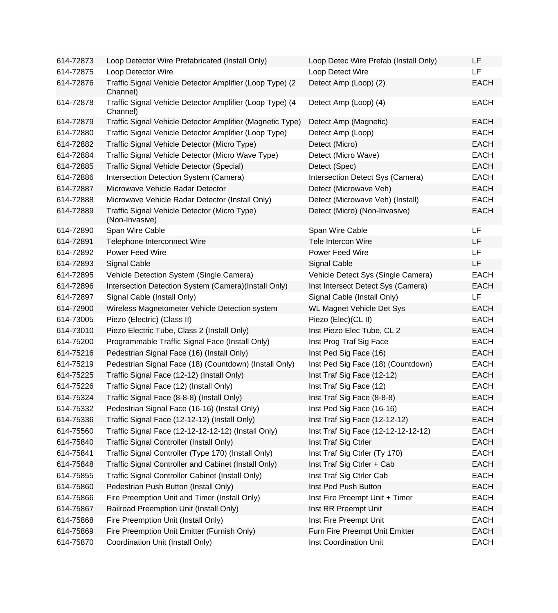| 614-72873 | Loop Detector Wire Prefabricated (Install Only)                      | Loop Detec Wire Prefab (Install Only) | LF          |
|-----------|----------------------------------------------------------------------|---------------------------------------|-------------|
| 614-72875 | Loop Detector Wire                                                   | Loop Detect Wire                      | LF          |
| 614-72876 | Traffic Signal Vehicle Detector Amplifier (Loop Type) (2<br>Channel) | Detect Amp (Loop) (2)                 | <b>EACH</b> |
| 614-72878 | Traffic Signal Vehicle Detector Amplifier (Loop Type) (4<br>Channel) | Detect Amp (Loop) (4)                 | <b>EACH</b> |
| 614-72879 | Traffic Signal Vehicle Detector Amplifier (Magnetic Type)            | Detect Amp (Magnetic)                 | <b>EACH</b> |
| 614-72880 | Traffic Signal Vehicle Detector Amplifier (Loop Type)                | Detect Amp (Loop)                     | <b>EACH</b> |
| 614-72882 | Traffic Signal Vehicle Detector (Micro Type)                         | Detect (Micro)                        | <b>EACH</b> |
| 614-72884 | Traffic Signal Vehicle Detector (Micro Wave Type)                    | Detect (Micro Wave)                   | <b>EACH</b> |
| 614-72885 | Traffic Signal Vehicle Detector (Special)                            | Detect (Spec)                         | <b>EACH</b> |
| 614-72886 | Intersection Detection System (Camera)                               | Intersection Detect Sys (Camera)      | <b>EACH</b> |
| 614-72887 | Microwave Vehicle Radar Detector                                     | Detect (Microwave Veh)                | <b>EACH</b> |
| 614-72888 | Microwave Vehicle Radar Detector (Install Only)                      | Detect (Microwave Veh) (Install)      | <b>EACH</b> |
| 614-72889 | Traffic Signal Vehicle Detector (Micro Type)<br>(Non-Invasive)       | Detect (Micro) (Non-Invasive)         | <b>EACH</b> |
| 614-72890 | Span Wire Cable                                                      | Span Wire Cable                       | LF          |
| 614-72891 | Telephone Interconnect Wire                                          | <b>Tele Intercon Wire</b>             | LF          |
| 614-72892 | Power Feed Wire                                                      | Power Feed Wire                       | LF          |
| 614-72893 | Signal Cable                                                         | Signal Cable                          | LF          |
| 614-72895 | Vehicle Detection System (Single Camera)                             | Vehicle Detect Sys (Single Camera)    | <b>EACH</b> |
| 614-72896 | Intersection Detection System (Camera)(Install Only)                 | Inst Intersect Detect Sys (Camera)    | <b>EACH</b> |
| 614-72897 | Signal Cable (Install Only)                                          | Signal Cable (Install Only)           | LF          |
| 614-72900 | Wireless Magnetometer Vehicle Detection system                       | <b>WL Magnet Vehicle Det Sys</b>      | <b>EACH</b> |
| 614-73005 | Piezo (Electric) (Class II)                                          | Piezo (Elec) (CL II)                  | <b>EACH</b> |
| 614-73010 | Piezo Electric Tube, Class 2 (Install Only)                          | Inst Piezo Elec Tube, CL 2            | <b>EACH</b> |
| 614-75200 | Programmable Traffic Signal Face (Install Only)                      | Inst Prog Traf Sig Face               | <b>EACH</b> |
| 614-75216 | Pedestrian Signal Face (16) (Install Only)                           | Inst Ped Sig Face (16)                | <b>EACH</b> |
| 614-75219 | Pedestrian Signal Face (18) (Countdown) (Install Only)               | Inst Ped Sig Face (18) (Countdown)    | <b>EACH</b> |
| 614-75225 | Traffic Signal Face (12-12) (Install Only)                           | Inst Traf Sig Face (12-12)            | <b>EACH</b> |
| 614-75226 | Traffic Signal Face (12) (Install Only)                              | Inst Traf Sig Face (12)               | <b>EACH</b> |
| 614-75324 | Traffic Signal Face (8-8-8) (Install Only)                           | Inst Traf Sig Face (8-8-8)            | <b>EACH</b> |
| 614-75332 | Pedestrian Signal Face (16-16) (Install Only)                        | Inst Ped Sig Face (16-16)             | <b>EACH</b> |
| 614-75336 | Traffic Signal Face (12-12-12) (Install Only)                        | Inst Traf Sig Face (12-12-12)         | <b>EACH</b> |
| 614-75560 | Traffic Signal Face (12-12-12-12-12) (Install Only)                  | Inst Traf Sig Face (12-12-12-12-12)   | <b>EACH</b> |
| 614-75840 | Traffic Signal Controller (Install Only)                             | Inst Traf Sig Ctrler                  | <b>EACH</b> |
| 614-75841 | Traffic Signal Controller (Type 170) (Install Only)                  | Inst Traf Sig Ctrler (Ty 170)         | <b>EACH</b> |
| 614-75848 | Traffic Signal Controller and Cabinet (Install Only)                 | Inst Traf Sig Ctrler + Cab            | <b>EACH</b> |
| 614-75855 | Traffic Signal Controller Cabinet (Install Only)                     | Inst Traf Sig Ctrler Cab              | <b>EACH</b> |
| 614-75860 | Pedestrian Push Button (Install Only)                                | Inst Ped Push Button                  | <b>EACH</b> |
| 614-75866 | Fire Preemption Unit and Timer (Install Only)                        | Inst Fire Preempt Unit + Timer        | <b>EACH</b> |
| 614-75867 | Railroad Preemption Unit (Install Only)                              | Inst RR Preempt Unit                  | <b>EACH</b> |
| 614-75868 | Fire Preemption Unit (Install Only)                                  | Inst Fire Preempt Unit                | <b>EACH</b> |
| 614-75869 | Fire Preemption Unit Emitter (Furnish Only)                          | Furn Fire Preempt Unit Emitter        | <b>EACH</b> |
| 614-75870 | Coordination Unit (Install Only)                                     | Inst Coordination Unit                | <b>EACH</b> |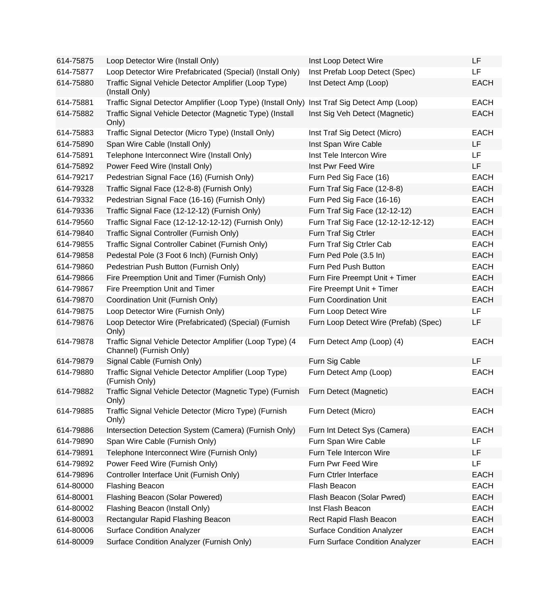| 614-75875 | Loop Detector Wire (Install Only)                                                   | Inst Loop Detect Wire                 | LF          |
|-----------|-------------------------------------------------------------------------------------|---------------------------------------|-------------|
| 614-75877 | Loop Detector Wire Prefabricated (Special) (Install Only)                           | Inst Prefab Loop Detect (Spec)        | LF          |
| 614-75880 | Traffic Signal Vehicle Detector Amplifier (Loop Type)<br>(Install Only)             | Inst Detect Amp (Loop)                | <b>EACH</b> |
| 614-75881 | Traffic Signal Detector Amplifier (Loop Type) (Install Only)                        | Inst Traf Sig Detect Amp (Loop)       | <b>EACH</b> |
| 614-75882 | Traffic Signal Vehicle Detector (Magnetic Type) (Install<br>Only)                   | Inst Sig Veh Detect (Magnetic)        | <b>EACH</b> |
| 614-75883 | Traffic Signal Detector (Micro Type) (Install Only)                                 | Inst Traf Sig Detect (Micro)          | <b>EACH</b> |
| 614-75890 | Span Wire Cable (Install Only)                                                      | Inst Span Wire Cable                  | LF          |
| 614-75891 | Telephone Interconnect Wire (Install Only)                                          | Inst Tele Intercon Wire               | LF          |
| 614-75892 | Power Feed Wire (Install Only)                                                      | Inst Pwr Feed Wire                    | <b>LF</b>   |
| 614-79217 | Pedestrian Signal Face (16) (Furnish Only)                                          | Furn Ped Sig Face (16)                | <b>EACH</b> |
| 614-79328 | Traffic Signal Face (12-8-8) (Furnish Only)                                         | Furn Traf Sig Face (12-8-8)           | <b>EACH</b> |
| 614-79332 | Pedestrian Signal Face (16-16) (Furnish Only)                                       | Furn Ped Sig Face (16-16)             | <b>EACH</b> |
| 614-79336 | Traffic Signal Face (12-12-12) (Furnish Only)                                       | Furn Traf Sig Face (12-12-12)         | <b>EACH</b> |
| 614-79560 | Traffic Signal Face (12-12-12-12-12) (Furnish Only)                                 | Furn Traf Sig Face (12-12-12-12-12)   | <b>EACH</b> |
| 614-79840 | Traffic Signal Controller (Furnish Only)                                            | Furn Traf Sig Ctrler                  | <b>EACH</b> |
| 614-79855 | Traffic Signal Controller Cabinet (Furnish Only)                                    | Furn Traf Sig Ctrler Cab              | <b>EACH</b> |
| 614-79858 | Pedestal Pole (3 Foot 6 Inch) (Furnish Only)                                        | Furn Ped Pole (3.5 In)                | <b>EACH</b> |
| 614-79860 | Pedestrian Push Button (Furnish Only)                                               | Furn Ped Push Button                  | <b>EACH</b> |
| 614-79866 | Fire Preemption Unit and Timer (Furnish Only)                                       | Furn Fire Preempt Unit + Timer        | <b>EACH</b> |
| 614-79867 | Fire Preemption Unit and Timer                                                      | Fire Preempt Unit + Timer             | <b>EACH</b> |
| 614-79870 | Coordination Unit (Furnish Only)                                                    | <b>Furn Coordination Unit</b>         | <b>EACH</b> |
| 614-79875 | Loop Detector Wire (Furnish Only)                                                   | Furn Loop Detect Wire                 | LF          |
| 614-79876 | Loop Detector Wire (Prefabricated) (Special) (Furnish<br>Only)                      | Furn Loop Detect Wire (Prefab) (Spec) | LF          |
| 614-79878 | Traffic Signal Vehicle Detector Amplifier (Loop Type) (4<br>Channel) (Furnish Only) | Furn Detect Amp (Loop) (4)            | <b>EACH</b> |
| 614-79879 | Signal Cable (Furnish Only)                                                         | Furn Sig Cable                        | LF          |
| 614-79880 | Traffic Signal Vehicle Detector Amplifier (Loop Type)<br>(Furnish Only)             | Furn Detect Amp (Loop)                | <b>EACH</b> |
| 614-79882 | Traffic Signal Vehicle Detector (Magnetic Type) (Furnish<br>Only)                   | Furn Detect (Magnetic)                | <b>EACH</b> |
| 614-79885 | Traffic Signal Vehicle Detector (Micro Type) (Furnish<br>Only)                      | Furn Detect (Micro)                   | <b>EACH</b> |
| 614-79886 | Intersection Detection System (Camera) (Furnish Only)                               | Furn Int Detect Sys (Camera)          | <b>EACH</b> |
| 614-79890 | Span Wire Cable (Furnish Only)                                                      | Furn Span Wire Cable                  | LF          |
| 614-79891 | Telephone Interconnect Wire (Furnish Only)                                          | Furn Tele Intercon Wire               | LF          |
| 614-79892 | Power Feed Wire (Furnish Only)                                                      | Furn Pwr Feed Wire                    | LF          |
| 614-79896 | Controller Interface Unit (Furnish Only)                                            | Furn Ctrler Interface                 | <b>EACH</b> |
| 614-80000 | <b>Flashing Beacon</b>                                                              | Flash Beacon                          | <b>EACH</b> |
| 614-80001 | Flashing Beacon (Solar Powered)                                                     | Flash Beacon (Solar Pwred)            | <b>EACH</b> |
| 614-80002 | Flashing Beacon (Install Only)                                                      | Inst Flash Beacon                     | <b>EACH</b> |
| 614-80003 | Rectangular Rapid Flashing Beacon                                                   | Rect Rapid Flash Beacon               | <b>EACH</b> |
| 614-80006 | <b>Surface Condition Analyzer</b>                                                   | <b>Surface Condition Analyzer</b>     | <b>EACH</b> |
| 614-80009 | Surface Condition Analyzer (Furnish Only)                                           | Furn Surface Condition Analyzer       | <b>EACH</b> |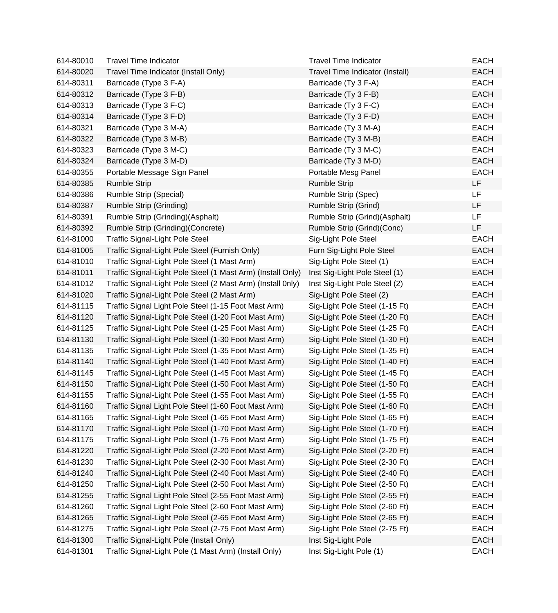| 614-80010 | <b>Travel Time Indicator</b>                                | <b>Travel Time Indicator</b>    | <b>EACH</b> |
|-----------|-------------------------------------------------------------|---------------------------------|-------------|
| 614-80020 | Travel Time Indicator (Install Only)                        | Travel Time Indicator (Install) | <b>EACH</b> |
| 614-80311 | Barricade (Type 3 F-A)                                      | Barricade (Ty 3 F-A)            | <b>EACH</b> |
| 614-80312 | Barricade (Type 3 F-B)                                      | Barricade (Ty 3 F-B)            | <b>EACH</b> |
| 614-80313 | Barricade (Type 3 F-C)                                      | Barricade (Ty 3 F-C)            | <b>EACH</b> |
| 614-80314 | Barricade (Type 3 F-D)                                      | Barricade (Ty 3 F-D)            | <b>EACH</b> |
| 614-80321 | Barricade (Type 3 M-A)                                      | Barricade (Ty 3 M-A)            | <b>EACH</b> |
| 614-80322 | Barricade (Type 3 M-B)                                      | Barricade (Ty 3 M-B)            | <b>EACH</b> |
| 614-80323 | Barricade (Type 3 M-C)                                      | Barricade (Ty 3 M-C)            | <b>EACH</b> |
| 614-80324 | Barricade (Type 3 M-D)                                      | Barricade (Ty 3 M-D)            | <b>EACH</b> |
| 614-80355 | Portable Message Sign Panel                                 | Portable Mesg Panel             | <b>EACH</b> |
| 614-80385 | <b>Rumble Strip</b>                                         | <b>Rumble Strip</b>             | <b>LF</b>   |
| 614-80386 | Rumble Strip (Special)                                      | Rumble Strip (Spec)             | <b>LF</b>   |
| 614-80387 | Rumble Strip (Grinding)                                     | Rumble Strip (Grind)            | LF          |
| 614-80391 | Rumble Strip (Grinding)(Asphalt)                            | Rumble Strip (Grind)(Asphalt)   | LF          |
| 614-80392 | Rumble Strip (Grinding)(Concrete)                           | Rumble Strip (Grind)(Conc)      | LF          |
| 614-81000 | <b>Traffic Signal-Light Pole Steel</b>                      | Sig-Light Pole Steel            | <b>EACH</b> |
| 614-81005 | Traffic Signal-Light Pole Steel (Furnish Only)              | Furn Sig-Light Pole Steel       | <b>EACH</b> |
| 614-81010 | Traffic Signal-Light Pole Steel (1 Mast Arm)                | Sig-Light Pole Steel (1)        | <b>EACH</b> |
| 614-81011 | Traffic Signal-Light Pole Steel (1 Mast Arm) (Install Only) | Inst Sig-Light Pole Steel (1)   | <b>EACH</b> |
| 614-81012 | Traffic Signal-Light Pole Steel (2 Mast Arm) (Install 0nly) | Inst Sig-Light Pole Steel (2)   | <b>EACH</b> |
| 614-81020 | Traffic Signal-Light Pole Steel (2 Mast Arm)                | Sig-Light Pole Steel (2)        | <b>EACH</b> |
| 614-81115 | Traffic Signal Light Pole Steel (1-15 Foot Mast Arm)        | Sig-Light Pole Steel (1-15 Ft)  | <b>EACH</b> |
| 614-81120 | Traffic Signal-Light Pole Steel (1-20 Foot Mast Arm)        | Sig-Light Pole Steel (1-20 Ft)  | <b>EACH</b> |
| 614-81125 | Traffic Signal-Light Pole Steel (1-25 Foot Mast Arm)        | Sig-Light Pole Steel (1-25 Ft)  | <b>EACH</b> |
| 614-81130 | Traffic Signal-Light Pole Steel (1-30 Foot Mast Arm)        | Sig-Light Pole Steel (1-30 Ft)  | <b>EACH</b> |
| 614-81135 | Traffic Signal-Light Pole Steel (1-35 Foot Mast Arm)        | Sig-Light Pole Steel (1-35 Ft)  | <b>EACH</b> |
| 614-81140 | Traffic Signal-Light Pole Steel (1-40 Foot Mast Arm)        | Sig-Light Pole Steel (1-40 Ft)  | <b>EACH</b> |
| 614-81145 | Traffic Signal-Light Pole Steel (1-45 Foot Mast Arm)        | Sig-Light Pole Steel (1-45 Ft)  | <b>EACH</b> |
| 614-81150 | Traffic Signal-Light Pole Steel (1-50 Foot Mast Arm)        | Sig-Light Pole Steel (1-50 Ft)  | <b>EACH</b> |
| 614-81155 | Traffic Signal-Light Pole Steel (1-55 Foot Mast Arm)        | Sig-Light Pole Steel (1-55 Ft)  | <b>EACH</b> |
| 614-81160 | Traffic Signal Light Pole Steel (1-60 Foot Mast Arm)        | Sig-Light Pole Steel (1-60 Ft)  | <b>EACH</b> |
| 614-81165 | Traffic Signal-Light Pole Steel (1-65 Foot Mast Arm)        | Sig-Light Pole Steel (1-65 Ft)  | <b>EACH</b> |
| 614-81170 | Traffic Signal-Light Pole Steel (1-70 Foot Mast Arm)        | Sig-Light Pole Steel (1-70 Ft)  | <b>EACH</b> |
| 614-81175 | Traffic Signal-Light Pole Steel (1-75 Foot Mast Arm)        | Sig-Light Pole Steel (1-75 Ft)  | <b>EACH</b> |
| 614-81220 | Traffic Signal-Light Pole Steel (2-20 Foot Mast Arm)        | Sig-Light Pole Steel (2-20 Ft)  | <b>EACH</b> |
| 614-81230 | Traffic Signal-Light Pole Steel (2-30 Foot Mast Arm)        | Sig-Light Pole Steel (2-30 Ft)  | <b>EACH</b> |
| 614-81240 | Traffic Signal-Light Pole Steel (2-40 Foot Mast Arm)        | Sig-Light Pole Steel (2-40 Ft)  | <b>EACH</b> |
| 614-81250 | Traffic Signal-Light Pole Steel (2-50 Foot Mast Arm)        | Sig-Light Pole Steel (2-50 Ft)  | <b>EACH</b> |
| 614-81255 | Traffic Signal Light Pole Steel (2-55 Foot Mast Arm)        | Sig-Light Pole Steel (2-55 Ft)  | <b>EACH</b> |
| 614-81260 | Traffic Signal Light Pole Steel (2-60 Foot Mast Arm)        | Sig-Light Pole Steel (2-60 Ft)  | <b>EACH</b> |
| 614-81265 | Traffic Signal-Light Pole Steel (2-65 Foot Mast Arm)        | Sig-Light Pole Steel (2-65 Ft)  | <b>EACH</b> |
| 614-81275 | Traffic Signal-Light Pole Steel (2-75 Foot Mast Arm)        | Sig-Light Pole Steel (2-75 Ft)  | <b>EACH</b> |
| 614-81300 | Traffic Signal-Light Pole (Install Only)                    | Inst Sig-Light Pole             | <b>EACH</b> |
| 614-81301 | Traffic Signal-Light Pole (1 Mast Arm) (Install Only)       | Inst Sig-Light Pole (1)         | <b>EACH</b> |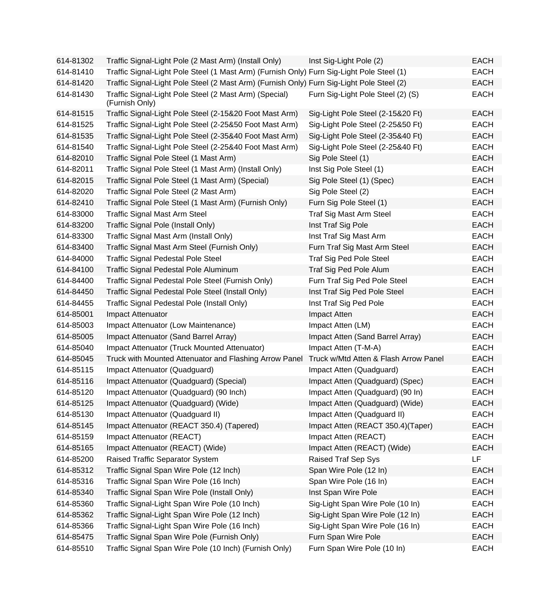| 614-81302 | Traffic Signal-Light Pole (2 Mast Arm) (Install Only)                                     | Inst Sig-Light Pole (2)               | <b>EACH</b> |
|-----------|-------------------------------------------------------------------------------------------|---------------------------------------|-------------|
| 614-81410 | Traffic Signal-Light Pole Steel (1 Mast Arm) (Furnish Only) Furn Sig-Light Pole Steel (1) |                                       | EACH        |
| 614-81420 | Traffic Signal-Light Pole Steel (2 Mast Arm) (Furnish Only) Furn Sig-Light Pole Steel (2) |                                       | <b>EACH</b> |
| 614-81430 | Traffic Signal-Light Pole Steel (2 Mast Arm) (Special)<br>(Furnish Only)                  | Furn Sig-Light Pole Steel (2) (S)     | <b>EACH</b> |
| 614-81515 | Traffic Signal-Light Pole Steel (2-15&20 Foot Mast Arm)                                   | Sig-Light Pole Steel (2-15&20 Ft)     | <b>EACH</b> |
| 614-81525 | Traffic Signal-Light Pole Steel (2-25&50 Foot Mast Arm)                                   | Sig-Light Pole Steel (2-25&50 Ft)     | <b>EACH</b> |
| 614-81535 | Traffic Signal-Light Pole Steel (2-35&40 Foot Mast Arm)                                   | Sig-Light Pole Steel (2-35&40 Ft)     | <b>EACH</b> |
| 614-81540 | Traffic Signal-Light Pole Steel (2-25&40 Foot Mast Arm)                                   | Sig-Light Pole Steel (2-25&40 Ft)     | <b>EACH</b> |
| 614-82010 | Traffic Signal Pole Steel (1 Mast Arm)                                                    | Sig Pole Steel (1)                    | <b>EACH</b> |
| 614-82011 | Traffic Signal Pole Steel (1 Mast Arm) (Install Only)                                     | Inst Sig Pole Steel (1)               | <b>EACH</b> |
| 614-82015 | Traffic Signal Pole Steel (1 Mast Arm) (Special)                                          | Sig Pole Steel (1) (Spec)             | <b>EACH</b> |
| 614-82020 | Traffic Signal Pole Steel (2 Mast Arm)                                                    | Sig Pole Steel (2)                    | <b>EACH</b> |
| 614-82410 | Traffic Signal Pole Steel (1 Mast Arm) (Furnish Only)                                     | Furn Sig Pole Steel (1)               | <b>EACH</b> |
| 614-83000 | <b>Traffic Signal Mast Arm Steel</b>                                                      | Traf Sig Mast Arm Steel               | <b>EACH</b> |
| 614-83200 | Traffic Signal Pole (Install Only)                                                        | Inst Traf Sig Pole                    | <b>EACH</b> |
| 614-83300 | Traffic Signal Mast Arm (Install Only)                                                    | Inst Traf Sig Mast Arm                | <b>EACH</b> |
| 614-83400 | Traffic Signal Mast Arm Steel (Furnish Only)                                              | Furn Traf Sig Mast Arm Steel          | <b>EACH</b> |
| 614-84000 | <b>Traffic Signal Pedestal Pole Steel</b>                                                 | Traf Sig Ped Pole Steel               | <b>EACH</b> |
| 614-84100 | Traffic Signal Pedestal Pole Aluminum                                                     | Traf Sig Ped Pole Alum                | <b>EACH</b> |
| 614-84400 | Traffic Signal Pedestal Pole Steel (Furnish Only)                                         | Furn Traf Sig Ped Pole Steel          | <b>EACH</b> |
| 614-84450 | Traffic Signal Pedestal Pole Steel (Install Only)                                         | Inst Traf Sig Ped Pole Steel          | <b>EACH</b> |
| 614-84455 | Traffic Signal Pedestal Pole (Install Only)                                               | Inst Traf Sig Ped Pole                | <b>EACH</b> |
| 614-85001 | Impact Attenuator                                                                         | Impact Atten                          | <b>EACH</b> |
| 614-85003 | Impact Attenuator (Low Maintenance)                                                       | Impact Atten (LM)                     | <b>EACH</b> |
| 614-85005 | Impact Attenuator (Sand Barrel Array)                                                     | Impact Atten (Sand Barrel Array)      | <b>EACH</b> |
| 614-85040 | Impact Attenuator (Truck Mounted Attenuator)                                              | Impact Atten (T-M-A)                  | <b>EACH</b> |
| 614-85045 | Truck with Mounted Attenuator and Flashing Arrow Panel                                    | Truck w/Mtd Atten & Flash Arrow Panel | <b>EACH</b> |
| 614-85115 | Impact Attenuator (Quadguard)                                                             | Impact Atten (Quadguard)              | <b>EACH</b> |
| 614-85116 | Impact Attenuator (Quadguard) (Special)                                                   | Impact Atten (Quadguard) (Spec)       | <b>EACH</b> |
| 614-85120 | Impact Attenuator (Quadguard) (90 Inch)                                                   | Impact Atten (Quadguard) (90 In)      | <b>EACH</b> |
| 614-85125 | Impact Attenuator (Quadguard) (Wide)                                                      | Impact Atten (Quadguard) (Wide)       | <b>EACH</b> |
| 614-85130 | Impact Attenuator (Quadguard II)                                                          | Impact Atten (Quadguard II)           | EACH        |
| 614-85145 | Impact Attenuator (REACT 350.4) (Tapered)                                                 | Impact Atten (REACT 350.4)(Taper)     | <b>EACH</b> |
| 614-85159 | Impact Attenuator (REACT)                                                                 | Impact Atten (REACT)                  | <b>EACH</b> |
| 614-85165 | Impact Attenuator (REACT) (Wide)                                                          | Impact Atten (REACT) (Wide)           | <b>EACH</b> |
| 614-85200 | Raised Traffic Separator System                                                           | Raised Traf Sep Sys                   | <b>LF</b>   |
| 614-85312 | Traffic Signal Span Wire Pole (12 Inch)                                                   | Span Wire Pole (12 In)                | <b>EACH</b> |
| 614-85316 | Traffic Signal Span Wire Pole (16 Inch)                                                   | Span Wire Pole (16 In)                | <b>EACH</b> |
| 614-85340 | Traffic Signal Span Wire Pole (Install Only)                                              | Inst Span Wire Pole                   | <b>EACH</b> |
| 614-85360 | Traffic Signal-Light Span Wire Pole (10 Inch)                                             | Sig-Light Span Wire Pole (10 In)      | <b>EACH</b> |
| 614-85362 | Traffic Signal-Light Span Wire Pole (12 Inch)                                             | Sig-Light Span Wire Pole (12 In)      | <b>EACH</b> |
| 614-85366 | Traffic Signal-Light Span Wire Pole (16 Inch)                                             | Sig-Light Span Wire Pole (16 In)      | <b>EACH</b> |
| 614-85475 | Traffic Signal Span Wire Pole (Furnish Only)                                              | Furn Span Wire Pole                   | <b>EACH</b> |
| 614-85510 | Traffic Signal Span Wire Pole (10 Inch) (Furnish Only)                                    | Furn Span Wire Pole (10 In)           | <b>EACH</b> |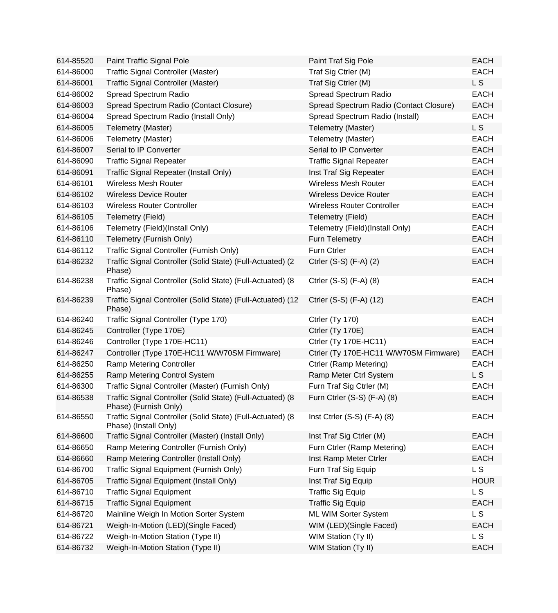| 614-85520 | Paint Traffic Signal Pole                                                           | Paint Traf Sig Pole                     | <b>EACH</b>    |
|-----------|-------------------------------------------------------------------------------------|-----------------------------------------|----------------|
| 614-86000 | Traffic Signal Controller (Master)                                                  | Traf Sig Ctrler (M)                     | <b>EACH</b>    |
| 614-86001 | Traffic Signal Controller (Master)                                                  | Traf Sig Ctrler (M)                     | L <sub>S</sub> |
| 614-86002 | Spread Spectrum Radio                                                               | Spread Spectrum Radio                   | <b>EACH</b>    |
| 614-86003 | Spread Spectrum Radio (Contact Closure)                                             | Spread Spectrum Radio (Contact Closure) | <b>EACH</b>    |
| 614-86004 | Spread Spectrum Radio (Install Only)                                                | Spread Spectrum Radio (Install)         | <b>EACH</b>    |
| 614-86005 | Telemetry (Master)                                                                  | Telemetry (Master)                      | L S            |
| 614-86006 | Telemetry (Master)                                                                  | Telemetry (Master)                      | <b>EACH</b>    |
| 614-86007 | Serial to IP Converter                                                              | Serial to IP Converter                  | <b>EACH</b>    |
| 614-86090 | <b>Traffic Signal Repeater</b>                                                      | <b>Traffic Signal Repeater</b>          | <b>EACH</b>    |
| 614-86091 | Traffic Signal Repeater (Install Only)                                              | Inst Traf Sig Repeater                  | <b>EACH</b>    |
| 614-86101 | <b>Wireless Mesh Router</b>                                                         | <b>Wireless Mesh Router</b>             | <b>EACH</b>    |
| 614-86102 | <b>Wireless Device Router</b>                                                       | <b>Wireless Device Router</b>           | <b>EACH</b>    |
| 614-86103 | <b>Wireless Router Controller</b>                                                   | <b>Wireless Router Controller</b>       | <b>EACH</b>    |
| 614-86105 | Telemetry (Field)                                                                   | Telemetry (Field)                       | <b>EACH</b>    |
| 614-86106 | Telemetry (Field)(Install Only)                                                     | Telemetry (Field)(Install Only)         | <b>EACH</b>    |
| 614-86110 | Telemetry (Furnish Only)                                                            | Furn Telemetry                          | <b>EACH</b>    |
| 614-86112 | Traffic Signal Controller (Furnish Only)                                            | Furn Ctrler                             | <b>EACH</b>    |
| 614-86232 | Traffic Signal Controller (Solid State) (Full-Actuated) (2<br>Phase)                | Ctrler (S-S) (F-A) (2)                  | <b>EACH</b>    |
| 614-86238 | Traffic Signal Controller (Solid State) (Full-Actuated) (8<br>Phase)                | Ctrler (S-S) (F-A) (8)                  | <b>EACH</b>    |
| 614-86239 | Traffic Signal Controller (Solid State) (Full-Actuated) (12<br>Phase)               | Ctrler (S-S) (F-A) (12)                 | <b>EACH</b>    |
| 614-86240 | Traffic Signal Controller (Type 170)                                                | Ctrler (Ty 170)                         | <b>EACH</b>    |
| 614-86245 | Controller (Type 170E)                                                              | Ctrler (Ty 170E)                        | <b>EACH</b>    |
| 614-86246 | Controller (Type 170E-HC11)                                                         | Ctrler (Ty 170E-HC11)                   | <b>EACH</b>    |
| 614-86247 | Controller (Type 170E-HC11 W/W70SM Firmware)                                        | Ctrler (Ty 170E-HC11 W/W70SM Firmware)  | <b>EACH</b>    |
| 614-86250 | <b>Ramp Metering Controller</b>                                                     | Ctrler (Ramp Metering)                  | <b>EACH</b>    |
| 614-86255 | Ramp Metering Control System                                                        | Ramp Meter Ctrl System                  | L <sub>S</sub> |
| 614-86300 | Traffic Signal Controller (Master) (Furnish Only)                                   | Furn Traf Sig Ctrler (M)                | <b>EACH</b>    |
| 614-86538 | Traffic Signal Controller (Solid State) (Full-Actuated) (8<br>Phase) (Furnish Only) | Furn Ctrler (S-S) (F-A) (8)             | <b>EACH</b>    |
| 614-86550 | Traffic Signal Controller (Solid State) (Full-Actuated) (8<br>Phase) (Install Only) | Inst Ctrler $(S-S)$ $(F-A)$ $(8)$       | <b>EACH</b>    |
| 614-86600 | Traffic Signal Controller (Master) (Install Only)                                   | Inst Traf Sig Ctrler (M)                | <b>EACH</b>    |
| 614-86650 | Ramp Metering Controller (Furnish Only)                                             | Furn Ctrler (Ramp Metering)             | <b>EACH</b>    |
| 614-86660 | Ramp Metering Controller (Install Only)                                             | Inst Ramp Meter Ctrler                  | <b>EACH</b>    |
| 614-86700 | Traffic Signal Equipment (Furnish Only)                                             | Furn Traf Sig Equip                     | <b>LS</b>      |
| 614-86705 | Traffic Signal Equipment (Install Only)                                             | Inst Traf Sig Equip                     | <b>HOUR</b>    |
| 614-86710 | <b>Traffic Signal Equipment</b>                                                     | <b>Traffic Sig Equip</b>                | L <sub>S</sub> |
| 614-86715 | <b>Traffic Signal Equipment</b>                                                     | <b>Traffic Sig Equip</b>                | <b>EACH</b>    |
| 614-86720 | Mainline Weigh In Motion Sorter System                                              | ML WIM Sorter System                    | L <sub>S</sub> |
| 614-86721 | Weigh-In-Motion (LED)(Single Faced)                                                 | WIM (LED) (Single Faced)                | <b>EACH</b>    |
| 614-86722 | Weigh-In-Motion Station (Type II)                                                   | WIM Station (Ty II)                     | L <sub>S</sub> |
| 614-86732 | Weigh-In-Motion Station (Type II)                                                   | WIM Station (Ty II)                     | <b>EACH</b>    |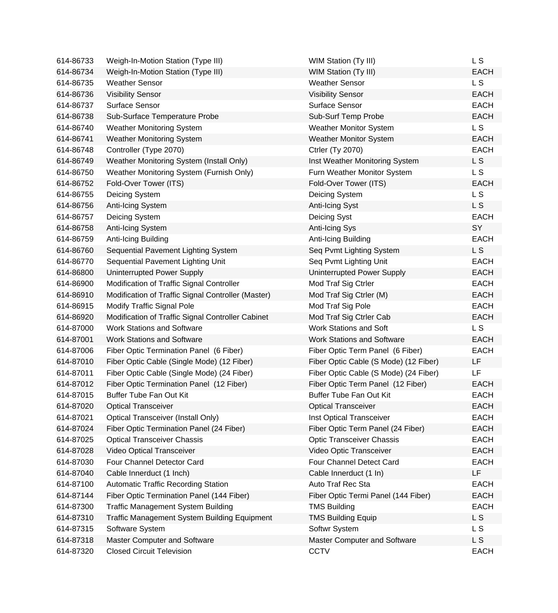| 614-86733 | Weigh-In-Motion Station (Type III)                  | <b>WIM Station (Ty III)</b>           | L S            |
|-----------|-----------------------------------------------------|---------------------------------------|----------------|
| 614-86734 | Weigh-In-Motion Station (Type III)                  | <b>WIM Station (Ty III)</b>           | <b>EACH</b>    |
| 614-86735 | <b>Weather Sensor</b>                               | <b>Weather Sensor</b>                 | L <sub>S</sub> |
| 614-86736 | <b>Visibility Sensor</b>                            | <b>Visibility Sensor</b>              | <b>EACH</b>    |
| 614-86737 | Surface Sensor                                      | <b>Surface Sensor</b>                 | <b>EACH</b>    |
| 614-86738 | Sub-Surface Temperature Probe                       | Sub-Surf Temp Probe                   | <b>EACH</b>    |
| 614-86740 | <b>Weather Monitoring System</b>                    | <b>Weather Monitor System</b>         | L S            |
| 614-86741 | <b>Weather Monitoring System</b>                    | <b>Weather Monitor System</b>         | <b>EACH</b>    |
| 614-86748 | Controller (Type 2070)                              | <b>Ctrler (Ty 2070)</b>               | <b>EACH</b>    |
| 614-86749 | Weather Monitoring System (Install Only)            | Inst Weather Monitoring System        | L S            |
| 614-86750 | Weather Monitoring System (Furnish Only)            | Furn Weather Monitor System           | L S            |
| 614-86752 | Fold-Over Tower (ITS)                               | Fold-Over Tower (ITS)                 | <b>EACH</b>    |
| 614-86755 | Deicing System                                      | Deicing System                        | L <sub>S</sub> |
| 614-86756 | Anti-Icing System                                   | Anti-Icing Syst                       | L S            |
| 614-86757 | Deicing System                                      | Deicing Syst                          | <b>EACH</b>    |
| 614-86758 | Anti-Icing System                                   | Anti-Icing Sys                        | SY             |
| 614-86759 | Anti-Icing Building                                 | Anti-Icing Building                   | <b>EACH</b>    |
| 614-86760 | Sequential Pavement Lighting System                 | Seq Pvmt Lighting System              | L <sub>S</sub> |
| 614-86770 | Sequential Pavement Lighting Unit                   | Seq Pvmt Lighting Unit                | <b>EACH</b>    |
| 614-86800 | Uninterrupted Power Supply                          | Uninterrupted Power Supply            | <b>EACH</b>    |
| 614-86900 | Modification of Traffic Signal Controller           | Mod Traf Sig Ctrler                   | <b>EACH</b>    |
| 614-86910 | Modification of Traffic Signal Controller (Master)  | Mod Traf Sig Ctrler (M)               | <b>EACH</b>    |
| 614-86915 | <b>Modify Traffic Signal Pole</b>                   | Mod Traf Sig Pole                     | <b>EACH</b>    |
| 614-86920 | Modification of Traffic Signal Controller Cabinet   | Mod Traf Sig Ctrler Cab               | <b>EACH</b>    |
| 614-87000 | <b>Work Stations and Software</b>                   | <b>Work Stations and Soft</b>         | L S            |
| 614-87001 | <b>Work Stations and Software</b>                   | <b>Work Stations and Software</b>     | <b>EACH</b>    |
| 614-87006 | Fiber Optic Termination Panel (6 Fiber)             | Fiber Optic Term Panel (6 Fiber)      | <b>EACH</b>    |
| 614-87010 | Fiber Optic Cable (Single Mode) (12 Fiber)          | Fiber Optic Cable (S Mode) (12 Fiber) | LF             |
| 614-87011 | Fiber Optic Cable (Single Mode) (24 Fiber)          | Fiber Optic Cable (S Mode) (24 Fiber) | LF.            |
| 614-87012 | Fiber Optic Termination Panel (12 Fiber)            | Fiber Optic Term Panel (12 Fiber)     | <b>EACH</b>    |
| 614-87015 | <b>Buffer Tube Fan Out Kit</b>                      | <b>Buffer Tube Fan Out Kit</b>        | <b>EACH</b>    |
| 614-87020 | <b>Optical Transceiver</b>                          | <b>Optical Transceiver</b>            | <b>EACH</b>    |
| 614-87021 | <b>Optical Transceiver (Install Only)</b>           | Inst Optical Transceiver              | <b>EACH</b>    |
| 614-87024 | Fiber Optic Termination Panel (24 Fiber)            | Fiber Optic Term Panel (24 Fiber)     | <b>EACH</b>    |
| 614-87025 | <b>Optical Transceiver Chassis</b>                  | <b>Optic Transceiver Chassis</b>      | <b>EACH</b>    |
| 614-87028 | Video Optical Transceiver                           | Video Optic Transceiver               | <b>EACH</b>    |
| 614-87030 | Four Channel Detector Card                          | Four Channel Detect Card              | <b>EACH</b>    |
| 614-87040 | Cable Innerduct (1 Inch)                            | Cable Innerduct (1 In)                | LF             |
| 614-87100 | <b>Automatic Traffic Recording Station</b>          | Auto Traf Rec Sta                     | <b>EACH</b>    |
| 614-87144 | Fiber Optic Termination Panel (144 Fiber)           | Fiber Optic Termi Panel (144 Fiber)   | <b>EACH</b>    |
| 614-87300 | <b>Traffic Management System Building</b>           | <b>TMS Building</b>                   | <b>EACH</b>    |
| 614-87310 | <b>Traffic Management System Building Equipment</b> | <b>TMS Building Equip</b>             | L S            |
| 614-87315 | Software System                                     | Softwr System                         | L S            |
| 614-87318 | Master Computer and Software                        | Master Computer and Software          | L S            |
| 614-87320 | <b>Closed Circuit Television</b>                    | <b>CCTV</b>                           | <b>EACH</b>    |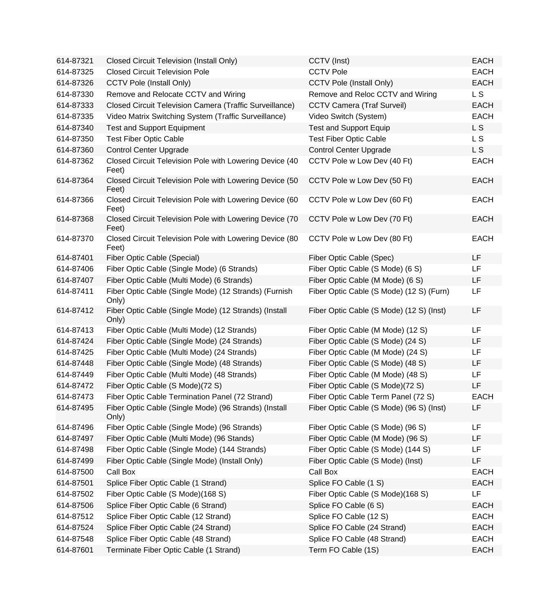| 614-87321 | <b>Closed Circuit Television (Install Only)</b>                  | CCTV (Inst)                              | <b>EACH</b> |
|-----------|------------------------------------------------------------------|------------------------------------------|-------------|
| 614-87325 | <b>Closed Circuit Television Pole</b>                            | <b>CCTV Pole</b>                         | <b>EACH</b> |
| 614-87326 | <b>CCTV Pole (Install Only)</b>                                  | <b>CCTV Pole (Install Only)</b>          | <b>EACH</b> |
| 614-87330 | Remove and Relocate CCTV and Wiring                              | Remove and Reloc CCTV and Wiring         | L S         |
| 614-87333 | Closed Circuit Television Camera (Traffic Surveillance)          | <b>CCTV Camera (Traf Surveil)</b>        | <b>EACH</b> |
| 614-87335 | Video Matrix Switching System (Traffic Surveillance)             | Video Switch (System)                    | <b>EACH</b> |
| 614-87340 | <b>Test and Support Equipment</b>                                | <b>Test and Support Equip</b>            | L S         |
| 614-87350 | <b>Test Fiber Optic Cable</b>                                    | <b>Test Fiber Optic Cable</b>            | L S         |
| 614-87360 | <b>Control Center Upgrade</b>                                    | <b>Control Center Upgrade</b>            | L S         |
| 614-87362 | Closed Circuit Television Pole with Lowering Device (40<br>Feet) | CCTV Pole w Low Dev (40 Ft)              | <b>EACH</b> |
| 614-87364 | Closed Circuit Television Pole with Lowering Device (50<br>Feet) | CCTV Pole w Low Dev (50 Ft)              | <b>EACH</b> |
| 614-87366 | Closed Circuit Television Pole with Lowering Device (60<br>Feet) | CCTV Pole w Low Dev (60 Ft)              | <b>EACH</b> |
| 614-87368 | Closed Circuit Television Pole with Lowering Device (70<br>Feet) | CCTV Pole w Low Dev (70 Ft)              | <b>EACH</b> |
| 614-87370 | Closed Circuit Television Pole with Lowering Device (80<br>Feet) | CCTV Pole w Low Dev (80 Ft)              | <b>EACH</b> |
| 614-87401 | Fiber Optic Cable (Special)                                      | Fiber Optic Cable (Spec)                 | LF          |
| 614-87406 | Fiber Optic Cable (Single Mode) (6 Strands)                      | Fiber Optic Cable (S Mode) (6 S)         | <b>LF</b>   |
| 614-87407 | Fiber Optic Cable (Multi Mode) (6 Strands)                       | Fiber Optic Cable (M Mode) (6 S)         | LF          |
| 614-87411 | Fiber Optic Cable (Single Mode) (12 Strands) (Furnish<br>Only)   | Fiber Optic Cable (S Mode) (12 S) (Furn) | LF          |
| 614-87412 | Fiber Optic Cable (Single Mode) (12 Strands) (Install<br>Only)   | Fiber Optic Cable (S Mode) (12 S) (Inst) | LF          |
| 614-87413 | Fiber Optic Cable (Multi Mode) (12 Strands)                      | Fiber Optic Cable (M Mode) (12 S)        | LF          |
| 614-87424 | Fiber Optic Cable (Single Mode) (24 Strands)                     | Fiber Optic Cable (S Mode) (24 S)        | LF          |
| 614-87425 | Fiber Optic Cable (Multi Mode) (24 Strands)                      | Fiber Optic Cable (M Mode) (24 S)        | LF          |
| 614-87448 | Fiber Optic Cable (Single Mode) (48 Strands)                     | Fiber Optic Cable (S Mode) (48 S)        | LF          |
| 614-87449 | Fiber Optic Cable (Multi Mode) (48 Strands)                      | Fiber Optic Cable (M Mode) (48 S)        | LF          |
| 614-87472 | Fiber Optic Cable (S Mode)(72 S)                                 | Fiber Optic Cable (S Mode)(72 S)         | LF          |
| 614-87473 | Fiber Optic Cable Termination Panel (72 Strand)                  | Fiber Optic Cable Term Panel (72 S)      | <b>EACH</b> |
| 614-87495 | Fiber Optic Cable (Single Mode) (96 Strands) (Install<br>Only)   | Fiber Optic Cable (S Mode) (96 S) (Inst) | LF          |
| 614-87496 | Fiber Optic Cable (Single Mode) (96 Strands)                     | Fiber Optic Cable (S Mode) (96 S)        | LF          |
| 614-87497 | Fiber Optic Cable (Multi Mode) (96 Stands)                       | Fiber Optic Cable (M Mode) (96 S)        | LF          |
| 614-87498 | Fiber Optic Cable (Single Mode) (144 Strands)                    | Fiber Optic Cable (S Mode) (144 S)       | LF          |
| 614-87499 | Fiber Optic Cable (Single Mode) (Install Only)                   | Fiber Optic Cable (S Mode) (Inst)        | LF          |
| 614-87500 | Call Box                                                         | Call Box                                 | <b>EACH</b> |
| 614-87501 | Splice Fiber Optic Cable (1 Strand)                              | Splice FO Cable (1 S)                    | <b>EACH</b> |
| 614-87502 | Fiber Optic Cable (S Mode)(168 S)                                | Fiber Optic Cable (S Mode)(168 S)        | LF          |
| 614-87506 | Splice Fiber Optic Cable (6 Strand)                              | Splice FO Cable (6 S)                    | <b>EACH</b> |
| 614-87512 | Splice Fiber Optic Cable (12 Strand)                             | Splice FO Cable (12 S)                   | <b>EACH</b> |
| 614-87524 | Splice Fiber Optic Cable (24 Strand)                             | Splice FO Cable (24 Strand)              | <b>EACH</b> |
| 614-87548 | Splice Fiber Optic Cable (48 Strand)                             | Splice FO Cable (48 Strand)              | <b>EACH</b> |
| 614-87601 | Terminate Fiber Optic Cable (1 Strand)                           | Term FO Cable (1S)                       | <b>EACH</b> |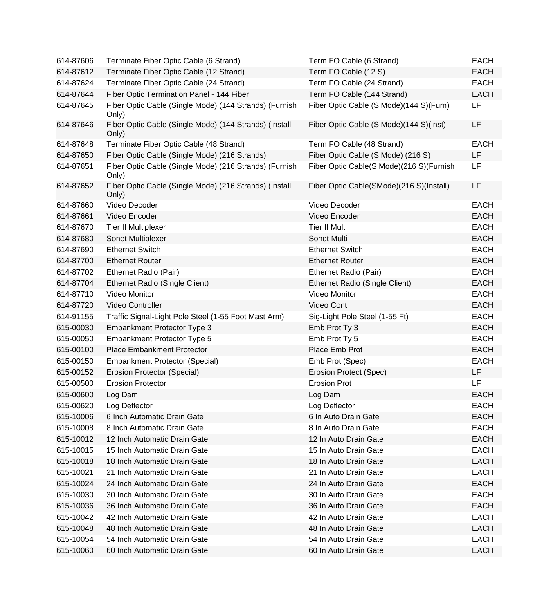| 614-87606 | Terminate Fiber Optic Cable (6 Strand)                          | Term FO Cable (6 Strand)                 | <b>EACH</b> |
|-----------|-----------------------------------------------------------------|------------------------------------------|-------------|
| 614-87612 | Terminate Fiber Optic Cable (12 Strand)                         | Term FO Cable (12 S)                     | <b>EACH</b> |
| 614-87624 | Terminate Fiber Optic Cable (24 Strand)                         | Term FO Cable (24 Strand)                | <b>EACH</b> |
| 614-87644 | Fiber Optic Termination Panel - 144 Fiber                       | Term FO Cable (144 Strand)               | <b>EACH</b> |
| 614-87645 | Fiber Optic Cable (Single Mode) (144 Strands) (Furnish<br>Only) | Fiber Optic Cable (S Mode)(144 S)(Furn)  | LF          |
| 614-87646 | Fiber Optic Cable (Single Mode) (144 Strands) (Install<br>Only) | Fiber Optic Cable (S Mode)(144 S)(Inst)  | LF          |
| 614-87648 | Terminate Fiber Optic Cable (48 Strand)                         | Term FO Cable (48 Strand)                | <b>EACH</b> |
| 614-87650 | Fiber Optic Cable (Single Mode) (216 Strands)                   | Fiber Optic Cable (S Mode) (216 S)       | LF.         |
| 614-87651 | Fiber Optic Cable (Single Mode) (216 Strands) (Furnish<br>Only) | Fiber Optic Cable(S Mode)(216 S)(Furnish | LF          |
| 614-87652 | Fiber Optic Cable (Single Mode) (216 Strands) (Install<br>Only) | Fiber Optic Cable(SMode)(216 S)(Install) | LF          |
| 614-87660 | Video Decoder                                                   | Video Decoder                            | <b>EACH</b> |
| 614-87661 | Video Encoder                                                   | Video Encoder                            | <b>EACH</b> |
| 614-87670 | Tier II Multiplexer                                             | <b>Tier II Multi</b>                     | <b>EACH</b> |
| 614-87680 | Sonet Multiplexer                                               | Sonet Multi                              | <b>EACH</b> |
| 614-87690 | <b>Ethernet Switch</b>                                          | <b>Ethernet Switch</b>                   | <b>EACH</b> |
| 614-87700 | <b>Ethernet Router</b>                                          | <b>Ethernet Router</b>                   | <b>EACH</b> |
| 614-87702 | Ethernet Radio (Pair)                                           | Ethernet Radio (Pair)                    | <b>EACH</b> |
| 614-87704 | Ethernet Radio (Single Client)                                  | Ethernet Radio (Single Client)           | <b>EACH</b> |
| 614-87710 | Video Monitor                                                   | Video Monitor                            | <b>EACH</b> |
| 614-87720 | Video Controller                                                | Video Cont                               | <b>EACH</b> |
| 614-91155 | Traffic Signal-Light Pole Steel (1-55 Foot Mast Arm)            | Sig-Light Pole Steel (1-55 Ft)           | <b>EACH</b> |
| 615-00030 | Embankment Protector Type 3                                     | Emb Prot Ty 3                            | <b>EACH</b> |
| 615-00050 | Embankment Protector Type 5                                     | Emb Prot Ty 5                            | <b>EACH</b> |
| 615-00100 | <b>Place Embankment Protector</b>                               | Place Emb Prot                           | <b>EACH</b> |
| 615-00150 | <b>Embankment Protector (Special)</b>                           | Emb Prot (Spec)                          | <b>EACH</b> |
| 615-00152 | Erosion Protector (Special)                                     | Erosion Protect (Spec)                   | LF          |
| 615-00500 | <b>Erosion Protector</b>                                        | <b>Erosion Prot</b>                      | LF          |
| 615-00600 | Log Dam                                                         | Log Dam                                  | <b>EACH</b> |
| 615-00620 | Log Deflector                                                   | Log Deflector                            | EACH        |
| 615-10006 | 6 Inch Automatic Drain Gate                                     | 6 In Auto Drain Gate                     | <b>EACH</b> |
| 615-10008 | 8 Inch Automatic Drain Gate                                     | 8 In Auto Drain Gate                     | <b>EACH</b> |
| 615-10012 | 12 Inch Automatic Drain Gate                                    | 12 In Auto Drain Gate                    | <b>EACH</b> |
| 615-10015 | 15 Inch Automatic Drain Gate                                    | 15 In Auto Drain Gate                    | <b>EACH</b> |
| 615-10018 | 18 Inch Automatic Drain Gate                                    | 18 In Auto Drain Gate                    | <b>EACH</b> |
| 615-10021 | 21 Inch Automatic Drain Gate                                    | 21 In Auto Drain Gate                    | <b>EACH</b> |
| 615-10024 | 24 Inch Automatic Drain Gate                                    | 24 In Auto Drain Gate                    | <b>EACH</b> |
| 615-10030 | 30 Inch Automatic Drain Gate                                    | 30 In Auto Drain Gate                    | <b>EACH</b> |
| 615-10036 | 36 Inch Automatic Drain Gate                                    | 36 In Auto Drain Gate                    | <b>EACH</b> |
| 615-10042 | 42 Inch Automatic Drain Gate                                    | 42 In Auto Drain Gate                    | <b>EACH</b> |
| 615-10048 | 48 Inch Automatic Drain Gate                                    | 48 In Auto Drain Gate                    | <b>EACH</b> |
| 615-10054 | 54 Inch Automatic Drain Gate                                    | 54 In Auto Drain Gate                    | <b>EACH</b> |
| 615-10060 | 60 Inch Automatic Drain Gate                                    | 60 In Auto Drain Gate                    | <b>EACH</b> |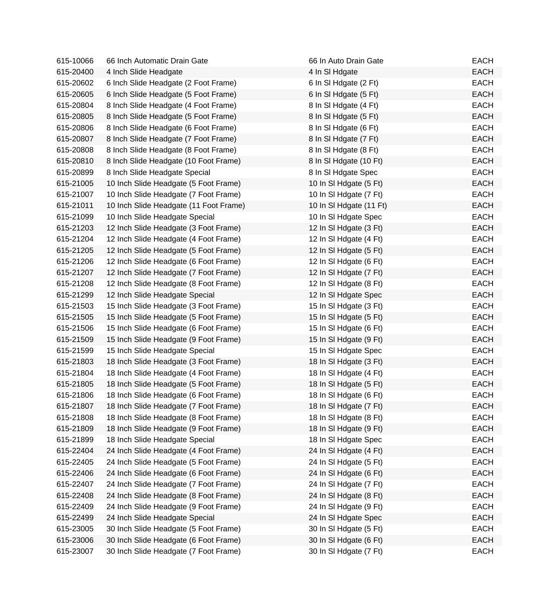| 615-10066 | 66 Inch Automatic Drain Gate           | 66 In Auto Drain Gate   | <b>EACH</b> |
|-----------|----------------------------------------|-------------------------|-------------|
| 615-20400 | 4 Inch Slide Headgate                  | 4 In SI Hdgate          | <b>EACH</b> |
| 615-20602 | 6 Inch Slide Headgate (2 Foot Frame)   | 6 In SI Hdgate (2 Ft)   | <b>EACH</b> |
| 615-20605 | 6 Inch Slide Headgate (5 Foot Frame)   | 6 In SI Hdgate (5 Ft)   | <b>EACH</b> |
| 615-20804 | 8 Inch Slide Headgate (4 Foot Frame)   | 8 In SI Hdgate (4 Ft)   | <b>EACH</b> |
| 615-20805 | 8 Inch Slide Headgate (5 Foot Frame)   | 8 In SI Hdgate (5 Ft)   | <b>EACH</b> |
| 615-20806 | 8 Inch Slide Headgate (6 Foot Frame)   | 8 In SI Hdgate (6 Ft)   | <b>EACH</b> |
| 615-20807 | 8 Inch Slide Headgate (7 Foot Frame)   | 8 In SI Hdgate (7 Ft)   | <b>EACH</b> |
| 615-20808 | 8 Inch Slide Headgate (8 Foot Frame)   | 8 In SI Hdgate (8 Ft)   | <b>EACH</b> |
| 615-20810 | 8 Inch Slide Headgate (10 Foot Frame)  | 8 In SI Hdgate (10 Ft)  | <b>EACH</b> |
| 615-20899 | 8 Inch Slide Headgate Special          | 8 In SI Hdgate Spec     | <b>EACH</b> |
| 615-21005 | 10 Inch Slide Headgate (5 Foot Frame)  | 10 In SI Hdgate (5 Ft)  | <b>EACH</b> |
| 615-21007 | 10 Inch Slide Headgate (7 Foot Frame)  | 10 In SI Hdgate (7 Ft)  | <b>EACH</b> |
| 615-21011 | 10 Inch Slide Headgate (11 Foot Frame) | 10 In SI Hdgate (11 Ft) | <b>EACH</b> |
| 615-21099 | 10 Inch Slide Headgate Special         | 10 In SI Hdgate Spec    | <b>EACH</b> |
| 615-21203 | 12 Inch Slide Headgate (3 Foot Frame)  | 12 In SI Hdgate (3 Ft)  | <b>EACH</b> |
| 615-21204 | 12 Inch Slide Headgate (4 Foot Frame)  | 12 In SI Hdgate (4 Ft)  | <b>EACH</b> |
| 615-21205 | 12 Inch Slide Headgate (5 Foot Frame)  | 12 In SI Hdgate (5 Ft)  | <b>EACH</b> |
| 615-21206 | 12 Inch Slide Headgate (6 Foot Frame)  | 12 In SI Hdgate (6 Ft)  | <b>EACH</b> |
| 615-21207 | 12 Inch Slide Headgate (7 Foot Frame)  | 12 In SI Hdgate (7 Ft)  | <b>EACH</b> |
| 615-21208 | 12 Inch Slide Headgate (8 Foot Frame)  | 12 In SI Hdgate (8 Ft)  | <b>EACH</b> |
| 615-21299 | 12 Inch Slide Headgate Special         | 12 In SI Hdgate Spec    | <b>EACH</b> |
| 615-21503 | 15 Inch Slide Headgate (3 Foot Frame)  | 15 In SI Hdgate (3 Ft)  | <b>EACH</b> |
| 615-21505 | 15 Inch Slide Headgate (5 Foot Frame)  | 15 In SI Hdgate (5 Ft)  | <b>EACH</b> |
| 615-21506 | 15 Inch Slide Headgate (6 Foot Frame)  | 15 In SI Hdgate (6 Ft)  | <b>EACH</b> |
| 615-21509 | 15 Inch Slide Headgate (9 Foot Frame)  | 15 In SI Hdgate (9 Ft)  | <b>EACH</b> |
| 615-21599 | 15 Inch Slide Headgate Special         | 15 In SI Hdgate Spec    | <b>EACH</b> |
| 615-21803 | 18 Inch Slide Headgate (3 Foot Frame)  | 18 In SI Hdgate (3 Ft)  | <b>EACH</b> |
| 615-21804 | 18 Inch Slide Headgate (4 Foot Frame)  | 18 In SI Hdgate (4 Ft)  | <b>EACH</b> |
| 615-21805 | 18 Inch Slide Headgate (5 Foot Frame)  | 18 In SI Hdgate (5 Ft)  | <b>EACH</b> |
| 615-21806 | 18 Inch Slide Headgate (6 Foot Frame)  | 18 In SI Hdgate (6 Ft)  | <b>EACH</b> |
| 615-21807 | 18 Inch Slide Headgate (7 Foot Frame)  | 18 In SI Hdgate (7 Ft)  | EACH        |
| 615-21808 | 18 Inch Slide Headgate (8 Foot Frame)  | 18 In SI Hdgate (8 Ft)  | <b>EACH</b> |
| 615-21809 | 18 Inch Slide Headgate (9 Foot Frame)  | 18 In SI Hdgate (9 Ft)  | <b>EACH</b> |
| 615-21899 | 18 Inch Slide Headgate Special         | 18 In SI Hdgate Spec    | <b>EACH</b> |
| 615-22404 | 24 Inch Slide Headgate (4 Foot Frame)  | 24 In SI Hdgate (4 Ft)  | <b>EACH</b> |
| 615-22405 | 24 Inch Slide Headgate (5 Foot Frame)  | 24 In SI Hdgate (5 Ft)  | <b>EACH</b> |
| 615-22406 | 24 Inch Slide Headgate (6 Foot Frame)  | 24 In SI Hdgate (6 Ft)  | <b>EACH</b> |
| 615-22407 | 24 Inch Slide Headgate (7 Foot Frame)  | 24 In SI Hdgate (7 Ft)  | <b>EACH</b> |
| 615-22408 | 24 Inch Slide Headgate (8 Foot Frame)  | 24 In SI Hdgate (8 Ft)  | <b>EACH</b> |
| 615-22409 | 24 Inch Slide Headgate (9 Foot Frame)  | 24 In SI Hdgate (9 Ft)  | <b>EACH</b> |
| 615-22499 | 24 Inch Slide Headgate Special         | 24 In SI Hdgate Spec    | <b>EACH</b> |
| 615-23005 | 30 Inch Slide Headgate (5 Foot Frame)  | 30 In SI Hdgate (5 Ft)  | <b>EACH</b> |
| 615-23006 | 30 Inch Slide Headgate (6 Foot Frame)  | 30 In SI Hdgate (6 Ft)  | <b>EACH</b> |
| 615-23007 | 30 Inch Slide Headgate (7 Foot Frame)  | 30 In SI Hdgate (7 Ft)  | <b>EACH</b> |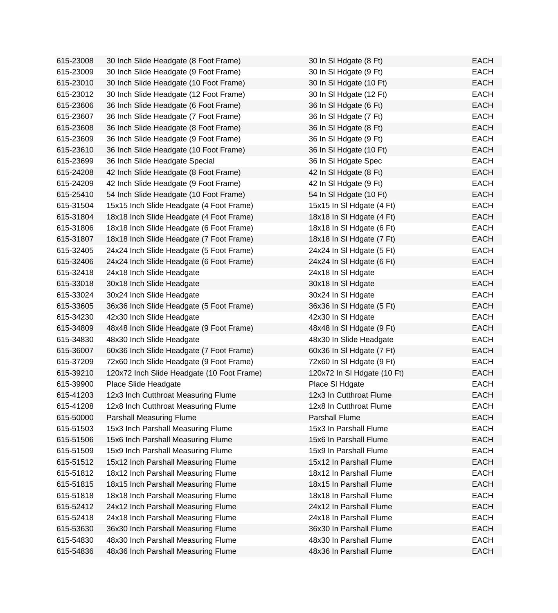| 615-23008 | 30 Inch Slide Headgate (8 Foot Frame)      | 30 In SI Hdgate (8 Ft)      | <b>EACH</b> |
|-----------|--------------------------------------------|-----------------------------|-------------|
| 615-23009 | 30 Inch Slide Headgate (9 Foot Frame)      | 30 In SI Hdgate (9 Ft)      | <b>EACH</b> |
| 615-23010 | 30 Inch Slide Headgate (10 Foot Frame)     | 30 In SI Hdgate (10 Ft)     | <b>EACH</b> |
| 615-23012 | 30 Inch Slide Headgate (12 Foot Frame)     | 30 In SI Hdgate (12 Ft)     | <b>EACH</b> |
| 615-23606 | 36 Inch Slide Headgate (6 Foot Frame)      | 36 In SI Hdgate (6 Ft)      | <b>EACH</b> |
| 615-23607 | 36 Inch Slide Headgate (7 Foot Frame)      | 36 In SI Hdgate (7 Ft)      | <b>EACH</b> |
| 615-23608 | 36 Inch Slide Headgate (8 Foot Frame)      | 36 In SI Hdgate (8 Ft)      | <b>EACH</b> |
| 615-23609 | 36 Inch Slide Headgate (9 Foot Frame)      | 36 In SI Hdgate (9 Ft)      | <b>EACH</b> |
| 615-23610 | 36 Inch Slide Headgate (10 Foot Frame)     | 36 In SI Hdgate (10 Ft)     | <b>EACH</b> |
| 615-23699 | 36 Inch Slide Headgate Special             | 36 In SI Hdgate Spec        | <b>EACH</b> |
| 615-24208 | 42 Inch Slide Headgate (8 Foot Frame)      | 42 In SI Hdgate (8 Ft)      | <b>EACH</b> |
| 615-24209 | 42 Inch Slide Headgate (9 Foot Frame)      | 42 In SI Hdgate (9 Ft)      | <b>EACH</b> |
| 615-25410 | 54 Inch Slide Headgate (10 Foot Frame)     | 54 In SI Hdgate (10 Ft)     | <b>EACH</b> |
| 615-31504 | 15x15 Inch Slide Headgate (4 Foot Frame)   | 15x15 In SI Hdgate (4 Ft)   | <b>EACH</b> |
| 615-31804 | 18x18 Inch Slide Headgate (4 Foot Frame)   | 18x18 In SI Hdgate (4 Ft)   | <b>EACH</b> |
| 615-31806 | 18x18 Inch Slide Headgate (6 Foot Frame)   | 18x18 In SI Hdgate (6 Ft)   | <b>EACH</b> |
| 615-31807 | 18x18 Inch Slide Headgate (7 Foot Frame)   | 18x18 In SI Hdgate (7 Ft)   | <b>EACH</b> |
| 615-32405 | 24x24 Inch Slide Headgate (5 Foot Frame)   | 24x24 In SI Hdgate (5 Ft)   | <b>EACH</b> |
| 615-32406 | 24x24 Inch Slide Headgate (6 Foot Frame)   | 24x24 In SI Hdgate (6 Ft)   | <b>EACH</b> |
| 615-32418 | 24x18 Inch Slide Headgate                  | 24x18 In SI Hdgate          | <b>EACH</b> |
| 615-33018 | 30x18 Inch Slide Headgate                  | 30x18 In SI Hdgate          | <b>EACH</b> |
| 615-33024 | 30x24 Inch Slide Headgate                  | 30x24 In SI Hdgate          | <b>EACH</b> |
| 615-33605 | 36x36 Inch Slide Headgate (5 Foot Frame)   | 36x36 In SI Hdgate (5 Ft)   | <b>EACH</b> |
| 615-34230 | 42x30 Inch Slide Headgate                  | 42x30 In SI Hdgate          | <b>EACH</b> |
| 615-34809 | 48x48 Inch Slide Headgate (9 Foot Frame)   | 48x48 In SI Hdgate (9 Ft)   | <b>EACH</b> |
| 615-34830 | 48x30 Inch Slide Headgate                  | 48x30 In Slide Headgate     | <b>EACH</b> |
| 615-36007 | 60x36 Inch Slide Headgate (7 Foot Frame)   | 60x36 In SI Hdgate (7 Ft)   | <b>EACH</b> |
| 615-37209 | 72x60 Inch Slide Headgate (9 Foot Frame)   | 72x60 In SI Hdgate (9 Ft)   | <b>EACH</b> |
| 615-39210 | 120x72 Inch Slide Headgate (10 Foot Frame) | 120x72 In SI Hdgate (10 Ft) | <b>EACH</b> |
| 615-39900 | Place Slide Headgate                       | Place SI Hdgate             | <b>EACH</b> |
| 615-41203 | 12x3 Inch Cutthroat Measuring Flume        | 12x3 In Cutthroat Flume     | <b>EACH</b> |
| 615-41208 | 12x8 Inch Cutthroat Measuring Flume        | 12x8 In Cutthroat Flume     | <b>EACH</b> |
| 615-50000 | <b>Parshall Measuring Flume</b>            | <b>Parshall Flume</b>       | <b>EACH</b> |
| 615-51503 | 15x3 Inch Parshall Measuring Flume         | 15x3 In Parshall Flume      | <b>EACH</b> |
| 615-51506 | 15x6 Inch Parshall Measuring Flume         | 15x6 In Parshall Flume      | <b>EACH</b> |
| 615-51509 | 15x9 Inch Parshall Measuring Flume         | 15x9 In Parshall Flume      | <b>EACH</b> |
| 615-51512 | 15x12 Inch Parshall Measuring Flume        | 15x12 In Parshall Flume     | <b>EACH</b> |
| 615-51812 | 18x12 Inch Parshall Measuring Flume        | 18x12 In Parshall Flume     | <b>EACH</b> |
| 615-51815 | 18x15 Inch Parshall Measuring Flume        | 18x15 In Parshall Flume     | <b>EACH</b> |
| 615-51818 | 18x18 Inch Parshall Measuring Flume        | 18x18 In Parshall Flume     | <b>EACH</b> |
| 615-52412 | 24x12 Inch Parshall Measuring Flume        | 24x12 In Parshall Flume     | <b>EACH</b> |
| 615-52418 | 24x18 Inch Parshall Measuring Flume        | 24x18 In Parshall Flume     | <b>EACH</b> |
| 615-53630 | 36x30 Inch Parshall Measuring Flume        | 36x30 In Parshall Flume     | <b>EACH</b> |
| 615-54830 | 48x30 Inch Parshall Measuring Flume        | 48x30 In Parshall Flume     | <b>EACH</b> |
| 615-54836 | 48x36 Inch Parshall Measuring Flume        | 48x36 In Parshall Flume     | <b>EACH</b> |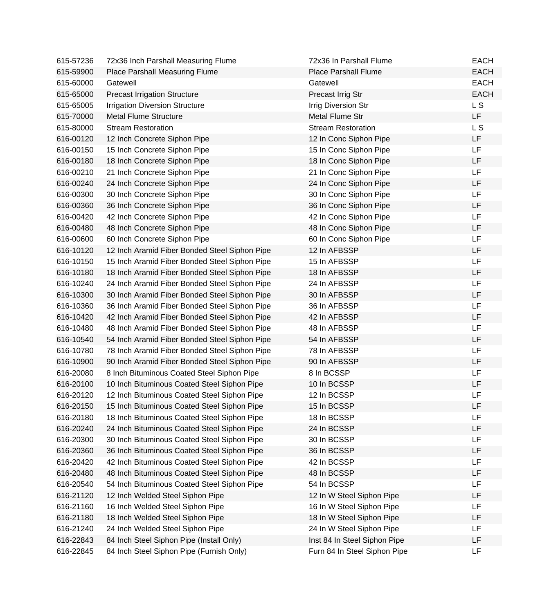| 615-57236 | 72x36 Inch Parshall Measuring Flume           | 72x36 In Parshall Flume      | <b>EACH</b> |
|-----------|-----------------------------------------------|------------------------------|-------------|
| 615-59900 | <b>Place Parshall Measuring Flume</b>         | <b>Place Parshall Flume</b>  | <b>EACH</b> |
| 615-60000 | Gatewell                                      | Gatewell                     | <b>EACH</b> |
| 615-65000 | <b>Precast Irrigation Structure</b>           | Precast Irrig Str            | <b>EACH</b> |
| 615-65005 | <b>Irrigation Diversion Structure</b>         | <b>Irrig Diversion Str</b>   | <b>LS</b>   |
| 615-70000 | <b>Metal Flume Structure</b>                  | Metal Flume Str              | LF          |
| 615-80000 | <b>Stream Restoration</b>                     | <b>Stream Restoration</b>    | L S         |
| 616-00120 | 12 Inch Concrete Siphon Pipe                  | 12 In Conc Siphon Pipe       | LF          |
| 616-00150 | 15 Inch Concrete Siphon Pipe                  | 15 In Conc Siphon Pipe       | LF          |
| 616-00180 | 18 Inch Concrete Siphon Pipe                  | 18 In Conc Siphon Pipe       | LF          |
| 616-00210 | 21 Inch Concrete Siphon Pipe                  | 21 In Conc Siphon Pipe       | <b>LF</b>   |
| 616-00240 | 24 Inch Concrete Siphon Pipe                  | 24 In Conc Siphon Pipe       | LF          |
| 616-00300 | 30 Inch Concrete Siphon Pipe                  | 30 In Conc Siphon Pipe       | LF          |
| 616-00360 | 36 Inch Concrete Siphon Pipe                  | 36 In Conc Siphon Pipe       | LF          |
| 616-00420 | 42 Inch Concrete Siphon Pipe                  | 42 In Conc Siphon Pipe       | LF          |
| 616-00480 | 48 Inch Concrete Siphon Pipe                  | 48 In Conc Siphon Pipe       | LF          |
| 616-00600 | 60 Inch Concrete Siphon Pipe                  | 60 In Conc Siphon Pipe       | LF          |
| 616-10120 | 12 Inch Aramid Fiber Bonded Steel Siphon Pipe | 12 In AFBSSP                 | <b>LF</b>   |
| 616-10150 | 15 Inch Aramid Fiber Bonded Steel Siphon Pipe | 15 In AFBSSP                 | LF          |
| 616-10180 | 18 Inch Aramid Fiber Bonded Steel Siphon Pipe | 18 In AFBSSP                 | LF          |
| 616-10240 | 24 Inch Aramid Fiber Bonded Steel Siphon Pipe | 24 In AFBSSP                 | LF          |
| 616-10300 | 30 Inch Aramid Fiber Bonded Steel Siphon Pipe | 30 In AFBSSP                 | LF          |
| 616-10360 | 36 Inch Aramid Fiber Bonded Steel Siphon Pipe | 36 In AFBSSP                 | LF          |
| 616-10420 | 42 Inch Aramid Fiber Bonded Steel Siphon Pipe | 42 In AFBSSP                 | LF          |
| 616-10480 | 48 Inch Aramid Fiber Bonded Steel Siphon Pipe | 48 In AFBSSP                 | <b>LF</b>   |
| 616-10540 | 54 Inch Aramid Fiber Bonded Steel Siphon Pipe | 54 In AFBSSP                 | <b>LF</b>   |
| 616-10780 | 78 Inch Aramid Fiber Bonded Steel Siphon Pipe | 78 In AFBSSP                 | LF          |
| 616-10900 | 90 Inch Aramid Fiber Bonded Steel Siphon Pipe | 90 In AFBSSP                 | <b>LF</b>   |
| 616-20080 | 8 Inch Bituminous Coated Steel Siphon Pipe    | 8 In BCSSP                   | LF          |
| 616-20100 | 10 Inch Bituminous Coated Steel Siphon Pipe   | 10 In BCSSP                  | LF          |
| 616-20120 | 12 Inch Bituminous Coated Steel Siphon Pipe   | 12 In BCSSP                  | LF          |
| 616-20150 | 15 Inch Bituminous Coated Steel Siphon Pipe   | 15 In BCSSP                  | LF          |
| 616-20180 | 18 Inch Bituminous Coated Steel Siphon Pipe   | 18 In BCSSP                  | LF          |
| 616-20240 | 24 Inch Bituminous Coated Steel Siphon Pipe   | 24 In BCSSP                  | LF          |
| 616-20300 | 30 Inch Bituminous Coated Steel Siphon Pipe   | 30 In BCSSP                  | LF          |
| 616-20360 | 36 Inch Bituminous Coated Steel Siphon Pipe   | 36 In BCSSP                  | LF          |
| 616-20420 | 42 Inch Bituminous Coated Steel Siphon Pipe   | 42 In BCSSP                  | LF          |
| 616-20480 | 48 Inch Bituminous Coated Steel Siphon Pipe   | 48 In BCSSP                  | LF          |
| 616-20540 | 54 Inch Bituminous Coated Steel Siphon Pipe   | 54 In BCSSP                  | LF          |
| 616-21120 | 12 Inch Welded Steel Siphon Pipe              | 12 In W Steel Siphon Pipe    | LF          |
| 616-21160 | 16 Inch Welded Steel Siphon Pipe              | 16 In W Steel Siphon Pipe    | LF          |
| 616-21180 | 18 Inch Welded Steel Siphon Pipe              | 18 In W Steel Siphon Pipe    | LF          |
| 616-21240 | 24 Inch Welded Steel Siphon Pipe              | 24 In W Steel Siphon Pipe    | LF          |
| 616-22843 | 84 Inch Steel Siphon Pipe (Install Only)      | Inst 84 In Steel Siphon Pipe | LF          |
| 616-22845 | 84 Inch Steel Siphon Pipe (Furnish Only)      | Furn 84 In Steel Siphon Pipe | LF          |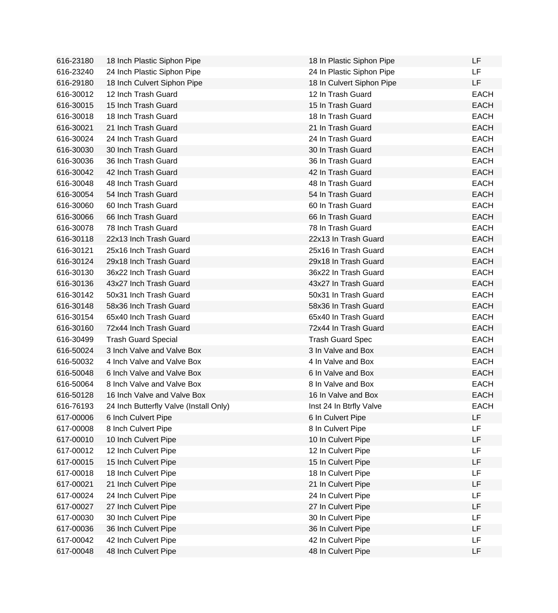| 616-23180 | 18 Inch Plastic Siphon Pipe            | 18 In Plastic Siphon Pipe | LF          |
|-----------|----------------------------------------|---------------------------|-------------|
| 616-23240 | 24 Inch Plastic Siphon Pipe            | 24 In Plastic Siphon Pipe | LF          |
| 616-29180 | 18 Inch Culvert Siphon Pipe            | 18 In Culvert Siphon Pipe | LF          |
| 616-30012 | 12 Inch Trash Guard                    | 12 In Trash Guard         | <b>EACH</b> |
| 616-30015 | 15 Inch Trash Guard                    | 15 In Trash Guard         | <b>EACH</b> |
| 616-30018 | 18 Inch Trash Guard                    | 18 In Trash Guard         | <b>EACH</b> |
| 616-30021 | 21 Inch Trash Guard                    | 21 In Trash Guard         | <b>EACH</b> |
| 616-30024 | 24 Inch Trash Guard                    | 24 In Trash Guard         | <b>EACH</b> |
| 616-30030 | 30 Inch Trash Guard                    | 30 In Trash Guard         | <b>EACH</b> |
| 616-30036 | 36 Inch Trash Guard                    | 36 In Trash Guard         | <b>EACH</b> |
| 616-30042 | 42 Inch Trash Guard                    | 42 In Trash Guard         | <b>EACH</b> |
| 616-30048 | 48 Inch Trash Guard                    | 48 In Trash Guard         | <b>EACH</b> |
| 616-30054 | 54 Inch Trash Guard                    | 54 In Trash Guard         | <b>EACH</b> |
| 616-30060 | 60 Inch Trash Guard                    | 60 In Trash Guard         | <b>EACH</b> |
| 616-30066 | 66 Inch Trash Guard                    | 66 In Trash Guard         | <b>EACH</b> |
| 616-30078 | 78 Inch Trash Guard                    | 78 In Trash Guard         | <b>EACH</b> |
| 616-30118 | 22x13 Inch Trash Guard                 | 22x13 In Trash Guard      | <b>EACH</b> |
| 616-30121 | 25x16 Inch Trash Guard                 | 25x16 In Trash Guard      | <b>EACH</b> |
| 616-30124 | 29x18 Inch Trash Guard                 | 29x18 In Trash Guard      | <b>EACH</b> |
| 616-30130 | 36x22 Inch Trash Guard                 | 36x22 In Trash Guard      | <b>EACH</b> |
| 616-30136 | 43x27 Inch Trash Guard                 | 43x27 In Trash Guard      | <b>EACH</b> |
| 616-30142 | 50x31 Inch Trash Guard                 | 50x31 In Trash Guard      | <b>EACH</b> |
| 616-30148 | 58x36 Inch Trash Guard                 | 58x36 In Trash Guard      | <b>EACH</b> |
| 616-30154 | 65x40 Inch Trash Guard                 | 65x40 In Trash Guard      | <b>EACH</b> |
| 616-30160 | 72x44 Inch Trash Guard                 | 72x44 In Trash Guard      | <b>EACH</b> |
| 616-30499 | <b>Trash Guard Special</b>             | <b>Trash Guard Spec</b>   | <b>EACH</b> |
| 616-50024 | 3 Inch Valve and Valve Box             | 3 In Valve and Box        | <b>EACH</b> |
| 616-50032 | 4 Inch Valve and Valve Box             | 4 In Valve and Box        | <b>EACH</b> |
| 616-50048 | 6 Inch Valve and Valve Box             | 6 In Valve and Box        | <b>EACH</b> |
| 616-50064 | 8 Inch Valve and Valve Box             | 8 In Valve and Box        | <b>EACH</b> |
| 616-50128 | 16 Inch Valve and Valve Box            | 16 In Valve and Box       | <b>EACH</b> |
| 616-76193 | 24 Inch Butterfly Valve (Install Only) | Inst 24 In Btrfly Valve   | <b>EACH</b> |
| 617-00006 | 6 Inch Culvert Pipe                    | 6 In Culvert Pipe         | LF          |
| 617-00008 | 8 Inch Culvert Pipe                    | 8 In Culvert Pipe         | LF          |
| 617-00010 | 10 Inch Culvert Pipe                   | 10 In Culvert Pipe        | LF          |
| 617-00012 | 12 Inch Culvert Pipe                   | 12 In Culvert Pipe        | LF          |
| 617-00015 | 15 Inch Culvert Pipe                   | 15 In Culvert Pipe        | LF          |
| 617-00018 | 18 Inch Culvert Pipe                   | 18 In Culvert Pipe        | LF          |
| 617-00021 | 21 Inch Culvert Pipe                   | 21 In Culvert Pipe        | LF          |
| 617-00024 | 24 Inch Culvert Pipe                   | 24 In Culvert Pipe        | LF          |
| 617-00027 | 27 Inch Culvert Pipe                   | 27 In Culvert Pipe        | LF          |
| 617-00030 | 30 Inch Culvert Pipe                   | 30 In Culvert Pipe        | LF          |
| 617-00036 | 36 Inch Culvert Pipe                   | 36 In Culvert Pipe        | LF          |
| 617-00042 | 42 Inch Culvert Pipe                   | 42 In Culvert Pipe        | LF          |
| 617-00048 | 48 Inch Culvert Pipe                   | 48 In Culvert Pipe        | LF          |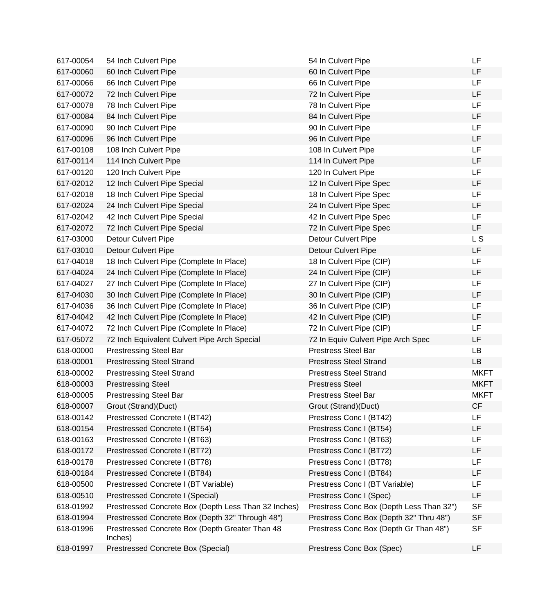| 617-00054 | 54 Inch Culvert Pipe                                       | 54 In Culvert Pipe                       | LF             |
|-----------|------------------------------------------------------------|------------------------------------------|----------------|
| 617-00060 | 60 Inch Culvert Pipe                                       | 60 In Culvert Pipe                       | LF             |
| 617-00066 | 66 Inch Culvert Pipe                                       | 66 In Culvert Pipe                       | LF             |
| 617-00072 | 72 Inch Culvert Pipe                                       | 72 In Culvert Pipe                       | LF             |
| 617-00078 | 78 Inch Culvert Pipe                                       | 78 In Culvert Pipe                       | <b>LF</b>      |
| 617-00084 | 84 Inch Culvert Pipe                                       | 84 In Culvert Pipe                       | <b>LF</b>      |
| 617-00090 | 90 Inch Culvert Pipe                                       | 90 In Culvert Pipe                       | LF             |
| 617-00096 | 96 Inch Culvert Pipe                                       | 96 In Culvert Pipe                       | <b>LF</b>      |
| 617-00108 | 108 Inch Culvert Pipe                                      | 108 In Culvert Pipe                      | LF             |
| 617-00114 | 114 Inch Culvert Pipe                                      | 114 In Culvert Pipe                      | <b>LF</b>      |
| 617-00120 | 120 Inch Culvert Pipe                                      | 120 In Culvert Pipe                      | <b>LF</b>      |
| 617-02012 | 12 Inch Culvert Pipe Special                               | 12 In Culvert Pipe Spec                  | <b>LF</b>      |
| 617-02018 | 18 Inch Culvert Pipe Special                               | 18 In Culvert Pipe Spec                  | LF             |
| 617-02024 | 24 Inch Culvert Pipe Special                               | 24 In Culvert Pipe Spec                  | LF             |
| 617-02042 | 42 Inch Culvert Pipe Special                               | 42 In Culvert Pipe Spec                  | <b>LF</b>      |
| 617-02072 | 72 Inch Culvert Pipe Special                               | 72 In Culvert Pipe Spec                  | LF.            |
| 617-03000 | <b>Detour Culvert Pipe</b>                                 | <b>Detour Culvert Pipe</b>               | L <sub>S</sub> |
| 617-03010 | <b>Detour Culvert Pipe</b>                                 | <b>Detour Culvert Pipe</b>               | LF             |
| 617-04018 | 18 Inch Culvert Pipe (Complete In Place)                   | 18 In Culvert Pipe (CIP)                 | <b>LF</b>      |
| 617-04024 | 24 Inch Culvert Pipe (Complete In Place)                   | 24 In Culvert Pipe (CIP)                 | <b>LF</b>      |
| 617-04027 | 27 Inch Culvert Pipe (Complete In Place)                   | 27 In Culvert Pipe (CIP)                 | <b>LF</b>      |
| 617-04030 | 30 Inch Culvert Pipe (Complete In Place)                   | 30 In Culvert Pipe (CIP)                 | LF             |
| 617-04036 | 36 Inch Culvert Pipe (Complete In Place)                   | 36 In Culvert Pipe (CIP)                 | <b>LF</b>      |
| 617-04042 | 42 Inch Culvert Pipe (Complete In Place)                   | 42 In Culvert Pipe (CIP)                 | LF             |
| 617-04072 | 72 Inch Culvert Pipe (Complete In Place)                   | 72 In Culvert Pipe (CIP)                 | LF             |
| 617-05072 | 72 Inch Equivalent Culvert Pipe Arch Special               | 72 In Equiv Culvert Pipe Arch Spec       | LF             |
| 618-00000 | <b>Prestressing Steel Bar</b>                              | <b>Prestress Steel Bar</b>               | <b>LB</b>      |
| 618-00001 | <b>Prestressing Steel Strand</b>                           | <b>Prestress Steel Strand</b>            | <b>LB</b>      |
| 618-00002 | <b>Prestressing Steel Strand</b>                           | <b>Prestress Steel Strand</b>            | <b>MKFT</b>    |
| 618-00003 | <b>Prestressing Steel</b>                                  | <b>Prestress Steel</b>                   | <b>MKFT</b>    |
| 618-00005 | <b>Prestressing Steel Bar</b>                              | <b>Prestress Steel Bar</b>               | <b>MKFT</b>    |
| 618-00007 | Grout (Strand)(Duct)                                       | Grout (Strand)(Duct)                     | СF             |
| 618-00142 | Prestressed Concrete I (BT42)                              | Prestress Conc I (BT42)                  | <b>LF</b>      |
| 618-00154 | Prestressed Concrete I (BT54)                              | Prestress Conc I (BT54)                  | LF             |
| 618-00163 | Prestressed Concrete I (BT63)                              | Prestress Conc I (BT63)                  | LF             |
| 618-00172 | Prestressed Concrete I (BT72)                              | Prestress Conc I (BT72)                  | LF             |
| 618-00178 | Prestressed Concrete I (BT78)                              | Prestress Conc I (BT78)                  | LF             |
| 618-00184 | Prestressed Concrete I (BT84)                              | Prestress Conc I (BT84)                  | LF             |
| 618-00500 | Prestressed Concrete I (BT Variable)                       | Prestress Conc I (BT Variable)           | LF             |
| 618-00510 | Prestressed Concrete I (Special)                           | Prestress Conc I (Spec)                  | LF             |
| 618-01992 | Prestressed Concrete Box (Depth Less Than 32 Inches)       | Prestress Conc Box (Depth Less Than 32") | <b>SF</b>      |
| 618-01994 | Prestressed Concrete Box (Depth 32" Through 48")           | Prestress Conc Box (Depth 32" Thru 48")  | <b>SF</b>      |
| 618-01996 | Prestressed Concrete Box (Depth Greater Than 48<br>Inches) | Prestress Conc Box (Depth Gr Than 48")   | <b>SF</b>      |
| 618-01997 | Prestressed Concrete Box (Special)                         | Prestress Conc Box (Spec)                | LF             |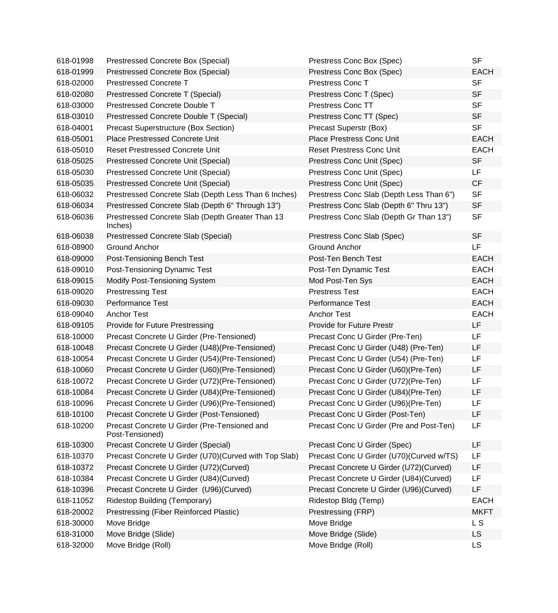| 618-01998 | Prestressed Concrete Box (Special)                              | Prestress Conc Box (Spec)                | <b>SF</b>   |
|-----------|-----------------------------------------------------------------|------------------------------------------|-------------|
| 618-01999 | Prestressed Concrete Box (Special)                              | Prestress Conc Box (Spec)                | <b>EACH</b> |
| 618-02000 | <b>Prestressed Concrete T</b>                                   | Prestress Conc T                         | <b>SF</b>   |
| 618-02080 | Prestressed Concrete T (Special)                                | Prestress Conc T (Spec)                  | <b>SF</b>   |
| 618-03000 | Prestressed Concrete Double T                                   | <b>Prestress Conc TT</b>                 | <b>SF</b>   |
| 618-03010 | Prestressed Concrete Double T (Special)                         | Prestress Conc TT (Spec)                 | <b>SF</b>   |
| 618-04001 | Precast Superstructure (Box Section)                            | Precast Superstr (Box)                   | <b>SF</b>   |
| 618-05001 | Place Prestressed Concrete Unit                                 | Place Prestress Conc Unit                | <b>EACH</b> |
| 618-05010 | <b>Reset Prestressed Concrete Unit</b>                          | <b>Reset Prestress Conc Unit</b>         | <b>EACH</b> |
| 618-05025 | Prestressed Concrete Unit (Special)                             | Prestress Conc Unit (Spec)               | <b>SF</b>   |
| 618-05030 | <b>Prestressed Concrete Unit (Special)</b>                      | Prestress Conc Unit (Spec)               | LF          |
| 618-05035 | Prestressed Concrete Unit (Special)                             | Prestress Conc Unit (Spec)               | <b>CF</b>   |
| 618-06032 | Prestressed Concrete Slab (Depth Less Than 6 Inches)            | Prestress Conc Slab (Depth Less Than 6") | <b>SF</b>   |
| 618-06034 | Prestressed Concrete Slab (Depth 6" Through 13")                | Prestress Conc Slab (Depth 6" Thru 13")  | <b>SF</b>   |
| 618-06036 | Prestressed Concrete Slab (Depth Greater Than 13<br>Inches)     | Prestress Conc Slab (Depth Gr Than 13")  | <b>SF</b>   |
| 618-06038 | Prestressed Concrete Slab (Special)                             | Prestress Conc Slab (Spec)               | <b>SF</b>   |
| 618-08900 | Ground Anchor                                                   | <b>Ground Anchor</b>                     | LF          |
| 618-09000 | Post-Tensioning Bench Test                                      | Post-Ten Bench Test                      | <b>EACH</b> |
| 618-09010 | Post-Tensioning Dynamic Test                                    | Post-Ten Dynamic Test                    | <b>EACH</b> |
| 618-09015 | <b>Modify Post-Tensioning System</b>                            | Mod Post-Ten Sys                         | <b>EACH</b> |
| 618-09020 | <b>Prestressing Test</b>                                        | <b>Prestress Test</b>                    | <b>EACH</b> |
| 618-09030 | <b>Performance Test</b>                                         | <b>Performance Test</b>                  | <b>EACH</b> |
| 618-09040 | <b>Anchor Test</b>                                              | <b>Anchor Test</b>                       | <b>EACH</b> |
| 618-09105 | Provide for Future Prestressing                                 | Provide for Future Prestr                | LF          |
| 618-10000 | Precast Concrete U Girder (Pre-Tensioned)                       | Precast Conc U Girder (Pre-Ten)          | LF.         |
| 618-10048 | Precast Concrete U Girder (U48) (Pre-Tensioned)                 | Precast Conc U Girder (U48) (Pre-Ten)    | LF          |
| 618-10054 | Precast Concrete U Girder (U54) (Pre-Tensioned)                 | Precast Conc U Girder (U54) (Pre-Ten)    | LF          |
| 618-10060 | Precast Concrete U Girder (U60) (Pre-Tensioned)                 | Precast Conc U Girder (U60) (Pre-Ten)    | LF          |
| 618-10072 | Precast Concrete U Girder (U72) (Pre-Tensioned)                 | Precast Conc U Girder (U72)(Pre-Ten)     | LF          |
| 618-10084 | Precast Concrete U Girder (U84) (Pre-Tensioned)                 | Precast Conc U Girder (U84) (Pre-Ten)    | LF          |
| 618-10096 | Precast Concrete U Girder (U96) (Pre-Tensioned)                 | Precast Conc U Girder (U96) (Pre-Ten)    | LF          |
| 618-10100 | Precast Concrete U Girder (Post-Tensioned)                      | Precast Conc U Girder (Post-Ten)         | LF          |
| 618-10200 | Precast Concrete U Girder (Pre-Tensioned and<br>Post-Tensioned) | Precast Conc U Girder (Pre and Post-Ten) | LF          |
| 618-10300 | Precast Concrete U Girder (Special)                             | Precast Conc U Girder (Spec)             | LF          |
| 618-10370 | Precast Concrete U Girder (U70)(Curved with Top Slab)           | Precast Conc U Girder (U70)(Curved w/TS) | LF          |
| 618-10372 | Precast Concrete U Girder (U72)(Curved)                         | Precast Concrete U Girder (U72) (Curved) | LF          |
| 618-10384 | Precast Concrete U Girder (U84)(Curved)                         | Precast Concrete U Girder (U84)(Curved)  | LF          |
| 618-10396 | Precast Concrete U Girder (U96)(Curved)                         | Precast Concrete U Girder (U96)(Curved)  | LF          |
| 618-11052 | <b>Ridestop Building (Temporary)</b>                            | Ridestop Bldg (Temp)                     | <b>EACH</b> |
| 618-20002 | Prestressing (Fiber Reinforced Plastic)                         | Prestressing (FRP)                       | <b>MKFT</b> |
| 618-30000 | Move Bridge                                                     | Move Bridge                              | L S         |
| 618-31000 | Move Bridge (Slide)                                             | Move Bridge (Slide)                      | <b>LS</b>   |
| 618-32000 | Move Bridge (Roll)                                              | Move Bridge (Roll)                       | <b>LS</b>   |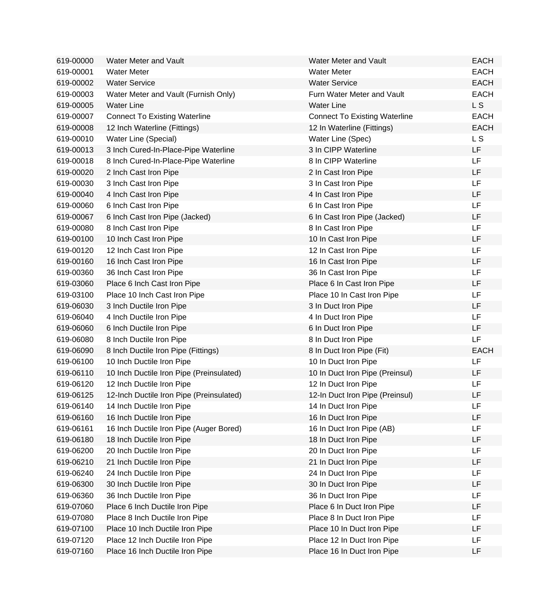| 619-00000 | <b>Water Meter and Vault</b>             | Water Meter and Vault                | <b>EACH</b>    |
|-----------|------------------------------------------|--------------------------------------|----------------|
| 619-00001 | <b>Water Meter</b>                       | <b>Water Meter</b>                   | <b>EACH</b>    |
| 619-00002 | <b>Water Service</b>                     | <b>Water Service</b>                 | <b>EACH</b>    |
| 619-00003 | Water Meter and Vault (Furnish Only)     | Furn Water Meter and Vault           | <b>EACH</b>    |
| 619-00005 | <b>Water Line</b>                        | <b>Water Line</b>                    | L S            |
| 619-00007 | <b>Connect To Existing Waterline</b>     | <b>Connect To Existing Waterline</b> | <b>EACH</b>    |
| 619-00008 | 12 Inch Waterline (Fittings)             | 12 In Waterline (Fittings)           | <b>EACH</b>    |
| 619-00010 | Water Line (Special)                     | Water Line (Spec)                    | L <sub>S</sub> |
| 619-00013 | 3 Inch Cured-In-Place-Pipe Waterline     | 3 In CIPP Waterline                  | LF             |
| 619-00018 | 8 Inch Cured-In-Place-Pipe Waterline     | 8 In CIPP Waterline                  | <b>LF</b>      |
| 619-00020 | 2 Inch Cast Iron Pipe                    | 2 In Cast Iron Pipe                  | <b>LF</b>      |
| 619-00030 | 3 Inch Cast Iron Pipe                    | 3 In Cast Iron Pipe                  | <b>LF</b>      |
| 619-00040 | 4 Inch Cast Iron Pipe                    | 4 In Cast Iron Pipe                  | <b>LF</b>      |
| 619-00060 | 6 Inch Cast Iron Pipe                    | 6 In Cast Iron Pipe                  | LF             |
| 619-00067 | 6 Inch Cast Iron Pipe (Jacked)           | 6 In Cast Iron Pipe (Jacked)         | LF             |
| 619-00080 | 8 Inch Cast Iron Pipe                    | 8 In Cast Iron Pipe                  | <b>LF</b>      |
| 619-00100 | 10 Inch Cast Iron Pipe                   | 10 In Cast Iron Pipe                 | LF             |
| 619-00120 | 12 Inch Cast Iron Pipe                   | 12 In Cast Iron Pipe                 | <b>LF</b>      |
| 619-00160 | 16 Inch Cast Iron Pipe                   | 16 In Cast Iron Pipe                 | LF             |
| 619-00360 | 36 Inch Cast Iron Pipe                   | 36 In Cast Iron Pipe                 | <b>LF</b>      |
| 619-03060 | Place 6 Inch Cast Iron Pipe              | Place 6 In Cast Iron Pipe            | LF             |
| 619-03100 | Place 10 Inch Cast Iron Pipe             | Place 10 In Cast Iron Pipe           | LF             |
| 619-06030 | 3 Inch Ductile Iron Pipe                 | 3 In Duct Iron Pipe                  | <b>LF</b>      |
| 619-06040 | 4 Inch Ductile Iron Pipe                 | 4 In Duct Iron Pipe                  | LF             |
| 619-06060 | 6 Inch Ductile Iron Pipe                 | 6 In Duct Iron Pipe                  | LF             |
| 619-06080 | 8 Inch Ductile Iron Pipe                 | 8 In Duct Iron Pipe                  | <b>LF</b>      |
| 619-06090 | 8 Inch Ductile Iron Pipe (Fittings)      | 8 In Duct Iron Pipe (Fit)            | <b>EACH</b>    |
| 619-06100 | 10 Inch Ductile Iron Pipe                | 10 In Duct Iron Pipe                 | LF             |
| 619-06110 | 10 Inch Ductile Iron Pipe (Preinsulated) | 10 In Duct Iron Pipe (Preinsul)      | LF             |
| 619-06120 | 12 Inch Ductile Iron Pipe                | 12 In Duct Iron Pipe                 | LF             |
| 619-06125 | 12-Inch Ductile Iron Pipe (Preinsulated) | 12-In Duct Iron Pipe (Preinsul)      | LF             |
| 619-06140 | 14 Inch Ductile Iron Pipe                | 14 In Duct Iron Pipe                 | LF             |
| 619-06160 | 16 Inch Ductile Iron Pipe                | 16 In Duct Iron Pipe                 | LF             |
| 619-06161 | 16 Inch Ductile Iron Pipe (Auger Bored)  | 16 In Duct Iron Pipe (AB)            | LF             |
| 619-06180 | 18 Inch Ductile Iron Pipe                | 18 In Duct Iron Pipe                 | LF             |
| 619-06200 | 20 Inch Ductile Iron Pipe                | 20 In Duct Iron Pipe                 | LF             |
| 619-06210 | 21 Inch Ductile Iron Pipe                | 21 In Duct Iron Pipe                 | LF             |
| 619-06240 | 24 Inch Ductile Iron Pipe                | 24 In Duct Iron Pipe                 | <b>LF</b>      |
| 619-06300 | 30 Inch Ductile Iron Pipe                | 30 In Duct Iron Pipe                 | LF             |
| 619-06360 | 36 Inch Ductile Iron Pipe                | 36 In Duct Iron Pipe                 | <b>LF</b>      |
| 619-07060 | Place 6 Inch Ductile Iron Pipe           | Place 6 In Duct Iron Pipe            | LF             |
| 619-07080 | Place 8 Inch Ductile Iron Pipe           | Place 8 In Duct Iron Pipe            | LF             |
| 619-07100 | Place 10 Inch Ductile Iron Pipe          | Place 10 In Duct Iron Pipe           | LF             |
| 619-07120 | Place 12 Inch Ductile Iron Pipe          | Place 12 In Duct Iron Pipe           | LF             |
| 619-07160 | Place 16 Inch Ductile Iron Pipe          | Place 16 In Duct Iron Pipe           | LF             |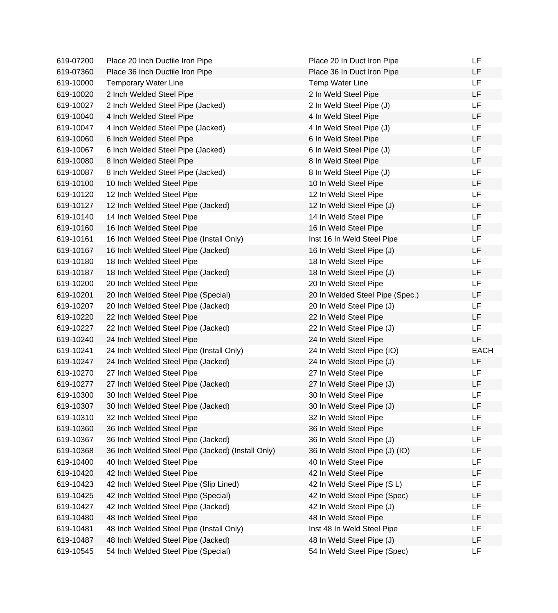| 619-07200 | Place 20 Inch Ductile Iron Pipe                   | Place 20 In Duct Iron Pipe      | LF          |
|-----------|---------------------------------------------------|---------------------------------|-------------|
| 619-07360 | Place 36 Inch Ductile Iron Pipe                   | Place 36 In Duct Iron Pipe      | LF          |
| 619-10000 | <b>Temporary Water Line</b>                       | <b>Temp Water Line</b>          | <b>LF</b>   |
| 619-10020 | 2 Inch Welded Steel Pipe                          | 2 In Weld Steel Pipe            | LF          |
| 619-10027 | 2 Inch Welded Steel Pipe (Jacked)                 | 2 In Weld Steel Pipe (J)        | LF          |
| 619-10040 | 4 Inch Welded Steel Pipe                          | 4 In Weld Steel Pipe            | LF          |
| 619-10047 | 4 Inch Welded Steel Pipe (Jacked)                 | 4 In Weld Steel Pipe (J)        | <b>LF</b>   |
| 619-10060 | 6 Inch Welded Steel Pipe                          | 6 In Weld Steel Pipe            | LF          |
| 619-10067 | 6 Inch Welded Steel Pipe (Jacked)                 | 6 In Weld Steel Pipe (J)        | LF          |
| 619-10080 | 8 Inch Welded Steel Pipe                          | 8 In Weld Steel Pipe            | LF          |
| 619-10087 | 8 Inch Welded Steel Pipe (Jacked)                 | 8 In Weld Steel Pipe (J)        | LF          |
| 619-10100 | 10 Inch Welded Steel Pipe                         | 10 In Weld Steel Pipe           | LF          |
| 619-10120 | 12 Inch Welded Steel Pipe                         | 12 In Weld Steel Pipe           | <b>LF</b>   |
| 619-10127 | 12 Inch Welded Steel Pipe (Jacked)                | 12 In Weld Steel Pipe (J)       | LF          |
| 619-10140 | 14 Inch Welded Steel Pipe                         | 14 In Weld Steel Pipe           | LF          |
| 619-10160 | 16 Inch Welded Steel Pipe                         | 16 In Weld Steel Pipe           | LF          |
| 619-10161 | 16 Inch Welded Steel Pipe (Install Only)          | Inst 16 In Weld Steel Pipe      | LF          |
| 619-10167 | 16 Inch Welded Steel Pipe (Jacked)                | 16 In Weld Steel Pipe (J)       | LF          |
| 619-10180 | 18 Inch Welded Steel Pipe                         | 18 In Weld Steel Pipe           | LF          |
| 619-10187 | 18 Inch Welded Steel Pipe (Jacked)                | 18 In Weld Steel Pipe (J)       | LF          |
| 619-10200 | 20 Inch Welded Steel Pipe                         | 20 In Weld Steel Pipe           | LF          |
| 619-10201 | 20 Inch Welded Steel Pipe (Special)               | 20 In Welded Steel Pipe (Spec.) | LF          |
| 619-10207 | 20 Inch Welded Steel Pipe (Jacked)                | 20 In Weld Steel Pipe (J)       | LF          |
| 619-10220 | 22 Inch Welded Steel Pipe                         | 22 In Weld Steel Pipe           | LF          |
| 619-10227 | 22 Inch Welded Steel Pipe (Jacked)                | 22 In Weld Steel Pipe (J)       | LF          |
| 619-10240 | 24 Inch Welded Steel Pipe                         | 24 In Weld Steel Pipe           | LF          |
| 619-10241 | 24 Inch Welded Steel Pipe (Install Only)          | 24 In Weld Steel Pipe (IO)      | <b>EACH</b> |
| 619-10247 | 24 Inch Welded Steel Pipe (Jacked)                | 24 In Weld Steel Pipe (J)       | LF          |
| 619-10270 | 27 Inch Welded Steel Pipe                         | 27 In Weld Steel Pipe           | LF.         |
| 619-10277 | 27 Inch Welded Steel Pipe (Jacked)                | 27 In Weld Steel Pipe (J)       | LF          |
| 619-10300 | 30 Inch Welded Steel Pipe                         | 30 In Weld Steel Pipe           | LF          |
| 619-10307 | 30 Inch Welded Steel Pipe (Jacked)                | 30 In Weld Steel Pipe (J)       | LF          |
| 619-10310 | 32 Inch Welded Steel Pipe                         | 32 In Weld Steel Pipe           | LF          |
| 619-10360 | 36 Inch Welded Steel Pipe                         | 36 In Weld Steel Pipe           | LF          |
| 619-10367 | 36 Inch Welded Steel Pipe (Jacked)                | 36 In Weld Steel Pipe (J)       | LF          |
| 619-10368 | 36 Inch Welded Steel Pipe (Jacked) (Install Only) | 36 In Weld Steel Pipe (J) (IO)  | LF          |
| 619-10400 | 40 Inch Welded Steel Pipe                         | 40 In Weld Steel Pipe           | LF          |
| 619-10420 | 42 Inch Welded Steel Pipe                         | 42 In Weld Steel Pipe           | LF          |
| 619-10423 | 42 Inch Welded Steel Pipe (Slip Lined)            | 42 In Weld Steel Pipe (S L)     | LF.         |
| 619-10425 | 42 Inch Welded Steel Pipe (Special)               | 42 In Weld Steel Pipe (Spec)    | LF          |
| 619-10427 | 42 Inch Welded Steel Pipe (Jacked)                | 42 In Weld Steel Pipe (J)       | LF          |
| 619-10480 | 48 Inch Welded Steel Pipe                         | 48 In Weld Steel Pipe           | LF          |
| 619-10481 | 48 Inch Welded Steel Pipe (Install Only)          | Inst 48 In Weld Steel Pipe      | LF          |
| 619-10487 | 48 Inch Welded Steel Pipe (Jacked)                | 48 In Weld Steel Pipe (J)       | LF          |
| 619-10545 | 54 Inch Welded Steel Pipe (Special)               | 54 In Weld Steel Pipe (Spec)    | LF          |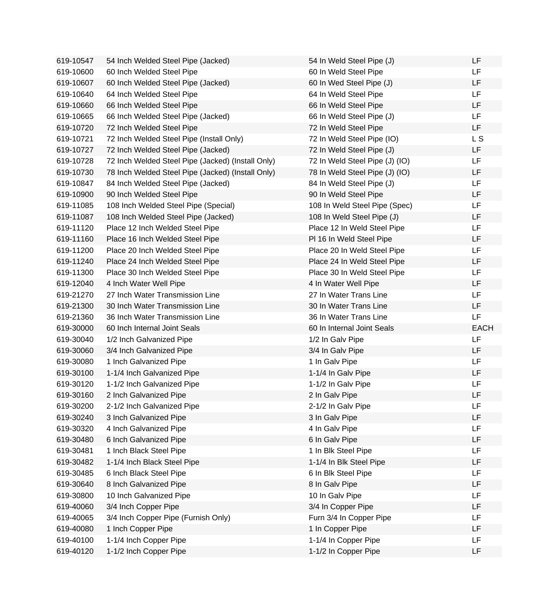| 619-10547 | 54 Inch Welded Steel Pipe (Jacked)                | 54 In Weld Steel Pipe (J)      | LF          |
|-----------|---------------------------------------------------|--------------------------------|-------------|
| 619-10600 | 60 Inch Welded Steel Pipe                         | 60 In Weld Steel Pipe          | LF.         |
| 619-10607 | 60 Inch Welded Steel Pipe (Jacked)                | 60 In Wed Steel Pipe (J)       | LF          |
| 619-10640 | 64 Inch Welded Steel Pipe                         | 64 In Weld Steel Pipe          | LF.         |
| 619-10660 | 66 Inch Welded Steel Pipe                         | 66 In Weld Steel Pipe          | LF          |
| 619-10665 | 66 Inch Welded Steel Pipe (Jacked)                | 66 In Weld Steel Pipe (J)      | LF          |
| 619-10720 | 72 Inch Welded Steel Pipe                         | 72 In Weld Steel Pipe          | LF.         |
| 619-10721 | 72 Inch Welded Steel Pipe (Install Only)          | 72 In Weld Steel Pipe (IO)     | L S         |
| 619-10727 | 72 Inch Welded Steel Pipe (Jacked)                | 72 In Weld Steel Pipe (J)      | LF.         |
| 619-10728 | 72 Inch Welded Steel Pipe (Jacked) (Install Only) | 72 In Weld Steel Pipe (J) (IO) | LF          |
| 619-10730 | 78 Inch Welded Steel Pipe (Jacked) (Install Only) | 78 In Weld Steel Pipe (J) (IO) | LF          |
| 619-10847 | 84 Inch Welded Steel Pipe (Jacked)                | 84 In Weld Steel Pipe (J)      | LF          |
| 619-10900 | 90 Inch Welded Steel Pipe                         | 90 In Weld Steel Pipe          | LF          |
| 619-11085 | 108 Inch Welded Steel Pipe (Special)              | 108 In Weld Steel Pipe (Spec)  | LF          |
| 619-11087 | 108 Inch Welded Steel Pipe (Jacked)               | 108 In Weld Steel Pipe (J)     | LF          |
| 619-11120 | Place 12 Inch Welded Steel Pipe                   | Place 12 In Weld Steel Pipe    | LF          |
| 619-11160 | Place 16 Inch Welded Steel Pipe                   | PI 16 In Weld Steel Pipe       | LF          |
| 619-11200 | Place 20 Inch Welded Steel Pipe                   | Place 20 In Weld Steel Pipe    | LF          |
| 619-11240 | Place 24 Inch Welded Steel Pipe                   | Place 24 In Weld Steel Pipe    | LF          |
| 619-11300 | Place 30 Inch Welded Steel Pipe                   | Place 30 In Weld Steel Pipe    | LF          |
| 619-12040 | 4 Inch Water Well Pipe                            | 4 In Water Well Pipe           | LF          |
| 619-21270 | 27 Inch Water Transmission Line                   | 27 In Water Trans Line         | LF          |
| 619-21300 | 30 Inch Water Transmission Line                   | 30 In Water Trans Line         | LF.         |
| 619-21360 | 36 Inch Water Transmission Line                   | 36 In Water Trans Line         | <b>LF</b>   |
| 619-30000 | 60 Inch Internal Joint Seals                      | 60 In Internal Joint Seals     | <b>EACH</b> |
| 619-30040 | 1/2 Inch Galvanized Pipe                          | 1/2 In Galv Pipe               | <b>LF</b>   |
| 619-30060 | 3/4 Inch Galvanized Pipe                          | 3/4 In Galv Pipe               | LF.         |
| 619-30080 | 1 Inch Galvanized Pipe                            | 1 In Galv Pipe                 | LF          |
| 619-30100 | 1-1/4 Inch Galvanized Pipe                        | 1-1/4 In Galv Pipe             | LF          |
| 619-30120 | 1-1/2 Inch Galvanized Pipe                        | 1-1/2 In Galv Pipe             | LF          |
| 619-30160 | 2 Inch Galvanized Pipe                            | 2 In Galv Pipe                 | LF          |
| 619-30200 | 2-1/2 Inch Galvanized Pipe                        | 2-1/2 In Galv Pipe             | LF          |
| 619-30240 | 3 Inch Galvanized Pipe                            | 3 In Galv Pipe                 | LF          |
| 619-30320 | 4 Inch Galvanized Pipe                            | 4 In Galv Pipe                 | <b>LF</b>   |
| 619-30480 | 6 Inch Galvanized Pipe                            | 6 In Galv Pipe                 | <b>LF</b>   |
| 619-30481 | 1 Inch Black Steel Pipe                           | 1 In Blk Steel Pipe            | LF          |
| 619-30482 | 1-1/4 Inch Black Steel Pipe                       | 1-1/4 In Blk Steel Pipe        | <b>LF</b>   |
| 619-30485 | 6 Inch Black Steel Pipe                           | 6 In Blk Steel Pipe            | LF          |
| 619-30640 | 8 Inch Galvanized Pipe                            | 8 In Galv Pipe                 | LF          |
| 619-30800 | 10 Inch Galvanized Pipe                           | 10 In Galv Pipe                | LF          |
| 619-40060 | 3/4 Inch Copper Pipe                              | 3/4 In Copper Pipe             | LF          |
| 619-40065 | 3/4 Inch Copper Pipe (Furnish Only)               | Furn 3/4 In Copper Pipe        | LF          |
| 619-40080 | 1 Inch Copper Pipe                                | 1 In Copper Pipe               | LF          |
| 619-40100 | 1-1/4 Inch Copper Pipe                            | 1-1/4 In Copper Pipe           | LF          |
| 619-40120 | 1-1/2 Inch Copper Pipe                            | 1-1/2 In Copper Pipe           | <b>LF</b>   |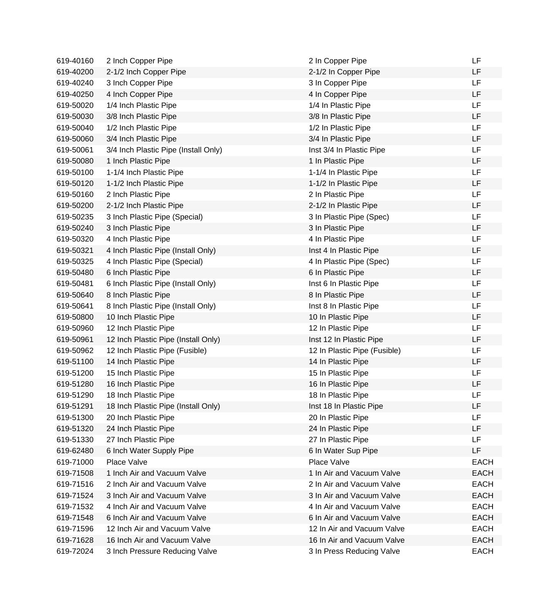| 619-40160 | 2 Inch Copper Pipe                   | 2 In Copper Pipe             | LF          |
|-----------|--------------------------------------|------------------------------|-------------|
| 619-40200 | 2-1/2 Inch Copper Pipe               | 2-1/2 In Copper Pipe         | LF          |
| 619-40240 | 3 Inch Copper Pipe                   | 3 In Copper Pipe             | <b>LF</b>   |
| 619-40250 | 4 Inch Copper Pipe                   | 4 In Copper Pipe             | LF          |
| 619-50020 | 1/4 Inch Plastic Pipe                | 1/4 In Plastic Pipe          | <b>LF</b>   |
| 619-50030 | 3/8 Inch Plastic Pipe                | 3/8 In Plastic Pipe          | LF          |
| 619-50040 | 1/2 Inch Plastic Pipe                | 1/2 In Plastic Pipe          | <b>LF</b>   |
| 619-50060 | 3/4 Inch Plastic Pipe                | 3/4 In Plastic Pipe          | LF          |
| 619-50061 | 3/4 Inch Plastic Pipe (Install Only) | Inst 3/4 In Plastic Pipe     | LF          |
| 619-50080 | 1 Inch Plastic Pipe                  | 1 In Plastic Pipe            | <b>LF</b>   |
| 619-50100 | 1-1/4 Inch Plastic Pipe              | 1-1/4 In Plastic Pipe        | <b>LF</b>   |
| 619-50120 | 1-1/2 Inch Plastic Pipe              | 1-1/2 In Plastic Pipe        | LF          |
| 619-50160 | 2 Inch Plastic Pipe                  | 2 In Plastic Pipe            | <b>LF</b>   |
| 619-50200 | 2-1/2 Inch Plastic Pipe              | 2-1/2 In Plastic Pipe        | LF          |
| 619-50235 | 3 Inch Plastic Pipe (Special)        | 3 In Plastic Pipe (Spec)     | LF          |
| 619-50240 | 3 Inch Plastic Pipe                  | 3 In Plastic Pipe            | LF          |
| 619-50320 | 4 Inch Plastic Pipe                  | 4 In Plastic Pipe            | <b>LF</b>   |
| 619-50321 | 4 Inch Plastic Pipe (Install Only)   | Inst 4 In Plastic Pipe       | <b>LF</b>   |
| 619-50325 | 4 Inch Plastic Pipe (Special)        | 4 In Plastic Pipe (Spec)     | LF          |
| 619-50480 | 6 Inch Plastic Pipe                  | 6 In Plastic Pipe            | LF          |
| 619-50481 | 6 Inch Plastic Pipe (Install Only)   | Inst 6 In Plastic Pipe       | <b>LF</b>   |
| 619-50640 | 8 Inch Plastic Pipe                  | 8 In Plastic Pipe            | LF          |
| 619-50641 | 8 Inch Plastic Pipe (Install Only)   | Inst 8 In Plastic Pipe       | <b>LF</b>   |
| 619-50800 | 10 Inch Plastic Pipe                 | 10 In Plastic Pipe           | LF          |
| 619-50960 | 12 Inch Plastic Pipe                 | 12 In Plastic Pipe           | LF          |
| 619-50961 | 12 Inch Plastic Pipe (Install Only)  | Inst 12 In Plastic Pipe      | LF          |
| 619-50962 | 12 Inch Plastic Pipe (Fusible)       | 12 In Plastic Pipe (Fusible) | <b>LF</b>   |
| 619-51100 | 14 Inch Plastic Pipe                 | 14 In Plastic Pipe           | LF          |
| 619-51200 | 15 Inch Plastic Pipe                 | 15 In Plastic Pipe           | LF          |
| 619-51280 | 16 Inch Plastic Pipe                 | 16 In Plastic Pipe           | LF          |
| 619-51290 | 18 Inch Plastic Pipe                 | 18 In Plastic Pipe           | LF          |
| 619-51291 | 18 Inch Plastic Pipe (Install Only)  | Inst 18 In Plastic Pipe      | LF          |
| 619-51300 | 20 Inch Plastic Pipe                 | 20 In Plastic Pipe           | LF          |
| 619-51320 | 24 Inch Plastic Pipe                 | 24 In Plastic Pipe           | LF          |
| 619-51330 | 27 Inch Plastic Pipe                 | 27 In Plastic Pipe           | LF          |
| 619-62480 | 6 Inch Water Supply Pipe             | 6 In Water Sup Pipe          | LF          |
| 619-71000 | Place Valve                          | Place Valve                  | <b>EACH</b> |
| 619-71508 | 1 Inch Air and Vacuum Valve          | 1 In Air and Vacuum Valve    | <b>EACH</b> |
| 619-71516 | 2 Inch Air and Vacuum Valve          | 2 In Air and Vacuum Valve    | <b>EACH</b> |
| 619-71524 | 3 Inch Air and Vacuum Valve          | 3 In Air and Vacuum Valve    | <b>EACH</b> |
| 619-71532 | 4 Inch Air and Vacuum Valve          | 4 In Air and Vacuum Valve    | <b>EACH</b> |
| 619-71548 | 6 Inch Air and Vacuum Valve          | 6 In Air and Vacuum Valve    | <b>EACH</b> |
| 619-71596 | 12 Inch Air and Vacuum Valve         | 12 In Air and Vacuum Valve   | <b>EACH</b> |
| 619-71628 | 16 Inch Air and Vacuum Valve         | 16 In Air and Vacuum Valve   | <b>EACH</b> |
| 619-72024 | 3 Inch Pressure Reducing Valve       | 3 In Press Reducing Valve    | <b>EACH</b> |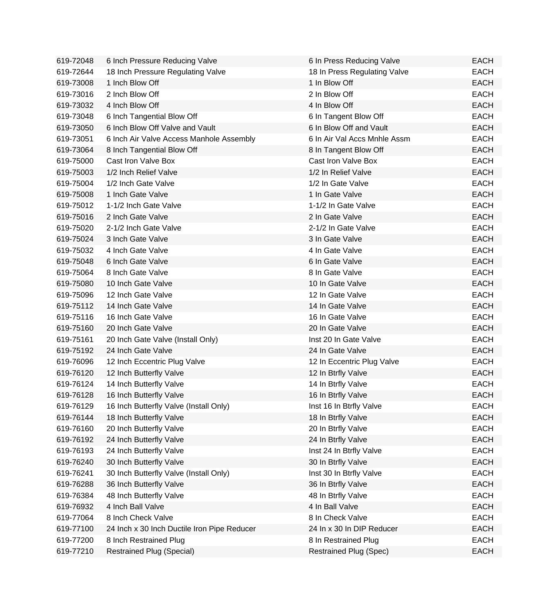| 619-72048 | 6 Inch Pressure Reducing Valve              | 6 In Press Reducing Valve     | <b>EACH</b> |
|-----------|---------------------------------------------|-------------------------------|-------------|
| 619-72644 | 18 Inch Pressure Regulating Valve           | 18 In Press Regulating Valve  | <b>EACH</b> |
| 619-73008 | 1 Inch Blow Off                             | 1 In Blow Off                 | <b>EACH</b> |
| 619-73016 | 2 Inch Blow Off                             | 2 In Blow Off                 | <b>EACH</b> |
| 619-73032 | 4 Inch Blow Off                             | 4 In Blow Off                 | <b>EACH</b> |
| 619-73048 | 6 Inch Tangential Blow Off                  | 6 In Tangent Blow Off         | <b>EACH</b> |
| 619-73050 | 6 Inch Blow Off Valve and Vault             | 6 In Blow Off and Vault       | <b>EACH</b> |
| 619-73051 | 6 Inch Air Valve Access Manhole Assembly    | 6 In Air Val Accs Mnhle Assm  | <b>EACH</b> |
| 619-73064 | 8 Inch Tangential Blow Off                  | 8 In Tangent Blow Off         | <b>EACH</b> |
| 619-75000 | Cast Iron Valve Box                         | Cast Iron Valve Box           | <b>EACH</b> |
| 619-75003 | 1/2 Inch Relief Valve                       | 1/2 In Relief Valve           | <b>EACH</b> |
| 619-75004 | 1/2 Inch Gate Valve                         | 1/2 In Gate Valve             | <b>EACH</b> |
| 619-75008 | 1 Inch Gate Valve                           | 1 In Gate Valve               | <b>EACH</b> |
| 619-75012 | 1-1/2 Inch Gate Valve                       | 1-1/2 In Gate Valve           | <b>EACH</b> |
| 619-75016 | 2 Inch Gate Valve                           | 2 In Gate Valve               | <b>EACH</b> |
| 619-75020 | 2-1/2 Inch Gate Valve                       | 2-1/2 In Gate Valve           | <b>EACH</b> |
| 619-75024 | 3 Inch Gate Valve                           | 3 In Gate Valve               | <b>EACH</b> |
| 619-75032 | 4 Inch Gate Valve                           | 4 In Gate Valve               | <b>EACH</b> |
| 619-75048 | 6 Inch Gate Valve                           | 6 In Gate Valve               | <b>EACH</b> |
| 619-75064 | 8 Inch Gate Valve                           | 8 In Gate Valve               | <b>EACH</b> |
| 619-75080 | 10 Inch Gate Valve                          | 10 In Gate Valve              | <b>EACH</b> |
| 619-75096 | 12 Inch Gate Valve                          | 12 In Gate Valve              | <b>EACH</b> |
| 619-75112 | 14 Inch Gate Valve                          | 14 In Gate Valve              | <b>EACH</b> |
| 619-75116 | 16 Inch Gate Valve                          | 16 In Gate Valve              | <b>EACH</b> |
| 619-75160 | 20 Inch Gate Valve                          | 20 In Gate Valve              | <b>EACH</b> |
| 619-75161 | 20 Inch Gate Valve (Install Only)           | Inst 20 In Gate Valve         | <b>EACH</b> |
| 619-75192 | 24 Inch Gate Valve                          | 24 In Gate Valve              | <b>EACH</b> |
| 619-76096 | 12 Inch Eccentric Plug Valve                | 12 In Eccentric Plug Valve    | <b>EACH</b> |
| 619-76120 | 12 Inch Butterfly Valve                     | 12 In Btrfly Valve            | <b>EACH</b> |
| 619-76124 | 14 Inch Butterfly Valve                     | 14 In Btrfly Valve            | <b>EACH</b> |
| 619-76128 | 16 Inch Butterfly Valve                     | 16 In Btrfly Valve            | <b>EACH</b> |
| 619-76129 | 16 Inch Butterfly Valve (Install Only)      | Inst 16 In Btrfly Valve       | EACH        |
| 619-76144 | 18 Inch Butterfly Valve                     | 18 In Btrfly Valve            | <b>EACH</b> |
| 619-76160 | 20 Inch Butterfly Valve                     | 20 In Btrfly Valve            | <b>EACH</b> |
| 619-76192 | 24 Inch Butterfly Valve                     | 24 In Btrfly Valve            | <b>EACH</b> |
| 619-76193 | 24 Inch Butterfly Valve                     | Inst 24 In Btrfly Valve       | <b>EACH</b> |
| 619-76240 | 30 Inch Butterfly Valve                     | 30 In Btrfly Valve            | <b>EACH</b> |
| 619-76241 | 30 Inch Butterfly Valve (Install Only)      | Inst 30 In Btrfly Valve       | <b>EACH</b> |
| 619-76288 | 36 Inch Butterfly Valve                     | 36 In Btrfly Valve            | <b>EACH</b> |
| 619-76384 | 48 Inch Butterfly Valve                     | 48 In Btrfly Valve            | <b>EACH</b> |
| 619-76932 | 4 Inch Ball Valve                           | 4 In Ball Valve               | <b>EACH</b> |
| 619-77064 | 8 Inch Check Valve                          | 8 In Check Valve              | <b>EACH</b> |
| 619-77100 | 24 Inch x 30 Inch Ductile Iron Pipe Reducer | 24 In x 30 In DIP Reducer     | <b>EACH</b> |
| 619-77200 | 8 Inch Restrained Plug                      | 8 In Restrained Plug          | <b>EACH</b> |
| 619-77210 | <b>Restrained Plug (Special)</b>            | <b>Restrained Plug (Spec)</b> | <b>EACH</b> |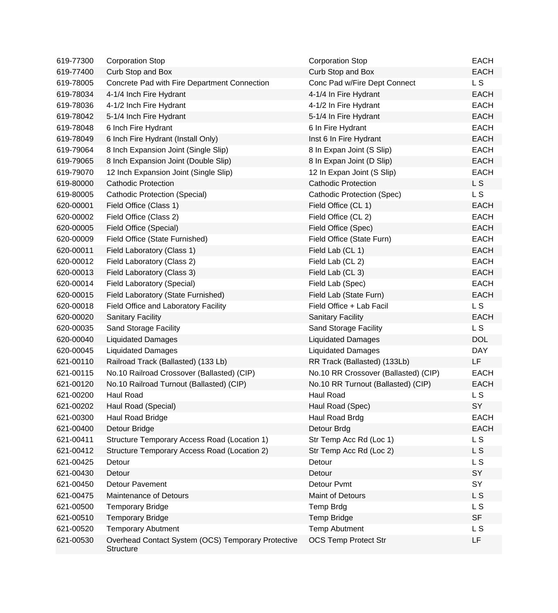| 619-77300 | <b>Corporation Stop</b>                                                | <b>Corporation Stop</b>              | <b>EACH</b>    |
|-----------|------------------------------------------------------------------------|--------------------------------------|----------------|
| 619-77400 | Curb Stop and Box                                                      | Curb Stop and Box                    | <b>EACH</b>    |
| 619-78005 | Concrete Pad with Fire Department Connection                           | Conc Pad w/Fire Dept Connect         | L <sub>S</sub> |
| 619-78034 | 4-1/4 Inch Fire Hydrant                                                | 4-1/4 In Fire Hydrant                | <b>EACH</b>    |
| 619-78036 | 4-1/2 Inch Fire Hydrant                                                | 4-1/2 In Fire Hydrant                | <b>EACH</b>    |
| 619-78042 | 5-1/4 Inch Fire Hydrant                                                | 5-1/4 In Fire Hydrant                | <b>EACH</b>    |
| 619-78048 | 6 Inch Fire Hydrant                                                    | 6 In Fire Hydrant                    | <b>EACH</b>    |
| 619-78049 | 6 Inch Fire Hydrant (Install Only)                                     | Inst 6 In Fire Hydrant               | <b>EACH</b>    |
| 619-79064 | 8 Inch Expansion Joint (Single Slip)                                   | 8 In Expan Joint (S Slip)            | <b>EACH</b>    |
| 619-79065 | 8 Inch Expansion Joint (Double Slip)                                   | 8 In Expan Joint (D Slip)            | <b>EACH</b>    |
| 619-79070 | 12 Inch Expansion Joint (Single Slip)                                  | 12 In Expan Joint (S Slip)           | <b>EACH</b>    |
| 619-80000 | <b>Cathodic Protection</b>                                             | <b>Cathodic Protection</b>           | L S            |
| 619-80005 | Cathodic Protection (Special)                                          | <b>Cathodic Protection (Spec)</b>    | <b>LS</b>      |
| 620-00001 | Field Office (Class 1)                                                 | Field Office (CL 1)                  | <b>EACH</b>    |
| 620-00002 | Field Office (Class 2)                                                 | Field Office (CL 2)                  | <b>EACH</b>    |
| 620-00005 | Field Office (Special)                                                 | Field Office (Spec)                  | <b>EACH</b>    |
| 620-00009 | Field Office (State Furnished)                                         | Field Office (State Furn)            | <b>EACH</b>    |
| 620-00011 | Field Laboratory (Class 1)                                             | Field Lab (CL 1)                     | <b>EACH</b>    |
| 620-00012 | Field Laboratory (Class 2)                                             | Field Lab (CL 2)                     | <b>EACH</b>    |
| 620-00013 | Field Laboratory (Class 3)                                             | Field Lab (CL 3)                     | <b>EACH</b>    |
| 620-00014 | Field Laboratory (Special)                                             | Field Lab (Spec)                     | <b>EACH</b>    |
| 620-00015 | Field Laboratory (State Furnished)                                     | Field Lab (State Furn)               | <b>EACH</b>    |
| 620-00018 | Field Office and Laboratory Facility                                   | Field Office + Lab Facil             | L <sub>S</sub> |
| 620-00020 | <b>Sanitary Facility</b>                                               | <b>Sanitary Facility</b>             | <b>EACH</b>    |
| 620-00035 | <b>Sand Storage Facility</b>                                           | <b>Sand Storage Facility</b>         | L <sub>S</sub> |
| 620-00040 | <b>Liquidated Damages</b>                                              | <b>Liquidated Damages</b>            | <b>DOL</b>     |
| 620-00045 | <b>Liquidated Damages</b>                                              | <b>Liquidated Damages</b>            | <b>DAY</b>     |
| 621-00110 | Railroad Track (Ballasted) (133 Lb)                                    | RR Track (Ballasted) (133Lb)         | LF             |
| 621-00115 | No.10 Railroad Crossover (Ballasted) (CIP)                             | No.10 RR Crossover (Ballasted) (CIP) | <b>EACH</b>    |
| 621-00120 | No.10 Railroad Turnout (Ballasted) (CIP)                               | No.10 RR Turnout (Ballasted) (CIP)   | <b>EACH</b>    |
| 621-00200 | <b>Haul Road</b>                                                       | <b>Haul Road</b>                     | L S            |
| 621-00202 | Haul Road (Special)                                                    | Haul Road (Spec)                     | SY             |
| 621-00300 | Haul Road Bridge                                                       | Haul Road Brdg                       | <b>EACH</b>    |
| 621-00400 | Detour Bridge                                                          | Detour Brdg                          | <b>EACH</b>    |
| 621-00411 | Structure Temporary Access Road (Location 1)                           | Str Temp Acc Rd (Loc 1)              | L <sub>S</sub> |
| 621-00412 | Structure Temporary Access Road (Location 2)                           | Str Temp Acc Rd (Loc 2)              | L S            |
| 621-00425 | Detour                                                                 | Detour                               | L S            |
| 621-00430 | Detour                                                                 | Detour                               | SY             |
| 621-00450 | Detour Pavement                                                        | Detour Pvmt                          | SY             |
| 621-00475 | <b>Maintenance of Detours</b>                                          | Maint of Detours                     | L S            |
| 621-00500 | <b>Temporary Bridge</b>                                                | <b>Temp Brdg</b>                     | L S            |
| 621-00510 | <b>Temporary Bridge</b>                                                | <b>Temp Bridge</b>                   | <b>SF</b>      |
| 621-00520 | <b>Temporary Abutment</b>                                              | <b>Temp Abutment</b>                 | L S            |
| 621-00530 | Overhead Contact System (OCS) Temporary Protective<br><b>Structure</b> | <b>OCS Temp Protect Str</b>          | LF             |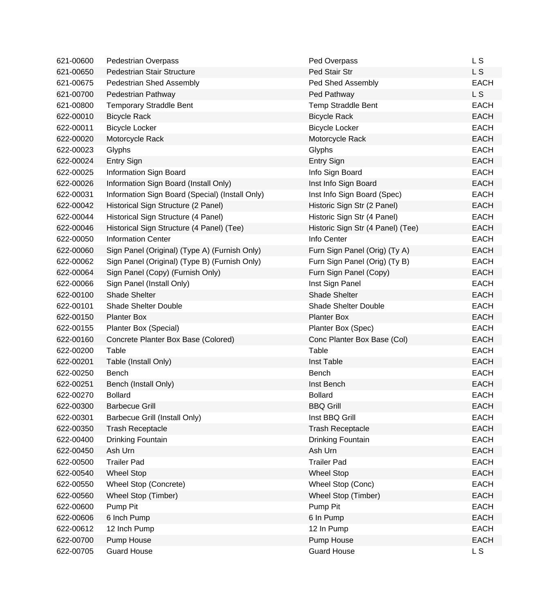| 621-00600 | <b>Pedestrian Overpass</b>                      | Ped Overpass                      | L S         |
|-----------|-------------------------------------------------|-----------------------------------|-------------|
| 621-00650 | Pedestrian Stair Structure                      | Ped Stair Str                     | <b>LS</b>   |
| 621-00675 | Pedestrian Shed Assembly                        | Ped Shed Assembly                 | <b>EACH</b> |
| 621-00700 | Pedestrian Pathway                              | Ped Pathway                       | L S         |
| 621-00800 | <b>Temporary Straddle Bent</b>                  | <b>Temp Straddle Bent</b>         | <b>EACH</b> |
| 622-00010 | <b>Bicycle Rack</b>                             | <b>Bicycle Rack</b>               | <b>EACH</b> |
| 622-00011 | <b>Bicycle Locker</b>                           | <b>Bicycle Locker</b>             | <b>EACH</b> |
| 622-00020 | Motorcycle Rack                                 | Motorcycle Rack                   | <b>EACH</b> |
| 622-00023 | Glyphs                                          | Glyphs                            | <b>EACH</b> |
| 622-00024 | <b>Entry Sign</b>                               | <b>Entry Sign</b>                 | <b>EACH</b> |
| 622-00025 | Information Sign Board                          | Info Sign Board                   | <b>EACH</b> |
| 622-00026 | Information Sign Board (Install Only)           | Inst Info Sign Board              | <b>EACH</b> |
| 622-00031 | Information Sign Board (Special) (Install Only) | Inst Info Sign Board (Spec)       | <b>EACH</b> |
| 622-00042 | Historical Sign Structure (2 Panel)             | Historic Sign Str (2 Panel)       | <b>EACH</b> |
| 622-00044 | Historical Sign Structure (4 Panel)             | Historic Sign Str (4 Panel)       | <b>EACH</b> |
| 622-00046 | Historical Sign Structure (4 Panel) (Tee)       | Historic Sign Str (4 Panel) (Tee) | <b>EACH</b> |
| 622-00050 | <b>Information Center</b>                       | Info Center                       | <b>EACH</b> |
| 622-00060 | Sign Panel (Original) (Type A) (Furnish Only)   | Furn Sign Panel (Orig) (Ty A)     | <b>EACH</b> |
| 622-00062 | Sign Panel (Original) (Type B) (Furnish Only)   | Furn Sign Panel (Orig) (Ty B)     | <b>EACH</b> |
| 622-00064 | Sign Panel (Copy) (Furnish Only)                | Furn Sign Panel (Copy)            | <b>EACH</b> |
| 622-00066 | Sign Panel (Install Only)                       | Inst Sign Panel                   | <b>EACH</b> |
| 622-00100 | <b>Shade Shelter</b>                            | <b>Shade Shelter</b>              | <b>EACH</b> |
| 622-00101 | <b>Shade Shelter Double</b>                     | <b>Shade Shelter Double</b>       | <b>EACH</b> |
| 622-00150 | <b>Planter Box</b>                              | <b>Planter Box</b>                | <b>EACH</b> |
| 622-00155 | Planter Box (Special)                           | Planter Box (Spec)                | <b>EACH</b> |
| 622-00160 | Concrete Planter Box Base (Colored)             | Conc Planter Box Base (Col)       | <b>EACH</b> |
| 622-00200 | Table                                           | Table                             | <b>EACH</b> |
| 622-00201 | Table (Install Only)                            | Inst Table                        | <b>EACH</b> |
| 622-00250 | Bench                                           | Bench                             | <b>EACH</b> |
| 622-00251 | Bench (Install Only)                            | Inst Bench                        | <b>EACH</b> |
| 622-00270 | <b>Bollard</b>                                  | <b>Bollard</b>                    | EACH        |
| 622-00300 | <b>Barbecue Grill</b>                           | <b>BBQ Grill</b>                  | <b>EACH</b> |
| 622-00301 | Barbecue Grill (Install Only)                   | Inst BBQ Grill                    | <b>EACH</b> |
| 622-00350 | <b>Trash Receptacle</b>                         | <b>Trash Receptacle</b>           | <b>EACH</b> |
| 622-00400 | Drinking Fountain                               | Drinking Fountain                 | <b>EACH</b> |
| 622-00450 | Ash Urn                                         | Ash Urn                           | <b>EACH</b> |
| 622-00500 | <b>Trailer Pad</b>                              | <b>Trailer Pad</b>                | <b>EACH</b> |
| 622-00540 | <b>Wheel Stop</b>                               | <b>Wheel Stop</b>                 | <b>EACH</b> |
| 622-00550 | Wheel Stop (Concrete)                           | Wheel Stop (Conc)                 | <b>EACH</b> |
| 622-00560 | Wheel Stop (Timber)                             | Wheel Stop (Timber)               | <b>EACH</b> |
| 622-00600 | Pump Pit                                        | Pump Pit                          | <b>EACH</b> |
| 622-00606 | 6 Inch Pump                                     | 6 In Pump                         | <b>EACH</b> |
| 622-00612 | 12 Inch Pump                                    | 12 In Pump                        | <b>EACH</b> |
| 622-00700 | Pump House                                      | Pump House                        | <b>EACH</b> |
| 622-00705 | <b>Guard House</b>                              | <b>Guard House</b>                | L S         |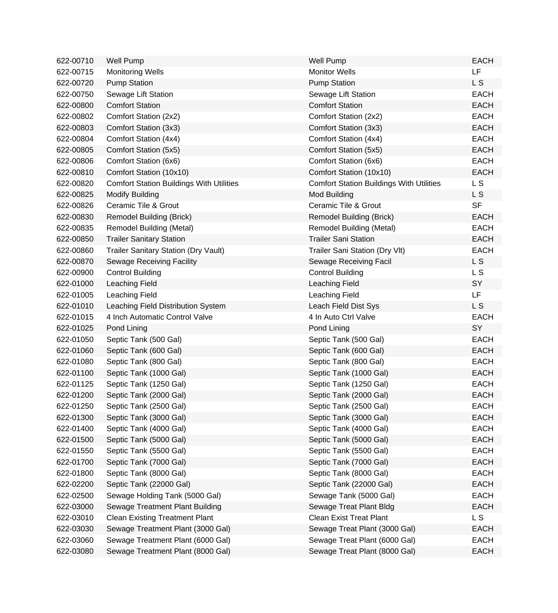| 622-00710 | <b>Well Pump</b>                                | <b>Well Pump</b>                                | <b>EACH</b> |
|-----------|-------------------------------------------------|-------------------------------------------------|-------------|
| 622-00715 | <b>Monitoring Wells</b>                         | <b>Monitor Wells</b>                            | LF          |
| 622-00720 | <b>Pump Station</b>                             | <b>Pump Station</b>                             | L S         |
| 622-00750 | Sewage Lift Station                             | Sewage Lift Station                             | <b>EACH</b> |
| 622-00800 | <b>Comfort Station</b>                          | <b>Comfort Station</b>                          | <b>EACH</b> |
| 622-00802 | Comfort Station (2x2)                           | Comfort Station (2x2)                           | <b>EACH</b> |
| 622-00803 | Comfort Station (3x3)                           | Comfort Station (3x3)                           | <b>EACH</b> |
| 622-00804 | Comfort Station (4x4)                           | Comfort Station (4x4)                           | <b>EACH</b> |
| 622-00805 | Comfort Station (5x5)                           | Comfort Station (5x5)                           | <b>EACH</b> |
| 622-00806 | Comfort Station (6x6)                           | Comfort Station (6x6)                           | <b>EACH</b> |
| 622-00810 | Comfort Station (10x10)                         | Comfort Station (10x10)                         | <b>EACH</b> |
| 622-00820 | <b>Comfort Station Buildings With Utilities</b> | <b>Comfort Station Buildings With Utilities</b> | <b>LS</b>   |
| 622-00825 | <b>Modify Building</b>                          | Mod Building                                    | L S         |
| 622-00826 | Ceramic Tile & Grout                            | Ceramic Tile & Grout                            | <b>SF</b>   |
| 622-00830 | <b>Remodel Building (Brick)</b>                 | Remodel Building (Brick)                        | <b>EACH</b> |
| 622-00835 | Remodel Building (Metal)                        | <b>Remodel Building (Metal)</b>                 | <b>EACH</b> |
| 622-00850 | <b>Trailer Sanitary Station</b>                 | <b>Trailer Sani Station</b>                     | <b>EACH</b> |
| 622-00860 | <b>Trailer Sanitary Station (Dry Vault)</b>     | Trailer Sani Station (Dry Vlt)                  | <b>EACH</b> |
| 622-00870 | Sewage Receiving Facility                       | Sewage Receiving Facil                          | L S         |
| 622-00900 | <b>Control Building</b>                         | <b>Control Building</b>                         | L S         |
| 622-01000 | Leaching Field                                  | Leaching Field                                  | SY          |
| 622-01005 | Leaching Field                                  | Leaching Field                                  | LF          |
| 622-01010 | Leaching Field Distribution System              | Leach Field Dist Sys                            | L S         |
| 622-01015 | 4 Inch Automatic Control Valve                  | 4 In Auto Ctrl Valve                            | <b>EACH</b> |
| 622-01025 | Pond Lining                                     | Pond Lining                                     | SY          |
| 622-01050 | Septic Tank (500 Gal)                           | Septic Tank (500 Gal)                           | <b>EACH</b> |
| 622-01060 | Septic Tank (600 Gal)                           | Septic Tank (600 Gal)                           | <b>EACH</b> |
| 622-01080 | Septic Tank (800 Gal)                           | Septic Tank (800 Gal)                           | <b>EACH</b> |
| 622-01100 | Septic Tank (1000 Gal)                          | Septic Tank (1000 Gal)                          | <b>EACH</b> |
| 622-01125 | Septic Tank (1250 Gal)                          | Septic Tank (1250 Gal)                          | <b>EACH</b> |
| 622-01200 | Septic Tank (2000 Gal)                          | Septic Tank (2000 Gal)                          | <b>EACH</b> |
| 622-01250 | Septic Tank (2500 Gal)                          | Septic Tank (2500 Gal)                          | <b>EACH</b> |
| 622-01300 | Septic Tank (3000 Gal)                          | Septic Tank (3000 Gal)                          | <b>EACH</b> |
| 622-01400 | Septic Tank (4000 Gal)                          | Septic Tank (4000 Gal)                          | <b>EACH</b> |
| 622-01500 | Septic Tank (5000 Gal)                          | Septic Tank (5000 Gal)                          | <b>EACH</b> |
| 622-01550 | Septic Tank (5500 Gal)                          | Septic Tank (5500 Gal)                          | <b>EACH</b> |
| 622-01700 | Septic Tank (7000 Gal)                          | Septic Tank (7000 Gal)                          | <b>EACH</b> |
| 622-01800 | Septic Tank (8000 Gal)                          | Septic Tank (8000 Gal)                          | <b>EACH</b> |
| 622-02200 | Septic Tank (22000 Gal)                         | Septic Tank (22000 Gal)                         | <b>EACH</b> |
| 622-02500 | Sewage Holding Tank (5000 Gal)                  | Sewage Tank (5000 Gal)                          | <b>EACH</b> |
| 622-03000 | Sewage Treatment Plant Building                 | Sewage Treat Plant Bldg                         | <b>EACH</b> |
| 622-03010 | <b>Clean Existing Treatment Plant</b>           | <b>Clean Exist Treat Plant</b>                  | L S         |
| 622-03030 | Sewage Treatment Plant (3000 Gal)               | Sewage Treat Plant (3000 Gal)                   | <b>EACH</b> |
| 622-03060 | Sewage Treatment Plant (6000 Gal)               | Sewage Treat Plant (6000 Gal)                   | <b>EACH</b> |
| 622-03080 | Sewage Treatment Plant (8000 Gal)               | Sewage Treat Plant (8000 Gal)                   | <b>EACH</b> |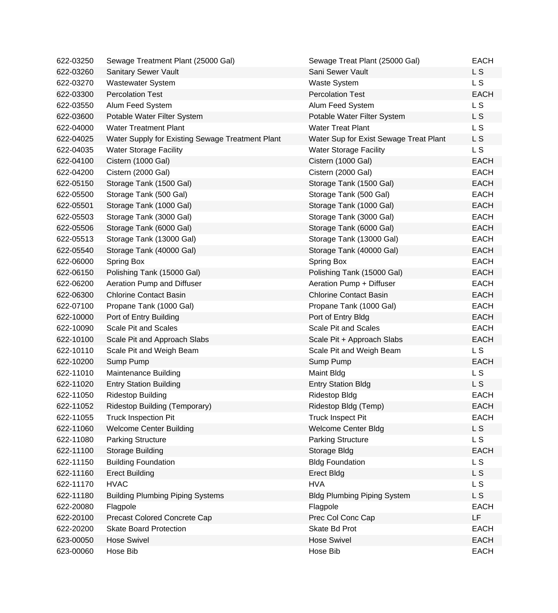| 622-03250 | Sewage Treatment Plant (25000 Gal)               | Sewage Treat Plant (25000 Gal)         | <b>EACH</b>    |
|-----------|--------------------------------------------------|----------------------------------------|----------------|
| 622-03260 | Sanitary Sewer Vault                             | Sani Sewer Vault                       | L S            |
| 622-03270 | <b>Wastewater System</b>                         | <b>Waste System</b>                    | L S            |
| 622-03300 | <b>Percolation Test</b>                          | <b>Percolation Test</b>                | <b>EACH</b>    |
| 622-03550 | Alum Feed System                                 | Alum Feed System                       | L <sub>S</sub> |
| 622-03600 | Potable Water Filter System                      | Potable Water Filter System            | L S            |
| 622-04000 | <b>Water Treatment Plant</b>                     | <b>Water Treat Plant</b>               | L <sub>S</sub> |
| 622-04025 | Water Supply for Existing Sewage Treatment Plant | Water Sup for Exist Sewage Treat Plant | L S            |
| 622-04035 | <b>Water Storage Facility</b>                    | <b>Water Storage Facility</b>          | L S            |
| 622-04100 | Cistern (1000 Gal)                               | Cistern (1000 Gal)                     | <b>EACH</b>    |
| 622-04200 | Cistern (2000 Gal)                               | Cistern (2000 Gal)                     | <b>EACH</b>    |
| 622-05150 | Storage Tank (1500 Gal)                          | Storage Tank (1500 Gal)                | <b>EACH</b>    |
| 622-05500 | Storage Tank (500 Gal)                           | Storage Tank (500 Gal)                 | <b>EACH</b>    |
| 622-05501 | Storage Tank (1000 Gal)                          | Storage Tank (1000 Gal)                | <b>EACH</b>    |
| 622-05503 | Storage Tank (3000 Gal)                          | Storage Tank (3000 Gal)                | <b>EACH</b>    |
| 622-05506 | Storage Tank (6000 Gal)                          | Storage Tank (6000 Gal)                | <b>EACH</b>    |
| 622-05513 | Storage Tank (13000 Gal)                         | Storage Tank (13000 Gal)               | <b>EACH</b>    |
| 622-05540 | Storage Tank (40000 Gal)                         | Storage Tank (40000 Gal)               | <b>EACH</b>    |
| 622-06000 | Spring Box                                       | Spring Box                             | <b>EACH</b>    |
| 622-06150 | Polishing Tank (15000 Gal)                       | Polishing Tank (15000 Gal)             | <b>EACH</b>    |
| 622-06200 | Aeration Pump and Diffuser                       | Aeration Pump + Diffuser               | <b>EACH</b>    |
| 622-06300 | <b>Chlorine Contact Basin</b>                    | <b>Chlorine Contact Basin</b>          | <b>EACH</b>    |
| 622-07100 | Propane Tank (1000 Gal)                          | Propane Tank (1000 Gal)                | <b>EACH</b>    |
| 622-10000 | Port of Entry Building                           | Port of Entry Bldg                     | <b>EACH</b>    |
| 622-10090 | <b>Scale Pit and Scales</b>                      | Scale Pit and Scales                   | <b>EACH</b>    |
| 622-10100 | Scale Pit and Approach Slabs                     | Scale Pit + Approach Slabs             | <b>EACH</b>    |
| 622-10110 | Scale Pit and Weigh Beam                         | Scale Pit and Weigh Beam               | L S            |
| 622-10200 | Sump Pump                                        | Sump Pump                              | <b>EACH</b>    |
| 622-11010 | <b>Maintenance Building</b>                      | Maint Bldg                             | L S            |
| 622-11020 | <b>Entry Station Building</b>                    | <b>Entry Station Bldg</b>              | L S            |
| 622-11050 | <b>Ridestop Building</b>                         | <b>Ridestop Bldg</b>                   | <b>EACH</b>    |
| 622-11052 | Ridestop Building (Temporary)                    | Ridestop Bldg (Temp)                   | <b>EACH</b>    |
| 622-11055 | <b>Truck Inspection Pit</b>                      | <b>Truck Inspect Pit</b>               | <b>EACH</b>    |
| 622-11060 | <b>Welcome Center Building</b>                   | Welcome Center Bldg                    | L S            |
| 622-11080 | <b>Parking Structure</b>                         | <b>Parking Structure</b>               | L S            |
| 622-11100 | Storage Building                                 | Storage Bldg                           | <b>EACH</b>    |
| 622-11150 | <b>Building Foundation</b>                       | <b>Bldg Foundation</b>                 | L S            |
| 622-11160 | <b>Erect Building</b>                            | <b>Erect Bldg</b>                      | L S            |
| 622-11170 | <b>HVAC</b>                                      | <b>HVA</b>                             | L S            |
| 622-11180 | <b>Building Plumbing Piping Systems</b>          | <b>Bldg Plumbing Piping System</b>     | L S            |
| 622-20080 | Flagpole                                         | Flagpole                               | <b>EACH</b>    |
| 622-20100 | Precast Colored Concrete Cap                     | Prec Col Conc Cap                      | LF             |
| 622-20200 | <b>Skate Board Protection</b>                    | Skate Bd Prot                          | <b>EACH</b>    |
| 623-00050 | <b>Hose Swivel</b>                               | <b>Hose Swivel</b>                     | <b>EACH</b>    |
| 623-00060 | Hose Bib                                         | Hose Bib                               | EACH           |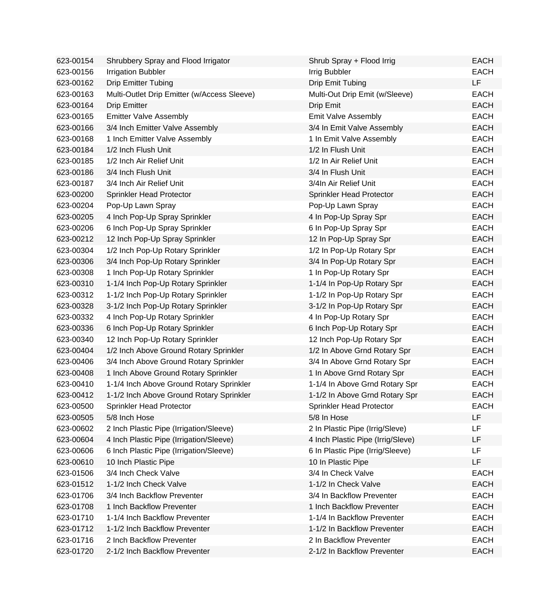| 623-00154 | Shrubbery Spray and Flood Irrigator         | Shrub Spray + Flood Irrig         | <b>EACH</b> |
|-----------|---------------------------------------------|-----------------------------------|-------------|
| 623-00156 | <b>Irrigation Bubbler</b>                   | Irrig Bubbler                     | <b>EACH</b> |
| 623-00162 | <b>Drip Emitter Tubing</b>                  | Drip Emit Tubing                  | LF          |
| 623-00163 | Multi-Outlet Drip Emitter (w/Access Sleeve) | Multi-Out Drip Emit (w/Sleeve)    | <b>EACH</b> |
| 623-00164 | <b>Drip Emitter</b>                         | Drip Emit                         | <b>EACH</b> |
| 623-00165 | <b>Emitter Valve Assembly</b>               | Emit Valve Assembly               | <b>EACH</b> |
| 623-00166 | 3/4 Inch Emitter Valve Assembly             | 3/4 In Emit Valve Assembly        | <b>EACH</b> |
| 623-00168 | 1 Inch Emitter Valve Assembly               | 1 In Emit Valve Assembly          | <b>EACH</b> |
| 623-00184 | 1/2 Inch Flush Unit                         | 1/2 In Flush Unit                 | <b>EACH</b> |
| 623-00185 | 1/2 Inch Air Relief Unit                    | 1/2 In Air Relief Unit            | <b>EACH</b> |
| 623-00186 | 3/4 Inch Flush Unit                         | 3/4 In Flush Unit                 | <b>EACH</b> |
| 623-00187 | 3/4 Inch Air Relief Unit                    | 3/4In Air Relief Unit             | <b>EACH</b> |
| 623-00200 | Sprinkler Head Protector                    | Sprinkler Head Protector          | <b>EACH</b> |
| 623-00204 | Pop-Up Lawn Spray                           | Pop-Up Lawn Spray                 | <b>EACH</b> |
| 623-00205 | 4 Inch Pop-Up Spray Sprinkler               | 4 In Pop-Up Spray Spr             | <b>EACH</b> |
| 623-00206 | 6 Inch Pop-Up Spray Sprinkler               | 6 In Pop-Up Spray Spr             | <b>EACH</b> |
| 623-00212 | 12 Inch Pop-Up Spray Sprinkler              | 12 In Pop-Up Spray Spr            | <b>EACH</b> |
| 623-00304 | 1/2 Inch Pop-Up Rotary Sprinkler            | 1/2 In Pop-Up Rotary Spr          | <b>EACH</b> |
| 623-00306 | 3/4 Inch Pop-Up Rotary Sprinkler            | 3/4 In Pop-Up Rotary Spr          | <b>EACH</b> |
| 623-00308 | 1 Inch Pop-Up Rotary Sprinkler              | 1 In Pop-Up Rotary Spr            | <b>EACH</b> |
| 623-00310 | 1-1/4 Inch Pop-Up Rotary Sprinkler          | 1-1/4 In Pop-Up Rotary Spr        | <b>EACH</b> |
| 623-00312 | 1-1/2 Inch Pop-Up Rotary Sprinkler          | 1-1/2 In Pop-Up Rotary Spr        | <b>EACH</b> |
| 623-00328 | 3-1/2 Inch Pop-Up Rotary Sprinkler          | 3-1/2 In Pop-Up Rotary Spr        | <b>EACH</b> |
| 623-00332 | 4 Inch Pop-Up Rotary Sprinkler              | 4 In Pop-Up Rotary Spr            | <b>EACH</b> |
| 623-00336 | 6 Inch Pop-Up Rotary Sprinkler              | 6 Inch Pop-Up Rotary Spr          | <b>EACH</b> |
| 623-00340 | 12 Inch Pop-Up Rotary Sprinkler             | 12 Inch Pop-Up Rotary Spr         | <b>EACH</b> |
| 623-00404 | 1/2 Inch Above Ground Rotary Sprinkler      | 1/2 In Above Grnd Rotary Spr      | <b>EACH</b> |
| 623-00406 | 3/4 Inch Above Ground Rotary Sprinkler      | 3/4 In Above Grnd Rotary Spr      | <b>EACH</b> |
| 623-00408 | 1 Inch Above Ground Rotary Sprinkler        | 1 In Above Grnd Rotary Spr        | <b>EACH</b> |
| 623-00410 | 1-1/4 Inch Above Ground Rotary Sprinkler    | 1-1/4 In Above Grnd Rotary Spr    | <b>EACH</b> |
| 623-00412 | 1-1/2 Inch Above Ground Rotary Sprinkler    | 1-1/2 In Above Grnd Rotary Spr    | <b>EACH</b> |
| 623-00500 | Sprinkler Head Protector                    | Sprinkler Head Protector          | EACH        |
| 623-00505 | 5/8 Inch Hose                               | 5/8 In Hose                       | LF          |
| 623-00602 | 2 Inch Plastic Pipe (Irrigation/Sleeve)     | 2 In Plastic Pipe (Irrig/Sleve)   | LF          |
| 623-00604 | 4 Inch Plastic Pipe (Irrigation/Sleeve)     | 4 Inch Plastic Pipe (Irrig/Sleve) | LF          |
| 623-00606 | 6 Inch Plastic Pipe (Irrigation/Sleeve)     | 6 In Plastic Pipe (Irrig/Sleeve)  | LF          |
| 623-00610 | 10 Inch Plastic Pipe                        | 10 In Plastic Pipe                | LF          |
| 623-01506 | 3/4 Inch Check Valve                        | 3/4 In Check Valve                | <b>EACH</b> |
| 623-01512 | 1-1/2 Inch Check Valve                      | 1-1/2 In Check Valve              | <b>EACH</b> |
| 623-01706 | 3/4 Inch Backflow Preventer                 | 3/4 In Backflow Preventer         | <b>EACH</b> |
| 623-01708 | 1 Inch Backflow Preventer                   | 1 Inch Backflow Preventer         | <b>EACH</b> |
| 623-01710 | 1-1/4 Inch Backflow Preventer               | 1-1/4 In Backflow Preventer       | <b>EACH</b> |
| 623-01712 | 1-1/2 Inch Backflow Preventer               | 1-1/2 In Backflow Preventer       | <b>EACH</b> |
| 623-01716 | 2 Inch Backflow Preventer                   | 2 In Backflow Preventer           | <b>EACH</b> |
| 623-01720 | 2-1/2 Inch Backflow Preventer               | 2-1/2 In Backflow Preventer       | <b>EACH</b> |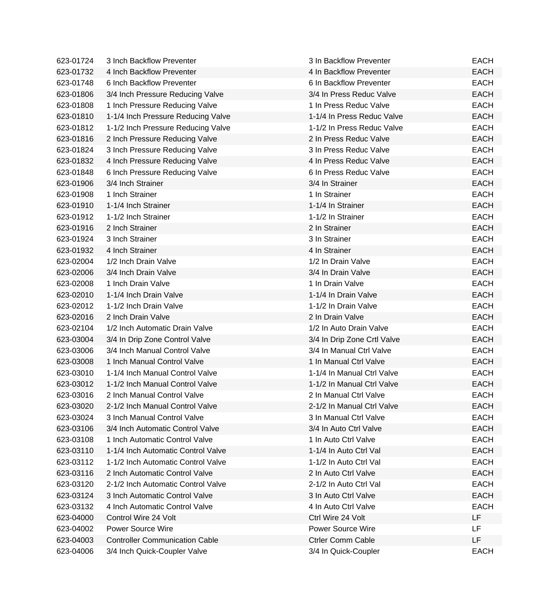| 623-01724 | 3 Inch Backflow Preventer             | 3 In Backflow Preventer     | <b>EACH</b> |
|-----------|---------------------------------------|-----------------------------|-------------|
| 623-01732 | 4 Inch Backflow Preventer             | 4 In Backflow Preventer     | <b>EACH</b> |
| 623-01748 | 6 Inch Backflow Preventer             | 6 In Backflow Preventer     | <b>EACH</b> |
| 623-01806 | 3/4 Inch Pressure Reducing Valve      | 3/4 In Press Reduc Valve    | <b>EACH</b> |
| 623-01808 | 1 Inch Pressure Reducing Valve        | 1 In Press Reduc Valve      | <b>EACH</b> |
| 623-01810 | 1-1/4 Inch Pressure Reducing Valve    | 1-1/4 In Press Reduc Valve  | <b>EACH</b> |
| 623-01812 | 1-1/2 Inch Pressure Reducing Valve    | 1-1/2 In Press Reduc Valve  | <b>EACH</b> |
| 623-01816 | 2 Inch Pressure Reducing Valve        | 2 In Press Reduc Valve      | <b>EACH</b> |
| 623-01824 | 3 Inch Pressure Reducing Valve        | 3 In Press Reduc Valve      | <b>EACH</b> |
| 623-01832 | 4 Inch Pressure Reducing Valve        | 4 In Press Reduc Valve      | <b>EACH</b> |
| 623-01848 | 6 Inch Pressure Reducing Valve        | 6 In Press Reduc Valve      | <b>EACH</b> |
| 623-01906 | 3/4 Inch Strainer                     | 3/4 In Strainer             | <b>EACH</b> |
| 623-01908 | 1 Inch Strainer                       | 1 In Strainer               | <b>EACH</b> |
| 623-01910 | 1-1/4 Inch Strainer                   | 1-1/4 In Strainer           | <b>EACH</b> |
| 623-01912 | 1-1/2 Inch Strainer                   | 1-1/2 In Strainer           | <b>EACH</b> |
| 623-01916 | 2 Inch Strainer                       | 2 In Strainer               | <b>EACH</b> |
| 623-01924 | 3 Inch Strainer                       | 3 In Strainer               | <b>EACH</b> |
| 623-01932 | 4 Inch Strainer                       | 4 In Strainer               | <b>EACH</b> |
| 623-02004 | 1/2 Inch Drain Valve                  | 1/2 In Drain Valve          | <b>EACH</b> |
| 623-02006 | 3/4 Inch Drain Valve                  | 3/4 In Drain Valve          | <b>EACH</b> |
| 623-02008 | 1 Inch Drain Valve                    | 1 In Drain Valve            | <b>EACH</b> |
| 623-02010 | 1-1/4 Inch Drain Valve                | 1-1/4 In Drain Valve        | <b>EACH</b> |
| 623-02012 | 1-1/2 Inch Drain Valve                | 1-1/2 In Drain Valve        | <b>EACH</b> |
| 623-02016 | 2 Inch Drain Valve                    | 2 In Drain Valve            | <b>EACH</b> |
| 623-02104 | 1/2 Inch Automatic Drain Valve        | 1/2 In Auto Drain Valve     | <b>EACH</b> |
| 623-03004 | 3/4 In Drip Zone Control Valve        | 3/4 In Drip Zone Crtl Valve | <b>EACH</b> |
| 623-03006 | 3/4 Inch Manual Control Valve         | 3/4 In Manual Ctrl Valve    | <b>EACH</b> |
| 623-03008 | 1 Inch Manual Control Valve           | 1 In Manual Ctrl Valve      | <b>EACH</b> |
| 623-03010 | 1-1/4 Inch Manual Control Valve       | 1-1/4 In Manual Ctrl Valve  | <b>EACH</b> |
| 623-03012 | 1-1/2 Inch Manual Control Valve       | 1-1/2 In Manual Ctrl Valve  | <b>EACH</b> |
| 623-03016 | 2 Inch Manual Control Valve           | 2 In Manual Ctrl Valve      | <b>EACH</b> |
| 623-03020 | 2-1/2 Inch Manual Control Valve       | 2-1/2 In Manual Ctrl Valve  | <b>EACH</b> |
| 623-03024 | 3 Inch Manual Control Valve           | 3 In Manual Ctrl Valve      | <b>EACH</b> |
| 623-03106 | 3/4 Inch Automatic Control Valve      | 3/4 In Auto Ctrl Valve      | <b>EACH</b> |
| 623-03108 | 1 Inch Automatic Control Valve        | 1 In Auto Ctrl Valve        | <b>EACH</b> |
| 623-03110 | 1-1/4 Inch Automatic Control Valve    | 1-1/4 In Auto Ctrl Val      | <b>EACH</b> |
| 623-03112 | 1-1/2 Inch Automatic Control Valve    | 1-1/2 In Auto Ctrl Val      | <b>EACH</b> |
| 623-03116 | 2 Inch Automatic Control Valve        | 2 In Auto Ctrl Valve        | <b>EACH</b> |
| 623-03120 | 2-1/2 Inch Automatic Control Valve    | 2-1/2 In Auto Ctrl Val      | <b>EACH</b> |
| 623-03124 | 3 Inch Automatic Control Valve        | 3 In Auto Ctrl Valve        | <b>EACH</b> |
| 623-03132 | 4 Inch Automatic Control Valve        | 4 In Auto Ctrl Valve        | <b>EACH</b> |
| 623-04000 | Control Wire 24 Volt                  | Ctrl Wire 24 Volt           | LF          |
| 623-04002 | <b>Power Source Wire</b>              | <b>Power Source Wire</b>    | LF          |
| 623-04003 | <b>Controller Communication Cable</b> | <b>Ctrler Comm Cable</b>    | LF.         |
| 623-04006 | 3/4 Inch Quick-Coupler Valve          | 3/4 In Quick-Coupler        | <b>EACH</b> |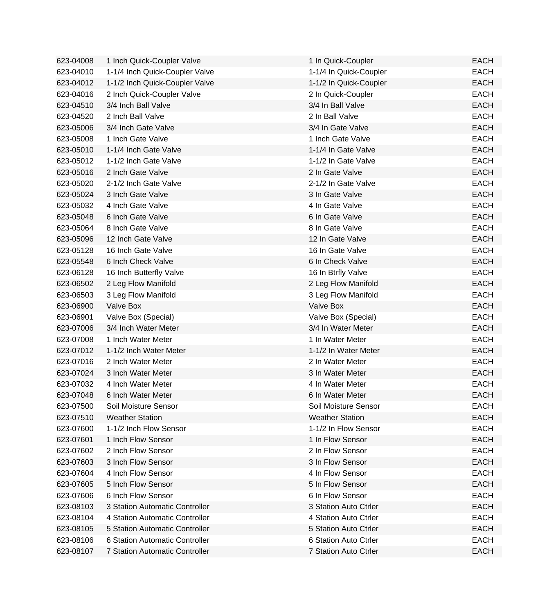| 623-04008 | 1 Inch Quick-Coupler Valve     | 1 In Quick-Coupler     | <b>EACH</b> |
|-----------|--------------------------------|------------------------|-------------|
| 623-04010 | 1-1/4 Inch Quick-Coupler Valve | 1-1/4 In Quick-Coupler | <b>EACH</b> |
| 623-04012 | 1-1/2 Inch Quick-Coupler Valve | 1-1/2 In Quick-Coupler | <b>EACH</b> |
| 623-04016 | 2 Inch Quick-Coupler Valve     | 2 In Quick-Coupler     | <b>EACH</b> |
| 623-04510 | 3/4 Inch Ball Valve            | 3/4 In Ball Valve      | <b>EACH</b> |
| 623-04520 | 2 Inch Ball Valve              | 2 In Ball Valve        | <b>EACH</b> |
| 623-05006 | 3/4 Inch Gate Valve            | 3/4 In Gate Valve      | <b>EACH</b> |
| 623-05008 | 1 Inch Gate Valve              | 1 Inch Gate Valve      | <b>EACH</b> |
| 623-05010 | 1-1/4 Inch Gate Valve          | 1-1/4 In Gate Valve    | <b>EACH</b> |
| 623-05012 | 1-1/2 Inch Gate Valve          | 1-1/2 In Gate Valve    | <b>EACH</b> |
| 623-05016 | 2 Inch Gate Valve              | 2 In Gate Valve        | <b>EACH</b> |
| 623-05020 | 2-1/2 Inch Gate Valve          | 2-1/2 In Gate Valve    | <b>EACH</b> |
| 623-05024 | 3 Inch Gate Valve              | 3 In Gate Valve        | <b>EACH</b> |
| 623-05032 | 4 Inch Gate Valve              | 4 In Gate Valve        | <b>EACH</b> |
| 623-05048 | 6 Inch Gate Valve              | 6 In Gate Valve        | <b>EACH</b> |
| 623-05064 | 8 Inch Gate Valve              | 8 In Gate Valve        | <b>EACH</b> |
| 623-05096 | 12 Inch Gate Valve             | 12 In Gate Valve       | <b>EACH</b> |
| 623-05128 | 16 Inch Gate Valve             | 16 In Gate Valve       | <b>EACH</b> |
| 623-05548 | 6 Inch Check Valve             | 6 In Check Valve       | <b>EACH</b> |
| 623-06128 | 16 Inch Butterfly Valve        | 16 In Btrfly Valve     | <b>EACH</b> |
| 623-06502 | 2 Leg Flow Manifold            | 2 Leg Flow Manifold    | <b>EACH</b> |
| 623-06503 | 3 Leg Flow Manifold            | 3 Leg Flow Manifold    | <b>EACH</b> |
| 623-06900 | Valve Box                      | Valve Box              | <b>EACH</b> |
| 623-06901 | Valve Box (Special)            | Valve Box (Special)    | <b>EACH</b> |
| 623-07006 | 3/4 Inch Water Meter           | 3/4 In Water Meter     | <b>EACH</b> |
| 623-07008 | 1 Inch Water Meter             | 1 In Water Meter       | <b>EACH</b> |
| 623-07012 | 1-1/2 Inch Water Meter         | 1-1/2 In Water Meter   | <b>EACH</b> |
| 623-07016 | 2 Inch Water Meter             | 2 In Water Meter       | <b>EACH</b> |
| 623-07024 | 3 Inch Water Meter             | 3 In Water Meter       | <b>EACH</b> |
| 623-07032 | 4 Inch Water Meter             | 4 In Water Meter       | <b>EACH</b> |
| 623-07048 | 6 Inch Water Meter             | 6 In Water Meter       | <b>EACH</b> |
| 623-07500 | Soil Moisture Sensor           | Soil Moisture Sensor   | <b>EACH</b> |
| 623-07510 | <b>Weather Station</b>         | <b>Weather Station</b> | <b>EACH</b> |
| 623-07600 | 1-1/2 Inch Flow Sensor         | 1-1/2 In Flow Sensor   | <b>EACH</b> |
| 623-07601 | 1 Inch Flow Sensor             | 1 In Flow Sensor       | <b>EACH</b> |
| 623-07602 | 2 Inch Flow Sensor             | 2 In Flow Sensor       | <b>EACH</b> |
| 623-07603 | 3 Inch Flow Sensor             | 3 In Flow Sensor       | <b>EACH</b> |
| 623-07604 | 4 Inch Flow Sensor             | 4 In Flow Sensor       | <b>EACH</b> |
| 623-07605 | 5 Inch Flow Sensor             | 5 In Flow Sensor       | <b>EACH</b> |
| 623-07606 | 6 Inch Flow Sensor             | 6 In Flow Sensor       | <b>EACH</b> |
| 623-08103 | 3 Station Automatic Controller | 3 Station Auto Ctrler  | <b>EACH</b> |
| 623-08104 | 4 Station Automatic Controller | 4 Station Auto Ctrler  | <b>EACH</b> |
| 623-08105 | 5 Station Automatic Controller | 5 Station Auto Ctrler  | <b>EACH</b> |
| 623-08106 | 6 Station Automatic Controller | 6 Station Auto Ctrler  | <b>EACH</b> |
| 623-08107 | 7 Station Automatic Controller | 7 Station Auto Ctrler  | <b>EACH</b> |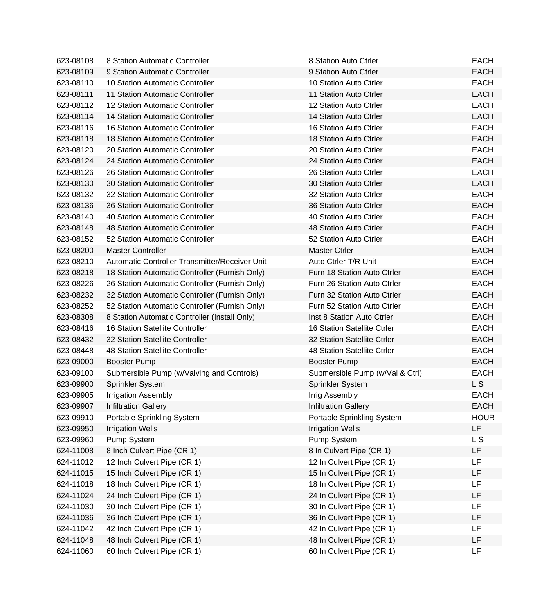| 623-08108 | 8 Station Automatic Controller                 | 8 Station Auto Ctrler              | <b>EACH</b> |
|-----------|------------------------------------------------|------------------------------------|-------------|
| 623-08109 | 9 Station Automatic Controller                 | 9 Station Auto Ctrler              | <b>EACH</b> |
| 623-08110 | 10 Station Automatic Controller                | 10 Station Auto Ctrler             | <b>EACH</b> |
| 623-08111 | 11 Station Automatic Controller                | 11 Station Auto Ctrler             | <b>EACH</b> |
| 623-08112 | 12 Station Automatic Controller                | 12 Station Auto Ctrler             | <b>EACH</b> |
| 623-08114 | 14 Station Automatic Controller                | 14 Station Auto Ctrler             | <b>EACH</b> |
| 623-08116 | <b>16 Station Automatic Controller</b>         | 16 Station Auto Ctrler             | <b>EACH</b> |
| 623-08118 | 18 Station Automatic Controller                | 18 Station Auto Ctrler             | <b>EACH</b> |
| 623-08120 | 20 Station Automatic Controller                | 20 Station Auto Ctrler             | <b>EACH</b> |
| 623-08124 | 24 Station Automatic Controller                | 24 Station Auto Ctrler             | <b>EACH</b> |
| 623-08126 | 26 Station Automatic Controller                | 26 Station Auto Ctrler             | <b>EACH</b> |
| 623-08130 | 30 Station Automatic Controller                | 30 Station Auto Ctrler             | <b>EACH</b> |
| 623-08132 | 32 Station Automatic Controller                | 32 Station Auto Ctrler             | <b>EACH</b> |
| 623-08136 | 36 Station Automatic Controller                | 36 Station Auto Ctrler             | <b>EACH</b> |
| 623-08140 | 40 Station Automatic Controller                | 40 Station Auto Ctrler             | <b>EACH</b> |
| 623-08148 | 48 Station Automatic Controller                | 48 Station Auto Ctrler             | <b>EACH</b> |
| 623-08152 | 52 Station Automatic Controller                | 52 Station Auto Ctrler             | <b>EACH</b> |
| 623-08200 | <b>Master Controller</b>                       | <b>Master Ctrler</b>               | <b>EACH</b> |
| 623-08210 | Automatic Controller Transmitter/Receiver Unit | Auto Ctrler T/R Unit               | <b>EACH</b> |
| 623-08218 | 18 Station Automatic Controller (Furnish Only) | Furn 18 Station Auto Ctrler        | <b>EACH</b> |
| 623-08226 | 26 Station Automatic Controller (Furnish Only) | Furn 26 Station Auto Ctrler        | <b>EACH</b> |
| 623-08232 | 32 Station Automatic Controller (Furnish Only) | Furn 32 Station Auto Ctrler        | <b>EACH</b> |
| 623-08252 | 52 Station Automatic Controller (Furnish Only) | Furn 52 Station Auto Ctrler        | <b>EACH</b> |
| 623-08308 | 8 Station Automatic Controller (Install Only)  | Inst 8 Station Auto Ctrler         | <b>EACH</b> |
| 623-08416 | <b>16 Station Satellite Controller</b>         | <b>16 Station Satellite Ctrler</b> | <b>EACH</b> |
| 623-08432 | 32 Station Satellite Controller                | 32 Station Satellite Ctrler        | <b>EACH</b> |
| 623-08448 | 48 Station Satellite Controller                | 48 Station Satellite Ctrler        | <b>EACH</b> |
| 623-09000 | <b>Booster Pump</b>                            | <b>Booster Pump</b>                | <b>EACH</b> |
| 623-09100 | Submersible Pump (w/Valving and Controls)      | Submersible Pump (w/Val & Ctrl)    | <b>EACH</b> |
| 623-09900 | Sprinkler System                               | Sprinkler System                   | L S         |
| 623-09905 | <b>Irrigation Assembly</b>                     | Irrig Assembly                     | <b>EACH</b> |
| 623-09907 | <b>Infiltration Gallery</b>                    | <b>Infiltration Gallery</b>        | <b>EACH</b> |
| 623-09910 | Portable Sprinkling System                     | Portable Sprinkling System         | <b>HOUR</b> |
| 623-09950 | <b>Irrigation Wells</b>                        | <b>Irrigation Wells</b>            | <b>LF</b>   |
| 623-09960 | Pump System                                    | Pump System                        | L S         |
| 624-11008 | 8 Inch Culvert Pipe (CR 1)                     | 8 In Culvert Pipe (CR 1)           | LF          |
| 624-11012 | 12 Inch Culvert Pipe (CR 1)                    | 12 In Culvert Pipe (CR 1)          | LF          |
| 624-11015 | 15 Inch Culvert Pipe (CR 1)                    | 15 In Culvert Pipe (CR 1)          | LF          |
| 624-11018 | 18 Inch Culvert Pipe (CR 1)                    | 18 In Culvert Pipe (CR 1)          | LF          |
| 624-11024 | 24 Inch Culvert Pipe (CR 1)                    | 24 In Culvert Pipe (CR 1)          | LF          |
| 624-11030 | 30 Inch Culvert Pipe (CR 1)                    | 30 In Culvert Pipe (CR 1)          | <b>LF</b>   |
| 624-11036 | 36 Inch Culvert Pipe (CR 1)                    | 36 In Culvert Pipe (CR 1)          | LF          |
| 624-11042 | 42 Inch Culvert Pipe (CR 1)                    | 42 In Culvert Pipe (CR 1)          | LF          |
| 624-11048 | 48 Inch Culvert Pipe (CR 1)                    | 48 In Culvert Pipe (CR 1)          | LF          |
| 624-11060 | 60 Inch Culvert Pipe (CR 1)                    | 60 In Culvert Pipe (CR 1)          | LF          |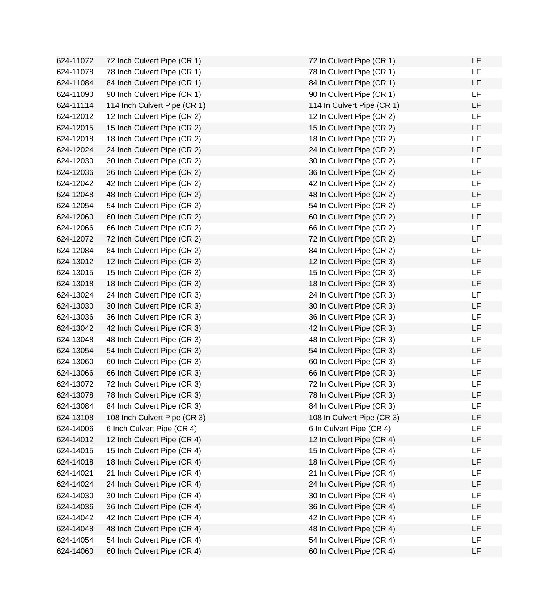| 624-11072 | 72 Inch Culvert Pipe (CR 1)  | 72 In Culvert Pipe (CR 1)  | LF        |
|-----------|------------------------------|----------------------------|-----------|
| 624-11078 | 78 Inch Culvert Pipe (CR 1)  | 78 In Culvert Pipe (CR 1)  | <b>LF</b> |
| 624-11084 | 84 Inch Culvert Pipe (CR 1)  | 84 In Culvert Pipe (CR 1)  | LF        |
| 624-11090 | 90 Inch Culvert Pipe (CR 1)  | 90 In Culvert Pipe (CR 1)  | LF        |
| 624-11114 | 114 Inch Culvert Pipe (CR 1) | 114 In Culvert Pipe (CR 1) | LF        |
| 624-12012 | 12 Inch Culvert Pipe (CR 2)  | 12 In Culvert Pipe (CR 2)  | <b>LF</b> |
| 624-12015 | 15 Inch Culvert Pipe (CR 2)  | 15 In Culvert Pipe (CR 2)  | LF        |
| 624-12018 | 18 Inch Culvert Pipe (CR 2)  | 18 In Culvert Pipe (CR 2)  | LF        |
| 624-12024 | 24 Inch Culvert Pipe (CR 2)  | 24 In Culvert Pipe (CR 2)  | LF        |
| 624-12030 | 30 Inch Culvert Pipe (CR 2)  | 30 In Culvert Pipe (CR 2)  | LF        |
| 624-12036 | 36 Inch Culvert Pipe (CR 2)  | 36 In Culvert Pipe (CR 2)  | LF        |
| 624-12042 | 42 Inch Culvert Pipe (CR 2)  | 42 In Culvert Pipe (CR 2)  | <b>LF</b> |
| 624-12048 | 48 Inch Culvert Pipe (CR 2)  | 48 In Culvert Pipe (CR 2)  | LF        |
| 624-12054 | 54 Inch Culvert Pipe (CR 2)  | 54 In Culvert Pipe (CR 2)  | LF        |
| 624-12060 | 60 Inch Culvert Pipe (CR 2)  | 60 In Culvert Pipe (CR 2)  | LF        |
| 624-12066 | 66 Inch Culvert Pipe (CR 2)  | 66 In Culvert Pipe (CR 2)  | LF        |
| 624-12072 | 72 Inch Culvert Pipe (CR 2)  | 72 In Culvert Pipe (CR 2)  | LF        |
| 624-12084 | 84 Inch Culvert Pipe (CR 2)  | 84 In Culvert Pipe (CR 2)  | LF        |
| 624-13012 | 12 Inch Culvert Pipe (CR 3)  | 12 In Culvert Pipe (CR 3)  | LF        |
| 624-13015 | 15 Inch Culvert Pipe (CR 3)  | 15 In Culvert Pipe (CR 3)  | LF        |
| 624-13018 | 18 Inch Culvert Pipe (CR 3)  | 18 In Culvert Pipe (CR 3)  | LF        |
| 624-13024 | 24 Inch Culvert Pipe (CR 3)  | 24 In Culvert Pipe (CR 3)  | <b>LF</b> |
| 624-13030 | 30 Inch Culvert Pipe (CR 3)  | 30 In Culvert Pipe (CR 3)  | LF        |
| 624-13036 | 36 Inch Culvert Pipe (CR 3)  | 36 In Culvert Pipe (CR 3)  | LF        |
| 624-13042 | 42 Inch Culvert Pipe (CR 3)  | 42 In Culvert Pipe (CR 3)  | LF        |
| 624-13048 | 48 Inch Culvert Pipe (CR 3)  | 48 In Culvert Pipe (CR 3)  | LF        |
| 624-13054 | 54 Inch Culvert Pipe (CR 3)  | 54 In Culvert Pipe (CR 3)  | LF        |
| 624-13060 | 60 Inch Culvert Pipe (CR 3)  | 60 In Culvert Pipe (CR 3)  | LF        |
| 624-13066 | 66 Inch Culvert Pipe (CR 3)  | 66 In Culvert Pipe (CR 3)  | LF        |
| 624-13072 | 72 Inch Culvert Pipe (CR 3)  | 72 In Culvert Pipe (CR 3)  | LF        |
| 624-13078 | 78 Inch Culvert Pipe (CR 3)  | 78 In Culvert Pipe (CR 3)  | LF        |
| 624-13084 | 84 Inch Culvert Pipe (CR 3)  | 84 In Culvert Pipe (CR 3)  | LF        |
| 624-13108 | 108 Inch Culvert Pipe (CR 3) | 108 In Culvert Pipe (CR 3) | LF        |
| 624-14006 | 6 Inch Culvert Pipe (CR 4)   | 6 In Culvert Pipe (CR 4)   | LF        |
| 624-14012 | 12 Inch Culvert Pipe (CR 4)  | 12 In Culvert Pipe (CR 4)  | LF        |
| 624-14015 | 15 Inch Culvert Pipe (CR 4)  | 15 In Culvert Pipe (CR 4)  | LF        |
| 624-14018 | 18 Inch Culvert Pipe (CR 4)  | 18 In Culvert Pipe (CR 4)  | LF        |
| 624-14021 | 21 Inch Culvert Pipe (CR 4)  | 21 In Culvert Pipe (CR 4)  | LF        |
| 624-14024 | 24 Inch Culvert Pipe (CR 4)  | 24 In Culvert Pipe (CR 4)  | LF        |
| 624-14030 | 30 Inch Culvert Pipe (CR 4)  | 30 In Culvert Pipe (CR 4)  | LF        |
| 624-14036 | 36 Inch Culvert Pipe (CR 4)  | 36 In Culvert Pipe (CR 4)  | LF        |
| 624-14042 | 42 Inch Culvert Pipe (CR 4)  | 42 In Culvert Pipe (CR 4)  | LF        |
| 624-14048 | 48 Inch Culvert Pipe (CR 4)  | 48 In Culvert Pipe (CR 4)  | LF        |
| 624-14054 | 54 Inch Culvert Pipe (CR 4)  | 54 In Culvert Pipe (CR 4)  | LF        |
| 624-14060 | 60 Inch Culvert Pipe (CR 4)  | 60 In Culvert Pipe (CR 4)  | LF        |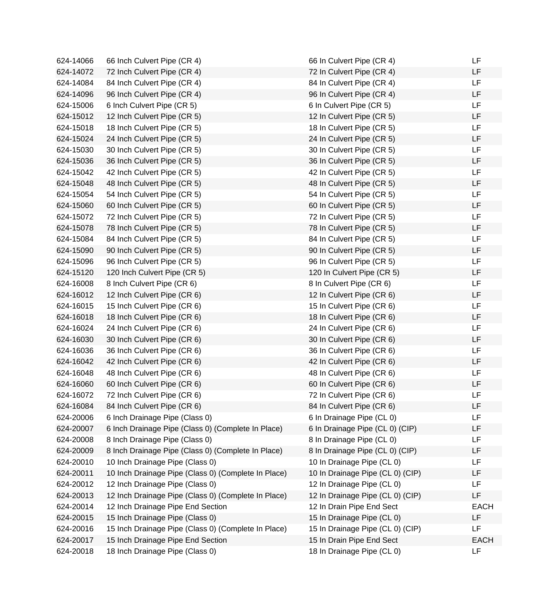| 624-14066 | 66 Inch Culvert Pipe (CR 4)                         | 66 In Culvert Pipe (CR 4)        | LF          |
|-----------|-----------------------------------------------------|----------------------------------|-------------|
| 624-14072 | 72 Inch Culvert Pipe (CR 4)                         | 72 In Culvert Pipe (CR 4)        | LF          |
| 624-14084 | 84 Inch Culvert Pipe (CR 4)                         | 84 In Culvert Pipe (CR 4)        | LF          |
| 624-14096 | 96 Inch Culvert Pipe (CR 4)                         | 96 In Culvert Pipe (CR 4)        | LF          |
| 624-15006 | 6 Inch Culvert Pipe (CR 5)                          | 6 In Culvert Pipe (CR 5)         | LF          |
| 624-15012 | 12 Inch Culvert Pipe (CR 5)                         | 12 In Culvert Pipe (CR 5)        | LF          |
| 624-15018 | 18 Inch Culvert Pipe (CR 5)                         | 18 In Culvert Pipe (CR 5)        | LF          |
| 624-15024 | 24 Inch Culvert Pipe (CR 5)                         | 24 In Culvert Pipe (CR 5)        | <b>LF</b>   |
| 624-15030 | 30 Inch Culvert Pipe (CR 5)                         | 30 In Culvert Pipe (CR 5)        | LF          |
| 624-15036 | 36 Inch Culvert Pipe (CR 5)                         | 36 In Culvert Pipe (CR 5)        | LF          |
| 624-15042 | 42 Inch Culvert Pipe (CR 5)                         | 42 In Culvert Pipe (CR 5)        | LF          |
| 624-15048 | 48 Inch Culvert Pipe (CR 5)                         | 48 In Culvert Pipe (CR 5)        | LF          |
| 624-15054 | 54 Inch Culvert Pipe (CR 5)                         | 54 In Culvert Pipe (CR 5)        | LF          |
| 624-15060 | 60 Inch Culvert Pipe (CR 5)                         | 60 In Culvert Pipe (CR 5)        | LF          |
| 624-15072 | 72 Inch Culvert Pipe (CR 5)                         | 72 In Culvert Pipe (CR 5)        | LF          |
| 624-15078 | 78 Inch Culvert Pipe (CR 5)                         | 78 In Culvert Pipe (CR 5)        | LF          |
| 624-15084 | 84 Inch Culvert Pipe (CR 5)                         | 84 In Culvert Pipe (CR 5)        | LF          |
| 624-15090 | 90 Inch Culvert Pipe (CR 5)                         | 90 In Culvert Pipe (CR 5)        | <b>LF</b>   |
| 624-15096 | 96 Inch Culvert Pipe (CR 5)                         | 96 In Culvert Pipe (CR 5)        | LF          |
| 624-15120 | 120 Inch Culvert Pipe (CR 5)                        | 120 In Culvert Pipe (CR 5)       | LF          |
| 624-16008 | 8 Inch Culvert Pipe (CR 6)                          | 8 In Culvert Pipe (CR 6)         | LF          |
| 624-16012 | 12 Inch Culvert Pipe (CR 6)                         | 12 In Culvert Pipe (CR 6)        | LF          |
| 624-16015 | 15 Inch Culvert Pipe (CR 6)                         | 15 In Culvert Pipe (CR 6)        | LF          |
| 624-16018 | 18 Inch Culvert Pipe (CR 6)                         | 18 In Culvert Pipe (CR 6)        | LF          |
| 624-16024 | 24 Inch Culvert Pipe (CR 6)                         | 24 In Culvert Pipe (CR 6)        | LF          |
| 624-16030 | 30 Inch Culvert Pipe (CR 6)                         | 30 In Culvert Pipe (CR 6)        | LF          |
| 624-16036 | 36 Inch Culvert Pipe (CR 6)                         | 36 In Culvert Pipe (CR 6)        | LF          |
| 624-16042 | 42 Inch Culvert Pipe (CR 6)                         | 42 In Culvert Pipe (CR 6)        | LF          |
| 624-16048 | 48 Inch Culvert Pipe (CR 6)                         | 48 In Culvert Pipe (CR 6)        | LF          |
| 624-16060 | 60 Inch Culvert Pipe (CR 6)                         | 60 In Culvert Pipe (CR 6)        | LF          |
| 624-16072 | 72 Inch Culvert Pipe (CR 6)                         | 72 In Culvert Pipe (CR 6)        | LF          |
| 624-16084 | 84 Inch Culvert Pipe (CR 6)                         | 84 In Culvert Pipe (CR 6)        | LF          |
| 624-20006 | 6 Inch Drainage Pipe (Class 0)                      | 6 In Drainage Pipe (CL 0)        | LF          |
| 624-20007 | 6 Inch Drainage Pipe (Class 0) (Complete In Place)  | 6 In Drainage Pipe (CL 0) (CIP)  | LF          |
| 624-20008 | 8 Inch Drainage Pipe (Class 0)                      | 8 In Drainage Pipe (CL 0)        | LF          |
| 624-20009 | 8 Inch Drainage Pipe (Class 0) (Complete In Place)  | 8 In Drainage Pipe (CL 0) (CIP)  | LF          |
| 624-20010 | 10 Inch Drainage Pipe (Class 0)                     | 10 In Drainage Pipe (CL 0)       | LF          |
| 624-20011 | 10 Inch Drainage Pipe (Class 0) (Complete In Place) | 10 In Drainage Pipe (CL 0) (CIP) | LF          |
| 624-20012 | 12 Inch Drainage Pipe (Class 0)                     | 12 In Drainage Pipe (CL 0)       | LF          |
| 624-20013 | 12 Inch Drainage Pipe (Class 0) (Complete In Place) | 12 In Drainage Pipe (CL 0) (CIP) | LF          |
| 624-20014 | 12 Inch Drainage Pipe End Section                   | 12 In Drain Pipe End Sect        | <b>EACH</b> |
| 624-20015 | 15 Inch Drainage Pipe (Class 0)                     | 15 In Drainage Pipe (CL 0)       | LF          |
| 624-20016 | 15 Inch Drainage Pipe (Class 0) (Complete In Place) | 15 In Drainage Pipe (CL 0) (CIP) | LF          |
| 624-20017 | 15 Inch Drainage Pipe End Section                   | 15 In Drain Pipe End Sect        | <b>EACH</b> |
| 624-20018 | 18 Inch Drainage Pipe (Class 0)                     | 18 In Drainage Pipe (CL 0)       | LF          |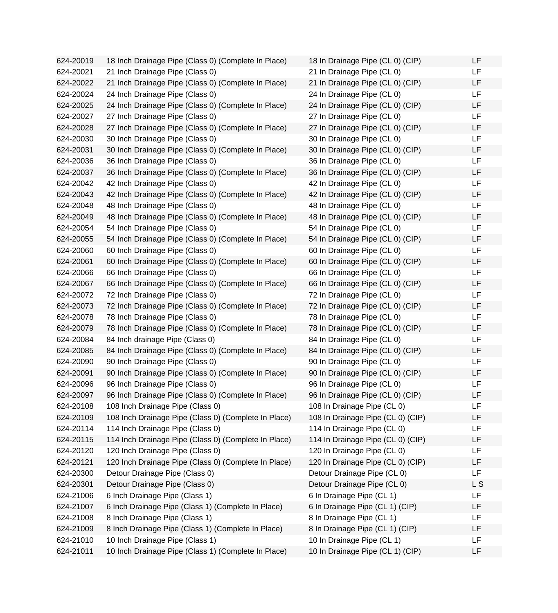624-20019 18 Inch Drainage Pipe (Class 0) (Complete In Place) 624-20021 21 Inch Drainage Pipe (Class 0) 624-20022 21 Inch Drainage Pipe (Class 0) (Complete In Place) 624-20024 24 Inch Drainage Pipe (Class 0) 624-20025 24 Inch Drainage Pipe (Class 0) (Complete In Place) 624-20027 27 Inch Drainage Pipe (Class 0) 624-20028 27 Inch Drainage Pipe (Class 0) (Complete In Place) 624-20030 30 Inch Drainage Pipe (Class 0) 624-20031 30 Inch Drainage Pipe (Class 0) (Complete In Place) 624-20036 36 Inch Drainage Pipe (Class 0) 624-20037 36 Inch Drainage Pipe (Class 0) (Complete In Place) 624-20042 42 Inch Drainage Pipe (Class 0) 624-20043 42 Inch Drainage Pipe (Class 0) (Complete In Place)  $624-20048$  48 Inch Drainage Pipe (Class 0) 624-20049 48 Inch Drainage Pipe (Class 0) (Complete In Place) 624-20054 54 Inch Drainage Pipe (Class 0) 624-20055 54 Inch Drainage Pipe (Class 0) (Complete In Place) 624-20060 60 Inch Drainage Pipe (Class 0) 624-20061 60 Inch Drainage Pipe (Class 0) (Complete In Place) 624-20066 66 Inch Drainage Pipe (Class 0) 624-20067 66 Inch Drainage Pipe (Class 0) (Complete In Place) 624-20072 72 Inch Drainage Pipe (Class 0) 624-20073 72 Inch Drainage Pipe (Class 0) (Complete In Place) 624-20078 78 Inch Drainage Pipe (Class 0) 624-20079 78 Inch Drainage Pipe (Class 0) (Complete In Place) 624-20084 84 Inch drainage Pipe (Class 0) 624-20085 84 Inch Drainage Pipe (Class 0) (Complete In Place) 624-20090 90 Inch Drainage Pipe (Class 0) 624-20091 90 Inch Drainage Pipe (Class 0) (Complete In Place) 624-20096 96 Inch Drainage Pipe (Class 0) 624-20097 96 Inch Drainage Pipe (Class 0) (Complete In Place) 624-20108 108 Inch Drainage Pipe (Class 0) 624-20109 108 Inch Drainage Pipe (Class 0) (Complete In Place) 624-20114 114 Inch Drainage Pipe (Class 0) 624-20115 114 Inch Drainage Pipe (Class 0) (Complete In Place) 624-20120 120 Inch Drainage Pipe (Class 0) 624-20121 120 Inch Drainage Pipe (Class 0) (Complete In Place) 624-20300 Detour Drainage Pipe (Class 0) 624-20301 Detour Drainage Pipe (Class 0) 624-21006 6 Inch Drainage Pipe (Class 1) 624-21007 6 Inch Drainage Pipe (Class 1) (Complete In Place) 624-21008 8 Inch Drainage Pipe (Class 1) 624-21009 8 Inch Drainage Pipe (Class 1) (Complete In Place) 624-21010 10 Inch Drainage Pipe (Class 1) 624-21011 10 Inch Drainage Pipe (Class 1) (Complete In Place)

| 18 In Drainage Pipe (CL 0) (CIP)  | LF             |
|-----------------------------------|----------------|
| 21 In Drainage Pipe (CL 0)        | LF             |
| 21 In Drainage Pipe (CL 0) (CIP)  | LF             |
| 24 In Drainage Pipe (CL 0)        | LF             |
| 24 In Drainage Pipe (CL 0) (CIP)  | LF             |
| 27 In Drainage Pipe (CL 0)        | LF             |
| 27 In Drainage Pipe (CL 0) (CIP)  | LF             |
| 30 In Drainage Pipe (CL 0)        | LF             |
| 30 In Drainage Pipe (CL 0) (CIP)  | LF             |
| 36 In Drainage Pipe (CL 0)        | LF             |
| 36 In Drainage Pipe (CL 0) (CIP)  | LF             |
| 42 In Drainage Pipe (CL 0)        | LF             |
| 42 In Drainage Pipe (CL 0) (CIP)  | LF             |
| 48 In Drainage Pipe (CL 0)        | LF             |
| 48 In Drainage Pipe (CL 0) (CIP)  | LF             |
| 54 In Drainage Pipe (CL 0)        | LF             |
| 54 In Drainage Pipe (CL 0) (CIP)  | LF             |
| 60 In Drainage Pipe (CL 0)        | LF             |
| 60 In Drainage Pipe (CL 0) (CIP)  | LF             |
| 66 In Drainage Pipe (CL 0)        | LF             |
| 66 In Drainage Pipe (CL 0) (CIP)  | LF             |
| 72 In Drainage Pipe (CL 0)        | LF             |
| 72 In Drainage Pipe (CL 0) (CIP)  | LF             |
| 78 In Drainage Pipe (CL 0)        | LF             |
| 78 In Drainage Pipe (CL 0) (CIP)  | LF             |
| 84 In Drainage Pipe (CL 0)        | LF             |
| 84 In Drainage Pipe (CL 0) (CIP)  | LF             |
| 90 In Drainage Pipe (CL 0)        | LF             |
| 90 In Drainage Pipe (CL 0) (CIP)  | LF             |
| 96 In Drainage Pipe (CL 0)        | LF             |
| 96 In Drainage Pipe (CL 0) (CIP)  | LF             |
| 108 In Drainage Pipe (CL 0)       | LF             |
| 108 In Drainage Pipe (CL 0) (CIP) | LF             |
| 114 In Drainage Pipe (CL 0)       | LF             |
| 114 In Drainage Pipe (CL 0) (CIP) | LF             |
| 120 In Drainage Pipe (CL 0)       | LF             |
| 120 In Drainage Pipe (CL 0) (CIP) | LF             |
| Detour Drainage Pipe (CL 0)       | LF             |
| Detour Drainage Pipe (CL 0)       | L <sub>S</sub> |
| 6 In Drainage Pipe (CL 1)         | LF             |
| 6 In Drainage Pipe (CL 1) (CIP)   | LF             |
| 8 In Drainage Pipe (CL 1)         | LF             |
| 8 In Drainage Pipe (CL 1) (CIP)   | LF             |
| 10 In Drainage Pipe (CL 1)        | LF             |
| 10 In Drainage Pipe (CL 1) (CIP)  | LF             |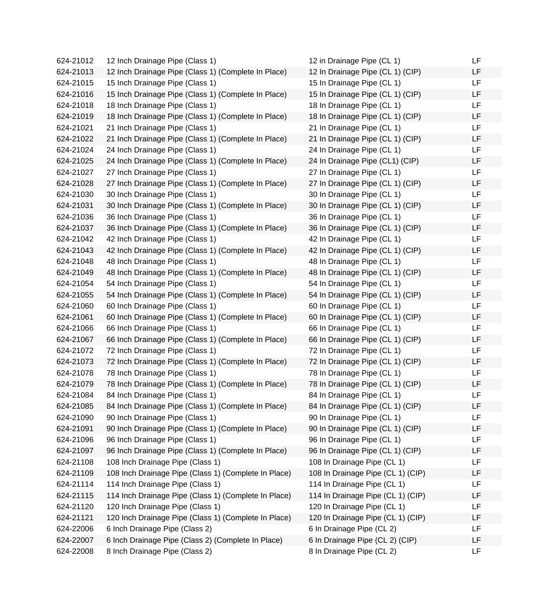624-21012 12 Inch Drainage Pipe (Class 1) 624-21013 12 Inch Drainage Pipe (Class 1) (Complete In Place) 624-21015 15 Inch Drainage Pipe (Class 1) 624-21016 15 Inch Drainage Pipe (Class 1) (Complete In Place) 624-21018 18 Inch Drainage Pipe (Class 1) 624-21019 18 Inch Drainage Pipe (Class 1) (Complete In Place) 624-21021 21 Inch Drainage Pipe (Class 1) 624-21022 21 Inch Drainage Pipe (Class 1) (Complete In Place) 624-21024 24 Inch Drainage Pipe (Class 1) 624-21025 24 Inch Drainage Pipe (Class 1) (Complete In Place) 624-21027 27 Inch Drainage Pipe (Class 1) 624-21028 27 Inch Drainage Pipe (Class 1) (Complete In Place) 624-21030 30 Inch Drainage Pipe (Class 1) 624-21031 30 Inch Drainage Pipe (Class 1) (Complete In Place) 624-21036 36 Inch Drainage Pipe (Class 1) 624-21037 36 Inch Drainage Pipe (Class 1) (Complete In Place) 624-21042 42 Inch Drainage Pipe (Class 1) 624-21043 42 Inch Drainage Pipe (Class 1) (Complete In Place) 624-21048 48 Inch Drainage Pipe (Class 1) 624-21049 48 Inch Drainage Pipe (Class 1) (Complete In Place) 624-21054 54 Inch Drainage Pipe (Class 1) 624-21055 54 Inch Drainage Pipe (Class 1) (Complete In Place) 624-21060 60 Inch Drainage Pipe (Class 1) 624-21061 60 Inch Drainage Pipe (Class 1) (Complete In Place) 624-21066 66 Inch Drainage Pipe (Class 1) 624-21067 66 Inch Drainage Pipe (Class 1) (Complete In Place) 624-21072 72 Inch Drainage Pipe (Class 1) 624-21073 72 Inch Drainage Pipe (Class 1) (Complete In Place) 624-21078 78 Inch Drainage Pipe (Class 1) 624-21079 78 Inch Drainage Pipe (Class 1) (Complete In Place) 624-21084 84 Inch Drainage Pipe (Class 1) 624-21085 84 Inch Drainage Pipe (Class 1) (Complete In Place) 624-21090 90 Inch Drainage Pipe (Class 1) 624-21091 90 Inch Drainage Pipe (Class 1) (Complete In Place) 624-21096 96 Inch Drainage Pipe (Class 1) 624-21097 96 Inch Drainage Pipe (Class 1) (Complete In Place) 624-21108 108 Inch Drainage Pipe (Class 1) 624-21109 108 Inch Drainage Pipe (Class 1) (Complete In Place) 624-21114 114 Inch Drainage Pipe (Class 1) 624-21115 114 Inch Drainage Pipe (Class 1) (Complete In Place) 624-21120 120 Inch Drainage Pipe (Class 1) 624-21121 120 Inch Drainage Pipe (Class 1) (Complete In Place) 624-22006 6 Inch Drainage Pipe (Class 2) 624-22007 6 Inch Drainage Pipe (Class 2) (Complete In Place) 624-22008 8 Inch Drainage Pipe (Class 2)

| 12 in Drainage Pipe (CL 1)        | LF |
|-----------------------------------|----|
| 12 In Drainage Pipe (CL 1) (CIP)  | LF |
| 15 In Drainage Pipe (CL 1)        | LF |
| 15 In Drainage Pipe (CL 1) (CIP)  | LF |
| 18 In Drainage Pipe (CL 1)        | LF |
| 18 In Drainage Pipe (CL 1) (CIP)  | LF |
| 21 In Drainage Pipe (CL 1)        | LF |
| 21 In Drainage Pipe (CL 1) (CIP)  | LF |
| 24 In Drainage Pipe (CL 1)        | LF |
| 24 In Drainage Pipe (CL1) (CIP)   | LF |
| 27 In Drainage Pipe (CL 1)        | LF |
| 27 In Drainage Pipe (CL 1) (CIP)  | LF |
| 30 In Drainage Pipe (CL 1)        | LF |
| 30 In Drainage Pipe (CL 1) (CIP)  | LF |
| 36 In Drainage Pipe (CL 1)        | LF |
| 36 In Drainage Pipe (CL 1) (CIP)  | LF |
| 42 In Drainage Pipe (CL 1)        | LF |
| 42 In Drainage Pipe (CL 1) (CIP)  | LF |
| 48 In Drainage Pipe (CL 1)        | LF |
| 48 In Drainage Pipe (CL 1) (CIP)  | LF |
| 54 In Drainage Pipe (CL 1)        | LF |
| 54 In Drainage Pipe (CL 1) (CIP)  | LF |
| 60 In Drainage Pipe (CL 1)        | LF |
| 60 In Drainage Pipe (CL 1) (CIP)  | LF |
| 66 In Drainage Pipe (CL 1)        | LF |
| 66 In Drainage Pipe (CL 1) (CIP)  | LF |
| 72 In Drainage Pipe (CL 1)        | LF |
| 72 In Drainage Pipe (CL 1) (CIP)  | LF |
| 78 In Drainage Pipe (CL 1)        | LF |
| 78 In Drainage Pipe (CL 1) (CIP)  | LF |
| 84 In Drainage Pipe (CL 1)        | LF |
| 84 In Drainage Pipe (CL 1) (CIP)  | LF |
| 90 In Drainage Pipe (CL 1)        | LF |
| 90 In Drainage Pipe (CL 1) (CIP)  | LF |
| 96 In Drainage Pipe (CL 1)        | LF |
| 96 In Drainage Pipe (CL 1) (CIP)  | LF |
| 108 In Drainage Pipe (CL 1)       | LF |
| 108 In Drainage Pipe (CL 1) (CIP) | LF |
| 114 In Drainage Pipe (CL 1)       | LF |
| 114 In Drainage Pipe (CL 1) (CIP) | LF |
| 120 In Drainage Pipe (CL 1)       | LF |
| 120 In Drainage Pipe (CL 1) (CIP) | LF |
| 6 In Drainage Pipe (CL 2)         | LF |
| 6 In Drainage Pipe (CL 2) (CIP)   | LF |
| 8 In Drainage Pipe (CL 2)         | LF |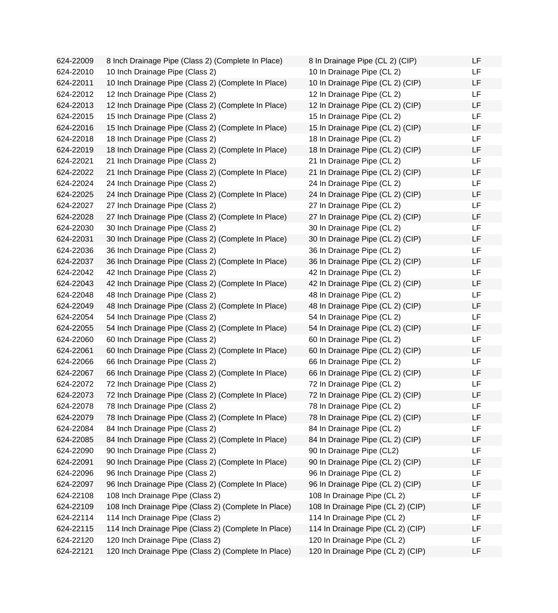624-22009 8 Inch Drainage Pipe (Class 2) (Complete In Place) 624-22010 10 Inch Drainage Pipe (Class 2) 624-22011 10 Inch Drainage Pipe (Class 2) (Complete In Place) 624-22012 12 Inch Drainage Pipe (Class 2) 624-22013 12 Inch Drainage Pipe (Class 2) (Complete In Place) 624-22015 15 Inch Drainage Pipe (Class 2) 624-22016 15 Inch Drainage Pipe (Class 2) (Complete In Place) 624-22018 18 Inch Drainage Pipe (Class 2) 624-22019 18 Inch Drainage Pipe (Class 2) (Complete In Place) 624-22021 21 Inch Drainage Pipe (Class 2) 624-22022 21 Inch Drainage Pipe (Class 2) (Complete In Place) 624-22024 24 Inch Drainage Pipe (Class 2) 624-22025 24 Inch Drainage Pipe (Class 2) (Complete In Place) 624-22027 27 Inch Drainage Pipe (Class 2) 624-22028 27 Inch Drainage Pipe (Class 2) (Complete In Place) 624-22030 30 Inch Drainage Pipe (Class 2) 624-22031 30 Inch Drainage Pipe (Class 2) (Complete In Place) 624-22036 36 Inch Drainage Pipe (Class 2) 624-22037 36 Inch Drainage Pipe (Class 2) (Complete In Place) 624-22042 42 Inch Drainage Pipe (Class 2) 624-22043 42 Inch Drainage Pipe (Class 2) (Complete In Place) 624-22048 48 Inch Drainage Pipe (Class 2) 624-22049 48 Inch Drainage Pipe (Class 2) (Complete In Place) 624-22054 54 Inch Drainage Pipe (Class 2) 624-22055 54 Inch Drainage Pipe (Class 2) (Complete In Place) 624-22060 60 Inch Drainage Pipe (Class 2) 624-22061 60 Inch Drainage Pipe (Class 2) (Complete In Place) 624-22066 66 Inch Drainage Pipe (Class 2) 624-22067 66 Inch Drainage Pipe (Class 2) (Complete In Place) 624-22072 72 Inch Drainage Pipe (Class 2) 624-22073 72 Inch Drainage Pipe (Class 2) (Complete In Place) 624-22078 78 Inch Drainage Pipe (Class 2) 624-22079 78 Inch Drainage Pipe (Class 2) (Complete In Place) 624-22084 84 Inch Drainage Pipe (Class 2) 624-22085 84 Inch Drainage Pipe (Class 2) (Complete In Place) 624-22090 90 Inch Drainage Pipe (Class 2) 624-22091 90 Inch Drainage Pipe (Class 2) (Complete In Place) 624-22096 96 Inch Drainage Pipe (Class 2) 624-22097 96 Inch Drainage Pipe (Class 2) (Complete In Place) 624-22108 108 Inch Drainage Pipe (Class 2) 624-22109 108 Inch Drainage Pipe (Class 2) (Complete In Place) 624-22114 114 Inch Drainage Pipe (Class 2) 624-22115 114 Inch Drainage Pipe (Class 2) (Complete In Place) 624-22120 120 Inch Drainage Pipe (Class 2) 624-22121 120 Inch Drainage Pipe (Class 2) (Complete In Place)

| 8 In Drainage Pipe (CL 2) (CIP)   | LF |
|-----------------------------------|----|
| 10 In Drainage Pipe (CL 2)        | LF |
| 10 In Drainage Pipe (CL 2) (CIP)  | LF |
| 12 In Drainage Pipe (CL 2)        | LF |
| 12 In Drainage Pipe (CL 2) (CIP)  | LF |
| 15 In Drainage Pipe (CL 2)        | LF |
| 15 In Drainage Pipe (CL 2) (CIP)  | LF |
| 18 In Drainage Pipe (CL 2)        | LF |
| 18 In Drainage Pipe (CL 2) (CIP)  | LF |
| 21 In Drainage Pipe (CL 2)        | LF |
| 21 In Drainage Pipe (CL 2) (CIP)  | LF |
| 24 In Drainage Pipe (CL 2)        | LF |
| 24 In Drainage Pipe (CL 2) (CIP)  | LF |
| 27 In Drainage Pipe (CL 2)        | LF |
| 27 In Drainage Pipe (CL 2) (CIP)  | LF |
| 30 In Drainage Pipe (CL 2)        | LF |
| 30 In Drainage Pipe (CL 2) (CIP)  | LF |
| 36 In Drainage Pipe (CL 2)        | LF |
| 36 In Drainage Pipe (CL 2) (CIP)  | LF |
| 42 In Drainage Pipe (CL 2)        | LF |
| 42 In Drainage Pipe (CL 2) (CIP)  | LF |
| 48 In Drainage Pipe (CL 2)        | LF |
| 48 In Drainage Pipe (CL 2) (CIP)  | LF |
| 54 In Drainage Pipe (CL 2)        | LF |
| 54 In Drainage Pipe (CL 2) (CIP)  | LF |
| 60 In Drainage Pipe (CL 2)        | LF |
| 60 In Drainage Pipe (CL 2) (CIP)  | LF |
| 66 In Drainage Pipe (CL 2)        | LF |
| 66 In Drainage Pipe (CL 2) (CIP)  | LF |
| 72 In Drainage Pipe (CL 2)        | LF |
| 72 In Drainage Pipe (CL 2) (CIP)  | LF |
| 78 In Drainage Pipe (CL 2)        | LF |
| 78 In Drainage Pipe (CL 2) (CIP)  | LF |
| 84 In Drainage Pipe (CL 2)        | LF |
| 84 In Drainage Pipe (CL 2) (CIP)  | LF |
| 90 In Drainage Pipe (CL2)         | LF |
| 90 In Drainage Pipe (CL 2) (CIP)  | LF |
| 96 In Drainage Pipe (CL 2)        | LF |
| 96 In Drainage Pipe (CL 2) (CIP)  | LF |
| 108 In Drainage Pipe (CL 2)       | LF |
| 108 In Drainage Pipe (CL 2) (CIP) | LF |
| 114 In Drainage Pipe (CL 2)       | LF |
| 114 In Drainage Pipe (CL 2) (CIP) | LF |
| 120 In Drainage Pipe (CL 2)       | LF |
| 120 In Drainage Pipe (CL 2) (CIP) | LF |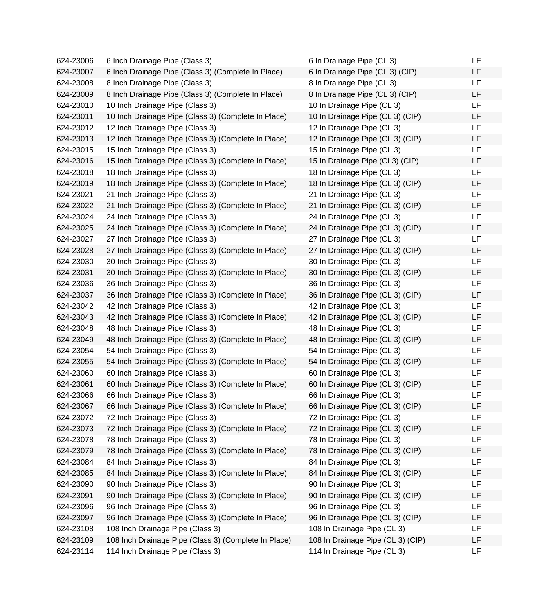| 624-23006 | 6 Inch Drainage Pipe (Class 3)                       | 6 In Drainage Pipe (CL 3)         | LF |
|-----------|------------------------------------------------------|-----------------------------------|----|
| 624-23007 | 6 Inch Drainage Pipe (Class 3) (Complete In Place)   | 6 In Drainage Pipe (CL 3) (CIP)   | LF |
| 624-23008 | 8 Inch Drainage Pipe (Class 3)                       | 8 In Drainage Pipe (CL 3)         | LF |
| 624-23009 | 8 Inch Drainage Pipe (Class 3) (Complete In Place)   | 8 In Drainage Pipe (CL 3) (CIP)   | LF |
| 624-23010 | 10 Inch Drainage Pipe (Class 3)                      | 10 In Drainage Pipe (CL 3)        | LF |
| 624-23011 | 10 Inch Drainage Pipe (Class 3) (Complete In Place)  | 10 In Drainage Pipe (CL 3) (CIP)  | LF |
| 624-23012 | 12 Inch Drainage Pipe (Class 3)                      | 12 In Drainage Pipe (CL 3)        | LF |
| 624-23013 | 12 Inch Drainage Pipe (Class 3) (Complete In Place)  | 12 In Drainage Pipe (CL 3) (CIP)  | LF |
| 624-23015 | 15 Inch Drainage Pipe (Class 3)                      | 15 In Drainage Pipe (CL 3)        | LF |
| 624-23016 | 15 Inch Drainage Pipe (Class 3) (Complete In Place)  | 15 In Drainage Pipe (CL3) (CIP)   | LF |
| 624-23018 | 18 Inch Drainage Pipe (Class 3)                      | 18 In Drainage Pipe (CL 3)        | LF |
| 624-23019 | 18 Inch Drainage Pipe (Class 3) (Complete In Place)  | 18 In Drainage Pipe (CL 3) (CIP)  | LF |
| 624-23021 | 21 Inch Drainage Pipe (Class 3)                      | 21 In Drainage Pipe (CL 3)        | LF |
| 624-23022 | 21 Inch Drainage Pipe (Class 3) (Complete In Place)  | 21 In Drainage Pipe (CL 3) (CIP)  | LF |
| 624-23024 | 24 Inch Drainage Pipe (Class 3)                      | 24 In Drainage Pipe (CL 3)        | LF |
| 624-23025 | 24 Inch Drainage Pipe (Class 3) (Complete In Place)  | 24 In Drainage Pipe (CL 3) (CIP)  | LF |
| 624-23027 | 27 Inch Drainage Pipe (Class 3)                      | 27 In Drainage Pipe (CL 3)        | LF |
| 624-23028 | 27 Inch Drainage Pipe (Class 3) (Complete In Place)  | 27 In Drainage Pipe (CL 3) (CIP)  | LF |
| 624-23030 | 30 Inch Drainage Pipe (Class 3)                      | 30 In Drainage Pipe (CL 3)        | LF |
| 624-23031 | 30 Inch Drainage Pipe (Class 3) (Complete In Place)  | 30 In Drainage Pipe (CL 3) (CIP)  | LF |
| 624-23036 | 36 Inch Drainage Pipe (Class 3)                      | 36 In Drainage Pipe (CL 3)        | LF |
| 624-23037 | 36 Inch Drainage Pipe (Class 3) (Complete In Place)  | 36 In Drainage Pipe (CL 3) (CIP)  | LF |
| 624-23042 | 42 Inch Drainage Pipe (Class 3)                      | 42 In Drainage Pipe (CL 3)        | LF |
| 624-23043 | 42 Inch Drainage Pipe (Class 3) (Complete In Place)  | 42 In Drainage Pipe (CL 3) (CIP)  | LF |
| 624-23048 | 48 Inch Drainage Pipe (Class 3)                      | 48 In Drainage Pipe (CL 3)        | LF |
| 624-23049 | 48 Inch Drainage Pipe (Class 3) (Complete In Place)  | 48 In Drainage Pipe (CL 3) (CIP)  | LF |
| 624-23054 | 54 Inch Drainage Pipe (Class 3)                      | 54 In Drainage Pipe (CL 3)        | LF |
| 624-23055 | 54 Inch Drainage Pipe (Class 3) (Complete In Place)  | 54 In Drainage Pipe (CL 3) (CIP)  | LF |
| 624-23060 | 60 Inch Drainage Pipe (Class 3)                      | 60 In Drainage Pipe (CL 3)        | LF |
| 624-23061 | 60 Inch Drainage Pipe (Class 3) (Complete In Place)  | 60 In Drainage Pipe (CL 3) (CIP)  | LF |
| 624-23066 | 66 Inch Drainage Pipe (Class 3)                      | 66 In Drainage Pipe (CL 3)        | LF |
| 624-23067 | 66 Inch Drainage Pipe (Class 3) (Complete In Place)  | 66 In Drainage Pipe (CL 3) (CIP)  | LF |
| 624-23072 | 72 Inch Drainage Pipe (Class 3)                      | 72 In Drainage Pipe (CL 3)        | LF |
| 624-23073 | 72 Inch Drainage Pipe (Class 3) (Complete In Place)  | 72 In Drainage Pipe (CL 3) (CIP)  | LF |
| 624-23078 | 78 Inch Drainage Pipe (Class 3)                      | 78 In Drainage Pipe (CL 3)        | LF |
| 624-23079 | 78 Inch Drainage Pipe (Class 3) (Complete In Place)  | 78 In Drainage Pipe (CL 3) (CIP)  | LF |
| 624-23084 | 84 Inch Drainage Pipe (Class 3)                      | 84 In Drainage Pipe (CL 3)        | LF |
| 624-23085 | 84 Inch Drainage Pipe (Class 3) (Complete In Place)  | 84 In Drainage Pipe (CL 3) (CIP)  | LF |
| 624-23090 | 90 Inch Drainage Pipe (Class 3)                      | 90 In Drainage Pipe (CL 3)        | LF |
| 624-23091 | 90 Inch Drainage Pipe (Class 3) (Complete In Place)  | 90 In Drainage Pipe (CL 3) (CIP)  | LF |
| 624-23096 | 96 Inch Drainage Pipe (Class 3)                      | 96 In Drainage Pipe (CL 3)        | LF |
| 624-23097 | 96 Inch Drainage Pipe (Class 3) (Complete In Place)  | 96 In Drainage Pipe (CL 3) (CIP)  | LF |
| 624-23108 | 108 Inch Drainage Pipe (Class 3)                     | 108 In Drainage Pipe (CL 3)       | LF |
| 624-23109 | 108 Inch Drainage Pipe (Class 3) (Complete In Place) | 108 In Drainage Pipe (CL 3) (CIP) | LF |
| 624-23114 | 114 Inch Drainage Pipe (Class 3)                     | 114 In Drainage Pipe (CL 3)       | LF |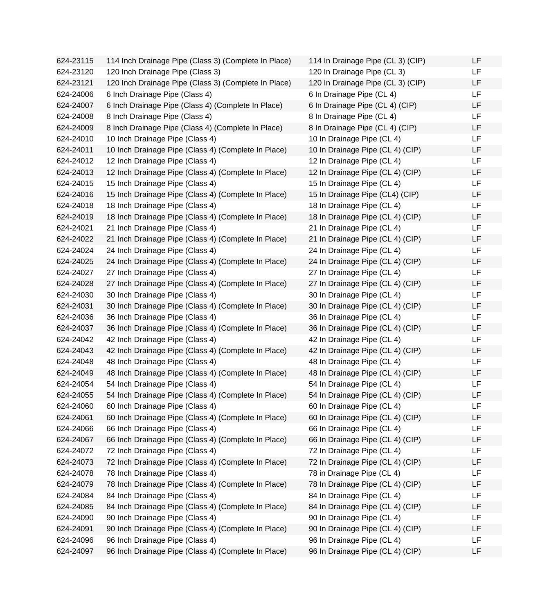624-23115 114 Inch Drainage Pipe (Class 3) (Complete In Place) 624-23120 120 Inch Drainage Pipe (Class 3) 624-23121 120 Inch Drainage Pipe (Class 3) (Complete In Place) 624-24006 6 Inch Drainage Pipe (Class 4) 624-24007 6 Inch Drainage Pipe (Class 4) (Complete In Place)  $624-24008$  8 Inch Drainage Pipe (Class 4) 624-24009 8 Inch Drainage Pipe (Class 4) (Complete In Place)  $624-24010$  10 Inch Drainage Pipe (Class 4) 624-24011 10 Inch Drainage Pipe (Class 4) (Complete In Place) 624-24012 12 Inch Drainage Pipe (Class 4) 624-24013 12 Inch Drainage Pipe (Class 4) (Complete In Place) 624-24015 15 Inch Drainage Pipe (Class 4) 624-24016 15 Inch Drainage Pipe (Class 4) (Complete In Place)  $624-24018$  18 Inch Drainage Pipe (Class 4) 624-24019 18 Inch Drainage Pipe (Class 4) (Complete In Place) 624-24021 21 Inch Drainage Pipe (Class 4) 624-24022 21 Inch Drainage Pipe (Class 4) (Complete In Place) 624-24024 24 Inch Drainage Pipe (Class 4) 624-24025 24 Inch Drainage Pipe (Class 4) (Complete In Place) 624-24027 27 Inch Drainage Pipe (Class 4) 624-24028 27 Inch Drainage Pipe (Class 4) (Complete In Place) 624-24030 30 Inch Drainage Pipe (Class 4) 624-24031 30 Inch Drainage Pipe (Class 4) (Complete In Place) 624-24036 36 Inch Drainage Pipe (Class 4) 624-24037 36 Inch Drainage Pipe (Class 4) (Complete In Place) 624-24042 42 Inch Drainage Pipe (Class 4) 624-24043 42 Inch Drainage Pipe (Class 4) (Complete In Place) 624-24048 48 Inch Drainage Pipe (Class 4) 624-24049 48 Inch Drainage Pipe (Class 4) (Complete In Place)  $624-24054$  54 Inch Drainage Pipe (Class 4) 624-24055 54 Inch Drainage Pipe (Class 4) (Complete In Place)  $624-24060$  60 Inch Drainage Pipe (Class 4) 624-24061 60 Inch Drainage Pipe (Class 4) (Complete In Place) 624-24066 66 Inch Drainage Pipe (Class 4) 624-24067 66 Inch Drainage Pipe (Class 4) (Complete In Place) 624-24072 72 Inch Drainage Pipe (Class 4) 624-24073 72 Inch Drainage Pipe (Class 4) (Complete In Place) 624-24078 78 Inch Drainage Pipe (Class 4) 624-24079 78 Inch Drainage Pipe (Class 4) (Complete In Place) 624-24084 84 Inch Drainage Pipe (Class 4) 624-24085 84 Inch Drainage Pipe (Class 4) (Complete In Place)  $624-24090$  90 Inch Drainage Pipe (Class 4) 624-24091 90 Inch Drainage Pipe (Class 4) (Complete In Place) 624-24096 96 Inch Drainage Pipe (Class 4) 624-24097 96 Inch Drainage Pipe (Class 4) (Complete In Place)

| 114 In Drainage Pipe (CL 3) (CIP) | LF |
|-----------------------------------|----|
| 120 In Drainage Pipe (CL 3)       | LF |
| 120 In Drainage Pipe (CL 3) (CIP) | LF |
| 6 In Drainage Pipe (CL 4)         | LF |
| 6 In Drainage Pipe (CL 4) (CIP)   | LF |
| 8 In Drainage Pipe (CL 4)         | LF |
| 8 In Drainage Pipe (CL 4) (CIP)   | LF |
| 10 In Drainage Pipe (CL 4)        | LF |
| 10 In Drainage Pipe (CL 4) (CIP)  | LF |
| 12 In Drainage Pipe (CL 4)        | LF |
| 12 In Drainage Pipe (CL 4) (CIP)  | LF |
| 15 In Drainage Pipe (CL 4)        | LF |
| 15 In Drainage Pipe (CL4) (CIP)   | LF |
| 18 In Drainage Pipe (CL 4)        | LF |
| 18 In Drainage Pipe (CL 4) (CIP)  | LF |
| 21 In Drainage Pipe (CL 4)        | LF |
| 21 In Drainage Pipe (CL 4) (CIP)  | LF |
| 24 In Drainage Pipe (CL 4)        | LF |
| 24 In Drainage Pipe (CL 4) (CIP)  | LF |
| 27 In Drainage Pipe (CL 4)        | LF |
| 27 In Drainage Pipe (CL 4) (CIP)  | LF |
| 30 In Drainage Pipe (CL 4)        | LF |
| 30 In Drainage Pipe (CL 4) (CIP)  | LF |
| 36 In Drainage Pipe (CL 4)        | LF |
| 36 In Drainage Pipe (CL 4) (CIP)  | LF |
| 42 In Drainage Pipe (CL 4)        | LF |
| 42 In Drainage Pipe (CL 4) (CIP)  | LF |
| 48 In Drainage Pipe (CL 4)        | LF |
| 48 In Drainage Pipe (CL 4) (CIP)  | LF |
| 54 In Drainage Pipe (CL 4)        | LF |
| 54 In Drainage Pipe (CL 4) (CIP)  | LF |
| 60 In Drainage Pipe (CL 4)        | LF |
| 60 In Drainage Pipe (CL 4) (CIP)  | LF |
| 66 In Drainage Pipe (CL 4)        | LF |
| 66 In Drainage Pipe (CL 4) (CIP)  | LF |
| 72 In Drainage Pipe (CL 4)        | LF |
| 72 In Drainage Pipe (CL 4) (CIP)  | LF |
| 78 in Drainage Pipe (CL 4)        | LF |
| 78 In Drainage Pipe (CL 4) (CIP)  | LF |
| 84 In Drainage Pipe (CL 4)        | LF |
| 84 In Drainage Pipe (CL 4) (CIP)  | LF |
| 90 In Drainage Pipe (CL 4)        | LF |
| 90 In Drainage Pipe (CL 4) (CIP)  | LF |
| 96 In Drainage Pipe (CL 4)        | LF |
| 96 In Drainage Pipe (CL 4) (CIP)  | LF |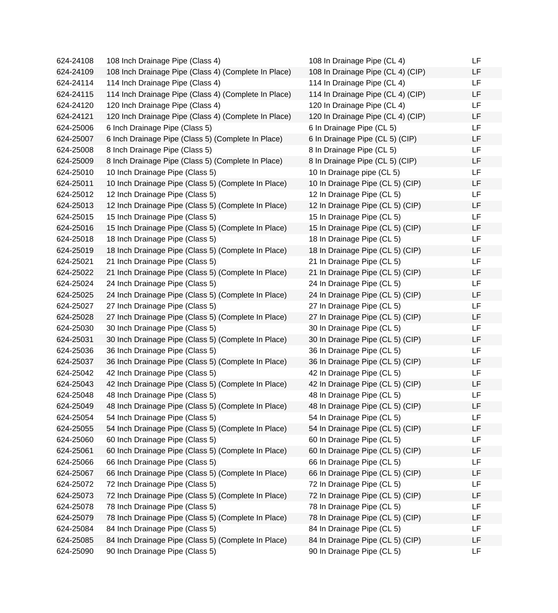| 624-24108 | 108 Inch Drainage Pipe (Class 4)                     | 108 In Drainage Pipe (CL 4)       | LF |
|-----------|------------------------------------------------------|-----------------------------------|----|
| 624-24109 | 108 Inch Drainage Pipe (Class 4) (Complete In Place) | 108 In Drainage Pipe (CL 4) (CIP) | LF |
| 624-24114 | 114 Inch Drainage Pipe (Class 4)                     | 114 In Drainage Pipe (CL 4)       | LF |
| 624-24115 | 114 Inch Drainage Pipe (Class 4) (Complete In Place) | 114 In Drainage Pipe (CL 4) (CIP) | LF |
| 624-24120 | 120 Inch Drainage Pipe (Class 4)                     | 120 In Drainage Pipe (CL 4)       | LF |
| 624-24121 | 120 Inch Drainage Pipe (Class 4) (Complete In Place) | 120 In Drainage Pipe (CL 4) (CIP) | LF |
| 624-25006 | 6 Inch Drainage Pipe (Class 5)                       | 6 In Drainage Pipe (CL 5)         | LF |
| 624-25007 | 6 Inch Drainage Pipe (Class 5) (Complete In Place)   | 6 In Drainage Pipe (CL 5) (CIP)   | LF |
| 624-25008 | 8 Inch Drainage Pipe (Class 5)                       | 8 In Drainage Pipe (CL 5)         | LF |
| 624-25009 | 8 Inch Drainage Pipe (Class 5) (Complete In Place)   | 8 In Drainage Pipe (CL 5) (CIP)   | LF |
| 624-25010 | 10 Inch Drainage Pipe (Class 5)                      | 10 In Drainage pipe (CL 5)        | LF |
| 624-25011 | 10 Inch Drainage Pipe (Class 5) (Complete In Place)  | 10 In Drainage Pipe (CL 5) (CIP)  | LF |
| 624-25012 | 12 Inch Drainage Pipe (Class 5)                      | 12 In Drainage Pipe (CL 5)        | LF |
| 624-25013 | 12 Inch Drainage Pipe (Class 5) (Complete In Place)  | 12 In Drainage Pipe (CL 5) (CIP)  | LF |
| 624-25015 | 15 Inch Drainage Pipe (Class 5)                      | 15 In Drainage Pipe (CL 5)        | LF |
| 624-25016 | 15 Inch Drainage Pipe (Class 5) (Complete In Place)  | 15 In Drainage Pipe (CL 5) (CIP)  | LF |
| 624-25018 | 18 Inch Drainage Pipe (Class 5)                      | 18 In Drainage Pipe (CL 5)        | LF |
| 624-25019 | 18 Inch Drainage Pipe (Class 5) (Complete In Place)  | 18 In Drainage Pipe (CL 5) (CIP)  | LF |
| 624-25021 | 21 Inch Drainage Pipe (Class 5)                      | 21 In Drainage Pipe (CL 5)        | LF |
| 624-25022 | 21 Inch Drainage Pipe (Class 5) (Complete In Place)  | 21 In Drainage Pipe (CL 5) (CIP)  | LF |
| 624-25024 | 24 Inch Drainage Pipe (Class 5)                      | 24 In Drainage Pipe (CL 5)        | LF |
| 624-25025 | 24 Inch Drainage Pipe (Class 5) (Complete In Place)  | 24 In Drainage Pipe (CL 5) (CIP)  | LF |
| 624-25027 | 27 Inch Drainage Pipe (Class 5)                      | 27 In Drainage Pipe (CL 5)        | LF |
| 624-25028 | 27 Inch Drainage Pipe (Class 5) (Complete In Place)  | 27 In Drainage Pipe (CL 5) (CIP)  | LF |
| 624-25030 | 30 Inch Drainage Pipe (Class 5)                      | 30 In Drainage Pipe (CL 5)        | LF |
| 624-25031 | 30 Inch Drainage Pipe (Class 5) (Complete In Place)  | 30 In Drainage Pipe (CL 5) (CIP)  | LF |
| 624-25036 | 36 Inch Drainage Pipe (Class 5)                      | 36 In Drainage Pipe (CL 5)        | LF |
| 624-25037 | 36 Inch Drainage Pipe (Class 5) (Complete In Place)  | 36 In Drainage Pipe (CL 5) (CIP)  | LF |
| 624-25042 | 42 Inch Drainage Pipe (Class 5)                      | 42 In Drainage Pipe (CL 5)        | LF |
| 624-25043 | 42 Inch Drainage Pipe (Class 5) (Complete In Place)  | 42 In Drainage Pipe (CL 5) (CIP)  | LF |
| 624-25048 | 48 Inch Drainage Pipe (Class 5)                      | 48 In Drainage Pipe (CL 5)        | LF |
| 624-25049 | 48 Inch Drainage Pipe (Class 5) (Complete In Place)  | 48 In Drainage Pipe (CL 5) (CIP)  | LF |
| 624-25054 | 54 Inch Drainage Pipe (Class 5)                      | 54 In Drainage Pipe (CL 5)        | LF |
| 624-25055 | 54 Inch Drainage Pipe (Class 5) (Complete In Place)  | 54 In Drainage Pipe (CL 5) (CIP)  | LF |
| 624-25060 | 60 Inch Drainage Pipe (Class 5)                      | 60 In Drainage Pipe (CL 5)        | LF |
| 624-25061 | 60 Inch Drainage Pipe (Class 5) (Complete In Place)  | 60 In Drainage Pipe (CL 5) (CIP)  | LF |
| 624-25066 | 66 Inch Drainage Pipe (Class 5)                      | 66 In Drainage Pipe (CL 5)        | LF |
| 624-25067 | 66 Inch Drainage Pipe (Class 5) (Complete In Place)  | 66 In Drainage Pipe (CL 5) (CIP)  | LF |
| 624-25072 | 72 Inch Drainage Pipe (Class 5)                      | 72 In Drainage Pipe (CL 5)        | LF |
| 624-25073 | 72 Inch Drainage Pipe (Class 5) (Complete In Place)  | 72 In Drainage Pipe (CL 5) (CIP)  | LF |
| 624-25078 | 78 Inch Drainage Pipe (Class 5)                      | 78 In Drainage Pipe (CL 5)        | LF |
| 624-25079 | 78 Inch Drainage Pipe (Class 5) (Complete In Place)  | 78 In Drainage Pipe (CL 5) (CIP)  | LF |
| 624-25084 | 84 Inch Drainage Pipe (Class 5)                      | 84 In Drainage Pipe (CL 5)        | LF |
| 624-25085 | 84 Inch Drainage Pipe (Class 5) (Complete In Place)  | 84 In Drainage Pipe (CL 5) (CIP)  | LF |
| 624-25090 | 90 Inch Drainage Pipe (Class 5)                      | 90 In Drainage Pipe (CL 5)        | LF |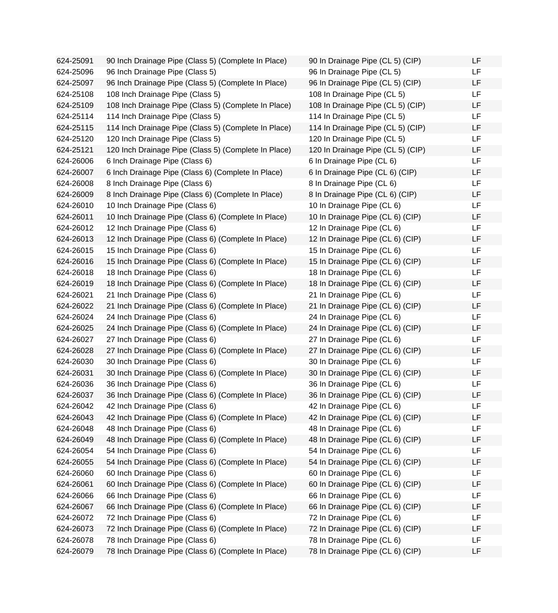624-25091 90 Inch Drainage Pipe (Class 5) (Complete In Place) 624-25096 96 Inch Drainage Pipe (Class 5) 624-25097 96 Inch Drainage Pipe (Class 5) (Complete In Place) 624-25108 108 Inch Drainage Pipe (Class 5) 624-25109 108 Inch Drainage Pipe (Class 5) (Complete In Place) 624-25114 114 Inch Drainage Pipe (Class 5) 624-25115 114 Inch Drainage Pipe (Class 5) (Complete In Place) 624-25120 120 Inch Drainage Pipe (Class 5) 624-25121 120 Inch Drainage Pipe (Class 5) (Complete In Place) 624-26006 6 Inch Drainage Pipe (Class 6) 624-26007 6 Inch Drainage Pipe (Class 6) (Complete In Place) 624-26008 8 Inch Drainage Pipe (Class 6) 624-26009 8 Inch Drainage Pipe (Class 6) (Complete In Place) 624-26010 10 Inch Drainage Pipe (Class 6) 624-26011 10 Inch Drainage Pipe (Class 6) (Complete In Place) 624-26012 12 Inch Drainage Pipe (Class 6) 624-26013 12 Inch Drainage Pipe (Class 6) (Complete In Place) 624-26015 15 Inch Drainage Pipe (Class 6) 624-26016 15 Inch Drainage Pipe (Class 6) (Complete In Place) 624-26018 18 Inch Drainage Pipe (Class 6) 624-26019 18 Inch Drainage Pipe (Class 6) (Complete In Place) 624-26021 21 Inch Drainage Pipe (Class 6) 624-26022 21 Inch Drainage Pipe (Class 6) (Complete In Place) 624-26024 24 Inch Drainage Pipe (Class 6) 624-26025 24 Inch Drainage Pipe (Class 6) (Complete In Place) 624-26027 27 Inch Drainage Pipe (Class 6) 624-26028 27 Inch Drainage Pipe (Class 6) (Complete In Place) 624-26030 30 Inch Drainage Pipe (Class 6) 624-26031 30 Inch Drainage Pipe (Class 6) (Complete In Place) 624-26036 36 Inch Drainage Pipe (Class 6) 624-26037 36 Inch Drainage Pipe (Class 6) (Complete In Place)  $624-26042$  42 Inch Drainage Pipe (Class 6) 624-26043 42 Inch Drainage Pipe (Class 6) (Complete In Place) 624-26048 48 Inch Drainage Pipe (Class 6) 624-26049 48 Inch Drainage Pipe (Class 6) (Complete In Place) 624-26054 54 Inch Drainage Pipe (Class 6) 624-26055 54 Inch Drainage Pipe (Class 6) (Complete In Place) 624-26060 60 Inch Drainage Pipe (Class 6) 624-26061 60 Inch Drainage Pipe (Class 6) (Complete In Place) 624-26066 66 Inch Drainage Pipe (Class 6) 624-26067 66 Inch Drainage Pipe (Class 6) (Complete In Place) 624-26072 72 Inch Drainage Pipe (Class 6) 624-26073 72 Inch Drainage Pipe (Class 6) (Complete In Place) 624-26078 78 Inch Drainage Pipe (Class 6) 624-26079 78 Inch Drainage Pipe (Class 6) (Complete In Place)

| 90 In Drainage Pipe (CL 5) (CIP)  | LF |
|-----------------------------------|----|
| 96 In Drainage Pipe (CL 5)        | LF |
| 96 In Drainage Pipe (CL 5) (CIP)  | LF |
| 108 In Drainage Pipe (CL 5)       | LF |
| 108 In Drainage Pipe (CL 5) (CIP) | LF |
| 114 In Drainage Pipe (CL 5)       | LF |
| 114 In Drainage Pipe (CL 5) (CIP) | LF |
| 120 In Drainage Pipe (CL 5)       | LF |
| 120 In Drainage Pipe (CL 5) (CIP) | LF |
| 6 In Drainage Pipe (CL 6)         | LF |
| 6 In Drainage Pipe (CL 6) (CIP)   | LF |
| 8 In Drainage Pipe (CL 6)         | LF |
| 8 In Drainage Pipe (CL 6) (CIP)   | LF |
| 10 In Drainage Pipe (CL 6)        | LF |
| 10 In Drainage Pipe (CL 6) (CIP)  | LF |
| 12 In Drainage Pipe (CL 6)        | LF |
| 12 In Drainage Pipe (CL 6) (CIP)  | LF |
| 15 In Drainage Pipe (CL 6)        | LF |
| 15 In Drainage Pipe (CL 6) (CIP)  | LF |
| 18 In Drainage Pipe (CL 6)        | LF |
| 18 In Drainage Pipe (CL 6) (CIP)  | LF |
| 21 In Drainage Pipe (CL 6)        | LF |
| 21 In Drainage Pipe (CL 6) (CIP)  | LF |
| 24 In Drainage Pipe (CL 6)        | LF |
| 24 In Drainage Pipe (CL 6) (CIP)  | LF |
| 27 In Drainage Pipe (CL 6)        | LF |
| 27 In Drainage Pipe (CL 6) (CIP)  | LF |
| 30 In Drainage Pipe (CL 6)        | LF |
| 30 In Drainage Pipe (CL 6) (CIP)  | LF |
| 36 In Drainage Pipe (CL 6)        | LF |
| 36 In Drainage Pipe (CL 6) (CIP)  | LF |
| 42 In Drainage Pipe (CL 6)        | ᄕ  |
| 42 In Drainage Pipe (CL 6) (CIP)  | LF |
| 48 In Drainage Pipe (CL 6)        | LF |
| 48 In Drainage Pipe (CL 6) (CIP)  | LF |
| 54 In Drainage Pipe (CL 6)        | LF |
| 54 In Drainage Pipe (CL 6) (CIP)  | LF |
| 60 In Drainage Pipe (CL 6)        | LF |
| 60 In Drainage Pipe (CL 6) (CIP)  | LF |
| 66 In Drainage Pipe (CL 6)        | LF |
| 66 In Drainage Pipe (CL 6) (CIP)  | LF |
| 72 In Drainage Pipe (CL 6)        | LF |
| 72 In Drainage Pipe (CL 6) (CIP)  | LF |
| 78 In Drainage Pipe (CL 6)        | LF |
| 78 In Drainage Pipe (CL 6) (CIP)  | LF |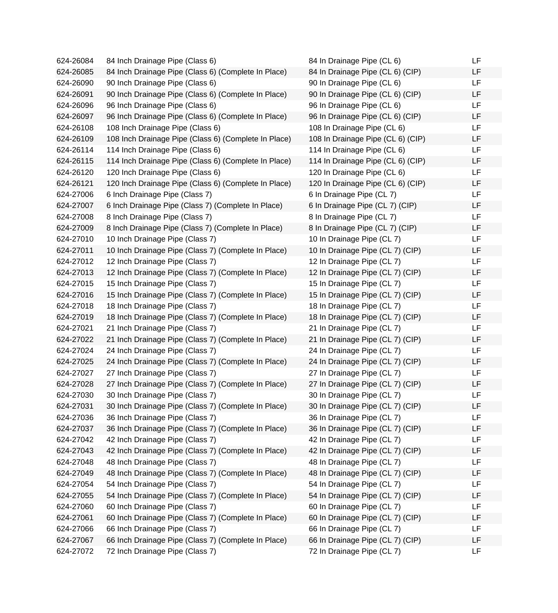624-26084 84 Inch Drainage Pipe (Class 6) 624-26085 84 Inch Drainage Pipe (Class 6) (Complete In Place) 624-26090 90 Inch Drainage Pipe (Class 6) 624-26091 90 Inch Drainage Pipe (Class 6) (Complete In Place) 624-26096 96 Inch Drainage Pipe (Class 6) 624-26097 96 Inch Drainage Pipe (Class 6) (Complete In Place) 624-26108 108 Inch Drainage Pipe (Class 6) 624-26109 108 Inch Drainage Pipe (Class 6) (Complete In Place) 624-26114 114 Inch Drainage Pipe (Class 6) 624-26115 114 Inch Drainage Pipe (Class 6) (Complete In Place) 624-26120 120 Inch Drainage Pipe (Class 6) 624-26121 120 Inch Drainage Pipe (Class 6) (Complete In Place) 624-27006 6 Inch Drainage Pipe (Class 7) 624-27007 6 Inch Drainage Pipe (Class 7) (Complete In Place) 624-27008 8 Inch Drainage Pipe (Class 7) 624-27009 8 Inch Drainage Pipe (Class 7) (Complete In Place) 624-27010 10 Inch Drainage Pipe (Class 7) 624-27011 10 Inch Drainage Pipe (Class 7) (Complete In Place) 624-27012 12 Inch Drainage Pipe (Class 7) 624-27013 12 Inch Drainage Pipe (Class 7) (Complete In Place) 624-27015 15 Inch Drainage Pipe (Class 7) 624-27016 15 Inch Drainage Pipe (Class 7) (Complete In Place) 624-27018 18 Inch Drainage Pipe (Class 7) 624-27019 18 Inch Drainage Pipe (Class 7) (Complete In Place) 624-27021 21 Inch Drainage Pipe (Class 7) 624-27022 21 Inch Drainage Pipe (Class 7) (Complete In Place) 624-27024 24 Inch Drainage Pipe (Class 7) 624-27025 24 Inch Drainage Pipe (Class 7) (Complete In Place) 624-27027 27 Inch Drainage Pipe (Class 7) 624-27028 27 Inch Drainage Pipe (Class 7) (Complete In Place) 624-27030 30 Inch Drainage Pipe (Class 7) 624-27031 30 Inch Drainage Pipe (Class 7) (Complete In Place) 624-27036 36 Inch Drainage Pipe (Class 7) 624-27037 36 Inch Drainage Pipe (Class 7) (Complete In Place) 624-27042 42 Inch Drainage Pipe (Class 7) 624-27043 42 Inch Drainage Pipe (Class 7) (Complete In Place) 624-27048 48 Inch Drainage Pipe (Class 7) 624-27049 48 Inch Drainage Pipe (Class 7) (Complete In Place) 624-27054 54 Inch Drainage Pipe (Class 7) 624-27055 54 Inch Drainage Pipe (Class 7) (Complete In Place) 624-27060 60 Inch Drainage Pipe (Class 7) 624-27061 60 Inch Drainage Pipe (Class 7) (Complete In Place) 624-27066 66 Inch Drainage Pipe (Class 7) 624-27067 66 Inch Drainage Pipe (Class 7) (Complete In Place) 624-27072 72 Inch Drainage Pipe (Class 7)

| 84 In Drainage Pipe (CL 6)        | LF |
|-----------------------------------|----|
| 84 In Drainage Pipe (CL 6) (CIP)  | LF |
| 90 In Drainage Pipe (CL 6)        | LF |
| 90 In Drainage Pipe (CL 6) (CIP)  | LF |
| 96 In Drainage Pipe (CL 6)        | LF |
| 96 In Drainage Pipe (CL 6) (CIP)  | LF |
| 108 In Drainage Pipe (CL 6)       | LF |
| 108 In Drainage Pipe (CL 6) (CIP) | LF |
| 114 In Drainage Pipe (CL 6)       | LF |
| 114 In Drainage Pipe (CL 6) (CIP) | LF |
| 120 In Drainage Pipe (CL 6)       | LF |
| 120 In Drainage Pipe (CL 6) (CIP) | LF |
| 6 In Drainage Pipe (CL 7)         | LF |
| 6 In Drainage Pipe (CL 7) (CIP)   | LF |
| 8 In Drainage Pipe (CL 7)         | LF |
| 8 In Drainage Pipe (CL 7) (CIP)   | LF |
| 10 In Drainage Pipe (CL 7)        | LF |
| 10 In Drainage Pipe (CL 7) (CIP)  | LF |
| 12 In Drainage Pipe (CL 7)        | LF |
| 12 In Drainage Pipe (CL 7) (CIP)  | LF |
| 15 In Drainage Pipe (CL 7)        | LF |
| 15 In Drainage Pipe (CL 7) (CIP)  | LF |
| 18 In Drainage Pipe (CL 7)        | LF |
| 18 In Drainage Pipe (CL 7) (CIP)  | LF |
| 21 In Drainage Pipe (CL 7)        | LF |
| 21 In Drainage Pipe (CL 7) (CIP)  | LF |
| 24 In Drainage Pipe (CL 7)        | LF |
| 24 In Drainage Pipe (CL 7) (CIP)  | LF |
| 27 In Drainage Pipe (CL 7)        | LF |
| 27 In Drainage Pipe (CL 7) (CIP)  | LF |
| 30 In Drainage Pipe (CL 7)        | LF |
| 30 In Drainage Pipe (CL 7) (CIP)  | LF |
| 36 In Drainage Pipe (CL 7)        | LF |
| 36 In Drainage Pipe (CL 7) (CIP)  | LF |
| 42 In Drainage Pipe (CL 7)        | LF |
| 42 In Drainage Pipe (CL 7) (CIP)  | LF |
| 48 In Drainage Pipe (CL 7)        | LF |
| 48 In Drainage Pipe (CL 7) (CIP)  | LF |
| 54 In Drainage Pipe (CL 7)        | LF |
| 54 In Drainage Pipe (CL 7) (CIP)  | LF |
| 60 In Drainage Pipe (CL 7)        | LF |
| 60 In Drainage Pipe (CL 7) (CIP)  | LF |
| 66 In Drainage Pipe (CL 7)        | LF |
| 66 In Drainage Pipe (CL 7) (CIP)  | LF |
| 72 In Drainage Pipe (CL 7)        | LF |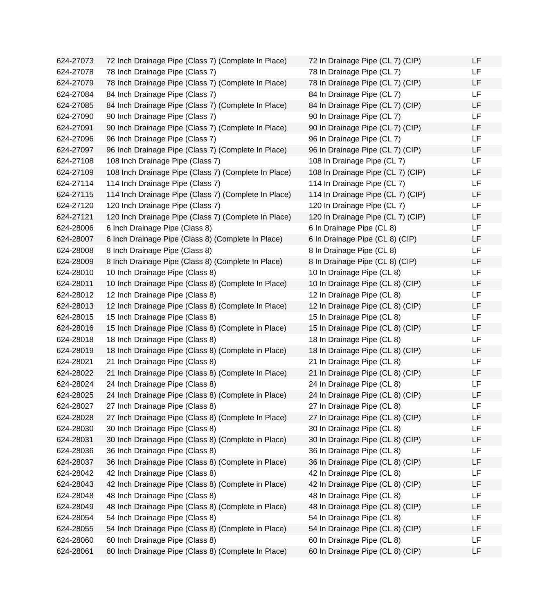624-27073 72 Inch Drainage Pipe (Class 7) (Complete In Place) 72 In Drainage Pipe (CL 7) (CIP) LF 624-27078 78 Inch Drainage Pipe (Class 7) 78 In Drainage Pipe (CL 7) LF 624-27079 78 Inch Drainage Pipe (Class 7) (Complete In Place) 78 In Drainage Pipe (CL 7) (CIP) LF 624-27084 84 Inch Drainage Pipe (Class 7) 84 In Drainage Pipe (CL 7) LF 624-27085 84 Inch Drainage Pipe (Class 7) (Complete In Place) 84 In Drainage Pipe (CL 7) (CIP) LF 624-27090 90 Inch Drainage Pipe (Class 7) 90 In Drainage Pipe (CL 7) LF 624-27091 90 Inch Drainage Pipe (Class 7) (Complete In Place) 90 In Drainage Pipe (CL 7) (CIP) LF 624-27096 96 Inch Drainage Pipe (Class 7) 96 In Drainage Pipe (CL 7) LF 624-27097 96 Inch Drainage Pipe (Class 7) (Complete In Place) 96 In Drainage Pipe (CL 7) (CIP) LF 624-27108 108 Inch Drainage Pipe (Class 7) 108 In Drainage Pipe (CL 7) LF 624-27109 108 Inch Drainage Pipe (Class 7) (Complete In Place) 108 In Drainage Pipe (CL 7) (CIP) LF 624-27114 114 Inch Drainage Pipe (Class 7) 114 In Drainage Pipe (CL 7) LF 624-27115 114 Inch Drainage Pipe (Class 7) (Complete In Place) 114 In Drainage Pipe (CL 7) (CIP) LF 624-27120 120 Inch Drainage Pipe (Class 7) 120 In Drainage Pipe (CL 7) LF 624-27121 120 Inch Drainage Pipe (Class 7) (Complete In Place) 120 In Drainage Pipe (CL 7) (CIP) LF 624-28006 6 Inch Drainage Pipe (Class 8) 6 In Drainage Pipe (CL 8) LF 624-28007 6 Inch Drainage Pipe (Class 8) (Complete In Place) 6 In Drainage Pipe (CL 8) (CIP) LF 624-28008 8 Inch Drainage Pipe (Class 8) 8 In Drainage Pipe (CL 8) LF 624-28009 8 Inch Drainage Pipe (Class 8) (Complete In Place) 8 In Drainage Pipe (CL 8) (CIP) LF 624-28010 10 Inch Drainage Pipe (Class 8) 10 In Drainage Pipe (CL 8) LF 624-28011 10 Inch Drainage Pipe (Class 8) (Complete In Place) 10 In Drainage Pipe (CL 8) (CIP) LF 624-28012 12 Inch Drainage Pipe (Class 8) 12 In Drainage Pipe (CL 8) LF 624-28013 12 Inch Drainage Pipe (Class 8) (Complete In Place) 12 In Drainage Pipe (CL 8) (CIP) LF 624-28015 15 Inch Drainage Pipe (Class 8) 15 In Drainage Pipe (CL 8) LF 624-28016 15 Inch Drainage Pipe (Class 8) (Complete in Place) 15 In Drainage Pipe (CL 8) (CIP) LF 624-28018 18 Inch Drainage Pipe (Class 8) 18 In Drainage Pipe (CL 8) LF 624-28019 18 Inch Drainage Pipe (Class 8) (Complete in Place) 18 In Drainage Pipe (CL 8) (CIP) LF 624-28021 21 Inch Drainage Pipe (Class 8) 21 In Drainage Pipe (CL 8) LF 624-28022 21 Inch Drainage Pipe (Class 8) (Complete In Place) 21 In Drainage Pipe (CL 8) (CIP) LF 624-28024 24 Inch Drainage Pipe (Class 8) 24 In Drainage Pipe (CL 8) LF 624-28025 24 Inch Drainage Pipe (Class 8) (Complete in Place) 24 In Drainage Pipe (CL 8) (CIP) LF 624-28027 27 Inch Drainage Pipe (Class 8) 27 In Drainage Pipe (CL 8) LF 624-28028 27 Inch Drainage Pipe (Class 8) (Complete In Place) 27 In Drainage Pipe (CL 8) (CIP) LF 624-28030 30 Inch Drainage Pipe (Class 8) 30 In Drainage Pipe (CL 8) LF 624-28031 30 Inch Drainage Pipe (Class 8) (Complete in Place) 30 In Drainage Pipe (CL 8) (CIP) LF 624-28036 36 Inch Drainage Pipe (Class 8) 36 In Drainage Pipe (CL 8) LF 624-28037 36 Inch Drainage Pipe (Class 8) (Complete in Place) 36 In Drainage Pipe (CL 8) (CIP) LF 624-28042 42 Inch Drainage Pipe (Class 8) 42 In Drainage Pipe (CL 8) LF 624-28043 42 Inch Drainage Pipe (Class 8) (Complete in Place) 42 In Drainage Pipe (CL 8) (CIP) LF 624-28048 48 Inch Drainage Pipe (Class 8) 48 In Drainage Pipe (CL 8) LF 624-28049 48 Inch Drainage Pipe (Class 8) (Complete in Place) 48 In Drainage Pipe (CL 8) (CIP) LF 624-28054 54 Inch Drainage Pipe (Class 8) 54 In Drainage Pipe (CL 8) LF 624-28055 54 Inch Drainage Pipe (Class 8) (Complete in Place) 54 In Drainage Pipe (CL 8) (CIP) LF 624-28060 60 Inch Drainage Pipe (Class 8) 60 In Drainage Pipe (CL 8) LF 624-28061 60 Inch Drainage Pipe (Class 8) (Complete In Place) 60 In Drainage Pipe (CL 8) (CIP) LF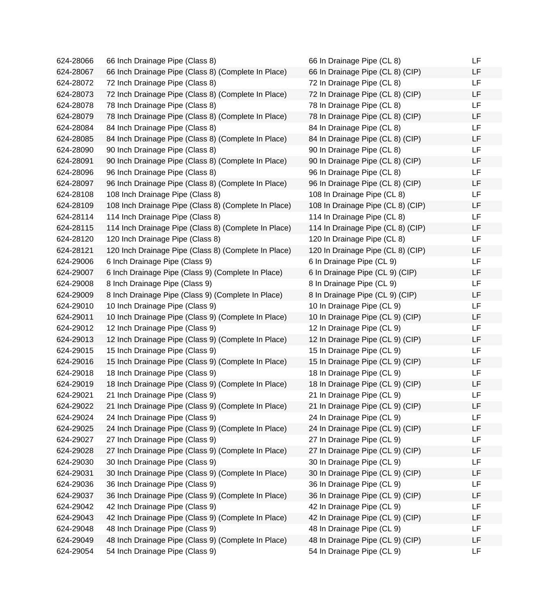624-28066 66 Inch Drainage Pipe (Class 8) 624-28067 66 Inch Drainage Pipe (Class 8) (Complete In Place) 624-28072 72 Inch Drainage Pipe (Class 8) 624-28073 72 Inch Drainage Pipe (Class 8) (Complete In Place) 624-28078 78 Inch Drainage Pipe (Class 8) 624-28079 78 Inch Drainage Pipe (Class 8) (Complete In Place) 624-28084 84 Inch Drainage Pipe (Class 8) 624-28085 84 Inch Drainage Pipe (Class 8) (Complete In Place) 624-28090 90 Inch Drainage Pipe (Class 8) 624-28091 90 Inch Drainage Pipe (Class 8) (Complete In Place) 624-28096 96 Inch Drainage Pipe (Class 8) 624-28097 96 Inch Drainage Pipe (Class 8) (Complete In Place) 624-28108 108 Inch Drainage Pipe (Class 8) 624-28109 108 Inch Drainage Pipe (Class 8) (Complete In Place) 624-28114 114 Inch Drainage Pipe (Class 8) 624-28115 114 Inch Drainage Pipe (Class 8) (Complete In Place) 624-28120 120 Inch Drainage Pipe (Class 8) 624-28121 120 Inch Drainage Pipe (Class 8) (Complete In Place) 624-29006 6 Inch Drainage Pipe (Class 9) 624-29007 6 Inch Drainage Pipe (Class 9) (Complete In Place) 624-29008 8 Inch Drainage Pipe (Class 9) 624-29009 8 Inch Drainage Pipe (Class 9) (Complete In Place) 624-29010 10 Inch Drainage Pipe (Class 9) 624-29011 10 Inch Drainage Pipe (Class 9) (Complete In Place) 624-29012 12 Inch Drainage Pipe (Class 9) 624-29013 12 Inch Drainage Pipe (Class 9) (Complete In Place) 624-29015 15 Inch Drainage Pipe (Class 9) 624-29016 15 Inch Drainage Pipe (Class 9) (Complete In Place) 624-29018 18 Inch Drainage Pipe (Class 9) 624-29019 18 Inch Drainage Pipe (Class 9) (Complete In Place) 624-29021 21 Inch Drainage Pipe (Class 9) 624-29022 21 Inch Drainage Pipe (Class 9) (Complete In Place) 624-29024 24 Inch Drainage Pipe (Class 9) 624-29025 24 Inch Drainage Pipe (Class 9) (Complete In Place) 624-29027 27 Inch Drainage Pipe (Class 9) 624-29028 27 Inch Drainage Pipe (Class 9) (Complete In Place) 624-29030 30 Inch Drainage Pipe (Class 9) 624-29031 30 Inch Drainage Pipe (Class 9) (Complete In Place) 624-29036 36 Inch Drainage Pipe (Class 9) 624-29037 36 Inch Drainage Pipe (Class 9) (Complete In Place) 624-29042 42 Inch Drainage Pipe (Class 9) 624-29043 42 Inch Drainage Pipe (Class 9) (Complete In Place) 624-29048 48 Inch Drainage Pipe (Class 9) 624-29049 48 Inch Drainage Pipe (Class 9) (Complete In Place) 624-29054 54 Inch Drainage Pipe (Class 9)

| 66 In Drainage Pipe (CL 8)                                     | LF       |
|----------------------------------------------------------------|----------|
| 66 In Drainage Pipe (CL 8) (CIP)                               | LF       |
| 72 In Drainage Pipe (CL 8)                                     | LF       |
| 72 In Drainage Pipe (CL 8) (CIP)                               | LF       |
| 78 In Drainage Pipe (CL 8)                                     | LF       |
| 78 In Drainage Pipe (CL 8) (CIP)                               | LF       |
| 84 In Drainage Pipe (CL 8)                                     | LF       |
| 84 In Drainage Pipe (CL 8) (CIP)                               | LF       |
| 90 In Drainage Pipe (CL 8)                                     | LF       |
| 90 In Drainage Pipe (CL 8) (CIP)                               | LF       |
| 96 In Drainage Pipe (CL 8)                                     | LF       |
| 96 In Drainage Pipe (CL 8) (CIP)                               | LF       |
| 108 In Drainage Pipe (CL 8)                                    | LF       |
| 108 In Drainage Pipe (CL 8) (CIP)                              | LF       |
| 114 In Drainage Pipe (CL 8)                                    | LF       |
| 114 In Drainage Pipe (CL 8) (CIP)                              | LF       |
| 120 In Drainage Pipe (CL 8)                                    | LF       |
| 120 In Drainage Pipe (CL 8) (CIP)                              | LF       |
| 6 In Drainage Pipe (CL 9)                                      | LF       |
| 6 In Drainage Pipe (CL 9) (CIP)                                | LF       |
| 8 In Drainage Pipe (CL 9)                                      | LF       |
| 8 In Drainage Pipe (CL 9) (CIP)                                | LF       |
| 10 In Drainage Pipe (CL 9)                                     | LF       |
| 10 In Drainage Pipe (CL 9) (CIP)                               | LF       |
| 12 In Drainage Pipe (CL 9)                                     | LF       |
| 12 In Drainage Pipe (CL 9) (CIP)                               | LF       |
| 15 In Drainage Pipe (CL 9)                                     | LF       |
| 15 In Drainage Pipe (CL 9) (CIP)                               | LF       |
| 18 In Drainage Pipe (CL 9)                                     | LF       |
| 18 In Drainage Pipe (CL 9) (CIP)                               | LF       |
| 21 In Drainage Pipe (CL 9)                                     | LF       |
| 21 In Drainage Pipe (CL 9) (CIP)                               | LF       |
| 24 In Drainage Pipe (CL 9)                                     | LF       |
| 24 In Drainage Pipe (CL 9) (CIP)                               | LF<br>LF |
| 27 In Drainage Pipe (CL 9)                                     | LF       |
| 27 In Drainage Pipe (CL 9) (CIP)                               | LF       |
| 30 In Drainage Pipe (CL 9)                                     | LF       |
| 30 In Drainage Pipe (CL 9) (CIP)                               | LF       |
| 36 In Drainage Pipe (CL 9)<br>36 In Drainage Pipe (CL 9) (CIP) | LF       |
| 42 In Drainage Pipe (CL 9)                                     | LF       |
| 42 In Drainage Pipe (CL 9) (CIP)                               | LF       |
| 48 In Drainage Pipe (CL 9)                                     | LF       |
| 48 In Drainage Pipe (CL 9) (CIP)                               | LF       |
| 54 In Drainage Pipe (CL 9)                                     | LF       |
|                                                                |          |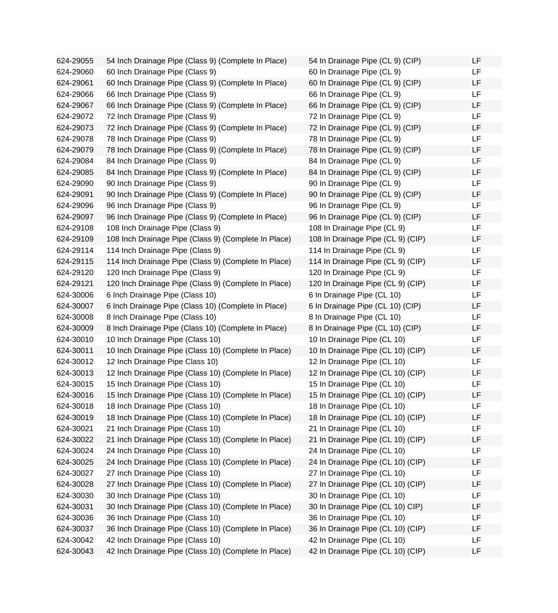624-29055 54 Inch Drainage Pipe (Class 9) (Complete In Place) 624-29060 60 Inch Drainage Pipe (Class 9) 624-29061 60 Inch Drainage Pipe (Class 9) (Complete In Place) 624-29066 66 Inch Drainage Pipe (Class 9) 624-29067 66 Inch Drainage Pipe (Class 9) (Complete In Place) 624-29072 72 Inch Drainage Pipe (Class 9) 624-29073 72 Inch Drainage Pipe (Class 9) (Complete In Place) 624-29078 78 Inch Drainage Pipe (Class 9) 624-29079 78 Inch Drainage Pipe (Class 9) (Complete In Place) 624-29084 84 Inch Drainage Pipe (Class 9) 624-29085 84 Inch Drainage Pipe (Class 9) (Complete In Place) 624-29090 90 Inch Drainage Pipe (Class 9) 624-29091 90 Inch Drainage Pipe (Class 9) (Complete In Place) 624-29096 96 Inch Drainage Pipe (Class 9) 624-29097 96 Inch Drainage Pipe (Class 9) (Complete In Place) 624-29108 108 Inch Drainage Pipe (Class 9) 624-29109 108 Inch Drainage Pipe (Class 9) (Complete In Place) 624-29114 114 Inch Drainage Pipe (Class 9) 624-29115 114 Inch Drainage Pipe (Class 9) (Complete In Place) 624-29120 120 Inch Drainage Pipe (Class 9) 624-29121 120 Inch Drainage Pipe (Class 9) (Complete In Place) 624-30006 6 Inch Drainage Pipe (Class 10) 624-30007 6 Inch Drainage Pipe (Class 10) (Complete In Place) 624-30008 8 Inch Drainage Pipe (Class 10) 624-30009 8 Inch Drainage Pipe (Class 10) (Complete In Place) 624-30010 10 Inch Drainage Pipe (Class 10) 624-30011 10 Inch Drainage Pipe (Class 10) (Complete In Place) 624-30012 12 Inch Drainage Pipe Class 10) 624-30013 12 Inch Drainage Pipe (Class 10) (Complete In Place) 624-30015 15 Inch Drainage Pipe (Class 10) 624-30016 15 Inch Drainage Pipe (Class 10) (Complete In Place) 624-30018 18 Inch Drainage Pipe (Class 10) 624-30019 18 Inch Drainage Pipe (Class 10) (Complete In Place) 624-30021 21 Inch Drainage Pipe (Class 10) 624-30022 21 Inch Drainage Pipe (Class 10) (Complete In Place) 624-30024 24 Inch Drainage Pipe (Class 10) 624-30025 24 Inch Drainage Pipe (Class 10) (Complete In Place) 624-30027 27 Inch Drainage Pipe (Class 10) 624-30028 27 Inch Drainage Pipe (Class 10) (Complete In Place) 624-30030 30 Inch Drainage Pipe (Class 10) 624-30031 30 Inch Drainage Pipe (Class 10) (Complete In Place) 624-30036 36 Inch Drainage Pipe (Class 10) 624-30037 36 Inch Drainage Pipe (Class 10) (Complete In Place) 624-30042 42 Inch Drainage Pipe (Class 10) 624-30043 42 Inch Drainage Pipe (Class 10) (Complete In Place)

| 54 In Drainage Pipe (CL 9) (CIP)  | LF |
|-----------------------------------|----|
| 60 In Drainage Pipe (CL 9)        | LF |
| 60 In Drainage Pipe (CL 9) (CIP)  | LF |
| 66 In Drainage Pipe (CL 9)        | LF |
| 66 In Drainage Pipe (CL 9) (CIP)  | LF |
| 72 In Drainage Pipe (CL 9)        | LF |
| 72 In Drainage Pipe (CL 9) (CIP)  | LF |
| 78 In Drainage Pipe (CL 9)        | LF |
| 78 In Drainage Pipe (CL 9) (CIP)  | LF |
| 84 In Drainage Pipe (CL 9)        | LF |
| 84 In Drainage Pipe (CL 9) (CIP)  | LF |
| 90 In Drainage Pipe (CL 9)        | LF |
| 90 In Drainage Pipe (CL 9) (CIP)  | LF |
| 96 In Drainage Pipe (CL 9)        | LF |
| 96 In Drainage Pipe (CL 9) (CIP)  | LF |
| 108 In Drainage Pipe (CL 9)       | LF |
| 108 In Drainage Pipe (CL 9) (CIP) | LF |
| 114 In Drainage Pipe (CL 9)       | LF |
| 114 In Drainage Pipe (CL 9) (CIP) | LF |
| 120 In Drainage Pipe (CL 9)       | LF |
| 120 In Drainage Pipe (CL 9) (CIP) | LF |
| 6 In Drainage Pipe (CL 10)        | LF |
| 6 In Drainage Pipe (CL 10) (CIP)  | LF |
| 8 In Drainage Pipe (CL 10)        | LF |
| 8 In Drainage Pipe (CL 10) (CIP)  | LF |
| 10 In Drainage Pipe (CL 10)       | LF |
| 10 In Drainage Pipe (CL 10) (CIP) | LF |
| 12 In Drainage Pipe (CL 10)       | LF |
| 12 In Drainage Pipe (CL 10) (CIP) | LF |
| 15 In Drainage Pipe (CL 10)       | LF |
| 15 In Drainage Pipe (CL 10) (CIP) | LF |
| 18 In Drainage Pipe (CL 10)       | ᄔ  |
| 18 In Drainage Pipe (CL 10) (CIP) | LF |
| 21 In Drainage Pipe (CL 10)       | LF |
| 21 In Drainage Pipe (CL 10) (CIP) | LF |
| 24 In Drainage Pipe (CL 10)       | LF |
| 24 In Drainage Pipe (CL 10) (CIP) | LF |
| 27 In Drainage Pipe (CL 10)       | LF |
| 27 In Drainage Pipe (CL 10) (CIP) | LF |
| 30 In Drainage Pipe (CL 10)       | LF |
| 30 In Drainage Pipe (CL 10) CIP)  | LF |
| 36 In Drainage Pipe (CL 10)       | LF |
| 36 In Drainage Pipe (CL 10) (CIP) | LF |
| 42 In Drainage Pipe (CL 10)       | LF |
| 42 In Drainage Pipe (CL 10) (CIP) | LF |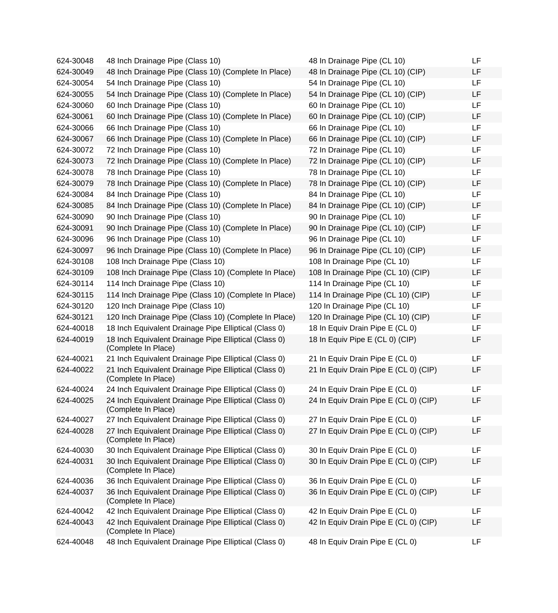| 624-30048 | 48 Inch Drainage Pipe (Class 10)                                             | 48 In Drainage Pipe (CL 10)           | LF        |
|-----------|------------------------------------------------------------------------------|---------------------------------------|-----------|
| 624-30049 | 48 Inch Drainage Pipe (Class 10) (Complete In Place)                         | 48 In Drainage Pipe (CL 10) (CIP)     | LF        |
| 624-30054 | 54 Inch Drainage Pipe (Class 10)                                             | 54 In Drainage Pipe (CL 10)           | LF        |
| 624-30055 | 54 Inch Drainage Pipe (Class 10) (Complete In Place)                         | 54 In Drainage Pipe (CL 10) (CIP)     | LF        |
| 624-30060 | 60 Inch Drainage Pipe (Class 10)                                             | 60 In Drainage Pipe (CL 10)           | LF        |
| 624-30061 | 60 Inch Drainage Pipe (Class 10) (Complete In Place)                         | 60 In Drainage Pipe (CL 10) (CIP)     | LF        |
| 624-30066 | 66 Inch Drainage Pipe (Class 10)                                             | 66 In Drainage Pipe (CL 10)           | LF        |
| 624-30067 | 66 Inch Drainage Pipe (Class 10) (Complete In Place)                         | 66 In Drainage Pipe (CL 10) (CIP)     | <b>LF</b> |
| 624-30072 | 72 Inch Drainage Pipe (Class 10)                                             | 72 In Drainage Pipe (CL 10)           | LF.       |
| 624-30073 | 72 Inch Drainage Pipe (Class 10) (Complete In Place)                         | 72 In Drainage Pipe (CL 10) (CIP)     | LF        |
| 624-30078 | 78 Inch Drainage Pipe (Class 10)                                             | 78 In Drainage Pipe (CL 10)           | <b>LF</b> |
| 624-30079 | 78 Inch Drainage Pipe (Class 10) (Complete In Place)                         | 78 In Drainage Pipe (CL 10) (CIP)     | LF        |
| 624-30084 | 84 Inch Drainage Pipe (Class 10)                                             | 84 In Drainage Pipe (CL 10)           | LF        |
| 624-30085 | 84 Inch Drainage Pipe (Class 10) (Complete In Place)                         | 84 In Drainage Pipe (CL 10) (CIP)     | LF        |
| 624-30090 | 90 Inch Drainage Pipe (Class 10)                                             | 90 In Drainage Pipe (CL 10)           | LF        |
| 624-30091 | 90 Inch Drainage Pipe (Class 10) (Complete In Place)                         | 90 In Drainage Pipe (CL 10) (CIP)     | LF        |
| 624-30096 | 96 Inch Drainage Pipe (Class 10)                                             | 96 In Drainage Pipe (CL 10)           | LF        |
| 624-30097 | 96 Inch Drainage Pipe (Class 10) (Complete In Place)                         | 96 In Drainage Pipe (CL 10) (CIP)     | <b>LF</b> |
| 624-30108 | 108 Inch Drainage Pipe (Class 10)                                            | 108 In Drainage Pipe (CL 10)          | LF.       |
| 624-30109 | 108 Inch Drainage Pipe (Class 10) (Complete In Place)                        | 108 In Drainage Pipe (CL 10) (CIP)    | LF        |
| 624-30114 | 114 Inch Drainage Pipe (Class 10)                                            | 114 In Drainage Pipe (CL 10)          | <b>LF</b> |
| 624-30115 | 114 Inch Drainage Pipe (Class 10) (Complete In Place)                        | 114 In Drainage Pipe (CL 10) (CIP)    | LF        |
| 624-30120 | 120 Inch Drainage Pipe (Class 10)                                            | 120 In Drainage Pipe (CL 10)          | LF        |
| 624-30121 | 120 Inch Drainage Pipe (Class 10) (Complete In Place)                        | 120 In Drainage Pipe (CL 10) (CIP)    | LF        |
| 624-40018 | 18 Inch Equivalent Drainage Pipe Elliptical (Class 0)                        | 18 In Equiv Drain Pipe E (CL 0)       | LF        |
| 624-40019 | 18 Inch Equivalent Drainage Pipe Elliptical (Class 0)<br>(Complete In Place) | 18 In Equiv Pipe E (CL 0) (CIP)       | LF        |
| 624-40021 | 21 Inch Equivalent Drainage Pipe Elliptical (Class 0)                        | 21 In Equiv Drain Pipe E (CL 0)       | LF        |
| 624-40022 | 21 Inch Equivalent Drainage Pipe Elliptical (Class 0)<br>(Complete In Place) | 21 In Equiv Drain Pipe E (CL 0) (CIP) | LF        |
| 624-40024 | 24 Inch Equivalent Drainage Pipe Elliptical (Class 0)                        | 24 In Equiv Drain Pipe E (CL 0)       | LF        |
| 624-40025 | 24 Inch Equivalent Drainage Pipe Elliptical (Class 0)<br>(Complete In Place) | 24 In Equiv Drain Pipe E (CL 0) (CIP) | LF        |
| 624-40027 | 27 Inch Equivalent Drainage Pipe Elliptical (Class 0)                        | 27 In Equiv Drain Pipe E (CL 0)       | <b>LF</b> |
| 624-40028 | 27 Inch Equivalent Drainage Pipe Elliptical (Class 0)<br>(Complete In Place) | 27 In Equiv Drain Pipe E (CL 0) (CIP) | LF        |
| 624-40030 | 30 Inch Equivalent Drainage Pipe Elliptical (Class 0)                        | 30 In Equiv Drain Pipe E (CL 0)       | <b>LF</b> |
| 624-40031 | 30 Inch Equivalent Drainage Pipe Elliptical (Class 0)<br>(Complete In Place) | 30 In Equiv Drain Pipe E (CL 0) (CIP) | LF        |
| 624-40036 | 36 Inch Equivalent Drainage Pipe Elliptical (Class 0)                        | 36 In Equiv Drain Pipe E (CL 0)       | LF        |
| 624-40037 | 36 Inch Equivalent Drainage Pipe Elliptical (Class 0)<br>(Complete In Place) | 36 In Equiv Drain Pipe E (CL 0) (CIP) | LF        |
| 624-40042 | 42 Inch Equivalent Drainage Pipe Elliptical (Class 0)                        | 42 In Equiv Drain Pipe E (CL 0)       | <b>LF</b> |
| 624-40043 | 42 Inch Equivalent Drainage Pipe Elliptical (Class 0)<br>(Complete In Place) | 42 In Equiv Drain Pipe E (CL 0) (CIP) | LF        |
| 624-40048 | 48 Inch Equivalent Drainage Pipe Elliptical (Class 0)                        | 48 In Equiv Drain Pipe E (CL 0)       | LF        |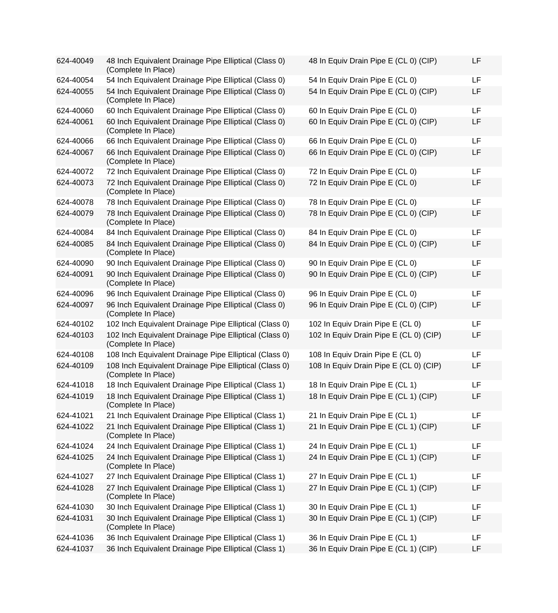| 624-40049 | 48 Inch Equivalent Drainage Pipe Elliptical (Class 0)<br>(Complete In Place)  | 48 In Equiv Drain Pipe E (CL 0) (CIP)  | LF |
|-----------|-------------------------------------------------------------------------------|----------------------------------------|----|
| 624-40054 | 54 Inch Equivalent Drainage Pipe Elliptical (Class 0)                         | 54 In Equiv Drain Pipe E (CL 0)        | LF |
| 624-40055 | 54 Inch Equivalent Drainage Pipe Elliptical (Class 0)<br>(Complete In Place)  | 54 In Equiv Drain Pipe E (CL 0) (CIP)  | LF |
| 624-40060 | 60 Inch Equivalent Drainage Pipe Elliptical (Class 0)                         | 60 In Equiv Drain Pipe E (CL 0)        | LF |
| 624-40061 | 60 Inch Equivalent Drainage Pipe Elliptical (Class 0)<br>(Complete In Place)  | 60 In Equiv Drain Pipe E (CL 0) (CIP)  | LF |
| 624-40066 | 66 Inch Equivalent Drainage Pipe Elliptical (Class 0)                         | 66 In Equiv Drain Pipe E (CL 0)        | LF |
| 624-40067 | 66 Inch Equivalent Drainage Pipe Elliptical (Class 0)<br>(Complete In Place)  | 66 In Equiv Drain Pipe E (CL 0) (CIP)  | LF |
| 624-40072 | 72 Inch Equivalent Drainage Pipe Elliptical (Class 0)                         | 72 In Equiv Drain Pipe E (CL 0)        | LF |
| 624-40073 | 72 Inch Equivalent Drainage Pipe Elliptical (Class 0)<br>(Complete In Place)  | 72 In Equiv Drain Pipe E (CL 0)        | LF |
| 624-40078 | 78 Inch Equivalent Drainage Pipe Elliptical (Class 0)                         | 78 In Equiv Drain Pipe E (CL 0)        | LF |
| 624-40079 | 78 Inch Equivalent Drainage Pipe Elliptical (Class 0)<br>(Complete In Place)  | 78 In Equiv Drain Pipe E (CL 0) (CIP)  | LF |
| 624-40084 | 84 Inch Equivalent Drainage Pipe Elliptical (Class 0)                         | 84 In Equiv Drain Pipe E (CL 0)        | LF |
| 624-40085 | 84 Inch Equivalent Drainage Pipe Elliptical (Class 0)<br>(Complete In Place)  | 84 In Equiv Drain Pipe E (CL 0) (CIP)  | LF |
| 624-40090 | 90 Inch Equivalent Drainage Pipe Elliptical (Class 0)                         | 90 In Equiv Drain Pipe E (CL 0)        | LF |
| 624-40091 | 90 Inch Equivalent Drainage Pipe Elliptical (Class 0)<br>(Complete In Place)  | 90 In Equiv Drain Pipe E (CL 0) (CIP)  | LF |
| 624-40096 | 96 Inch Equivalent Drainage Pipe Elliptical (Class 0)                         | 96 In Equiv Drain Pipe E (CL 0)        | LF |
| 624-40097 | 96 Inch Equivalent Drainage Pipe Elliptical (Class 0)<br>(Complete In Place)  | 96 In Equiv Drain Pipe E (CL 0) (CIP)  | LF |
| 624-40102 | 102 Inch Equivalent Drainage Pipe Elliptical (Class 0)                        | 102 In Equiv Drain Pipe E (CL 0)       | LF |
| 624-40103 | 102 Inch Equivalent Drainage Pipe Elliptical (Class 0)<br>(Complete In Place) | 102 In Equiv Drain Pipe E (CL 0) (CIP) | LF |
| 624-40108 | 108 Inch Equivalent Drainage Pipe Elliptical (Class 0)                        | 108 In Equiv Drain Pipe E (CL 0)       | LF |
| 624-40109 | 108 Inch Equivalent Drainage Pipe Elliptical (Class 0)<br>(Complete In Place) | 108 In Equiv Drain Pipe E (CL 0) (CIP) | LF |
| 624-41018 | 18 Inch Equivalent Drainage Pipe Elliptical (Class 1)                         | 18 In Equiv Drain Pipe E (CL 1)        | LF |
| 624-41019 | 18 Inch Equivalent Drainage Pipe Elliptical (Class 1)<br>(Complete In Place)  | 18 In Equiv Drain Pipe E (CL 1) (CIP)  | LF |
| 624-41021 | 21 Inch Equivalent Drainage Pipe Elliptical (Class 1)                         | 21 In Equiv Drain Pipe E (CL 1)        | LF |
| 624-41022 | 21 Inch Equivalent Drainage Pipe Elliptical (Class 1)<br>(Complete In Place)  | 21 In Equiv Drain Pipe E (CL 1) (CIP)  | LF |
| 624-41024 | 24 Inch Equivalent Drainage Pipe Elliptical (Class 1)                         | 24 In Equiv Drain Pipe E (CL 1)        | LF |
| 624-41025 | 24 Inch Equivalent Drainage Pipe Elliptical (Class 1)<br>(Complete In Place)  | 24 In Equiv Drain Pipe E (CL 1) (CIP)  | LF |
| 624-41027 | 27 Inch Equivalent Drainage Pipe Elliptical (Class 1)                         | 27 In Equiv Drain Pipe E (CL 1)        | LF |
| 624-41028 | 27 Inch Equivalent Drainage Pipe Elliptical (Class 1)<br>(Complete In Place)  | 27 In Equiv Drain Pipe E (CL 1) (CIP)  | LF |
| 624-41030 | 30 Inch Equivalent Drainage Pipe Elliptical (Class 1)                         | 30 In Equiv Drain Pipe E (CL 1)        | LF |
| 624-41031 | 30 Inch Equivalent Drainage Pipe Elliptical (Class 1)<br>(Complete In Place)  | 30 In Equiv Drain Pipe E (CL 1) (CIP)  | LF |
| 624-41036 | 36 Inch Equivalent Drainage Pipe Elliptical (Class 1)                         | 36 In Equiv Drain Pipe E (CL 1)        | LF |
| 624-41037 | 36 Inch Equivalent Drainage Pipe Elliptical (Class 1)                         | 36 In Equiv Drain Pipe E (CL 1) (CIP)  | LF |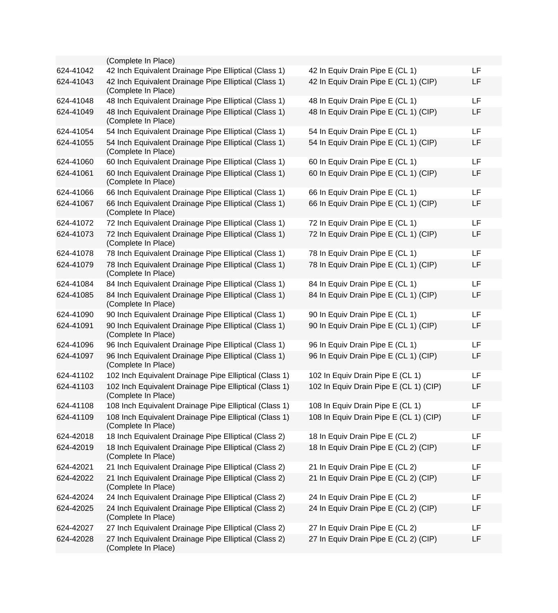|           | (Complete In Place)                                                           |                                        |    |
|-----------|-------------------------------------------------------------------------------|----------------------------------------|----|
| 624-41042 | 42 Inch Equivalent Drainage Pipe Elliptical (Class 1)                         | 42 In Equiv Drain Pipe E (CL 1)        | LF |
| 624-41043 | 42 Inch Equivalent Drainage Pipe Elliptical (Class 1)<br>(Complete In Place)  | 42 In Equiv Drain Pipe E (CL 1) (CIP)  | LF |
| 624-41048 | 48 Inch Equivalent Drainage Pipe Elliptical (Class 1)                         | 48 In Equiv Drain Pipe E (CL 1)        | LF |
| 624-41049 | 48 Inch Equivalent Drainage Pipe Elliptical (Class 1)<br>(Complete In Place)  | 48 In Equiv Drain Pipe E (CL 1) (CIP)  | LF |
| 624-41054 | 54 Inch Equivalent Drainage Pipe Elliptical (Class 1)                         | 54 In Equiv Drain Pipe E (CL 1)        | LF |
| 624-41055 | 54 Inch Equivalent Drainage Pipe Elliptical (Class 1)<br>(Complete In Place)  | 54 In Equiv Drain Pipe E (CL 1) (CIP)  | LF |
| 624-41060 | 60 Inch Equivalent Drainage Pipe Elliptical (Class 1)                         | 60 In Equiv Drain Pipe E (CL 1)        | LF |
| 624-41061 | 60 Inch Equivalent Drainage Pipe Elliptical (Class 1)<br>(Complete In Place)  | 60 In Equiv Drain Pipe E (CL 1) (CIP)  | LF |
| 624-41066 | 66 Inch Equivalent Drainage Pipe Elliptical (Class 1)                         | 66 In Equiv Drain Pipe E (CL 1)        | LF |
| 624-41067 | 66 Inch Equivalent Drainage Pipe Elliptical (Class 1)<br>(Complete In Place)  | 66 In Equiv Drain Pipe E (CL 1) (CIP)  | LF |
| 624-41072 | 72 Inch Equivalent Drainage Pipe Elliptical (Class 1)                         | 72 In Equiv Drain Pipe E (CL 1)        | LF |
| 624-41073 | 72 Inch Equivalent Drainage Pipe Elliptical (Class 1)<br>(Complete In Place)  | 72 In Equiv Drain Pipe E (CL 1) (CIP)  | LF |
| 624-41078 | 78 Inch Equivalent Drainage Pipe Elliptical (Class 1)                         | 78 In Equiv Drain Pipe E (CL 1)        | LF |
| 624-41079 | 78 Inch Equivalent Drainage Pipe Elliptical (Class 1)<br>(Complete In Place)  | 78 In Equiv Drain Pipe E (CL 1) (CIP)  | LF |
| 624-41084 | 84 Inch Equivalent Drainage Pipe Elliptical (Class 1)                         | 84 In Equiv Drain Pipe E (CL 1)        | LF |
| 624-41085 | 84 Inch Equivalent Drainage Pipe Elliptical (Class 1)<br>(Complete In Place)  | 84 In Equiv Drain Pipe E (CL 1) (CIP)  | LF |
| 624-41090 | 90 Inch Equivalent Drainage Pipe Elliptical (Class 1)                         | 90 In Equiv Drain Pipe E (CL 1)        | LF |
| 624-41091 | 90 Inch Equivalent Drainage Pipe Elliptical (Class 1)<br>(Complete In Place)  | 90 In Equiv Drain Pipe E (CL 1) (CIP)  | LF |
| 624-41096 | 96 Inch Equivalent Drainage Pipe Elliptical (Class 1)                         | 96 In Equiv Drain Pipe E (CL 1)        | LF |
| 624-41097 | 96 Inch Equivalent Drainage Pipe Elliptical (Class 1)<br>(Complete In Place)  | 96 In Equiv Drain Pipe E (CL 1) (CIP)  | LF |
| 624-41102 | 102 Inch Equivalent Drainage Pipe Elliptical (Class 1)                        | 102 In Equiv Drain Pipe E (CL 1)       | LF |
| 624-41103 | 102 Inch Equivalent Drainage Pipe Elliptical (Class 1)<br>(Complete In Place) | 102 In Equiv Drain Pipe E (CL 1) (CIP) | LF |
| 624-41108 | 108 Inch Equivalent Drainage Pipe Elliptical (Class 1)                        | 108 In Equiv Drain Pipe E (CL 1)       | LF |
| 624-41109 | 108 Inch Equivalent Drainage Pipe Elliptical (Class 1)<br>(Complete In Place) | 108 In Equiv Drain Pipe E (CL 1) (CIP) | LF |
| 624-42018 | 18 Inch Equivalent Drainage Pipe Elliptical (Class 2)                         | 18 In Equiv Drain Pipe E (CL 2)        | LF |
| 624-42019 | 18 Inch Equivalent Drainage Pipe Elliptical (Class 2)<br>(Complete In Place)  | 18 In Equiv Drain Pipe E (CL 2) (CIP)  | LF |
| 624-42021 | 21 Inch Equivalent Drainage Pipe Elliptical (Class 2)                         | 21 In Equiv Drain Pipe E (CL 2)        | LF |
| 624-42022 | 21 Inch Equivalent Drainage Pipe Elliptical (Class 2)<br>(Complete In Place)  | 21 In Equiv Drain Pipe E (CL 2) (CIP)  | LF |
| 624-42024 | 24 Inch Equivalent Drainage Pipe Elliptical (Class 2)                         | 24 In Equiv Drain Pipe E (CL 2)        | LF |
| 624-42025 | 24 Inch Equivalent Drainage Pipe Elliptical (Class 2)<br>(Complete In Place)  | 24 In Equiv Drain Pipe E (CL 2) (CIP)  | LF |
| 624-42027 | 27 Inch Equivalent Drainage Pipe Elliptical (Class 2)                         | 27 In Equiv Drain Pipe E (CL 2)        | LF |
| 624-42028 | 27 Inch Equivalent Drainage Pipe Elliptical (Class 2)<br>(Complete In Place)  | 27 In Equiv Drain Pipe E (CL 2) (CIP)  | LF |
|           |                                                                               |                                        |    |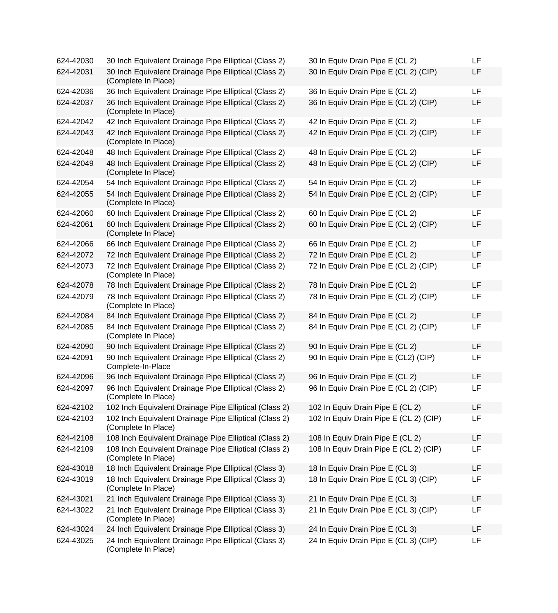| 624-42030 | 30 Inch Equivalent Drainage Pipe Elliptical (Class 2)                                   | 30 In Equiv Drain Pipe E (CL 2)        | LF |
|-----------|-----------------------------------------------------------------------------------------|----------------------------------------|----|
| 624-42031 | 30 Inch Equivalent Drainage Pipe Elliptical (Class 2)<br>(Complete In Place)            | 30 In Equiv Drain Pipe E (CL 2) (CIP)  | LF |
| 624-42036 | 36 Inch Equivalent Drainage Pipe Elliptical (Class 2)                                   | 36 In Equiv Drain Pipe E (CL 2)        | LF |
| 624-42037 | 36 Inch Equivalent Drainage Pipe Elliptical (Class 2)<br>(Complete In Place)            | 36 In Equiv Drain Pipe E (CL 2) (CIP)  | LF |
| 624-42042 | 42 Inch Equivalent Drainage Pipe Elliptical (Class 2)                                   | 42 In Equiv Drain Pipe E (CL 2)        | LF |
| 624-42043 | 42 Inch Equivalent Drainage Pipe Elliptical (Class 2)<br>(Complete In Place)            | 42 In Equiv Drain Pipe E (CL 2) (CIP)  | LF |
| 624-42048 | 48 Inch Equivalent Drainage Pipe Elliptical (Class 2)                                   | 48 In Equiv Drain Pipe E (CL 2)        | LF |
| 624-42049 | 48 Inch Equivalent Drainage Pipe Elliptical (Class 2)<br>(Complete In Place)            | 48 In Equiv Drain Pipe E (CL 2) (CIP)  | LF |
| 624-42054 | 54 Inch Equivalent Drainage Pipe Elliptical (Class 2)                                   | 54 In Equiv Drain Pipe E (CL 2)        | LF |
| 624-42055 | 54 Inch Equivalent Drainage Pipe Elliptical (Class 2)<br>(Complete In Place)            | 54 In Equiv Drain Pipe E (CL 2) (CIP)  | LF |
| 624-42060 | 60 Inch Equivalent Drainage Pipe Elliptical (Class 2)                                   | 60 In Equiv Drain Pipe E (CL 2)        | LF |
| 624-42061 | 60 Inch Equivalent Drainage Pipe Elliptical (Class 2)<br>(Complete In Place)            | 60 In Equiv Drain Pipe E (CL 2) (CIP)  | LF |
| 624-42066 | 66 Inch Equivalent Drainage Pipe Elliptical (Class 2)                                   | 66 In Equiv Drain Pipe E (CL 2)        | LF |
| 624-42072 | 72 Inch Equivalent Drainage Pipe Elliptical (Class 2)                                   | 72 In Equiv Drain Pipe E (CL 2)        | LF |
| 624-42073 | 72 Inch Equivalent Drainage Pipe Elliptical (Class 2)<br>(Complete In Place)            | 72 In Equiv Drain Pipe E (CL 2) (CIP)  | LF |
| 624-42078 | 78 Inch Equivalent Drainage Pipe Elliptical (Class 2)                                   | 78 In Equiv Drain Pipe E (CL 2)        | LF |
| 624-42079 | 78 Inch Equivalent Drainage Pipe Elliptical (Class 2)<br>(Complete In Place)            | 78 In Equiv Drain Pipe E (CL 2) (CIP)  | LF |
| 624-42084 | 84 Inch Equivalent Drainage Pipe Elliptical (Class 2)                                   | 84 In Equiv Drain Pipe E (CL 2)        | LF |
| 624-42085 | 84 Inch Equivalent Drainage Pipe Elliptical (Class 2)<br>(Complete In Place)            | 84 In Equiv Drain Pipe E (CL 2) (CIP)  | LF |
| 624-42090 | 90 Inch Equivalent Drainage Pipe Elliptical (Class 2)                                   | 90 In Equiv Drain Pipe E (CL 2)        | LF |
| 624-42091 | 90 Inch Equivalent Drainage Pipe Elliptical (Class 2)<br>Complete-In-Place              | 90 In Equiv Drain Pipe E (CL2) (CIP)   | LF |
| 624-42096 | 96 Inch Equivalent Drainage Pipe Elliptical (Class 2)                                   | 96 In Equiv Drain Pipe E (CL 2)        | LF |
| 624-42097 | 96 Inch Equivalent Drainage Pipe Elliptical (Class 2)<br>(Complete In Place)            | 96 In Equiv Drain Pipe E (CL 2) (CIP)  | LF |
| 624-42102 | 102 Inch Equivalent Drainage Pipe Elliptical (Class 2) 102 In Equiv Drain Pipe E (CL 2) |                                        | LF |
| 624-42103 | 102 Inch Equivalent Drainage Pipe Elliptical (Class 2)<br>(Complete In Place)           | 102 In Equiv Drain Pipe E (CL 2) (CIP) | LF |
| 624-42108 | 108 Inch Equivalent Drainage Pipe Elliptical (Class 2)                                  | 108 In Equiv Drain Pipe E (CL 2)       | LF |
| 624-42109 | 108 Inch Equivalent Drainage Pipe Elliptical (Class 2)<br>(Complete In Place)           | 108 In Equiv Drain Pipe E (CL 2) (CIP) | LF |
| 624-43018 | 18 Inch Equivalent Drainage Pipe Elliptical (Class 3)                                   | 18 In Equiv Drain Pipe E (CL 3)        | LF |
| 624-43019 | 18 Inch Equivalent Drainage Pipe Elliptical (Class 3)<br>(Complete In Place)            | 18 In Equiv Drain Pipe E (CL 3) (CIP)  | LF |
| 624-43021 | 21 Inch Equivalent Drainage Pipe Elliptical (Class 3)                                   | 21 In Equiv Drain Pipe E (CL 3)        | LF |
| 624-43022 | 21 Inch Equivalent Drainage Pipe Elliptical (Class 3)<br>(Complete In Place)            | 21 In Equiv Drain Pipe E (CL 3) (CIP)  | LF |
| 624-43024 | 24 Inch Equivalent Drainage Pipe Elliptical (Class 3)                                   | 24 In Equiv Drain Pipe E (CL 3)        | LF |
| 624-43025 | 24 Inch Equivalent Drainage Pipe Elliptical (Class 3)<br>(Complete In Place)            | 24 In Equiv Drain Pipe E (CL 3) (CIP)  | LF |

| 30 In Equiv Drain Pipe E (CL 2)        | LF |
|----------------------------------------|----|
| 30 In Equiv Drain Pipe E (CL 2) (CIP)  | LF |
| 36 In Equiv Drain Pipe E (CL 2)        | LF |
| 36 In Equiv Drain Pipe E (CL 2) (CIP)  | LF |
| 42 In Equiv Drain Pipe E (CL 2)        | LF |
| 42 In Equiv Drain Pipe E (CL 2) (CIP)  | LF |
| 48 In Equiv Drain Pipe E (CL 2)        | LF |
| 48 In Equiv Drain Pipe E (CL 2) (CIP)  | LF |
| 54 In Equiv Drain Pipe E (CL 2)        | LF |
| 54 In Equiv Drain Pipe E (CL 2) (CIP)  | LF |
| 60 In Equiv Drain Pipe E (CL 2)        | LF |
| 60 In Equiv Drain Pipe E (CL 2) (CIP)  | LF |
| 66 In Equiv Drain Pipe E (CL 2)        | LF |
| 72 In Equiv Drain Pipe E (CL 2)        | LF |
| 72 In Equiv Drain Pipe E (CL 2) (CIP)  | LF |
| 78 In Equiv Drain Pipe E (CL 2)        | LF |
| 78 In Equiv Drain Pipe E (CL 2) (CIP)  | LF |
| 84 In Equiv Drain Pipe E (CL 2)        | LF |
| 84 In Equiv Drain Pipe E (CL 2) (CIP)  | LF |
| 90 In Equiv Drain Pipe E (CL 2)        | LF |
| 90 In Equiv Drain Pipe E (CL2) (CIP)   | LF |
| 96 In Equiv Drain Pipe E (CL 2)        | LF |
| 96 In Equiv Drain Pipe E (CL 2) (CIP)  | LF |
| 102 In Equiv Drain Pipe E (CL 2)       | LF |
| 102 In Equiv Drain Pipe E (CL 2) (CIP) | LF |
| 108 In Equiv Drain Pipe E (CL 2)       | LF |
| 108 In Equiv Drain Pipe E (CL 2) (CIP) | LF |
| 18 In Equiv Drain Pipe E (CL 3)        | LF |
| 18 In Equiv Drain Pipe E (CL 3) (CIP)  | LF |
| 21 In Equiv Drain Pipe E (CL 3)        | LF |
| 21 In Equiv Drain Pipe E (CL 3) (CIP)  | LF |
| 24 In Equiv Drain Pipe E (CL 3)        | LF |
| 24 In Equiv Drain Pipe E (CL 3) (CIP)  | LF |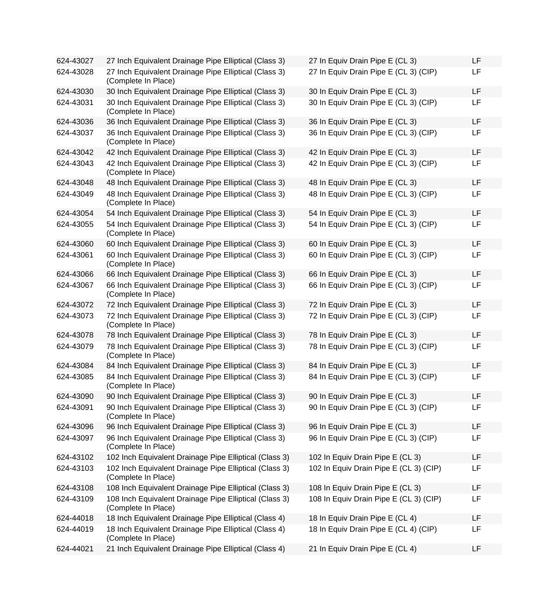| 624-43027 | 27 Inch Equivalent Drainage Pipe Elliptical (Class 3)                         | 27 In Equiv Drain Pipe E (CL 3)        | LF |
|-----------|-------------------------------------------------------------------------------|----------------------------------------|----|
| 624-43028 | 27 Inch Equivalent Drainage Pipe Elliptical (Class 3)<br>(Complete In Place)  | 27 In Equiv Drain Pipe E (CL 3) (CIP)  | LF |
| 624-43030 | 30 Inch Equivalent Drainage Pipe Elliptical (Class 3)                         | 30 In Equiv Drain Pipe E (CL 3)        | LF |
| 624-43031 | 30 Inch Equivalent Drainage Pipe Elliptical (Class 3)<br>(Complete In Place)  | 30 In Equiv Drain Pipe E (CL 3) (CIP)  | LF |
| 624-43036 | 36 Inch Equivalent Drainage Pipe Elliptical (Class 3)                         | 36 In Equiv Drain Pipe E (CL 3)        | LF |
| 624-43037 | 36 Inch Equivalent Drainage Pipe Elliptical (Class 3)<br>(Complete In Place)  | 36 In Equiv Drain Pipe E (CL 3) (CIP)  | LF |
| 624-43042 | 42 Inch Equivalent Drainage Pipe Elliptical (Class 3)                         | 42 In Equiv Drain Pipe E (CL 3)        | LF |
| 624-43043 | 42 Inch Equivalent Drainage Pipe Elliptical (Class 3)<br>(Complete In Place)  | 42 In Equiv Drain Pipe E (CL 3) (CIP)  | LF |
| 624-43048 | 48 Inch Equivalent Drainage Pipe Elliptical (Class 3)                         | 48 In Equiv Drain Pipe E (CL 3)        | LF |
| 624-43049 | 48 Inch Equivalent Drainage Pipe Elliptical (Class 3)<br>(Complete In Place)  | 48 In Equiv Drain Pipe E (CL 3) (CIP)  | LF |
| 624-43054 | 54 Inch Equivalent Drainage Pipe Elliptical (Class 3)                         | 54 In Equiv Drain Pipe E (CL 3)        | LF |
| 624-43055 | 54 Inch Equivalent Drainage Pipe Elliptical (Class 3)<br>(Complete In Place)  | 54 In Equiv Drain Pipe E (CL 3) (CIP)  | LF |
| 624-43060 | 60 Inch Equivalent Drainage Pipe Elliptical (Class 3)                         | 60 In Equiv Drain Pipe E (CL 3)        | LF |
| 624-43061 | 60 Inch Equivalent Drainage Pipe Elliptical (Class 3)<br>(Complete In Place)  | 60 In Equiv Drain Pipe E (CL 3) (CIP)  | LF |
| 624-43066 | 66 Inch Equivalent Drainage Pipe Elliptical (Class 3)                         | 66 In Equiv Drain Pipe E (CL 3)        | LF |
| 624-43067 | 66 Inch Equivalent Drainage Pipe Elliptical (Class 3)<br>(Complete In Place)  | 66 In Equiv Drain Pipe E (CL 3) (CIP)  | LF |
| 624-43072 | 72 Inch Equivalent Drainage Pipe Elliptical (Class 3)                         | 72 In Equiv Drain Pipe E (CL 3)        | LF |
| 624-43073 | 72 Inch Equivalent Drainage Pipe Elliptical (Class 3)<br>(Complete In Place)  | 72 In Equiv Drain Pipe E (CL 3) (CIP)  | LF |
| 624-43078 | 78 Inch Equivalent Drainage Pipe Elliptical (Class 3)                         | 78 In Equiv Drain Pipe E (CL 3)        | LF |
| 624-43079 | 78 Inch Equivalent Drainage Pipe Elliptical (Class 3)<br>(Complete In Place)  | 78 In Equiv Drain Pipe E (CL 3) (CIP)  | LF |
| 624-43084 | 84 Inch Equivalent Drainage Pipe Elliptical (Class 3)                         | 84 In Equiv Drain Pipe E (CL 3)        | LF |
| 624-43085 | 84 Inch Equivalent Drainage Pipe Elliptical (Class 3)<br>(Complete In Place)  | 84 In Equiv Drain Pipe E (CL 3) (CIP)  | LF |
| 624-43090 | 90 Inch Equivalent Drainage Pipe Elliptical (Class 3)                         | 90 In Equiv Drain Pipe E (CL 3)        | LF |
| 624-43091 | 90 Inch Equivalent Drainage Pipe Elliptical (Class 3)<br>(Complete In Place)  | 90 In Equiv Drain Pipe E (CL 3) (CIP)  | LF |
| 624-43096 | 96 Inch Equivalent Drainage Pipe Elliptical (Class 3)                         | 96 In Equiv Drain Pipe E (CL 3)        | LF |
| 624-43097 | 96 Inch Equivalent Drainage Pipe Elliptical (Class 3)<br>(Complete In Place)  | 96 In Equiv Drain Pipe E (CL 3) (CIP)  | LF |
| 624-43102 | 102 Inch Equivalent Drainage Pipe Elliptical (Class 3)                        | 102 In Equiv Drain Pipe E (CL 3)       | LF |
| 624-43103 | 102 Inch Equivalent Drainage Pipe Elliptical (Class 3)<br>(Complete In Place) | 102 In Equiv Drain Pipe E (CL 3) (CIP) | LF |
| 624-43108 | 108 Inch Equivalent Drainage Pipe Elliptical (Class 3)                        | 108 In Equiv Drain Pipe E (CL 3)       | LF |
| 624-43109 | 108 Inch Equivalent Drainage Pipe Elliptical (Class 3)<br>(Complete In Place) | 108 In Equiv Drain Pipe E (CL 3) (CIP) | LF |
| 624-44018 | 18 Inch Equivalent Drainage Pipe Elliptical (Class 4)                         | 18 In Equiv Drain Pipe E (CL 4)        | LF |
| 624-44019 | 18 Inch Equivalent Drainage Pipe Elliptical (Class 4)<br>(Complete In Place)  | 18 In Equiv Drain Pipe E (CL 4) (CIP)  | LF |
| 624-44021 | 21 Inch Equivalent Drainage Pipe Elliptical (Class 4)                         | 21 In Equiv Drain Pipe E (CL 4)        | LF |

| 27 In Equiv Drain Pipe E (CL 3)        | LF |
|----------------------------------------|----|
| 27 In Equiv Drain Pipe E (CL 3) (CIP)  | LF |
| 30 In Equiv Drain Pipe E (CL 3)        | LF |
| 30 In Equiv Drain Pipe E (CL 3) (CIP)  | LF |
| 36 In Equiv Drain Pipe E (CL 3)        | LF |
| 36 In Equiv Drain Pipe E (CL 3) (CIP)  | LF |
| 42 In Equiv Drain Pipe E (CL 3)        | LF |
| 42 In Equiv Drain Pipe E (CL 3) (CIP)  | LF |
| 48 In Equiv Drain Pipe E (CL 3)        | LF |
| 48 In Equiv Drain Pipe E (CL 3) (CIP)  | LF |
| 54 In Equiv Drain Pipe E (CL 3)        | LF |
| 54 In Equiv Drain Pipe E (CL 3) (CIP)  | LF |
| 60 In Equiv Drain Pipe E (CL 3)        | LF |
| 60 In Equiv Drain Pipe E (CL 3) (CIP)  | LF |
| 66 In Equiv Drain Pipe E (CL 3)        | LF |
| 66 In Equiv Drain Pipe E (CL 3) (CIP)  | LF |
| 72 In Equiv Drain Pipe E (CL 3)        | LF |
| 72 In Equiv Drain Pipe E (CL 3) (CIP)  | LF |
| 78 In Equiv Drain Pipe E (CL 3)        | LF |
| 78 In Equiv Drain Pipe E (CL 3) (CIP)  | LF |
| 84 In Equiv Drain Pipe E (CL 3)        | LF |
| 84 In Equiv Drain Pipe E (CL 3) (CIP)  | LF |
| 90 In Equiv Drain Pipe E (CL 3)        | LF |
| 90 In Equiv Drain Pipe E (CL 3) (CIP)  | LF |
| 96 In Equiv Drain Pipe E (CL 3)        | LF |
| 96 In Equiv Drain Pipe E (CL 3) (CIP)  | LF |
| 102 In Equiv Drain Pipe E (CL 3)       | LF |
| 102 In Equiv Drain Pipe E (CL 3) (CIP) | LF |
| 108 In Equiv Drain Pipe E (CL 3)       | LF |
| 108 In Equiv Drain Pipe E (CL 3) (CIP) | LF |
| 18 In Equiv Drain Pipe E (CL 4)        | LF |
| 18 In Equiv Drain Pipe E (CL 4) (CIP)  | LF |
| 21 In Equiv Drain Pipe E (CL 4)        | LF |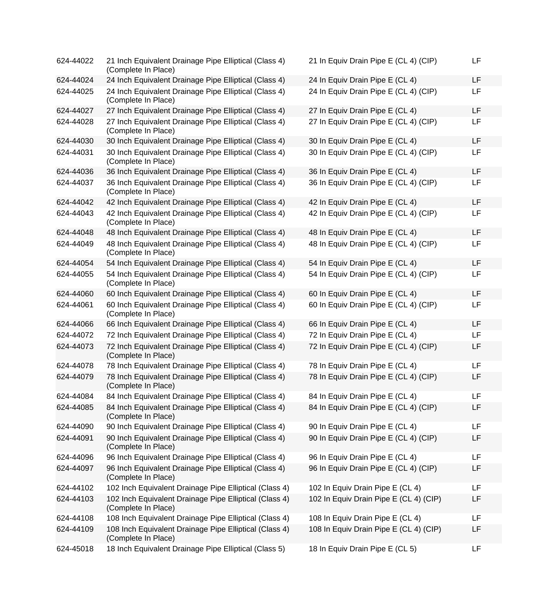| 624-44022 | 21 Inch Equivalent Drainage Pipe Elliptical (Class 4)<br>(Complete In Place)  | 21 In Equiv Drain Pipe E (CL 4) (CIP)  | LF |
|-----------|-------------------------------------------------------------------------------|----------------------------------------|----|
| 624-44024 | 24 Inch Equivalent Drainage Pipe Elliptical (Class 4)                         | 24 In Equiv Drain Pipe E (CL 4)        | LF |
| 624-44025 | 24 Inch Equivalent Drainage Pipe Elliptical (Class 4)<br>(Complete In Place)  | 24 In Equiv Drain Pipe E (CL 4) (CIP)  | LF |
| 624-44027 | 27 Inch Equivalent Drainage Pipe Elliptical (Class 4)                         | 27 In Equiv Drain Pipe E (CL 4)        | LF |
| 624-44028 | 27 Inch Equivalent Drainage Pipe Elliptical (Class 4)<br>(Complete In Place)  | 27 In Equiv Drain Pipe E (CL 4) (CIP)  | LF |
| 624-44030 | 30 Inch Equivalent Drainage Pipe Elliptical (Class 4)                         | 30 In Equiv Drain Pipe E (CL 4)        | LF |
| 624-44031 | 30 Inch Equivalent Drainage Pipe Elliptical (Class 4)<br>(Complete In Place)  | 30 In Equiv Drain Pipe E (CL 4) (CIP)  | LF |
| 624-44036 | 36 Inch Equivalent Drainage Pipe Elliptical (Class 4)                         | 36 In Equiv Drain Pipe E (CL 4)        | LF |
| 624-44037 | 36 Inch Equivalent Drainage Pipe Elliptical (Class 4)<br>(Complete In Place)  | 36 In Equiv Drain Pipe E (CL 4) (CIP)  | LF |
| 624-44042 | 42 Inch Equivalent Drainage Pipe Elliptical (Class 4)                         | 42 In Equiv Drain Pipe E (CL 4)        | LF |
| 624-44043 | 42 Inch Equivalent Drainage Pipe Elliptical (Class 4)<br>(Complete In Place)  | 42 In Equiv Drain Pipe E (CL 4) (CIP)  | LF |
| 624-44048 | 48 Inch Equivalent Drainage Pipe Elliptical (Class 4)                         | 48 In Equiv Drain Pipe E (CL 4)        | LF |
| 624-44049 | 48 Inch Equivalent Drainage Pipe Elliptical (Class 4)<br>(Complete In Place)  | 48 In Equiv Drain Pipe E (CL 4) (CIP)  | LF |
| 624-44054 | 54 Inch Equivalent Drainage Pipe Elliptical (Class 4)                         | 54 In Equiv Drain Pipe E (CL 4)        | LF |
| 624-44055 | 54 Inch Equivalent Drainage Pipe Elliptical (Class 4)<br>(Complete In Place)  | 54 In Equiv Drain Pipe E (CL 4) (CIP)  | LF |
| 624-44060 | 60 Inch Equivalent Drainage Pipe Elliptical (Class 4)                         | 60 In Equiv Drain Pipe E (CL 4)        | LF |
| 624-44061 | 60 Inch Equivalent Drainage Pipe Elliptical (Class 4)<br>(Complete In Place)  | 60 In Equiv Drain Pipe E (CL 4) (CIP)  | LF |
| 624-44066 | 66 Inch Equivalent Drainage Pipe Elliptical (Class 4)                         | 66 In Equiv Drain Pipe E (CL 4)        | LF |
| 624-44072 | 72 Inch Equivalent Drainage Pipe Elliptical (Class 4)                         | 72 In Equiv Drain Pipe E (CL 4)        | LF |
| 624-44073 | 72 Inch Equivalent Drainage Pipe Elliptical (Class 4)<br>(Complete In Place)  | 72 In Equiv Drain Pipe E (CL 4) (CIP)  | LF |
| 624-44078 | 78 Inch Equivalent Drainage Pipe Elliptical (Class 4)                         | 78 In Equiv Drain Pipe E (CL 4)        | LF |
| 624-44079 | 78 Inch Equivalent Drainage Pipe Elliptical (Class 4)<br>(Complete In Place)  | 78 In Equiv Drain Pipe E (CL 4) (CIP)  | LF |
| 624-44084 | 84 Inch Equivalent Drainage Pipe Elliptical (Class 4)                         | 84 In Equiv Drain Pipe E (CL 4)        | LF |
| 624-44085 | 84 Inch Equivalent Drainage Pipe Elliptical (Class 4)<br>(Complete In Place)  | 84 In Equiv Drain Pipe E (CL 4) (CIP)  | LF |
| 624-44090 | 90 Inch Equivalent Drainage Pipe Elliptical (Class 4)                         | 90 In Equiv Drain Pipe E (CL 4)        | LF |
| 624-44091 | 90 Inch Equivalent Drainage Pipe Elliptical (Class 4)<br>(Complete In Place)  | 90 In Equiv Drain Pipe E (CL 4) (CIP)  | LF |
| 624-44096 | 96 Inch Equivalent Drainage Pipe Elliptical (Class 4)                         | 96 In Equiv Drain Pipe E (CL 4)        | LF |
| 624-44097 | 96 Inch Equivalent Drainage Pipe Elliptical (Class 4)<br>(Complete In Place)  | 96 In Equiv Drain Pipe E (CL 4) (CIP)  | LF |
| 624-44102 | 102 Inch Equivalent Drainage Pipe Elliptical (Class 4)                        | 102 In Equiv Drain Pipe E (CL 4)       | LF |
| 624-44103 | 102 Inch Equivalent Drainage Pipe Elliptical (Class 4)<br>(Complete In Place) | 102 In Equiv Drain Pipe E (CL 4) (CIP) | LF |
| 624-44108 | 108 Inch Equivalent Drainage Pipe Elliptical (Class 4)                        | 108 In Equiv Drain Pipe E (CL 4)       | LF |
| 624-44109 | 108 Inch Equivalent Drainage Pipe Elliptical (Class 4)<br>(Complete In Place) | 108 In Equiv Drain Pipe E (CL 4) (CIP) | LF |
| 624-45018 | 18 Inch Equivalent Drainage Pipe Elliptical (Class 5)                         | 18 In Equiv Drain Pipe E (CL 5)        | LF |

| 21 In Equiv Drain Pipe E (CL 4) (CIP)  | LF |
|----------------------------------------|----|
| 24 In Equiv Drain Pipe E (CL 4)        | LF |
| 24 In Equiv Drain Pipe E (CL 4) (CIP)  | LF |
| 27 In Equiv Drain Pipe E (CL 4)        | LF |
| 27 In Equiv Drain Pipe E (CL 4) (CIP)  | LF |
| 30 In Equiv Drain Pipe E (CL 4)        | LF |
| 30 In Equiv Drain Pipe E (CL 4) (CIP)  | LF |
| 36 In Equiv Drain Pipe E (CL 4)        | LF |
| 36 In Equiv Drain Pipe E (CL 4) (CIP)  | LF |
| 42 In Equiv Drain Pipe E (CL 4)        | LF |
| 42 In Equiv Drain Pipe E (CL 4) (CIP)  | LF |
| 48 In Equiv Drain Pipe E (CL 4)        | LF |
| 48 In Equiv Drain Pipe E (CL 4) (CIP)  | LF |
| 54 In Equiv Drain Pipe E (CL 4)        | LF |
| 54 In Equiv Drain Pipe E (CL 4) (CIP)  | LF |
| 60 In Equiv Drain Pipe E (CL 4)        | LF |
| 60 In Equiv Drain Pipe E (CL 4) (CIP)  | LF |
| 66 In Equiv Drain Pipe E (CL 4)        | LF |
| 72 In Equiv Drain Pipe E (CL 4)        | LF |
| 72 In Equiv Drain Pipe E (CL 4) (CIP)  | LF |
| 78 In Equiv Drain Pipe E (CL 4)        | LF |
| 78 In Equiv Drain Pipe E (CL 4) (CIP)  | LF |
| 84 In Equiv Drain Pipe E (CL 4)        | LF |
| 84 In Equiv Drain Pipe E (CL 4) (CIP)  | LF |
| 90 In Equiv Drain Pipe E (CL 4)        | LF |
| 90 In Equiv Drain Pipe E (CL 4) (CIP)  | LF |
| 96 In Equiv Drain Pipe E (CL 4)        | LF |
| 96 In Equiv Drain Pipe E (CL 4) (CIP)  | LF |
| 102 In Equiv Drain Pipe E (CL 4)       | LF |
| 102 In Equiv Drain Pipe E (CL 4) (CIP) | LF |
| 108 In Equiv Drain Pipe E (CL 4)       | LF |
| 108 In Equiv Drain Pipe E (CL 4) (CIP) | LF |
| 18 In Equiv Drain Pipe E (CL 5)        | LF |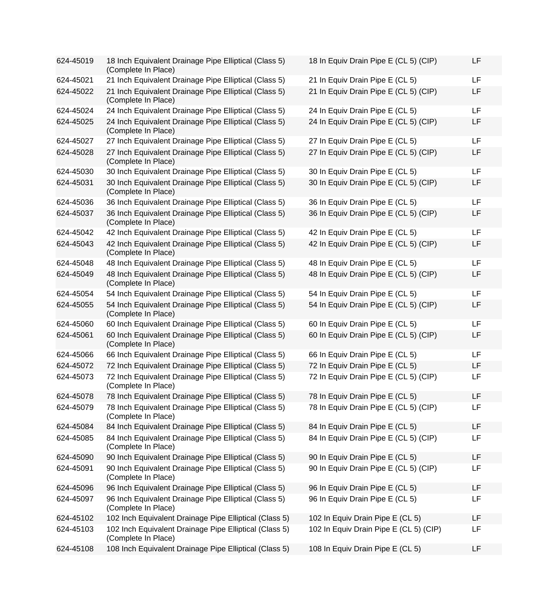| 624-45019 | 18 Inch Equivalent Drainage Pipe Elliptical (Class 5)<br>(Complete In Place)  | 18 In Equiv Drain Pipe E (CL 5) (CIP)  | LF |
|-----------|-------------------------------------------------------------------------------|----------------------------------------|----|
| 624-45021 | 21 Inch Equivalent Drainage Pipe Elliptical (Class 5)                         | 21 In Equiv Drain Pipe E (CL 5)        | LF |
| 624-45022 | 21 Inch Equivalent Drainage Pipe Elliptical (Class 5)<br>(Complete In Place)  | 21 In Equiv Drain Pipe E (CL 5) (CIP)  | LF |
| 624-45024 | 24 Inch Equivalent Drainage Pipe Elliptical (Class 5)                         | 24 In Equiv Drain Pipe E (CL 5)        | LF |
| 624-45025 | 24 Inch Equivalent Drainage Pipe Elliptical (Class 5)<br>(Complete In Place)  | 24 In Equiv Drain Pipe E (CL 5) (CIP)  | LF |
| 624-45027 | 27 Inch Equivalent Drainage Pipe Elliptical (Class 5)                         | 27 In Equiv Drain Pipe E (CL 5)        | LF |
| 624-45028 | 27 Inch Equivalent Drainage Pipe Elliptical (Class 5)<br>(Complete In Place)  | 27 In Equiv Drain Pipe E (CL 5) (CIP)  | LF |
| 624-45030 | 30 Inch Equivalent Drainage Pipe Elliptical (Class 5)                         | 30 In Equiv Drain Pipe E (CL 5)        | LF |
| 624-45031 | 30 Inch Equivalent Drainage Pipe Elliptical (Class 5)<br>(Complete In Place)  | 30 In Equiv Drain Pipe E (CL 5) (CIP)  | LF |
| 624-45036 | 36 Inch Equivalent Drainage Pipe Elliptical (Class 5)                         | 36 In Equiv Drain Pipe E (CL 5)        | LF |
| 624-45037 | 36 Inch Equivalent Drainage Pipe Elliptical (Class 5)<br>(Complete In Place)  | 36 In Equiv Drain Pipe E (CL 5) (CIP)  | LF |
| 624-45042 | 42 Inch Equivalent Drainage Pipe Elliptical (Class 5)                         | 42 In Equiv Drain Pipe E (CL 5)        | LF |
| 624-45043 | 42 Inch Equivalent Drainage Pipe Elliptical (Class 5)<br>(Complete In Place)  | 42 In Equiv Drain Pipe E (CL 5) (CIP)  | LF |
| 624-45048 | 48 Inch Equivalent Drainage Pipe Elliptical (Class 5)                         | 48 In Equiv Drain Pipe E (CL 5)        | LF |
| 624-45049 | 48 Inch Equivalent Drainage Pipe Elliptical (Class 5)<br>(Complete In Place)  | 48 In Equiv Drain Pipe E (CL 5) (CIP)  | LF |
| 624-45054 | 54 Inch Equivalent Drainage Pipe Elliptical (Class 5)                         | 54 In Equiv Drain Pipe E (CL 5)        | LF |
| 624-45055 | 54 Inch Equivalent Drainage Pipe Elliptical (Class 5)<br>(Complete In Place)  | 54 In Equiv Drain Pipe E (CL 5) (CIP)  | LF |
| 624-45060 | 60 Inch Equivalent Drainage Pipe Elliptical (Class 5)                         | 60 In Equiv Drain Pipe E (CL 5)        | LF |
| 624-45061 | 60 Inch Equivalent Drainage Pipe Elliptical (Class 5)<br>(Complete In Place)  | 60 In Equiv Drain Pipe E (CL 5) (CIP)  | LF |
| 624-45066 | 66 Inch Equivalent Drainage Pipe Elliptical (Class 5)                         | 66 In Equiv Drain Pipe E (CL 5)        | LF |
| 624-45072 | 72 Inch Equivalent Drainage Pipe Elliptical (Class 5)                         | 72 In Equiv Drain Pipe E (CL 5)        | LF |
| 624-45073 | 72 Inch Equivalent Drainage Pipe Elliptical (Class 5)<br>(Complete In Place)  | 72 In Equiv Drain Pipe E (CL 5) (CIP)  | LF |
| 624-45078 | 78 Inch Equivalent Drainage Pipe Elliptical (Class 5)                         | 78 In Equiv Drain Pipe E (CL 5)        | LF |
| 624-45079 | 78 Inch Equivalent Drainage Pipe Elliptical (Class 5)<br>(Complete In Place)  | 78 In Equiv Drain Pipe E (CL 5) (CIP)  | LF |
| 624-45084 | 84 Inch Equivalent Drainage Pipe Elliptical (Class 5)                         | 84 In Equiv Drain Pipe E (CL 5)        | LF |
| 624-45085 | 84 Inch Equivalent Drainage Pipe Elliptical (Class 5)<br>(Complete In Place)  | 84 In Equiv Drain Pipe E (CL 5) (CIP)  | LF |
| 624-45090 | 90 Inch Equivalent Drainage Pipe Elliptical (Class 5)                         | 90 In Equiv Drain Pipe E (CL 5)        | LF |
| 624-45091 | 90 Inch Equivalent Drainage Pipe Elliptical (Class 5)<br>(Complete In Place)  | 90 In Equiv Drain Pipe E (CL 5) (CIP)  | LF |
| 624-45096 | 96 Inch Equivalent Drainage Pipe Elliptical (Class 5)                         | 96 In Equiv Drain Pipe E (CL 5)        | LF |
| 624-45097 | 96 Inch Equivalent Drainage Pipe Elliptical (Class 5)<br>(Complete In Place)  | 96 In Equiv Drain Pipe E (CL 5)        | LF |
| 624-45102 | 102 Inch Equivalent Drainage Pipe Elliptical (Class 5)                        | 102 In Equiv Drain Pipe E (CL 5)       | LF |
| 624-45103 | 102 Inch Equivalent Drainage Pipe Elliptical (Class 5)<br>(Complete In Place) | 102 In Equiv Drain Pipe E (CL 5) (CIP) | LF |
| 624-45108 | 108 Inch Equivalent Drainage Pipe Elliptical (Class 5)                        | 108 In Equiv Drain Pipe E (CL 5)       | LF |

| 18 In Equiv Drain Pipe E (CL 5) (CIP)  | LF |
|----------------------------------------|----|
| 21 In Equiv Drain Pipe E (CL 5)        | LF |
| 21 In Equiv Drain Pipe E (CL 5) (CIP)  | LF |
| 24 In Equiv Drain Pipe E (CL 5)        | LF |
| 24 In Equiv Drain Pipe E (CL 5) (CIP)  | LF |
| 27 In Equiv Drain Pipe E (CL 5)        | LF |
| 27 In Equiv Drain Pipe E (CL 5) (CIP)  | LF |
| 30 In Equiv Drain Pipe E (CL 5)        | LF |
| 30 In Equiv Drain Pipe E (CL 5) (CIP)  | LF |
| 36 In Equiv Drain Pipe E (CL 5)        | LF |
| 36 In Equiv Drain Pipe E (CL 5) (CIP)  | LF |
| 42 In Equiv Drain Pipe E (CL 5)        | LF |
| 42 In Equiv Drain Pipe E (CL 5) (CIP)  | LF |
| 48 In Equiv Drain Pipe E (CL 5)        | LF |
| 48 In Equiv Drain Pipe E (CL 5) (CIP)  | LF |
| 54 In Equiv Drain Pipe E (CL 5)        | LF |
| 54 In Equiv Drain Pipe E (CL 5) (CIP)  | LF |
| 60 In Equiv Drain Pipe E (CL 5)        | LF |
| 60 In Equiv Drain Pipe E (CL 5) (CIP)  | LF |
| 66 In Equiv Drain Pipe E (CL 5)        | LF |
| 72 In Equiv Drain Pipe E (CL 5)        | LF |
| 72 In Equiv Drain Pipe E (CL 5) (CIP)  | LF |
| 78 In Equiv Drain Pipe E (CL 5)        | LF |
| 78 In Equiv Drain Pipe E (CL 5) (CIP)  | LF |
| 84 In Equiv Drain Pipe E (CL 5)        | LF |
| 84 In Equiv Drain Pipe E (CL 5) (CIP)  | LF |
| 90 In Equiv Drain Pipe E (CL 5)        | LF |
| 90 In Equiv Drain Pipe E (CL 5) (CIP)  | LF |
| 96 In Equiv Drain Pipe E (CL 5)        | LF |
| 96 In Equiv Drain Pipe E (CL 5)        | LF |
| 102 In Equiv Drain Pipe E (CL 5)       | LF |
| 102 In Equiv Drain Pipe E (CL 5) (CIP) | LF |
| 108 In Equiv Drain Pipe E (CL 5)       | LF |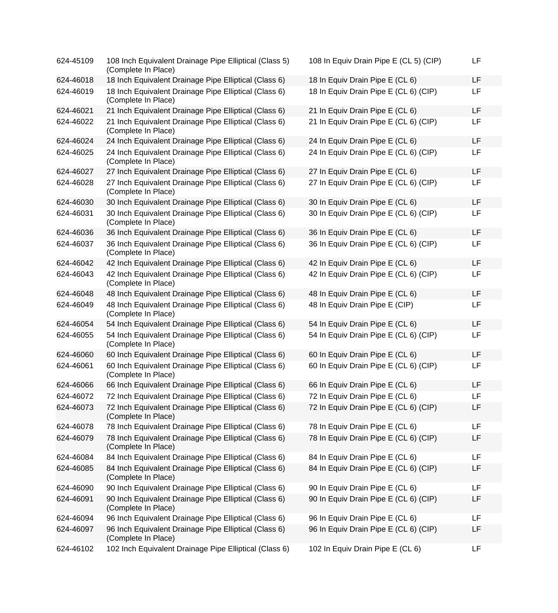| 624-45109 | 108 Inch Equivalent Drainage Pipe Elliptical (Class 5)<br>(Complete In Place) | 108 In Equiv Drain Pipe E (CL 5) (CIP) | <b>LF</b> |
|-----------|-------------------------------------------------------------------------------|----------------------------------------|-----------|
| 624-46018 | 18 Inch Equivalent Drainage Pipe Elliptical (Class 6)                         | 18 In Equiv Drain Pipe E (CL 6)        | <b>LF</b> |
| 624-46019 | 18 Inch Equivalent Drainage Pipe Elliptical (Class 6)<br>(Complete In Place)  | 18 In Equiv Drain Pipe E (CL 6) (CIP)  | <b>LF</b> |
| 624-46021 | 21 Inch Equivalent Drainage Pipe Elliptical (Class 6)                         | 21 In Equiv Drain Pipe E (CL 6)        | LF        |
| 624-46022 | 21 Inch Equivalent Drainage Pipe Elliptical (Class 6)<br>(Complete In Place)  | 21 In Equiv Drain Pipe E (CL 6) (CIP)  | LF        |
| 624-46024 | 24 Inch Equivalent Drainage Pipe Elliptical (Class 6)                         | 24 In Equiv Drain Pipe E (CL 6)        | <b>LF</b> |
| 624-46025 | 24 Inch Equivalent Drainage Pipe Elliptical (Class 6)<br>(Complete In Place)  | 24 In Equiv Drain Pipe E (CL 6) (CIP)  | <b>LF</b> |
| 624-46027 | 27 Inch Equivalent Drainage Pipe Elliptical (Class 6)                         | 27 In Equiv Drain Pipe E (CL 6)        | LF        |
| 624-46028 | 27 Inch Equivalent Drainage Pipe Elliptical (Class 6)<br>(Complete In Place)  | 27 In Equiv Drain Pipe E (CL 6) (CIP)  | LF        |
| 624-46030 | 30 Inch Equivalent Drainage Pipe Elliptical (Class 6)                         | 30 In Equiv Drain Pipe E (CL 6)        | <b>LF</b> |
| 624-46031 | 30 Inch Equivalent Drainage Pipe Elliptical (Class 6)<br>(Complete In Place)  | 30 In Equiv Drain Pipe E (CL 6) (CIP)  | LF        |
| 624-46036 | 36 Inch Equivalent Drainage Pipe Elliptical (Class 6)                         | 36 In Equiv Drain Pipe E (CL 6)        | LF        |
| 624-46037 | 36 Inch Equivalent Drainage Pipe Elliptical (Class 6)<br>(Complete In Place)  | 36 In Equiv Drain Pipe E (CL 6) (CIP)  | LF        |
| 624-46042 | 42 Inch Equivalent Drainage Pipe Elliptical (Class 6)                         | 42 In Equiv Drain Pipe E (CL 6)        | <b>LF</b> |
| 624-46043 | 42 Inch Equivalent Drainage Pipe Elliptical (Class 6)<br>(Complete In Place)  | 42 In Equiv Drain Pipe E (CL 6) (CIP)  | LF        |
| 624-46048 | 48 Inch Equivalent Drainage Pipe Elliptical (Class 6)                         | 48 In Equiv Drain Pipe E (CL 6)        | <b>LF</b> |
| 624-46049 | 48 Inch Equivalent Drainage Pipe Elliptical (Class 6)<br>(Complete In Place)  | 48 In Equiv Drain Pipe E (CIP)         | <b>LF</b> |
| 624-46054 | 54 Inch Equivalent Drainage Pipe Elliptical (Class 6)                         | 54 In Equiv Drain Pipe E (CL 6)        | <b>LF</b> |
| 624-46055 | 54 Inch Equivalent Drainage Pipe Elliptical (Class 6)<br>(Complete In Place)  | 54 In Equiv Drain Pipe E (CL 6) (CIP)  | LF        |
| 624-46060 | 60 Inch Equivalent Drainage Pipe Elliptical (Class 6)                         | 60 In Equiv Drain Pipe E (CL 6)        | LF        |
| 624-46061 | 60 Inch Equivalent Drainage Pipe Elliptical (Class 6)<br>(Complete In Place)  | 60 In Equiv Drain Pipe E (CL 6) (CIP)  | <b>LF</b> |
| 624-46066 | 66 Inch Equivalent Drainage Pipe Elliptical (Class 6)                         | 66 In Equiv Drain Pipe E (CL 6)        | <b>LF</b> |
| 624-46072 | 72 Inch Equivalent Drainage Pipe Elliptical (Class 6)                         | 72 In Equiv Drain Pipe E (CL 6)        | <b>LF</b> |
| 624-46073 | 72 Inch Equivalent Drainage Pipe Elliptical (Class 6)<br>(Complete In Place)  | 72 In Equiv Drain Pipe E (CL 6) (CIP)  | LF        |
| 624-46078 | 78 Inch Equivalent Drainage Pipe Elliptical (Class 6)                         | 78 In Equiv Drain Pipe E (CL 6)        | <b>LF</b> |
| 624-46079 | 78 Inch Equivalent Drainage Pipe Elliptical (Class 6)<br>(Complete In Place)  | 78 In Equiv Drain Pipe E (CL 6) (CIP)  | LF        |
| 624-46084 | 84 Inch Equivalent Drainage Pipe Elliptical (Class 6)                         | 84 In Equiv Drain Pipe E (CL 6)        | LF        |
| 624-46085 | 84 Inch Equivalent Drainage Pipe Elliptical (Class 6)<br>(Complete In Place)  | 84 In Equiv Drain Pipe E (CL 6) (CIP)  | LF        |
| 624-46090 | 90 Inch Equivalent Drainage Pipe Elliptical (Class 6)                         | 90 In Equiv Drain Pipe E (CL 6)        | LF        |
| 624-46091 | 90 Inch Equivalent Drainage Pipe Elliptical (Class 6)<br>(Complete In Place)  | 90 In Equiv Drain Pipe E (CL 6) (CIP)  | LF        |
| 624-46094 | 96 Inch Equivalent Drainage Pipe Elliptical (Class 6)                         | 96 In Equiv Drain Pipe E (CL 6)        | LF        |
| 624-46097 | 96 Inch Equivalent Drainage Pipe Elliptical (Class 6)<br>(Complete In Place)  | 96 In Equiv Drain Pipe E (CL 6) (CIP)  | LF        |
| 624-46102 | 102 Inch Equivalent Drainage Pipe Elliptical (Class 6)                        | 102 In Equiv Drain Pipe E (CL 6)       | LF        |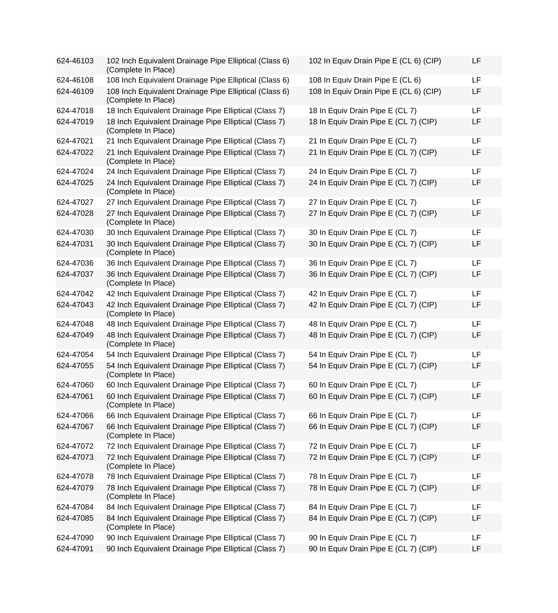| 624-46103 | 102 Inch Equivalent Drainage Pipe Elliptical (Class 6)<br>(Complete In Place) | 102 In Equiv Drain Pipe E (CL 6) (CIP) | LF        |
|-----------|-------------------------------------------------------------------------------|----------------------------------------|-----------|
| 624-46108 | 108 Inch Equivalent Drainage Pipe Elliptical (Class 6)                        | 108 In Equiv Drain Pipe E (CL 6)       | <b>LF</b> |
| 624-46109 | 108 Inch Equivalent Drainage Pipe Elliptical (Class 6)<br>(Complete In Place) | 108 In Equiv Drain Pipe E (CL 6) (CIP) | LF        |
| 624-47018 | 18 Inch Equivalent Drainage Pipe Elliptical (Class 7)                         | 18 In Equiv Drain Pipe E (CL 7)        | <b>LF</b> |
| 624-47019 | 18 Inch Equivalent Drainage Pipe Elliptical (Class 7)<br>(Complete In Place)  | 18 In Equiv Drain Pipe E (CL 7) (CIP)  | LF        |
| 624-47021 | 21 Inch Equivalent Drainage Pipe Elliptical (Class 7)                         | 21 In Equiv Drain Pipe E (CL 7)        | <b>LF</b> |
| 624-47022 | 21 Inch Equivalent Drainage Pipe Elliptical (Class 7)<br>(Complete In Place)  | 21 In Equiv Drain Pipe E (CL 7) (CIP)  | LF        |
| 624-47024 | 24 Inch Equivalent Drainage Pipe Elliptical (Class 7)                         | 24 In Equiv Drain Pipe E (CL 7)        | LF        |
| 624-47025 | 24 Inch Equivalent Drainage Pipe Elliptical (Class 7)<br>(Complete In Place)  | 24 In Equiv Drain Pipe E (CL 7) (CIP)  | LF        |
| 624-47027 | 27 Inch Equivalent Drainage Pipe Elliptical (Class 7)                         | 27 In Equiv Drain Pipe E (CL 7)        | <b>LF</b> |
| 624-47028 | 27 Inch Equivalent Drainage Pipe Elliptical (Class 7)<br>(Complete In Place)  | 27 In Equiv Drain Pipe E (CL 7) (CIP)  | LF        |
| 624-47030 | 30 Inch Equivalent Drainage Pipe Elliptical (Class 7)                         | 30 In Equiv Drain Pipe E (CL 7)        | <b>LF</b> |
| 624-47031 | 30 Inch Equivalent Drainage Pipe Elliptical (Class 7)<br>(Complete In Place)  | 30 In Equiv Drain Pipe E (CL 7) (CIP)  | LF        |
| 624-47036 | 36 Inch Equivalent Drainage Pipe Elliptical (Class 7)                         | 36 In Equiv Drain Pipe E (CL 7)        | LF        |
| 624-47037 | 36 Inch Equivalent Drainage Pipe Elliptical (Class 7)<br>(Complete In Place)  | 36 In Equiv Drain Pipe E (CL 7) (CIP)  | LF        |
| 624-47042 | 42 Inch Equivalent Drainage Pipe Elliptical (Class 7)                         | 42 In Equiv Drain Pipe E (CL 7)        | <b>LF</b> |
| 624-47043 | 42 Inch Equivalent Drainage Pipe Elliptical (Class 7)<br>(Complete In Place)  | 42 In Equiv Drain Pipe E (CL 7) (CIP)  | LF        |
| 624-47048 | 48 Inch Equivalent Drainage Pipe Elliptical (Class 7)                         | 48 In Equiv Drain Pipe E (CL 7)        | <b>LF</b> |
| 624-47049 | 48 Inch Equivalent Drainage Pipe Elliptical (Class 7)<br>(Complete In Place)  | 48 In Equiv Drain Pipe E (CL 7) (CIP)  | LF        |
| 624-47054 | 54 Inch Equivalent Drainage Pipe Elliptical (Class 7)                         | 54 In Equiv Drain Pipe E (CL 7)        | <b>LF</b> |
| 624-47055 | 54 Inch Equivalent Drainage Pipe Elliptical (Class 7)<br>(Complete In Place)  | 54 In Equiv Drain Pipe E (CL 7) (CIP)  | LF        |
| 624-47060 | 60 Inch Equivalent Drainage Pipe Elliptical (Class 7)                         | 60 In Equiv Drain Pipe E (CL 7)        | <b>LF</b> |
| 624-47061 | 60 Inch Equivalent Drainage Pipe Elliptical (Class 7)<br>(Complete In Place)  | 60 In Equiv Drain Pipe E (CL 7) (CIP)  | LF        |
| 624-47066 | 66 Inch Equivalent Drainage Pipe Elliptical (Class 7)                         | 66 In Equiv Drain Pipe E (CL 7)        | LF        |
| 624-47067 | 66 Inch Equivalent Drainage Pipe Elliptical (Class 7)<br>(Complete In Place)  | 66 In Equiv Drain Pipe E (CL 7) (CIP)  | LF        |
| 624-47072 | 72 Inch Equivalent Drainage Pipe Elliptical (Class 7)                         | 72 In Equiv Drain Pipe E (CL 7)        | LF        |
| 624-47073 | 72 Inch Equivalent Drainage Pipe Elliptical (Class 7)<br>(Complete In Place)  | 72 In Equiv Drain Pipe E (CL 7) (CIP)  | LF        |
| 624-47078 | 78 Inch Equivalent Drainage Pipe Elliptical (Class 7)                         | 78 In Equiv Drain Pipe E (CL 7)        | LF        |
| 624-47079 | 78 Inch Equivalent Drainage Pipe Elliptical (Class 7)<br>(Complete In Place)  | 78 In Equiv Drain Pipe E (CL 7) (CIP)  | LF        |
| 624-47084 | 84 Inch Equivalent Drainage Pipe Elliptical (Class 7)                         | 84 In Equiv Drain Pipe E (CL 7)        | LF        |
| 624-47085 | 84 Inch Equivalent Drainage Pipe Elliptical (Class 7)<br>(Complete In Place)  | 84 In Equiv Drain Pipe E (CL 7) (CIP)  | LF        |
| 624-47090 | 90 Inch Equivalent Drainage Pipe Elliptical (Class 7)                         | 90 In Equiv Drain Pipe E (CL 7)        | LF        |
| 624-47091 | 90 Inch Equivalent Drainage Pipe Elliptical (Class 7)                         | 90 In Equiv Drain Pipe E (CL 7) (CIP)  | LF        |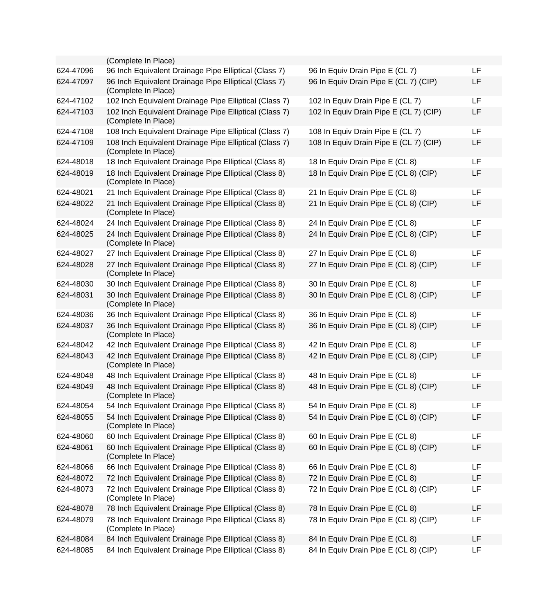|           | (Complete In Place)                                                           |                                        |           |
|-----------|-------------------------------------------------------------------------------|----------------------------------------|-----------|
| 624-47096 | 96 Inch Equivalent Drainage Pipe Elliptical (Class 7)                         | 96 In Equiv Drain Pipe E (CL 7)        | LF        |
| 624-47097 | 96 Inch Equivalent Drainage Pipe Elliptical (Class 7)<br>(Complete In Place)  | 96 In Equiv Drain Pipe E (CL 7) (CIP)  | LF        |
| 624-47102 | 102 Inch Equivalent Drainage Pipe Elliptical (Class 7)                        | 102 In Equiv Drain Pipe E (CL 7)       | <b>LF</b> |
| 624-47103 | 102 Inch Equivalent Drainage Pipe Elliptical (Class 7)<br>(Complete In Place) | 102 In Equiv Drain Pipe E (CL 7) (CIP) | LF        |
| 624-47108 | 108 Inch Equivalent Drainage Pipe Elliptical (Class 7)                        | 108 In Equiv Drain Pipe E (CL 7)       | LF        |
| 624-47109 | 108 Inch Equivalent Drainage Pipe Elliptical (Class 7)<br>(Complete In Place) | 108 In Equiv Drain Pipe E (CL 7) (CIP) | LF        |
| 624-48018 | 18 Inch Equivalent Drainage Pipe Elliptical (Class 8)                         | 18 In Equiv Drain Pipe E (CL 8)        | LF        |
| 624-48019 | 18 Inch Equivalent Drainage Pipe Elliptical (Class 8)<br>(Complete In Place)  | 18 In Equiv Drain Pipe E (CL 8) (CIP)  | LF        |
| 624-48021 | 21 Inch Equivalent Drainage Pipe Elliptical (Class 8)                         | 21 In Equiv Drain Pipe E (CL 8)        | LF        |
| 624-48022 | 21 Inch Equivalent Drainage Pipe Elliptical (Class 8)<br>(Complete In Place)  | 21 In Equiv Drain Pipe E (CL 8) (CIP)  | LF        |
| 624-48024 | 24 Inch Equivalent Drainage Pipe Elliptical (Class 8)                         | 24 In Equiv Drain Pipe E (CL 8)        | LF        |
| 624-48025 | 24 Inch Equivalent Drainage Pipe Elliptical (Class 8)<br>(Complete In Place)  | 24 In Equiv Drain Pipe E (CL 8) (CIP)  | LF        |
| 624-48027 | 27 Inch Equivalent Drainage Pipe Elliptical (Class 8)                         | 27 In Equiv Drain Pipe E (CL 8)        | <b>LF</b> |
| 624-48028 | 27 Inch Equivalent Drainage Pipe Elliptical (Class 8)<br>(Complete In Place)  | 27 In Equiv Drain Pipe E (CL 8) (CIP)  | LF        |
| 624-48030 | 30 Inch Equivalent Drainage Pipe Elliptical (Class 8)                         | 30 In Equiv Drain Pipe E (CL 8)        | LF        |
| 624-48031 | 30 Inch Equivalent Drainage Pipe Elliptical (Class 8)<br>(Complete In Place)  | 30 In Equiv Drain Pipe E (CL 8) (CIP)  | LF        |
| 624-48036 | 36 Inch Equivalent Drainage Pipe Elliptical (Class 8)                         | 36 In Equiv Drain Pipe E (CL 8)        | LF        |
| 624-48037 | 36 Inch Equivalent Drainage Pipe Elliptical (Class 8)<br>(Complete In Place)  | 36 In Equiv Drain Pipe E (CL 8) (CIP)  | LF        |
| 624-48042 | 42 Inch Equivalent Drainage Pipe Elliptical (Class 8)                         | 42 In Equiv Drain Pipe E (CL 8)        | LF        |
| 624-48043 | 42 Inch Equivalent Drainage Pipe Elliptical (Class 8)<br>(Complete In Place)  | 42 In Equiv Drain Pipe E (CL 8) (CIP)  | LF        |
| 624-48048 | 48 Inch Equivalent Drainage Pipe Elliptical (Class 8)                         | 48 In Equiv Drain Pipe E (CL 8)        | LF        |
| 624-48049 | 48 Inch Equivalent Drainage Pipe Elliptical (Class 8)<br>(Complete In Place)  | 48 In Equiv Drain Pipe E (CL 8) (CIP)  | LF        |
| 624-48054 | 54 Inch Equivalent Drainage Pipe Elliptical (Class 8)                         | 54 In Equiv Drain Pipe E (CL 8)        | LF        |
| 624-48055 | 54 Inch Equivalent Drainage Pipe Elliptical (Class 8)<br>(Complete In Place)  | 54 In Equiv Drain Pipe E (CL 8) (CIP)  | LF        |
| 624-48060 | 60 Inch Equivalent Drainage Pipe Elliptical (Class 8)                         | 60 In Equiv Drain Pipe E (CL 8)        | LF        |
| 624-48061 | 60 Inch Equivalent Drainage Pipe Elliptical (Class 8)<br>(Complete In Place)  | 60 In Equiv Drain Pipe E (CL 8) (CIP)  | LF        |
| 624-48066 | 66 Inch Equivalent Drainage Pipe Elliptical (Class 8)                         | 66 In Equiv Drain Pipe E (CL 8)        | <b>LF</b> |
| 624-48072 | 72 Inch Equivalent Drainage Pipe Elliptical (Class 8)                         | 72 In Equiv Drain Pipe E (CL 8)        | LF.       |
| 624-48073 | 72 Inch Equivalent Drainage Pipe Elliptical (Class 8)<br>(Complete In Place)  | 72 In Equiv Drain Pipe E (CL 8) (CIP)  | LF        |
| 624-48078 | 78 Inch Equivalent Drainage Pipe Elliptical (Class 8)                         | 78 In Equiv Drain Pipe E (CL 8)        | LF        |
| 624-48079 | 78 Inch Equivalent Drainage Pipe Elliptical (Class 8)<br>(Complete In Place)  | 78 In Equiv Drain Pipe E (CL 8) (CIP)  | LF        |
| 624-48084 | 84 Inch Equivalent Drainage Pipe Elliptical (Class 8)                         | 84 In Equiv Drain Pipe E (CL 8)        | <b>LF</b> |
| 624-48085 | 84 Inch Equivalent Drainage Pipe Elliptical (Class 8)                         | 84 In Equiv Drain Pipe E (CL 8) (CIP)  | LF        |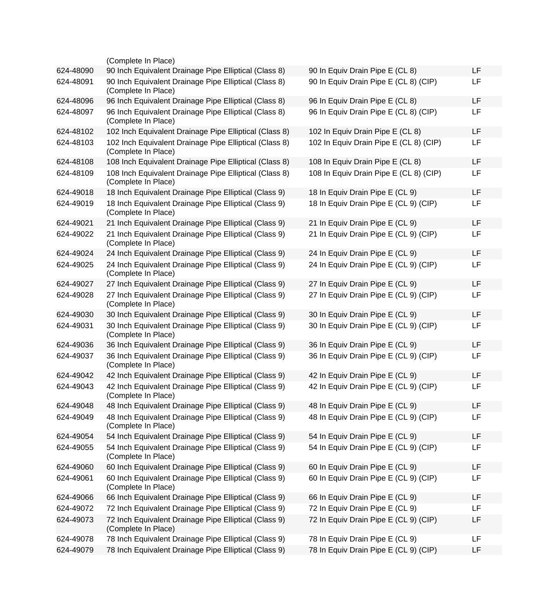|           | (Complete In Place)                                                           |                                        |           |
|-----------|-------------------------------------------------------------------------------|----------------------------------------|-----------|
| 624-48090 | 90 Inch Equivalent Drainage Pipe Elliptical (Class 8)                         | 90 In Equiv Drain Pipe E (CL 8)        | <b>LF</b> |
| 624-48091 | 90 Inch Equivalent Drainage Pipe Elliptical (Class 8)<br>(Complete In Place)  | 90 In Equiv Drain Pipe E (CL 8) (CIP)  | LF        |
| 624-48096 | 96 Inch Equivalent Drainage Pipe Elliptical (Class 8)                         | 96 In Equiv Drain Pipe E (CL 8)        | <b>LF</b> |
| 624-48097 | 96 Inch Equivalent Drainage Pipe Elliptical (Class 8)<br>(Complete In Place)  | 96 In Equiv Drain Pipe E (CL 8) (CIP)  | LF        |
| 624-48102 | 102 Inch Equivalent Drainage Pipe Elliptical (Class 8)                        | 102 In Equiv Drain Pipe E (CL 8)       | <b>LF</b> |
| 624-48103 | 102 Inch Equivalent Drainage Pipe Elliptical (Class 8)<br>(Complete In Place) | 102 In Equiv Drain Pipe E (CL 8) (CIP) | LF        |
| 624-48108 | 108 Inch Equivalent Drainage Pipe Elliptical (Class 8)                        | 108 In Equiv Drain Pipe E (CL 8)       | LF        |
| 624-48109 | 108 Inch Equivalent Drainage Pipe Elliptical (Class 8)<br>(Complete In Place) | 108 In Equiv Drain Pipe E (CL 8) (CIP) | LF        |
| 624-49018 | 18 Inch Equivalent Drainage Pipe Elliptical (Class 9)                         | 18 In Equiv Drain Pipe E (CL 9)        | LF        |
| 624-49019 | 18 Inch Equivalent Drainage Pipe Elliptical (Class 9)<br>(Complete In Place)  | 18 In Equiv Drain Pipe E (CL 9) (CIP)  | LF        |
| 624-49021 | 21 Inch Equivalent Drainage Pipe Elliptical (Class 9)                         | 21 In Equiv Drain Pipe E (CL 9)        | LF        |
| 624-49022 | 21 Inch Equivalent Drainage Pipe Elliptical (Class 9)<br>(Complete In Place)  | 21 In Equiv Drain Pipe E (CL 9) (CIP)  | LF        |
| 624-49024 | 24 Inch Equivalent Drainage Pipe Elliptical (Class 9)                         | 24 In Equiv Drain Pipe E (CL 9)        | LF        |
| 624-49025 | 24 Inch Equivalent Drainage Pipe Elliptical (Class 9)<br>(Complete In Place)  | 24 In Equiv Drain Pipe E (CL 9) (CIP)  | LF        |
| 624-49027 | 27 Inch Equivalent Drainage Pipe Elliptical (Class 9)                         | 27 In Equiv Drain Pipe E (CL 9)        | <b>LF</b> |
| 624-49028 | 27 Inch Equivalent Drainage Pipe Elliptical (Class 9)<br>(Complete In Place)  | 27 In Equiv Drain Pipe E (CL 9) (CIP)  | LF        |
| 624-49030 | 30 Inch Equivalent Drainage Pipe Elliptical (Class 9)                         | 30 In Equiv Drain Pipe E (CL 9)        | <b>LF</b> |
| 624-49031 | 30 Inch Equivalent Drainage Pipe Elliptical (Class 9)<br>(Complete In Place)  | 30 In Equiv Drain Pipe E (CL 9) (CIP)  | LF        |
| 624-49036 | 36 Inch Equivalent Drainage Pipe Elliptical (Class 9)                         | 36 In Equiv Drain Pipe E (CL 9)        | <b>LF</b> |
| 624-49037 | 36 Inch Equivalent Drainage Pipe Elliptical (Class 9)<br>(Complete In Place)  | 36 In Equiv Drain Pipe E (CL 9) (CIP)  | LF        |
| 624-49042 | 42 Inch Equivalent Drainage Pipe Elliptical (Class 9)                         | 42 In Equiv Drain Pipe E (CL 9)        | LF        |
| 624-49043 | 42 Inch Equivalent Drainage Pipe Elliptical (Class 9)<br>(Complete In Place)  | 42 In Equiv Drain Pipe E (CL 9) (CIP)  | <b>LF</b> |
| 624-49048 | 48 Inch Equivalent Drainage Pipe Elliptical (Class 9)                         | 48 In Equiv Drain Pipe E (CL 9)        | LF        |
| 624-49049 | 48 Inch Equivalent Drainage Pipe Elliptical (Class 9)<br>(Complete In Place)  | 48 In Equiv Drain Pipe E (CL 9) (CIP)  | LF        |
| 624-49054 | 54 Inch Equivalent Drainage Pipe Elliptical (Class 9)                         | 54 In Equiv Drain Pipe E (CL 9)        | <b>LF</b> |
| 624-49055 | 54 Inch Equivalent Drainage Pipe Elliptical (Class 9)<br>(Complete In Place)  | 54 In Equiv Drain Pipe E (CL 9) (CIP)  | <b>LF</b> |
| 624-49060 | 60 Inch Equivalent Drainage Pipe Elliptical (Class 9)                         | 60 In Equiv Drain Pipe E (CL 9)        | LF        |
| 624-49061 | 60 Inch Equivalent Drainage Pipe Elliptical (Class 9)<br>(Complete In Place)  | 60 In Equiv Drain Pipe E (CL 9) (CIP)  | <b>LF</b> |
| 624-49066 | 66 Inch Equivalent Drainage Pipe Elliptical (Class 9)                         | 66 In Equiv Drain Pipe E (CL 9)        | <b>LF</b> |
| 624-49072 | 72 Inch Equivalent Drainage Pipe Elliptical (Class 9)                         | 72 In Equiv Drain Pipe E (CL 9)        | LF.       |
| 624-49073 | 72 Inch Equivalent Drainage Pipe Elliptical (Class 9)<br>(Complete In Place)  | 72 In Equiv Drain Pipe E (CL 9) (CIP)  | LF        |
| 624-49078 | 78 Inch Equivalent Drainage Pipe Elliptical (Class 9)                         | 78 In Equiv Drain Pipe E (CL 9)        | LF        |
| 624-49079 | 78 Inch Equivalent Drainage Pipe Elliptical (Class 9)                         | 78 In Equiv Drain Pipe E (CL 9) (CIP)  | LF        |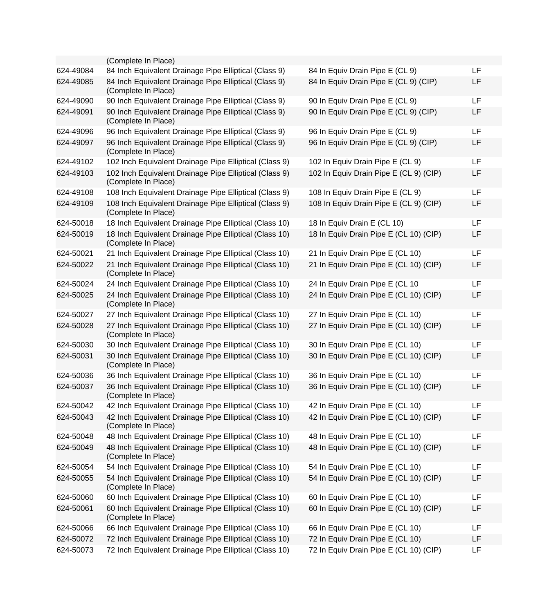|           | (Complete In Place)                                                           |                                        |           |
|-----------|-------------------------------------------------------------------------------|----------------------------------------|-----------|
| 624-49084 | 84 Inch Equivalent Drainage Pipe Elliptical (Class 9)                         | 84 In Equiv Drain Pipe E (CL 9)        | <b>LF</b> |
| 624-49085 | 84 Inch Equivalent Drainage Pipe Elliptical (Class 9)<br>(Complete In Place)  | 84 In Equiv Drain Pipe E (CL 9) (CIP)  | LF        |
| 624-49090 | 90 Inch Equivalent Drainage Pipe Elliptical (Class 9)                         | 90 In Equiv Drain Pipe E (CL 9)        | LF        |
| 624-49091 | 90 Inch Equivalent Drainage Pipe Elliptical (Class 9)<br>(Complete In Place)  | 90 In Equiv Drain Pipe E (CL 9) (CIP)  | LF        |
| 624-49096 | 96 Inch Equivalent Drainage Pipe Elliptical (Class 9)                         | 96 In Equiv Drain Pipe E (CL 9)        | LF        |
| 624-49097 | 96 Inch Equivalent Drainage Pipe Elliptical (Class 9)<br>(Complete In Place)  | 96 In Equiv Drain Pipe E (CL 9) (CIP)  | LF        |
| 624-49102 | 102 Inch Equivalent Drainage Pipe Elliptical (Class 9)                        | 102 In Equiv Drain Pipe E (CL 9)       | LF        |
| 624-49103 | 102 Inch Equivalent Drainage Pipe Elliptical (Class 9)<br>(Complete In Place) | 102 In Equiv Drain Pipe E (CL 9) (CIP) | LF        |
| 624-49108 | 108 Inch Equivalent Drainage Pipe Elliptical (Class 9)                        | 108 In Equiv Drain Pipe E (CL 9)       | LF        |
| 624-49109 | 108 Inch Equivalent Drainage Pipe Elliptical (Class 9)<br>(Complete In Place) | 108 In Equiv Drain Pipe E (CL 9) (CIP) | LF        |
| 624-50018 | 18 Inch Equivalent Drainage Pipe Elliptical (Class 10)                        | 18 In Equiv Drain E (CL 10)            | LF        |
| 624-50019 | 18 Inch Equivalent Drainage Pipe Elliptical (Class 10)<br>(Complete In Place) | 18 In Equiv Drain Pipe E (CL 10) (CIP) | LF        |
| 624-50021 | 21 Inch Equivalent Drainage Pipe Elliptical (Class 10)                        | 21 In Equiv Drain Pipe E (CL 10)       | LF        |
| 624-50022 | 21 Inch Equivalent Drainage Pipe Elliptical (Class 10)<br>(Complete In Place) | 21 In Equiv Drain Pipe E (CL 10) (CIP) | LF        |
| 624-50024 | 24 Inch Equivalent Drainage Pipe Elliptical (Class 10)                        | 24 In Equiv Drain Pipe E (CL 10        | LF        |
| 624-50025 | 24 Inch Equivalent Drainage Pipe Elliptical (Class 10)<br>(Complete In Place) | 24 In Equiv Drain Pipe E (CL 10) (CIP) | LF        |
| 624-50027 | 27 Inch Equivalent Drainage Pipe Elliptical (Class 10)                        | 27 In Equiv Drain Pipe E (CL 10)       | LF        |
| 624-50028 | 27 Inch Equivalent Drainage Pipe Elliptical (Class 10)<br>(Complete In Place) | 27 In Equiv Drain Pipe E (CL 10) (CIP) | LF        |
| 624-50030 | 30 Inch Equivalent Drainage Pipe Elliptical (Class 10)                        | 30 In Equiv Drain Pipe E (CL 10)       | LF        |
| 624-50031 | 30 Inch Equivalent Drainage Pipe Elliptical (Class 10)<br>(Complete In Place) | 30 In Equiv Drain Pipe E (CL 10) (CIP) | LF        |
| 624-50036 | 36 Inch Equivalent Drainage Pipe Elliptical (Class 10)                        | 36 In Equiv Drain Pipe E (CL 10)       | LF        |
| 624-50037 | 36 Inch Equivalent Drainage Pipe Elliptical (Class 10)<br>(Complete In Place) | 36 In Equiv Drain Pipe E (CL 10) (CIP) | LF        |
| 624-50042 | 42 Inch Equivalent Drainage Pipe Elliptical (Class 10)                        | 42 In Equiv Drain Pipe E (CL 10)       | LF        |
| 624-50043 | 42 Inch Equivalent Drainage Pipe Elliptical (Class 10)<br>(Complete In Place) | 42 In Equiv Drain Pipe E (CL 10) (CIP) | LF        |
| 624-50048 | 48 Inch Equivalent Drainage Pipe Elliptical (Class 10)                        | 48 In Equiv Drain Pipe E (CL 10)       | LF        |
| 624-50049 | 48 Inch Equivalent Drainage Pipe Elliptical (Class 10)<br>(Complete In Place) | 48 In Equiv Drain Pipe E (CL 10) (CIP) | LF        |
| 624-50054 | 54 Inch Equivalent Drainage Pipe Elliptical (Class 10)                        | 54 In Equiv Drain Pipe E (CL 10)       | <b>LF</b> |
| 624-50055 | 54 Inch Equivalent Drainage Pipe Elliptical (Class 10)<br>(Complete In Place) | 54 In Equiv Drain Pipe E (CL 10) (CIP) | LF        |
| 624-50060 | 60 Inch Equivalent Drainage Pipe Elliptical (Class 10)                        | 60 In Equiv Drain Pipe E (CL 10)       | <b>LF</b> |
| 624-50061 | 60 Inch Equivalent Drainage Pipe Elliptical (Class 10)<br>(Complete In Place) | 60 In Equiv Drain Pipe E (CL 10) (CIP) | LF        |
| 624-50066 | 66 Inch Equivalent Drainage Pipe Elliptical (Class 10)                        | 66 In Equiv Drain Pipe E (CL 10)       | LF        |
| 624-50072 | 72 Inch Equivalent Drainage Pipe Elliptical (Class 10)                        | 72 In Equiv Drain Pipe E (CL 10)       | LF        |
| 624-50073 | 72 Inch Equivalent Drainage Pipe Elliptical (Class 10)                        | 72 In Equiv Drain Pipe E (CL 10) (CIP) | LF        |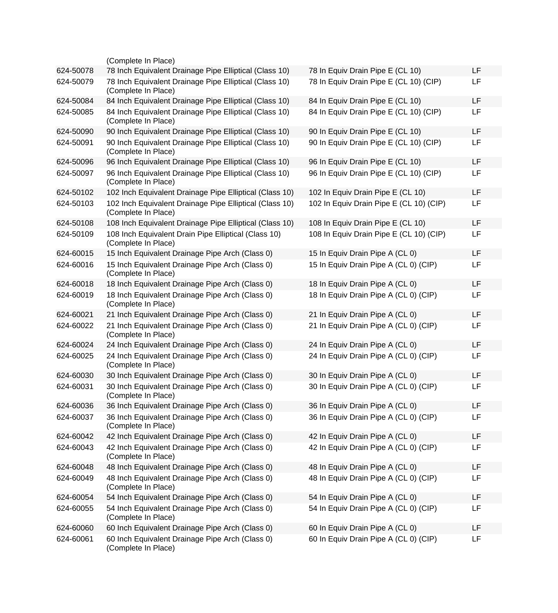|           | (Complete In Place)                                                            |                                         |    |
|-----------|--------------------------------------------------------------------------------|-----------------------------------------|----|
| 624-50078 | 78 Inch Equivalent Drainage Pipe Elliptical (Class 10)                         | 78 In Equiv Drain Pipe E (CL 10)        | LF |
| 624-50079 | 78 Inch Equivalent Drainage Pipe Elliptical (Class 10)<br>(Complete In Place)  | 78 In Equiv Drain Pipe E (CL 10) (CIP)  | LF |
| 624-50084 | 84 Inch Equivalent Drainage Pipe Elliptical (Class 10)                         | 84 In Equiv Drain Pipe E (CL 10)        | LF |
| 624-50085 | 84 Inch Equivalent Drainage Pipe Elliptical (Class 10)<br>(Complete In Place)  | 84 In Equiv Drain Pipe E (CL 10) (CIP)  | LF |
| 624-50090 | 90 Inch Equivalent Drainage Pipe Elliptical (Class 10)                         | 90 In Equiv Drain Pipe E (CL 10)        | LF |
| 624-50091 | 90 Inch Equivalent Drainage Pipe Elliptical (Class 10)<br>(Complete In Place)  | 90 In Equiv Drain Pipe E (CL 10) (CIP)  | LF |
| 624-50096 | 96 Inch Equivalent Drainage Pipe Elliptical (Class 10)                         | 96 In Equiv Drain Pipe E (CL 10)        | LF |
| 624-50097 | 96 Inch Equivalent Drainage Pipe Elliptical (Class 10)<br>(Complete In Place)  | 96 In Equiv Drain Pipe E (CL 10) (CIP)  | LF |
| 624-50102 | 102 Inch Equivalent Drainage Pipe Elliptical (Class 10)                        | 102 In Equiv Drain Pipe E (CL 10)       | LF |
| 624-50103 | 102 Inch Equivalent Drainage Pipe Elliptical (Class 10)<br>(Complete In Place) | 102 In Equiv Drain Pipe E (CL 10) (CIP) | LF |
| 624-50108 | 108 Inch Equivalent Drainage Pipe Elliptical (Class 10)                        | 108 In Equiv Drain Pipe E (CL 10)       | LF |
| 624-50109 | 108 Inch Equivalent Drain Pipe Elliptical (Class 10)<br>(Complete In Place)    | 108 In Equiv Drain Pipe E (CL 10) (CIP) | LF |
| 624-60015 | 15 Inch Equivalent Drainage Pipe Arch (Class 0)                                | 15 In Equiv Drain Pipe A (CL 0)         | LF |
| 624-60016 | 15 Inch Equivalent Drainage Pipe Arch (Class 0)<br>(Complete In Place)         | 15 In Equiv Drain Pipe A (CL 0) (CIP)   | LF |
| 624-60018 | 18 Inch Equivalent Drainage Pipe Arch (Class 0)                                | 18 In Equiv Drain Pipe A (CL 0)         | LF |
| 624-60019 | 18 Inch Equivalent Drainage Pipe Arch (Class 0)<br>(Complete In Place)         | 18 In Equiv Drain Pipe A (CL 0) (CIP)   | LF |
| 624-60021 | 21 Inch Equivalent Drainage Pipe Arch (Class 0)                                | 21 In Equiv Drain Pipe A (CL 0)         | LF |
| 624-60022 | 21 Inch Equivalent Drainage Pipe Arch (Class 0)<br>(Complete In Place)         | 21 In Equiv Drain Pipe A (CL 0) (CIP)   | LF |
| 624-60024 | 24 Inch Equivalent Drainage Pipe Arch (Class 0)                                | 24 In Equiv Drain Pipe A (CL 0)         | LF |
| 624-60025 | 24 Inch Equivalent Drainage Pipe Arch (Class 0)<br>(Complete In Place)         | 24 In Equiv Drain Pipe A (CL 0) (CIP)   | LF |
| 624-60030 | 30 Inch Equivalent Drainage Pipe Arch (Class 0)                                | 30 In Equiv Drain Pipe A (CL 0)         | LF |
| 624-60031 | 30 Inch Equivalent Drainage Pipe Arch (Class 0)<br>(Complete In Place)         | 30 In Equiv Drain Pipe A (CL 0) (CIP)   | LF |
| 624-60036 | 36 Inch Equivalent Drainage Pipe Arch (Class 0)                                | 36 In Equiv Drain Pipe A (CL 0)         | LF |
| 624-60037 | 36 Inch Equivalent Drainage Pipe Arch (Class 0)<br>(Complete In Place)         | 36 In Equiv Drain Pipe A (CL 0) (CIP)   | LF |
| 624-60042 | 42 Inch Equivalent Drainage Pipe Arch (Class 0)                                | 42 In Equiv Drain Pipe A (CL 0)         | LF |
| 624-60043 | 42 Inch Equivalent Drainage Pipe Arch (Class 0)<br>(Complete In Place)         | 42 In Equiv Drain Pipe A (CL 0) (CIP)   | LF |
| 624-60048 | 48 Inch Equivalent Drainage Pipe Arch (Class 0)                                | 48 In Equiv Drain Pipe A (CL 0)         | LF |
| 624-60049 | 48 Inch Equivalent Drainage Pipe Arch (Class 0)<br>(Complete In Place)         | 48 In Equiv Drain Pipe A (CL 0) (CIP)   | LF |
| 624-60054 | 54 Inch Equivalent Drainage Pipe Arch (Class 0)                                | 54 In Equiv Drain Pipe A (CL 0)         | LF |
| 624-60055 | 54 Inch Equivalent Drainage Pipe Arch (Class 0)<br>(Complete In Place)         | 54 In Equiv Drain Pipe A (CL 0) (CIP)   | LF |
| 624-60060 | 60 Inch Equivalent Drainage Pipe Arch (Class 0)                                | 60 In Equiv Drain Pipe A (CL 0)         | LF |
| 624-60061 | 60 Inch Equivalent Drainage Pipe Arch (Class 0)<br>(Complete In Place)         | 60 In Equiv Drain Pipe A (CL 0) (CIP)   | LF |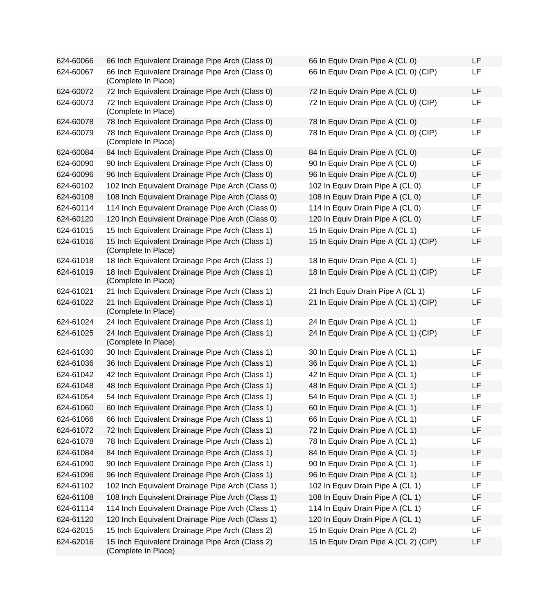| 624-60066 | 66 Inch Equivalent Drainage Pipe Arch (Class 0)                        | 66 In Equiv Drain Pipe A (CL 0)       | LF |
|-----------|------------------------------------------------------------------------|---------------------------------------|----|
| 624-60067 | 66 Inch Equivalent Drainage Pipe Arch (Class 0)<br>(Complete In Place) | 66 In Equiv Drain Pipe A (CL 0) (CIP) | LF |
| 624-60072 | 72 Inch Equivalent Drainage Pipe Arch (Class 0)                        | 72 In Equiv Drain Pipe A (CL 0)       | LF |
| 624-60073 | 72 Inch Equivalent Drainage Pipe Arch (Class 0)<br>(Complete In Place) | 72 In Equiv Drain Pipe A (CL 0) (CIP) | LF |
| 624-60078 | 78 Inch Equivalent Drainage Pipe Arch (Class 0)                        | 78 In Equiv Drain Pipe A (CL 0)       | LF |
| 624-60079 | 78 Inch Equivalent Drainage Pipe Arch (Class 0)<br>(Complete In Place) | 78 In Equiv Drain Pipe A (CL 0) (CIP) | LF |
| 624-60084 | 84 Inch Equivalent Drainage Pipe Arch (Class 0)                        | 84 In Equiv Drain Pipe A (CL 0)       | LF |
| 624-60090 | 90 Inch Equivalent Drainage Pipe Arch (Class 0)                        | 90 In Equiv Drain Pipe A (CL 0)       | LF |
| 624-60096 | 96 Inch Equivalent Drainage Pipe Arch (Class 0)                        | 96 In Equiv Drain Pipe A (CL 0)       | LF |
| 624-60102 | 102 Inch Equivalent Drainage Pipe Arch (Class 0)                       | 102 In Equiv Drain Pipe A (CL 0)      | LF |
| 624-60108 | 108 Inch Equivalent Drainage Pipe Arch (Class 0)                       | 108 In Equiv Drain Pipe A (CL 0)      | LF |
| 624-60114 | 114 Inch Equivalent Drainage Pipe Arch (Class 0)                       | 114 In Equiv Drain Pipe A (CL 0)      | LF |
| 624-60120 | 120 Inch Equivalent Drainage Pipe Arch (Class 0)                       | 120 In Equiv Drain Pipe A (CL 0)      | LF |
| 624-61015 | 15 Inch Equivalent Drainage Pipe Arch (Class 1)                        | 15 In Equiv Drain Pipe A (CL 1)       | LF |
| 624-61016 | 15 Inch Equivalent Drainage Pipe Arch (Class 1)<br>(Complete In Place) | 15 In Equiv Drain Pipe A (CL 1) (CIP) | LF |
| 624-61018 | 18 Inch Equivalent Drainage Pipe Arch (Class 1)                        | 18 In Equiv Drain Pipe A (CL 1)       | LF |
| 624-61019 | 18 Inch Equivalent Drainage Pipe Arch (Class 1)<br>(Complete In Place) | 18 In Equiv Drain Pipe A (CL 1) (CIP) | LF |
| 624-61021 | 21 Inch Equivalent Drainage Pipe Arch (Class 1)                        | 21 Inch Equiv Drain Pipe A (CL 1)     | LF |
| 624-61022 | 21 Inch Equivalent Drainage Pipe Arch (Class 1)<br>(Complete In Place) | 21 In Equiv Drain Pipe A (CL 1) (CIP) | LF |
| 624-61024 | 24 Inch Equivalent Drainage Pipe Arch (Class 1)                        | 24 In Equiv Drain Pipe A (CL 1)       | LF |
| 624-61025 | 24 Inch Equivalent Drainage Pipe Arch (Class 1)<br>(Complete In Place) | 24 In Equiv Drain Pipe A (CL 1) (CIP) | LF |
| 624-61030 | 30 Inch Equivalent Drainage Pipe Arch (Class 1)                        | 30 In Equiv Drain Pipe A (CL 1)       | LF |
| 624-61036 | 36 Inch Equivalent Drainage Pipe Arch (Class 1)                        | 36 In Equiv Drain Pipe A (CL 1)       | LF |
| 624-61042 | 42 Inch Equivalent Drainage Pipe Arch (Class 1)                        | 42 In Equiv Drain Pipe A (CL 1)       | LF |
| 624-61048 | 48 Inch Equivalent Drainage Pipe Arch (Class 1)                        | 48 In Equiv Drain Pipe A (CL 1)       | LF |
| 624-61054 | 54 Inch Equivalent Drainage Pipe Arch (Class 1)                        | 54 In Equiv Drain Pipe A (CL 1)       | LF |
| 624-61060 | 60 Inch Equivalent Drainage Pipe Arch (Class 1)                        | 60 In Equiv Drain Pipe A (CL 1)       | LF |
| 624-61066 | 66 Inch Equivalent Drainage Pipe Arch (Class 1)                        | 66 In Equiv Drain Pipe A (CL 1)       | LF |
| 624-61072 | 72 Inch Equivalent Drainage Pipe Arch (Class 1)                        | 72 In Equiv Drain Pipe A (CL 1)       | LF |
| 624-61078 | 78 Inch Equivalent Drainage Pipe Arch (Class 1)                        | 78 In Equiv Drain Pipe A (CL 1)       | LF |
| 624-61084 | 84 Inch Equivalent Drainage Pipe Arch (Class 1)                        | 84 In Equiv Drain Pipe A (CL 1)       | LF |
| 624-61090 | 90 Inch Equivalent Drainage Pipe Arch (Class 1)                        | 90 In Equiv Drain Pipe A (CL 1)       | LF |
| 624-61096 | 96 Inch Equivalent Drainage Pipe Arch (Class 1)                        | 96 In Equiv Drain Pipe A (CL 1)       | LF |
| 624-61102 | 102 Inch Equivalent Drainage Pipe Arch (Class 1)                       | 102 In Equiv Drain Pipe A (CL 1)      | LF |
| 624-61108 | 108 Inch Equivalent Drainage Pipe Arch (Class 1)                       | 108 In Equiv Drain Pipe A (CL 1)      | LF |
| 624-61114 | 114 Inch Equivalent Drainage Pipe Arch (Class 1)                       | 114 In Equiv Drain Pipe A (CL 1)      | LF |
| 624-61120 | 120 Inch Equivalent Drainage Pipe Arch (Class 1)                       | 120 In Equiv Drain Pipe A (CL 1)      | LF |
| 624-62015 | 15 Inch Equivalent Drainage Pipe Arch (Class 2)                        | 15 In Equiv Drain Pipe A (CL 2)       | LF |
| 624-62016 | 15 Inch Equivalent Drainage Pipe Arch (Class 2)<br>(Complete In Place) | 15 In Equiv Drain Pipe A (CL 2) (CIP) | LF |

| 66 In Equiv Drain Pipe A (CL 0)       | LF |
|---------------------------------------|----|
| 66 In Equiv Drain Pipe A (CL 0) (CIP) | LF |
| 72 In Equiv Drain Pipe A (CL 0)       | LF |
| 72 In Equiv Drain Pipe A (CL 0) (CIP) | LF |
| 78 In Equiv Drain Pipe A (CL 0)       | LF |
| 78 In Equiv Drain Pipe A (CL 0) (CIP) | LF |
| 84 In Equiv Drain Pipe A (CL 0)       | LF |
| 90 In Equiv Drain Pipe A (CL 0)       | LF |
| 96 In Equiv Drain Pipe A (CL 0)       | LF |
| 102 In Equiv Drain Pipe A (CL 0)      | LF |
| 108 In Equiv Drain Pipe A (CL 0)      | LF |
| 114 In Equiv Drain Pipe A (CL 0)      | LF |
| 120 In Equiv Drain Pipe A (CL 0)      | LF |
| 15 In Equiv Drain Pipe A (CL 1)       | LF |
| 15 In Equiv Drain Pipe A (CL 1) (CIP) | LF |
| 18 In Equiv Drain Pipe A (CL 1)       | LF |
| 18 In Equiv Drain Pipe A (CL 1) (CIP) | LF |
| 21 Inch Equiv Drain Pipe A (CL 1)     | LF |
| 21 In Equiv Drain Pipe A (CL 1) (CIP) | LF |
| 24 In Equiv Drain Pipe A (CL 1)       | LF |
| 24 In Equiv Drain Pipe A (CL 1) (CIP) | LF |
| 30 In Equiv Drain Pipe A (CL 1)       | LF |
| 36 In Equiv Drain Pipe A (CL 1)       | LF |
| 42 In Equiv Drain Pipe A (CL 1)       | LF |
| 48 In Equiv Drain Pipe A (CL 1)       | LF |
| 54 In Equiv Drain Pipe A (CL 1)       | LF |
| 60 In Equiv Drain Pipe A (CL 1)       | ᄔ  |
| 66 In Equiv Drain Pipe A (CL 1)       | LF |
| 72 In Equiv Drain Pipe A (CL 1)       | LF |
| 78 In Equiv Drain Pipe A (CL 1)       | LF |
| 84 In Equiv Drain Pipe A (CL 1)       | LF |
| 90 In Equiv Drain Pipe A (CL 1)       | LF |
| 96 In Equiv Drain Pipe A (CL 1)       | LF |
| 102 In Equiv Drain Pipe A (CL 1)      | LF |
| 108 In Equiv Drain Pipe A (CL 1)      | LF |
| 114 In Equiv Drain Pipe A (CL 1)      | LF |
| 120 In Equiv Drain Pipe A (CL 1)      | LF |
| 15 In Equiv Drain Pipe A (CL 2)       | LF |
| 15 In Equiv Drain Pipe A (CL 2) (CIP) | LF |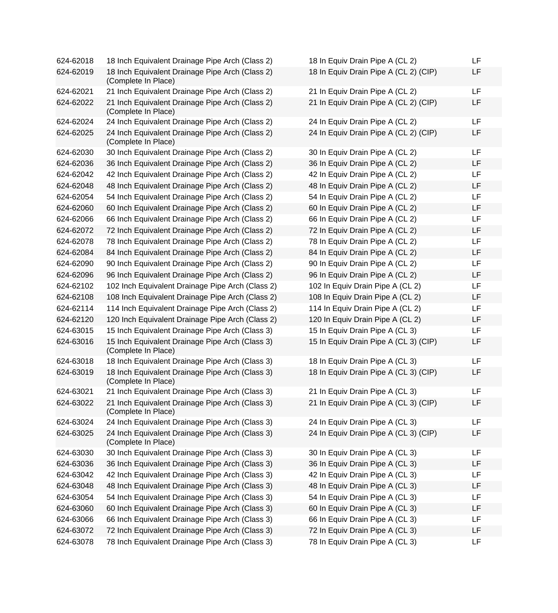624-62018 18 Inch Equivalent Drainage Pipe Arch (Class 2) 624-62019 18 Inch Equivalent Drainage Pipe Arch (Class 2) (Complete In Place) 624-62021 21 Inch Equivalent Drainage Pipe Arch (Class 2) 624-62022 21 Inch Equivalent Drainage Pipe Arch (Class 2) (Complete In Place) 624-62024 24 Inch Equivalent Drainage Pipe Arch (Class 2) 624-62025 24 Inch Equivalent Drainage Pipe Arch (Class 2) (Complete In Place) 624-62030 30 Inch Equivalent Drainage Pipe Arch (Class 2) 624-62036 36 Inch Equivalent Drainage Pipe Arch (Class 2) 624-62042 42 Inch Equivalent Drainage Pipe Arch (Class 2) 624-62048 48 Inch Equivalent Drainage Pipe Arch (Class 2) 624-62054 54 Inch Equivalent Drainage Pipe Arch (Class 2) 624-62060 60 Inch Equivalent Drainage Pipe Arch (Class 2) 624-62066 66 Inch Equivalent Drainage Pipe Arch (Class 2) 624-62072 72 Inch Equivalent Drainage Pipe Arch (Class 2) 624-62078 78 Inch Equivalent Drainage Pipe Arch (Class 2) 624-62084 84 Inch Equivalent Drainage Pipe Arch (Class 2) 624-62090 90 Inch Equivalent Drainage Pipe Arch (Class 2) 624-62096 96 Inch Equivalent Drainage Pipe Arch (Class 2) 624-62102 102 Inch Equivalent Drainage Pipe Arch (Class 2) 624-62108 108 Inch Equivalent Drainage Pipe Arch (Class 2) 624-62114 114 Inch Equivalent Drainage Pipe Arch (Class 2) 624-62120 120 Inch Equivalent Drainage Pipe Arch (Class 2) 624-63015 15 Inch Equivalent Drainage Pipe Arch (Class 3) 624-63016 15 Inch Equivalent Drainage Pipe Arch (Class 3) (Complete In Place) 624-63018 18 Inch Equivalent Drainage Pipe Arch (Class 3) 624-63019 18 Inch Equivalent Drainage Pipe Arch (Class 3) (Complete In Place) 624-63021 21 Inch Equivalent Drainage Pipe Arch (Class 3) 624-63022 21 Inch Equivalent Drainage Pipe Arch (Class 3) (Complete In Place) 624-63024 24 Inch Equivalent Drainage Pipe Arch (Class 3) 624-63025 24 Inch Equivalent Drainage Pipe Arch (Class 3) (Complete In Place) 624-63030 30 Inch Equivalent Drainage Pipe Arch (Class 3) 624-63036 36 Inch Equivalent Drainage Pipe Arch (Class 3) 624-63042 42 Inch Equivalent Drainage Pipe Arch (Class 3) 624-63048 48 Inch Equivalent Drainage Pipe Arch (Class 3) 624-63054 54 Inch Equivalent Drainage Pipe Arch (Class 3) 624-63060 60 Inch Equivalent Drainage Pipe Arch (Class 3) 624-63066 66 Inch Equivalent Drainage Pipe Arch (Class 3) 624-63072 72 Inch Equivalent Drainage Pipe Arch (Class 3) 624-63078 78 Inch Equivalent Drainage Pipe Arch (Class 3)

| 18 In Equiv Drain Pipe A (CL 2) (CIP)<br>LF<br>21 In Equiv Drain Pipe A (CL 2)<br>LF<br>21 In Equiv Drain Pipe A (CL 2) (CIP)<br>LF<br>24 In Equiv Drain Pipe A (CL 2)<br>LF<br>24 In Equiv Drain Pipe A (CL 2) (CIP)<br>LF<br>30 In Equiv Drain Pipe A (CL 2)<br>LF<br>36 In Equiv Drain Pipe A (CL 2)<br>LF<br>42 In Equiv Drain Pipe A (CL 2)<br>LF<br>48 In Equiv Drain Pipe A (CL 2)<br>LF<br>54 In Equiv Drain Pipe A (CL 2)<br>LF<br>60 In Equiv Drain Pipe A (CL 2)<br>LF<br>66 In Equiv Drain Pipe A (CL 2)<br>LF<br>72 In Equiv Drain Pipe A (CL 2)<br>LF<br>78 In Equiv Drain Pipe A (CL 2)<br>LF |  |
|--------------------------------------------------------------------------------------------------------------------------------------------------------------------------------------------------------------------------------------------------------------------------------------------------------------------------------------------------------------------------------------------------------------------------------------------------------------------------------------------------------------------------------------------------------------------------------------------------------------|--|
|                                                                                                                                                                                                                                                                                                                                                                                                                                                                                                                                                                                                              |  |
|                                                                                                                                                                                                                                                                                                                                                                                                                                                                                                                                                                                                              |  |
|                                                                                                                                                                                                                                                                                                                                                                                                                                                                                                                                                                                                              |  |
|                                                                                                                                                                                                                                                                                                                                                                                                                                                                                                                                                                                                              |  |
|                                                                                                                                                                                                                                                                                                                                                                                                                                                                                                                                                                                                              |  |
|                                                                                                                                                                                                                                                                                                                                                                                                                                                                                                                                                                                                              |  |
|                                                                                                                                                                                                                                                                                                                                                                                                                                                                                                                                                                                                              |  |
|                                                                                                                                                                                                                                                                                                                                                                                                                                                                                                                                                                                                              |  |
|                                                                                                                                                                                                                                                                                                                                                                                                                                                                                                                                                                                                              |  |
|                                                                                                                                                                                                                                                                                                                                                                                                                                                                                                                                                                                                              |  |
|                                                                                                                                                                                                                                                                                                                                                                                                                                                                                                                                                                                                              |  |
|                                                                                                                                                                                                                                                                                                                                                                                                                                                                                                                                                                                                              |  |
|                                                                                                                                                                                                                                                                                                                                                                                                                                                                                                                                                                                                              |  |
|                                                                                                                                                                                                                                                                                                                                                                                                                                                                                                                                                                                                              |  |
| 84 In Equiv Drain Pipe A (CL 2)<br>LF                                                                                                                                                                                                                                                                                                                                                                                                                                                                                                                                                                        |  |
| 90 In Equiv Drain Pipe A (CL 2)<br>LF                                                                                                                                                                                                                                                                                                                                                                                                                                                                                                                                                                        |  |
| 96 In Equiv Drain Pipe A (CL 2)<br>LF                                                                                                                                                                                                                                                                                                                                                                                                                                                                                                                                                                        |  |
| 102 In Equiv Drain Pipe A (CL 2)<br>LF                                                                                                                                                                                                                                                                                                                                                                                                                                                                                                                                                                       |  |
| 108 In Equiv Drain Pipe A (CL 2)<br>LF                                                                                                                                                                                                                                                                                                                                                                                                                                                                                                                                                                       |  |
| 114 In Equiv Drain Pipe A (CL 2)<br>LF                                                                                                                                                                                                                                                                                                                                                                                                                                                                                                                                                                       |  |
| 120 In Equiv Drain Pipe A (CL 2)<br>LF                                                                                                                                                                                                                                                                                                                                                                                                                                                                                                                                                                       |  |
| 15 In Equiv Drain Pipe A (CL 3)<br>LF                                                                                                                                                                                                                                                                                                                                                                                                                                                                                                                                                                        |  |
| 15 In Equiv Drain Pipe A (CL 3) (CIP)<br>LF                                                                                                                                                                                                                                                                                                                                                                                                                                                                                                                                                                  |  |
| 18 In Equiv Drain Pipe A (CL 3)<br>LF                                                                                                                                                                                                                                                                                                                                                                                                                                                                                                                                                                        |  |
| 18 In Equiv Drain Pipe A (CL 3) (CIP)<br>LF                                                                                                                                                                                                                                                                                                                                                                                                                                                                                                                                                                  |  |
| 21 In Equiv Drain Pipe A (CL 3)<br>LF                                                                                                                                                                                                                                                                                                                                                                                                                                                                                                                                                                        |  |
| 21 In Equiv Drain Pipe A (CL 3) (CIP)<br>LF                                                                                                                                                                                                                                                                                                                                                                                                                                                                                                                                                                  |  |
| 24 In Equiv Drain Pipe A (CL 3)<br>LF                                                                                                                                                                                                                                                                                                                                                                                                                                                                                                                                                                        |  |
| 24 In Equiv Drain Pipe A (CL 3) (CIP)<br>LF                                                                                                                                                                                                                                                                                                                                                                                                                                                                                                                                                                  |  |
| 30 In Equiv Drain Pipe A (CL 3)<br>LF                                                                                                                                                                                                                                                                                                                                                                                                                                                                                                                                                                        |  |
| 36 In Equiv Drain Pipe A (CL 3)<br>LF                                                                                                                                                                                                                                                                                                                                                                                                                                                                                                                                                                        |  |
| 42 In Equiv Drain Pipe A (CL 3)<br>LF                                                                                                                                                                                                                                                                                                                                                                                                                                                                                                                                                                        |  |
| 48 In Equiv Drain Pipe A (CL 3)<br>LF                                                                                                                                                                                                                                                                                                                                                                                                                                                                                                                                                                        |  |
| 54 In Equiv Drain Pipe A (CL 3)<br>LF                                                                                                                                                                                                                                                                                                                                                                                                                                                                                                                                                                        |  |
| 60 In Equiv Drain Pipe A (CL 3)<br>LF                                                                                                                                                                                                                                                                                                                                                                                                                                                                                                                                                                        |  |
| 66 In Equiv Drain Pipe A (CL 3)<br>LF                                                                                                                                                                                                                                                                                                                                                                                                                                                                                                                                                                        |  |
| 72 In Equiv Drain Pipe A (CL 3)<br>LF                                                                                                                                                                                                                                                                                                                                                                                                                                                                                                                                                                        |  |
| 78 In Equiv Drain Pipe A (CL 3)<br>LF                                                                                                                                                                                                                                                                                                                                                                                                                                                                                                                                                                        |  |
|                                                                                                                                                                                                                                                                                                                                                                                                                                                                                                                                                                                                              |  |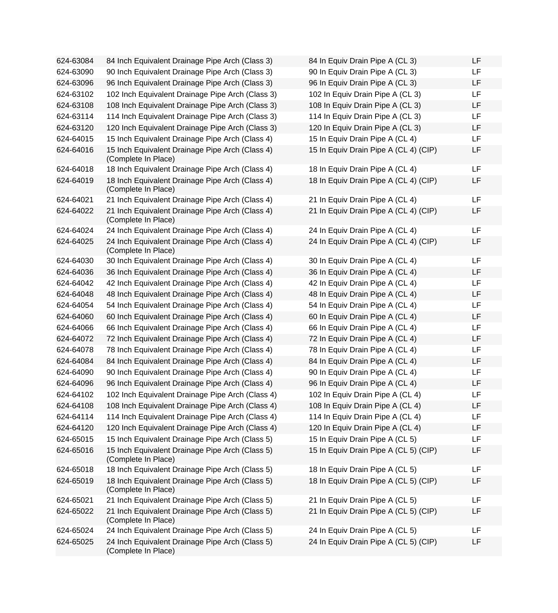| 624-63084 | 84 Inch Equivalent Drainage Pipe Arch (Class 3)                        | 84 In Equiv Drain Pipe A (CL 3)       | LF |
|-----------|------------------------------------------------------------------------|---------------------------------------|----|
| 624-63090 | 90 Inch Equivalent Drainage Pipe Arch (Class 3)                        | 90 In Equiv Drain Pipe A (CL 3)       | LF |
| 624-63096 | 96 Inch Equivalent Drainage Pipe Arch (Class 3)                        | 96 In Equiv Drain Pipe A (CL 3)       | LF |
| 624-63102 | 102 Inch Equivalent Drainage Pipe Arch (Class 3)                       | 102 In Equiv Drain Pipe A (CL 3)      | LF |
| 624-63108 | 108 Inch Equivalent Drainage Pipe Arch (Class 3)                       | 108 In Equiv Drain Pipe A (CL 3)      | LF |
| 624-63114 | 114 Inch Equivalent Drainage Pipe Arch (Class 3)                       | 114 In Equiv Drain Pipe A (CL 3)      | LF |
| 624-63120 | 120 Inch Equivalent Drainage Pipe Arch (Class 3)                       | 120 In Equiv Drain Pipe A (CL 3)      | LF |
| 624-64015 | 15 Inch Equivalent Drainage Pipe Arch (Class 4)                        | 15 In Equiv Drain Pipe A (CL 4)       | LF |
| 624-64016 | 15 Inch Equivalent Drainage Pipe Arch (Class 4)<br>(Complete In Place) | 15 In Equiv Drain Pipe A (CL 4) (CIP) | LF |
| 624-64018 | 18 Inch Equivalent Drainage Pipe Arch (Class 4)                        | 18 In Equiv Drain Pipe A (CL 4)       | LF |
| 624-64019 | 18 Inch Equivalent Drainage Pipe Arch (Class 4)<br>(Complete In Place) | 18 In Equiv Drain Pipe A (CL 4) (CIP) | LF |
| 624-64021 | 21 Inch Equivalent Drainage Pipe Arch (Class 4)                        | 21 In Equiv Drain Pipe A (CL 4)       | LF |
| 624-64022 | 21 Inch Equivalent Drainage Pipe Arch (Class 4)<br>(Complete In Place) | 21 In Equiv Drain Pipe A (CL 4) (CIP) | LF |
| 624-64024 | 24 Inch Equivalent Drainage Pipe Arch (Class 4)                        | 24 In Equiv Drain Pipe A (CL 4)       | LF |
| 624-64025 | 24 Inch Equivalent Drainage Pipe Arch (Class 4)<br>(Complete In Place) | 24 In Equiv Drain Pipe A (CL 4) (CIP) | LF |
| 624-64030 | 30 Inch Equivalent Drainage Pipe Arch (Class 4)                        | 30 In Equiv Drain Pipe A (CL 4)       | LF |
| 624-64036 | 36 Inch Equivalent Drainage Pipe Arch (Class 4)                        | 36 In Equiv Drain Pipe A (CL 4)       | LF |
| 624-64042 | 42 Inch Equivalent Drainage Pipe Arch (Class 4)                        | 42 In Equiv Drain Pipe A (CL 4)       | LF |
| 624-64048 | 48 Inch Equivalent Drainage Pipe Arch (Class 4)                        | 48 In Equiv Drain Pipe A (CL 4)       | LF |
| 624-64054 | 54 Inch Equivalent Drainage Pipe Arch (Class 4)                        | 54 In Equiv Drain Pipe A (CL 4)       | LF |
| 624-64060 | 60 Inch Equivalent Drainage Pipe Arch (Class 4)                        | 60 In Equiv Drain Pipe A (CL 4)       | LF |
| 624-64066 | 66 Inch Equivalent Drainage Pipe Arch (Class 4)                        | 66 In Equiv Drain Pipe A (CL 4)       | LF |
| 624-64072 | 72 Inch Equivalent Drainage Pipe Arch (Class 4)                        | 72 In Equiv Drain Pipe A (CL 4)       | LF |
| 624-64078 | 78 Inch Equivalent Drainage Pipe Arch (Class 4)                        | 78 In Equiv Drain Pipe A (CL 4)       | LF |
| 624-64084 | 84 Inch Equivalent Drainage Pipe Arch (Class 4)                        | 84 In Equiv Drain Pipe A (CL 4)       | LF |
| 624-64090 | 90 Inch Equivalent Drainage Pipe Arch (Class 4)                        | 90 In Equiv Drain Pipe A (CL 4)       | LF |
| 624-64096 | 96 Inch Equivalent Drainage Pipe Arch (Class 4)                        | 96 In Equiv Drain Pipe A (CL 4)       | LF |
| 624-64102 | 102 Inch Equivalent Drainage Pipe Arch (Class 4)                       | 102 In Equiv Drain Pipe A (CL 4)      | LF |
| 624-64108 | 108 Inch Equivalent Drainage Pipe Arch (Class 4)                       | 108 In Equiv Drain Pipe A (CL 4)      | LF |
| 624-64114 | 114 Inch Equivalent Drainage Pipe Arch (Class 4)                       | 114 In Equiv Drain Pipe A (CL 4)      | LF |
| 624-64120 | 120 Inch Equivalent Drainage Pipe Arch (Class 4)                       | 120 In Equiv Drain Pipe A (CL 4)      | LF |
| 624-65015 | 15 Inch Equivalent Drainage Pipe Arch (Class 5)                        | 15 In Equiv Drain Pipe A (CL 5)       | LF |
| 624-65016 | 15 Inch Equivalent Drainage Pipe Arch (Class 5)<br>(Complete In Place) | 15 In Equiv Drain Pipe A (CL 5) (CIP) | LF |
| 624-65018 | 18 Inch Equivalent Drainage Pipe Arch (Class 5)                        | 18 In Equiv Drain Pipe A (CL 5)       | LF |
| 624-65019 | 18 Inch Equivalent Drainage Pipe Arch (Class 5)<br>(Complete In Place) | 18 In Equiv Drain Pipe A (CL 5) (CIP) | LF |
| 624-65021 | 21 Inch Equivalent Drainage Pipe Arch (Class 5)                        | 21 In Equiv Drain Pipe A (CL 5)       | LF |
| 624-65022 | 21 Inch Equivalent Drainage Pipe Arch (Class 5)<br>(Complete In Place) | 21 In Equiv Drain Pipe A (CL 5) (CIP) | LF |
| 624-65024 | 24 Inch Equivalent Drainage Pipe Arch (Class 5)                        | 24 In Equiv Drain Pipe A (CL 5)       | LF |
| 624-65025 | 24 Inch Equivalent Drainage Pipe Arch (Class 5)<br>(Complete In Place) | 24 In Equiv Drain Pipe A (CL 5) (CIP) | LF |

| 84 In Equiv Drain Pipe A (CL 3)       | LF |
|---------------------------------------|----|
| 90 In Equiv Drain Pipe A (CL 3)       | LF |
| 96 In Equiv Drain Pipe A (CL 3)       | LF |
| 102 In Equiv Drain Pipe A (CL 3)      | LF |
| 108 In Equiv Drain Pipe A (CL 3)      | LF |
| 114 In Equiv Drain Pipe A (CL 3)      | LF |
| 120 In Equiv Drain Pipe A (CL 3)      | LF |
| 15 In Equiv Drain Pipe A (CL 4)       | LF |
| 15 In Equiv Drain Pipe A (CL 4) (CIP) | LF |
| 18 In Equiv Drain Pipe A (CL 4)       | LF |
| 18 In Equiv Drain Pipe A (CL 4) (CIP) | LF |
| 21 In Equiv Drain Pipe A (CL 4)       | LF |
| 21 In Equiv Drain Pipe A (CL 4) (CIP) | LF |
| 24 In Equiv Drain Pipe A (CL 4)       | LF |
| 24 In Equiv Drain Pipe A (CL 4) (CIP) | LF |
| 30 In Equiv Drain Pipe A (CL 4)       | LF |
| 36 In Equiv Drain Pipe A (CL 4)       | LF |
| 42 In Equiv Drain Pipe A (CL 4)       | LF |
| 48 In Equiv Drain Pipe A (CL 4)       | LF |
| 54 In Equiv Drain Pipe A (CL 4)       | LF |
| 60 In Equiv Drain Pipe A (CL 4)       | LF |
| 66 In Equiv Drain Pipe A (CL 4)       | LF |
| 72 In Equiv Drain Pipe A (CL 4)       | LF |
| 78 In Equiv Drain Pipe A (CL 4)       | LF |
| 84 In Equiv Drain Pipe A (CL 4)       | LF |
| 90 In Equiv Drain Pipe A (CL 4)       | LF |
| 96 In Equiv Drain Pipe A (CL 4)       | LF |
| 102 In Equiv Drain Pipe A (CL 4)      | LF |
| 108 In Equiv Drain Pipe A (CL 4)      | LF |
| 114 In Equiv Drain Pipe A (CL 4)      | LF |
| 120 In Equiv Drain Pipe A (CL 4)      | LF |
| 15 In Equiv Drain Pipe A (CL 5)       | LF |
| 15 In Equiv Drain Pipe A (CL 5) (CIP) | LF |
| 18 In Equiv Drain Pipe A (CL 5)       | LF |
| 18 In Equiv Drain Pipe A (CL 5) (CIP) | LF |
| 21 In Equiv Drain Pipe A (CL 5)       | LF |
| 21 In Equiv Drain Pipe A (CL 5) (CIP) | LF |
| 24 In Equiv Drain Pipe A (CL 5)       | LF |
| 24 In Equiv Drain Pipe A (CL 5) (CIP) | LF |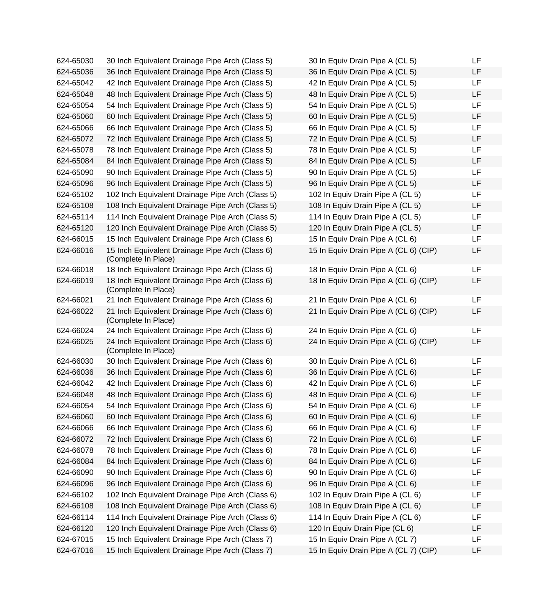| 624-65030 | 30 Inch Equivalent Drainage Pipe Arch (Class 5)                        | 30 In Equiv Drain Pipe A (CL 5)       | LF |
|-----------|------------------------------------------------------------------------|---------------------------------------|----|
| 624-65036 | 36 Inch Equivalent Drainage Pipe Arch (Class 5)                        | 36 In Equiv Drain Pipe A (CL 5)       | LF |
| 624-65042 | 42 Inch Equivalent Drainage Pipe Arch (Class 5)                        | 42 In Equiv Drain Pipe A (CL 5)       | LF |
| 624-65048 | 48 Inch Equivalent Drainage Pipe Arch (Class 5)                        | 48 In Equiv Drain Pipe A (CL 5)       | LF |
| 624-65054 | 54 Inch Equivalent Drainage Pipe Arch (Class 5)                        | 54 In Equiv Drain Pipe A (CL 5)       | LF |
| 624-65060 | 60 Inch Equivalent Drainage Pipe Arch (Class 5)                        | 60 In Equiv Drain Pipe A (CL 5)       | LF |
| 624-65066 | 66 Inch Equivalent Drainage Pipe Arch (Class 5)                        | 66 In Equiv Drain Pipe A (CL 5)       | LF |
| 624-65072 | 72 Inch Equivalent Drainage Pipe Arch (Class 5)                        | 72 In Equiv Drain Pipe A (CL 5)       | LF |
| 624-65078 | 78 Inch Equivalent Drainage Pipe Arch (Class 5)                        | 78 In Equiv Drain Pipe A (CL 5)       | LF |
| 624-65084 | 84 Inch Equivalent Drainage Pipe Arch (Class 5)                        | 84 In Equiv Drain Pipe A (CL 5)       | LF |
| 624-65090 | 90 Inch Equivalent Drainage Pipe Arch (Class 5)                        | 90 In Equiv Drain Pipe A (CL 5)       | LF |
| 624-65096 | 96 Inch Equivalent Drainage Pipe Arch (Class 5)                        | 96 In Equiv Drain Pipe A (CL 5)       | LF |
| 624-65102 | 102 Inch Equivalent Drainage Pipe Arch (Class 5)                       | 102 In Equiv Drain Pipe A (CL 5)      | LF |
| 624-65108 | 108 Inch Equivalent Drainage Pipe Arch (Class 5)                       | 108 In Equiv Drain Pipe A (CL 5)      | LF |
| 624-65114 | 114 Inch Equivalent Drainage Pipe Arch (Class 5)                       | 114 In Equiv Drain Pipe A (CL 5)      | LF |
| 624-65120 | 120 Inch Equivalent Drainage Pipe Arch (Class 5)                       | 120 In Equiv Drain Pipe A (CL 5)      | LF |
| 624-66015 | 15 Inch Equivalent Drainage Pipe Arch (Class 6)                        | 15 In Equiv Drain Pipe A (CL 6)       | LF |
| 624-66016 | 15 Inch Equivalent Drainage Pipe Arch (Class 6)<br>(Complete In Place) | 15 In Equiv Drain Pipe A (CL 6) (CIP) | LF |
| 624-66018 | 18 Inch Equivalent Drainage Pipe Arch (Class 6)                        | 18 In Equiv Drain Pipe A (CL 6)       | LF |
| 624-66019 | 18 Inch Equivalent Drainage Pipe Arch (Class 6)<br>(Complete In Place) | 18 In Equiv Drain Pipe A (CL 6) (CIP) | LF |
| 624-66021 | 21 Inch Equivalent Drainage Pipe Arch (Class 6)                        | 21 In Equiv Drain Pipe A (CL 6)       | LF |
| 624-66022 | 21 Inch Equivalent Drainage Pipe Arch (Class 6)<br>(Complete In Place) | 21 In Equiv Drain Pipe A (CL 6) (CIP) | LF |
| 624-66024 | 24 Inch Equivalent Drainage Pipe Arch (Class 6)                        | 24 In Equiv Drain Pipe A (CL 6)       | LF |
| 624-66025 | 24 Inch Equivalent Drainage Pipe Arch (Class 6)<br>(Complete In Place) | 24 In Equiv Drain Pipe A (CL 6) (CIP) | LF |
| 624-66030 | 30 Inch Equivalent Drainage Pipe Arch (Class 6)                        | 30 In Equiv Drain Pipe A (CL 6)       | LF |
| 624-66036 | 36 Inch Equivalent Drainage Pipe Arch (Class 6)                        | 36 In Equiv Drain Pipe A (CL 6)       | LF |
| 624-66042 | 42 Inch Equivalent Drainage Pipe Arch (Class 6)                        | 42 In Equiv Drain Pipe A (CL 6)       | LF |
| 624-66048 | 48 Inch Equivalent Drainage Pipe Arch (Class 6)                        | 48 In Equiv Drain Pipe A (CL 6)       | LF |
| 624-66054 | 54 Inch Equivalent Drainage Pipe Arch (Class 6)                        | 54 In Equiv Drain Pipe A (CL 6)       | LF |
| 624-66060 | 60 Inch Equivalent Drainage Pipe Arch (Class 6)                        | 60 In Equiv Drain Pipe A (CL 6)       | LF |
| 624-66066 | 66 Inch Equivalent Drainage Pipe Arch (Class 6)                        | 66 In Equiv Drain Pipe A (CL 6)       | LF |
| 624-66072 | 72 Inch Equivalent Drainage Pipe Arch (Class 6)                        | 72 In Equiv Drain Pipe A (CL 6)       | LF |
| 624-66078 | 78 Inch Equivalent Drainage Pipe Arch (Class 6)                        | 78 In Equiv Drain Pipe A (CL 6)       | LF |
| 624-66084 | 84 Inch Equivalent Drainage Pipe Arch (Class 6)                        | 84 In Equiv Drain Pipe A (CL 6)       | LF |
| 624-66090 | 90 Inch Equivalent Drainage Pipe Arch (Class 6)                        | 90 In Equiv Drain Pipe A (CL 6)       | LF |
| 624-66096 | 96 Inch Equivalent Drainage Pipe Arch (Class 6)                        | 96 In Equiv Drain Pipe A (CL 6)       | LF |
| 624-66102 | 102 Inch Equivalent Drainage Pipe Arch (Class 6)                       | 102 In Equiv Drain Pipe A (CL 6)      | LF |
| 624-66108 | 108 Inch Equivalent Drainage Pipe Arch (Class 6)                       | 108 In Equiv Drain Pipe A (CL 6)      | LF |
| 624-66114 | 114 Inch Equivalent Drainage Pipe Arch (Class 6)                       | 114 In Equiv Drain Pipe A (CL 6)      | LF |
| 624-66120 | 120 Inch Equivalent Drainage Pipe Arch (Class 6)                       | 120 In Equiv Drain Pipe (CL 6)        | LF |
| 624-67015 | 15 Inch Equivalent Drainage Pipe Arch (Class 7)                        | 15 In Equiv Drain Pipe A (CL 7)       | LF |
| 624-67016 | 15 Inch Equivalent Drainage Pipe Arch (Class 7)                        | 15 In Equiv Drain Pipe A (CL 7) (CIP) | LF |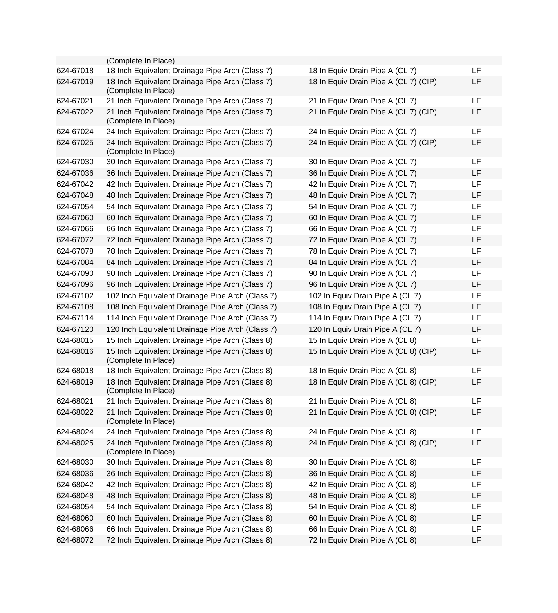|           | (Complete In Place)                                                    |                                       |    |
|-----------|------------------------------------------------------------------------|---------------------------------------|----|
| 624-67018 | 18 Inch Equivalent Drainage Pipe Arch (Class 7)                        | 18 In Equiv Drain Pipe A (CL 7)       | LF |
| 624-67019 | 18 Inch Equivalent Drainage Pipe Arch (Class 7)<br>(Complete In Place) | 18 In Equiv Drain Pipe A (CL 7) (CIP) | LF |
| 624-67021 | 21 Inch Equivalent Drainage Pipe Arch (Class 7)                        | 21 In Equiv Drain Pipe A (CL 7)       | LF |
| 624-67022 | 21 Inch Equivalent Drainage Pipe Arch (Class 7)<br>(Complete In Place) | 21 In Equiv Drain Pipe A (CL 7) (CIP) | LF |
| 624-67024 | 24 Inch Equivalent Drainage Pipe Arch (Class 7)                        | 24 In Equiv Drain Pipe A (CL 7)       | LF |
| 624-67025 | 24 Inch Equivalent Drainage Pipe Arch (Class 7)<br>(Complete In Place) | 24 In Equiv Drain Pipe A (CL 7) (CIP) | LF |
| 624-67030 | 30 Inch Equivalent Drainage Pipe Arch (Class 7)                        | 30 In Equiv Drain Pipe A (CL 7)       | LF |
| 624-67036 | 36 Inch Equivalent Drainage Pipe Arch (Class 7)                        | 36 In Equiv Drain Pipe A (CL 7)       | LF |
| 624-67042 | 42 Inch Equivalent Drainage Pipe Arch (Class 7)                        | 42 In Equiv Drain Pipe A (CL 7)       | LF |
| 624-67048 | 48 Inch Equivalent Drainage Pipe Arch (Class 7)                        | 48 In Equiv Drain Pipe A (CL 7)       | LF |
| 624-67054 | 54 Inch Equivalent Drainage Pipe Arch (Class 7)                        | 54 In Equiv Drain Pipe A (CL 7)       | LF |
| 624-67060 | 60 Inch Equivalent Drainage Pipe Arch (Class 7)                        | 60 In Equiv Drain Pipe A (CL 7)       | LF |
| 624-67066 | 66 Inch Equivalent Drainage Pipe Arch (Class 7)                        | 66 In Equiv Drain Pipe A (CL 7)       | LF |
| 624-67072 | 72 Inch Equivalent Drainage Pipe Arch (Class 7)                        | 72 In Equiv Drain Pipe A (CL 7)       | LF |
| 624-67078 | 78 Inch Equivalent Drainage Pipe Arch (Class 7)                        | 78 In Equiv Drain Pipe A (CL 7)       | LF |
| 624-67084 | 84 Inch Equivalent Drainage Pipe Arch (Class 7)                        | 84 In Equiv Drain Pipe A (CL 7)       | LF |
| 624-67090 | 90 Inch Equivalent Drainage Pipe Arch (Class 7)                        | 90 In Equiv Drain Pipe A (CL 7)       | LF |
| 624-67096 | 96 Inch Equivalent Drainage Pipe Arch (Class 7)                        | 96 In Equiv Drain Pipe A (CL 7)       | LF |
| 624-67102 | 102 Inch Equivalent Drainage Pipe Arch (Class 7)                       | 102 In Equiv Drain Pipe A (CL 7)      | LF |
| 624-67108 | 108 Inch Equivalent Drainage Pipe Arch (Class 7)                       | 108 In Equiv Drain Pipe A (CL 7)      | LF |
| 624-67114 | 114 Inch Equivalent Drainage Pipe Arch (Class 7)                       | 114 In Equiv Drain Pipe A (CL 7)      | LF |
| 624-67120 | 120 Inch Equivalent Drainage Pipe Arch (Class 7)                       | 120 In Equiv Drain Pipe A (CL 7)      | LF |
| 624-68015 | 15 Inch Equivalent Drainage Pipe Arch (Class 8)                        | 15 In Equiv Drain Pipe A (CL 8)       | LF |
| 624-68016 | 15 Inch Equivalent Drainage Pipe Arch (Class 8)<br>(Complete In Place) | 15 In Equiv Drain Pipe A (CL 8) (CIP) | LF |
| 624-68018 | 18 Inch Equivalent Drainage Pipe Arch (Class 8)                        | 18 In Equiv Drain Pipe A (CL 8)       | LF |
| 624-68019 | 18 Inch Equivalent Drainage Pipe Arch (Class 8)<br>(Complete In Place) | 18 In Equiv Drain Pipe A (CL 8) (CIP) | LF |
| 624-68021 | 21 Inch Equivalent Drainage Pipe Arch (Class 8)                        | 21 In Equiv Drain Pipe A (CL 8)       | LF |
| 624-68022 | 21 Inch Equivalent Drainage Pipe Arch (Class 8)<br>(Complete In Place) | 21 In Equiv Drain Pipe A (CL 8) (CIP) | LF |
| 624-68024 | 24 Inch Equivalent Drainage Pipe Arch (Class 8)                        | 24 In Equiv Drain Pipe A (CL 8)       | LF |
| 624-68025 | 24 Inch Equivalent Drainage Pipe Arch (Class 8)<br>(Complete In Place) | 24 In Equiv Drain Pipe A (CL 8) (CIP) | LF |
| 624-68030 | 30 Inch Equivalent Drainage Pipe Arch (Class 8)                        | 30 In Equiv Drain Pipe A (CL 8)       | LF |
| 624-68036 | 36 Inch Equivalent Drainage Pipe Arch (Class 8)                        | 36 In Equiv Drain Pipe A (CL 8)       | LF |
| 624-68042 | 42 Inch Equivalent Drainage Pipe Arch (Class 8)                        | 42 In Equiv Drain Pipe A (CL 8)       | LF |
| 624-68048 | 48 Inch Equivalent Drainage Pipe Arch (Class 8)                        | 48 In Equiv Drain Pipe A (CL 8)       | LF |
| 624-68054 | 54 Inch Equivalent Drainage Pipe Arch (Class 8)                        | 54 In Equiv Drain Pipe A (CL 8)       | LF |
| 624-68060 | 60 Inch Equivalent Drainage Pipe Arch (Class 8)                        | 60 In Equiv Drain Pipe A (CL 8)       | LF |
| 624-68066 | 66 Inch Equivalent Drainage Pipe Arch (Class 8)                        | 66 In Equiv Drain Pipe A (CL 8)       | LF |
| 624-68072 | 72 Inch Equivalent Drainage Pipe Arch (Class 8)                        | 72 In Equiv Drain Pipe A (CL 8)       | LF |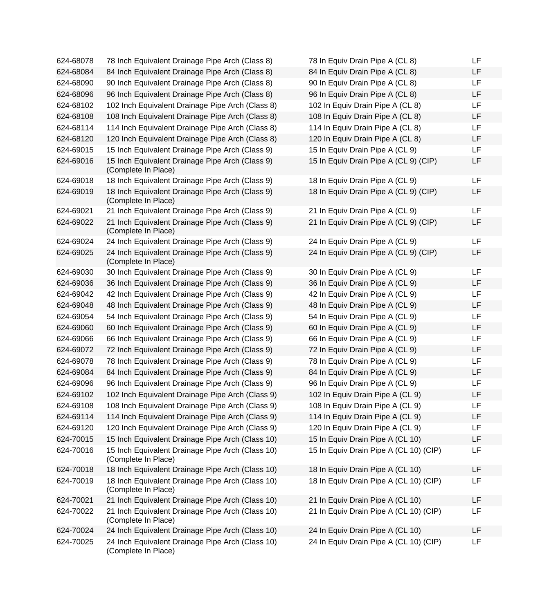| 624-68078 | 78 Inch Equivalent Drainage Pipe Arch (Class 8)                         | 78 In Equiv Drain Pipe A (CL 8)        | LF |
|-----------|-------------------------------------------------------------------------|----------------------------------------|----|
| 624-68084 | 84 Inch Equivalent Drainage Pipe Arch (Class 8)                         | 84 In Equiv Drain Pipe A (CL 8)        | LF |
| 624-68090 | 90 Inch Equivalent Drainage Pipe Arch (Class 8)                         | 90 In Equiv Drain Pipe A (CL 8)        | LF |
| 624-68096 | 96 Inch Equivalent Drainage Pipe Arch (Class 8)                         | 96 In Equiv Drain Pipe A (CL 8)        | LF |
| 624-68102 | 102 Inch Equivalent Drainage Pipe Arch (Class 8)                        | 102 In Equiv Drain Pipe A (CL 8)       | LF |
| 624-68108 | 108 Inch Equivalent Drainage Pipe Arch (Class 8)                        | 108 In Equiv Drain Pipe A (CL 8)       | LF |
| 624-68114 | 114 Inch Equivalent Drainage Pipe Arch (Class 8)                        | 114 In Equiv Drain Pipe A (CL 8)       | LF |
| 624-68120 | 120 Inch Equivalent Drainage Pipe Arch (Class 8)                        | 120 In Equiv Drain Pipe A (CL 8)       | LF |
| 624-69015 | 15 Inch Equivalent Drainage Pipe Arch (Class 9)                         | 15 In Equiv Drain Pipe A (CL 9)        | LF |
| 624-69016 | 15 Inch Equivalent Drainage Pipe Arch (Class 9)<br>(Complete In Place)  | 15 In Equiv Drain Pipe A (CL 9) (CIP)  | LF |
| 624-69018 | 18 Inch Equivalent Drainage Pipe Arch (Class 9)                         | 18 In Equiv Drain Pipe A (CL 9)        | LF |
| 624-69019 | 18 Inch Equivalent Drainage Pipe Arch (Class 9)<br>(Complete In Place)  | 18 In Equiv Drain Pipe A (CL 9) (CIP)  | LF |
| 624-69021 | 21 Inch Equivalent Drainage Pipe Arch (Class 9)                         | 21 In Equiv Drain Pipe A (CL 9)        | LF |
| 624-69022 | 21 Inch Equivalent Drainage Pipe Arch (Class 9)<br>(Complete In Place)  | 21 In Equiv Drain Pipe A (CL 9) (CIP)  | LF |
| 624-69024 | 24 Inch Equivalent Drainage Pipe Arch (Class 9)                         | 24 In Equiv Drain Pipe A (CL 9)        | LF |
| 624-69025 | 24 Inch Equivalent Drainage Pipe Arch (Class 9)<br>(Complete In Place)  | 24 In Equiv Drain Pipe A (CL 9) (CIP)  | LF |
| 624-69030 | 30 Inch Equivalent Drainage Pipe Arch (Class 9)                         | 30 In Equiv Drain Pipe A (CL 9)        | LF |
| 624-69036 | 36 Inch Equivalent Drainage Pipe Arch (Class 9)                         | 36 In Equiv Drain Pipe A (CL 9)        | LF |
| 624-69042 | 42 Inch Equivalent Drainage Pipe Arch (Class 9)                         | 42 In Equiv Drain Pipe A (CL 9)        | LF |
| 624-69048 | 48 Inch Equivalent Drainage Pipe Arch (Class 9)                         | 48 In Equiv Drain Pipe A (CL 9)        | LF |
| 624-69054 | 54 Inch Equivalent Drainage Pipe Arch (Class 9)                         | 54 In Equiv Drain Pipe A (CL 9)        | LF |
| 624-69060 | 60 Inch Equivalent Drainage Pipe Arch (Class 9)                         | 60 In Equiv Drain Pipe A (CL 9)        | LF |
| 624-69066 | 66 Inch Equivalent Drainage Pipe Arch (Class 9)                         | 66 In Equiv Drain Pipe A (CL 9)        | LF |
| 624-69072 | 72 Inch Equivalent Drainage Pipe Arch (Class 9)                         | 72 In Equiv Drain Pipe A (CL 9)        | LF |
| 624-69078 | 78 Inch Equivalent Drainage Pipe Arch (Class 9)                         | 78 In Equiv Drain Pipe A (CL 9)        | LF |
| 624-69084 | 84 Inch Equivalent Drainage Pipe Arch (Class 9)                         | 84 In Equiv Drain Pipe A (CL 9)        | LF |
| 624-69096 | 96 Inch Equivalent Drainage Pipe Arch (Class 9)                         | 96 In Equiv Drain Pipe A (CL 9)        | LF |
| 624-69102 | 102 Inch Equivalent Drainage Pipe Arch (Class 9)                        | 102 In Equiv Drain Pipe A (CL 9)       | LF |
| 624-69108 | 108 Inch Equivalent Drainage Pipe Arch (Class 9)                        | 108 In Equiv Drain Pipe A (CL 9)       | LF |
| 624-69114 | 114 Inch Equivalent Drainage Pipe Arch (Class 9)                        | 114 In Equiv Drain Pipe A (CL 9)       | LF |
| 624-69120 | 120 Inch Equivalent Drainage Pipe Arch (Class 9)                        | 120 In Equiv Drain Pipe A (CL 9)       | LF |
| 624-70015 | 15 Inch Equivalent Drainage Pipe Arch (Class 10)                        | 15 In Equiv Drain Pipe A (CL 10)       | LF |
| 624-70016 | 15 Inch Equivalent Drainage Pipe Arch (Class 10)<br>(Complete In Place) | 15 In Equiv Drain Pipe A (CL 10) (CIP) | LF |
| 624-70018 | 18 Inch Equivalent Drainage Pipe Arch (Class 10)                        | 18 In Equiv Drain Pipe A (CL 10)       | LF |
| 624-70019 | 18 Inch Equivalent Drainage Pipe Arch (Class 10)<br>(Complete In Place) | 18 In Equiv Drain Pipe A (CL 10) (CIP) | LF |
| 624-70021 | 21 Inch Equivalent Drainage Pipe Arch (Class 10)                        | 21 In Equiv Drain Pipe A (CL 10)       | LF |
| 624-70022 | 21 Inch Equivalent Drainage Pipe Arch (Class 10)<br>(Complete In Place) | 21 In Equiv Drain Pipe A (CL 10) (CIP) | LF |
| 624-70024 | 24 Inch Equivalent Drainage Pipe Arch (Class 10)                        | 24 In Equiv Drain Pipe A (CL 10)       | LF |
| 624-70025 | 24 Inch Equivalent Drainage Pipe Arch (Class 10)<br>(Complete In Place) | 24 In Equiv Drain Pipe A (CL 10) (CIP) | LF |

| 78 In Equiv Drain Pipe A (CL 8)        | LF |
|----------------------------------------|----|
| 84 In Equiv Drain Pipe A (CL 8)        | LF |
| 90 In Equiv Drain Pipe A (CL 8)        | LF |
| 96 In Equiv Drain Pipe A (CL 8)        | LF |
| 102 In Equiv Drain Pipe A (CL 8)       | LF |
| 108 In Equiv Drain Pipe A (CL 8)       | LF |
| 114 In Equiv Drain Pipe A (CL 8)       | LF |
| 120 In Equiv Drain Pipe A (CL 8)       | LF |
| 15 In Equiv Drain Pipe A (CL 9)        | LF |
| 15 In Equiv Drain Pipe A (CL 9) (CIP)  | LF |
| 18 In Equiv Drain Pipe A (CL 9)        | LF |
| 18 In Equiv Drain Pipe A (CL 9) (CIP)  | LF |
|                                        |    |
| 21 In Equiv Drain Pipe A (CL 9)        | LF |
| 21 In Equiv Drain Pipe A (CL 9) (CIP)  | LF |
| 24 In Equiv Drain Pipe A (CL 9)        | LF |
| 24 In Equiv Drain Pipe A (CL 9) (CIP)  | LF |
|                                        |    |
| 30 In Equiv Drain Pipe A (CL 9)        | LF |
| 36 In Equiv Drain Pipe A (CL 9)        | LF |
| 42 In Equiv Drain Pipe A (CL 9)        | LF |
| 48 In Equiv Drain Pipe A (CL 9)        | LF |
| 54 In Equiv Drain Pipe A (CL 9)        | LF |
| 60 In Equiv Drain Pipe A (CL 9)        | LF |
| 66 In Equiv Drain Pipe A (CL 9)        | LF |
| 72 In Equiv Drain Pipe A (CL 9)        | LF |
| 78 In Equiv Drain Pipe A (CL 9)        | LF |
| 84 In Equiv Drain Pipe A (CL 9)        | LF |
| 96 In Equiv Drain Pipe A (CL 9)        | LF |
| 102 In Equiv Drain Pipe A (CL 9)       | LF |
| 108 In Equiv Drain Pipe A (CL 9)       | LF |
| 114 In Equiv Drain Pipe A (CL 9)       | LF |
| 120 In Equiv Drain Pipe A (CL 9)       | LF |
| 15 In Equiv Drain Pipe A (CL 10)       | LF |
| 15 In Equiv Drain Pipe A (CL 10) (CIP) | LF |
| 18 In Equiv Drain Pipe A (CL 10)       | LF |
| 18 In Equiv Drain Pipe A (CL 10) (CIP) | LF |
| 21 In Equiv Drain Pipe A (CL 10)       | LF |
| 21 In Equiv Drain Pipe A (CL 10) (CIP) | LF |
|                                        |    |
| 24 In Equiv Drain Pipe A (CL 10)       | LF |
| 24 In Equiv Drain Pipe A (CL 10) (CIP) | LF |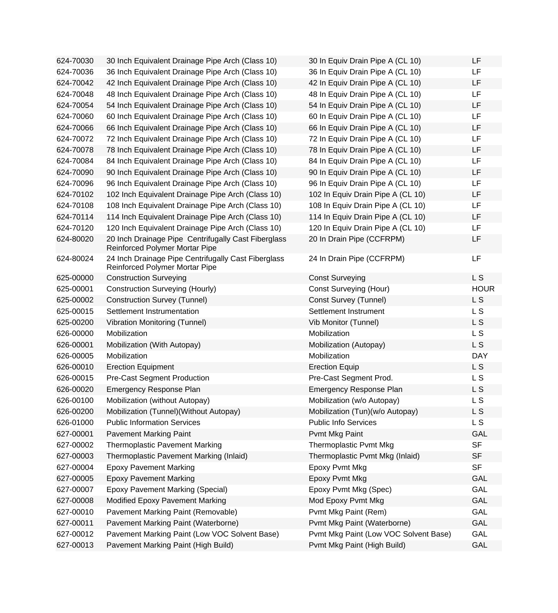| 624-70030 | 30 Inch Equivalent Drainage Pipe Arch (Class 10)                                      | 30 In Equiv Drain Pipe A (CL 10)      | LF             |
|-----------|---------------------------------------------------------------------------------------|---------------------------------------|----------------|
| 624-70036 | 36 Inch Equivalent Drainage Pipe Arch (Class 10)                                      | 36 In Equiv Drain Pipe A (CL 10)      | LF             |
| 624-70042 | 42 Inch Equivalent Drainage Pipe Arch (Class 10)                                      | 42 In Equiv Drain Pipe A (CL 10)      | <b>LF</b>      |
| 624-70048 | 48 Inch Equivalent Drainage Pipe Arch (Class 10)                                      | 48 In Equiv Drain Pipe A (CL 10)      | <b>LF</b>      |
| 624-70054 | 54 Inch Equivalent Drainage Pipe Arch (Class 10)                                      | 54 In Equiv Drain Pipe A (CL 10)      | LF             |
| 624-70060 | 60 Inch Equivalent Drainage Pipe Arch (Class 10)                                      | 60 In Equiv Drain Pipe A (CL 10)      | LF             |
| 624-70066 | 66 Inch Equivalent Drainage Pipe Arch (Class 10)                                      | 66 In Equiv Drain Pipe A (CL 10)      | <b>LF</b>      |
| 624-70072 | 72 Inch Equivalent Drainage Pipe Arch (Class 10)                                      | 72 In Equiv Drain Pipe A (CL 10)      | <b>LF</b>      |
| 624-70078 | 78 Inch Equivalent Drainage Pipe Arch (Class 10)                                      | 78 In Equiv Drain Pipe A (CL 10)      | LF             |
| 624-70084 | 84 Inch Equivalent Drainage Pipe Arch (Class 10)                                      | 84 In Equiv Drain Pipe A (CL 10)      | <b>LF</b>      |
| 624-70090 | 90 Inch Equivalent Drainage Pipe Arch (Class 10)                                      | 90 In Equiv Drain Pipe A (CL 10)      | LF             |
| 624-70096 | 96 Inch Equivalent Drainage Pipe Arch (Class 10)                                      | 96 In Equiv Drain Pipe A (CL 10)      | <b>LF</b>      |
| 624-70102 | 102 Inch Equivalent Drainage Pipe Arch (Class 10)                                     | 102 In Equiv Drain Pipe A (CL 10)     | LF             |
| 624-70108 | 108 Inch Equivalent Drainage Pipe Arch (Class 10)                                     | 108 In Equiv Drain Pipe A (CL 10)     | <b>LF</b>      |
| 624-70114 | 114 Inch Equivalent Drainage Pipe Arch (Class 10)                                     | 114 In Equiv Drain Pipe A (CL 10)     | LF             |
| 624-70120 | 120 Inch Equivalent Drainage Pipe Arch (Class 10)                                     | 120 In Equiv Drain Pipe A (CL 10)     | LF             |
| 624-80020 | 20 Inch Drainage Pipe Centrifugally Cast Fiberglass<br>Reinforced Polymer Mortar Pipe | 20 In Drain Pipe (CCFRPM)             | LF             |
| 624-80024 | 24 Inch Drainage Pipe Centrifugally Cast Fiberglass<br>Reinforced Polymer Mortar Pipe | 24 In Drain Pipe (CCFRPM)             | <b>LF</b>      |
| 625-00000 | <b>Construction Surveying</b>                                                         | <b>Const Surveying</b>                | L <sub>S</sub> |
| 625-00001 | <b>Construction Surveying (Hourly)</b>                                                | <b>Const Surveying (Hour)</b>         | <b>HOUR</b>    |
| 625-00002 | <b>Construction Survey (Tunnel)</b>                                                   | Const Survey (Tunnel)                 | L <sub>S</sub> |
| 625-00015 | Settlement Instrumentation                                                            | Settlement Instrument                 | L S            |
| 625-00200 | Vibration Monitoring (Tunnel)                                                         | Vib Monitor (Tunnel)                  | L S            |
| 626-00000 | Mobilization                                                                          | Mobilization                          | L <sub>S</sub> |
| 626-00001 | Mobilization (With Autopay)                                                           | Mobilization (Autopay)                | L S            |
| 626-00005 | Mobilization                                                                          | Mobilization                          | <b>DAY</b>     |
| 626-00010 | <b>Erection Equipment</b>                                                             | <b>Erection Equip</b>                 | L <sub>S</sub> |
| 626-00015 | <b>Pre-Cast Segment Production</b>                                                    | Pre-Cast Segment Prod.                | L S            |
| 626-00020 | <b>Emergency Response Plan</b>                                                        | <b>Emergency Response Plan</b>        | L S            |
| 626-00100 | Mobilization (without Autopay)                                                        | Mobilization (w/o Autopay)            | L S            |
| 626-00200 | Mobilization (Tunnel) (Without Autopay)                                               | Mobilization (Tun)(w/o Autopay)       | L S            |
| 626-01000 | <b>Public Information Services</b>                                                    | <b>Public Info Services</b>           | L S            |
| 627-00001 | <b>Pavement Marking Paint</b>                                                         | Pvmt Mkg Paint                        | GAL            |
| 627-00002 | <b>Thermoplastic Pavement Marking</b>                                                 | <b>Thermoplastic Pvmt Mkg</b>         | <b>SF</b>      |
| 627-00003 | Thermoplastic Pavement Marking (Inlaid)                                               | Thermoplastic Pvmt Mkg (Inlaid)       | <b>SF</b>      |
| 627-00004 | <b>Epoxy Pavement Marking</b>                                                         | Epoxy Pvmt Mkg                        | <b>SF</b>      |
| 627-00005 | <b>Epoxy Pavement Marking</b>                                                         | Epoxy Pvmt Mkg                        | GAL            |
| 627-00007 | <b>Epoxy Pavement Marking (Special)</b>                                               | Epoxy Pvmt Mkg (Spec)                 | GAL            |
| 627-00008 | Modified Epoxy Pavement Marking                                                       | Mod Epoxy Pvmt Mkg                    | GAL            |
| 627-00010 | Pavement Marking Paint (Removable)                                                    | Pvmt Mkg Paint (Rem)                  | GAL            |
| 627-00011 | Pavement Marking Paint (Waterborne)                                                   | Pvmt Mkg Paint (Waterborne)           | <b>GAL</b>     |
| 627-00012 | Pavement Marking Paint (Low VOC Solvent Base)                                         | Pvmt Mkg Paint (Low VOC Solvent Base) | GAL            |
| 627-00013 | Pavement Marking Paint (High Build)                                                   | Pvmt Mkg Paint (High Build)           | GAL            |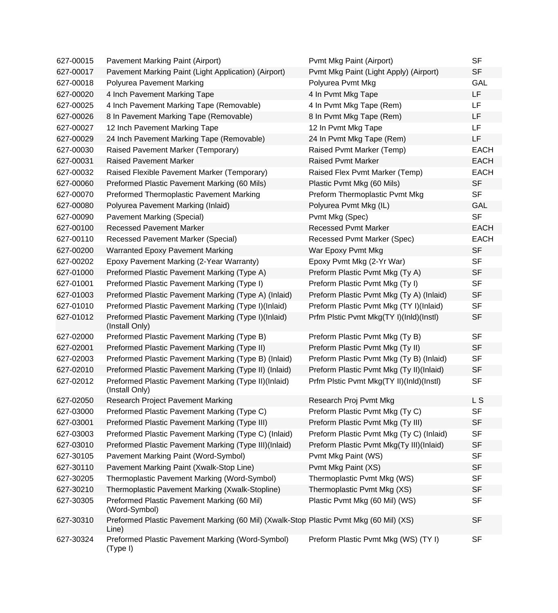| 627-00015 | Pavement Marking Paint (Airport)                                                                | Pvmt Mkg Paint (Airport)                 | <b>SF</b>   |
|-----------|-------------------------------------------------------------------------------------------------|------------------------------------------|-------------|
| 627-00017 | Pavement Marking Paint (Light Application) (Airport)                                            | Pvmt Mkg Paint (Light Apply) (Airport)   | <b>SF</b>   |
| 627-00018 | Polyurea Pavement Marking                                                                       | Polyurea Pvmt Mkg                        | GAL         |
| 627-00020 | 4 Inch Pavement Marking Tape                                                                    | 4 In Pvmt Mkg Tape                       | LF          |
| 627-00025 | 4 Inch Pavement Marking Tape (Removable)                                                        | 4 In Pvmt Mkg Tape (Rem)                 | LF          |
| 627-00026 | 8 In Pavement Marking Tape (Removable)                                                          | 8 In Pvmt Mkg Tape (Rem)                 | LF          |
| 627-00027 | 12 Inch Pavement Marking Tape                                                                   | 12 In Pvmt Mkg Tape                      | LF          |
| 627-00029 | 24 Inch Pavement Marking Tape (Removable)                                                       | 24 In Pvmt Mkg Tape (Rem)                | LF          |
| 627-00030 | Raised Pavement Marker (Temporary)                                                              | Raised Pvmt Marker (Temp)                | <b>EACH</b> |
| 627-00031 | <b>Raised Pavement Marker</b>                                                                   | <b>Raised Pvmt Marker</b>                | <b>EACH</b> |
| 627-00032 | Raised Flexible Pavement Marker (Temporary)                                                     | Raised Flex Pvmt Marker (Temp)           | <b>EACH</b> |
| 627-00060 | Preformed Plastic Pavement Marking (60 Mils)                                                    | Plastic Pvmt Mkg (60 Mils)               | <b>SF</b>   |
| 627-00070 | Preformed Thermoplastic Pavement Marking                                                        | Preform Thermoplastic Pvmt Mkg           | <b>SF</b>   |
| 627-00080 | Polyurea Pavement Marking (Inlaid)                                                              | Polyurea Pvmt Mkg (IL)                   | GAL         |
| 627-00090 | <b>Pavement Marking (Special)</b>                                                               | Pvmt Mkg (Spec)                          | <b>SF</b>   |
| 627-00100 | <b>Recessed Pavement Marker</b>                                                                 | <b>Recessed Pvmt Marker</b>              | <b>EACH</b> |
| 627-00110 | <b>Recessed Pavement Marker (Special)</b>                                                       | Recessed Pvmt Marker (Spec)              | <b>EACH</b> |
| 627-00200 | <b>Warranted Epoxy Pavement Marking</b>                                                         | War Epoxy Pvmt Mkg                       | <b>SF</b>   |
| 627-00202 | Epoxy Pavement Marking (2-Year Warranty)                                                        | Epoxy Pvmt Mkg (2-Yr War)                | <b>SF</b>   |
| 627-01000 | Preformed Plastic Pavement Marking (Type A)                                                     | Preform Plastic Pvmt Mkg (Ty A)          | <b>SF</b>   |
| 627-01001 | Preformed Plastic Pavement Marking (Type I)                                                     | Preform Plastic Pvmt Mkg (Ty I)          | <b>SF</b>   |
| 627-01003 | Preformed Plastic Pavement Marking (Type A) (Inlaid)                                            | Preform Plastic Pvmt Mkg (Ty A) (Inlaid) | <b>SF</b>   |
| 627-01010 | Preformed Plastic Pavement Marking (Type I)(Inlaid)                                             | Preform Plastic Pvmt Mkg (TY I)(Inlaid)  | <b>SF</b>   |
| 627-01012 | Preformed Plastic Pavement Marking (Type I)(Inlaid)<br>(Install Only)                           | Prfm Plstic Pvmt Mkg(TY I)(InId)(Instl)  | <b>SF</b>   |
| 627-02000 | Preformed Plastic Pavement Marking (Type B)                                                     | Preform Plastic Pvmt Mkg (Ty B)          | <b>SF</b>   |
| 627-02001 | Preformed Plastic Pavement Marking (Type II)                                                    | Preform Plastic Pvmt Mkg (Ty II)         | <b>SF</b>   |
| 627-02003 | Preformed Plastic Pavement Marking (Type B) (Inlaid)                                            | Preform Plastic Pvmt Mkg (Ty B) (Inlaid) | <b>SF</b>   |
| 627-02010 | Preformed Plastic Pavement Marking (Type II) (Inlaid)                                           | Preform Plastic Pvmt Mkg (Ty II)(Inlaid) | <b>SF</b>   |
| 627-02012 | Preformed Plastic Pavement Marking (Type II)(Inlaid)<br>(Install Only)                          | Prfm Plstic Pvmt Mkg(TY II)(InId)(Instl) | <b>SF</b>   |
| 627-02050 | <b>Research Project Pavement Marking</b>                                                        | Research Proj Pvmt Mkg                   | L S         |
| 627-03000 | Preformed Plastic Pavement Marking (Type C)                                                     | Preform Plastic Pvmt Mkg (Ty C)          | <b>SF</b>   |
| 627-03001 | Preformed Plastic Pavement Marking (Type III)                                                   | Preform Plastic Pvmt Mkg (Ty III)        | <b>SF</b>   |
| 627-03003 | Preformed Plastic Pavement Marking (Type C) (Inlaid)                                            | Preform Plastic Pvmt Mkg (Ty C) (Inlaid) | <b>SF</b>   |
| 627-03010 | Preformed Plastic Pavement Marking (Type III)(Inlaid)                                           | Preform Plastic Pvmt Mkg(Ty III)(Inlaid) | <b>SF</b>   |
| 627-30105 | Pavement Marking Paint (Word-Symbol)                                                            | Pvmt Mkg Paint (WS)                      | <b>SF</b>   |
| 627-30110 | Pavement Marking Paint (Xwalk-Stop Line)                                                        | Pvmt Mkg Paint (XS)                      | <b>SF</b>   |
| 627-30205 | Thermoplastic Pavement Marking (Word-Symbol)                                                    | Thermoplastic Pvmt Mkg (WS)              | <b>SF</b>   |
| 627-30210 | Thermoplastic Pavement Marking (Xwalk-Stopline)                                                 | Thermoplastic Pvmt Mkg (XS)              | <b>SF</b>   |
| 627-30305 | Preformed Plastic Pavement Marking (60 Mil)<br>(Word-Symbol)                                    | Plastic Pvmt Mkg (60 Mil) (WS)           | <b>SF</b>   |
| 627-30310 | Preformed Plastic Pavement Marking (60 Mil) (Xwalk-Stop Plastic Pvmt Mkg (60 Mil) (XS)<br>Line) |                                          | <b>SF</b>   |
| 627-30324 | Preformed Plastic Pavement Marking (Word-Symbol)<br>(Type I)                                    | Preform Plastic Pvmt Mkg (WS) (TY I)     | <b>SF</b>   |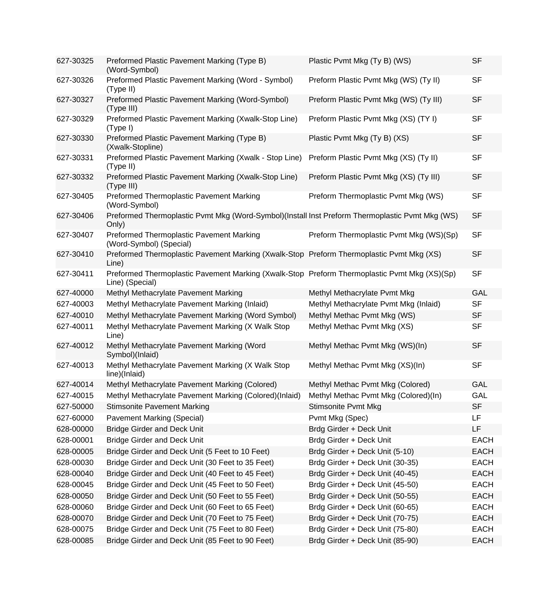| 627-30325 | Preformed Plastic Pavement Marking (Type B)<br>(Word-Symbol)                                                    | Plastic Pvmt Mkg (Ty B) (WS)            | <b>SF</b>   |
|-----------|-----------------------------------------------------------------------------------------------------------------|-----------------------------------------|-------------|
| 627-30326 | Preformed Plastic Pavement Marking (Word - Symbol)<br>(Type II)                                                 | Preform Plastic Pvmt Mkg (WS) (Ty II)   | <b>SF</b>   |
| 627-30327 | Preformed Plastic Pavement Marking (Word-Symbol)<br>(Type III)                                                  | Preform Plastic Pvmt Mkg (WS) (Ty III)  | <b>SF</b>   |
| 627-30329 | Preformed Plastic Pavement Marking (Xwalk-Stop Line)<br>(Type I)                                                | Preform Plastic Pvmt Mkg (XS) (TY I)    | <b>SF</b>   |
| 627-30330 | Preformed Plastic Pavement Marking (Type B)<br>(Xwalk-Stopline)                                                 | Plastic Pvmt Mkg (Ty B) (XS)            | <b>SF</b>   |
| 627-30331 | Preformed Plastic Pavement Marking (Xwalk - Stop Line)<br>(Type II)                                             | Preform Plastic Pvmt Mkg (XS) (Ty II)   | <b>SF</b>   |
| 627-30332 | Preformed Plastic Pavement Marking (Xwalk-Stop Line)<br>(Type III)                                              | Preform Plastic Pvmt Mkg (XS) (Ty III)  | <b>SF</b>   |
| 627-30405 | Preformed Thermoplastic Pavement Marking<br>(Word-Symbol)                                                       | Preform Thermoplastic Pvmt Mkg (WS)     | <b>SF</b>   |
| 627-30406 | Preformed Thermoplastic Pvmt Mkg (Word-Symbol)(Install Inst Preform Thermoplastic Pvmt Mkg (WS)<br>Only)        |                                         | <b>SF</b>   |
| 627-30407 | Preformed Thermoplastic Pavement Marking<br>(Word-Symbol) (Special)                                             | Preform Thermoplastic Pvmt Mkg (WS)(Sp) | <b>SF</b>   |
| 627-30410 | Preformed Thermoplastic Pavement Marking (Xwalk-Stop Preform Thermoplastic Pvmt Mkg (XS)<br>Line)               |                                         | <b>SF</b>   |
| 627-30411 | Preformed Thermoplastic Pavement Marking (Xwalk-Stop Preform Thermoplastic Pvmt Mkg (XS)(Sp)<br>Line) (Special) |                                         | <b>SF</b>   |
| 627-40000 | Methyl Methacrylate Pavement Marking                                                                            | Methyl Methacrylate Pvmt Mkg            | <b>GAL</b>  |
| 627-40003 | Methyl Methacrylate Pavement Marking (Inlaid)                                                                   | Methyl Methacrylate Pvmt Mkg (Inlaid)   | <b>SF</b>   |
| 627-40010 | Methyl Methacrylate Pavement Marking (Word Symbol)                                                              | Methyl Methac Pvmt Mkg (WS)             | <b>SF</b>   |
| 627-40011 | Methyl Methacrylate Pavement Marking (X Walk Stop<br>Line)                                                      | Methyl Methac Pvmt Mkg (XS)             | <b>SF</b>   |
| 627-40012 | Methyl Methacrylate Pavement Marking (Word<br>Symbol)(Inlaid)                                                   | Methyl Methac Pvmt Mkg (WS)(In)         | <b>SF</b>   |
| 627-40013 | Methyl Methacrylate Pavement Marking (X Walk Stop<br>line)(Inlaid)                                              | Methyl Methac Pvmt Mkg (XS)(In)         | <b>SF</b>   |
| 627-40014 | Methyl Methacrylate Pavement Marking (Colored)                                                                  | Methyl Methac Pvmt Mkg (Colored)        | <b>GAL</b>  |
| 627-40015 | Methyl Methacrylate Pavement Marking (Colored)(Inlaid)                                                          | Methyl Methac Pvmt Mkg (Colored)(In)    | GAL         |
| 627-50000 | <b>Stimsonite Pavement Marking</b>                                                                              | <b>Stimsonite Pvmt Mkg</b>              | <b>SF</b>   |
| 627-60000 | Pavement Marking (Special)                                                                                      | Pvmt Mkg (Spec)                         | LF          |
| 628-00000 | <b>Bridge Girder and Deck Unit</b>                                                                              | Brdg Girder + Deck Unit                 | LF          |
| 628-00001 | <b>Bridge Girder and Deck Unit</b>                                                                              | Brdg Girder + Deck Unit                 | <b>EACH</b> |
| 628-00005 | Bridge Girder and Deck Unit (5 Feet to 10 Feet)                                                                 | Brdg Girder + Deck Unit (5-10)          | <b>EACH</b> |
| 628-00030 | Bridge Girder and Deck Unit (30 Feet to 35 Feet)                                                                | Brdg Girder + Deck Unit (30-35)         | <b>EACH</b> |
| 628-00040 | Bridge Girder and Deck Unit (40 Feet to 45 Feet)                                                                | Brdg Girder + Deck Unit (40-45)         | <b>EACH</b> |
| 628-00045 | Bridge Girder and Deck Unit (45 Feet to 50 Feet)                                                                | Brdg Girder + Deck Unit (45-50)         | <b>EACH</b> |
| 628-00050 | Bridge Girder and Deck Unit (50 Feet to 55 Feet)                                                                | Brdg Girder + Deck Unit (50-55)         | <b>EACH</b> |
| 628-00060 | Bridge Girder and Deck Unit (60 Feet to 65 Feet)                                                                | Brdg Girder + Deck Unit (60-65)         | <b>EACH</b> |
| 628-00070 | Bridge Girder and Deck Unit (70 Feet to 75 Feet)                                                                | Brdg Girder + Deck Unit (70-75)         | <b>EACH</b> |
| 628-00075 | Bridge Girder and Deck Unit (75 Feet to 80 Feet)                                                                | Brdg Girder + Deck Unit (75-80)         | <b>EACH</b> |
| 628-00085 | Bridge Girder and Deck Unit (85 Feet to 90 Feet)                                                                | Brdg Girder + Deck Unit (85-90)         | <b>EACH</b> |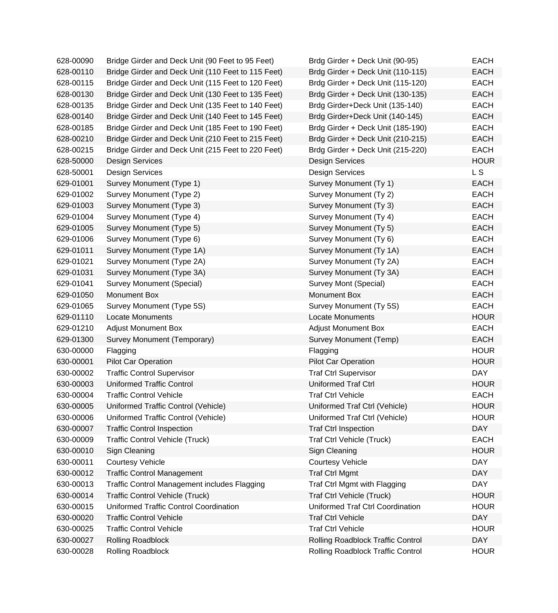| 628-00090 | Bridge Girder and Deck Unit (90 Feet to 95 Feet)    | Brdg Girder + Deck Unit (90-95)          | <b>EACH</b>    |
|-----------|-----------------------------------------------------|------------------------------------------|----------------|
| 628-00110 | Bridge Girder and Deck Unit (110 Feet to 115 Feet)  | Brdg Girder + Deck Unit (110-115)        | <b>EACH</b>    |
| 628-00115 | Bridge Girder and Deck Unit (115 Feet to 120 Feet)  | Brdg Girder + Deck Unit (115-120)        | <b>EACH</b>    |
| 628-00130 | Bridge Girder and Deck Unit (130 Feet to 135 Feet)  | Brdg Girder + Deck Unit (130-135)        | <b>EACH</b>    |
| 628-00135 | Bridge Girder and Deck Unit (135 Feet to 140 Feet)  | Brdg Girder+Deck Unit (135-140)          | <b>EACH</b>    |
| 628-00140 | Bridge Girder and Deck Unit (140 Feet to 145 Feet)  | Brdg Girder+Deck Unit (140-145)          | <b>EACH</b>    |
| 628-00185 | Bridge Girder and Deck Unit (185 Feet to 190 Feet)  | Brdg Girder + Deck Unit (185-190)        | <b>EACH</b>    |
| 628-00210 | Bridge Girder and Deck Unit (210 Feet to 215 Feet)  | Brdg Girder + Deck Unit (210-215)        | <b>EACH</b>    |
| 628-00215 | Bridge Girder and Deck Unit (215 Feet to 220 Feet)  | Brdg Girder + Deck Unit (215-220)        | <b>EACH</b>    |
| 628-50000 | Design Services                                     | Design Services                          | <b>HOUR</b>    |
| 628-50001 | <b>Design Services</b>                              | Design Services                          | L <sub>S</sub> |
| 629-01001 | Survey Monument (Type 1)                            | Survey Monument (Ty 1)                   | <b>EACH</b>    |
| 629-01002 | Survey Monument (Type 2)                            | Survey Monument (Ty 2)                   | <b>EACH</b>    |
| 629-01003 | Survey Monument (Type 3)                            | Survey Monument (Ty 3)                   | <b>EACH</b>    |
| 629-01004 | Survey Monument (Type 4)                            | Survey Monument (Ty 4)                   | <b>EACH</b>    |
| 629-01005 | Survey Monument (Type 5)                            | Survey Monument (Ty 5)                   | <b>EACH</b>    |
| 629-01006 | Survey Monument (Type 6)                            | Survey Monument (Ty 6)                   | <b>EACH</b>    |
| 629-01011 | Survey Monument (Type 1A)                           | Survey Monument (Ty 1A)                  | <b>EACH</b>    |
| 629-01021 | Survey Monument (Type 2A)                           | Survey Monument (Ty 2A)                  | <b>EACH</b>    |
| 629-01031 | Survey Monument (Type 3A)                           | Survey Monument (Ty 3A)                  | <b>EACH</b>    |
| 629-01041 | Survey Monument (Special)                           | Survey Mont (Special)                    | <b>EACH</b>    |
| 629-01050 | Monument Box                                        | Monument Box                             | <b>EACH</b>    |
| 629-01065 | Survey Monument (Type 5S)                           | Survey Monument (Ty 5S)                  | <b>EACH</b>    |
| 629-01110 | <b>Locate Monuments</b>                             | <b>Locate Monuments</b>                  | <b>HOUR</b>    |
| 629-01210 | <b>Adjust Monument Box</b>                          | <b>Adjust Monument Box</b>               | <b>EACH</b>    |
| 629-01300 | Survey Monument (Temporary)                         | Survey Monument (Temp)                   | <b>EACH</b>    |
| 630-00000 | Flagging                                            | Flagging                                 | <b>HOUR</b>    |
| 630-00001 | <b>Pilot Car Operation</b>                          | <b>Pilot Car Operation</b>               | <b>HOUR</b>    |
| 630-00002 | <b>Traffic Control Supervisor</b>                   | <b>Traf Ctrl Supervisor</b>              | <b>DAY</b>     |
| 630-00003 | <b>Uniformed Traffic Control</b>                    | Uniformed Traf Ctrl                      | <b>HOUR</b>    |
| 630-00004 | <b>Traffic Control Vehicle</b>                      | <b>Traf Ctrl Vehicle</b>                 | <b>EACH</b>    |
| 630-00005 | Uniformed Traffic Control (Vehicle)                 | Uniformed Traf Ctrl (Vehicle)            | <b>HOUR</b>    |
| 630-00006 | Uniformed Traffic Control (Vehicle)                 | Uniformed Traf Ctrl (Vehicle)            | <b>HOUR</b>    |
| 630-00007 | <b>Traffic Control Inspection</b>                   | <b>Traf Ctrl Inspection</b>              | <b>DAY</b>     |
| 630-00009 | <b>Traffic Control Vehicle (Truck)</b>              | <b>Traf Ctrl Vehicle (Truck)</b>         | <b>EACH</b>    |
| 630-00010 | Sign Cleaning                                       | Sign Cleaning                            | <b>HOUR</b>    |
| 630-00011 | <b>Courtesy Vehicle</b>                             | <b>Courtesy Vehicle</b>                  | <b>DAY</b>     |
| 630-00012 | <b>Traffic Control Management</b>                   | <b>Traf Ctrl Mgmt</b>                    | <b>DAY</b>     |
| 630-00013 | <b>Traffic Control Management includes Flagging</b> | Traf Ctrl Mgmt with Flagging             | <b>DAY</b>     |
| 630-00014 | <b>Traffic Control Vehicle (Truck)</b>              | <b>Traf Ctrl Vehicle (Truck)</b>         | <b>HOUR</b>    |
| 630-00015 | Uniformed Traffic Control Coordination              | <b>Uniformed Traf Ctrl Coordination</b>  | <b>HOUR</b>    |
| 630-00020 | <b>Traffic Control Vehicle</b>                      | <b>Traf Ctrl Vehicle</b>                 | <b>DAY</b>     |
| 630-00025 | <b>Traffic Control Vehicle</b>                      | <b>Traf Ctrl Vehicle</b>                 | <b>HOUR</b>    |
| 630-00027 | <b>Rolling Roadblock</b>                            | <b>Rolling Roadblock Traffic Control</b> | <b>DAY</b>     |
| 630-00028 | Rolling Roadblock                                   | Rolling Roadblock Traffic Control        | <b>HOUR</b>    |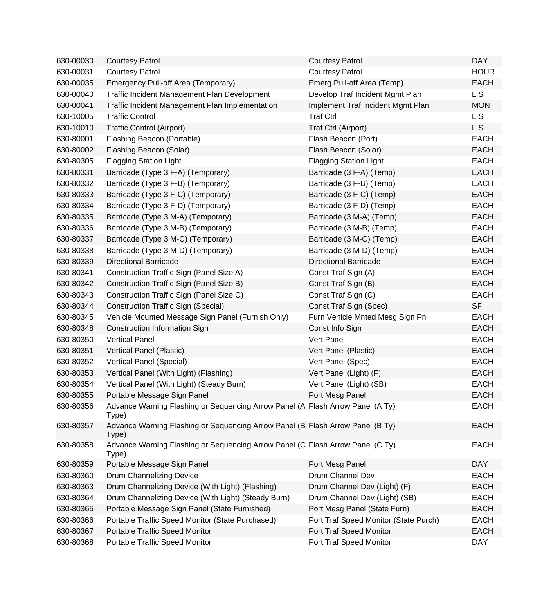| 630-00030 | <b>Courtesy Patrol</b>                                                                  | <b>Courtesy Patrol</b>                | <b>DAY</b>  |
|-----------|-----------------------------------------------------------------------------------------|---------------------------------------|-------------|
| 630-00031 | <b>Courtesy Patrol</b>                                                                  | <b>Courtesy Patrol</b>                | <b>HOUR</b> |
| 630-00035 | Emergency Pull-off Area (Temporary)                                                     | Emerg Pull-off Area (Temp)            | <b>EACH</b> |
| 630-00040 | Traffic Incident Management Plan Development                                            | Develop Traf Incident Mgmt Plan       | L S         |
| 630-00041 | Traffic Incident Management Plan Implementation                                         | Implement Traf Incident Mgmt Plan     | <b>MON</b>  |
| 630-10005 | <b>Traffic Control</b>                                                                  | <b>Traf Ctrl</b>                      | L S         |
| 630-10010 | <b>Traffic Control (Airport)</b>                                                        | Traf Ctrl (Airport)                   | L S         |
| 630-80001 | Flashing Beacon (Portable)                                                              | Flash Beacon (Port)                   | <b>EACH</b> |
| 630-80002 | Flashing Beacon (Solar)                                                                 | Flash Beacon (Solar)                  | <b>EACH</b> |
| 630-80305 | <b>Flagging Station Light</b>                                                           | <b>Flagging Station Light</b>         | <b>EACH</b> |
| 630-80331 | Barricade (Type 3 F-A) (Temporary)                                                      | Barricade (3 F-A) (Temp)              | <b>EACH</b> |
| 630-80332 | Barricade (Type 3 F-B) (Temporary)                                                      | Barricade (3 F-B) (Temp)              | <b>EACH</b> |
| 630-80333 | Barricade (Type 3 F-C) (Temporary)                                                      | Barricade (3 F-C) (Temp)              | <b>EACH</b> |
| 630-80334 | Barricade (Type 3 F-D) (Temporary)                                                      | Barricade (3 F-D) (Temp)              | <b>EACH</b> |
| 630-80335 | Barricade (Type 3 M-A) (Temporary)                                                      | Barricade (3 M-A) (Temp)              | <b>EACH</b> |
| 630-80336 | Barricade (Type 3 M-B) (Temporary)                                                      | Barricade (3 M-B) (Temp)              | <b>EACH</b> |
| 630-80337 | Barricade (Type 3 M-C) (Temporary)                                                      | Barricade (3 M-C) (Temp)              | <b>EACH</b> |
| 630-80338 | Barricade (Type 3 M-D) (Temporary)                                                      | Barricade (3 M-D) (Temp)              | <b>EACH</b> |
| 630-80339 | <b>Directional Barricade</b>                                                            | <b>Directional Barricade</b>          | <b>EACH</b> |
| 630-80341 | Construction Traffic Sign (Panel Size A)                                                | Const Traf Sign (A)                   | <b>EACH</b> |
| 630-80342 | Construction Traffic Sign (Panel Size B)                                                | Const Traf Sign (B)                   | <b>EACH</b> |
| 630-80343 | Construction Traffic Sign (Panel Size C)                                                | Const Traf Sign (C)                   | <b>EACH</b> |
| 630-80344 | <b>Construction Traffic Sign (Special)</b>                                              | Const Traf Sign (Spec)                | <b>SF</b>   |
| 630-80345 | Vehicle Mounted Message Sign Panel (Furnish Only)                                       | Furn Vehicle Mnted Mesg Sign Pnl      | <b>EACH</b> |
| 630-80348 | Construction Information Sign                                                           | Const Info Sign                       | <b>EACH</b> |
| 630-80350 | <b>Vertical Panel</b>                                                                   | Vert Panel                            | <b>EACH</b> |
| 630-80351 | Vertical Panel (Plastic)                                                                | Vert Panel (Plastic)                  | <b>EACH</b> |
| 630-80352 | Vertical Panel (Special)                                                                | Vert Panel (Spec)                     | <b>EACH</b> |
| 630-80353 | Vertical Panel (With Light) (Flashing)                                                  | Vert Panel (Light) (F)                | <b>EACH</b> |
| 630-80354 | Vertical Panel (With Light) (Steady Burn)                                               | Vert Panel (Light) (SB)               | <b>EACH</b> |
| 630-80355 | Portable Message Sign Panel                                                             | Port Mesg Panel                       | <b>EACH</b> |
| 630-80356 | Advance Warning Flashing or Sequencing Arrow Panel (A Flash Arrow Panel (A Ty)<br>Type) |                                       | <b>EACH</b> |
| 630-80357 | Advance Warning Flashing or Sequencing Arrow Panel (B Flash Arrow Panel (B Ty)<br>Type) |                                       | <b>EACH</b> |
| 630-80358 | Advance Warning Flashing or Sequencing Arrow Panel (C Flash Arrow Panel (C Ty)<br>Type) |                                       | <b>EACH</b> |
| 630-80359 | Portable Message Sign Panel                                                             | Port Mesg Panel                       | <b>DAY</b>  |
| 630-80360 | Drum Channelizing Device                                                                | Drum Channel Dev                      | <b>EACH</b> |
| 630-80363 | Drum Channelizing Device (With Light) (Flashing)                                        | Drum Channel Dev (Light) (F)          | <b>EACH</b> |
| 630-80364 | Drum Channelizing Device (With Light) (Steady Burn)                                     | Drum Channel Dev (Light) (SB)         | <b>EACH</b> |
| 630-80365 | Portable Message Sign Panel (State Furnished)                                           | Port Mesg Panel (State Furn)          | <b>EACH</b> |
| 630-80366 | Portable Traffic Speed Monitor (State Purchased)                                        | Port Traf Speed Monitor (State Purch) | <b>EACH</b> |
| 630-80367 | Portable Traffic Speed Monitor                                                          | Port Traf Speed Monitor               | <b>EACH</b> |
| 630-80368 | Portable Traffic Speed Monitor                                                          | Port Traf Speed Monitor               | <b>DAY</b>  |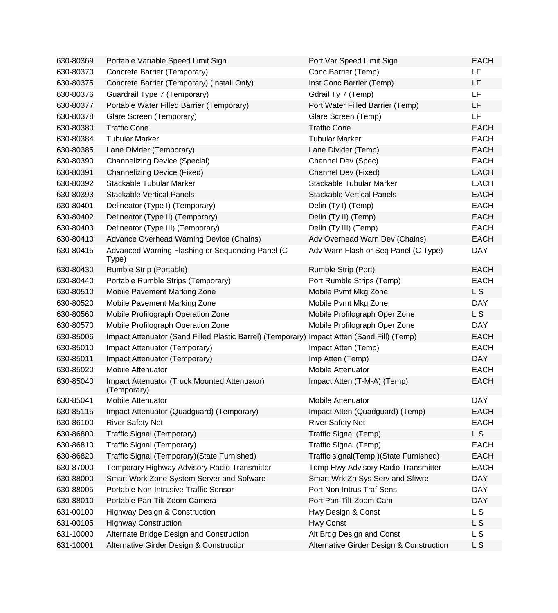| 630-80369 | Portable Variable Speed Limit Sign                          | Port Var Speed Limit Sign                | <b>EACH</b>    |
|-----------|-------------------------------------------------------------|------------------------------------------|----------------|
| 630-80370 | Concrete Barrier (Temporary)                                | Conc Barrier (Temp)                      | LF             |
| 630-80375 | Concrete Barrier (Temporary) (Install Only)                 | Inst Conc Barrier (Temp)                 | LF             |
| 630-80376 | Guardrail Type 7 (Temporary)                                | Gdrail Ty 7 (Temp)                       | <b>LF</b>      |
| 630-80377 | Portable Water Filled Barrier (Temporary)                   | Port Water Filled Barrier (Temp)         | LF             |
| 630-80378 | Glare Screen (Temporary)                                    | Glare Screen (Temp)                      | LF             |
| 630-80380 | <b>Traffic Cone</b>                                         | <b>Traffic Cone</b>                      | <b>EACH</b>    |
| 630-80384 | <b>Tubular Marker</b>                                       | <b>Tubular Marker</b>                    | <b>EACH</b>    |
| 630-80385 | Lane Divider (Temporary)                                    | Lane Divider (Temp)                      | <b>EACH</b>    |
| 630-80390 | <b>Channelizing Device (Special)</b>                        | Channel Dev (Spec)                       | <b>EACH</b>    |
| 630-80391 | <b>Channelizing Device (Fixed)</b>                          | Channel Dev (Fixed)                      | <b>EACH</b>    |
| 630-80392 | Stackable Tubular Marker                                    | Stackable Tubular Marker                 | <b>EACH</b>    |
| 630-80393 | <b>Stackable Vertical Panels</b>                            | <b>Stackable Vertical Panels</b>         | <b>EACH</b>    |
| 630-80401 | Delineator (Type I) (Temporary)                             | Delin (Ty I) (Temp)                      | <b>EACH</b>    |
| 630-80402 | Delineator (Type II) (Temporary)                            | Delin (Ty II) (Temp)                     | <b>EACH</b>    |
| 630-80403 | Delineator (Type III) (Temporary)                           | Delin (Ty III) (Temp)                    | <b>EACH</b>    |
| 630-80410 | Advance Overhead Warning Device (Chains)                    | Adv Overhead Warn Dev (Chains)           | <b>EACH</b>    |
| 630-80415 | Advanced Warning Flashing or Sequencing Panel (C<br>Type)   | Adv Warn Flash or Seq Panel (C Type)     | <b>DAY</b>     |
| 630-80430 | Rumble Strip (Portable)                                     | Rumble Strip (Port)                      | <b>EACH</b>    |
| 630-80440 | Portable Rumble Strips (Temporary)                          | Port Rumble Strips (Temp)                | <b>EACH</b>    |
| 630-80510 | <b>Mobile Pavement Marking Zone</b>                         | Mobile Pvmt Mkg Zone                     | L S            |
| 630-80520 | Mobile Pavement Marking Zone                                | Mobile Pvmt Mkg Zone                     | <b>DAY</b>     |
| 630-80560 | Mobile Profilograph Operation Zone                          | Mobile Profilograph Oper Zone            | L <sub>S</sub> |
| 630-80570 | Mobile Profilograph Operation Zone                          | Mobile Profilograph Oper Zone            | <b>DAY</b>     |
| 630-85006 | Impact Attenuator (Sand Filled Plastic Barrel) (Temporary)  | Impact Atten (Sand Fill) (Temp)          | <b>EACH</b>    |
| 630-85010 | Impact Attenuator (Temporary)                               | Impact Atten (Temp)                      | <b>EACH</b>    |
| 630-85011 | Impact Attenuator (Temporary)                               | Imp Atten (Temp)                         | <b>DAY</b>     |
| 630-85020 | <b>Mobile Attenuator</b>                                    | <b>Mobile Attenuator</b>                 | <b>EACH</b>    |
| 630-85040 | Impact Attenuator (Truck Mounted Attenuator)<br>(Temporary) | Impact Atten (T-M-A) (Temp)              | <b>EACH</b>    |
| 630-85041 | Mobile Attenuator                                           | Mobile Attenuator                        | <b>DAY</b>     |
| 630-85115 | Impact Attenuator (Quadguard) (Temporary)                   | Impact Atten (Quadguard) (Temp)          | <b>EACH</b>    |
| 630-86100 | <b>River Safety Net</b>                                     | <b>River Safety Net</b>                  | <b>EACH</b>    |
| 630-86800 | Traffic Signal (Temporary)                                  | Traffic Signal (Temp)                    | L <sub>S</sub> |
| 630-86810 | Traffic Signal (Temporary)                                  | Traffic Signal (Temp)                    | <b>EACH</b>    |
| 630-86820 | Traffic Signal (Temporary) (State Furnished)                | Traffic signal(Temp.)(State Furnished)   | <b>EACH</b>    |
| 630-87000 | Temporary Highway Advisory Radio Transmitter                | Temp Hwy Advisory Radio Transmitter      | <b>EACH</b>    |
| 630-88000 | Smart Work Zone System Server and Sofware                   | Smart Wrk Zn Sys Serv and Sftwre         | <b>DAY</b>     |
| 630-88005 | Portable Non-Intrusive Traffic Sensor                       | Port Non-Intrus Traf Sens                | <b>DAY</b>     |
| 630-88010 | Portable Pan-Tilt-Zoom Camera                               | Port Pan-Tilt-Zoom Cam                   | <b>DAY</b>     |
| 631-00100 | <b>Highway Design &amp; Construction</b>                    | Hwy Design & Const                       | L S            |
| 631-00105 | <b>Highway Construction</b>                                 | <b>Hwy Const</b>                         | L S            |
| 631-10000 | Alternate Bridge Design and Construction                    | Alt Brdg Design and Const                | L S            |
| 631-10001 | Alternative Girder Design & Construction                    | Alternative Girder Design & Construction | L S            |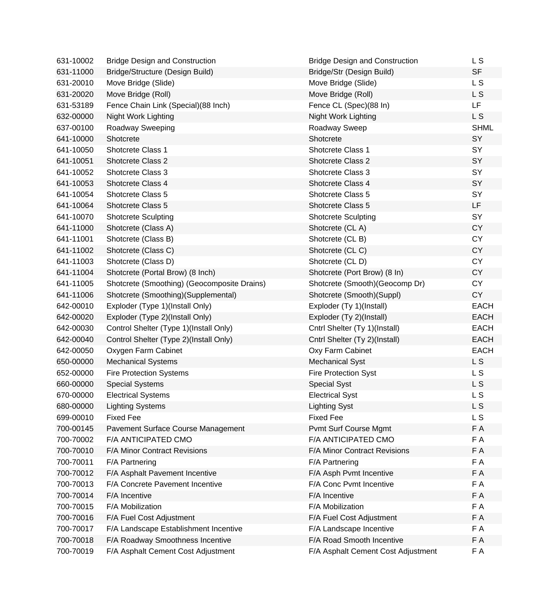| 631-10002 | <b>Bridge Design and Construction</b>       | <b>Bridge Design and Construction</b> | L S            |
|-----------|---------------------------------------------|---------------------------------------|----------------|
| 631-11000 | Bridge/Structure (Design Build)             | Bridge/Str (Design Build)             | <b>SF</b>      |
| 631-20010 | Move Bridge (Slide)                         | Move Bridge (Slide)                   | L <sub>S</sub> |
| 631-20020 | Move Bridge (Roll)                          | Move Bridge (Roll)                    | L S            |
| 631-53189 | Fence Chain Link (Special) (88 Inch)        | Fence CL (Spec)(88 In)                | LF             |
| 632-00000 | Night Work Lighting                         | Night Work Lighting                   | L S            |
| 637-00100 | Roadway Sweeping                            | Roadway Sweep                         | <b>SHML</b>    |
| 641-10000 | Shotcrete                                   | Shotcrete                             | SY             |
| 641-10050 | Shotcrete Class 1                           | Shotcrete Class 1                     | SY             |
| 641-10051 | <b>Shotcrete Class 2</b>                    | Shotcrete Class 2                     | SY             |
| 641-10052 | Shotcrete Class 3                           | Shotcrete Class 3                     | SY             |
| 641-10053 | Shotcrete Class 4                           | Shotcrete Class 4                     | SY             |
| 641-10054 | Shotcrete Class 5                           | Shotcrete Class 5                     | SY             |
| 641-10064 | Shotcrete Class 5                           | Shotcrete Class 5                     | LF             |
| 641-10070 | <b>Shotcrete Sculpting</b>                  | <b>Shotcrete Sculpting</b>            | SY             |
| 641-11000 | Shotcrete (Class A)                         | Shotcrete (CLA)                       | <b>CY</b>      |
| 641-11001 | Shotcrete (Class B)                         | Shotcrete (CL B)                      | <b>CY</b>      |
| 641-11002 | Shotcrete (Class C)                         | Shotcrete (CLC)                       | <b>CY</b>      |
| 641-11003 | Shotcrete (Class D)                         | Shotcrete (CLD)                       | <b>CY</b>      |
| 641-11004 | Shotcrete (Portal Brow) (8 Inch)            | Shotcrete (Port Brow) (8 In)          | <b>CY</b>      |
| 641-11005 | Shotcrete (Smoothing) (Geocomposite Drains) | Shotcrete (Smooth) (Geocomp Dr)       | <b>CY</b>      |
| 641-11006 | Shotcrete (Smoothing)(Supplemental)         | Shotcrete (Smooth)(Suppl)             | <b>CY</b>      |
| 642-00010 | Exploder (Type 1)(Install Only)             | Exploder (Ty 1)(Install)              | <b>EACH</b>    |
| 642-00020 | Exploder (Type 2)(Install Only)             | Exploder (Ty 2)(Install)              | <b>EACH</b>    |
| 642-00030 | Control Shelter (Type 1)(Install Only)      | Cntrl Shelter (Ty 1)(Install)         | <b>EACH</b>    |
| 642-00040 | Control Shelter (Type 2)(Install Only)      | Cntrl Shelter (Ty 2)(Install)         | <b>EACH</b>    |
| 642-00050 | Oxygen Farm Cabinet                         | Oxy Farm Cabinet                      | <b>EACH</b>    |
| 650-00000 | <b>Mechanical Systems</b>                   | <b>Mechanical Syst</b>                | L <sub>S</sub> |
| 652-00000 | <b>Fire Protection Systems</b>              | <b>Fire Protection Syst</b>           | L S            |
| 660-00000 | <b>Special Systems</b>                      | <b>Special Syst</b>                   | L S            |
| 670-00000 | <b>Electrical Systems</b>                   | <b>Electrical Syst</b>                | L S            |
| 680-00000 | <b>Lighting Systems</b>                     | <b>Lighting Syst</b>                  | L S            |
| 699-00010 | <b>Fixed Fee</b>                            | <b>Fixed Fee</b>                      | L S            |
| 700-00145 | Pavement Surface Course Management          | Pvmt Surf Course Mgmt                 | F A            |
| 700-70002 | F/A ANTICIPATED CMO                         | F/A ANTICIPATED CMO                   | F A            |
| 700-70010 | F/A Minor Contract Revisions                | F/A Minor Contract Revisions          | F A            |
| 700-70011 | F/A Partnering                              | F/A Partnering                        | F A            |
| 700-70012 | F/A Asphalt Pavement Incentive              | F/A Asph Pvmt Incentive               | F A            |
| 700-70013 | F/A Concrete Pavement Incentive             | F/A Conc Pvmt Incentive               | F A            |
| 700-70014 | F/A Incentive                               | F/A Incentive                         | F A            |
| 700-70015 | F/A Mobilization                            | F/A Mobilization                      | F A            |
| 700-70016 | F/A Fuel Cost Adjustment                    | F/A Fuel Cost Adjustment              | F A            |
| 700-70017 | F/A Landscape Establishment Incentive       | F/A Landscape Incentive               | F A            |
| 700-70018 | F/A Roadway Smoothness Incentive            | F/A Road Smooth Incentive             | F A            |
| 700-70019 | F/A Asphalt Cement Cost Adjustment          | F/A Asphalt Cement Cost Adjustment    | F A            |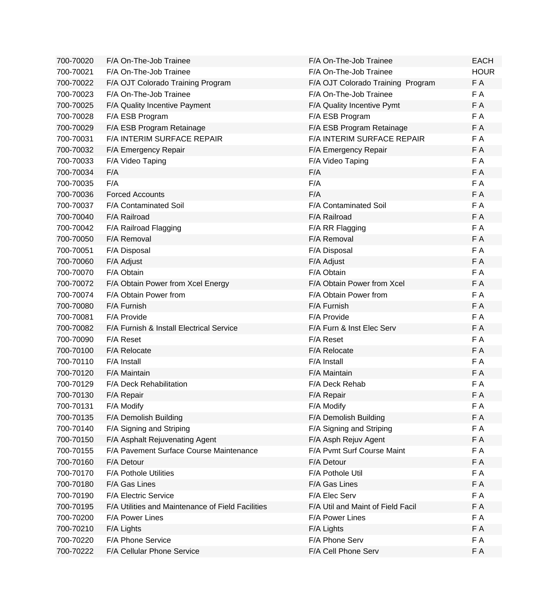| 700-70020 | F/A On-The-Job Trainee                            | F/A On-The-Job Trainee            | <b>EACH</b> |
|-----------|---------------------------------------------------|-----------------------------------|-------------|
| 700-70021 | F/A On-The-Job Trainee                            | F/A On-The-Job Trainee            | <b>HOUR</b> |
| 700-70022 | F/A OJT Colorado Training Program                 | F/A OJT Colorado Training Program | F A         |
| 700-70023 | F/A On-The-Job Trainee                            | F/A On-The-Job Trainee            | F A         |
| 700-70025 | F/A Quality Incentive Payment                     | F/A Quality Incentive Pymt        | F A         |
| 700-70028 | F/A ESB Program                                   | F/A ESB Program                   | F A         |
| 700-70029 | F/A ESB Program Retainage                         | F/A ESB Program Retainage         | F A         |
| 700-70031 | F/A INTERIM SURFACE REPAIR                        | F/A INTERIM SURFACE REPAIR        | F A         |
| 700-70032 | F/A Emergency Repair                              | F/A Emergency Repair              | F A         |
| 700-70033 | F/A Video Taping                                  | F/A Video Taping                  | F A         |
| 700-70034 | F/A                                               | F/A                               | F A         |
| 700-70035 | F/A                                               | F/A                               | F A         |
| 700-70036 | <b>Forced Accounts</b>                            | F/A                               | F A         |
| 700-70037 | <b>F/A Contaminated Soil</b>                      | <b>F/A Contaminated Soil</b>      | F A         |
| 700-70040 | F/A Railroad                                      | F/A Railroad                      | F A         |
| 700-70042 | F/A Railroad Flagging                             | F/A RR Flagging                   | F A         |
| 700-70050 | F/A Removal                                       | F/A Removal                       | F A         |
| 700-70051 | F/A Disposal                                      | F/A Disposal                      | F A         |
| 700-70060 | F/A Adjust                                        | F/A Adjust                        | F A         |
| 700-70070 | F/A Obtain                                        | F/A Obtain                        | F A         |
| 700-70072 | F/A Obtain Power from Xcel Energy                 | F/A Obtain Power from Xcel        | F A         |
| 700-70074 | F/A Obtain Power from                             | F/A Obtain Power from             | F A         |
| 700-70080 | F/A Furnish                                       | F/A Furnish                       | F A         |
| 700-70081 | F/A Provide                                       | F/A Provide                       | F A         |
| 700-70082 | F/A Furnish & Install Electrical Service          | F/A Furn & Inst Elec Serv         | F A         |
| 700-70090 | F/A Reset                                         | F/A Reset                         | F A         |
| 700-70100 | F/A Relocate                                      | F/A Relocate                      | F A         |
| 700-70110 | F/A Install                                       | F/A Install                       | F A         |
| 700-70120 | F/A Maintain                                      | F/A Maintain                      | F A         |
| 700-70129 | F/A Deck Rehabilitation                           | F/A Deck Rehab                    | F A         |
| 700-70130 | F/A Repair                                        | F/A Repair                        | F A         |
| 700-70131 | F/A Modify                                        | F/A Modify                        | F A         |
| 700-70135 | F/A Demolish Building                             | F/A Demolish Building             | F A         |
| 700-70140 | F/A Signing and Striping                          | F/A Signing and Striping          | F A         |
| 700-70150 | F/A Asphalt Rejuvenating Agent                    | F/A Asph Rejuv Agent              | F A         |
| 700-70155 | F/A Pavement Surface Course Maintenance           | F/A Pvmt Surf Course Maint        | F A         |
| 700-70160 | F/A Detour                                        | F/A Detour                        | F A         |
| 700-70170 | <b>F/A Pothole Utilities</b>                      | F/A Pothole Util                  | F A         |
| 700-70180 | F/A Gas Lines                                     | F/A Gas Lines                     | F A         |
| 700-70190 | F/A Electric Service                              | F/A Elec Serv                     | F A         |
| 700-70195 | F/A Utilities and Maintenance of Field Facilities | F/A Util and Maint of Field Facil | F A         |
| 700-70200 | F/A Power Lines                                   | F/A Power Lines                   | F A         |
| 700-70210 | F/A Lights                                        | F/A Lights                        | F A         |
| 700-70220 | F/A Phone Service                                 | F/A Phone Serv                    | F A         |
| 700-70222 | F/A Cellular Phone Service                        | F/A Cell Phone Serv               | F A         |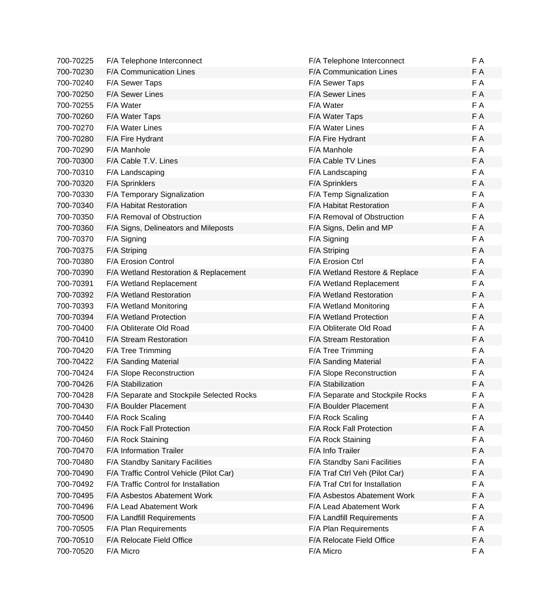| 700-70225 | F/A Telephone Interconnect                | F/A Telephone Interconnect       | F A |
|-----------|-------------------------------------------|----------------------------------|-----|
| 700-70230 | F/A Communication Lines                   | F/A Communication Lines          | F A |
| 700-70240 | F/A Sewer Taps                            | F/A Sewer Taps                   | F A |
| 700-70250 | F/A Sewer Lines                           | F/A Sewer Lines                  | F A |
| 700-70255 | F/A Water                                 | F/A Water                        | F A |
| 700-70260 | F/A Water Taps                            | F/A Water Taps                   | F A |
| 700-70270 | F/A Water Lines                           | <b>F/A Water Lines</b>           | F A |
| 700-70280 | F/A Fire Hydrant                          | F/A Fire Hydrant                 | F A |
| 700-70290 | F/A Manhole                               | F/A Manhole                      | F A |
| 700-70300 | F/A Cable T.V. Lines                      | F/A Cable TV Lines               | F A |
| 700-70310 | F/A Landscaping                           | F/A Landscaping                  | F A |
| 700-70320 | F/A Sprinklers                            | <b>F/A Sprinklers</b>            | F A |
| 700-70330 | F/A Temporary Signalization               | F/A Temp Signalization           | F A |
| 700-70340 | F/A Habitat Restoration                   | F/A Habitat Restoration          | F A |
| 700-70350 | F/A Removal of Obstruction                | F/A Removal of Obstruction       | F A |
| 700-70360 | F/A Signs, Delineators and Mileposts      | F/A Signs, Delin and MP          | F A |
| 700-70370 | F/A Signing                               | F/A Signing                      | F A |
| 700-70375 | F/A Striping                              | F/A Striping                     | F A |
| 700-70380 | F/A Erosion Control                       | F/A Erosion Ctrl                 | F A |
| 700-70390 | F/A Wetland Restoration & Replacement     | F/A Wetland Restore & Replace    | F A |
| 700-70391 | F/A Wetland Replacement                   | F/A Wetland Replacement          | F A |
| 700-70392 | F/A Wetland Restoration                   | <b>F/A Wetland Restoration</b>   | F A |
| 700-70393 | F/A Wetland Monitoring                    | F/A Wetland Monitoring           | F A |
| 700-70394 | F/A Wetland Protection                    | <b>F/A Wetland Protection</b>    | F A |
| 700-70400 | F/A Obliterate Old Road                   | F/A Obliterate Old Road          | F A |
| 700-70410 | F/A Stream Restoration                    | F/A Stream Restoration           | F A |
| 700-70420 | F/A Tree Trimming                         | F/A Tree Trimming                | F A |
| 700-70422 | F/A Sanding Material                      | F/A Sanding Material             | F A |
| 700-70424 | F/A Slope Reconstruction                  | F/A Slope Reconstruction         | F A |
| 700-70426 | F/A Stabilization                         | F/A Stabilization                | F A |
| 700-70428 | F/A Separate and Stockpile Selected Rocks | F/A Separate and Stockpile Rocks | F A |
| 700-70430 | F/A Boulder Placement                     | F/A Boulder Placement            | F A |
| 700-70440 | F/A Rock Scaling                          | F/A Rock Scaling                 | F A |
| 700-70450 | F/A Rock Fall Protection                  | F/A Rock Fall Protection         | F A |
| 700-70460 | F/A Rock Staining                         | F/A Rock Staining                | F A |
| 700-70470 | F/A Information Trailer                   | F/A Info Trailer                 | F A |
| 700-70480 | F/A Standby Sanitary Facilities           | F/A Standby Sani Facilities      | F A |
| 700-70490 | F/A Traffic Control Vehicle (Pilot Car)   | F/A Traf Ctrl Veh (Pilot Car)    | F A |
| 700-70492 | F/A Traffic Control for Installation      | F/A Traf Ctrl for Installation   | F A |
| 700-70495 | F/A Asbestos Abatement Work               | F/A Asbestos Abatement Work      | F A |
| 700-70496 | F/A Lead Abatement Work                   | F/A Lead Abatement Work          | F A |
| 700-70500 | F/A Landfill Requirements                 | F/A Landfill Requirements        | F A |
| 700-70505 | F/A Plan Requirements                     | F/A Plan Requirements            | F A |
| 700-70510 | F/A Relocate Field Office                 | F/A Relocate Field Office        | F A |
| 700-70520 | F/A Micro                                 | F/A Micro                        | F A |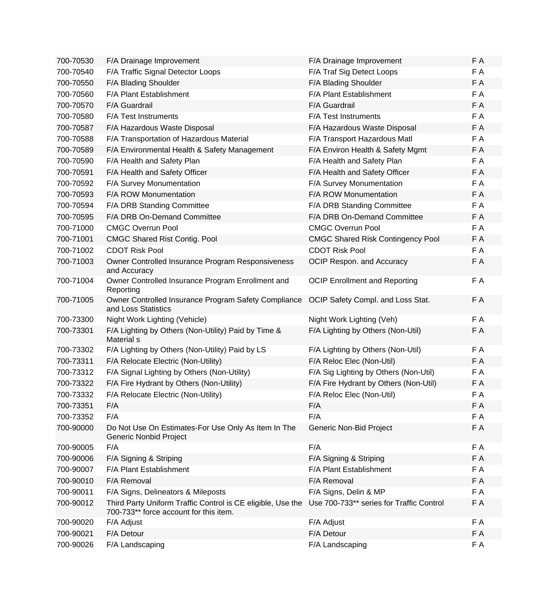| F A                                             |
|-------------------------------------------------|
|                                                 |
| F A                                             |
| F A                                             |
| F A                                             |
| F A                                             |
| F A                                             |
| F A                                             |
| F/A Environ Health & Safety Mgmt<br>F A         |
| F A                                             |
| F A                                             |
| F A                                             |
| F A                                             |
| F A                                             |
| F A                                             |
| F A                                             |
| F A<br><b>CMGC Shared Risk Contingency Pool</b> |
| F A                                             |
| F A                                             |
| F A                                             |
| F A<br>OCIP Safety Compl. and Loss Stat.        |
| F A                                             |
| F A                                             |
| F A                                             |
| F A                                             |
| F/A Sig Lighting by Others (Non-Util)<br>F A    |
| F A<br>F/A Fire Hydrant by Others (Non-Util)    |
| F A                                             |
| F A                                             |
| F A                                             |
| F A                                             |
| F A                                             |
| F A                                             |
| F A                                             |
| F A                                             |
| F A                                             |
| Use 700-733** series for Traffic Control<br>F A |
| F A                                             |
| F A                                             |
| F A                                             |
|                                                 |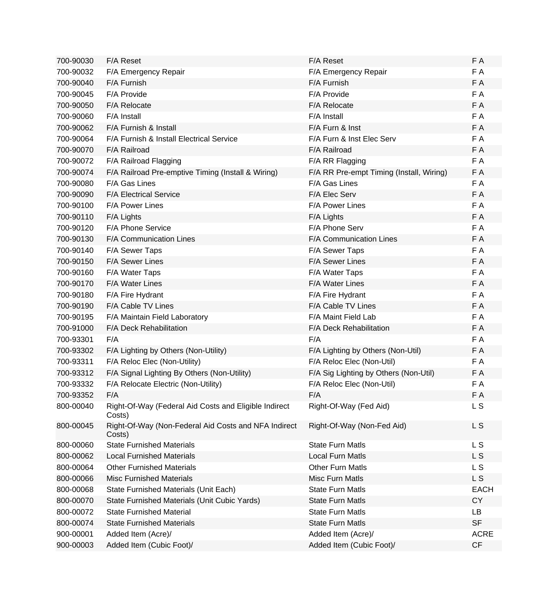| 700-90030 | F/A Reset                                                       | F/A Reset                                | F A         |
|-----------|-----------------------------------------------------------------|------------------------------------------|-------------|
| 700-90032 | F/A Emergency Repair                                            | F/A Emergency Repair                     | F A         |
| 700-90040 | F/A Furnish                                                     | F/A Furnish                              | F A         |
| 700-90045 | F/A Provide                                                     | F/A Provide                              | F A         |
| 700-90050 | F/A Relocate                                                    | F/A Relocate                             | F A         |
| 700-90060 | F/A Install                                                     | F/A Install                              | F A         |
| 700-90062 | F/A Furnish & Install                                           | F/A Furn & Inst                          | F A         |
| 700-90064 | F/A Furnish & Install Electrical Service                        | F/A Furn & Inst Elec Serv                | F A         |
| 700-90070 | F/A Railroad                                                    | F/A Railroad                             | F A         |
| 700-90072 | F/A Railroad Flagging                                           | F/A RR Flagging                          | F A         |
| 700-90074 | F/A Railroad Pre-emptive Timing (Install & Wiring)              | F/A RR Pre-empt Timing (Install, Wiring) | F A         |
| 700-90080 | F/A Gas Lines                                                   | F/A Gas Lines                            | F A         |
| 700-90090 | <b>F/A Electrical Service</b>                                   | F/A Elec Serv                            | F A         |
| 700-90100 | F/A Power Lines                                                 | F/A Power Lines                          | F A         |
| 700-90110 | F/A Lights                                                      | F/A Lights                               | F A         |
| 700-90120 | F/A Phone Service                                               | F/A Phone Serv                           | F A         |
| 700-90130 | F/A Communication Lines                                         | F/A Communication Lines                  | F A         |
| 700-90140 | F/A Sewer Taps                                                  | F/A Sewer Taps                           | F A         |
| 700-90150 | F/A Sewer Lines                                                 | F/A Sewer Lines                          | F A         |
| 700-90160 | F/A Water Taps                                                  | F/A Water Taps                           | F A         |
| 700-90170 | F/A Water Lines                                                 | F/A Water Lines                          | F A         |
| 700-90180 | F/A Fire Hydrant                                                | F/A Fire Hydrant                         | F A         |
| 700-90190 | F/A Cable TV Lines                                              | F/A Cable TV Lines                       | F A         |
| 700-90195 | F/A Maintain Field Laboratory                                   | F/A Maint Field Lab                      | F A         |
| 700-91000 | F/A Deck Rehabilitation                                         | F/A Deck Rehabilitation                  | F A         |
| 700-93301 | F/A                                                             | F/A                                      | F A         |
| 700-93302 | F/A Lighting by Others (Non-Utility)                            | F/A Lighting by Others (Non-Util)        | F A         |
| 700-93311 | F/A Reloc Elec (Non-Utility)                                    | F/A Reloc Elec (Non-Util)                | F A         |
| 700-93312 | F/A Signal Lighting By Others (Non-Utility)                     | F/A Sig Lighting by Others (Non-Util)    | F A         |
| 700-93332 | F/A Relocate Electric (Non-Utility)                             | F/A Reloc Elec (Non-Util)                | F A         |
| 700-93352 | F/A                                                             | F/A                                      | F A         |
| 800-00040 | Right-Of-Way (Federal Aid Costs and Eligible Indirect<br>Costs) | Right-Of-Way (Fed Aid)                   | L S         |
| 800-00045 | Right-Of-Way (Non-Federal Aid Costs and NFA Indirect<br>Costs)  | Right-Of-Way (Non-Fed Aid)               | <b>LS</b>   |
| 800-00060 | <b>State Furnished Materials</b>                                | <b>State Furn Matls</b>                  | L S         |
| 800-00062 | <b>Local Furnished Materials</b>                                | <b>Local Furn Matls</b>                  | L S         |
| 800-00064 | <b>Other Furnished Materials</b>                                | <b>Other Furn Matls</b>                  | L S         |
| 800-00066 | <b>Misc Furnished Materials</b>                                 | Misc Furn Matls                          | L S         |
| 800-00068 | State Furnished Materials (Unit Each)                           | <b>State Furn Matls</b>                  | <b>EACH</b> |
| 800-00070 | State Furnished Materials (Unit Cubic Yards)                    | <b>State Furn Matls</b>                  | <b>CY</b>   |
| 800-00072 | <b>State Furnished Material</b>                                 | <b>State Furn Matls</b>                  | <b>LB</b>   |
| 800-00074 | <b>State Furnished Materials</b>                                | <b>State Furn Matls</b>                  | <b>SF</b>   |
| 900-00001 | Added Item (Acre)/                                              | Added Item (Acre)/                       | <b>ACRE</b> |
| 900-00003 | Added Item (Cubic Foot)/                                        | Added Item (Cubic Foot)/                 | CF          |